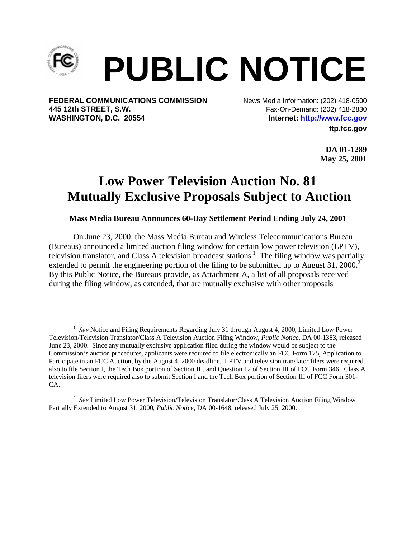

## **PUBLIC NOTICE**

**FEDERAL COMMUNICATIONS COMMISSION** News Media Information: (202) 418-0500 **445 12th STREET, S.W.** Fax-On-Demand: (202) 418-2830 WASHINGTON, D.C. 20554 **Internet: http://www.fcc.gov** 

**ftp.fcc.gov**

**DA 01-1289 May 25, 2001**

## **Low Power Television Auction No. 81 Mutually Exclusive Proposals Subject to Auction**

**Mass Media Bureau Announces 60-Day Settlement Period Ending July 24, 2001**

On June 23, 2000, the Mass Media Bureau and Wireless Telecommunications Bureau (Bureaus) announced a limited auction filing window for certain low power television (LPTV), television translator, and Class A television broadcast stations.<sup>1</sup> The filing window was partially extended to permit the engineering portion of the filing to be submitted up to August  $31$ ,  $2000$ .<sup>2</sup> By this Public Notice, the Bureaus provide, as Attachment A, a list of all proposals received during the filing window, as extended, that are mutually exclusive with other proposals

 $\frac{1}{1}$ <sup>1</sup> See Notice and Filing Requirements Regarding July 31 through August 4, 2000, Limited Low Power Television/Television Translator/Class A Television Auction Filing Window, *Public Notice*, DA 00-1383, released June 23, 2000. Since any mutually exclusive application filed during the window would be subject to the Commission's auction procedures, applicants were required to file electronically an FCC Form 175, Application to Participate in an FCC Auction, by the August 4, 2000 deadline. LPTV and television translator filers were required also to file Section I, the Tech Box portion of Section III, and Question 12 of Section III of FCC Form 346. Class A television filers were required also to submit Section I and the Tech Box portion of Section III of FCC Form 301- CA.

<sup>2</sup> *See* Limited Low Power Television/Television Translator/Class A Television Auction Filing Window Partially Extended to August 31, 2000, *Public Notice*, DA 00-1648, released July 25, 2000.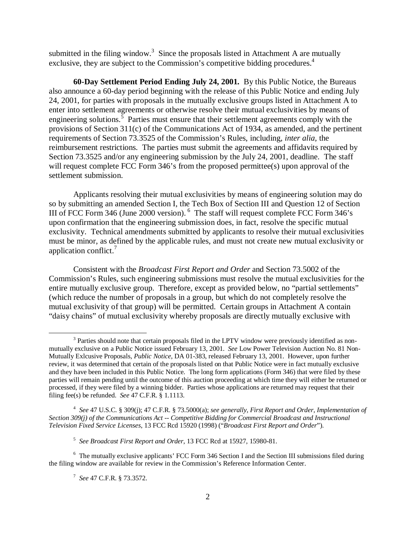submitted in the filing window.<sup>3</sup> Since the proposals listed in Attachment A are mutually exclusive, they are subject to the Commission's competitive bidding procedures.<sup>4</sup>

**60-Day Settlement Period Ending July 24, 2001.** By this Public Notice, the Bureaus also announce a 60-day period beginning with the release of this Public Notice and ending July 24, 2001, for parties with proposals in the mutually exclusive groups listed in Attachment A to enter into settlement agreements or otherwise resolve their mutual exclusivities by means of engineering solutions.<sup>5</sup> Parties must ensure that their settlement agreements comply with the provisions of Section 311(c) of the Communications Act of 1934, as amended, and the pertinent requirements of Section 73.3525 of the Commission's Rules, including, *inter alia,* the reimbursement restrictions. The parties must submit the agreements and affidavits required by Section 73.3525 and/or any engineering submission by the July 24, 2001, deadline. The staff will request complete FCC Form 346's from the proposed permittee(s) upon approval of the settlement submission.

Applicants resolving their mutual exclusivities by means of engineering solution may do so by submitting an amended Section I, the Tech Box of Section III and Question 12 of Section III of FCC Form 346 (June 2000 version). 6 The staff will request complete FCC Form 346's upon confirmation that the engineering submission does, in fact, resolve the specific mutual exclusivity. Technical amendments submitted by applicants to resolve their mutual exclusivities must be minor, as defined by the applicable rules, and must not create new mutual exclusivity or application conflict.<sup>7</sup>

Consistent with the *Broadcast First Report and Order* and Section 73.5002 of the Commission's Rules, such engineering submissions must resolve the mutual exclusivities for the entire mutually exclusive group. Therefore, except as provided below, no "partial settlements" (which reduce the number of proposals in a group, but which do not completely resolve the mutual exclusivity of that group) will be permitted. Certain groups in Attachment A contain "daisy chains" of mutual exclusivity whereby proposals are directly mutually exclusive with

 <sup>3</sup> <sup>3</sup> Parties should note that certain proposals filed in the LPTV window were previously identified as nonmutually exclusive on a Public Notice issued February 13, 2001. *See* Low Power Television Auction No. 81 Non-Mutually Exlcusive Proposals, *Public Notice*, DA 01-383, released February 13, 2001. However, upon further review, it was determined that certain of the proposals listed on that Public Notice were in fact mutually exclusive and they have been included in this Public Notice. The long form applications (Form 346) that were filed by these parties will remain pending until the outcome of this auction proceeding at which time they will either be returned or processed, if they were filed by a winning bidder. Parties whose applications are returned may request that their filing fee(s) be refunded. *See* 47 C.F.R. § 1.1113.

<sup>4</sup> *See* 47 U.S.C. § 309(j); 47 C.F.R. § 73.5000(a); *see generally, First Report and Order, Implementation of Section 309(j) of the Communications Act -- Competitive Bidding for Commercial Broadcast and Instructional Television Fixed Service Licenses*, 13 FCC Rcd 15920 (1998) ("*Broadcast First Report and Order*").

<sup>5</sup> *See Broadcast First Report and Order*, 13 FCC Rcd at 15927, 15980-81.

<sup>&</sup>lt;sup>6</sup> The mutually exclusive applicants' FCC Form 346 Section I and the Section III submissions filed during the filing window are available for review in the Commission's Reference Information Center.

<sup>7</sup> *See* 47 C.F.R. § 73.3572.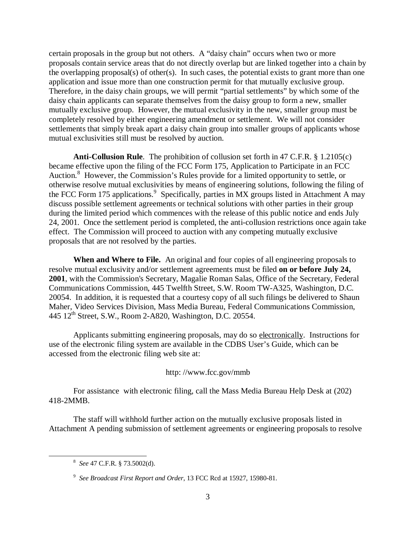certain proposals in the group but not others. A "daisy chain" occurs when two or more proposals contain service areas that do not directly overlap but are linked together into a chain by the overlapping proposal(s) of other(s). In such cases, the potential exists to grant more than one application and issue more than one construction permit for that mutually exclusive group. Therefore, in the daisy chain groups, we will permit "partial settlements" by which some of the daisy chain applicants can separate themselves from the daisy group to form a new, smaller mutually exclusive group. However, the mutual exclusivity in the new, smaller group must be completely resolved by either engineering amendment or settlement. We will not consider settlements that simply break apart a daisy chain group into smaller groups of applicants whose mutual exclusivities still must be resolved by auction.

**Anti-Collusion Rule**. The prohibition of collusion set forth in 47 C.F.R. § 1.2105(c) became effective upon the filing of the FCC Form 175, Application to Participate in an FCC Auction.<sup>8</sup> However, the Commission's Rules provide for a limited opportunity to settle, or otherwise resolve mutual exclusivities by means of engineering solutions, following the filing of the FCC Form 175 applications.<sup>9</sup> Specifically, parties in MX groups listed in Attachment A may discuss possible settlement agreements or technical solutions with other parties in their group during the limited period which commences with the release of this public notice and ends July 24, 2001. Once the settlement period is completed, the anti-collusion restrictions once again take effect. The Commission will proceed to auction with any competing mutually exclusive proposals that are not resolved by the parties.

**When and Where to File.**An original and four copies of all engineering proposals to resolve mutual exclusivity and/or settlement agreements must be filed **on or before July 24, 2001**, with the Commission's Secretary, Magalie Roman Salas, Office of the Secretary, Federal Communications Commission, 445 Twelfth Street, S.W. Room TW-A325, Washington, D.C. 20054. In addition, it is requested that a courtesy copy of all such filings be delivered to Shaun Maher, Video Services Division, Mass Media Bureau, Federal Communications Commission, 445 12th Street, S.W., Room 2-A820, Washington, D.C. 20554.

Applicants submitting engineering proposals, may do so electronically. Instructions for use of the electronic filing system are available in the CDBS User's Guide, which can be accessed from the electronic filing web site at:

http: //www.fcc.gov/mmb

For assistance with electronic filing, call the Mass Media Bureau Help Desk at (202) 418-2MMB.

The staff will withhold further action on the mutually exclusive proposals listed in Attachment A pending submission of settlement agreements or engineering proposals to resolve

 $\frac{1}{8}$ *See* 47 C.F.R. § 73.5002(d).

<sup>9</sup> *See Broadcast First Report and Order*, 13 FCC Rcd at 15927, 15980-81.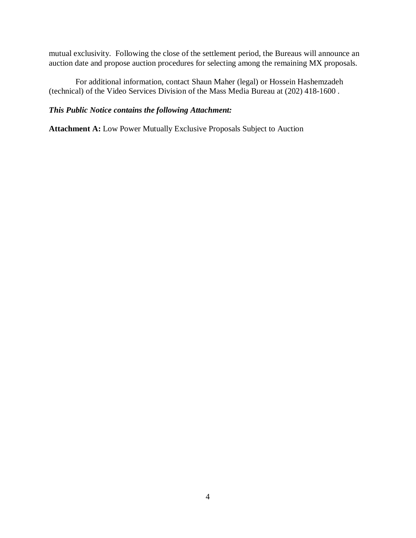mutual exclusivity. Following the close of the settlement period, the Bureaus will announce an auction date and propose auction procedures for selecting among the remaining MX proposals.

 For additional information, contact Shaun Maher (legal) or Hossein Hashemzadeh (technical) of the Video Services Division of the Mass Media Bureau at (202) 418-1600 .

## *This Public Notice contains the following Attachment:*

**Attachment A:** Low Power Mutually Exclusive Proposals Subject to Auction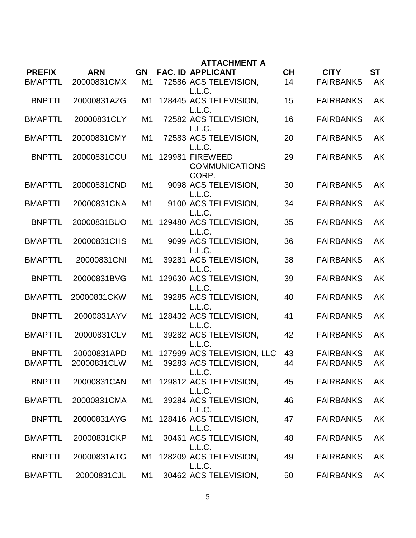|                |             |                | <b>ATTACHMENT A</b>                                         |           |                  |           |
|----------------|-------------|----------------|-------------------------------------------------------------|-----------|------------------|-----------|
| <b>PREFIX</b>  | <b>ARN</b>  | <b>GN</b>      | <b>FAC. ID APPLICANT</b>                                    | <b>CH</b> | <b>CITY</b>      | <b>ST</b> |
| <b>BMAPTTL</b> | 20000831CMX | M1             | 72586 ACS TELEVISION,<br>L.L.C.                             | 14        | <b>FAIRBANKS</b> | <b>AK</b> |
| <b>BNPTTL</b>  | 20000831AZG | M1             | 128445 ACS TELEVISION,<br>L.L.C.                            | 15        | <b>FAIRBANKS</b> | <b>AK</b> |
| <b>BMAPTTL</b> | 20000831CLY | M1             | 72582 ACS TELEVISION,<br>L.L.C.                             | 16        | <b>FAIRBANKS</b> | AK        |
| <b>BMAPTTL</b> | 20000831CMY | M1             | 72583 ACS TELEVISION,                                       | 20        | <b>FAIRBANKS</b> | AK        |
| <b>BNPTTL</b>  | 20000831CCU | M1             | L.L.C.<br>129981 FIREWEED<br><b>COMMUNICATIONS</b><br>CORP. | 29        | <b>FAIRBANKS</b> | AK        |
| <b>BMAPTTL</b> | 20000831CND | M1             | 9098 ACS TELEVISION,<br>L.L.C.                              | 30        | <b>FAIRBANKS</b> | AK        |
| <b>BMAPTTL</b> | 20000831CNA | M1             | 9100 ACS TELEVISION,<br>L.L.C.                              | 34        | <b>FAIRBANKS</b> | AK        |
| <b>BNPTTL</b>  | 20000831BUO | M1             | 129480 ACS TELEVISION,<br>L.L.C.                            | 35        | <b>FAIRBANKS</b> | <b>AK</b> |
| <b>BMAPTTL</b> | 20000831CHS | M1             | 9099 ACS TELEVISION,<br>L.L.C.                              | 36        | <b>FAIRBANKS</b> | AK        |
| <b>BMAPTTL</b> | 20000831CNI | M1             | 39281 ACS TELEVISION,<br>L.L.C.                             | 38        | <b>FAIRBANKS</b> | <b>AK</b> |
| <b>BNPTTL</b>  | 20000831BVG | M1             | 129630 ACS TELEVISION,<br>L.L.C.                            | 39        | <b>FAIRBANKS</b> | AK        |
| <b>BMAPTTL</b> | 20000831CKW | M1             | 39285 ACS TELEVISION,<br>L.L.C.                             | 40        | <b>FAIRBANKS</b> | AK        |
| <b>BNPTTL</b>  | 20000831AYV | M1             | 128432 ACS TELEVISION,<br>L.L.C.                            | 41        | <b>FAIRBANKS</b> | <b>AK</b> |
| <b>BMAPTTL</b> | 20000831CLV | M <sub>1</sub> | 39282 ACS TELEVISION,<br>L.L.C.                             | 42        | <b>FAIRBANKS</b> | AK        |
| <b>BNPTTL</b>  | 20000831APD | M1             | 127999 ACS TELEVISION, LLC                                  | 43        | <b>FAIRBANKS</b> | <b>AK</b> |
| <b>BMAPTTL</b> | 20000831CLW |                | M1 39283 ACS TELEVISION,<br>L.L.C.                          | 44        | <b>FAIRBANKS</b> | AK        |
| <b>BNPTTL</b>  | 20000831CAN |                | M1 129812 ACS TELEVISION,<br>L.L.C.                         | 45        | <b>FAIRBANKS</b> | <b>AK</b> |
| <b>BMAPTTL</b> | 20000831CMA | M1             | 39284 ACS TELEVISION,<br>L.L.C.                             | 46        | <b>FAIRBANKS</b> | <b>AK</b> |
| <b>BNPTTL</b>  | 20000831AYG |                | M1 128416 ACS TELEVISION,<br>L.L.C.                         | 47        | <b>FAIRBANKS</b> | <b>AK</b> |
| <b>BMAPTTL</b> | 20000831CKP | M1             | 30461 ACS TELEVISION,<br>L.L.C.                             | 48        | <b>FAIRBANKS</b> | <b>AK</b> |
| <b>BNPTTL</b>  | 20000831ATG | M1             | 128209 ACS TELEVISION,<br>L.L.C.                            | 49        | <b>FAIRBANKS</b> | <b>AK</b> |
| BMAPTTL        | 20000831CJL | M1             | 30462 ACS TELEVISION,                                       | 50        | <b>FAIRBANKS</b> | <b>AK</b> |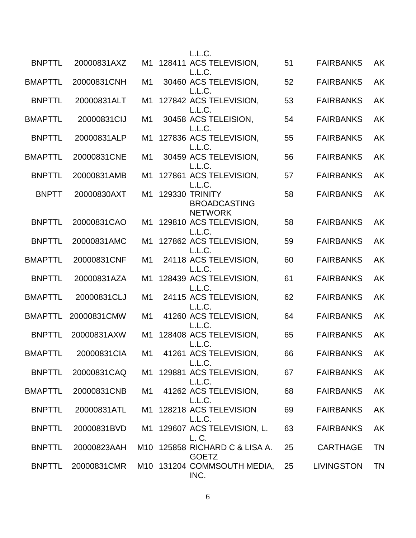|                |             |    | L.L.C.                                                     |    |                   |           |
|----------------|-------------|----|------------------------------------------------------------|----|-------------------|-----------|
| <b>BNPTTL</b>  | 20000831AXZ |    | M1 128411 ACS TELEVISION,<br>L.L.C.                        | 51 | <b>FAIRBANKS</b>  | AK        |
| <b>BMAPTTL</b> | 20000831CNH | M1 | 30460 ACS TELEVISION.<br>L.L.C.                            | 52 | <b>FAIRBANKS</b>  | <b>AK</b> |
| <b>BNPTTL</b>  | 20000831ALT | M1 | 127842 ACS TELEVISION,<br>L.L.C.                           | 53 | <b>FAIRBANKS</b>  | <b>AK</b> |
| <b>BMAPTTL</b> | 20000831CIJ | M1 | 30458 ACS TELEISION,<br>L.L.C.                             | 54 | <b>FAIRBANKS</b>  | AK        |
| <b>BNPTTL</b>  | 20000831ALP | M1 | 127836 ACS TELEVISION,<br>L.L.C.                           | 55 | <b>FAIRBANKS</b>  | <b>AK</b> |
| <b>BMAPTTL</b> | 20000831CNE | M1 | 30459 ACS TELEVISION,<br>L.L.C.                            | 56 | <b>FAIRBANKS</b>  | <b>AK</b> |
| <b>BNPTTL</b>  | 20000831AMB | M1 | 127861 ACS TELEVISION,<br>L.L.C.                           | 57 | <b>FAIRBANKS</b>  | AK        |
| <b>BNPTT</b>   | 20000830AXT |    | M1 129330 TRINITY<br><b>BROADCASTING</b><br><b>NETWORK</b> | 58 | <b>FAIRBANKS</b>  | AK        |
| <b>BNPTTL</b>  | 20000831CAO |    | M1 129810 ACS TELEVISION,<br>L.L.C.                        | 58 | <b>FAIRBANKS</b>  | <b>AK</b> |
| <b>BNPTTL</b>  | 20000831AMC | M1 | 127862 ACS TELEVISION,<br>L.L.C.                           | 59 | <b>FAIRBANKS</b>  | AK        |
| <b>BMAPTTL</b> | 20000831CNF | M1 | 24118 ACS TELEVISION,<br>L.L.C.                            | 60 | <b>FAIRBANKS</b>  | <b>AK</b> |
| <b>BNPTTL</b>  | 20000831AZA | M1 | 128439 ACS TELEVISION,<br>L.L.C.                           | 61 | <b>FAIRBANKS</b>  | <b>AK</b> |
| <b>BMAPTTL</b> | 20000831CLJ | M1 | 24115 ACS TELEVISION,<br>L.L.C.                            | 62 | <b>FAIRBANKS</b>  | <b>AK</b> |
| <b>BMAPTTL</b> | 20000831CMW | M1 | 41260 ACS TELEVISION,<br>L.L.C.                            | 64 | <b>FAIRBANKS</b>  | <b>AK</b> |
| <b>BNPTTL</b>  | 20000831AXW | M1 | 128408 ACS TELEVISION,<br>L.L.C.                           | 65 | <b>FAIRBANKS</b>  | AK        |
| <b>BMAPTTL</b> | 20000831CIA |    | M1 41261 ACS TELEVISION,<br>L.L.C.                         | 66 | <b>FAIRBANKS</b>  | AK        |
| <b>BNPTTL</b>  | 20000831CAQ |    | M1 129881 ACS TELEVISION,<br>L.L.C.                        | 67 | <b>FAIRBANKS</b>  | AK        |
| <b>BMAPTTL</b> | 20000831CNB | M1 | 41262 ACS TELEVISION,<br>L.L.C.                            | 68 | <b>FAIRBANKS</b>  | AK        |
| <b>BNPTTL</b>  | 20000831ATL |    | M1 128218 ACS TELEVISION<br>L.L.C.                         | 69 | <b>FAIRBANKS</b>  | AK        |
| <b>BNPTTL</b>  | 20000831BVD |    | M1 129607 ACS TELEVISION, L.<br>L. C.                      | 63 | <b>FAIRBANKS</b>  | AK        |
| <b>BNPTTL</b>  | 20000823AAH |    | M10 125858 RICHARD C & LISA A.<br><b>GOETZ</b>             | 25 | <b>CARTHAGE</b>   | <b>TN</b> |
| <b>BNPTTL</b>  | 20000831CMR |    | M10 131204 COMMSOUTH MEDIA,<br>INC.                        | 25 | <b>LIVINGSTON</b> | <b>TN</b> |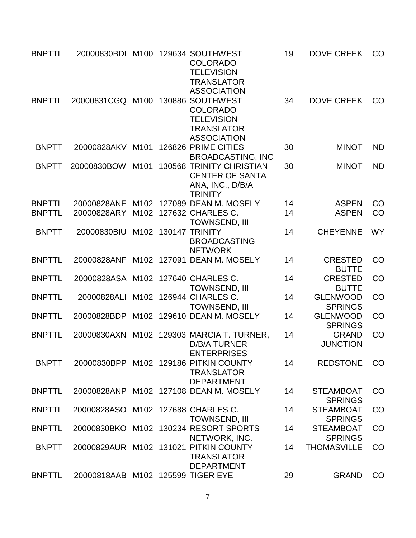| <b>BNPTTL</b> |                                    |      | 20000830BDI M100 129634 SOUTHWEST<br><b>COLORADO</b><br><b>TELEVISION</b><br><b>TRANSLATOR</b>                            | 19 | <b>DOVE CREEK</b>                  | CO        |
|---------------|------------------------------------|------|---------------------------------------------------------------------------------------------------------------------------|----|------------------------------------|-----------|
| <b>BNPTTL</b> | 20000831CGQ M100                   |      | <b>ASSOCIATION</b><br>130886 SOUTHWEST<br><b>COLORADO</b><br><b>TELEVISION</b><br><b>TRANSLATOR</b><br><b>ASSOCIATION</b> | 34 | <b>DOVE CREEK</b>                  | CO        |
| <b>BNPTT</b>  | 20000828AKV                        | M101 | 126826 PRIME CITIES<br><b>BROADCASTING, INC</b>                                                                           | 30 | <b>MINOT</b>                       | <b>ND</b> |
| <b>BNPTT</b>  | 20000830BOW                        | M101 | 130568 TRINITY CHRISTIAN<br><b>CENTER OF SANTA</b><br>ANA, INC., D/B/A<br><b>TRINITY</b>                                  | 30 | <b>MINOT</b>                       | <b>ND</b> |
| <b>BNPTTL</b> | 20000828ANE                        |      | M102 127089 DEAN M. MOSELY                                                                                                | 14 | <b>ASPEN</b>                       | CO        |
| <b>BNPTTL</b> | 20000828ARY                        | M102 | 127632 CHARLES C.<br>TOWNSEND, III                                                                                        | 14 | <b>ASPEN</b>                       | CO        |
| <b>BNPTT</b>  | 20000830BIU                        |      | M102 130147 TRINITY<br><b>BROADCASTING</b><br><b>NETWORK</b>                                                              | 14 | <b>CHEYENNE</b>                    | <b>WY</b> |
| <b>BNPTTL</b> | 20000828ANF                        |      | M102 127091 DEAN M. MOSELY                                                                                                | 14 | <b>CRESTED</b><br><b>BUTTE</b>     | CO        |
| <b>BNPTTL</b> | 20000828ASA M102 127640 CHARLES C. |      | <b>TOWNSEND, III</b>                                                                                                      | 14 | <b>CRESTED</b><br><b>BUTTE</b>     | CO        |
| <b>BNPTTL</b> | 20000828ALI                        |      | M102 126944 CHARLES C.<br><b>TOWNSEND, III</b>                                                                            | 14 | <b>GLENWOOD</b><br><b>SPRINGS</b>  | CO        |
| <b>BNPTTL</b> | 20000828BDP                        |      | M102 129610 DEAN M. MOSELY                                                                                                | 14 | <b>GLENWOOD</b><br><b>SPRINGS</b>  | CO        |
| <b>BNPTTL</b> |                                    |      | 20000830AXN M102 129303 MARCIA T. TURNER,<br><b>D/B/A TURNER</b><br><b>ENTERPRISES</b>                                    | 14 | <b>GRAND</b><br><b>JUNCTION</b>    | CO        |
| <b>BNPTT</b>  |                                    |      | 20000830BPP M102 129186 PITKIN COUNTY<br><b>TRANSLATOR</b><br><b>DEPARTMENT</b>                                           | 14 | <b>REDSTONE</b>                    | CO        |
| <b>BNPTTL</b> |                                    |      | 20000828ANP M102 127108 DEAN M. MOSELY                                                                                    | 14 | <b>STEAMBOAT</b><br><b>SPRINGS</b> | CO        |
| <b>BNPTTL</b> | 20000828ASO                        |      | M102 127688 CHARLES C.<br>TOWNSEND, III                                                                                   | 14 | <b>STEAMBOAT</b><br><b>SPRINGS</b> | CO        |
| <b>BNPTTL</b> | 20000830BKO                        |      | M102 130234 RESORT SPORTS<br>NETWORK, INC.                                                                                | 14 | <b>STEAMBOAT</b><br><b>SPRINGS</b> | CO        |
| <b>BNPTT</b>  |                                    |      | 20000829AUR M102 131021 PITKIN COUNTY<br><b>TRANSLATOR</b><br><b>DEPARTMENT</b>                                           | 14 | <b>THOMASVILLE</b>                 | CO        |
| <b>BNPTTL</b> | 20000818AAB M102 125599 TIGER EYE  |      |                                                                                                                           | 29 | <b>GRAND</b>                       | CO        |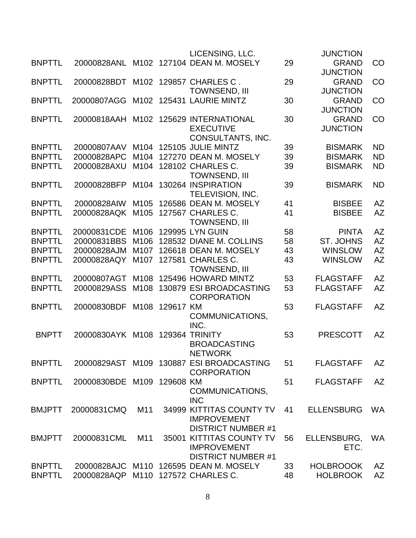|               |                            |                   |           | LICENSING, LLC.                          |    | <b>JUNCTION</b>   |           |
|---------------|----------------------------|-------------------|-----------|------------------------------------------|----|-------------------|-----------|
| <b>BNPTTL</b> | 20000828ANL                |                   |           | M102 127104 DEAN M. MOSELY               | 29 | <b>GRAND</b>      | CO        |
|               |                            |                   |           |                                          |    | <b>JUNCTION</b>   |           |
| <b>BNPTTL</b> | 20000828BDT                |                   |           | M102 129857 CHARLES C.                   | 29 | <b>GRAND</b>      | CO        |
|               |                            |                   |           | <b>TOWNSEND, III</b>                     |    | <b>JUNCTION</b>   |           |
| <b>BNPTTL</b> | 20000807AGG                |                   |           | M102 125431 LAURIE MINTZ                 | 30 | <b>GRAND</b>      | CO        |
|               |                            |                   |           |                                          |    | <b>JUNCTION</b>   |           |
| <b>BNPTTL</b> | 20000818AAH                | M <sub>1</sub> 02 |           | 125629 INTERNATIONAL                     | 30 | <b>GRAND</b>      | CO        |
|               |                            |                   |           | <b>EXECUTIVE</b>                         |    | <b>JUNCTION</b>   |           |
|               |                            |                   |           | CONSULTANTS, INC.                        |    |                   |           |
| <b>BNPTTL</b> | 20000807AAV                |                   |           | M104 125105 JULIE MINTZ                  | 39 | <b>BISMARK</b>    | <b>ND</b> |
| <b>BNPTTL</b> | 20000828APC                | M <sub>104</sub>  |           | 127270 DEAN M. MOSELY                    | 39 | <b>BISMARK</b>    | <b>ND</b> |
| <b>BNPTTL</b> | 20000828AXU                |                   |           | M104 128102 CHARLES C.                   | 39 | <b>BISMARK</b>    | <b>ND</b> |
|               |                            |                   |           | <b>TOWNSEND, III</b>                     |    |                   |           |
| <b>BNPTTL</b> | 20000828BFP                | M104              |           | 130264 INSPIRATION                       | 39 | <b>BISMARK</b>    | <b>ND</b> |
|               |                            |                   |           | TELEVISION, INC.                         |    |                   |           |
| <b>BNPTTL</b> | 20000828AIW                | M <sub>105</sub>  |           | 126586 DEAN M. MOSELY                    | 41 | <b>BISBEE</b>     | <b>AZ</b> |
| <b>BNPTTL</b> | 20000828AQK                | M <sub>105</sub>  |           | 127567 CHARLES C.                        | 41 | <b>BISBEE</b>     | <b>AZ</b> |
|               |                            |                   |           | <b>TOWNSEND, III</b>                     |    |                   |           |
| <b>BNPTTL</b> | 20000831CDE                | M106              |           | <b>129995 LYN GUIN</b>                   | 58 | <b>PINTA</b>      | <b>AZ</b> |
| <b>BNPTTL</b> | 20000831BBS                | M106              |           | 128532 DIANE M. COLLINS                  | 58 | <b>ST. JOHNS</b>  | <b>AZ</b> |
| <b>BNPTTL</b> | 20000828AJM                | M <sub>10</sub> 7 |           | 126618 DEAN M. MOSELY                    | 43 | <b>WINSLOW</b>    | <b>AZ</b> |
| <b>BNPTTL</b> | 20000828AQY                | M107              |           | 127581 CHARLES C.                        | 43 | <b>WINSLOW</b>    | <b>AZ</b> |
|               |                            |                   |           | <b>TOWNSEND, III</b>                     |    |                   |           |
| <b>BNPTTL</b> | 20000807AGT                | M108              |           | 125496 HOWARD MINTZ                      | 53 | <b>FLAGSTAFF</b>  | <b>AZ</b> |
| <b>BNPTTL</b> | 20000829ASS                | M108              |           | 130879 ESI BROADCASTING                  | 53 | <b>FLAGSTAFF</b>  | <b>AZ</b> |
|               |                            |                   |           | <b>CORPORATION</b>                       |    |                   |           |
| <b>BNPTTL</b> | 20000830BDF                | M108              | 129617 KM |                                          | 53 | <b>FLAGSTAFF</b>  | <b>AZ</b> |
|               |                            |                   |           | COMMUNICATIONS,                          |    |                   |           |
|               |                            |                   |           | INC.                                     |    |                   |           |
| <b>BNPTT</b>  | 20000830AYK M108           |                   |           | 129364 TRINITY                           | 53 | <b>PRESCOTT</b>   | <b>AZ</b> |
|               |                            |                   |           | <b>BROADCASTING</b>                      |    |                   |           |
|               |                            |                   |           | <b>NETWORK</b>                           |    |                   |           |
| <b>BNPTTL</b> |                            |                   |           | 20000829AST M109 130887 ESI BROADCASTING | 51 | <b>FLAGSTAFF</b>  | AZ        |
|               |                            |                   |           | <b>CORPORATION</b>                       |    |                   | <b>AZ</b> |
| <b>BNPTTL</b> | 20000830BDE M109 129608 KM |                   |           |                                          | 51 | <b>FLAGSTAFF</b>  |           |
|               |                            |                   |           | COMMUNICATIONS,<br><b>INC</b>            |    |                   |           |
| <b>BMJPTT</b> | 20000831CMQ                | M11               |           | 34999 KITTITAS COUNTY TV                 | 41 | <b>ELLENSBURG</b> | <b>WA</b> |
|               |                            |                   |           | <b>IMPROVEMENT</b>                       |    |                   |           |
|               |                            |                   |           | <b>DISTRICT NUMBER #1</b>                |    |                   |           |
| <b>BMJPTT</b> | 20000831CML                | M11               | 35001     | <b>KITTITAS COUNTY TV</b>                | 56 | ELLENSBURG,       | WA        |
|               |                            |                   |           | <b>IMPROVEMENT</b>                       |    | ETC.              |           |
|               |                            |                   |           | <b>DISTRICT NUMBER #1</b>                |    |                   |           |
| <b>BNPTTL</b> |                            |                   |           | 20000828AJC M110 126595 DEAN M. MOSELY   | 33 | <b>HOLBROOOK</b>  | <b>AZ</b> |
| <b>BNPTTL</b> | 20000828AQP                |                   |           | M110 127572 CHARLES C.                   | 48 | <b>HOLBROOK</b>   | <b>AZ</b> |
|               |                            |                   |           |                                          |    |                   |           |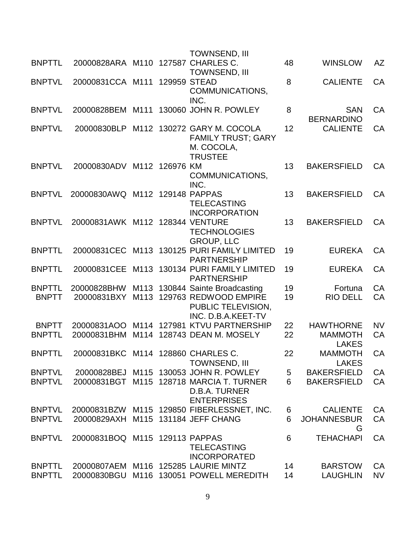|                                |                                    |      |                | <b>TOWNSEND, III</b>                                                                                      |                |                                                    |                 |
|--------------------------------|------------------------------------|------|----------------|-----------------------------------------------------------------------------------------------------------|----------------|----------------------------------------------------|-----------------|
| <b>BNPTTL</b>                  | 20000828ARA M110 127587 CHARLES C. |      |                | <b>TOWNSEND, III</b>                                                                                      | 48             | <b>WINSLOW</b>                                     | AZ              |
| <b>BNPTVL</b>                  | 20000831CCA M111                   |      |                | 129959 STEAD<br>COMMUNICATIONS,<br>INC.                                                                   | 8              | <b>CALIENTE</b>                                    | CA              |
| <b>BNPTVL</b>                  | 20000828BEM                        | M111 |                | 130060 JOHN R. POWLEY                                                                                     | 8              | <b>SAN</b><br><b>BERNARDINO</b>                    | CA              |
| <b>BNPTVL</b>                  | 20000830BLP                        |      |                | M112 130272 GARY M. COCOLA<br><b>FAMILY TRUST; GARY</b><br>M. COCOLA,<br><b>TRUSTEE</b>                   | 12             | <b>CALIENTE</b>                                    | CA              |
| <b>BNPTVL</b>                  | 20000830ADV                        |      | M112 126976 KM | COMMUNICATIONS,<br>INC.                                                                                   | 13             | <b>BAKERSFIELD</b>                                 | CA              |
| <b>BNPTVL</b>                  | 20000830AWQ M112 129148 PAPPAS     |      |                | <b>TELECASTING</b><br><b>INCORPORATION</b>                                                                | 13             | <b>BAKERSFIELD</b>                                 | <b>CA</b>       |
| <b>BNPTVL</b>                  | 20000831AWK M112 128344 VENTURE    |      |                | <b>TECHNOLOGIES</b><br><b>GROUP, LLC</b>                                                                  | 13             | <b>BAKERSFIELD</b>                                 | CA              |
| <b>BNPTTL</b>                  |                                    |      |                | 20000831 CEC M113 130125 PURI FAMILY LIMITED<br><b>PARTNERSHIP</b>                                        | 19             | <b>EUREKA</b>                                      | CA              |
| <b>BNPTTL</b>                  |                                    |      |                | 20000831 CEE M113 130134 PURI FAMILY LIMITED<br><b>PARTNERSHIP</b>                                        | 19             | <b>EUREKA</b>                                      | <b>CA</b>       |
| <b>BNPTTL</b><br><b>BNPTT</b>  | 20000828BHW<br>20000831BXY         |      |                | M113 130844 Sainte Broadcasting<br>M113 129763 REDWOOD EMPIRE<br>PUBLIC TELEVISION,<br>INC. D.B.A.KEET-TV | 19<br>19       | Fortuna<br><b>RIO DELL</b>                         | CA<br><b>CA</b> |
| <b>BNPTT</b><br><b>BNPTTL</b>  | 20000831AOO<br>20000831BHM         |      |                | M114 127981 KTVU PARTNERSHIP<br>M114 128743 DEAN M. MOSELY                                                | 22<br>22       | <b>HAWTHORNE</b><br><b>MAMMOTH</b><br><b>LAKES</b> | <b>NV</b><br>CA |
| <b>BNPTTI</b>                  | 20000831BKC M114 128860 CHARLES C. |      |                | <b>TOWNSEND, III</b>                                                                                      | 22             | <b>MAMMOTH</b><br><b>LAKES</b>                     | CA              |
| <b>BNPTVL</b>                  |                                    |      |                | 20000828BEJ M115 130053 JOHN R. POWLEY                                                                    | 5 <sub>o</sub> | <b>BAKERSFIELD</b>                                 | CA              |
| <b>BNPTVL</b>                  |                                    |      |                | 20000831BGT M115 128718 MARCIA T. TURNER<br>D.B.A. TURNER<br><b>ENTERPRISES</b>                           | 6              | <b>BAKERSFIELD</b>                                 | CA              |
| <b>BNPTVL</b><br><b>BNPTVL</b> | 20000829AXH                        |      |                | 20000831BZW M115 129850 FIBERLESSNET, INC.<br>M115 131184 JEFF CHANG                                      | 6<br>6         | <b>CALIENTE</b><br><b>JOHANNESBUR</b><br>G         | CA<br>CA        |
| <b>BNPTVL</b>                  | 20000831BOQ M115 129113 PAPPAS     |      |                | <b>TELECASTING</b><br><b>INCORPORATED</b>                                                                 | 6              | <b>TEHACHAPI</b>                                   | CA              |
| <b>BNPTTL</b><br><b>BNPTTL</b> | 20000830BGU                        |      |                | 20000807AEM M116 125285 LAURIE MINTZ<br>M116 130051 POWELL MEREDITH                                       | 14<br>14       | <b>BARSTOW</b><br><b>LAUGHLIN</b>                  | CA<br><b>NV</b> |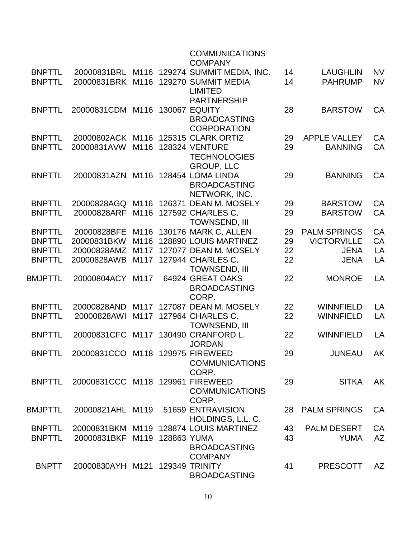|                |                                    |      | <b>COMMUNICATIONS</b><br><b>COMPANY</b>    |    |                     |           |
|----------------|------------------------------------|------|--------------------------------------------|----|---------------------|-----------|
| <b>BNPTTL</b>  |                                    |      | 20000831BRL M116 129274 SUMMIT MEDIA, INC. | 14 | <b>LAUGHLIN</b>     | <b>NV</b> |
| <b>BNPTTL</b>  | 20000831BRK M116                   |      | 129270 SUMMIT MEDIA                        | 14 | <b>PAHRUMP</b>      | <b>NV</b> |
|                |                                    |      | <b>LIMITED</b>                             |    |                     |           |
|                |                                    |      | <b>PARTNERSHIP</b>                         |    |                     |           |
| <b>BNPTTL</b>  | 20000831CDM                        | M116 | <b>130067 EQUITY</b>                       | 28 | <b>BARSTOW</b>      | CA        |
|                |                                    |      | <b>BROADCASTING</b>                        |    |                     |           |
|                |                                    |      | <b>CORPORATION</b>                         |    |                     |           |
| <b>BNPTTL</b>  |                                    |      | 20000802ACK M116 125315 CLARK ORTIZ        | 29 | <b>APPLE VALLEY</b> | CA        |
| <b>BNPTTL</b>  | 20000831AVW                        | M116 | <b>128324 VENTURE</b>                      | 29 | <b>BANNING</b>      | CA        |
|                |                                    |      | <b>TECHNOLOGIES</b>                        |    |                     |           |
|                |                                    |      | <b>GROUP, LLC</b>                          |    |                     |           |
| <b>BNPTTL</b>  | 20000831AZN M116 128454 LOMA LINDA |      |                                            | 29 | <b>BANNING</b>      | <b>CA</b> |
|                |                                    |      | <b>BROADCASTING</b>                        |    |                     |           |
|                |                                    |      | NETWORK, INC.                              |    |                     |           |
| <b>BNPTTL</b>  | 20000828AGQ                        | M116 | 126371 DEAN M. MOSELY                      | 29 | <b>BARSTOW</b>      | CA        |
| <b>BNPTTL</b>  | 20000828ARF                        | M116 | 127592 CHARLES C.                          | 29 | <b>BARSTOW</b>      | CA        |
|                |                                    |      | <b>TOWNSEND, III</b>                       |    |                     |           |
| <b>BNPTTL</b>  | 20000828BFE                        | M116 | 130176 MARK C. ALLEN                       | 29 | <b>PALM SPRINGS</b> | CA        |
| <b>BNPTTL</b>  | 20000831BKW                        | M116 | 128890 LOUIS MARTINEZ                      | 29 | <b>VICTORVILLE</b>  | CA        |
| <b>BNPTTL</b>  | 20000828AMZ                        | M117 | 127077 DEAN M. MOSELY                      | 22 | <b>JENA</b>         | LA        |
| <b>BNPTTL</b>  | 20000828AWB                        |      | M117 127944 CHARLES C.                     | 22 | <b>JENA</b>         | LA        |
|                |                                    |      | <b>TOWNSEND, III</b>                       |    |                     |           |
| <b>BMJPTTL</b> | 20000804ACY                        | M117 | 64924 GREAT OAKS                           | 22 | <b>MONROE</b>       | LA        |
|                |                                    |      | <b>BROADCASTING</b>                        |    |                     |           |
|                |                                    |      | CORP.                                      |    |                     |           |
| <b>BNPTTL</b>  | 20000828AND                        | M117 | 127087 DEAN M. MOSELY                      | 22 | <b>WINNFIELD</b>    | LA        |
| <b>BNPTTL</b>  | 20000828AWI                        | M117 | 127964 CHARLES C.                          | 22 | <b>WINNFIELD</b>    | LA        |
|                |                                    |      | <b>TOWNSEND, III</b>                       |    |                     |           |
| <b>BNPTTL</b>  | 20000831CFC                        | M117 | 130490 CRANFORD L.                         | 22 | <b>WINNFIELD</b>    | LA        |
|                |                                    |      | <b>JORDAN</b>                              |    |                     |           |
| <b>BNPTTL</b>  | 20000831CCO M118 129975 FIREWEED   |      |                                            | 29 | <b>JUNEAU</b>       | <b>AK</b> |
|                |                                    |      | <b>COMMUNICATIONS</b>                      |    |                     |           |
|                |                                    |      | CORP.                                      |    |                     |           |
| <b>BNPTTL</b>  | 20000831CCC M118 129961 FIREWEED   |      |                                            | 29 | <b>SITKA</b>        | AK        |
|                |                                    |      | <b>COMMUNICATIONS</b>                      |    |                     |           |
|                |                                    |      | CORP.<br>51659 ENTRAVISION                 |    |                     | <b>CA</b> |
| <b>BMJPTTL</b> | 20000821AHL M119                   |      | HOLDINGS, L.L. C.                          | 28 | <b>PALM SPRINGS</b> |           |
| <b>BNPTTL</b>  |                                    |      | 20000831BKM M119 128874 LOUIS MARTINEZ     | 43 | <b>PALM DESERT</b>  | CA        |
| <b>BNPTTL</b>  | 20000831BKF M119 128863 YUMA       |      |                                            | 43 | <b>YUMA</b>         | AZ        |
|                |                                    |      | <b>BROADCASTING</b>                        |    |                     |           |
|                |                                    |      | <b>COMPANY</b>                             |    |                     |           |
| <b>BNPTT</b>   | 20000830AYH M121 129349 TRINITY    |      |                                            | 41 | <b>PRESCOTT</b>     | <b>AZ</b> |
|                |                                    |      | <b>BROADCASTING</b>                        |    |                     |           |
|                |                                    |      |                                            |    |                     |           |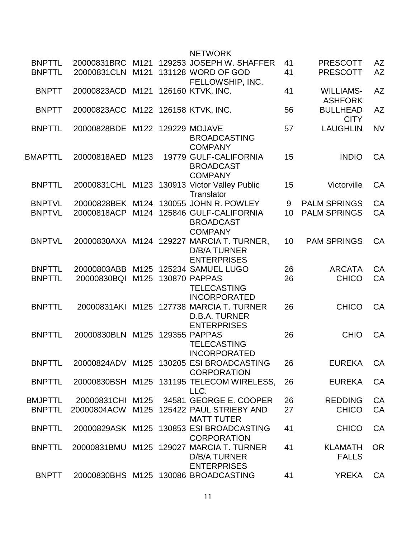|                                |                                    |      | <b>NETWORK</b>                                                                         |          |                                    |                 |
|--------------------------------|------------------------------------|------|----------------------------------------------------------------------------------------|----------|------------------------------------|-----------------|
| <b>BNPTTL</b><br><b>BNPTTL</b> | 20000831BRC M121<br>20000831CLN    | M121 | 129253 JOSEPH W. SHAFFER<br>131128 WORD OF GOD                                         | 41<br>41 | <b>PRESCOTT</b><br><b>PRESCOTT</b> | AZ<br><b>AZ</b> |
| <b>BNPTT</b>                   | 20000823ACD                        | M121 | FELLOWSHIP, INC.<br>126160 KTVK, INC.                                                  | 41       | <b>WILLIAMS-</b>                   | <b>AZ</b>       |
| <b>BNPTT</b>                   | 20000823ACC M122 126158 KTVK, INC. |      |                                                                                        | 56       | <b>ASHFORK</b><br><b>BULLHEAD</b>  | <b>AZ</b>       |
| <b>BNPTTL</b>                  | 20000828BDE M122                   |      | 129229 MOJAVE<br><b>BROADCASTING</b><br><b>COMPANY</b>                                 | 57       | <b>CITY</b><br><b>LAUGHLIN</b>     | <b>NV</b>       |
| <b>BMAPTTL</b>                 | 20000818AED M123                   |      | 19779 GULF-CALIFORNIA<br><b>BROADCAST</b><br><b>COMPANY</b>                            | 15       | <b>INDIO</b>                       | CA              |
| <b>BNPTTL</b>                  |                                    |      | 20000831CHL M123 130913 Victor Valley Public<br>Translator                             | 15       | Victorville                        | CA              |
| <b>BNPTVL</b>                  |                                    |      | 20000828BEK M124 130055 JOHN R. POWLEY                                                 | 9        | <b>PALM SPRINGS</b>                | CA              |
| <b>BNPTVL</b>                  |                                    |      | 20000818ACP M124 125846 GULF-CALIFORNIA<br><b>BROADCAST</b><br><b>COMPANY</b>          | 10       | <b>PALM SPRINGS</b>                | CA              |
| <b>BNPTVL</b>                  |                                    |      | 20000830AXA M124 129227 MARCIA T. TURNER,<br><b>D/B/A TURNER</b><br><b>ENTERPRISES</b> | 10       | <b>PAM SPRINGS</b>                 | CA              |
| <b>BNPTTL</b>                  | 20000803ABB                        |      | M125 125234 SAMUEL LUGO                                                                | 26       | <b>ARCATA</b>                      | CA              |
| <b>BNPTTL</b>                  | 20000830BQI                        | M125 | 130870 PAPPAS<br><b>TELECASTING</b><br><b>INCORPORATED</b>                             | 26       | <b>CHICO</b>                       | CA              |
| <b>BNPTTL</b>                  | 20000831AKI                        |      | M125 127738 MARCIA T. TURNER<br>D.B.A. TURNER<br><b>ENTERPRISES</b>                    | 26       | <b>CHICO</b>                       | CA              |
| <b>BNPTTL</b>                  | 20000830BLN                        |      | M125 129355 PAPPAS<br><b>TELECASTING</b><br><b>INCORPORATED</b>                        | 26       | <b>CHIO</b>                        | CA              |
| <b>BNPTTL</b>                  |                                    |      | 20000824ADV M125 130205 ESI BROADCASTING<br><b>CORPORATION</b>                         | 26       | <b>EUREKA</b>                      | CA              |
| <b>BNPTTL</b>                  |                                    |      | 20000830BSH M125 131195 TELECOM WIRELESS,<br>LLC.                                      | 26       | <b>EUREKA</b>                      | CA              |
| <b>BMJPTTL</b>                 |                                    |      | 20000831 CHI M125 34581 GEORGE E. COOPER                                               | 26       | <b>REDDING</b>                     | CA              |
| <b>BNPTTL</b>                  |                                    |      | 20000804ACW M125 125422 PAUL STRIEBY AND<br><b>MATT TUTER</b>                          | 27       | <b>CHICO</b>                       | CA              |
| <b>BNPTTL</b>                  |                                    |      | 20000829ASK M125 130853 ESI BROADCASTING<br><b>CORPORATION</b>                         | 41       | <b>CHICO</b>                       | CA              |
| <b>BNPTTL</b>                  |                                    |      | 20000831BMU M125 129027 MARCIA T. TURNER<br>D/B/A TURNER<br><b>ENTERPRISES</b>         | 41       | <b>KLAMATH</b><br><b>FALLS</b>     | <b>OR</b>       |
| <b>BNPTT</b>                   |                                    |      | 20000830BHS M125 130086 BROADCASTING                                                   | 41       | <b>YREKA</b>                       | CA              |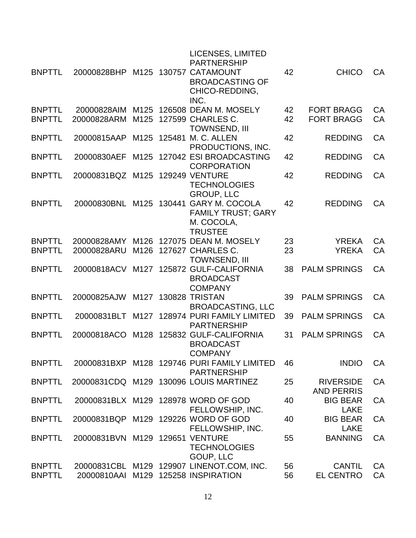| <b>BNPTTL</b>                  | 20000828BHP M125 130757 CATAMOUNT |              | LICENSES, LIMITED<br><b>PARTNERSHIP</b><br><b>BROADCASTING OF</b><br>CHICO-REDDING,<br>INC.         | 42       | <b>CHICO</b>                           | <b>CA</b> |
|--------------------------------|-----------------------------------|--------------|-----------------------------------------------------------------------------------------------------|----------|----------------------------------------|-----------|
| <b>BNPTTL</b><br><b>BNPTTL</b> | 20000828AIM<br>20000828ARM        | M125<br>M125 | 126508 DEAN M. MOSELY<br>127599 CHARLES C.<br><b>TOWNSEND, III</b>                                  | 42<br>42 | <b>FORT BRAGG</b><br><b>FORT BRAGG</b> | CA<br>CA  |
| <b>BNPTTL</b>                  | 20000815AAP                       | M125         | 125481 M. C. ALLEN<br>PRODUCTIONS, INC.                                                             | 42       | <b>REDDING</b>                         | CA        |
| <b>BNPTTL</b>                  | 20000830AEF                       | M125         | 127042 ESI BROADCASTING<br><b>CORPORATION</b>                                                       | 42       | <b>REDDING</b>                         | CA        |
| <b>BNPTTL</b>                  | 20000831BQZ M125                  |              | <b>129249 VENTURE</b><br><b>TECHNOLOGIES</b><br><b>GROUP, LLC</b>                                   | 42       | <b>REDDING</b>                         | CA        |
| <b>BNPTTL</b>                  |                                   |              | 20000830BNL M125 130441 GARY M. COCOLA<br><b>FAMILY TRUST: GARY</b><br>M. COCOLA,<br><b>TRUSTEE</b> | 42       | <b>REDDING</b>                         | CA        |
| <b>BNPTTL</b>                  | 20000828AMY                       | M126         | 127075 DEAN M. MOSELY                                                                               | 23       | <b>YREKA</b>                           | <b>CA</b> |
| <b>BNPTTL</b>                  | 20000828ARU                       | M126         | 127627 CHARLES C.<br><b>TOWNSEND, III</b>                                                           | 23       | <b>YREKA</b>                           | <b>CA</b> |
| <b>BNPTTL</b>                  | 20000818ACV                       | M127         | 125872 GULF-CALIFORNIA<br><b>BROADCAST</b><br><b>COMPANY</b>                                        | 38       | <b>PALM SPRINGS</b>                    | CA        |
| <b>BNPTTL</b>                  | 20000825AJW                       | M127         | <b>130828 TRISTAN</b><br><b>BROADCASTING, LLC</b>                                                   | 39       | <b>PALM SPRINGS</b>                    | CA        |
| <b>BNPTTL</b>                  | 20000831BLT                       |              | M127 128974 PURI FAMILY LIMITED<br><b>PARTNERSHIP</b>                                               | 39       | <b>PALM SPRINGS</b>                    | <b>CA</b> |
| <b>BNPTTL</b>                  | 20000818ACO                       | M128         | 125832 GULF-CALIFORNIA<br><b>BROADCAST</b><br><b>COMPANY</b>                                        | 31       | <b>PALM SPRINGS</b>                    | CA        |
| <b>BNPTTL</b>                  |                                   |              | 20000831BXP M128 129746 PURI FAMILY LIMITED<br><b>PARTNERSHIP</b>                                   | 46       | <b>INDIO</b>                           | <b>CA</b> |
| <b>BNPTTL</b>                  |                                   |              | 20000831CDQ M129 130096 LOUIS MARTINEZ                                                              | 25       | <b>RIVERSIDE</b><br><b>AND PERRIS</b>  | CA        |
| <b>BNPTTL</b>                  |                                   |              | 20000831BLX M129 128978 WORD OF GOD<br>FELLOWSHIP, INC.                                             | 40       | <b>BIG BEAR</b><br><b>LAKE</b>         | <b>CA</b> |
| <b>BNPTTL</b>                  |                                   |              | 20000831BQP M129 129226 WORD OF GOD<br>FELLOWSHIP, INC.                                             | 40       | <b>BIG BEAR</b><br><b>LAKE</b>         | CA        |
| <b>BNPTTL</b>                  | 20000831BVN M129 129651 VENTURE   |              | <b>TECHNOLOGIES</b><br>GOUP, LLC                                                                    | 55       | <b>BANNING</b>                         | <b>CA</b> |
| <b>BNPTTL</b>                  |                                   |              | 20000831CBL M129 129907 LINENOT.COM, INC.                                                           | 56       | <b>CANTIL</b>                          | CA        |
| <b>BNPTTL</b>                  |                                   |              | 20000810AAI M129 125258 INSPIRATION                                                                 | 56       | <b>EL CENTRO</b>                       | CA        |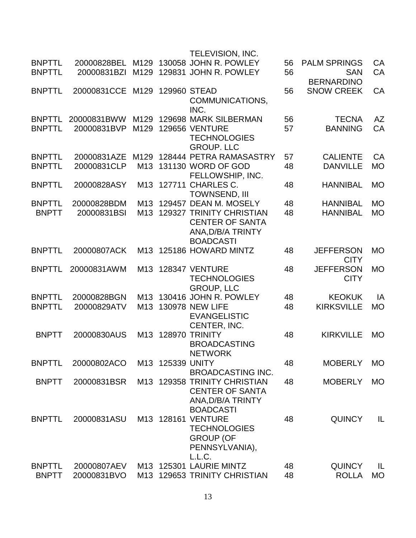|                               |                            |                 |                  | TELEVISION, INC.                                        |          |                               |                 |
|-------------------------------|----------------------------|-----------------|------------------|---------------------------------------------------------|----------|-------------------------------|-----------------|
| <b>BNPTTL</b>                 | 20000828BEL                |                 |                  | M129 130058 JOHN R. POWLEY                              | 56       | <b>PALM SPRINGS</b>           | CA              |
| <b>BNPTTL</b>                 | 20000831BZI                |                 |                  | M129 129831 JOHN R. POWLEY                              | 56       | <b>SAN</b>                    | <b>CA</b>       |
|                               |                            |                 |                  |                                                         |          | <b>BERNARDINO</b>             |                 |
| <b>BNPTTL</b>                 | 20000831CCE                | M129            |                  | 129960 STEAD                                            | 56       | <b>SNOW CREEK</b>             | CA              |
|                               |                            |                 |                  | COMMUNICATIONS,<br>INC.                                 |          |                               |                 |
| <b>BNPTTL</b>                 | 20000831BWW                | M129            |                  | 129698 MARK SILBERMAN                                   | 56       | <b>TECNA</b>                  | <b>AZ</b>       |
| <b>BNPTTL</b>                 | 20000831BVP                | M129            |                  | <b>129656 VENTURE</b>                                   | 57       | <b>BANNING</b>                | CA              |
|                               |                            |                 |                  | <b>TECHNOLOGIES</b>                                     |          |                               |                 |
|                               |                            |                 |                  | <b>GROUP, LLC</b>                                       |          |                               |                 |
| <b>BNPTTL</b>                 | 20000831AZE                | M129            |                  | 128444 PETRA RAMASASTRY                                 | 57       | <b>CALIENTE</b>               | CA              |
| <b>BNPTTL</b>                 | 20000831CLP                |                 |                  | M13 131130 WORD OF GOD                                  | 48       | <b>DANVILLE</b>               | <b>MO</b>       |
|                               |                            |                 |                  | FELLOWSHIP, INC.                                        |          |                               |                 |
| <b>BNPTTL</b>                 | 20000828ASY                | M13             |                  | 127711 CHARLES C.<br><b>TOWNSEND, III</b>               | 48       | <b>HANNIBAL</b>               | <b>MO</b>       |
| <b>BNPTTL</b>                 | 20000828BDM                |                 |                  | M13 129457 DEAN M. MOSELY                               | 48       | <b>HANNIBAL</b>               | <b>MO</b>       |
| <b>BNPTT</b>                  | 20000831BSI                | M13             |                  | <b>129327 TRINITY CHRISTIAN</b>                         | 48       | <b>HANNIBAL</b>               | <b>MO</b>       |
|                               |                            |                 |                  | <b>CENTER OF SANTA</b>                                  |          |                               |                 |
|                               |                            |                 |                  | ANA, D/B/A TRINTY                                       |          |                               |                 |
|                               |                            |                 |                  | <b>BOADCASTI</b>                                        |          |                               |                 |
| <b>BNPTTL</b>                 | 20000807ACK                |                 |                  | M13 125186 HOWARD MINTZ                                 | 48       | <b>JEFFERSON</b>              | <b>MO</b>       |
|                               |                            |                 |                  |                                                         |          | <b>CITY</b>                   |                 |
| <b>BNPTTL</b>                 | 20000831AWM                |                 |                  | M13 128347 VENTURE                                      | 48       | <b>JEFFERSON</b>              | <b>MO</b>       |
|                               |                            |                 |                  | <b>TECHNOLOGIES</b>                                     |          | <b>CITY</b>                   |                 |
| <b>BNPTTL</b>                 | 20000828BGN                |                 |                  | <b>GROUP, LLC</b><br>M13 130416 JOHN R. POWLEY          | 48       | <b>KEOKUK</b>                 | IA              |
| <b>BNPTTL</b>                 | 20000829ATV                | M <sub>13</sub> |                  | <b>130978 NEW LIFE</b>                                  | 48       | <b>KIRKSVILLE</b>             | <b>MO</b>       |
|                               |                            |                 |                  | <b>EVANGELISTIC</b>                                     |          |                               |                 |
|                               |                            |                 |                  | CENTER, INC.                                            |          |                               |                 |
| <b>BNPTT</b>                  | 20000830AUS                | M13             |                  | 128970 TRINITY                                          | 48       | <b>KIRKVILLE</b>              | <b>MO</b>       |
|                               |                            |                 |                  | <b>BROADCASTING</b>                                     |          |                               |                 |
|                               |                            |                 |                  | <b>NETWORK</b>                                          |          |                               |                 |
| <b>BNPTTL</b>                 | 20000802ACO                |                 | M13 125339 UNITY |                                                         | 48       | <b>MOBERLY</b>                | <b>MO</b>       |
|                               |                            |                 |                  | <b>BROADCASTING INC.</b>                                |          |                               |                 |
| <b>BNPTT</b>                  | 20000831BSR                |                 |                  | M13 129358 TRINITY CHRISTIAN<br><b>CENTER OF SANTA</b>  | 48       | <b>MOBERLY</b>                | <b>MO</b>       |
|                               |                            |                 |                  | ANA, D/B/A TRINTY                                       |          |                               |                 |
|                               |                            |                 |                  | <b>BOADCASTI</b>                                        |          |                               |                 |
| <b>BNPTTL</b>                 | 20000831ASU                |                 |                  | M13 128161 VENTURE                                      | 48       | <b>QUINCY</b>                 | IL              |
|                               |                            |                 |                  | <b>TECHNOLOGIES</b>                                     |          |                               |                 |
|                               |                            |                 |                  | <b>GROUP (OF</b>                                        |          |                               |                 |
|                               |                            |                 |                  | PENNSYLVANIA),                                          |          |                               |                 |
|                               |                            |                 |                  | L.L.C.                                                  |          |                               |                 |
| <b>BNPTTL</b><br><b>BNPTT</b> | 20000807AEV<br>20000831BVO |                 |                  | M13 125301 LAURIE MINTZ<br>M13 129653 TRINITY CHRISTIAN | 48<br>48 | <b>QUINCY</b><br><b>ROLLA</b> | IL<br><b>MO</b> |
|                               |                            |                 |                  |                                                         |          |                               |                 |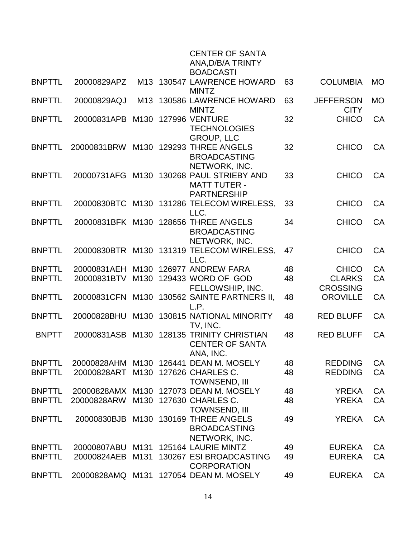|               |                  |                  |        | <b>CENTER OF SANTA</b><br>ANA, D/B/A TRINTY<br><b>BOADCASTI</b>        |    |                                 |           |
|---------------|------------------|------------------|--------|------------------------------------------------------------------------|----|---------------------------------|-----------|
| <b>BNPTTL</b> | 20000829APZ      | M13              |        | 130547 LAWRENCE HOWARD<br><b>MINTZ</b>                                 | 63 | <b>COLUMBIA</b>                 | <b>MO</b> |
| <b>BNPTTL</b> | 20000829AQJ      | M <sub>13</sub>  |        | 130586 LAWRENCE HOWARD<br><b>MINTZ</b>                                 | 63 | <b>JEFFERSON</b><br><b>CITY</b> | <b>MO</b> |
| <b>BNPTTL</b> | 20000831APB      | M130             |        | <b>127996 VENTURE</b><br><b>TECHNOLOGIES</b><br><b>GROUP, LLC</b>      | 32 | <b>CHICO</b>                    | <b>CA</b> |
| <b>BNPTTL</b> | 20000831BRW      | M130             | 129293 | <b>THREE ANGELS</b><br><b>BROADCASTING</b><br>NETWORK, INC.            | 32 | <b>CHICO</b>                    | CA        |
| <b>BNPTTL</b> | 20000731AFG      | M130             |        | 130268 PAUL STRIEBY AND<br><b>MATT TUTER -</b><br><b>PARTNERSHIP</b>   | 33 | <b>CHICO</b>                    | CA        |
| <b>BNPTTL</b> | 20000830BTC      |                  |        | M130 131286 TELECOM WIRELESS,<br>LLC.                                  | 33 | <b>CHICO</b>                    | CA        |
| <b>BNPTTL</b> | 20000831BFK M130 |                  |        | 128656 THREE ANGELS<br><b>BROADCASTING</b><br>NETWORK, INC.            | 34 | <b>CHICO</b>                    | <b>CA</b> |
| <b>BNPTTL</b> |                  |                  |        | 20000830BTR M130 131319 TELECOM WIRELESS,<br>LLC.                      | 47 | <b>CHICO</b>                    | <b>CA</b> |
| <b>BNPTTL</b> | 20000831AEH      | M <sub>130</sub> |        | 126977 ANDREW FARA                                                     | 48 | <b>CHICO</b>                    | CA        |
| <b>BNPTTL</b> | 20000831BTV      | M <sub>130</sub> |        | 129433 WORD OF GOD                                                     | 48 | <b>CLARKS</b>                   | CA        |
|               |                  |                  |        | FELLOWSHIP, INC.                                                       |    | <b>CROSSING</b>                 |           |
| <b>BNPTTL</b> | 20000831CFN      | M130             |        | 130562 SAINTE PARTNERS II,<br>L.P.                                     | 48 | <b>OROVILLE</b>                 | CA        |
| <b>BNPTTL</b> | 20000828BHU      | M130             |        | 130815 NATIONAL MINORITY<br>TV, INC.                                   | 48 | <b>RED BLUFF</b>                | CA        |
| <b>BNPTT</b>  | 20000831ASB      | M130             |        | <b>128135 TRINITY CHRISTIAN</b><br><b>CENTER OF SANTA</b><br>ANA, INC. | 48 | <b>RED BLUFF</b>                | CA        |
| <b>BNPTTL</b> | 20000828AHM      | M <sub>130</sub> |        | 126441 DEAN M. MOSELY                                                  | 48 | <b>REDDING</b>                  | CA        |
| <b>BNPTTL</b> | 20000828ART      | M <sub>130</sub> |        | 127626 CHARLES C.<br><b>TOWNSEND, III</b>                              | 48 | <b>REDDING</b>                  | CA        |
| <b>BNPTTL</b> | 20000828AMX      | M <sub>130</sub> |        | 127073 DEAN M. MOSELY                                                  | 48 | <b>YREKA</b>                    | CA        |
| <b>BNPTTL</b> | 20000828ARW      | M130             |        | 127630 CHARLES C.<br><b>TOWNSEND, III</b>                              | 48 | <b>YREKA</b>                    | CA        |
| <b>BNPTTL</b> | 20000830BJB      | M <sub>130</sub> |        | 130169 THREE ANGELS<br><b>BROADCASTING</b><br>NETWORK, INC.            | 49 | <b>YREKA</b>                    | <b>CA</b> |
| <b>BNPTTL</b> | 20000807ABU      | M131             |        | 125164 LAURIE MINTZ                                                    | 49 | <b>EUREKA</b>                   | CA        |
| <b>BNPTTL</b> | 20000824AEB      | M131             |        | 130267 ESI BROADCASTING<br><b>CORPORATION</b>                          | 49 | <b>EUREKA</b>                   | <b>CA</b> |
| <b>BNPTTL</b> | 20000828AMQ      | M131             |        | 127054 DEAN M. MOSELY                                                  | 49 | <b>EUREKA</b>                   | CA        |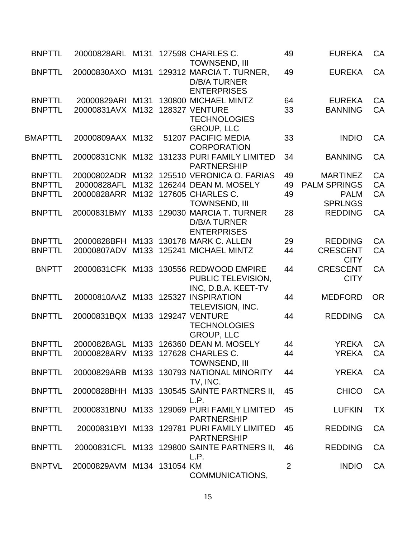| <b>BNPTTL</b>  | 20000828ARL M131                    |      | 127598 CHARLES C.<br><b>TOWNSEND, III</b>                             | 49 | <b>EUREKA</b>                  | CA        |
|----------------|-------------------------------------|------|-----------------------------------------------------------------------|----|--------------------------------|-----------|
| <b>BNPTTL</b>  | 20000830AXO                         | M131 | 129312 MARCIA T. TURNER,<br><b>D/B/A TURNER</b><br><b>ENTERPRISES</b> | 49 | <b>EUREKA</b>                  | CA        |
| <b>BNPTTL</b>  | 20000829ARI                         | M131 | 130800 MICHAEL MINTZ                                                  | 64 | <b>EUREKA</b>                  | CA        |
| <b>BNPTTL</b>  | 20000831AVX M132                    |      | 128327 VENTURE<br><b>TECHNOLOGIES</b><br><b>GROUP, LLC</b>            | 33 | <b>BANNING</b>                 | CA        |
| <b>BMAPTTL</b> | 20000809AAX M132                    |      | 51207 PACIFIC MEDIA<br><b>CORPORATION</b>                             | 33 | <b>INDIO</b>                   | CA        |
| <b>BNPTTL</b>  |                                     |      | 20000831CNK M132 131233 PURI FAMILY LIMITED<br><b>PARTNERSHIP</b>     | 34 | <b>BANNING</b>                 | CA        |
| <b>BNPTTL</b>  |                                     |      | 20000802ADR M132 125510 VERONICA O. FARIAS                            | 49 | <b>MARTINEZ</b>                | CA        |
| <b>BNPTTL</b>  | 20000828AFL M132                    |      | 126244 DEAN M. MOSELY                                                 | 49 | <b>PALM SPRINGS</b>            | CA        |
| <b>BNPTTL</b>  | 20000828ARR                         | M132 | 127605 CHARLES C.<br><b>TOWNSEND, III</b>                             | 49 | <b>PALM</b><br><b>SPRLNGS</b>  | CA        |
| <b>BNPTTL</b>  | 20000831BMY                         | M133 | 129030 MARCIA T. TURNER<br><b>D/B/A TURNER</b><br><b>ENTERPRISES</b>  | 28 | <b>REDDING</b>                 | CA        |
| <b>BNPTTL</b>  |                                     |      | 20000828BFH M133 130178 MARK C. ALLEN                                 | 29 | <b>REDDING</b>                 | CA        |
| <b>BNPTTL</b>  | 20000807ADV                         | M133 | 125241 MICHAEL MINTZ                                                  | 44 | <b>CRESCENT</b><br><b>CITY</b> | CA        |
| <b>BNPTT</b>   | 20000831CFK M133                    |      | 130556 REDWOOD EMPIRE<br>PUBLIC TELEVISION,<br>INC, D.B.A. KEET-TV    | 44 | <b>CRESCENT</b><br><b>CITY</b> | CA        |
| <b>BNPTTL</b>  | 20000810AAZ M133 125327 INSPIRATION |      | <b>TELEVISION, INC.</b>                                               | 44 | <b>MEDFORD</b>                 | <b>OR</b> |
| <b>BNPTTL</b>  | 20000831BQX M133 129247 VENTURE     |      | <b>TECHNOLOGIES</b><br><b>GROUP, LLC</b>                              | 44 | <b>REDDING</b>                 | CA        |
| <b>BNPTTL</b>  |                                     |      | 20000828AGL M133 126360 DEAN M. MOSELY                                | 44 | <b>YREKA</b>                   | CA        |
| <b>BNPTTL</b>  | 20000828ARV M133 127628 CHARLES C.  |      | <b>TOWNSEND, III</b>                                                  | 44 | <b>YREKA</b>                   | CA        |
| <b>BNPTTL</b>  |                                     |      | 20000829ARB M133 130793 NATIONAL MINORITY<br>TV, INC.                 | 44 | <b>YREKA</b>                   | CA        |
| <b>BNPTTL</b>  |                                     |      | 20000828BHH M133 130545 SAINTE PARTNERS II,<br>L.P.                   | 45 | <b>CHICO</b>                   | CA        |
| <b>BNPTTL</b>  |                                     |      | 20000831BNU M133 129069 PURI FAMILY LIMITED<br><b>PARTNERSHIP</b>     | 45 | <b>LUFKIN</b>                  | <b>TX</b> |
| <b>BNPTTL</b>  |                                     |      | 20000831BYI M133 129781 PURI FAMILY LIMITED<br><b>PARTNERSHIP</b>     | 45 | <b>REDDING</b>                 | CA        |
| <b>BNPTTL</b>  |                                     |      | 20000831 CFL M133 129800 SAINTE PARTNERS II,<br>L.P.                  | 46 | <b>REDDING</b>                 | CA        |
| <b>BNPTVL</b>  | 20000829AVM M134 131054 KM          |      | COMMUNICATIONS,                                                       | 2  | <b>INDIO</b>                   | CA        |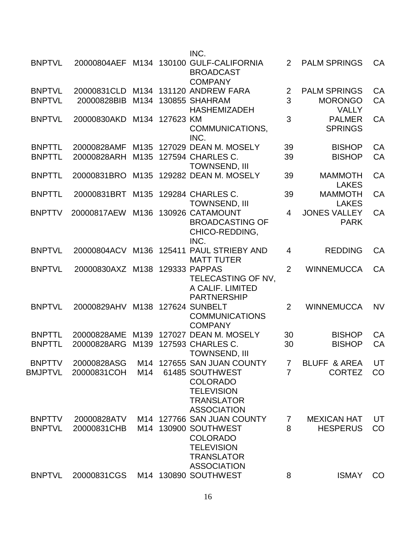|                |                  |      |           | INC.                                                                                                    |                |                                    |           |
|----------------|------------------|------|-----------|---------------------------------------------------------------------------------------------------------|----------------|------------------------------------|-----------|
| <b>BNPTVL</b>  | 20000804AEF      |      |           | M134 130100 GULF-CALIFORNIA<br><b>BROADCAST</b><br><b>COMPANY</b>                                       | 2              | <b>PALM SPRINGS</b>                | <b>CA</b> |
| <b>BNPTVL</b>  | 20000831CLD      |      |           | M134 131120 ANDREW FARA                                                                                 | $\overline{2}$ | <b>PALM SPRINGS</b>                | CA        |
| <b>BNPTVL</b>  | 20000828BIB      | M134 |           | 130855 SHAHRAM<br><b>HASHEMIZADEH</b>                                                                   | 3              | <b>MORONGO</b><br><b>VALLY</b>     | CA        |
| <b>BNPTVL</b>  | 20000830AKD      | M134 | 127623 KM | COMMUNICATIONS,<br>INC.                                                                                 | 3              | <b>PALMER</b><br><b>SPRINGS</b>    | CA        |
| <b>BNPTTL</b>  | 20000828AMF      |      |           | M135 127029 DEAN M. MOSELY                                                                              | 39             | <b>BISHOP</b>                      | CA        |
| <b>BNPTTL</b>  | 20000828ARH      | M135 |           | 127594 CHARLES C.<br><b>TOWNSEND, III</b>                                                               | 39             | <b>BISHOP</b>                      | CA        |
| <b>BNPTTL</b>  | 20000831BRO      | M135 |           | 129282 DEAN M. MOSELY                                                                                   | 39             | <b>MAMMOTH</b><br><b>LAKES</b>     | CA        |
| <b>BNPTTL</b>  | 20000831BRT      | M135 |           | 129284 CHARLES C.<br><b>TOWNSEND, III</b>                                                               | 39             | <b>MAMMOTH</b><br><b>LAKES</b>     | <b>CA</b> |
| <b>BNPTTV</b>  | 20000817AEW      | M136 |           | 130926 CATAMOUNT<br><b>BROADCASTING OF</b><br>CHICO-REDDING,<br>INC.                                    | $\overline{4}$ | <b>JONES VALLEY</b><br><b>PARK</b> | CA        |
| <b>BNPTVL</b>  | 20000804ACV      | M136 |           | 125411 PAUL STRIEBY AND<br><b>MATT TUTER</b>                                                            | 4              | <b>REDDING</b>                     | CA        |
| <b>BNPTVL</b>  | 20000830AXZ M138 |      |           | 129333 PAPPAS<br>TELECASTING OF NV,<br>A CALIF. LIMITED<br><b>PARTNERSHIP</b>                           | $\overline{2}$ | <b>WINNEMUCCA</b>                  | CA        |
| <b>BNPTVL</b>  | 20000829AHV      | M138 |           | 127624 SUNBELT<br><b>COMMUNICATIONS</b><br><b>COMPANY</b>                                               | $\overline{2}$ | <b>WINNEMUCCA</b>                  | <b>NV</b> |
| <b>BNPTTL</b>  | 20000828AME      | M139 |           | 127027 DEAN M. MOSELY                                                                                   | 30             | <b>BISHOP</b>                      | CA        |
| <b>BNPTTL</b>  | 20000828ARG      | M139 |           | 127593 CHARLES C.<br><b>TOWNSEND, III</b>                                                               | 30             | <b>BISHOP</b>                      | CA        |
| <b>BNPTTV</b>  | 20000828ASG      |      |           | M14 127655 SAN JUAN COUNTY                                                                              | $\overline{7}$ | <b>BLUFF &amp; AREA</b>            | UT        |
| <b>BMJPTVL</b> | 20000831COH      | M14  |           | 61485 SOUTHWEST<br><b>COLORADO</b><br><b>TELEVISION</b><br><b>TRANSLATOR</b><br><b>ASSOCIATION</b>      | $\overline{7}$ | <b>CORTEZ</b>                      | CO        |
| <b>BNPTTV</b>  | 20000828ATV      |      |           | M14 127766 SAN JUAN COUNTY                                                                              | $\overline{7}$ | <b>MEXICAN HAT</b>                 | UT        |
| <b>BNPTVL</b>  | 20000831CHB      |      |           | M14 130900 SOUTHWEST<br><b>COLORADO</b><br><b>TELEVISION</b><br><b>TRANSLATOR</b><br><b>ASSOCIATION</b> | 8              | <b>HESPERUS</b>                    | CO        |
| <b>BNPTVL</b>  | 20000831CGS      |      |           | M14 130890 SOUTHWEST                                                                                    | 8              | <b>ISMAY</b>                       | CO        |
|                |                  |      |           |                                                                                                         |                |                                    |           |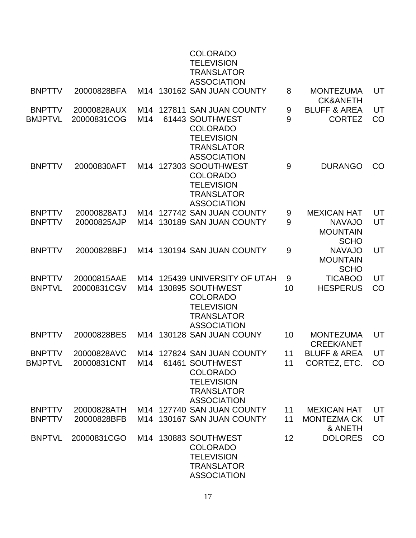|                                 |                            |     | <b>COLORADO</b><br><b>TELEVISION</b><br><b>TRANSLATOR</b><br><b>ASSOCIATION</b>                                                      |          |                                                                       |          |
|---------------------------------|----------------------------|-----|--------------------------------------------------------------------------------------------------------------------------------------|----------|-----------------------------------------------------------------------|----------|
| <b>BNPTTV</b>                   | 20000828BFA                |     | M14 130162 SAN JUAN COUNTY                                                                                                           | 8        | <b>MONTEZUMA</b><br><b>CK&amp;ANETH</b>                               | UT       |
| <b>BNPTTV</b><br><b>BMJPTVL</b> | 20000828AUX<br>20000831COG | M14 | M14 127811 SAN JUAN COUNTY<br>61443 SOUTHWEST<br><b>COLORADO</b><br><b>TELEVISION</b><br><b>TRANSLATOR</b><br><b>ASSOCIATION</b>     | 9<br>9   | <b>BLUFF &amp; AREA</b><br><b>CORTEZ</b>                              | UT<br>CO |
| <b>BNPTTV</b>                   | 20000830AFT                |     | M14 127303 SOOUTHWEST<br><b>COLORADO</b><br><b>TELEVISION</b><br><b>TRANSLATOR</b><br><b>ASSOCIATION</b>                             | 9        | <b>DURANGO</b>                                                        | CO       |
| <b>BNPTTV</b><br><b>BNPTTV</b>  | 20000828ATJ<br>20000825AJP |     | M14 127742 SAN JUAN COUNTY<br>M14 130189 SAN JUAN COUNTY                                                                             | 9<br>9   | <b>MEXICAN HAT</b><br><b>NAVAJO</b><br><b>MOUNTAIN</b><br><b>SCHO</b> | UT<br>UT |
| <b>BNPTTV</b>                   | 20000828BFJ                |     | M14 130194 SAN JUAN COUNTY                                                                                                           | 9        | <b>NAVAJO</b><br><b>MOUNTAIN</b><br><b>SCHO</b>                       | UT       |
| <b>BNPTTV</b><br><b>BNPTVL</b>  | 20000815AAE<br>20000831CGV | M14 | M14 125439 UNIVERSITY OF UTAH<br>130895 SOUTHWEST<br><b>COLORADO</b><br><b>TELEVISION</b><br><b>TRANSLATOR</b><br><b>ASSOCIATION</b> | 9<br>10  | <b>TICABOO</b><br><b>HESPERUS</b>                                     | UT<br>CO |
| <b>BNPTTV</b>                   | 20000828BES                |     | M14 130128 SAN JUAN COUNY                                                                                                            | 10       | <b>MONTEZUMA</b><br><b>CREEK/ANET</b>                                 | UT       |
| <b>BNPTTV</b><br><b>BMJPTVL</b> | 20000828AVC<br>20000831CNT | M14 | M14 127824 SAN JUAN COUNTY<br>61461 SOUTHWEST<br><b>COLORADO</b><br><b>TELEVISION</b><br><b>TRANSLATOR</b><br><b>ASSOCIATION</b>     | 11<br>11 | <b>BLUFF &amp; AREA</b><br>CORTEZ, ETC.                               | UT<br>CO |
| <b>BNPTTV</b><br><b>BNPTTV</b>  | 20000828ATH<br>20000828BFB |     | M14 127740 SAN JUAN COUNTY<br>M14 130167 SAN JUAN COUNTY                                                                             | 11<br>11 | <b>MEXICAN HAT</b><br><b>MONTEZMA CK</b><br>& ANETH                   | UT<br>UT |
| <b>BNPTVL</b>                   | 20000831CGO                |     | M14 130883 SOUTHWEST<br><b>COLORADO</b><br><b>TELEVISION</b><br><b>TRANSLATOR</b><br><b>ASSOCIATION</b>                              | 12       | <b>DOLORES</b>                                                        | CO       |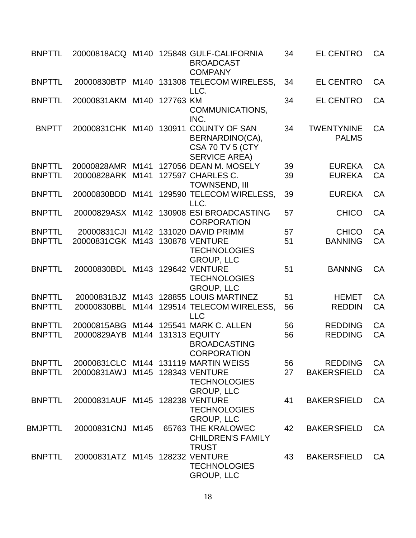| <b>BNPTTL</b>  |                                 |      |           | 20000818ACQ M140 125848 GULF-CALIFORNIA<br><b>BROADCAST</b><br><b>COMPANY</b>                         | 34 | <b>EL CENTRO</b>                  | CA |
|----------------|---------------------------------|------|-----------|-------------------------------------------------------------------------------------------------------|----|-----------------------------------|----|
| <b>BNPTTL</b>  | 20000830BTP                     |      |           | M140 131308 TELECOM WIRELESS,<br>LLC.                                                                 | 34 | <b>EL CENTRO</b>                  | CA |
| <b>BNPTTL</b>  | 20000831AKM                     | M140 | 127763 KM | COMMUNICATIONS,<br>INC.                                                                               | 34 | <b>EL CENTRO</b>                  | CA |
| <b>BNPTT</b>   |                                 |      |           | 20000831 CHK M140 130911 COUNTY OF SAN<br>BERNARDINO(CA),<br>CSA 70 TV 5 (CTY<br><b>SERVICE AREA)</b> | 34 | <b>TWENTYNINE</b><br><b>PALMS</b> | CA |
| <b>BNPTTL</b>  |                                 |      |           | 20000828AMR M141 127056 DEAN M. MOSELY                                                                | 39 | <b>EUREKA</b>                     | CA |
| <b>BNPTTL</b>  | 20000828ARK M141                |      |           | 127597 CHARLES C.<br><b>TOWNSEND, III</b>                                                             | 39 | <b>EUREKA</b>                     | CA |
| <b>BNPTTL</b>  | 20000830BDD                     |      |           | M141 129590 TELECOM WIRELESS,<br>LLC.                                                                 | 39 | <b>EUREKA</b>                     | CA |
| <b>BNPTTL</b>  |                                 |      |           | 20000829ASX M142 130908 ESI BROADCASTING<br><b>CORPORATION</b>                                        | 57 | <b>CHICO</b>                      | CA |
| <b>BNPTTL</b>  | 20000831CJI                     |      |           | M142 131020 DAVID PRIMM                                                                               | 57 | <b>CHICO</b>                      | CA |
| <b>BNPTTL</b>  | 20000831CGK M143 130878 VENTURE |      |           | <b>TECHNOLOGIES</b><br><b>GROUP, LLC</b>                                                              | 51 | <b>BANNING</b>                    | CA |
| <b>BNPTTL</b>  | 20000830BDL                     |      |           | M143 129642 VENTURE<br><b>TECHNOLOGIES</b><br><b>GROUP, LLC</b>                                       | 51 | <b>BANNNG</b>                     | CA |
| <b>BNPTTL</b>  | 20000831BJZ                     |      |           | M143 128855 LOUIS MARTINEZ                                                                            | 51 | <b>HEMET</b>                      | CA |
| <b>BNPTTL</b>  | 20000830BBL                     |      |           | M144 129514 TELECOM WIRELESS,<br><b>LLC</b>                                                           | 56 | <b>REDDIN</b>                     | CA |
| <b>BNPTTL</b>  | 20000815ABG                     |      |           | M144 125541 MARK C. ALLEN                                                                             | 56 | <b>REDDING</b>                    | CA |
| <b>BNPTTL</b>  | 20000829AYB                     |      |           | M144 131313 EQUITY<br><b>BROADCASTING</b><br><b>CORPORATION</b>                                       | 56 | <b>REDDING</b>                    | CA |
| <b>BNPTTL</b>  |                                 |      |           | 20000831 CLC M144 131119 MARTIN WEISS                                                                 | 56 | <b>REDDING</b>                    | CA |
| <b>BNPTTL</b>  | 20000831AWJ                     |      |           | M145 128343 VENTURE<br><b>TECHNOLOGIES</b><br><b>GROUP, LLC</b>                                       | 27 | <b>BAKERSFIELD</b>                | CA |
| <b>BNPTTL</b>  | 20000831AUF M145 128238 VENTURE |      |           | <b>TECHNOLOGIES</b><br><b>GROUP, LLC</b>                                                              | 41 | <b>BAKERSFIELD</b>                | CA |
| <b>BMJPTTL</b> | 20000831CNJ M145                |      |           | 65763 THE KRALOWEC<br><b>CHILDREN'S FAMILY</b><br><b>TRUST</b>                                        | 42 | <b>BAKERSFIELD</b>                | CA |
| <b>BNPTTL</b>  | 20000831ATZ M145 128232 VENTURE |      |           | <b>TECHNOLOGIES</b><br><b>GROUP, LLC</b>                                                              | 43 | <b>BAKERSFIELD</b>                | CA |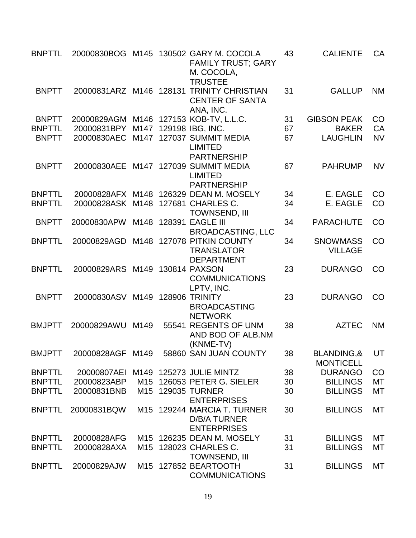| <b>BNPTTL</b> |                                     |      | 20000830BOG M145 130502 GARY M. COCOLA<br><b>FAMILY TRUST; GARY</b><br>M. COCOLA,<br><b>TRUSTEE</b> | 43 | <b>CALIENTE</b>                   | CA        |
|---------------|-------------------------------------|------|-----------------------------------------------------------------------------------------------------|----|-----------------------------------|-----------|
| <b>BNPTT</b>  |                                     |      | 20000831ARZ M146 128131 TRINITY CHRISTIAN<br><b>CENTER OF SANTA</b><br>ANA, INC.                    | 31 | <b>GALLUP</b>                     | <b>NM</b> |
| <b>BNPTT</b>  |                                     |      | 20000829AGM M146 127153 KOB-TV, L.L.C.                                                              | 31 | <b>GIBSON PEAK</b>                | CO        |
| <b>BNPTTL</b> | 20000831BPY M147                    |      | 129198 IBG, INC.                                                                                    | 67 | <b>BAKER</b>                      | CA        |
| <b>BNPTT</b>  | 20000830AEC M147                    |      | 127037 SUMMIT MEDIA<br><b>LIMITED</b><br><b>PARTNERSHIP</b>                                         | 67 | <b>LAUGHLIN</b>                   | <b>NV</b> |
| <b>BNPTT</b>  | 20000830AEE                         |      | M147 127039 SUMMIT MEDIA<br><b>LIMITED</b><br><b>PARTNERSHIP</b>                                    | 67 | <b>PAHRUMP</b>                    | <b>NV</b> |
| <b>BNPTTL</b> |                                     |      | 20000828AFX M148 126329 DEAN M. MOSELY                                                              | 34 | E. EAGLE                          | CO        |
| <b>BNPTTL</b> | 20000828ASK M148                    |      | 127681 CHARLES C.                                                                                   | 34 | E. EAGLE                          | CO        |
|               |                                     |      | <b>TOWNSEND, III</b>                                                                                |    |                                   |           |
| <b>BNPTT</b>  | 20000830APW                         |      | M148 128391 EAGLE III                                                                               | 34 | <b>PARACHUTE</b>                  | CO        |
|               |                                     |      | <b>BROADCASTING, LLC</b>                                                                            |    |                                   |           |
| <b>BNPTTL</b> | 20000829AGD                         |      | M148 127078 PITKIN COUNTY                                                                           | 34 | <b>SNOWMASS</b>                   | CO        |
|               |                                     |      | <b>TRANSLATOR</b><br><b>DEPARTMENT</b>                                                              |    | <b>VILLAGE</b>                    |           |
| <b>BNPTTL</b> | 20000829ARS                         | M149 | <b>130814 PAXSON</b><br><b>COMMUNICATIONS</b><br>LPTV, INC.                                         | 23 | <b>DURANGO</b>                    | CO        |
| <b>BNPTT</b>  | 20000830ASV M149                    |      | <b>128906 TRINITY</b><br><b>BROADCASTING</b><br><b>NETWORK</b>                                      | 23 | <b>DURANGO</b>                    | CO        |
| <b>BMJPTT</b> | 20000829AWU                         | M149 | 55541 REGENTS OF UNM<br>AND BOD OF ALB.NM<br>(KNME-TV)                                              | 38 | <b>AZTEC</b>                      | <b>NM</b> |
| <b>BMJPTT</b> | 20000828AGF M149                    |      | 58860 SAN JUAN COUNTY                                                                               | 38 | BLANDING,& UT<br><b>MONTICELL</b> |           |
| <b>BNPTTL</b> | 20000807AEI M149 125273 JULIE MINTZ |      |                                                                                                     | 38 | <b>DURANGO</b>                    | CO        |
| <b>BNPTTL</b> | 20000823ABP                         |      | M15 126053 PETER G. SIELER                                                                          | 30 | <b>BILLINGS</b>                   | MT        |
| <b>BNPTTL</b> | 20000831BNB                         |      | M15 129035 TURNER                                                                                   | 30 | <b>BILLINGS</b>                   | MT        |
|               |                                     |      | <b>ENTERPRISES</b>                                                                                  |    |                                   |           |
| <b>BNPTTL</b> | 20000831BQW                         |      | M15 129244 MARCIA T. TURNER<br><b>D/B/A TURNER</b><br><b>ENTERPRISES</b>                            | 30 | <b>BILLINGS</b>                   | MT        |
| <b>BNPTTL</b> | 20000828AFG                         |      | M15 126235 DEAN M. MOSELY                                                                           | 31 | <b>BILLINGS</b>                   | MT        |
| <b>BNPTTL</b> | 20000828AXA                         |      | M15 128023 CHARLES C.<br>TOWNSEND, III                                                              | 31 | <b>BILLINGS</b>                   | MT        |
| <b>BNPTTL</b> | 20000829AJW                         |      | M15 127852 BEARTOOTH<br><b>COMMUNICATIONS</b>                                                       | 31 | <b>BILLINGS</b>                   | MT        |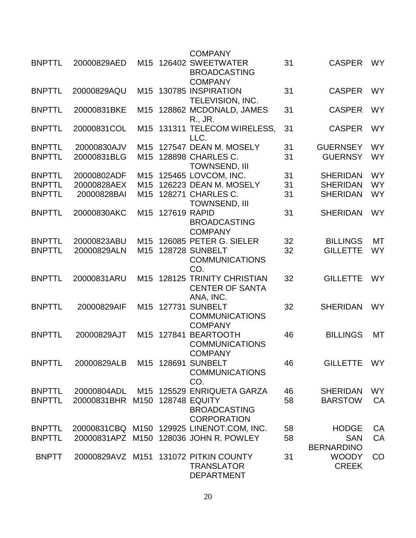|               |                                |                 |              | <b>COMPANY</b>                                                                  |    |                              |           |
|---------------|--------------------------------|-----------------|--------------|---------------------------------------------------------------------------------|----|------------------------------|-----------|
| <b>BNPTTL</b> | 20000829AED                    | M15             |              | 126402 SWEETWATER<br><b>BROADCASTING</b>                                        | 31 | <b>CASPER</b>                | <b>WY</b> |
| <b>BNPTTL</b> | 20000829AQU                    | M15             |              | <b>COMPANY</b><br>130785 INSPIRATION<br>TELEVISION, INC.                        | 31 | <b>CASPER</b>                | <b>WY</b> |
| <b>BNPTTL</b> | 20000831BKE                    | M15             |              | 128862 MCDONALD, JAMES<br>R., JR.                                               | 31 | <b>CASPER</b>                | <b>WY</b> |
| <b>BNPTTL</b> | 20000831COL                    | M15             |              | 131311 TELECOM WIRELESS,<br>LLC.                                                | 31 | <b>CASPER</b>                | <b>WY</b> |
| <b>BNPTTL</b> | 20000830AJV                    | M <sub>15</sub> |              | 127547 DEAN M. MOSELY                                                           | 31 | <b>GUERNSEY</b>              | <b>WY</b> |
| <b>BNPTTL</b> | 20000831BLG                    | M <sub>15</sub> |              | 128898 CHARLES C.<br><b>TOWNSEND, III</b>                                       | 31 | <b>GUERNSY</b>               | <b>WY</b> |
| <b>BNPTTL</b> | 20000802ADF                    | M15             |              | 125465 LOVCOM, INC.                                                             | 31 | <b>SHERIDAN</b>              | <b>WY</b> |
| <b>BNPTTL</b> | 20000828AEX                    | M <sub>15</sub> |              | 126223 DEAN M. MOSELY                                                           | 31 | <b>SHERIDAN</b>              | <b>WY</b> |
| <b>BNPTTL</b> | 20000828BAI                    | M <sub>15</sub> |              | 128271 CHARLES C.<br><b>TOWNSEND, III</b>                                       | 31 | <b>SHERIDAN</b>              | <b>WY</b> |
| <b>BNPTTL</b> | 20000830AKC                    | M15             | 127619 RAPID | <b>BROADCASTING</b><br><b>COMPANY</b>                                           | 31 | <b>SHERIDAN</b>              | <b>WY</b> |
| <b>BNPTTL</b> | 20000823ABU                    | M <sub>15</sub> |              | 126085 PETER G. SIELER                                                          | 32 | <b>BILLINGS</b>              | МT        |
| <b>BNPTTL</b> | 20000829ALN                    | M <sub>15</sub> |              | <b>128728 SUNBELT</b><br><b>COMMUNICATIONS</b><br>CO.                           | 32 | <b>GILLETTE</b>              | <b>WY</b> |
| <b>BNPTTL</b> | 20000831ARU                    | M15             |              | <b>128125 TRINITY CHRISTIAN</b><br><b>CENTER OF SANTA</b><br>ANA, INC.          | 32 | <b>GILLETTE</b>              | <b>WY</b> |
| <b>BNPTTL</b> | 20000829AIF                    | M15             | 127731       | <b>SUNBELT</b><br><b>COMMUNICATIONS</b><br><b>COMPANY</b>                       | 32 | <b>SHERIDAN</b>              | <b>WY</b> |
| <b>BNPTTL</b> | 20000829AJT                    | M15             | 127841       | <b>BEARTOOTH</b><br><b>COMMUNICATIONS</b><br><b>COMPANY</b>                     | 46 | <b>BILLINGS</b>              | MT        |
| <b>BNPTTL</b> | 20000829ALB                    |                 |              | M15 128691 SUNBELT<br><b>COMMUNICATIONS</b><br>CO.                              | 46 | <b>GILLETTE</b>              | <b>WY</b> |
| <b>BNPTTL</b> | 20000804ADL                    |                 |              | M15 125529 ENRIQUETA GARZA                                                      | 46 | <b>SHERIDAN</b>              | <b>WY</b> |
| <b>BNPTTL</b> | 20000831BHR M150 128748 EQUITY |                 |              | <b>BROADCASTING</b><br><b>CORPORATION</b>                                       | 58 | <b>BARSTOW</b>               | CA        |
| <b>BNPTTL</b> |                                |                 |              | 20000831CBQ M150 129925 LINENOT.COM, INC.                                       | 58 | <b>HODGE</b>                 | CA        |
| <b>BNPTTL</b> |                                |                 |              | 20000831APZ M150 128036 JOHN R. POWLEY                                          | 58 | <b>SAN</b>                   | <b>CA</b> |
|               |                                |                 |              |                                                                                 |    | <b>BERNARDINO</b>            |           |
| <b>BNPTT</b>  |                                |                 |              | 20000829AVZ M151 131072 PITKIN COUNTY<br><b>TRANSLATOR</b><br><b>DEPARTMENT</b> | 31 | <b>WOODY</b><br><b>CREEK</b> | CO        |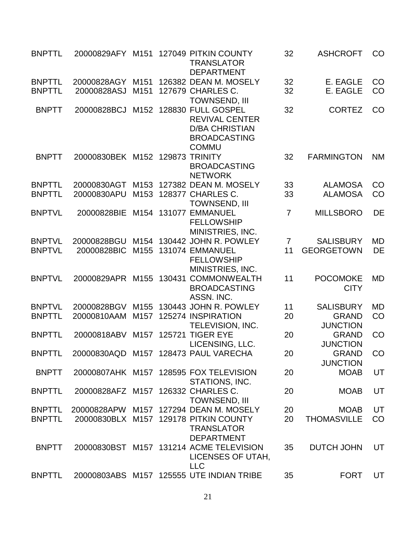| <b>BNPTTL</b> |                                 |                  |        | 20000829AFY M151 127049 PITKIN COUNTY<br><b>TRANSLATOR</b><br><b>DEPARTMENT</b>                                  | 32             | <b>ASHCROFT</b>                 | CO        |
|---------------|---------------------------------|------------------|--------|------------------------------------------------------------------------------------------------------------------|----------------|---------------------------------|-----------|
| <b>BNPTTL</b> | 20000828AGY                     | M <sub>151</sub> |        | 126382 DEAN M. MOSELY                                                                                            | 32             | E. EAGLE                        | CO        |
| <b>BNPTTL</b> | 20000828ASJ                     | M <sub>151</sub> |        | 127679 CHARLES C.<br><b>TOWNSEND, III</b>                                                                        | 32             | E. EAGLE                        | CO        |
| <b>BNPTT</b>  | 20000828BCJ                     |                  |        | M152 128830 FULL GOSPEL<br><b>REVIVAL CENTER</b><br><b>D/BA CHRISTIAN</b><br><b>BROADCASTING</b><br><b>COMMU</b> | 32             | <b>CORTEZ</b>                   | CO        |
| <b>BNPTT</b>  | 20000830BEK M152 129873 TRINITY |                  |        | <b>BROADCASTING</b><br><b>NETWORK</b>                                                                            | 32             | <b>FARMINGTON</b>               | <b>NM</b> |
| <b>BNPTTL</b> | 20000830AGT                     |                  |        | M153 127382 DEAN M. MOSELY                                                                                       | 33             | <b>ALAMOSA</b>                  | CO        |
| <b>BNPTTL</b> | 20000830APU                     | M153             |        | 128377 CHARLES C.<br><b>TOWNSEND, III</b>                                                                        | 33             | <b>ALAMOSA</b>                  | CO        |
| <b>BNPTVL</b> | 20000828BIE                     | M154             |        | 131077 EMMANUEL<br><b>FELLOWSHIP</b><br>MINISTRIES, INC.                                                         | $\overline{7}$ | <b>MILLSBORO</b>                | DE        |
| <b>BNPTVL</b> | 20000828BGU                     |                  |        | M154 130442 JOHN R. POWLEY                                                                                       | 7              | <b>SALISBURY</b>                | <b>MD</b> |
| <b>BNPTVL</b> | 20000828BIC                     | M155             |        | 131074 EMMANUEL<br><b>FELLOWSHIP</b><br>MINISTRIES, INC.                                                         | 11             | <b>GEORGETOWN</b>               | DE        |
| <b>BNPTVL</b> | 20000829APR M155                |                  | 130431 | <b>COMMONWEALTH</b><br><b>BROADCASTING</b><br>ASSN. INC.                                                         | 11             | <b>POCOMOKE</b><br><b>CITY</b>  | <b>MD</b> |
| <b>BNPTVL</b> | 20000828BGV                     |                  |        | M155 130443 JOHN R. POWLEY                                                                                       | 11             | <b>SALISBURY</b>                | <b>MD</b> |
| <b>BNPTTL</b> | 20000810AAM                     | M <sub>157</sub> |        | 125274 INSPIRATION                                                                                               | 20             | <b>GRAND</b>                    | CO        |
|               |                                 |                  |        | TELEVISION, INC.                                                                                                 |                | <b>JUNCTION</b>                 |           |
| <b>BNPTTL</b> | 20000818ABV                     |                  |        | M157 125721 TIGER EYE<br>LICENSING, LLC.                                                                         | 20             | <b>GRAND</b><br><b>JUNCTION</b> | CO        |
| <b>BNPTTL</b> |                                 |                  |        | 20000830AQD M157 128473 PAUL VARECHA                                                                             | 20             | <b>GRAND</b><br><b>JUNCTION</b> | CO        |
| <b>BNPTT</b>  |                                 |                  |        | 20000807AHK M157 128595 FOX TELEVISION<br>STATIONS, INC.                                                         | 20             | <b>MOAB</b>                     | UT        |
| <b>BNPTTL</b> | 20000828AFZ M157                |                  |        | 126332 CHARLES C.<br><b>TOWNSEND, III</b>                                                                        | 20             | <b>MOAB</b>                     | UT        |
| <b>BNPTTL</b> |                                 |                  |        | 20000828APW M157 127294 DEAN M. MOSELY                                                                           | 20             | <b>MOAB</b>                     | UT        |
| <b>BNPTTL</b> | 20000830BLX                     | M157             |        | 129178 PITKIN COUNTY<br><b>TRANSLATOR</b><br><b>DEPARTMENT</b>                                                   | 20             | <b>THOMASVILLE</b>              | CO        |
| <b>BNPTT</b>  |                                 |                  |        | 20000830BST M157 131214 ACME TELEVISION<br>LICENSES OF UTAH,<br><b>LLC</b>                                       | 35             | <b>DUTCH JOHN</b>               | UT        |
| <b>BNPTTL</b> |                                 |                  |        | 20000803ABS M157 125555 UTE INDIAN TRIBE                                                                         | 35             | <b>FORT</b>                     | UT        |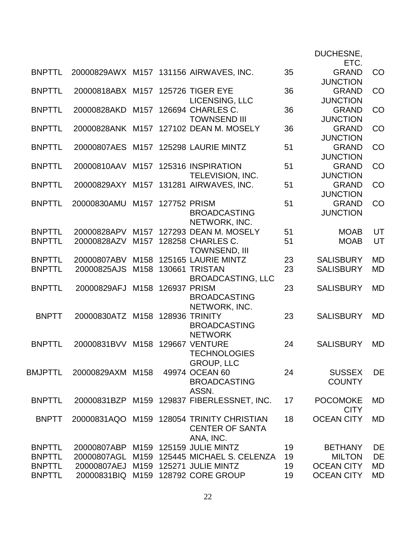|               |                                     |      |                   |                                            |    | DUCHESNE,         |           |
|---------------|-------------------------------------|------|-------------------|--------------------------------------------|----|-------------------|-----------|
|               |                                     |      |                   |                                            |    | ETC.              |           |
| <b>BNPTTL</b> |                                     |      |                   | 20000829AWX M157 131156 AIRWAVES, INC.     | 35 | <b>GRAND</b>      | CO        |
|               |                                     |      |                   |                                            |    | <b>JUNCTION</b>   |           |
| <b>BNPTTL</b> | 20000818ABX M157 125726 TIGER EYE   |      |                   |                                            | 36 | <b>GRAND</b>      | CO        |
|               |                                     |      |                   | LICENSING, LLC                             |    | <b>JUNCTION</b>   |           |
| <b>BNPTTL</b> | 20000828AKD                         |      |                   | M157 126694 CHARLES C.                     | 36 | <b>GRAND</b>      | CO        |
|               |                                     |      |                   | <b>TOWNSEND III</b>                        |    | <b>JUNCTION</b>   |           |
| <b>BNPTTL</b> |                                     |      |                   | 20000828ANK M157 127102 DEAN M. MOSELY     | 36 | <b>GRAND</b>      | CO        |
|               |                                     |      |                   |                                            |    | <b>JUNCTION</b>   |           |
| <b>BNPTTL</b> |                                     |      |                   | 20000807AES M157 125298 LAURIE MINTZ       | 51 | <b>GRAND</b>      | CO        |
|               |                                     |      |                   |                                            |    | <b>JUNCTION</b>   |           |
| <b>BNPTTL</b> | 20000810AAV                         |      |                   | M157 125316 INSPIRATION                    | 51 | <b>GRAND</b>      | CO        |
|               |                                     |      |                   | TELEVISION, INC.                           |    | <b>JUNCTION</b>   |           |
| <b>BNPTTL</b> |                                     |      |                   | 20000829AXY M157 131281 AIRWAVES, INC.     | 51 | <b>GRAND</b>      | CO        |
|               |                                     |      |                   |                                            |    | <b>JUNCTION</b>   |           |
| <b>BNPTTL</b> | 20000830AMU                         |      | M157 127752 PRISM |                                            | 51 | <b>GRAND</b>      | CO        |
|               |                                     |      |                   | <b>BROADCASTING</b>                        |    | <b>JUNCTION</b>   |           |
|               |                                     |      |                   | NETWORK, INC.                              |    |                   |           |
| <b>BNPTTL</b> | 20000828APV                         |      |                   | M157 127293 DEAN M. MOSELY                 | 51 | <b>MOAB</b>       | UT        |
| <b>BNPTTL</b> | 20000828AZV                         |      |                   | M157 128258 CHARLES C.                     | 51 | <b>MOAB</b>       | UT        |
|               |                                     |      |                   | TOWNSEND, III                              |    |                   |           |
| <b>BNPTTL</b> | 20000807ABV                         |      |                   | M158 125165 LAURIE MINTZ                   | 23 | <b>SALISBURY</b>  | <b>MD</b> |
| <b>BNPTTL</b> | 20000825AJS                         |      |                   | M158 130661 TRISTAN                        | 23 | <b>SALISBURY</b>  | <b>MD</b> |
|               |                                     |      |                   | <b>BROADCASTING, LLC</b>                   |    |                   |           |
| <b>BNPTTL</b> | 20000829AFJ                         | M158 | 126937 PRISM      |                                            | 23 | <b>SALISBURY</b>  | <b>MD</b> |
|               |                                     |      |                   | <b>BROADCASTING</b>                        |    |                   |           |
|               |                                     |      |                   | NETWORK, INC.                              |    |                   |           |
| <b>BNPTT</b>  | 20000830ATZ M158 128936 TRINITY     |      |                   |                                            | 23 | <b>SALISBURY</b>  | <b>MD</b> |
|               |                                     |      |                   | <b>BROADCASTING</b>                        |    |                   |           |
| <b>BNPTTL</b> |                                     |      |                   | <b>NETWORK</b><br>M158 129667 VENTURE      | 24 | <b>SALISBURY</b>  | <b>MD</b> |
|               | 20000831BVV                         |      |                   | <b>TECHNOLOGIES</b>                        |    |                   |           |
|               |                                     |      |                   | <b>GROUP, LLC</b>                          |    |                   |           |
| BMJPTTL       | 20000829AXM M158                    |      |                   | 49974 OCEAN 60                             | 24 | <b>SUSSEX</b>     | DE        |
|               |                                     |      |                   | <b>BROADCASTING</b>                        |    | <b>COUNTY</b>     |           |
|               |                                     |      |                   | ASSN.                                      |    |                   |           |
| <b>BNPTTL</b> |                                     |      |                   | 20000831BZP M159 129837 FIBERLESSNET, INC. | 17 | <b>POCOMOKE</b>   | <b>MD</b> |
|               |                                     |      |                   |                                            |    | <b>CITY</b>       |           |
| <b>BNPTT</b>  |                                     |      |                   | 20000831AQO M159 128054 TRINITY CHRISTIAN  | 18 | <b>OCEAN CITY</b> | MD        |
|               |                                     |      |                   | <b>CENTER OF SANTA</b>                     |    |                   |           |
|               |                                     |      |                   | ANA, INC.                                  |    |                   |           |
| <b>BNPTTL</b> | 20000807ABP M159 125159 JULIE MINTZ |      |                   |                                            | 19 | <b>BETHANY</b>    | DE        |
| <b>BNPTTL</b> | 20000807AGL                         |      |                   | M159 125445 MICHAEL S. CELENZA             | 19 | <b>MILTON</b>     | DE        |
| <b>BNPTTL</b> | 20000807AEJ M159 125271 JULIE MINTZ |      |                   |                                            | 19 | <b>OCEAN CITY</b> | MD        |
| <b>BNPTTL</b> |                                     |      |                   | 20000831BIQ M159 128792 CORE GROUP         | 19 | <b>OCEAN CITY</b> | <b>MD</b> |
|               |                                     |      |                   |                                            |    |                   |           |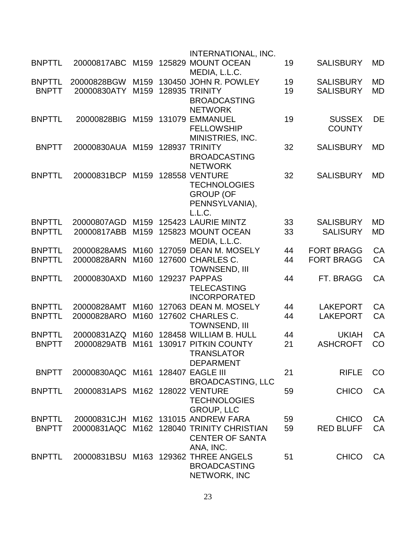|               |                                   |                  |        | <b>INTERNATIONAL, INC.</b>                |    |                   |           |
|---------------|-----------------------------------|------------------|--------|-------------------------------------------|----|-------------------|-----------|
| <b>BNPTTL</b> | 20000817ABC                       | M159             |        | 125829 MOUNT OCEAN<br>MEDIA, L.L.C.       | 19 | <b>SALISBURY</b>  | MD        |
| <b>BNPTTL</b> | 20000828BGW                       | M159             |        | 130450 JOHN R. POWLEY                     | 19 | <b>SALISBURY</b>  | MD        |
| <b>BNPTT</b>  | 20000830ATY                       | M159             |        | <b>128935 TRINITY</b>                     | 19 | <b>SALISBURY</b>  | <b>MD</b> |
|               |                                   |                  |        | <b>BROADCASTING</b><br><b>NETWORK</b>     |    |                   |           |
| <b>BNPTTL</b> | 20000828BIG                       | M159             | 131079 | <b>EMMANUEL</b>                           | 19 | <b>SUSSEX</b>     | <b>DE</b> |
|               |                                   |                  |        | <b>FELLOWSHIP</b>                         |    | <b>COUNTY</b>     |           |
|               |                                   |                  |        | MINISTRIES, INC.                          |    |                   |           |
| <b>BNPTT</b>  | 20000830AUA                       |                  |        | M159 128937 TRINITY                       | 32 | <b>SALISBURY</b>  | <b>MD</b> |
|               |                                   |                  |        | <b>BROADCASTING</b>                       |    |                   |           |
|               |                                   |                  |        | <b>NETWORK</b>                            |    |                   |           |
| <b>BNPTTL</b> | 20000831BCP                       | M159             |        | <b>128558 VENTURE</b>                     | 32 | <b>SALISBURY</b>  | MD        |
|               |                                   |                  |        | <b>TECHNOLOGIES</b><br><b>GROUP (OF</b>   |    |                   |           |
|               |                                   |                  |        | PENNSYLVANIA),                            |    |                   |           |
|               |                                   |                  |        | L.L.C.                                    |    |                   |           |
| <b>BNPTTL</b> | 20000807AGD                       | M159             |        | 125423 LAURIE MINTZ                       | 33 | <b>SALISBURY</b>  | <b>MD</b> |
| <b>BNPTTL</b> | 20000817ABB                       | M <sub>159</sub> |        | 125823 MOUNT OCEAN                        | 33 | <b>SALISURY</b>   | MD        |
|               |                                   |                  |        | MEDIA, L.L.C.                             |    |                   |           |
| <b>BNPTTL</b> | 20000828AMS                       | M <sub>160</sub> |        | 127059 DEAN M. MOSELY                     | 44 | <b>FORT BRAGG</b> | <b>CA</b> |
| <b>BNPTTL</b> | 20000828ARN                       | M160             |        | 127600 CHARLES C.                         | 44 | <b>FORT BRAGG</b> | CA        |
|               |                                   |                  |        | <b>TOWNSEND, III</b>                      |    |                   |           |
| <b>BNPTTL</b> | 20000830AXD                       | M160             |        | 129237 PAPPAS                             | 44 | FT. BRAGG         | CA        |
|               |                                   |                  |        | <b>TELECASTING</b>                        |    |                   |           |
|               |                                   |                  |        | <b>INCORPORATED</b>                       |    |                   |           |
| <b>BNPTTL</b> | 20000828AMT                       | M160             |        | 127063 DEAN M. MOSELY                     | 44 | <b>LAKEPORT</b>   | CA        |
| <b>BNPTTL</b> | 20000828ARO                       | M160             |        | 127602 CHARLES C.                         | 44 | <b>LAKEPORT</b>   | CA        |
|               |                                   |                  |        | <b>TOWNSEND, III</b>                      |    |                   |           |
| <b>BNPTTL</b> | 20000831AZQ                       |                  |        | M160 128458 WILLIAM B. HULL               | 44 | <b>UKIAH</b>      | <b>CA</b> |
| <b>BNPTT</b>  | 20000829ATB                       | M161             |        | 130917 PITKIN COUNTY<br><b>TRANSLATOR</b> | 21 | <b>ASHCROFT</b>   | CO        |
|               |                                   |                  |        | <b>DEPARMENT</b>                          |    |                   |           |
| <b>BNPTT</b>  | 20000830AQC M161 128407 EAGLE III |                  |        |                                           | 21 | <b>RIFLE</b>      | CO        |
|               |                                   |                  |        | <b>BROADCASTING, LLC</b>                  |    |                   |           |
| <b>BNPTTL</b> | 20000831APS M162 128022 VENTURE   |                  |        |                                           | 59 | <b>CHICO</b>      | CA        |
|               |                                   |                  |        | <b>TECHNOLOGIES</b>                       |    |                   |           |
|               |                                   |                  |        | <b>GROUP, LLC</b>                         |    |                   |           |
| <b>BNPTTL</b> |                                   |                  |        | 20000831CJH M162 131015 ANDREW FARA       | 59 | <b>CHICO</b>      | CA        |
| <b>BNPTT</b>  |                                   |                  |        | 20000831AQC M162 128040 TRINITY CHRISTIAN | 59 | <b>RED BLUFF</b>  | CA        |
|               |                                   |                  |        | <b>CENTER OF SANTA</b>                    |    |                   |           |
|               |                                   |                  |        | ANA, INC.                                 |    |                   |           |
| <b>BNPTTL</b> |                                   |                  |        | 20000831BSU M163 129362 THREE ANGELS      | 51 | <b>CHICO</b>      | CA        |
|               |                                   |                  |        | <b>BROADCASTING</b>                       |    |                   |           |
|               |                                   |                  |        | NETWORK, INC                              |    |                   |           |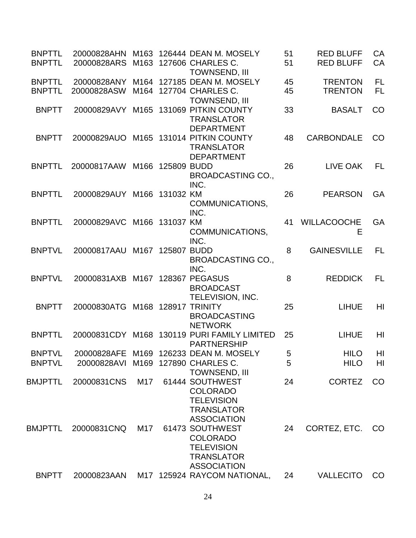| <b>BNPTTL</b><br><b>BNPTTL</b> | 20000828ARS                     |      |             | 20000828AHN M163 126444 DEAN M. MOSELY<br>M163 127606 CHARLES C.                                                        | 51<br>51 | <b>RED BLUFF</b><br><b>RED BLUFF</b> | CA<br>CA        |
|--------------------------------|---------------------------------|------|-------------|-------------------------------------------------------------------------------------------------------------------------|----------|--------------------------------------|-----------------|
| <b>BNPTTL</b><br><b>BNPTTL</b> | 20000828ANY<br>20000828ASW      |      |             | <b>TOWNSEND, III</b><br>M164 127185 DEAN M. MOSELY<br>M164 127704 CHARLES C.                                            | 45<br>45 | <b>TRENTON</b><br><b>TRENTON</b>     | FL<br><b>FL</b> |
| <b>BNPTT</b>                   | 20000829AVY                     |      |             | TOWNSEND, III<br>M165 131069 PITKIN COUNTY<br><b>TRANSLATOR</b>                                                         | 33       | <b>BASALT</b>                        | CO              |
| <b>BNPTT</b>                   | 20000829AUO                     |      |             | <b>DEPARTMENT</b><br>M165 131014 PITKIN COUNTY<br><b>TRANSLATOR</b>                                                     | 48       | <b>CARBONDALE</b>                    | <b>CO</b>       |
| <b>BNPTTL</b>                  | 20000817AAW                     | M166 | 125809 BUDD | <b>DEPARTMENT</b><br><b>BROADCASTING CO.,</b>                                                                           | 26       | LIVE OAK                             | <b>FL</b>       |
| <b>BNPTTL</b>                  | 20000829AUY M166 131032 KM      |      |             | INC.<br>COMMUNICATIONS,                                                                                                 | 26       | <b>PEARSON</b>                       | <b>GA</b>       |
| <b>BNPTTL</b>                  | 20000829AVC M166 131037 KM      |      |             | INC.<br>COMMUNICATIONS,                                                                                                 | 41       | <b>WILLACOOCHE</b><br>Е              | GA              |
| <b>BNPTVL</b>                  | 20000817AAU M167 125807 BUDD    |      |             | INC.<br><b>BROADCASTING CO.,</b>                                                                                        | 8        | <b>GAINESVILLE</b>                   | FL.             |
| <b>BNPTVL</b>                  | 20000831AXB M167 128367 PEGASUS |      |             | INC.<br><b>BROADCAST</b>                                                                                                | 8        | <b>REDDICK</b>                       | FL.             |
| <b>BNPTT</b>                   | 20000830ATG                     |      |             | TELEVISION, INC.<br>M168 128917 TRINITY<br><b>BROADCASTING</b>                                                          | 25       | <b>LIHUE</b>                         | HI              |
| <b>BNPTTL</b>                  |                                 |      |             | <b>NETWORK</b><br>20000831CDY M168 130119 PURI FAMILY LIMITED<br><b>PARTNERSHIP</b>                                     | 25       | <b>LIHUE</b>                         | HI              |
| <b>BNPTVL</b>                  |                                 |      |             | 20000828AFE M169 126233 DEAN M. MOSELY                                                                                  | 5        | <b>HILO</b>                          | H <sub>l</sub>  |
| <b>BNPTVL</b>                  | 20000828AVI                     |      |             | M169 127890 CHARLES C.<br><b>TOWNSEND, III</b>                                                                          | 5        | <b>HILO</b>                          | HI              |
| <b>BMJPTTL</b>                 | 20000831CNS                     | M17  |             | 61444 SOUTHWEST<br><b>COLORADO</b><br><b>TELEVISION</b>                                                                 | 24       | <b>CORTEZ</b>                        | CO              |
| <b>BMJPTTL</b>                 | 20000831CNQ                     | M17  |             | <b>TRANSLATOR</b><br><b>ASSOCIATION</b><br>61473 SOUTHWEST<br><b>COLORADO</b><br><b>TELEVISION</b><br><b>TRANSLATOR</b> | 24       | CORTEZ, ETC.                         | CO              |
| <b>BNPTT</b>                   | 20000823AAN                     |      |             | <b>ASSOCIATION</b><br>M17 125924 RAYCOM NATIONAL,                                                                       | 24       | <b>VALLECITO</b>                     | CO              |
|                                |                                 |      |             |                                                                                                                         |          |                                      |                 |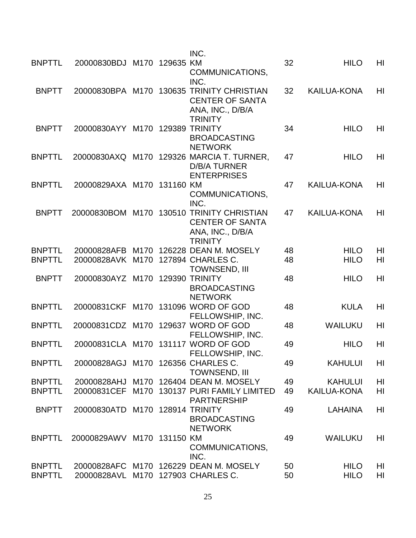|               |                                    |      | INC.                                                                                                      |    |                    |                |
|---------------|------------------------------------|------|-----------------------------------------------------------------------------------------------------------|----|--------------------|----------------|
| <b>BNPTTL</b> | 20000830BDJ M170 129635            |      | <b>KM</b><br>COMMUNICATIONS,<br>INC.                                                                      | 32 | <b>HILO</b>        | HI             |
| <b>BNPTT</b>  |                                    |      | 20000830BPA M170 130635 TRINITY CHRISTIAN<br><b>CENTER OF SANTA</b><br>ANA, INC., D/B/A<br><b>TRINITY</b> | 32 | <b>KAILUA-KONA</b> | HI             |
| <b>BNPTT</b>  | 20000830AYY M170                   |      | 129389 TRINITY<br><b>BROADCASTING</b><br><b>NETWORK</b>                                                   | 34 | <b>HILO</b>        | HI             |
| <b>BNPTTL</b> |                                    |      | 20000830AXQ M170 129326 MARCIA T. TURNER,<br><b>D/B/A TURNER</b><br><b>ENTERPRISES</b>                    | 47 | <b>HILO</b>        | HI             |
| <b>BNPTTL</b> | 20000829AXA M170 131160 KM         |      | COMMUNICATIONS,<br>INC.                                                                                   | 47 | <b>KAILUA-KONA</b> | HI             |
| <b>BNPTT</b>  |                                    |      | 20000830BOM M170 130510 TRINITY CHRISTIAN<br><b>CENTER OF SANTA</b><br>ANA, INC., D/B/A<br><b>TRINITY</b> | 47 | <b>KAILUA-KONA</b> | H <sub>l</sub> |
| <b>BNPTTL</b> | 20000828AFB                        | M170 | 126228 DEAN M. MOSELY                                                                                     | 48 | <b>HILO</b>        | HI             |
| <b>BNPTTL</b> | 20000828AVK                        | M170 | 127894 CHARLES C.<br><b>TOWNSEND, III</b>                                                                 | 48 | <b>HILO</b>        | HI             |
| <b>BNPTT</b>  | 20000830AYZ M170                   |      | <b>129390 TRINITY</b><br><b>BROADCASTING</b><br><b>NETWORK</b>                                            | 48 | <b>HILO</b>        | H <sub>l</sub> |
| <b>BNPTTL</b> | 20000831CKF                        |      | M170 131096 WORD OF GOD<br>FELLOWSHIP, INC.                                                               | 48 | <b>KULA</b>        | HI             |
| <b>BNPTTL</b> |                                    |      | 20000831CDZ M170 129637 WORD OF GOD<br>FELLOWSHIP, INC.                                                   | 48 | <b>WAILUKU</b>     | HI             |
| <b>BNPTTL</b> | 20000831CLA M170                   |      | 131117 WORD OF GOD<br><b>FELLOWSHIP, INC</b>                                                              | 49 | <b>HILO</b>        | HI             |
| <b>BNPTTL</b> | 20000828AGJ M170 126356 CHARLES C. |      | <b>TOWNSEND, III</b>                                                                                      | 49 | <b>KAHULUI</b>     | HI             |
| <b>BNPTTL</b> | 20000828AHJ                        |      | M170 126404 DEAN M. MOSELY                                                                                | 49 | <b>KAHULUI</b>     | HI             |
| <b>BNPTTL</b> | 20000831CEF                        |      | M170 130137 PURI FAMILY LIMITED<br><b>PARTNERSHIP</b>                                                     | 49 | <b>KAILUA-KONA</b> | HI             |
| <b>BNPTT</b>  | 20000830ATD M170 128914 TRINITY    |      | <b>BROADCASTING</b><br><b>NETWORK</b>                                                                     | 49 | <b>LAHAINA</b>     | HI             |
| <b>BNPTTL</b> | 20000829AWV M170 131150 KM         |      | COMMUNICATIONS,<br>INC.                                                                                   | 49 | <b>WAILUKU</b>     | H <sub>l</sub> |
| <b>BNPTTL</b> |                                    |      | 20000828AFC M170 126229 DEAN M. MOSELY                                                                    | 50 | <b>HILO</b>        | HI             |
| <b>BNPTTL</b> | 20000828AVL M170 127903 CHARLES C. |      |                                                                                                           | 50 | <b>HILO</b>        | HI             |
|               |                                    |      |                                                                                                           |    |                    |                |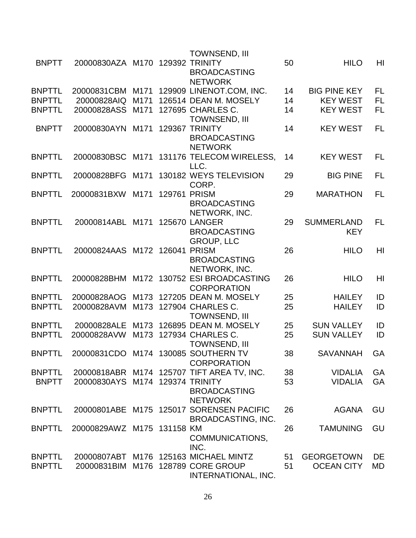| HI<br><b>BNPTT</b><br><b>129392 TRINITY</b><br>50<br><b>HILO</b><br>20000830AZA M170<br><b>BROADCASTING</b><br><b>NETWORK</b><br><b>FL</b><br>20000831CBM M171<br>129909 LINENOT.COM, INC.<br><b>BIG PINE KEY</b><br>14<br>126514 DEAN M. MOSELY<br><b>KEY WEST</b><br><b>FL</b><br>20000828AIQ<br>M171<br>14<br>20000828ASS<br>M171<br>127695 CHARLES C.<br>14<br><b>KEY WEST</b><br>FL<br><b>TOWNSEND, III</b><br><b>FL</b><br><b>BNPTT</b><br>129367 TRINITY<br>14<br><b>KEY WEST</b><br>20000830AYN<br>M171<br><b>BROADCASTING</b><br><b>NETWORK</b><br><b>FL</b><br><b>BNPTTL</b><br>20000830BSC<br>131176 TELECOM WIRELESS,<br><b>KEY WEST</b><br>M171<br>14<br>LLC.<br>130182 WEYS TELEVISION<br><b>BIG PINE</b><br><b>FL</b><br><b>BNPTTL</b><br>20000828BFG<br>29<br>M171<br>CORP.<br>129761<br><b>PRISM</b><br>29<br>FL<br><b>BNPTTL</b><br>20000831BXW<br>M171<br><b>MARATHON</b><br><b>BROADCASTING</b><br>NETWORK, INC.<br><b>FL</b><br><b>BNPTTL</b><br><b>SUMMERLAND</b><br>20000814ABL M171<br><b>125670 LANGER</b><br>29<br><b>BROADCASTING</b><br><b>KEY</b><br><b>GROUP, LLC</b><br>HI<br><b>BNPTTL</b><br>20000824AAS M172 126041<br><b>PRISM</b><br>26<br><b>HILO</b><br><b>BROADCASTING</b><br>NETWORK, INC.<br>HI<br><b>BNPTTL</b><br>20000828BHM M172 130752 ESI BROADCASTING<br>26<br><b>HILO</b><br><b>CORPORATION</b><br><b>BNPTTL</b><br>ID<br>127205 DEAN M. MOSELY<br>25<br><b>HAILEY</b><br>20000828AOG<br>M173<br>127904 CHARLES C.<br><b>BNPTTL</b><br>M173<br>25<br><b>HAILEY</b><br>ID<br>20000828AVM<br>TOWNSEND, III<br>ID<br><b>BNPTTL</b><br>20000828ALE<br>126895 DEAN M. MOSELY<br><b>SUN VALLEY</b><br>M173<br>25<br>127934 CHARLES C.<br>ID<br><b>BNPTTL</b><br>M173<br>25<br><b>SUN VALLEY</b><br>20000828AVW<br><b>TOWNSEND, III</b><br><b>BNPTTI</b><br>20000831CDO M174 130085 SOUTHERN TV<br><b>SAVANNAH</b><br>38<br>GA<br><b>CORPORATION</b><br>20000818ABR M174 125707 TIFT AREA TV, INC.<br>GA<br><b>BNPTTL</b><br>38<br><b>VIDALIA</b><br><b>BNPTT</b><br>20000830AYS M174 129374 TRINITY<br>53<br><b>VIDALIA</b><br>GA<br><b>BROADCASTING</b><br><b>NETWORK</b><br>20000801ABE M175 125017 SORENSEN PACIFIC<br>GU<br>26<br><b>AGANA</b><br>BROADCASTING, INC.<br>26<br>GU<br>20000829AWZ M175 131158 KM<br><b>TAMUNING</b><br>COMMUNICATIONS,<br>INC.<br>20000807ABT M176 125163 MICHAEL MINTZ<br><b>GEORGETOWN</b><br>DE<br>51<br>20000831BIM M176 128789 CORE GROUP<br>51<br><b>OCEAN CITY</b><br>MD |               |  | <b>TOWNSEND, III</b> |  |  |
|--------------------------------------------------------------------------------------------------------------------------------------------------------------------------------------------------------------------------------------------------------------------------------------------------------------------------------------------------------------------------------------------------------------------------------------------------------------------------------------------------------------------------------------------------------------------------------------------------------------------------------------------------------------------------------------------------------------------------------------------------------------------------------------------------------------------------------------------------------------------------------------------------------------------------------------------------------------------------------------------------------------------------------------------------------------------------------------------------------------------------------------------------------------------------------------------------------------------------------------------------------------------------------------------------------------------------------------------------------------------------------------------------------------------------------------------------------------------------------------------------------------------------------------------------------------------------------------------------------------------------------------------------------------------------------------------------------------------------------------------------------------------------------------------------------------------------------------------------------------------------------------------------------------------------------------------------------------------------------------------------------------------------------------------------------------------------------------------------------------------------------------------------------------------------------------------------------------------------------------------------------------------------------------------------------------------------------------------------------------------------------------------------------------------------------------------------------------|---------------|--|----------------------|--|--|
|                                                                                                                                                                                                                                                                                                                                                                                                                                                                                                                                                                                                                                                                                                                                                                                                                                                                                                                                                                                                                                                                                                                                                                                                                                                                                                                                                                                                                                                                                                                                                                                                                                                                                                                                                                                                                                                                                                                                                                                                                                                                                                                                                                                                                                                                                                                                                                                                                                                              |               |  |                      |  |  |
|                                                                                                                                                                                                                                                                                                                                                                                                                                                                                                                                                                                                                                                                                                                                                                                                                                                                                                                                                                                                                                                                                                                                                                                                                                                                                                                                                                                                                                                                                                                                                                                                                                                                                                                                                                                                                                                                                                                                                                                                                                                                                                                                                                                                                                                                                                                                                                                                                                                              |               |  |                      |  |  |
|                                                                                                                                                                                                                                                                                                                                                                                                                                                                                                                                                                                                                                                                                                                                                                                                                                                                                                                                                                                                                                                                                                                                                                                                                                                                                                                                                                                                                                                                                                                                                                                                                                                                                                                                                                                                                                                                                                                                                                                                                                                                                                                                                                                                                                                                                                                                                                                                                                                              |               |  |                      |  |  |
|                                                                                                                                                                                                                                                                                                                                                                                                                                                                                                                                                                                                                                                                                                                                                                                                                                                                                                                                                                                                                                                                                                                                                                                                                                                                                                                                                                                                                                                                                                                                                                                                                                                                                                                                                                                                                                                                                                                                                                                                                                                                                                                                                                                                                                                                                                                                                                                                                                                              | <b>BNPTTL</b> |  |                      |  |  |
|                                                                                                                                                                                                                                                                                                                                                                                                                                                                                                                                                                                                                                                                                                                                                                                                                                                                                                                                                                                                                                                                                                                                                                                                                                                                                                                                                                                                                                                                                                                                                                                                                                                                                                                                                                                                                                                                                                                                                                                                                                                                                                                                                                                                                                                                                                                                                                                                                                                              | <b>BNPTTL</b> |  |                      |  |  |
|                                                                                                                                                                                                                                                                                                                                                                                                                                                                                                                                                                                                                                                                                                                                                                                                                                                                                                                                                                                                                                                                                                                                                                                                                                                                                                                                                                                                                                                                                                                                                                                                                                                                                                                                                                                                                                                                                                                                                                                                                                                                                                                                                                                                                                                                                                                                                                                                                                                              | <b>BNPTTL</b> |  |                      |  |  |
|                                                                                                                                                                                                                                                                                                                                                                                                                                                                                                                                                                                                                                                                                                                                                                                                                                                                                                                                                                                                                                                                                                                                                                                                                                                                                                                                                                                                                                                                                                                                                                                                                                                                                                                                                                                                                                                                                                                                                                                                                                                                                                                                                                                                                                                                                                                                                                                                                                                              |               |  |                      |  |  |
|                                                                                                                                                                                                                                                                                                                                                                                                                                                                                                                                                                                                                                                                                                                                                                                                                                                                                                                                                                                                                                                                                                                                                                                                                                                                                                                                                                                                                                                                                                                                                                                                                                                                                                                                                                                                                                                                                                                                                                                                                                                                                                                                                                                                                                                                                                                                                                                                                                                              |               |  |                      |  |  |
|                                                                                                                                                                                                                                                                                                                                                                                                                                                                                                                                                                                                                                                                                                                                                                                                                                                                                                                                                                                                                                                                                                                                                                                                                                                                                                                                                                                                                                                                                                                                                                                                                                                                                                                                                                                                                                                                                                                                                                                                                                                                                                                                                                                                                                                                                                                                                                                                                                                              |               |  |                      |  |  |
|                                                                                                                                                                                                                                                                                                                                                                                                                                                                                                                                                                                                                                                                                                                                                                                                                                                                                                                                                                                                                                                                                                                                                                                                                                                                                                                                                                                                                                                                                                                                                                                                                                                                                                                                                                                                                                                                                                                                                                                                                                                                                                                                                                                                                                                                                                                                                                                                                                                              |               |  |                      |  |  |
|                                                                                                                                                                                                                                                                                                                                                                                                                                                                                                                                                                                                                                                                                                                                                                                                                                                                                                                                                                                                                                                                                                                                                                                                                                                                                                                                                                                                                                                                                                                                                                                                                                                                                                                                                                                                                                                                                                                                                                                                                                                                                                                                                                                                                                                                                                                                                                                                                                                              |               |  |                      |  |  |
|                                                                                                                                                                                                                                                                                                                                                                                                                                                                                                                                                                                                                                                                                                                                                                                                                                                                                                                                                                                                                                                                                                                                                                                                                                                                                                                                                                                                                                                                                                                                                                                                                                                                                                                                                                                                                                                                                                                                                                                                                                                                                                                                                                                                                                                                                                                                                                                                                                                              |               |  |                      |  |  |
|                                                                                                                                                                                                                                                                                                                                                                                                                                                                                                                                                                                                                                                                                                                                                                                                                                                                                                                                                                                                                                                                                                                                                                                                                                                                                                                                                                                                                                                                                                                                                                                                                                                                                                                                                                                                                                                                                                                                                                                                                                                                                                                                                                                                                                                                                                                                                                                                                                                              |               |  |                      |  |  |
|                                                                                                                                                                                                                                                                                                                                                                                                                                                                                                                                                                                                                                                                                                                                                                                                                                                                                                                                                                                                                                                                                                                                                                                                                                                                                                                                                                                                                                                                                                                                                                                                                                                                                                                                                                                                                                                                                                                                                                                                                                                                                                                                                                                                                                                                                                                                                                                                                                                              |               |  |                      |  |  |
|                                                                                                                                                                                                                                                                                                                                                                                                                                                                                                                                                                                                                                                                                                                                                                                                                                                                                                                                                                                                                                                                                                                                                                                                                                                                                                                                                                                                                                                                                                                                                                                                                                                                                                                                                                                                                                                                                                                                                                                                                                                                                                                                                                                                                                                                                                                                                                                                                                                              |               |  |                      |  |  |
|                                                                                                                                                                                                                                                                                                                                                                                                                                                                                                                                                                                                                                                                                                                                                                                                                                                                                                                                                                                                                                                                                                                                                                                                                                                                                                                                                                                                                                                                                                                                                                                                                                                                                                                                                                                                                                                                                                                                                                                                                                                                                                                                                                                                                                                                                                                                                                                                                                                              |               |  |                      |  |  |
|                                                                                                                                                                                                                                                                                                                                                                                                                                                                                                                                                                                                                                                                                                                                                                                                                                                                                                                                                                                                                                                                                                                                                                                                                                                                                                                                                                                                                                                                                                                                                                                                                                                                                                                                                                                                                                                                                                                                                                                                                                                                                                                                                                                                                                                                                                                                                                                                                                                              |               |  |                      |  |  |
|                                                                                                                                                                                                                                                                                                                                                                                                                                                                                                                                                                                                                                                                                                                                                                                                                                                                                                                                                                                                                                                                                                                                                                                                                                                                                                                                                                                                                                                                                                                                                                                                                                                                                                                                                                                                                                                                                                                                                                                                                                                                                                                                                                                                                                                                                                                                                                                                                                                              |               |  |                      |  |  |
|                                                                                                                                                                                                                                                                                                                                                                                                                                                                                                                                                                                                                                                                                                                                                                                                                                                                                                                                                                                                                                                                                                                                                                                                                                                                                                                                                                                                                                                                                                                                                                                                                                                                                                                                                                                                                                                                                                                                                                                                                                                                                                                                                                                                                                                                                                                                                                                                                                                              |               |  |                      |  |  |
|                                                                                                                                                                                                                                                                                                                                                                                                                                                                                                                                                                                                                                                                                                                                                                                                                                                                                                                                                                                                                                                                                                                                                                                                                                                                                                                                                                                                                                                                                                                                                                                                                                                                                                                                                                                                                                                                                                                                                                                                                                                                                                                                                                                                                                                                                                                                                                                                                                                              |               |  |                      |  |  |
|                                                                                                                                                                                                                                                                                                                                                                                                                                                                                                                                                                                                                                                                                                                                                                                                                                                                                                                                                                                                                                                                                                                                                                                                                                                                                                                                                                                                                                                                                                                                                                                                                                                                                                                                                                                                                                                                                                                                                                                                                                                                                                                                                                                                                                                                                                                                                                                                                                                              |               |  |                      |  |  |
|                                                                                                                                                                                                                                                                                                                                                                                                                                                                                                                                                                                                                                                                                                                                                                                                                                                                                                                                                                                                                                                                                                                                                                                                                                                                                                                                                                                                                                                                                                                                                                                                                                                                                                                                                                                                                                                                                                                                                                                                                                                                                                                                                                                                                                                                                                                                                                                                                                                              |               |  |                      |  |  |
|                                                                                                                                                                                                                                                                                                                                                                                                                                                                                                                                                                                                                                                                                                                                                                                                                                                                                                                                                                                                                                                                                                                                                                                                                                                                                                                                                                                                                                                                                                                                                                                                                                                                                                                                                                                                                                                                                                                                                                                                                                                                                                                                                                                                                                                                                                                                                                                                                                                              |               |  |                      |  |  |
|                                                                                                                                                                                                                                                                                                                                                                                                                                                                                                                                                                                                                                                                                                                                                                                                                                                                                                                                                                                                                                                                                                                                                                                                                                                                                                                                                                                                                                                                                                                                                                                                                                                                                                                                                                                                                                                                                                                                                                                                                                                                                                                                                                                                                                                                                                                                                                                                                                                              |               |  |                      |  |  |
|                                                                                                                                                                                                                                                                                                                                                                                                                                                                                                                                                                                                                                                                                                                                                                                                                                                                                                                                                                                                                                                                                                                                                                                                                                                                                                                                                                                                                                                                                                                                                                                                                                                                                                                                                                                                                                                                                                                                                                                                                                                                                                                                                                                                                                                                                                                                                                                                                                                              |               |  |                      |  |  |
|                                                                                                                                                                                                                                                                                                                                                                                                                                                                                                                                                                                                                                                                                                                                                                                                                                                                                                                                                                                                                                                                                                                                                                                                                                                                                                                                                                                                                                                                                                                                                                                                                                                                                                                                                                                                                                                                                                                                                                                                                                                                                                                                                                                                                                                                                                                                                                                                                                                              |               |  |                      |  |  |
|                                                                                                                                                                                                                                                                                                                                                                                                                                                                                                                                                                                                                                                                                                                                                                                                                                                                                                                                                                                                                                                                                                                                                                                                                                                                                                                                                                                                                                                                                                                                                                                                                                                                                                                                                                                                                                                                                                                                                                                                                                                                                                                                                                                                                                                                                                                                                                                                                                                              |               |  |                      |  |  |
|                                                                                                                                                                                                                                                                                                                                                                                                                                                                                                                                                                                                                                                                                                                                                                                                                                                                                                                                                                                                                                                                                                                                                                                                                                                                                                                                                                                                                                                                                                                                                                                                                                                                                                                                                                                                                                                                                                                                                                                                                                                                                                                                                                                                                                                                                                                                                                                                                                                              |               |  |                      |  |  |
|                                                                                                                                                                                                                                                                                                                                                                                                                                                                                                                                                                                                                                                                                                                                                                                                                                                                                                                                                                                                                                                                                                                                                                                                                                                                                                                                                                                                                                                                                                                                                                                                                                                                                                                                                                                                                                                                                                                                                                                                                                                                                                                                                                                                                                                                                                                                                                                                                                                              |               |  |                      |  |  |
|                                                                                                                                                                                                                                                                                                                                                                                                                                                                                                                                                                                                                                                                                                                                                                                                                                                                                                                                                                                                                                                                                                                                                                                                                                                                                                                                                                                                                                                                                                                                                                                                                                                                                                                                                                                                                                                                                                                                                                                                                                                                                                                                                                                                                                                                                                                                                                                                                                                              |               |  |                      |  |  |
|                                                                                                                                                                                                                                                                                                                                                                                                                                                                                                                                                                                                                                                                                                                                                                                                                                                                                                                                                                                                                                                                                                                                                                                                                                                                                                                                                                                                                                                                                                                                                                                                                                                                                                                                                                                                                                                                                                                                                                                                                                                                                                                                                                                                                                                                                                                                                                                                                                                              |               |  |                      |  |  |
|                                                                                                                                                                                                                                                                                                                                                                                                                                                                                                                                                                                                                                                                                                                                                                                                                                                                                                                                                                                                                                                                                                                                                                                                                                                                                                                                                                                                                                                                                                                                                                                                                                                                                                                                                                                                                                                                                                                                                                                                                                                                                                                                                                                                                                                                                                                                                                                                                                                              |               |  |                      |  |  |
|                                                                                                                                                                                                                                                                                                                                                                                                                                                                                                                                                                                                                                                                                                                                                                                                                                                                                                                                                                                                                                                                                                                                                                                                                                                                                                                                                                                                                                                                                                                                                                                                                                                                                                                                                                                                                                                                                                                                                                                                                                                                                                                                                                                                                                                                                                                                                                                                                                                              |               |  |                      |  |  |
|                                                                                                                                                                                                                                                                                                                                                                                                                                                                                                                                                                                                                                                                                                                                                                                                                                                                                                                                                                                                                                                                                                                                                                                                                                                                                                                                                                                                                                                                                                                                                                                                                                                                                                                                                                                                                                                                                                                                                                                                                                                                                                                                                                                                                                                                                                                                                                                                                                                              |               |  |                      |  |  |
|                                                                                                                                                                                                                                                                                                                                                                                                                                                                                                                                                                                                                                                                                                                                                                                                                                                                                                                                                                                                                                                                                                                                                                                                                                                                                                                                                                                                                                                                                                                                                                                                                                                                                                                                                                                                                                                                                                                                                                                                                                                                                                                                                                                                                                                                                                                                                                                                                                                              |               |  |                      |  |  |
|                                                                                                                                                                                                                                                                                                                                                                                                                                                                                                                                                                                                                                                                                                                                                                                                                                                                                                                                                                                                                                                                                                                                                                                                                                                                                                                                                                                                                                                                                                                                                                                                                                                                                                                                                                                                                                                                                                                                                                                                                                                                                                                                                                                                                                                                                                                                                                                                                                                              |               |  |                      |  |  |
|                                                                                                                                                                                                                                                                                                                                                                                                                                                                                                                                                                                                                                                                                                                                                                                                                                                                                                                                                                                                                                                                                                                                                                                                                                                                                                                                                                                                                                                                                                                                                                                                                                                                                                                                                                                                                                                                                                                                                                                                                                                                                                                                                                                                                                                                                                                                                                                                                                                              |               |  |                      |  |  |
|                                                                                                                                                                                                                                                                                                                                                                                                                                                                                                                                                                                                                                                                                                                                                                                                                                                                                                                                                                                                                                                                                                                                                                                                                                                                                                                                                                                                                                                                                                                                                                                                                                                                                                                                                                                                                                                                                                                                                                                                                                                                                                                                                                                                                                                                                                                                                                                                                                                              |               |  |                      |  |  |
|                                                                                                                                                                                                                                                                                                                                                                                                                                                                                                                                                                                                                                                                                                                                                                                                                                                                                                                                                                                                                                                                                                                                                                                                                                                                                                                                                                                                                                                                                                                                                                                                                                                                                                                                                                                                                                                                                                                                                                                                                                                                                                                                                                                                                                                                                                                                                                                                                                                              | <b>BNPTTL</b> |  |                      |  |  |
|                                                                                                                                                                                                                                                                                                                                                                                                                                                                                                                                                                                                                                                                                                                                                                                                                                                                                                                                                                                                                                                                                                                                                                                                                                                                                                                                                                                                                                                                                                                                                                                                                                                                                                                                                                                                                                                                                                                                                                                                                                                                                                                                                                                                                                                                                                                                                                                                                                                              |               |  |                      |  |  |
|                                                                                                                                                                                                                                                                                                                                                                                                                                                                                                                                                                                                                                                                                                                                                                                                                                                                                                                                                                                                                                                                                                                                                                                                                                                                                                                                                                                                                                                                                                                                                                                                                                                                                                                                                                                                                                                                                                                                                                                                                                                                                                                                                                                                                                                                                                                                                                                                                                                              | <b>BNPTTL</b> |  |                      |  |  |
|                                                                                                                                                                                                                                                                                                                                                                                                                                                                                                                                                                                                                                                                                                                                                                                                                                                                                                                                                                                                                                                                                                                                                                                                                                                                                                                                                                                                                                                                                                                                                                                                                                                                                                                                                                                                                                                                                                                                                                                                                                                                                                                                                                                                                                                                                                                                                                                                                                                              |               |  |                      |  |  |
|                                                                                                                                                                                                                                                                                                                                                                                                                                                                                                                                                                                                                                                                                                                                                                                                                                                                                                                                                                                                                                                                                                                                                                                                                                                                                                                                                                                                                                                                                                                                                                                                                                                                                                                                                                                                                                                                                                                                                                                                                                                                                                                                                                                                                                                                                                                                                                                                                                                              |               |  |                      |  |  |
|                                                                                                                                                                                                                                                                                                                                                                                                                                                                                                                                                                                                                                                                                                                                                                                                                                                                                                                                                                                                                                                                                                                                                                                                                                                                                                                                                                                                                                                                                                                                                                                                                                                                                                                                                                                                                                                                                                                                                                                                                                                                                                                                                                                                                                                                                                                                                                                                                                                              | <b>BNPTTL</b> |  |                      |  |  |
|                                                                                                                                                                                                                                                                                                                                                                                                                                                                                                                                                                                                                                                                                                                                                                                                                                                                                                                                                                                                                                                                                                                                                                                                                                                                                                                                                                                                                                                                                                                                                                                                                                                                                                                                                                                                                                                                                                                                                                                                                                                                                                                                                                                                                                                                                                                                                                                                                                                              | <b>BNPTTL</b> |  |                      |  |  |
|                                                                                                                                                                                                                                                                                                                                                                                                                                                                                                                                                                                                                                                                                                                                                                                                                                                                                                                                                                                                                                                                                                                                                                                                                                                                                                                                                                                                                                                                                                                                                                                                                                                                                                                                                                                                                                                                                                                                                                                                                                                                                                                                                                                                                                                                                                                                                                                                                                                              |               |  | INTERNATIONAL, INC.  |  |  |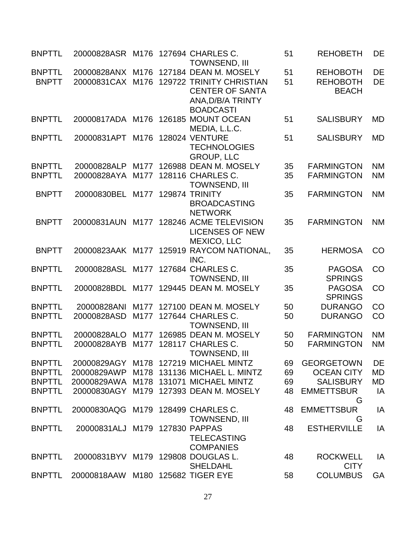| <b>BNPTTL</b>                 | 20000828ASR M176 127694 CHARLES C. |                  | <b>TOWNSEND, III</b>                                                                             | 51       | <b>REHOBETH</b>                                    | DE              |
|-------------------------------|------------------------------------|------------------|--------------------------------------------------------------------------------------------------|----------|----------------------------------------------------|-----------------|
| <b>BNPTTL</b><br><b>BNPTT</b> | 20000828ANX<br>20000831CAX         | M176<br>M176     | 127184 DEAN M. MOSELY<br>129722 TRINITY CHRISTIAN<br><b>CENTER OF SANTA</b><br>ANA, D/B/A TRINTY | 51<br>51 | <b>REHOBOTH</b><br><b>REHOBOTH</b><br><b>BEACH</b> | <b>DE</b><br>DE |
| <b>BNPTTL</b>                 |                                    |                  | <b>BOADCASTI</b><br>20000817ADA M176 126185 MOUNT OCEAN<br>MEDIA, L.L.C.                         | 51       | <b>SALISBURY</b>                                   | <b>MD</b>       |
| <b>BNPTTL</b>                 | 20000831APT                        | M176             | <b>128024 VENTURE</b><br><b>TECHNOLOGIES</b>                                                     | 51       | <b>SALISBURY</b>                                   | <b>MD</b>       |
| <b>BNPTTL</b>                 | 20000828ALP                        |                  | <b>GROUP, LLC</b><br>M177 126988 DEAN M. MOSELY                                                  | 35       | <b>FARMINGTON</b>                                  | <b>NM</b>       |
| <b>BNPTTL</b>                 | 20000828AYA                        | M177             | 128116 CHARLES C.                                                                                | 35       | <b>FARMINGTON</b>                                  | <b>NM</b>       |
|                               |                                    |                  | <b>TOWNSEND, III</b>                                                                             |          |                                                    |                 |
| <b>BNPTT</b>                  | 20000830BEL                        |                  | M177 129874 TRINITY<br><b>BROADCASTING</b><br><b>NETWORK</b>                                     | 35       | <b>FARMINGTON</b>                                  | <b>NM</b>       |
| <b>BNPTT</b>                  | 20000831AUN                        |                  | M177 128246 ACME TELEVISION<br><b>LICENSES OF NEW</b><br><b>MEXICO, LLC</b>                      | 35       | <b>FARMINGTON</b>                                  | <b>NM</b>       |
| <b>BNPTT</b>                  |                                    |                  | 20000823AAK M177 125919 RAYCOM NATIONAL,<br>INC.                                                 | 35       | <b>HERMOSA</b>                                     | CO              |
| <b>BNPTTL</b>                 | 20000828ASL                        | M177             | 127684 CHARLES C.<br><b>TOWNSEND, III</b>                                                        | 35       | <b>PAGOSA</b><br><b>SPRINGS</b>                    | CO              |
| <b>BNPTTL</b>                 | 20000828BDL                        |                  | M177 129445 DEAN M. MOSELY                                                                       | 35       | <b>PAGOSA</b><br><b>SPRINGS</b>                    | CO              |
| <b>BNPTTL</b>                 | 20000828ANI                        | M <sub>177</sub> | 127100 DEAN M. MOSELY                                                                            | 50       | <b>DURANGO</b>                                     | CO              |
| <b>BNPTTL</b>                 | 20000828ASD                        | M177             | 127644 CHARLES C.<br><b>TOWNSEND, III</b>                                                        | 50       | <b>DURANGO</b>                                     | CO              |
| <b>BNPTTL</b>                 | 20000828ALO                        | M177             | 126985 DEAN M. MOSELY                                                                            | 50       | <b>FARMINGTON</b>                                  | <b>NM</b>       |
| <b>BNPTTL</b>                 | 20000828AYB                        | M177             | 128117 CHARLES C.<br>TOWNSEND, III                                                               | 50       | <b>FARMINGTON</b>                                  | <b>NM</b>       |
| <b>BNPTTL</b>                 | 20000829AGY                        |                  | M178 127219 MICHAEL MINTZ                                                                        | 69       | <b>GEORGETOWN</b>                                  | DE              |
| <b>BNPTTL</b>                 | 20000829AWP                        | M178             | 131136 MICHAEL L. MINTZ                                                                          | 69       | <b>OCEAN CITY</b>                                  | <b>MD</b>       |
| <b>BNPTTL</b>                 | 20000829AWA                        |                  | M178 131071 MICHAEL MINTZ                                                                        | 69       | <b>SALISBURY</b>                                   | MD              |
| <b>BNPTTL</b>                 | 20000830AGY                        | M179             | 127393 DEAN M. MOSELY                                                                            | 48       | <b>EMMETTSBUR</b><br>G                             | IA              |
| <b>BNPTTL</b>                 | 20000830AQG M179 128499 CHARLES C. |                  | <b>TOWNSEND, III</b>                                                                             | 48       | <b>EMMETTSBUR</b><br>G                             | IA              |
| <b>BNPTTL</b>                 | 20000831ALJ                        |                  | M179 127830 PAPPAS<br><b>TELECASTING</b><br><b>COMPANIES</b>                                     | 48       | <b>ESTHERVILLE</b>                                 | IA              |
| <b>BNPTTL</b>                 | 20000831BYV                        |                  | M179 129808 DOUGLAS L.<br><b>SHELDAHL</b>                                                        | 48       | <b>ROCKWELL</b><br><b>CITY</b>                     | IA              |
| <b>BNPTTL</b>                 | 20000818AAW                        |                  | M180 125682 TIGER EYE                                                                            | 58       | <b>COLUMBUS</b>                                    | GA              |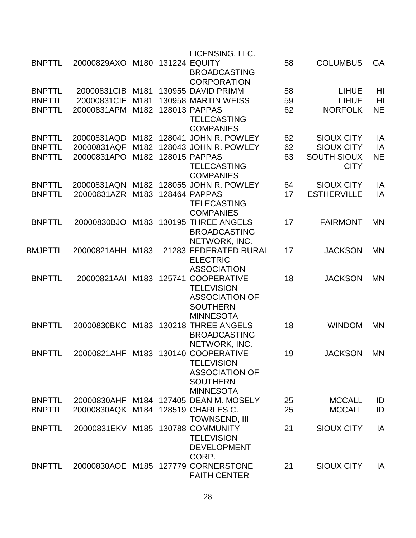|                |                                    |      |             | LICENSING, LLC.                                                   |    |                                   |           |
|----------------|------------------------------------|------|-------------|-------------------------------------------------------------------|----|-----------------------------------|-----------|
| <b>BNPTTL</b>  | 20000829AXO                        | M180 |             | <b>131224 EQUITY</b><br><b>BROADCASTING</b><br><b>CORPORATION</b> | 58 | <b>COLUMBUS</b>                   | GA        |
| <b>BNPTTL</b>  | 20000831CIB                        |      |             | M181 130955 DAVID PRIMM                                           | 58 | <b>LIHUE</b>                      | HI        |
| <b>BNPTTL</b>  | 20000831CIF                        | M181 |             | 130958 MARTIN WEISS                                               | 59 | <b>LIHUE</b>                      | HI        |
| <b>BNPTTL</b>  | 20000831APM                        | M182 |             | 128013 PAPPAS<br><b>TELECASTING</b>                               | 62 | <b>NORFOLK</b>                    | <b>NE</b> |
|                |                                    |      |             | <b>COMPANIES</b>                                                  |    |                                   |           |
| <b>BNPTTL</b>  | 20000831AQD                        |      |             | M182 128041 JOHN R. POWLEY                                        | 62 | <b>SIOUX CITY</b>                 | IA        |
| <b>BNPTTL</b>  | 20000831AQF                        | M182 |             | 128043 JOHN R. POWLEY                                             | 62 | <b>SIOUX CITY</b>                 | IA        |
| <b>BNPTTL</b>  | 20000831APO                        | M182 |             | 128015 PAPPAS<br><b>TELECASTING</b><br><b>COMPANIES</b>           | 63 | <b>SOUTH SIOUX</b><br><b>CITY</b> | <b>NE</b> |
| <b>BNPTTL</b>  | 20000831AQN                        |      |             | M182 128055 JOHN R. POWLEY                                        | 64 | <b>SIOUX CITY</b>                 | IA        |
| <b>BNPTTL</b>  | 20000831AZR                        | M183 |             | 128464 PAPPAS                                                     | 17 | <b>ESTHERVILLE</b>                | IA        |
|                |                                    |      |             | <b>TELECASTING</b>                                                |    |                                   |           |
|                |                                    |      |             | <b>COMPANIES</b>                                                  |    |                                   |           |
| <b>BNPTTL</b>  | 20000830BJO                        | M183 |             | 130195 THREE ANGELS                                               | 17 | <b>FAIRMONT</b>                   | <b>MN</b> |
|                |                                    |      |             | <b>BROADCASTING</b>                                               |    |                                   |           |
|                |                                    |      |             | NETWORK, INC.                                                     |    |                                   |           |
| <b>BMJPTTL</b> | 20000821AHH M183                   |      |             | 21283 FEDERATED RURAL<br><b>ELECTRIC</b>                          | 17 | <b>JACKSON</b>                    | <b>MN</b> |
|                |                                    |      |             | <b>ASSOCIATION</b>                                                |    |                                   |           |
| <b>BNPTTL</b>  |                                    |      |             | 20000821AAI M183 125741 COOPERATIVE                               | 18 | <b>JACKSON</b>                    | <b>MN</b> |
|                |                                    |      |             | <b>TELEVISION</b>                                                 |    |                                   |           |
|                |                                    |      |             | <b>ASSOCIATION OF</b>                                             |    |                                   |           |
|                |                                    |      |             | <b>SOUTHERN</b>                                                   |    |                                   |           |
|                |                                    |      |             | <b>MINNESOTA</b>                                                  |    |                                   |           |
| <b>BNPTTL</b>  | 20000830BKC                        |      | M183 130218 | <b>THREE ANGELS</b>                                               | 18 | <b>WINDOM</b>                     | <b>MN</b> |
|                |                                    |      |             | <b>BROADCASTING</b>                                               |    |                                   |           |
|                |                                    |      |             | NETWORK, INC.                                                     |    |                                   |           |
| <b>BNPTTI</b>  |                                    |      |             |                                                                   | 19 | <b>JACKSON</b>                    | MN        |
|                |                                    |      |             | <b>TELEVISION</b>                                                 |    |                                   |           |
|                |                                    |      |             | <b>ASSOCIATION OF</b>                                             |    |                                   |           |
|                |                                    |      |             | <b>SOUTHERN</b>                                                   |    |                                   |           |
|                |                                    |      |             | <b>MINNESOTA</b>                                                  |    |                                   |           |
| <b>BNPTTL</b>  |                                    |      |             | 20000830AHF M184 127405 DEAN M. MOSELY                            | 25 | <b>MCCALL</b>                     | ID        |
| <b>BNPTTL</b>  | 20000830AQK M184 128519 CHARLES C. |      |             |                                                                   | 25 | <b>MCCALL</b>                     | ID        |
|                |                                    |      |             | <b>TOWNSEND, III</b>                                              |    |                                   |           |
| <b>BNPTTL</b>  | 20000831EKV M185 130788 COMMUNITY  |      |             |                                                                   | 21 | <b>SIOUX CITY</b>                 | IA        |
|                |                                    |      |             | <b>TELEVISION</b>                                                 |    |                                   |           |
|                |                                    |      |             | <b>DEVELOPMENT</b>                                                |    |                                   |           |
|                |                                    |      |             | CORP.                                                             |    |                                   |           |
| <b>BNPTTL</b>  |                                    |      |             | 20000830AOE M185 127779 CORNERSTONE<br><b>FAITH CENTER</b>        | 21 | <b>SIOUX CITY</b>                 | IA        |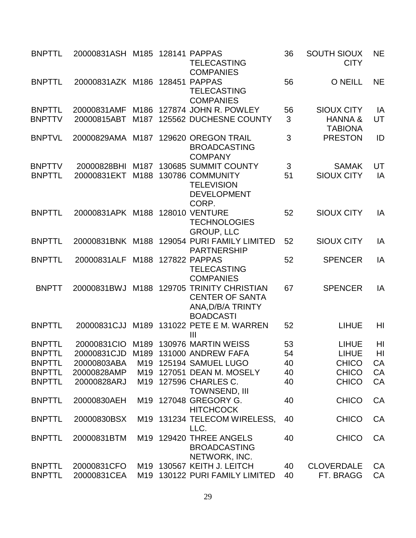| <b>BNPTTL</b>                  | 20000831ASH M185 128141 PAPPAS  |      | <b>TELECASTING</b><br><b>COMPANIES</b>                                                           | 36      | <b>SOUTH SIOUX</b><br><b>CITY</b>                         | <b>NE</b>      |
|--------------------------------|---------------------------------|------|--------------------------------------------------------------------------------------------------|---------|-----------------------------------------------------------|----------------|
| <b>BNPTTL</b>                  | 20000831AZK M186 128451         |      | <b>PAPPAS</b><br><b>TELECASTING</b><br><b>COMPANIES</b>                                          | 56      | <b>O NEILL</b>                                            | <b>NE</b>      |
| <b>BNPTTL</b><br><b>BNPTTV</b> | 20000831AMF<br>20000815ABT      |      | M186 127874 JOHN R. POWLEY<br>M187 125562 DUCHESNE COUNTY                                        | 56<br>3 | <b>SIOUX CITY</b><br><b>HANNA &amp;</b><br><b>TABIONA</b> | IA<br>UT       |
| <b>BNPTVL</b>                  | 20000829AMA                     | M187 | 129620 OREGON TRAIL<br><b>BROADCASTING</b><br><b>COMPANY</b>                                     | 3       | <b>PRESTON</b>                                            | ID             |
| <b>BNPTTV</b>                  | 20000828BHI                     |      | M187 130685 SUMMIT COUNTY                                                                        | 3       | <b>SAMAK</b>                                              | UT             |
| <b>BNPTTL</b>                  | 20000831EKT                     | M188 | 130786 COMMUNITY<br><b>TELEVISION</b><br><b>DEVELOPMENT</b><br>CORP.                             | 51      | <b>SIOUX CITY</b>                                         | IA             |
| <b>BNPTTL</b>                  | 20000831APK M188 128010 VENTURE |      | <b>TECHNOLOGIES</b><br><b>GROUP, LLC</b>                                                         | 52      | <b>SIOUX CITY</b>                                         | IA             |
| <b>BNPTTL</b>                  |                                 |      | 20000831BNK M188 129054 PURI FAMILY LIMITED<br><b>PARTNERSHIP</b>                                | 52      | <b>SIOUX CITY</b>                                         | IA             |
| <b>BNPTTL</b>                  | 20000831ALF                     |      | M188 127822 PAPPAS<br><b>TELECASTING</b><br><b>COMPANIES</b>                                     | 52      | <b>SPENCER</b>                                            | IA             |
| <b>BNPTT</b>                   | 20000831BWJ                     |      | M188 129705 TRINITY CHRISTIAN<br><b>CENTER OF SANTA</b><br>ANA, D/B/A TRINTY<br><b>BOADCASTI</b> | 67      | <b>SPENCER</b>                                            | IA             |
| <b>BNPTTL</b>                  | 20000831CJJ                     |      | M189 131022 PETE E M. WARREN<br>Ш                                                                | 52      | <b>LIHUE</b>                                              | H <sub>l</sub> |
| <b>BNPTTL</b>                  |                                 |      | 20000831CIO M189 130976 MARTIN WEISS                                                             | 53      | <b>LIHUE</b>                                              | HI             |
| <b>BNPTTL</b>                  | 20000831CJD                     |      | M189 131000 ANDREW FAFA                                                                          | 54      | <b>LIHUE</b>                                              | H <sub>l</sub> |
| <b>BNPTTL</b>                  | 20000803ABA                     |      | M19 125194 SAMUEL LUGO                                                                           | 40      | <b>CHICO</b>                                              | CA             |
| <b>BNPTTL</b>                  | 20000828AMP                     |      | M19 127051 DEAN M. MOSELY                                                                        | 40      | <b>CHICO</b>                                              | CA             |
| <b>BNPTTL</b>                  | 20000828ARJ                     |      | M19 127596 CHARLES C.<br>TOWNSEND, III                                                           | 40      | <b>CHICO</b>                                              | CA             |
| <b>BNPTTL</b>                  | 20000830AEH                     |      | M19 127048 GREGORY G.<br><b>HITCHCOCK</b>                                                        | 40      | <b>CHICO</b>                                              | CA             |
| <b>BNPTTL</b>                  | 20000830BSX                     |      | M19 131234 TELECOM WIRELESS,<br>LLC.                                                             | 40      | <b>CHICO</b>                                              | CA             |
| <b>BNPTTL</b>                  | 20000831BTM                     |      | M19 129420 THREE ANGELS<br><b>BROADCASTING</b><br>NETWORK, INC.                                  | 40      | <b>CHICO</b>                                              | CA             |
| <b>BNPTTL</b>                  | 20000831CFO                     |      | M19 130567 KEITH J. LEITCH                                                                       | 40      | <b>CLOVERDALE</b>                                         | CA             |
| <b>BNPTTL</b>                  | 20000831CEA                     | M19  | 130122 PURI FAMILY LIMITED                                                                       | 40      | FT. BRAGG                                                 | CA             |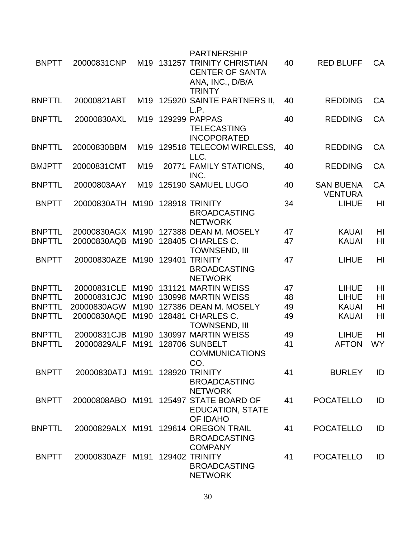|               |                                 |                  |        | <b>PARTNERSHIP</b>                                                                          |    |                                    |           |
|---------------|---------------------------------|------------------|--------|---------------------------------------------------------------------------------------------|----|------------------------------------|-----------|
| <b>BNPTT</b>  | 20000831CNP                     |                  |        | M19 131257 TRINITY CHRISTIAN<br><b>CENTER OF SANTA</b><br>ANA, INC., D/B/A<br><b>TRINTY</b> | 40 | <b>RED BLUFF</b>                   | <b>CA</b> |
| <b>BNPTTL</b> | 20000821ABT                     | M19              |        | 125920 SAINTE PARTNERS II,<br>L.P.                                                          | 40 | <b>REDDING</b>                     | CA        |
| <b>BNPTTL</b> | 20000830AXL                     | M <sub>19</sub>  |        | 129299 PAPPAS<br><b>TELECASTING</b><br><b>INCOPORATED</b>                                   | 40 | <b>REDDING</b>                     | CA        |
| <b>BNPTTL</b> | 20000830BBM                     |                  |        | M19 129518 TELECOM WIRELESS,<br>LLC.                                                        | 40 | <b>REDDING</b>                     | <b>CA</b> |
| <b>BMJPTT</b> | 20000831CMT                     | M <sub>19</sub>  |        | 20771 FAMILY STATIONS,<br>INC.                                                              | 40 | <b>REDDING</b>                     | CA        |
| <b>BNPTTL</b> | 20000803AAY                     | M <sub>19</sub>  |        | 125190 SAMUEL LUGO                                                                          | 40 | <b>SAN BUENA</b><br><b>VENTURA</b> | <b>CA</b> |
| <b>BNPTT</b>  | 20000830ATH                     | M190             |        | <b>128918 TRINITY</b><br><b>BROADCASTING</b><br><b>NETWORK</b>                              | 34 | <b>LIHUE</b>                       | HI        |
| <b>BNPTTL</b> | 20000830AGX M190                |                  |        | 127388 DEAN M. MOSELY                                                                       | 47 | <b>KAUAI</b>                       | HI        |
| <b>BNPTTL</b> | 20000830AQB                     | M190             |        | 128405 CHARLES C.<br><b>TOWNSEND, III</b>                                                   | 47 | <b>KAUAI</b>                       | HI        |
| <b>BNPTT</b>  | 20000830AZE                     | M190             | 129401 | <b>TRINITY</b><br><b>BROADCASTING</b><br><b>NETWORK</b>                                     | 47 | <b>LIHUE</b>                       | HI        |
| <b>BNPTTL</b> | 20000831CLE                     | M <sub>190</sub> | 131121 | <b>MARTIN WEISS</b>                                                                         | 47 | <b>LIHUE</b>                       | HI        |
| <b>BNPTTL</b> | 20000831CJC                     | M190             |        | 130998 MARTIN WEISS                                                                         | 48 | <b>LIHUE</b>                       | HI        |
| <b>BNPTTL</b> | 20000830AGW                     | M <sub>190</sub> |        | 127386 DEAN M. MOSELY                                                                       | 49 | <b>KAUAI</b>                       | HI        |
| <b>BNPTTL</b> | 20000830AQE                     | M190             |        | 128481 CHARLES C.<br><b>TOWNSEND, III</b>                                                   | 49 | <b>KAUAI</b>                       | HI        |
| <b>BNPTTL</b> | 20000831CJB                     | M190             |        | 130997 MARTIN WEISS                                                                         | 49 | <b>LIHUE</b>                       | HI        |
| <b>BNPTTL</b> | 20000829ALF                     | M <sub>191</sub> |        | <b>128706 SUNBELT</b><br><b>COMMUNICATIONS</b><br>CO.                                       | 41 | <b>AFTON</b>                       | <b>WY</b> |
| <b>BNPTT</b>  | 20000830ATJ M191 128920 TRINITY |                  |        | <b>BROADCASTING</b><br><b>NETWORK</b>                                                       | 41 | <b>BURLEY</b>                      | ID        |
| <b>BNPTT</b>  |                                 |                  |        | 20000808ABO M191 125497 STATE BOARD OF<br><b>EDUCATION, STATE</b><br><b>OF IDAHO</b>        | 41 | <b>POCATELLO</b>                   | ID        |
| <b>BNPTTL</b> |                                 |                  |        | 20000829ALX M191 129614 OREGON TRAIL<br><b>BROADCASTING</b><br><b>COMPANY</b>               | 41 | <b>POCATELLO</b>                   | ID        |
| <b>BNPTT</b>  | 20000830AZF M191 129402 TRINITY |                  |        | <b>BROADCASTING</b><br><b>NETWORK</b>                                                       | 41 | <b>POCATELLO</b>                   | ID        |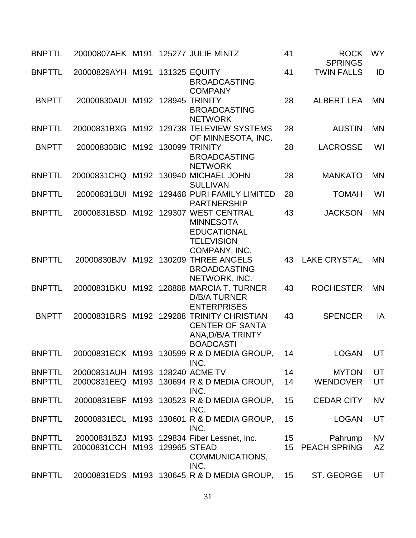| <b>BNPTTL</b>                  | 20000807AEK M191 125277 JULIE MINTZ |  |                                                                                                              | 41 | <b>ROCK</b><br><b>SPRINGS</b> | <b>WY</b>       |
|--------------------------------|-------------------------------------|--|--------------------------------------------------------------------------------------------------------------|----|-------------------------------|-----------------|
| <b>BNPTTL</b>                  | 20000829AYH M191 131325 EQUITY      |  | <b>BROADCASTING</b><br><b>COMPANY</b>                                                                        | 41 | <b>TWIN FALLS</b>             | ID              |
| <b>BNPTT</b>                   | 20000830AUI M192 128945 TRINITY     |  | <b>BROADCASTING</b><br><b>NETWORK</b>                                                                        | 28 | <b>ALBERT LEA</b>             | <b>MN</b>       |
| <b>BNPTTL</b>                  |                                     |  | 20000831BXG M192 129738 TELEVIEW SYSTEMS<br>OF MINNESOTA, INC.                                               | 28 | <b>AUSTIN</b>                 | <b>MN</b>       |
| <b>BNPTT</b>                   | 20000830BIC                         |  | M192 130099 TRINITY<br><b>BROADCASTING</b><br><b>NETWORK</b>                                                 | 28 | <b>LACROSSE</b>               | WI              |
| <b>BNPTTL</b>                  |                                     |  | 20000831CHQ M192 130940 MICHAEL JOHN<br><b>SULLIVAN</b>                                                      | 28 | <b>MANKATO</b>                | <b>MN</b>       |
| <b>BNPTTL</b>                  |                                     |  | 20000831BUI M192 129468 PURI FAMILY LIMITED<br><b>PARTNERSHIP</b>                                            | 28 | <b>TOMAH</b>                  | WI              |
| <b>BNPTTL</b>                  | 20000831BSD                         |  | M192 129307 WEST CENTRAL<br><b>MINNESOTA</b><br><b>EDUCATIONAL</b><br><b>TELEVISION</b><br>COMPANY, INC.     | 43 | <b>JACKSON</b>                | <b>MN</b>       |
| <b>BNPTTL</b>                  |                                     |  | 20000830BJV M192 130209 THREE ANGELS<br><b>BROADCASTING</b><br>NETWORK, INC.                                 | 43 | <b>LAKE CRYSTAL</b>           | <b>MN</b>       |
| <b>BNPTTL</b>                  | 20000831BKU                         |  | M192 128888 MARCIA T. TURNER<br><b>D/B/A TURNER</b><br><b>ENTERPRISES</b>                                    | 43 | <b>ROCHESTER</b>              | <b>MN</b>       |
| <b>BNPTT</b>                   |                                     |  | 20000831BRS M192 129288 TRINITY CHRISTIAN<br><b>CENTER OF SANTA</b><br>ANA, D/B/A TRINTY<br><b>BOADCASTI</b> | 43 | <b>SPENCER</b>                | IA              |
| <b>BNPTTL</b>                  |                                     |  | 20000831ECK M193 130599 R & D MEDIA GROUP,<br>INC.                                                           | 14 | LOGAN UT                      |                 |
| <b>BNPTTL</b>                  | 20000831AUH M193 128240 ACME TV     |  |                                                                                                              | 14 | <b>MYTON</b>                  | UT              |
| <b>BNPTTL</b>                  |                                     |  | 20000831EEQ M193 130694 R & D MEDIA GROUP,<br>INC.                                                           | 14 | <b>WENDOVER</b>               | UT              |
| <b>BNPTTL</b>                  |                                     |  | 20000831EBF M193 130523 R & D MEDIA GROUP,<br>INC.                                                           | 15 | <b>CEDAR CITY</b>             | <b>NV</b>       |
| <b>BNPTTL</b>                  |                                     |  | 20000831ECL M193 130601 R & D MEDIA GROUP,<br>INC.                                                           | 15 | <b>LOGAN</b>                  | UT              |
| <b>BNPTTL</b><br><b>BNPTTL</b> | 20000831CCH M193 129965 STEAD       |  | 20000831BZJ M193 129834 Fiber Lessnet, Inc.<br>COMMUNICATIONS,<br>INC.                                       | 15 | Pahrump<br>15 PEACH SPRING    | <b>NV</b><br>AZ |
| <b>BNPTTL</b>                  |                                     |  | 20000831EDS M193 130645 R & D MEDIA GROUP,                                                                   | 15 | ST. GEORGE                    | UT              |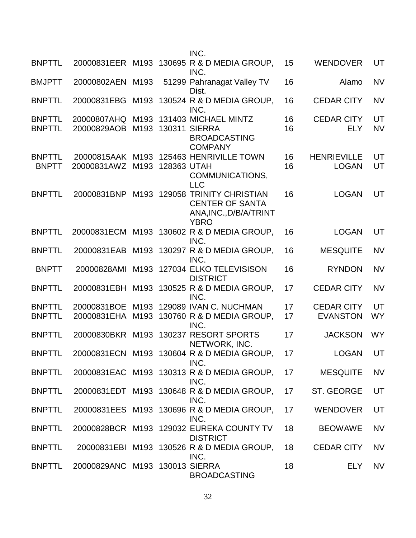|                                |                                |              |             | INC.                                                                                             |                 |                                      |                 |
|--------------------------------|--------------------------------|--------------|-------------|--------------------------------------------------------------------------------------------------|-----------------|--------------------------------------|-----------------|
| <b>BNPTTL</b>                  | 20000831EER M193               |              |             | 130695 R & D MEDIA GROUP,<br>INC.                                                                | 15              | <b>WENDOVER</b>                      | UT              |
| <b>BMJPTT</b>                  | 20000802AEN M193               |              |             | 51299 Pahranagat Valley TV<br>Dist.                                                              | 16              | Alamo                                | <b>NV</b>       |
| <b>BNPTTL</b>                  | 20000831EBG                    | M193         |             | 130524 R & D MEDIA GROUP,<br>INC.                                                                | 16              | <b>CEDAR CITY</b>                    | <b>NV</b>       |
| <b>BNPTTL</b><br><b>BNPTTL</b> | 20000807AHQ<br>20000829AOB     | M193<br>M193 |             | 131403 MICHAEL MINTZ<br><b>130311 SIERRA</b><br><b>BROADCASTING</b><br><b>COMPANY</b>            | 16<br>16        | <b>CEDAR CITY</b><br><b>ELY</b>      | UT<br><b>NV</b> |
| <b>BNPTTL</b><br><b>BNPTT</b>  | 20000831AWZ                    | M193         | 128363 UTAH | 20000815AAK M193 125463 HENRIVILLE TOWN<br>COMMUNICATIONS,<br><b>LLC</b>                         | 16<br>16        | <b>HENRIEVILLE</b><br><b>LOGAN</b>   | UT<br>UT        |
| <b>BNPTTL</b>                  | 20000831BNP                    |              |             | M193 129058 TRINITY CHRISTIAN<br><b>CENTER OF SANTA</b><br>ANA, INC., D/B/A/TRINT<br><b>YBRO</b> | 16              | <b>LOGAN</b>                         | UT              |
| <b>BNPTTL</b>                  | 20000831ECM                    |              |             | M193 130602 R & D MEDIA GROUP,<br>INC.                                                           | 16              | <b>LOGAN</b>                         | UT              |
| <b>BNPTTL</b>                  | 20000831EAB                    | M193         |             | 130297 R & D MEDIA GROUP,<br>INC.                                                                | 16              | <b>MESQUITE</b>                      | <b>NV</b>       |
| <b>BNPTT</b>                   | 20000828AMI                    |              |             | M193 127034 ELKO TELEVISISON<br><b>DISTRICT</b>                                                  | 16              | <b>RYNDON</b>                        | <b>NV</b>       |
| <b>BNPTTL</b>                  | 20000831EBH                    |              |             | M193 130525 R & D MEDIA GROUP,<br>INC.                                                           | 17              | <b>CEDAR CITY</b>                    | <b>NV</b>       |
| <b>BNPTTL</b><br><b>BNPTTL</b> | 20000831BOE<br>20000831EHA     | M193<br>M193 |             | 129089 IVAN C. NUCHMAN<br>130760 R & D MEDIA GROUP,<br>INC.                                      | 17<br>17        | <b>CEDAR CITY</b><br><b>EVANSTON</b> | UT<br><b>WY</b> |
| <b>BNPTTL</b>                  |                                |              |             | 20000830BKR M193 130237 RESORT SPORTS<br>NETWORK, INC.                                           | 17              | <b>JACKSON</b>                       | <b>WY</b>       |
| <b>BNPTTI</b>                  |                                |              |             | 20000831ECN M193 130604 R & D MEDIA GROUP<br>INC.                                                | 17              | <b>LOGAN</b>                         | UT              |
| <b>BNPTTL</b>                  |                                |              |             | 20000831EAC M193 130313 R & D MEDIA GROUP,<br>INC.                                               | 17              | <b>MESQUITE</b>                      | <b>NV</b>       |
| <b>BNPTTL</b>                  |                                |              |             | 20000831EDT M193 130648 R & D MEDIA GROUP,<br>INC.                                               | 17 <sup>2</sup> | ST. GEORGE                           | UT              |
| <b>BNPTTL</b>                  |                                |              |             | 20000831EES M193 130696 R & D MEDIA GROUP,<br>INC.                                               | 17              | <b>WENDOVER</b>                      | UT              |
| <b>BNPTTL</b>                  |                                |              |             | 20000828BCR M193 129032 EUREKA COUNTY TV<br><b>DISTRICT</b>                                      | 18              | <b>BEOWAWE</b>                       | <b>NV</b>       |
| <b>BNPTTL</b>                  |                                |              |             | 20000831EBI M193 130526 R & D MEDIA GROUP,<br>INC.                                               | 18              | <b>CEDAR CITY</b>                    | <b>NV</b>       |
| <b>BNPTTL</b>                  | 20000829ANC M193 130013 SIERRA |              |             | <b>BROADCASTING</b>                                                                              | 18              | <b>ELY</b>                           | <b>NV</b>       |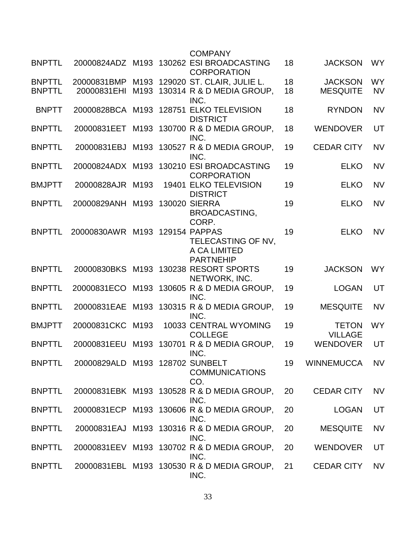|               |                                 |      | <b>COMPANY</b>                                                 |    |                                |           |
|---------------|---------------------------------|------|----------------------------------------------------------------|----|--------------------------------|-----------|
| <b>BNPTTL</b> |                                 |      | 20000824ADZ M193 130262 ESI BROADCASTING<br><b>CORPORATION</b> | 18 | <b>JACKSON</b>                 | <b>WY</b> |
| <b>BNPTTL</b> | 20000831BMP                     |      | M193 129020 ST. CLAIR, JULIE L.                                | 18 | <b>JACKSON</b>                 | <b>WY</b> |
| <b>BNPTTL</b> | 20000831EHI                     |      | M193 130314 R & D MEDIA GROUP,<br>INC.                         | 18 | <b>MESQUITE</b>                | <b>NV</b> |
| <b>BNPTT</b>  |                                 |      | 20000828BCA M193 128751 ELKO TELEVISION<br><b>DISTRICT</b>     | 18 | <b>RYNDON</b>                  | <b>NV</b> |
| <b>BNPTTL</b> | 20000831EET                     |      | M193 130700 R & D MEDIA GROUP,<br>INC.                         | 18 | <b>WENDOVER</b>                | UT        |
| <b>BNPTTL</b> | 20000831EBJ                     |      | M193 130527 R & D MEDIA GROUP,<br>INC.                         | 19 | <b>CEDAR CITY</b>              | <b>NV</b> |
| <b>BNPTTL</b> |                                 |      | 20000824ADX M193 130210 ESI BROADCASTING<br><b>CORPORATION</b> | 19 | <b>ELKO</b>                    | <b>NV</b> |
| <b>BMJPTT</b> | 20000828AJR M193                |      | 19401 ELKO TELEVISION<br><b>DISTRICT</b>                       | 19 | <b>ELKO</b>                    | <b>NV</b> |
| <b>BNPTTL</b> | 20000829ANH                     |      | M193 130020 SIERRA                                             | 19 | <b>ELKO</b>                    | <b>NV</b> |
|               |                                 |      | BROADCASTING,<br>CORP.                                         |    |                                |           |
| <b>BNPTTL</b> | 20000830AWR M193 129154 PAPPAS  |      | TELECASTING OF NV,                                             | 19 | <b>ELKO</b>                    | <b>NV</b> |
|               |                                 |      | A CA LIMITED<br><b>PARTNEHIP</b>                               |    |                                |           |
| <b>BNPTTL</b> |                                 |      | 20000830BKS M193 130238 RESORT SPORTS<br>NETWORK, INC.         | 19 | <b>JACKSON</b>                 | <b>WY</b> |
| <b>BNPTTL</b> | 20000831ECO                     |      | M193 130605 R & D MEDIA GROUP,<br>INC.                         | 19 | <b>LOGAN</b>                   | UT        |
| <b>BNPTTL</b> | 20000831EAE                     | M193 | 130315 R & D MEDIA GROUP,<br>INC.                              | 19 | <b>MESQUITE</b>                | <b>NV</b> |
| <b>BMJPTT</b> | 20000831CKC                     | M193 | 10033 CENTRAL WYOMING<br><b>COLLEGE</b>                        | 19 | <b>TETON</b><br><b>VILLAGE</b> | <b>WY</b> |
| <b>BNPTTL</b> | 20000831EEU                     |      | M193 130701 R & D MEDIA GROUP,<br>INC.                         | 19 | <b>WENDOVER</b>                | UT        |
| <b>BNPTTL</b> | 20000829ALD M193 128702 SUNBELT |      | <b>COMMUNICATIONS</b><br>CO.                                   | 19 | <b>WINNEMUCCA</b>              | <b>NV</b> |
| <b>BNPTTL</b> |                                 |      | 20000831EBK M193 130528 R & D MEDIA GROUP,<br>INC.             | 20 | <b>CEDAR CITY</b>              | <b>NV</b> |
| <b>BNPTTL</b> |                                 |      | 20000831ECP M193 130606 R & D MEDIA GROUP,<br>INC.             | 20 | <b>LOGAN</b>                   | UT        |
| <b>BNPTTL</b> |                                 |      | 20000831EAJ M193 130316 R & D MEDIA GROUP,<br>INC.             | 20 | <b>MESQUITE</b>                | <b>NV</b> |
| <b>BNPTTL</b> |                                 |      | 20000831EEV M193 130702 R & D MEDIA GROUP,<br>INC.             | 20 | <b>WENDOVER</b>                | UT        |
| <b>BNPTTL</b> |                                 |      | 20000831EBL M193 130530 R & D MEDIA GROUP,<br>INC.             | 21 | <b>CEDAR CITY</b>              | <b>NV</b> |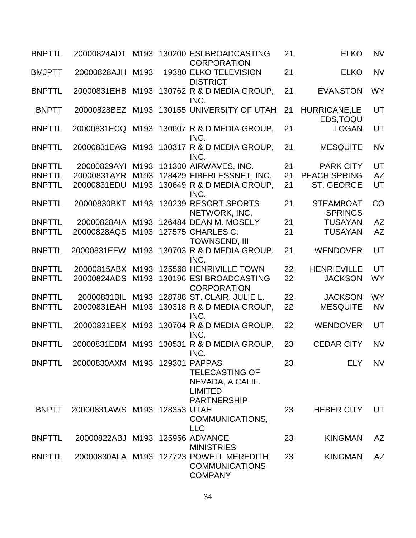| <b>BNPTTL</b> |                                 |                  | 20000824ADT M193 130200 ESI BROADCASTING<br><b>CORPORATION</b>                     | 21 | <b>ELKO</b>                        | <b>NV</b> |
|---------------|---------------------------------|------------------|------------------------------------------------------------------------------------|----|------------------------------------|-----------|
| <b>BMJPTT</b> | 20000828AJH                     | M <sub>193</sub> | 19380 ELKO TELEVISION<br><b>DISTRICT</b>                                           | 21 | <b>ELKO</b>                        | <b>NV</b> |
| <b>BNPTTL</b> | 20000831EHB                     | M193             | 130762 R & D MEDIA GROUP,<br>INC.                                                  | 21 | <b>EVANSTON</b>                    | <b>WY</b> |
| <b>BNPTT</b>  |                                 |                  | 20000828BEZ M193 130155 UNIVERSITY OF UTAH                                         | 21 | <b>HURRICANE,LE</b><br>EDS, TOQU   | UT        |
| <b>BNPTTL</b> |                                 |                  | 20000831ECQ M193 130607 R & D MEDIA GROUP,<br>INC.                                 | 21 | <b>LOGAN</b>                       | UT        |
| <b>BNPTTL</b> | 20000831EAG                     |                  | M193 130317 R & D MEDIA GROUP,<br>INC.                                             | 21 | <b>MESQUITE</b>                    | <b>NV</b> |
| <b>BNPTTL</b> | 20000829AYI                     |                  | M193 131300 AIRWAVES, INC.                                                         | 21 | <b>PARK CITY</b>                   | UT        |
| <b>BNPTTL</b> | 20000831AYR                     |                  | M193 128429 FIBERLESSNET, INC.                                                     | 21 | <b>PEACH SPRING</b>                | <b>AZ</b> |
| <b>BNPTTL</b> | 20000831EDU                     |                  | M193 130649 R & D MEDIA GROUP,                                                     | 21 | ST. GEORGE                         | UT        |
|               |                                 |                  | INC.                                                                               |    |                                    |           |
| <b>BNPTTL</b> | 20000830BKT                     |                  | M193 130239 RESORT SPORTS<br>NETWORK, INC.                                         | 21 | <b>STEAMBOAT</b><br><b>SPRINGS</b> | CO        |
| <b>BNPTTL</b> | 20000828AIA                     |                  | M193 126484 DEAN M. MOSELY                                                         | 21 | <b>TUSAYAN</b>                     | <b>AZ</b> |
| <b>BNPTTL</b> | 20000828AQS                     |                  | M193 127575 CHARLES C.<br>TOWNSEND, III                                            | 21 | <b>TUSAYAN</b>                     | <b>AZ</b> |
| <b>BNPTTL</b> | 20000831EEW                     |                  | M193 130703 R & D MEDIA GROUP,<br>INC.                                             | 21 | <b>WENDOVER</b>                    | UT        |
| <b>BNPTTL</b> | 20000815ABX                     | M193             | 125568 HENRIVILLE TOWN                                                             | 22 | <b>HENRIEVILLE</b>                 | UT        |
| <b>BNPTTL</b> | 20000824ADS                     |                  | M193 130196 ESI BROADCASTING<br><b>CORPORATION</b>                                 | 22 | <b>JACKSON</b>                     | <b>WY</b> |
| <b>BNPTTL</b> | 20000831BIL                     |                  | M193 128788 ST. CLAIR, JULIE L.                                                    | 22 | <b>JACKSON</b>                     | <b>WY</b> |
| <b>BNPTTL</b> | 20000831EAH                     | M193             | 130318 R & D MEDIA GROUP,<br>INC.                                                  | 22 | <b>MESQUITE</b>                    | <b>NV</b> |
| <b>BNPTTL</b> |                                 |                  | 20000831EEX M193 130704 R & D MEDIA GROUP,<br>INC.                                 | 22 | <b>WENDOVER</b>                    | UT        |
| <b>BNPTTL</b> |                                 |                  | 20000831EBM M193 130531 R & D MEDIA GROUP,<br>INC.                                 | 23 | <b>CEDAR CITY</b>                  | <b>NV</b> |
| <b>BNPTTL</b> | 20000830AXM M193 129301         |                  | <b>PAPPAS</b><br><b>TELECASTING OF</b><br>NEVADA, A CALIF.<br><b>LIMITED</b>       | 23 | <b>ELY</b>                         | <b>NV</b> |
| <b>BNPTT</b>  | 20000831AWS M193 128353 UTAH    |                  | <b>PARTNERSHIP</b><br>COMMUNICATIONS,<br><b>LLC</b>                                | 23 | <b>HEBER CITY</b>                  | UT        |
| <b>BNPTTL</b> | 20000822ABJ M193 125956 ADVANCE |                  | <b>MINISTRIES</b>                                                                  | 23 | <b>KINGMAN</b>                     | AZ        |
| <b>BNPTTL</b> |                                 |                  | 20000830ALA M193 127723 POWELL MEREDITH<br><b>COMMUNICATIONS</b><br><b>COMPANY</b> | 23 | <b>KINGMAN</b>                     | <b>AZ</b> |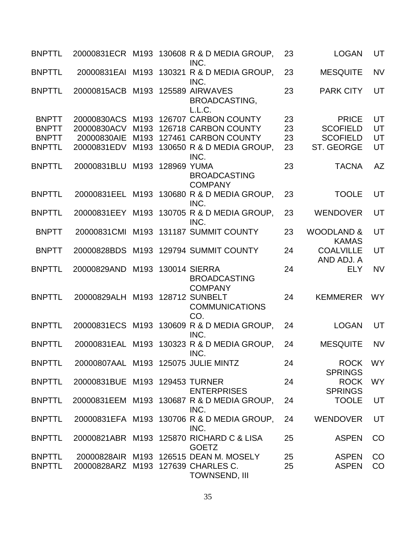| <b>BNPTTL</b>                                                 |                                                          |                  | 20000831ECR M193 130608 R & D MEDIA GROUP,<br>INC.                                                                            | 23                   | <b>LOGAN</b>                                                     | UT                   |
|---------------------------------------------------------------|----------------------------------------------------------|------------------|-------------------------------------------------------------------------------------------------------------------------------|----------------------|------------------------------------------------------------------|----------------------|
| <b>BNPTTL</b>                                                 | 20000831EAI                                              |                  | M193 130321 R & D MEDIA GROUP,<br>INC.                                                                                        | 23                   | <b>MESQUITE</b>                                                  | <b>NV</b>            |
| <b>BNPTTL</b>                                                 | 20000815ACB M193 125589 AIRWAVES                         |                  | <b>BROADCASTING,</b><br>L.L.C.                                                                                                | 23                   | <b>PARK CITY</b>                                                 | UT                   |
| <b>BNPTT</b><br><b>BNPTT</b><br><b>BNPTT</b><br><b>BNPTTL</b> | 20000830ACS<br>20000830ACV<br>20000830AIE<br>20000831EDV |                  | M193 126707 CARBON COUNTY<br>M193 126718 CARBON COUNTY<br>M193 127461 CARBON COUNTY<br>M193 130650 R & D MEDIA GROUP,<br>INC. | 23<br>23<br>23<br>23 | <b>PRICE</b><br><b>SCOFIELD</b><br><b>SCOFIELD</b><br>ST. GEORGE | UT<br>UT<br>UT<br>UT |
| <b>BNPTTL</b>                                                 | 20000831BLU                                              | M193 128969 YUMA | <b>BROADCASTING</b><br><b>COMPANY</b>                                                                                         | 23                   | <b>TACNA</b>                                                     | <b>AZ</b>            |
| <b>BNPTTL</b>                                                 |                                                          |                  | 20000831EEL M193 130680 R & D MEDIA GROUP,<br>INC.                                                                            | 23                   | <b>TOOLE</b>                                                     | UT                   |
| <b>BNPTTL</b>                                                 |                                                          |                  | 20000831EEY M193 130705 R & D MEDIA GROUP,<br>INC.                                                                            | 23                   | <b>WENDOVER</b>                                                  | UT                   |
| <b>BNPTT</b>                                                  | 20000831CMI                                              |                  | M193 131187 SUMMIT COUNTY                                                                                                     | 23                   | <b>WOODLAND &amp;</b><br><b>KAMAS</b>                            | UT                   |
| <b>BNPTT</b>                                                  |                                                          |                  | 20000828BDS M193 129794 SUMMIT COUNTY                                                                                         | 24                   | <b>COALVILLE</b><br>AND ADJ. A                                   | UT                   |
| <b>BNPTTL</b>                                                 | 20000829AND                                              |                  | M193 130014 SIERRA<br><b>BROADCASTING</b><br><b>COMPANY</b>                                                                   | 24                   | <b>ELY</b>                                                       | <b>NV</b>            |
| <b>BNPTTL</b>                                                 | 20000829ALH                                              |                  | M193 128712 SUNBELT<br><b>COMMUNICATIONS</b><br>CO.                                                                           | 24                   | <b>KEMMERER</b>                                                  | <b>WY</b>            |
| <b>BNPTTL</b>                                                 |                                                          |                  | 20000831ECS M193 130609 R & D MEDIA GROUP,<br>INC.                                                                            | 24                   | <b>LOGAN</b>                                                     | UT                   |
| <b>BNPTTL</b>                                                 |                                                          |                  | 20000831EAL M193 130323 R & D MEDIA GROUP,<br>INC.                                                                            | 24                   | <b>MESQUITE</b>                                                  | <b>NV</b>            |
| <b>BNPTTL</b>                                                 | 20000807AAL M193 125075 JULIE MINTZ                      |                  |                                                                                                                               | 24                   | <b>ROCK</b><br><b>SPRINGS</b>                                    | <b>WY</b>            |
| <b>BNPTTL</b>                                                 | 20000831BUE M193 129453 TURNER                           |                  | <b>ENTERPRISES</b>                                                                                                            | 24                   | <b>ROCK</b><br><b>SPRINGS</b>                                    | <b>WY</b>            |
| <b>BNPTTL</b>                                                 |                                                          |                  | 20000831EEM M193 130687 R & D MEDIA GROUP,<br>INC.                                                                            | 24                   | <b>TOOLE</b>                                                     | UT                   |
| <b>BNPTTL</b>                                                 |                                                          |                  | 20000831EFA M193 130706 R & D MEDIA GROUP,<br>INC.                                                                            | 24                   | <b>WENDOVER</b>                                                  | UT                   |
| <b>BNPTTL</b>                                                 |                                                          |                  | 20000821ABR M193 125870 RICHARD C & LISA<br><b>GOETZ</b>                                                                      | 25                   | <b>ASPEN</b>                                                     | CO                   |
| <b>BNPTTL</b><br><b>BNPTTL</b>                                | 20000828ARZ M193 127639 CHARLES C.                       |                  | 20000828AIR M193 126515 DEAN M. MOSELY<br><b>TOWNSEND, III</b>                                                                | 25<br>25             | <b>ASPEN</b><br><b>ASPEN</b>                                     | CO<br>CO             |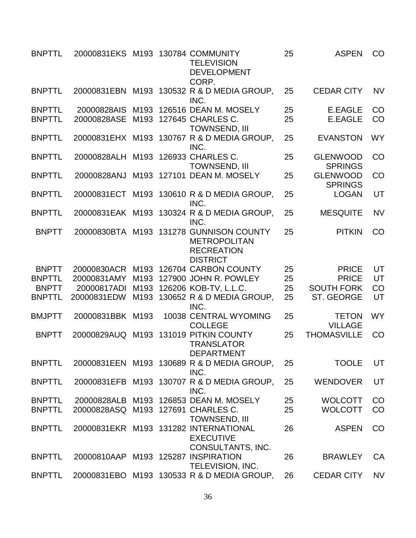| <b>BNPTTL</b> | 20000831EKS M193 130784 COMMUNITY   |      | <b>TELEVISION</b><br><b>DEVELOPMENT</b><br>CORP.                                                       | 25 | <b>ASPEN</b>                      | CO        |
|---------------|-------------------------------------|------|--------------------------------------------------------------------------------------------------------|----|-----------------------------------|-----------|
| <b>BNPTTL</b> |                                     |      | 20000831EBN M193 130532 R & D MEDIA GROUP,<br>INC.                                                     | 25 | <b>CEDAR CITY</b>                 | <b>NV</b> |
| <b>BNPTTL</b> | 20000828AIS M193                    |      | 126516 DEAN M. MOSELY                                                                                  | 25 | <b>E.EAGLE</b>                    | CO        |
| <b>BNPTTL</b> | 20000828ASE                         | M193 | 127645 CHARLES C.<br><b>TOWNSEND, III</b>                                                              | 25 | <b>E.EAGLE</b>                    | CO        |
| <b>BNPTTL</b> |                                     |      | 20000831EHX M193 130767 R & D MEDIA GROUP,<br>INC.                                                     | 25 | <b>EVANSTON</b>                   | <b>WY</b> |
| <b>BNPTTL</b> | 20000828ALH M193                    |      | 126933 CHARLES C.<br><b>TOWNSEND, III</b>                                                              | 25 | <b>GLENWOOD</b><br><b>SPRINGS</b> | CO        |
| <b>BNPTTL</b> | 20000828ANJ                         |      | M193 127101 DEAN M. MOSELY                                                                             | 25 | <b>GLENWOOD</b><br><b>SPRINGS</b> | CO        |
| <b>BNPTTL</b> |                                     |      | 20000831ECT M193 130610 R & D MEDIA GROUP,<br>INC.                                                     | 25 | <b>LOGAN</b>                      | UT        |
| <b>BNPTTL</b> |                                     |      | 20000831EAK M193 130324 R & D MEDIA GROUP,<br>INC.                                                     | 25 | <b>MESQUITE</b>                   | <b>NV</b> |
| <b>BNPTT</b>  |                                     |      | 20000830BTA M193 131278 GUNNISON COUNTY<br><b>METROPOLITAN</b><br><b>RECREATION</b><br><b>DISTRICT</b> | 25 | <b>PITKIN</b>                     | CO        |
| <b>BNPTT</b>  |                                     |      | 20000830ACR M193 126704 CARBON COUNTY                                                                  | 25 | <b>PRICE</b>                      | UT        |
| <b>BNPTTL</b> | 20000831AMY                         | M193 | 127900 JOHN R. POWLEY                                                                                  | 25 | <b>PRICE</b>                      | UT        |
| <b>BNPTT</b>  | 20000817ADI                         | M193 | 126206 KOB-TV, L.L.C.                                                                                  | 25 | <b>SOUTH FORK</b>                 | CO        |
| <b>BNPTTL</b> | 20000831EDW                         |      | M193 130652 R & D MEDIA GROUP,<br>INC.                                                                 | 25 | ST. GEORGE                        | UT        |
| <b>BMJPTT</b> | 20000831BBK M193                    |      | 10038 CENTRAL WYOMING<br><b>COLLEGE</b>                                                                | 25 | <b>TETON</b><br><b>VILLAGE</b>    | <b>WY</b> |
| <b>BNPTT</b>  | 20000829AUQ                         | M193 | 131019 PITKIN COUNTY<br><b>TRANSLATOR</b><br><b>DEPARTMENT</b>                                         | 25 | <b>THOMASVILLE</b>                | CO        |
| <b>BNPTTL</b> |                                     |      | 20000831EEN M193 130689 R & D MEDIA GROUP,<br>INC.                                                     | 25 | <b>TOOLE</b>                      | UT        |
| <b>BNPTTL</b> |                                     |      | 20000831EFB M193 130707 R & D MEDIA GROUP,<br>INC.                                                     | 25 | <b>WENDOVER</b>                   | UT        |
| <b>BNPTTL</b> |                                     |      | 20000828ALB M193 126853 DEAN M. MOSELY                                                                 | 25 | <b>WOLCOTT</b>                    | CO        |
| <b>BNPTTL</b> | 20000828ASQ M193 127691 CHARLES C.  |      | <b>TOWNSEND, III</b>                                                                                   | 25 | <b>WOLCOTT</b>                    | CO        |
| <b>BNPTTL</b> |                                     |      | 20000831EKR M193 131282 INTERNATIONAL<br><b>EXECUTIVE</b><br>CONSULTANTS, INC.                         | 26 | <b>ASPEN</b>                      | CO        |
| <b>BNPTTL</b> | 20000810AAP M193 125287 INSPIRATION |      | <b>TELEVISION, INC.</b>                                                                                | 26 | <b>BRAWLEY</b>                    | CA        |
| <b>BNPTTL</b> |                                     |      | 20000831EBO M193 130533 R & D MEDIA GROUP,                                                             | 26 | <b>CEDAR CITY</b>                 | <b>NV</b> |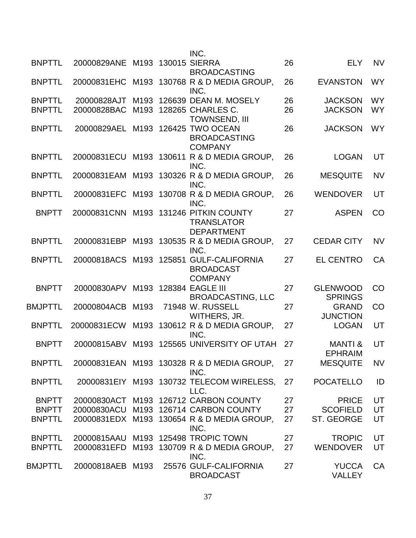|                |                         |      | INC.                                                                |    |                                      |           |
|----------------|-------------------------|------|---------------------------------------------------------------------|----|--------------------------------------|-----------|
| <b>BNPTTL</b>  | 20000829ANE             |      | M193 130015 SIERRA<br><b>BROADCASTING</b>                           | 26 | <b>ELY</b>                           | <b>NV</b> |
| <b>BNPTTL</b>  |                         |      | 20000831EHC M193 130768 R & D MEDIA GROUP,<br>INC.                  | 26 | <b>EVANSTON</b>                      | <b>WY</b> |
| <b>BNPTTL</b>  | 20000828AJT             | M193 | 126639 DEAN M. MOSELY                                               | 26 | <b>JACKSON</b>                       | <b>WY</b> |
| <b>BNPTTL</b>  | 20000828BAC             | M193 | 128265 CHARLES C.<br><b>TOWNSEND, III</b>                           | 26 | <b>JACKSON</b>                       | <b>WY</b> |
| <b>BNPTTL</b>  | 20000829AEL             | M193 | 126425 TWO OCEAN<br><b>BROADCASTING</b><br><b>COMPANY</b>           | 26 | <b>JACKSON</b>                       | <b>WY</b> |
| <b>BNPTTL</b>  | 20000831ECU             |      | M193 130611 R & D MEDIA GROUP,<br>INC.                              | 26 | <b>LOGAN</b>                         | UT        |
| <b>BNPTTL</b>  | 20000831EAM             | M193 | 130326 R & D MEDIA GROUP,<br>INC.                                   | 26 | <b>MESQUITE</b>                      | <b>NV</b> |
| <b>BNPTTL</b>  | 20000831EFC             |      | M193 130708 R & D MEDIA GROUP,<br>INC.                              | 26 | <b>WENDOVER</b>                      | UT        |
| <b>BNPTT</b>   | 20000831CNN             |      | M193 131246 PITKIN COUNTY<br><b>TRANSLATOR</b><br><b>DEPARTMENT</b> | 27 | <b>ASPEN</b>                         | CO        |
| <b>BNPTTL</b>  | 20000831EBP             |      | M193 130535 R & D MEDIA GROUP,<br>INC.                              | 27 | <b>CEDAR CITY</b>                    | <b>NV</b> |
| <b>BNPTTL</b>  | 20000818ACS M193 125851 |      | <b>GULF-CALIFORNIA</b><br><b>BROADCAST</b><br><b>COMPANY</b>        | 27 | <b>EL CENTRO</b>                     | CA        |
| <b>BNPTT</b>   | 20000830APV             | M193 | <b>128384 EAGLE III</b><br><b>BROADCASTING, LLC</b>                 | 27 | <b>GLENWOOD</b><br><b>SPRINGS</b>    | CO        |
| <b>BMJPTTL</b> | 20000804ACB             | M193 | 71948 W. RUSSELL<br>WITHERS, JR.                                    | 27 | <b>GRAND</b><br><b>JUNCTION</b>      | CO        |
| <b>BNPTTL</b>  | 20000831ECW             | M193 | 130612 R & D MEDIA GROUP,<br>INC.                                   | 27 | <b>LOGAN</b>                         | UT        |
| <b>BNPTT</b>   | 20000815ABV             | M193 | 125565 UNIVERSITY OF UTAH                                           | 27 | <b>MANTI &amp;</b><br><b>EPHRAIM</b> | UT        |
| <b>BNPTTL</b>  |                         |      | 20000831EAN M193 130328 R & D MEDIA GROUP,<br>INC.                  | 27 | <b>MESQUITE</b>                      | <b>NV</b> |
| <b>BNPTTL</b>  |                         |      | 20000831EIY M193 130732 TELECOM WIRELESS,<br>LLC.                   | 27 | <b>POCATELLO</b>                     | ID        |
| <b>BNPTT</b>   |                         |      | 20000830ACT M193 126712 CARBON COUNTY                               | 27 | <b>PRICE</b>                         | UT        |
| <b>BNPTT</b>   |                         |      | 20000830ACU M193 126714 CARBON COUNTY                               | 27 | <b>SCOFIELD</b>                      | UT        |
| <b>BNPTTL</b>  |                         |      | 20000831EDX M193 130654 R & D MEDIA GROUP,<br>INC.                  | 27 | ST. GEORGE                           | UT        |
| <b>BNPTTL</b>  |                         |      | 20000815AAU M193 125498 TROPIC TOWN                                 | 27 | <b>TROPIC</b>                        | UT        |
| <b>BNPTTL</b>  | 20000831EFD             |      | M193 130709 R & D MEDIA GROUP,<br>INC.                              | 27 | <b>WENDOVER</b>                      | UT        |
| BMJPTTL        | 20000818AEB M193        |      | 25576 GULF-CALIFORNIA<br><b>BROADCAST</b>                           | 27 | <b>YUCCA</b><br><b>VALLEY</b>        | CA        |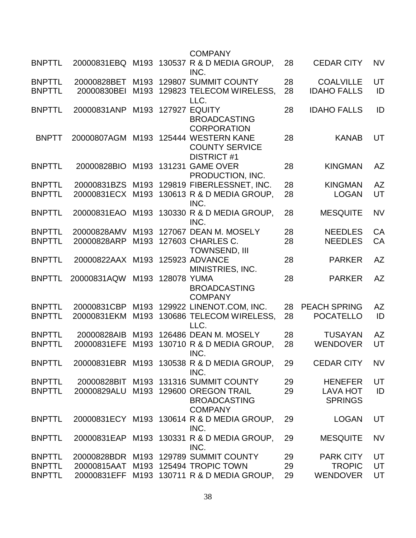|               |                                 |      |                  | <b>COMPANY</b>                                                                      |    |                            |           |
|---------------|---------------------------------|------|------------------|-------------------------------------------------------------------------------------|----|----------------------------|-----------|
| <b>BNPTTL</b> |                                 |      |                  | 20000831EBQ M193 130537 R & D MEDIA GROUP,<br>INC.                                  | 28 | <b>CEDAR CITY</b>          | <b>NV</b> |
| <b>BNPTTL</b> | 20000828BET                     |      |                  | M193 129807 SUMMIT COUNTY                                                           | 28 | <b>COALVILLE</b>           | UT        |
| <b>BNPTTL</b> | 20000830BEI                     |      |                  | M193 129823 TELECOM WIRELESS,<br>LLC.                                               | 28 | <b>IDAHO FALLS</b>         | ID        |
| <b>BNPTTL</b> | 20000831ANP                     | M193 |                  | <b>127927 EQUITY</b><br><b>BROADCASTING</b><br><b>CORPORATION</b>                   | 28 | <b>IDAHO FALLS</b>         | ID        |
| <b>BNPTT</b>  |                                 |      |                  | 20000807AGM M193 125444 WESTERN KANE<br><b>COUNTY SERVICE</b><br><b>DISTRICT #1</b> | 28 | <b>KANAB</b>               | UT        |
| <b>BNPTTL</b> | 20000828BIO                     |      | M193 131231      | <b>GAME OVER</b><br>PRODUCTION, INC.                                                | 28 | <b>KINGMAN</b>             | <b>AZ</b> |
| <b>BNPTTL</b> |                                 |      |                  | 20000831BZS M193 129819 FIBERLESSNET, INC.                                          | 28 | <b>KINGMAN</b>             | <b>AZ</b> |
| <b>BNPTTL</b> |                                 |      |                  | 20000831ECX M193 130613 R & D MEDIA GROUP,<br>INC.                                  | 28 | <b>LOGAN</b>               | UT        |
| <b>BNPTTL</b> | 20000831EAO                     |      |                  | M193 130330 R & D MEDIA GROUP,<br>INC.                                              | 28 | <b>MESQUITE</b>            | <b>NV</b> |
| <b>BNPTTL</b> | 20000828AMV                     |      |                  | M193 127067 DEAN M. MOSELY                                                          | 28 | <b>NEEDLES</b>             | CA        |
| <b>BNPTTL</b> | 20000828ARP                     |      |                  | M193 127603 CHARLES C.<br><b>TOWNSEND, III</b>                                      | 28 | <b>NEEDLES</b>             | CA        |
| <b>BNPTTL</b> | 20000822AAX M193 125923 ADVANCE |      |                  | MINISTRIES, INC.                                                                    | 28 | <b>PARKER</b>              | <b>AZ</b> |
| <b>BNPTTL</b> | 20000831AQW                     |      | M193 128078 YUMA | <b>BROADCASTING</b><br><b>COMPANY</b>                                               | 28 | <b>PARKER</b>              | <b>AZ</b> |
| <b>BNPTTL</b> | 20000831CBP                     |      |                  | M193 129922 LINENOT.COM, INC.                                                       | 28 | <b>PEACH SPRING</b>        | <b>AZ</b> |
| <b>BNPTTL</b> | 20000831EKM                     | M193 |                  | 130686 TELECOM WIRELESS,<br>LLC.                                                    | 28 | <b>POCATELLO</b>           | ID        |
| <b>BNPTTL</b> | 20000828AIB                     |      |                  | M193 126486 DEAN M. MOSELY                                                          | 28 | <b>TUSAYAN</b>             | <b>AZ</b> |
| <b>BNPTTL</b> | 20000831EFE                     | M193 |                  | 130710 R & D MEDIA GROUP,<br>INC.                                                   | 28 | <b>WENDOVER</b>            | UT        |
| <b>BNPTTL</b> |                                 |      |                  | 20000831EBR M193 130538 R & D MEDIA GROUP,<br>INC.                                  | 29 | <b>CEDAR CITY</b>          | <b>NV</b> |
| <b>BNPTTL</b> |                                 |      |                  | 20000828BIT M193 131316 SUMMIT COUNTY                                               | 29 | <b>HENEFER</b>             | UT        |
| <b>BNPTTL</b> | 20000829ALU                     |      |                  | M193 129600 OREGON TRAIL<br><b>BROADCASTING</b><br><b>COMPANY</b>                   | 29 | LAVA HOT<br><b>SPRINGS</b> | ID        |
| <b>BNPTTL</b> |                                 |      |                  | 20000831ECY M193 130614 R & D MEDIA GROUP,<br>INC.                                  | 29 | <b>LOGAN</b>               | UT        |
| <b>BNPTTL</b> |                                 |      |                  | 20000831EAP M193 130331 R & D MEDIA GROUP,<br>INC.                                  | 29 | <b>MESQUITE</b>            | <b>NV</b> |
| <b>BNPTTL</b> |                                 |      |                  | 20000828BDR M193 129789 SUMMIT COUNTY                                               | 29 | <b>PARK CITY</b>           | UT        |
| <b>BNPTTL</b> |                                 |      |                  | 20000815AAT M193 125494 TROPIC TOWN                                                 | 29 | <b>TROPIC</b>              | UT        |
| <b>BNPTTL</b> |                                 |      |                  | 20000831EFF M193 130711 R & D MEDIA GROUP,                                          | 29 | <b>WENDOVER</b>            | UT        |
|               |                                 |      |                  |                                                                                     |    |                            |           |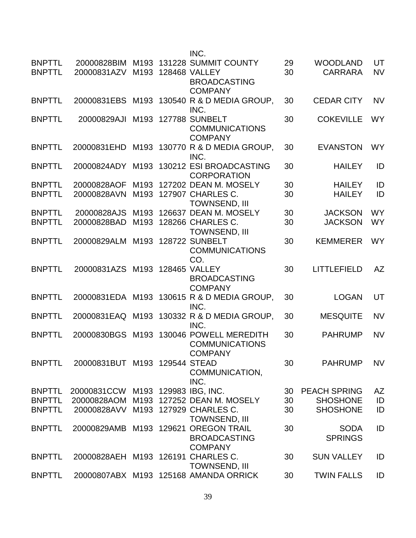|                                |                                    |                          | INC.                                                                                 |          |                                   |                        |
|--------------------------------|------------------------------------|--------------------------|--------------------------------------------------------------------------------------|----------|-----------------------------------|------------------------|
| <b>BNPTTL</b><br><b>BNPTTL</b> | 20000831AZV                        | M193                     | 20000828BIM M193 131228 SUMMIT COUNTY<br><b>128468 VALLEY</b><br><b>BROADCASTING</b> | 29<br>30 | <b>WOODLAND</b><br><b>CARRARA</b> | UT<br><b>NV</b>        |
| <b>BNPTTL</b>                  | 20000831EBS                        | M193                     | <b>COMPANY</b><br>130540 R & D MEDIA GROUP,<br>INC.                                  | 30       | <b>CEDAR CITY</b>                 | <b>NV</b>              |
| <b>BNPTTL</b>                  | 20000829AJI                        | M193                     | <b>127788 SUNBELT</b><br><b>COMMUNICATIONS</b><br><b>COMPANY</b>                     | 30       | <b>COKEVILLE</b>                  | <b>WY</b>              |
| <b>BNPTTL</b>                  | 20000831EHD                        |                          | M193 130770 R & D MEDIA GROUP.<br>INC.                                               | 30       | <b>EVANSTON</b>                   | <b>WY</b>              |
| <b>BNPTTL</b>                  | 20000824ADY                        | M193                     | 130212 ESI BROADCASTING<br><b>CORPORATION</b>                                        | 30       | <b>HAILEY</b>                     | ID                     |
| <b>BNPTTL</b><br><b>BNPTTL</b> | 20000828AOF<br>20000828AVN         | M193<br>M193             | 127202 DEAN M. MOSELY<br>127907 CHARLES C.<br><b>TOWNSEND, III</b>                   | 30<br>30 | <b>HAILEY</b><br><b>HAILEY</b>    | ID<br>ID               |
| <b>BNPTTL</b><br><b>BNPTTL</b> | 20000828AJS<br>20000828BAD         | M193<br>M <sub>193</sub> | 126637 DEAN M. MOSELY<br>128266 CHARLES C.<br><b>TOWNSEND, III</b>                   | 30<br>30 | <b>JACKSON</b><br><b>JACKSON</b>  | <b>WY</b><br><b>WY</b> |
| <b>BNPTTL</b>                  | 20000829ALM                        | M193                     | <b>128722 SUNBELT</b><br><b>COMMUNICATIONS</b><br>CO.                                | 30       | <b>KEMMERER</b>                   | <b>WY</b>              |
| <b>BNPTTL</b>                  | 20000831AZS M193                   |                          | <b>128465 VALLEY</b><br><b>BROADCASTING</b><br><b>COMPANY</b>                        | 30       | <b>LITTLEFIELD</b>                | <b>AZ</b>              |
| <b>BNPTTL</b>                  |                                    |                          | 20000831EDA M193 130615 R & D MEDIA GROUP,<br>INC.                                   | 30       | <b>LOGAN</b>                      | UT                     |
| <b>BNPTTL</b>                  | 20000831EAQ                        | M193                     | 130332 R & D MEDIA GROUP.<br>INC.                                                    | 30       | <b>MESQUITE</b>                   | <b>NV</b>              |
| <b>BNPTTL</b>                  | 20000830BGS                        | M193                     | 130046 POWELL MEREDITH<br><b>COMMUNICATIONS</b><br><b>COMPANY</b>                    | 30       | <b>PAHRUMP</b>                    | <b>NV</b>              |
| <b>BNPTTL</b>                  | 20000831BUT M193 129544 STEAD      |                          | COMMUNICATION,<br>INC.                                                               | 30       | <b>PAHRUMP</b>                    | <b>NV</b>              |
| <b>BNPTTL</b>                  | 20000831CCW M193 129983 IBG, INC.  |                          |                                                                                      | 30       | <b>PEACH SPRING</b>               | AZ                     |
| <b>BNPTTL</b>                  |                                    |                          | 20000828AOM M193 127252 DEAN M. MOSELY                                               | 30       | <b>SHOSHONE</b>                   | ID                     |
| <b>BNPTTL</b>                  | 20000828AVV M193 127929 CHARLES C. |                          | <b>TOWNSEND, III</b>                                                                 | 30       | <b>SHOSHONE</b>                   | ID                     |
| <b>BNPTTL</b>                  |                                    |                          | 20000829AMB M193 129621 OREGON TRAIL<br><b>BROADCASTING</b><br><b>COMPANY</b>        | 30       | <b>SODA</b><br><b>SPRINGS</b>     | ID                     |
| <b>BNPTTL</b>                  | 20000828AEH M193 126191 CHARLES C. |                          | <b>TOWNSEND, III</b>                                                                 | 30       | <b>SUN VALLEY</b>                 | ID                     |
| <b>BNPTTL</b>                  |                                    |                          | 20000807ABX M193 125168 AMANDA ORRICK                                                | 30       | <b>TWIN FALLS</b>                 | ID                     |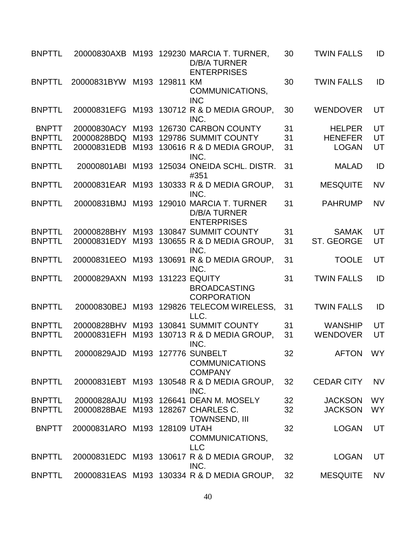| <b>BNPTTL</b> |                                    |      |             | 20000830AXB M193 129230 MARCIA T. TURNER,<br>D/B/A TURNER<br><b>ENTERPRISES</b> | 30 | <b>TWIN FALLS</b> | ID        |
|---------------|------------------------------------|------|-------------|---------------------------------------------------------------------------------|----|-------------------|-----------|
| <b>BNPTTL</b> | 20000831BYW                        |      | M193 129811 | KM<br>COMMUNICATIONS,<br><b>INC</b>                                             | 30 | <b>TWIN FALLS</b> | ID        |
| <b>BNPTTL</b> | 20000831EFG                        |      |             | M193 130712 R & D MEDIA GROUP,<br>INC.                                          | 30 | <b>WENDOVER</b>   | UT        |
| <b>BNPTT</b>  | 20000830ACY                        |      |             | M193 126730 CARBON COUNTY                                                       | 31 | <b>HELPER</b>     | UT        |
| <b>BNPTTL</b> | 20000828BDQ                        | M193 |             | 129786 SUMMIT COUNTY                                                            | 31 | <b>HENEFER</b>    | UT        |
| <b>BNPTTL</b> | 20000831EDB                        |      |             | M193 130616 R & D MEDIA GROUP,<br>INC.                                          | 31 | <b>LOGAN</b>      | UT        |
| <b>BNPTTL</b> | 20000801ABI                        | M193 |             | 125034 ONEIDA SCHL. DISTR.<br>#351                                              | 31 | <b>MALAD</b>      | ID        |
| <b>BNPTTL</b> |                                    |      |             | 20000831EAR M193 130333 R & D MEDIA GROUP,<br>INC.                              | 31 | <b>MESQUITE</b>   | <b>NV</b> |
| <b>BNPTTL</b> | 20000831BMJ                        | M193 |             | 129010 MARCIA T. TURNER<br><b>D/B/A TURNER</b><br><b>ENTERPRISES</b>            | 31 | <b>PAHRUMP</b>    | <b>NV</b> |
| <b>BNPTTL</b> | 20000828BHY                        |      |             | M193 130847 SUMMIT COUNTY                                                       | 31 | <b>SAMAK</b>      | UT        |
| <b>BNPTTL</b> | 20000831EDY                        |      |             | M193 130655 R & D MEDIA GROUP,<br>INC.                                          | 31 | ST. GEORGE        | UT        |
| <b>BNPTTL</b> | 20000831EEO                        |      |             | M193 130691 R & D MEDIA GROUP,<br>INC.                                          | 31 | <b>TOOLE</b>      | UT        |
| <b>BNPTTL</b> | 20000829AXN M193 131223 EQUITY     |      |             | <b>BROADCASTING</b><br><b>CORPORATION</b>                                       | 31 | <b>TWIN FALLS</b> | ID        |
| <b>BNPTTL</b> |                                    |      |             | 20000830BEJ M193 129826 TELECOM WIRELESS,<br>LLC.                               | 31 | <b>TWIN FALLS</b> | ID        |
| <b>BNPTTL</b> | 20000828BHV                        |      |             | M193 130841 SUMMIT COUNTY                                                       | 31 | <b>WANSHIP</b>    | UT        |
| <b>BNPTTL</b> | 20000831EFH                        |      |             | M193 130713 R & D MEDIA GROUP,<br>INC.                                          | 31 | <b>WENDOVER</b>   | UT        |
| <b>BNPTTL</b> | 20000829AJD M193 127776 SUNBELT    |      |             | <b>COMMUNICATIONS</b><br><b>COMPANY</b>                                         | 32 | AFTON WY          |           |
| <b>BNPTTL</b> |                                    |      |             | 20000831EBT M193 130548 R & D MEDIA GROUP,<br>INC.                              | 32 | <b>CEDAR CITY</b> | <b>NV</b> |
| <b>BNPTTL</b> |                                    |      |             | 20000828AJU M193 126641 DEAN M. MOSELY                                          | 32 | <b>JACKSON</b>    | <b>WY</b> |
| <b>BNPTTL</b> | 20000828BAE M193 128267 CHARLES C. |      |             | <b>TOWNSEND, III</b>                                                            | 32 | <b>JACKSON</b>    | <b>WY</b> |
| <b>BNPTT</b>  | 20000831ARO M193 128109 UTAH       |      |             | COMMUNICATIONS,<br><b>LLC</b>                                                   | 32 | <b>LOGAN</b>      | UT        |
| <b>BNPTTL</b> |                                    |      |             | 20000831EDC M193 130617 R & D MEDIA GROUP,<br>INC.                              | 32 | <b>LOGAN</b>      | UT        |
| <b>BNPTTL</b> |                                    |      |             | 20000831EAS M193 130334 R & D MEDIA GROUP,                                      | 32 | <b>MESQUITE</b>   | <b>NV</b> |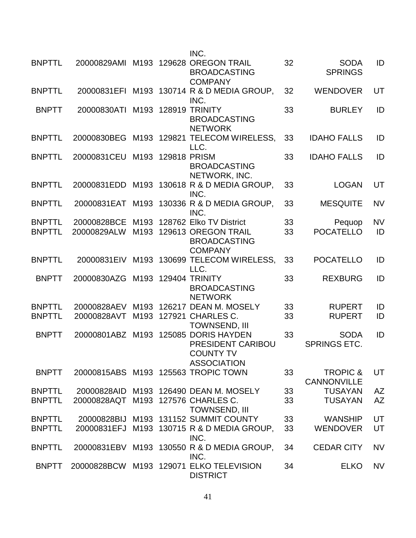|                                |                            |                  |              | INC.                                                                                    |          |                                           |           |
|--------------------------------|----------------------------|------------------|--------------|-----------------------------------------------------------------------------------------|----------|-------------------------------------------|-----------|
| <b>BNPTTL</b>                  | 20000829AMI                |                  |              | M193 129628 OREGON TRAIL<br><b>BROADCASTING</b><br><b>COMPANY</b>                       | 32       | <b>SODA</b><br><b>SPRINGS</b>             | ID        |
| <b>BNPTTL</b>                  | 20000831EFI                |                  |              | M193 130714 R & D MEDIA GROUP,<br>INC.                                                  | 32       | <b>WENDOVER</b>                           | UT        |
| <b>BNPTT</b>                   | 20000830ATI                |                  |              | M193 128919 TRINITY<br><b>BROADCASTING</b><br><b>NETWORK</b>                            | 33       | <b>BURLEY</b>                             | ID        |
| <b>BNPTTL</b>                  | 20000830BEG                |                  |              | M193 129821 TELECOM WIRELESS,<br>LLC.                                                   | 33       | <b>IDAHO FALLS</b>                        | ID        |
| <b>BNPTTL</b>                  | 20000831CEU                | M <sub>193</sub> | 129818 PRISM | <b>BROADCASTING</b><br>NETWORK, INC.                                                    | 33       | <b>IDAHO FALLS</b>                        | ID        |
| <b>BNPTTL</b>                  | 20000831EDD                |                  |              | M193 130618 R & D MEDIA GROUP,<br>INC.                                                  | 33       | <b>LOGAN</b>                              | UT        |
| <b>BNPTTL</b>                  | 20000831EAT                | M193             |              | 130336 R & D MEDIA GROUP.<br>INC.                                                       | 33       | <b>MESQUITE</b>                           | <b>NV</b> |
| <b>BNPTTL</b>                  | 20000828BCE                | M <sub>193</sub> |              | 128762 Elko TV District                                                                 | 33       | Pequop                                    | <b>NV</b> |
| <b>BNPTTL</b>                  | 20000829ALW                | M193             |              | 129613 OREGON TRAIL<br><b>BROADCASTING</b><br><b>COMPANY</b>                            | 33       | <b>POCATELLO</b>                          | ID        |
| <b>BNPTTL</b>                  | 20000831EIV                |                  |              | M193 130699 TELECOM WIRELESS,<br>LLC.                                                   | 33       | <b>POCATELLO</b>                          | ID        |
| <b>BNPTT</b>                   | 20000830AZG                | M193             |              | <b>129404 TRINITY</b><br><b>BROADCASTING</b><br><b>NETWORK</b>                          | 33       | <b>REXBURG</b>                            | ID        |
| <b>BNPTTL</b><br><b>BNPTTL</b> | 20000828AEV<br>20000828AVT | M193             |              | M193 126217 DEAN M. MOSELY<br>127921 CHARLES C.<br><b>TOWNSEND, III</b>                 | 33<br>33 | <b>RUPERT</b><br><b>RUPERT</b>            | ID<br>ID  |
| <b>BNPTT</b>                   | 20000801ABZ                |                  |              | M193 125085 DORIS HAYDEN<br>PRESIDENT CARIBOU<br><b>COUNTY TV</b><br><b>ASSOCIATION</b> | 33       | <b>SODA</b><br><b>SPRINGS ETC.</b>        | ID        |
| <b>BNPTT</b>                   |                            |                  |              | 20000815ABS M193 125563 TROPIC TOWN                                                     | 33       | <b>TROPIC &amp;</b><br><b>CANNONVILLE</b> | UT        |
| <b>BNPTTL</b>                  | 20000828AID                |                  |              | M193 126490 DEAN M. MOSELY                                                              | 33       | <b>TUSAYAN</b>                            | AZ        |
| <b>BNPTTL</b>                  | 20000828AQT                |                  |              | M193 127576 CHARLES C.<br><b>TOWNSEND, III</b>                                          | 33       | <b>TUSAYAN</b>                            | <b>AZ</b> |
| <b>BNPTTL</b>                  | 20000828BIJ                |                  |              | M193 131152 SUMMIT COUNTY                                                               | 33       | <b>WANSHIP</b>                            | UT        |
| <b>BNPTTL</b>                  | 20000831EFJ                |                  |              | M193 130715 R & D MEDIA GROUP,<br>INC.                                                  | 33       | <b>WENDOVER</b>                           | UT        |
| <b>BNPTTL</b>                  | 20000831EBV                |                  |              | M193 130550 R & D MEDIA GROUP,<br>INC.                                                  | 34       | <b>CEDAR CITY</b>                         | <b>NV</b> |
| <b>BNPTT</b>                   | 20000828BCW                |                  |              | M193 129071 ELKO TELEVISION<br><b>DISTRICT</b>                                          | 34       | <b>ELKO</b>                               | <b>NV</b> |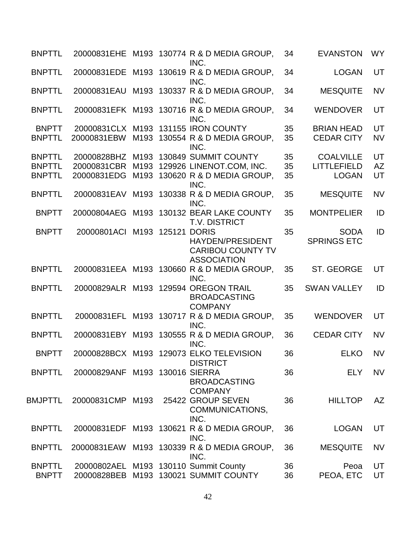| <b>BNPTTL</b>  |                                |  | 20000831EHE M193 130774 R & D MEDIA GROUP,<br>INC.                            | 34 | <b>EVANSTON</b>    | <b>WY</b> |
|----------------|--------------------------------|--|-------------------------------------------------------------------------------|----|--------------------|-----------|
| <b>BNPTTL</b>  |                                |  | 20000831EDE M193 130619 R & D MEDIA GROUP,<br>INC.                            | 34 | <b>LOGAN</b>       | UT        |
| <b>BNPTTL</b>  |                                |  | 20000831EAU M193 130337 R & D MEDIA GROUP,<br>INC.                            | 34 | <b>MESQUITE</b>    | <b>NV</b> |
| <b>BNPTTL</b>  |                                |  | 20000831EFK M193 130716 R & D MEDIA GROUP,<br>INC.                            | 34 | <b>WENDOVER</b>    | UT        |
| <b>BNPTT</b>   |                                |  | 20000831CLX M193 131155 IRON COUNTY                                           | 35 | <b>BRIAN HEAD</b>  | UT        |
| <b>BNPTTL</b>  | 20000831EBW                    |  | M193 130554 R & D MEDIA GROUP,<br>INC.                                        | 35 | <b>CEDAR CITY</b>  | <b>NV</b> |
| <b>BNPTTL</b>  | 20000828BHZ                    |  | M193 130849 SUMMIT COUNTY                                                     | 35 | <b>COALVILLE</b>   | UT        |
| <b>BNPTTL</b>  | 20000831CBR                    |  | M193 129926 LINENOT.COM, INC.                                                 | 35 | <b>LITTLEFIELD</b> | <b>AZ</b> |
| <b>BNPTTL</b>  | 20000831EDG                    |  | M193 130620 R & D MEDIA GROUP,<br>INC.                                        | 35 | <b>LOGAN</b>       | UT        |
| <b>BNPTTL</b>  |                                |  | 20000831EAV M193 130338 R & D MEDIA GROUP,<br>INC.                            | 35 | <b>MESQUITE</b>    | <b>NV</b> |
| <b>BNPTT</b>   | 20000804AEG                    |  | M193 130132 BEAR LAKE COUNTY<br><b>T.V. DISTRICT</b>                          | 35 | <b>MONTPELIER</b>  | ID        |
| <b>BNPTT</b>   | 20000801ACI M193 125121 DORIS  |  |                                                                               | 35 | <b>SODA</b>        | ID        |
|                |                                |  | <b>HAYDEN/PRESIDENT</b><br><b>CARIBOU COUNTY TV</b><br><b>ASSOCIATION</b>     |    | <b>SPRINGS ETC</b> |           |
| <b>BNPTTL</b>  |                                |  | 20000831EEA M193 130660 R & D MEDIA GROUP,<br>INC.                            | 35 | ST. GEORGE         | UT        |
| <b>BNPTTL</b>  |                                |  | 20000829ALR M193 129594 OREGON TRAIL<br><b>BROADCASTING</b><br><b>COMPANY</b> | 35 | <b>SWAN VALLEY</b> | ID        |
| <b>BNPTTL</b>  |                                |  | 20000831EFL M193 130717 R & D MEDIA GROUP,<br>INC.                            | 35 | <b>WENDOVER</b>    | UT        |
| <b>BNPTTL</b>  |                                |  | 20000831EBY M193 130555 R & D MEDIA GROUP,<br>INC.                            | 36 | <b>CEDAR CITY</b>  | <b>NV</b> |
| <b>BNPTT</b>   |                                |  | 20000828BCX M193 129073 ELKO TELEVISION<br><b>DISTRICT</b>                    | 36 | <b>ELKO</b>        | <b>NV</b> |
| <b>BNPTTL</b>  | 20000829ANF M193 130016 SIERRA |  | <b>BROADCASTING</b><br><b>COMPANY</b>                                         | 36 | <b>ELY</b>         | <b>NV</b> |
| <b>BMJPTTL</b> | 20000831CMP M193               |  | 25422 GROUP SEVEN<br>COMMUNICATIONS,<br>INC.                                  | 36 | <b>HILLTOP</b>     | AZ        |
| <b>BNPTTL</b>  |                                |  | 20000831EDF M193 130621 R & D MEDIA GROUP,<br>INC.                            | 36 | <b>LOGAN</b>       | UT        |
| <b>BNPTTL</b>  |                                |  | 20000831EAW M193 130339 R & D MEDIA GROUP,<br>INC.                            | 36 | <b>MESQUITE</b>    | <b>NV</b> |
| <b>BNPTTL</b>  |                                |  | 20000802AEL M193 130110 Summit County                                         | 36 | Peoa               | UT        |
| <b>BNPTT</b>   |                                |  | 20000828BEB M193 130021 SUMMIT COUNTY                                         | 36 | PEOA, ETC          | UT        |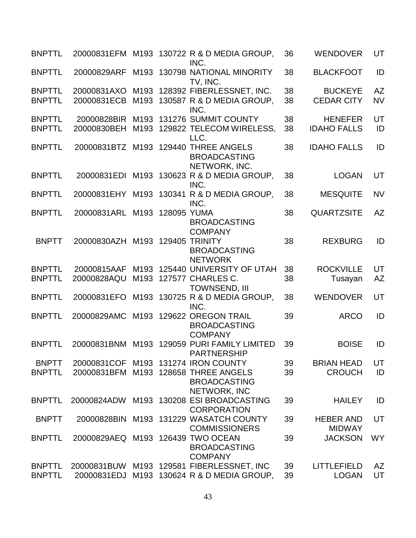| <b>BNPTTL</b> | 20000831EFM                       |                  |             | M193 130722 R & D MEDIA GROUP.<br>INC.                            | 36 | <b>WENDOVER</b>                   | UT        |
|---------------|-----------------------------------|------------------|-------------|-------------------------------------------------------------------|----|-----------------------------------|-----------|
| <b>BNPTTL</b> | 20000829ARF                       |                  |             | M193 130798 NATIONAL MINORITY<br>TV, INC.                         | 38 | <b>BLACKFOOT</b>                  | ID        |
| <b>BNPTTL</b> | 20000831AXO                       | M <sub>193</sub> |             | 128392 FIBERLESSNET, INC.                                         | 38 | <b>BUCKEYE</b>                    | <b>AZ</b> |
| <b>BNPTTL</b> | 20000831ECB                       | M193             |             | 130587 R & D MEDIA GROUP,<br>INC.                                 | 38 | <b>CEDAR CITY</b>                 | <b>NV</b> |
| <b>BNPTTL</b> | 20000828BIR                       | M193             |             | 131276 SUMMIT COUNTY                                              | 38 | <b>HENEFER</b>                    | UT        |
| <b>BNPTTL</b> | 20000830BEH                       |                  |             | M193 129822 TELECOM WIRELESS,<br>LLC.                             | 38 | <b>IDAHO FALLS</b>                | ID        |
| <b>BNPTTL</b> | 20000831BTZ                       | M193             |             | 129440 THREE ANGELS<br><b>BROADCASTING</b><br>NETWORK, INC.       | 38 | <b>IDAHO FALLS</b>                | ID        |
| <b>BNPTTL</b> | 20000831EDI                       |                  |             | M193 130623 R & D MEDIA GROUP,<br>INC.                            | 38 | <b>LOGAN</b>                      | UT        |
| <b>BNPTTL</b> | 20000831EHY                       |                  |             | M193 130341 R & D MEDIA GROUP,<br>INC.                            | 38 | <b>MESQUITE</b>                   | <b>NV</b> |
| <b>BNPTTL</b> | 20000831ARL                       | M193             | 128095 YUMA | <b>BROADCASTING</b><br><b>COMPANY</b>                             | 38 | <b>QUARTZSITE</b>                 | <b>AZ</b> |
| <b>BNPTT</b>  | 20000830AZH                       |                  |             | M193 129405 TRINITY<br><b>BROADCASTING</b><br><b>NETWORK</b>      | 38 | <b>REXBURG</b>                    | ID        |
| <b>BNPTTL</b> | 20000815AAF                       | M193             |             | 125440 UNIVERSITY OF UTAH                                         | 38 | <b>ROCKVILLE</b>                  | UT        |
| <b>BNPTTL</b> | 20000828AQU                       |                  |             | M193 127577 CHARLES C.<br><b>TOWNSEND, III</b>                    | 38 | Tusayan                           | <b>AZ</b> |
| <b>BNPTTL</b> | 20000831EFO                       |                  |             | M193 130725 R & D MEDIA GROUP,<br>INC.                            | 38 | <b>WENDOVER</b>                   | UT        |
| <b>BNPTTL</b> | 20000829AMC                       |                  |             | M193 129622 OREGON TRAIL<br><b>BROADCASTING</b><br><b>COMPANY</b> | 39 | <b>ARCO</b>                       | ID        |
| <b>BNPTTL</b> | 20000831BNM                       |                  |             | M193 129059 PURI FAMILY LIMITED<br><b>PARTNERSHIP</b>             | 39 | <b>BOISE</b>                      | ID        |
| <b>BNPTT</b>  | 20000831COF                       |                  |             | M193 131274 IRON COUNTY                                           | 39 | <b>BRIAN HEAD</b>                 | UT        |
| <b>BNPTTL</b> | 20000831BFM                       |                  |             | M193 128658 THREE ANGELS<br><b>BROADCASTING</b><br>NETWORK, INC   | 39 | <b>CROUCH</b>                     | ID        |
| <b>BNPTTL</b> | 20000824ADW                       |                  |             | M193 130208 ESI BROADCASTING<br><b>CORPORATION</b>                | 39 | <b>HAILEY</b>                     | ID        |
| <b>BNPTT</b>  | 20000828BIN                       |                  |             | M193 131229 WASATCH COUNTY<br><b>COMMISSIONERS</b>                | 39 | <b>HEBER AND</b><br><b>MIDWAY</b> | UT        |
| <b>BNPTTL</b> | 20000829AEQ M193 126439 TWO OCEAN |                  |             | <b>BROADCASTING</b><br><b>COMPANY</b>                             | 39 | <b>JACKSON</b>                    | <b>WY</b> |
| <b>BNPTTL</b> | 20000831BUW                       |                  |             | M193 129581 FIBERLESSNET, INC                                     | 39 | <b>LITTLEFIELD</b>                | AZ        |
| <b>BNPTTL</b> | 20000831EDJ                       | M <sub>193</sub> |             | 130624 R & D MEDIA GROUP,                                         | 39 | <b>LOGAN</b>                      | UT        |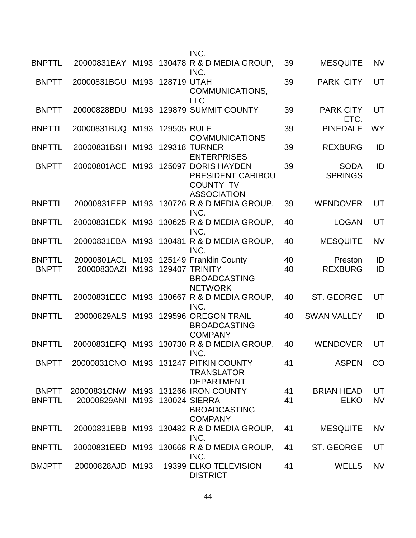|                               |                                |  | INC.                                                                                        |          |                               |           |
|-------------------------------|--------------------------------|--|---------------------------------------------------------------------------------------------|----------|-------------------------------|-----------|
| <b>BNPTTL</b>                 |                                |  | 20000831EAY M193 130478 R & D MEDIA GROUP,<br>INC.                                          | 39       | <b>MESQUITE</b>               | <b>NV</b> |
| <b>BNPTT</b>                  | 20000831BGU M193 128719 UTAH   |  | COMMUNICATIONS,<br><b>LLC</b>                                                               | 39       | <b>PARK CITY</b>              | UT        |
| <b>BNPTT</b>                  |                                |  | 20000828BDU M193 129879 SUMMIT COUNTY                                                       | 39       | <b>PARK CITY</b><br>ETC.      | UT        |
| <b>BNPTTL</b>                 | 20000831BUQ M193 129505 RULE   |  | <b>COMMUNICATIONS</b>                                                                       | 39       | <b>PINEDALE</b>               | <b>WY</b> |
| <b>BNPTTL</b>                 | 20000831BSH                    |  | M193 129318 TURNER<br><b>ENTERPRISES</b>                                                    | 39       | <b>REXBURG</b>                | ID        |
| <b>BNPTT</b>                  | 20000801ACE                    |  | M193 125097 DORIS HAYDEN<br>PRESIDENT CARIBOU<br><b>COUNTY TV</b><br><b>ASSOCIATION</b>     | 39       | <b>SODA</b><br><b>SPRINGS</b> | ID        |
| <b>BNPTTL</b>                 |                                |  | 20000831EFP M193 130726 R & D MEDIA GROUP,<br>INC.                                          | 39       | <b>WENDOVER</b>               | UT        |
| <b>BNPTTL</b>                 |                                |  | 20000831EDK M193 130625 R & D MEDIA GROUP,<br>INC.                                          | 40       | <b>LOGAN</b>                  | UT        |
| <b>BNPTTL</b>                 |                                |  | 20000831EBA M193 130481 R & D MEDIA GROUP,<br>INC.                                          | 40       | <b>MESQUITE</b>               | <b>NV</b> |
| <b>BNPTTL</b><br><b>BNPTT</b> | 20000801ACL<br>20000830AZI     |  | M193 125149 Franklin County<br>M193 129407 TRINITY<br><b>BROADCASTING</b><br><b>NETWORK</b> | 40<br>40 | Preston<br><b>REXBURG</b>     | ID<br>ID  |
| <b>BNPTTL</b>                 |                                |  | 20000831EEC M193 130667 R & D MEDIA GROUP,<br>INC.                                          | 40       | ST. GEORGE                    | UT        |
| <b>BNPTTL</b>                 |                                |  | 20000829ALS M193 129596 OREGON TRAIL<br><b>BROADCASTING</b><br><b>COMPANY</b>               | 40       | <b>SWAN VALLEY</b>            | ID        |
| <b>BNPTTL</b>                 |                                |  | 20000831EFQ M193 130730 R & D MEDIA GROUP,<br>INC.                                          | 40       | <b>WENDOVER</b>               | UT        |
| <b>BNPTT</b>                  |                                |  | 20000831CNO M193 131247 PITKIN COUNTY<br><b>TRANSLATOR</b><br><b>DEPARTMENT</b>             | 41       | <b>ASPEN</b>                  | CO        |
| <b>BNPTT</b>                  |                                |  | 20000831CNW M193 131266 IRON COUNTY                                                         | 41       | <b>BRIAN HEAD</b>             | UT        |
| <b>BNPTTL</b>                 | 20000829ANI M193 130024 SIERRA |  | <b>BROADCASTING</b><br><b>COMPANY</b>                                                       | 41       | <b>ELKO</b>                   | <b>NV</b> |
| <b>BNPTTL</b>                 |                                |  | 20000831EBB M193 130482 R & D MEDIA GROUP,<br>INC.                                          | 41       | <b>MESQUITE</b>               | <b>NV</b> |
| <b>BNPTTL</b>                 | 20000831EED                    |  | M193 130668 R & D MEDIA GROUP,<br>INC.                                                      | 41       | ST. GEORGE                    | UT        |
| <b>BMJPTT</b>                 | 20000828AJD M193               |  | 19399 ELKO TELEVISION<br><b>DISTRICT</b>                                                    | 41       | <b>WELLS</b>                  | <b>NV</b> |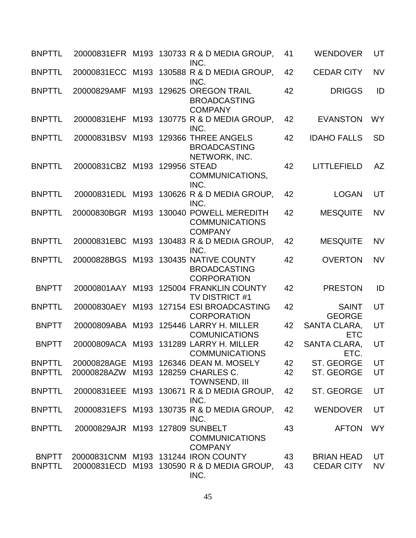| <b>BNPTTL</b> |                                 |      | 20000831EFR M193 130733 R & D MEDIA GROUP,<br>INC.                                 | 41 | <b>WENDOVER</b>               | UT        |
|---------------|---------------------------------|------|------------------------------------------------------------------------------------|----|-------------------------------|-----------|
| <b>BNPTTL</b> | 20000831ECC                     |      | M193 130588 R & D MEDIA GROUP,<br>INC.                                             | 42 | <b>CEDAR CITY</b>             | <b>NV</b> |
| <b>BNPTTL</b> | 20000829AMF                     | M193 | 129625 OREGON TRAIL<br><b>BROADCASTING</b><br><b>COMPANY</b>                       | 42 | <b>DRIGGS</b>                 | ID        |
| <b>BNPTTL</b> | 20000831EHF                     |      | M193 130775 R & D MEDIA GROUP,<br>INC.                                             | 42 | <b>EVANSTON</b>               | <b>WY</b> |
| <b>BNPTTL</b> | 20000831BSV                     |      | M193 129366 THREE ANGELS<br><b>BROADCASTING</b><br>NETWORK, INC.                   | 42 | <b>IDAHO FALLS</b>            | <b>SD</b> |
| <b>BNPTTL</b> | 20000831CBZ M193 129956 STEAD   |      | COMMUNICATIONS,<br>INC.                                                            | 42 | <b>LITTLEFIELD</b>            | AZ        |
| <b>BNPTTL</b> |                                 |      | 20000831EDL M193 130626 R & D MEDIA GROUP,<br>INC.                                 | 42 | <b>LOGAN</b>                  | UT        |
| <b>BNPTTL</b> |                                 |      | 20000830BGR M193 130040 POWELL MEREDITH<br><b>COMMUNICATIONS</b><br><b>COMPANY</b> | 42 | <b>MESQUITE</b>               | <b>NV</b> |
| <b>BNPTTL</b> |                                 |      | 20000831EBC M193 130483 R & D MEDIA GROUP,<br>INC.                                 | 42 | <b>MESQUITE</b>               | <b>NV</b> |
| <b>BNPTTL</b> | 20000828BGS                     |      | M193 130435 NATIVE COUNTY<br><b>BROADCASTING</b><br><b>CORPORATION</b>             | 42 | <b>OVERTON</b>                | <b>NV</b> |
| <b>BNPTT</b>  | 20000801AAY                     |      | M193 125004 FRANKLIN COUNTY<br><b>TV DISTRICT #1</b>                               | 42 | <b>PRESTON</b>                | ID        |
| <b>BNPTTL</b> |                                 |      | 20000830AEY M193 127154 ESI BROADCASTING<br><b>CORPORATION</b>                     | 42 | <b>SAINT</b><br><b>GEORGE</b> | UT        |
| <b>BNPTT</b>  | 20000809ABA                     |      | M193 125446 LARRY H. MILLER<br><b>COMUNICATIONS</b>                                | 42 | SANTA CLARA,<br><b>ETC</b>    | UT        |
| <b>BNPTT</b>  |                                 |      | 20000809ACA M193 131289 LARRY H. MILLER<br><b>COMMUNICATIONS</b>                   | 42 | <b>SANTA CLARA,</b><br>ETC.   | UT        |
| <b>BNPTTL</b> |                                 |      | 20000828AGE M193 126346 DEAN M. MOSELY                                             | 42 | ST. GEORGE                    | UT        |
| <b>BNPTTL</b> | 20000828AZW                     |      | M193 128259 CHARLES C.<br><b>TOWNSEND, III</b>                                     | 42 | ST. GEORGE                    | UT        |
| <b>BNPTTL</b> |                                 |      | 20000831EEE M193 130671 R & D MEDIA GROUP,<br>INC.                                 | 42 | ST. GEORGE                    | UT        |
| <b>BNPTTL</b> |                                 |      | 20000831EFS M193 130735 R & D MEDIA GROUP,<br>INC.                                 | 42 | <b>WENDOVER</b>               | UT        |
| <b>BNPTTL</b> | 20000829AJR M193 127809 SUNBELT |      | <b>COMMUNICATIONS</b><br><b>COMPANY</b>                                            | 43 | <b>AFTON</b>                  | <b>WY</b> |
| <b>BNPTT</b>  |                                 |      | 20000831CNM M193 131244 IRON COUNTY                                                | 43 | <b>BRIAN HEAD</b>             | UT        |
| <b>BNPTTL</b> |                                 |      | 20000831ECD M193 130590 R & D MEDIA GROUP,<br>INC.                                 | 43 | <b>CEDAR CITY</b>             | <b>NV</b> |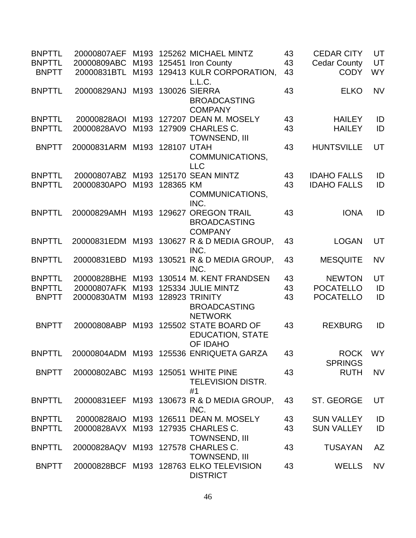| <b>BNPTTL</b> | 20000807AEF                        | M <sub>193</sub> |                | 125262 MICHAEL MINTZ                                                     | 43 | <b>CEDAR CITY</b>         | UT        |
|---------------|------------------------------------|------------------|----------------|--------------------------------------------------------------------------|----|---------------------------|-----------|
| <b>BNPTTL</b> | 20000809ABC                        |                  |                | M193 125451 Iron County                                                  | 43 | <b>Cedar County</b>       | UT        |
| <b>BNPTT</b>  | 20000831BTL                        |                  |                | M193 129413 KULR CORPORATION,<br>L.L.C.                                  | 43 | <b>CODY</b>               | <b>WY</b> |
| <b>BNPTTL</b> | 20000829ANJ                        | M193             |                | 130026 SIERRA<br><b>BROADCASTING</b><br><b>COMPANY</b>                   | 43 | <b>ELKO</b>               | <b>NV</b> |
| <b>BNPTTL</b> | 20000828AOI                        |                  |                | M193 127207 DEAN M. MOSELY                                               | 43 | <b>HAILEY</b>             | ID        |
| <b>BNPTTL</b> | 20000828AVO                        |                  |                | M193 127909 CHARLES C.<br><b>TOWNSEND, III</b>                           | 43 | <b>HAILEY</b>             | ID        |
| <b>BNPTT</b>  | 20000831ARM M193                   |                  | 128107 UTAH    | COMMUNICATIONS,<br><b>LLC</b>                                            | 43 | <b>HUNTSVILLE</b>         | UT        |
| <b>BNPTTL</b> | 20000807ABZ M193 125170 SEAN MINTZ |                  |                |                                                                          | 43 | <b>IDAHO FALLS</b>        | ID        |
| <b>BNPTTL</b> | 20000830APO                        |                  | M193 128365 KM | COMMUNICATIONS,<br>INC.                                                  | 43 | <b>IDAHO FALLS</b>        | ID        |
| <b>BNPTTL</b> | 20000829AMH                        | M193             | 129627         | <b>OREGON TRAIL</b><br><b>BROADCASTING</b><br><b>COMPANY</b>             | 43 | <b>IONA</b>               | ID        |
| <b>BNPTTL</b> | 20000831EDM                        |                  |                | M193 130627 R & D MEDIA GROUP,<br>INC.                                   | 43 | <b>LOGAN</b>              | UT        |
| <b>BNPTTL</b> | 20000831EBD                        |                  |                | M193 130521 R & D MEDIA GROUP,<br>INC.                                   | 43 | <b>MESQUITE</b>           | <b>NV</b> |
| <b>BNPTTL</b> | 20000828BHE                        |                  |                | M193 130514 M. KENT FRANDSEN                                             | 43 | <b>NEWTON</b>             | UT        |
| <b>BNPTTL</b> | 20000807AFK                        |                  |                | M193 125334 JULIE MINTZ                                                  | 43 | <b>POCATELLO</b>          | ID        |
| <b>BNPTT</b>  | 20000830ATM                        |                  |                | M193 128923 TRINITY<br><b>BROADCASTING</b><br><b>NETWORK</b>             | 43 | <b>POCATELLO</b>          | ID        |
| <b>BNPTT</b>  | 20000808ABP                        |                  |                | M193 125502 STATE BOARD OF<br><b>EDUCATION, STATE</b><br><b>OF IDAHO</b> | 43 | <b>REXBURG</b>            | ID        |
| <b>BNPTTL</b> |                                    |                  |                | 20000804ADM M193 125536 ENRIQUETA GARZA                                  | 43 | ROCK WY<br><b>SPRINGS</b> |           |
| <b>BNPTT</b>  | 20000802ABC M193 125051 WHITE PINE |                  |                | <b>TELEVISION DISTR.</b><br>#1                                           | 43 | <b>RUTH</b>               | <b>NV</b> |
| <b>BNPTTL</b> |                                    |                  |                | 20000831EEF M193 130673 R & D MEDIA GROUP,<br>INC.                       | 43 | ST. GEORGE                | UT        |
| <b>BNPTTL</b> |                                    |                  |                | 20000828AIO M193 126511 DEAN M. MOSELY                                   | 43 | <b>SUN VALLEY</b>         | ID        |
| <b>BNPTTL</b> | 20000828AVX M193 127935 CHARLES C. |                  |                | <b>TOWNSEND, III</b>                                                     | 43 | <b>SUN VALLEY</b>         | ID        |
| <b>BNPTTL</b> | 20000828AQV M193 127578 CHARLES C. |                  |                | <b>TOWNSEND, III</b>                                                     | 43 | <b>TUSAYAN</b>            | <b>AZ</b> |
| <b>BNPTT</b>  |                                    |                  |                | 20000828BCF M193 128763 ELKO TELEVISION<br><b>DISTRICT</b>               | 43 | <b>WELLS</b>              | <b>NV</b> |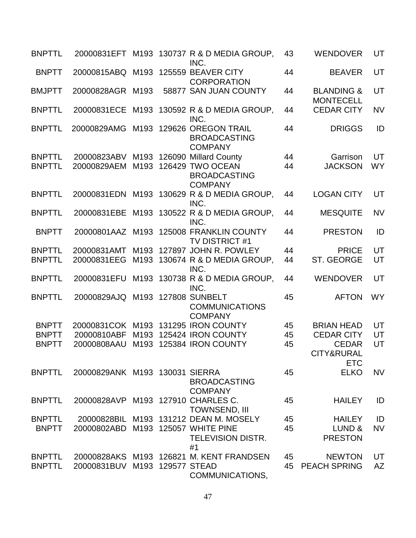| <b>BNPTTL</b> |                                     |      |                   | 20000831EFT M193 130737 R & D MEDIA GROUP,<br>INC.                | 43 | <b>WENDOVER</b>                           | UT        |
|---------------|-------------------------------------|------|-------------------|-------------------------------------------------------------------|----|-------------------------------------------|-----------|
| <b>BNPTT</b>  | 20000815ABQ M193 125559 BEAVER CITY |      |                   | <b>CORPORATION</b>                                                | 44 | <b>BEAVER</b>                             | UT        |
| <b>BMJPTT</b> | 20000828AGR                         | M193 |                   | 58877 SAN JUAN COUNTY                                             | 44 | <b>BLANDING &amp;</b><br><b>MONTECELL</b> | UT        |
| <b>BNPTTL</b> | 20000831ECE                         |      |                   | M193 130592 R & D MEDIA GROUP,<br>INC.                            | 44 | <b>CEDAR CITY</b>                         | <b>NV</b> |
| <b>BNPTTL</b> | 20000829AMG                         |      |                   | M193 129626 OREGON TRAIL<br><b>BROADCASTING</b><br><b>COMPANY</b> | 44 | <b>DRIGGS</b>                             | ID        |
| <b>BNPTTL</b> | 20000823ABV                         |      |                   | M193 126090 Millard County                                        | 44 | Garrison                                  | UT        |
| <b>BNPTTL</b> | 20000829AEM                         |      |                   | M193 126429 TWO OCEAN<br><b>BROADCASTING</b><br><b>COMPANY</b>    | 44 | <b>JACKSON</b>                            | <b>WY</b> |
| <b>BNPTTL</b> | 20000831EDN                         |      |                   | M193 130629 R & D MEDIA GROUP.<br>INC.                            | 44 | <b>LOGAN CITY</b>                         | UT        |
| <b>BNPTTL</b> | 20000831EBE                         |      |                   | M193 130522 R & D MEDIA GROUP,<br>INC.                            | 44 | <b>MESQUITE</b>                           | <b>NV</b> |
| <b>BNPTT</b>  |                                     |      |                   | 20000801AAZ M193 125008 FRANKLIN COUNTY<br>TV DISTRICT #1         | 44 | <b>PRESTON</b>                            | ID        |
| <b>BNPTTL</b> | 20000831AMT                         |      |                   | M193 127897 JOHN R. POWLEY                                        | 44 | <b>PRICE</b>                              | UT        |
| <b>BNPTTL</b> | 20000831EEG                         |      |                   | M193 130674 R & D MEDIA GROUP,<br>INC.                            | 44 | ST. GEORGE                                | UT        |
| <b>BNPTTL</b> | 20000831EFU                         |      |                   | M193 130738 R & D MEDIA GROUP,<br>INC.                            | 44 | <b>WENDOVER</b>                           | UT        |
| <b>BNPTTL</b> | 20000829AJQ                         |      |                   | M193 127808 SUNBELT<br><b>COMMUNICATIONS</b><br><b>COMPANY</b>    | 45 | <b>AFTON</b>                              | <b>WY</b> |
| <b>BNPTT</b>  |                                     |      |                   | 20000831COK M193 131295 IRON COUNTY                               | 45 | <b>BRIAN HEAD</b>                         | UT        |
| <b>BNPTT</b>  | 20000810ABF                         | M193 |                   | 125424 IRON COUNTY                                                | 45 | <b>CEDAR CITY</b>                         | UT        |
| <b>BNPTT</b>  | 20000808AAU                         |      |                   | M193 125384 IRON COUNTY                                           | 45 | <b>CEDAR</b><br>CITY&RURAL<br><b>ETC</b>  | UT        |
| <b>BNPTTL</b> | 20000829ANK M193 130031 SIERRA      |      |                   | <b>BROADCASTING</b><br><b>COMPANY</b>                             | 45 | <b>ELKO</b>                               | <b>NV</b> |
| <b>BNPTTL</b> | 20000828AVP                         |      |                   | M193 127910 CHARLES C.<br><b>TOWNSEND, III</b>                    | 45 | <b>HAILEY</b>                             | ID        |
| <b>BNPTTL</b> | 20000828BIL                         |      |                   | M193 131212 DEAN M. MOSELY                                        | 45 | <b>HAILEY</b>                             | ID        |
| <b>BNPTT</b>  | 20000802ABD                         |      |                   | M193 125057 WHITE PINE<br><b>TELEVISION DISTR.</b><br>#1          | 45 | LUND &<br><b>PRESTON</b>                  | <b>NV</b> |
| <b>BNPTTL</b> |                                     |      |                   | 20000828AKS M193 126821 M. KENT FRANDSEN                          | 45 | <b>NEWTON</b>                             | UT        |
| <b>BNPTTL</b> | 20000831BUV                         |      | M193 129577 STEAD | COMMUNICATIONS,                                                   | 45 | <b>PEACH SPRING</b>                       | <b>AZ</b> |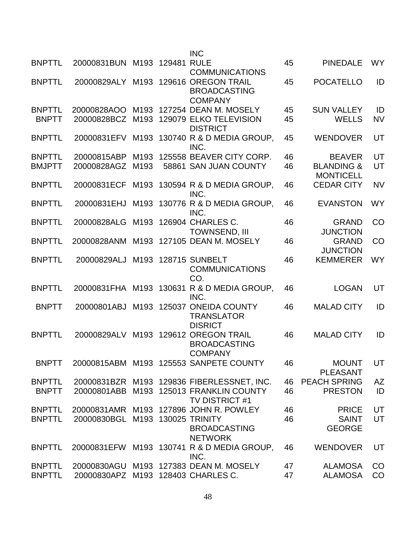|               |                                    |                  | <b>INC</b>                                                        |    |                                           |           |
|---------------|------------------------------------|------------------|-------------------------------------------------------------------|----|-------------------------------------------|-----------|
| <b>BNPTTL</b> | 20000831BUN M193 129481 RULE       |                  | <b>COMMUNICATIONS</b>                                             | 45 | <b>PINEDALE</b>                           | <b>WY</b> |
| <b>BNPTTL</b> | 20000829ALY M193                   |                  | 129616 OREGON TRAIL<br><b>BROADCASTING</b><br><b>COMPANY</b>      | 45 | <b>POCATELLO</b>                          | ID        |
| <b>BNPTTL</b> | 20000828AOO                        | M193             | 127254 DEAN M. MOSELY                                             | 45 | <b>SUN VALLEY</b>                         | ID        |
| <b>BNPTT</b>  | 20000828BCZ M193                   |                  | 129079 ELKO TELEVISION<br><b>DISTRICT</b>                         | 45 | <b>WELLS</b>                              | <b>NV</b> |
| <b>BNPTTL</b> |                                    |                  | 20000831EFV M193 130740 R & D MEDIA GROUP.<br>INC.                | 45 | <b>WENDOVER</b>                           | UT        |
| <b>BNPTTL</b> | 20000815ABP                        | M <sub>193</sub> | 125558 BEAVER CITY CORP.                                          | 46 | <b>BEAVER</b>                             | UT        |
| <b>BMJPTT</b> | 20000828AGZ                        | M <sub>193</sub> | 58861 SAN JUAN COUNTY                                             | 46 | <b>BLANDING &amp;</b><br><b>MONTICELL</b> | UT        |
| <b>BNPTTL</b> | 20000831ECF                        | M193             | 130594 R & D MEDIA GROUP.<br>INC.                                 | 46 | <b>CEDAR CITY</b>                         | <b>NV</b> |
| <b>BNPTTL</b> | 20000831EHJ                        |                  | M193 130776 R & D MEDIA GROUP,<br>INC.                            | 46 | <b>EVANSTON</b>                           | <b>WY</b> |
| <b>BNPTTL</b> | 20000828ALG                        | M193             | 126904 CHARLES C.<br><b>TOWNSEND, III</b>                         | 46 | <b>GRAND</b><br><b>JUNCTION</b>           | CO        |
| <b>BNPTTL</b> | 20000828ANM                        |                  | M193 127105 DEAN M. MOSELY                                        | 46 | <b>GRAND</b><br><b>JUNCTION</b>           | CO        |
| <b>BNPTTL</b> | 20000829ALJ                        |                  | M193 128715 SUNBELT<br><b>COMMUNICATIONS</b><br>CO.               | 46 | <b>KEMMERER</b>                           | <b>WY</b> |
| <b>BNPTTL</b> | 20000831FHA M193                   |                  | 130631 R & D MEDIA GROUP,<br>INC.                                 | 46 | <b>LOGAN</b>                              | UT        |
| <b>BNPTT</b>  | 20000801ABJ                        | M193             | 125037 ONEIDA COUNTY<br><b>TRANSLATOR</b><br><b>DISRICT</b>       | 46 | <b>MALAD CITY</b>                         | ID        |
| <b>BNPTTL</b> | 20000829ALV                        |                  | M193 129612 OREGON TRAIL<br><b>BROADCASTING</b><br><b>COMPANY</b> | 46 | <b>MALAD CITY</b>                         | ID        |
| <b>BNPTT</b>  |                                    |                  | 20000815ABM M193 125553 SANPETE COUNTY                            | 46 | <b>MOUNT</b><br><b>PLEASANT</b>           | UT        |
| <b>BNPTTL</b> |                                    |                  | 20000831BZR M193 129836 FIBERLESSNET, INC.                        | 46 | <b>PEACH SPRING</b>                       | <b>AZ</b> |
| <b>BNPTT</b>  |                                    |                  | 20000801ABB M193 125013 FRANKLIN COUNTY<br><b>TV DISTRICT #1</b>  | 46 | <b>PRESTON</b>                            | ID        |
| <b>BNPTTL</b> |                                    |                  | 20000831AMR M193 127896 JOHN R. POWLEY                            | 46 | <b>PRICE</b>                              | UT        |
| <b>BNPTTL</b> | 20000830BGL M193 130025 TRINITY    |                  | <b>BROADCASTING</b><br><b>NETWORK</b>                             | 46 | <b>SAINT</b><br><b>GEORGE</b>             | UT        |
| <b>BNPTTL</b> |                                    |                  | 20000831EFW M193 130741 R & D MEDIA GROUP,<br>INC.                | 46 | <b>WENDOVER</b>                           | UT        |
| <b>BNPTTL</b> |                                    |                  | 20000830AGU M193 127383 DEAN M. MOSELY                            | 47 | <b>ALAMOSA</b>                            | CO        |
| <b>BNPTTL</b> | 20000830APZ M193 128403 CHARLES C. |                  |                                                                   | 47 | <b>ALAMOSA</b>                            | CO        |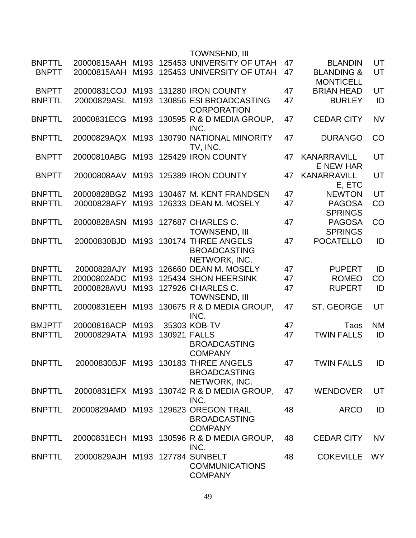|               |                                 |                  |              | <b>TOWNSEND, III</b>                                                          |    |                                           |           |
|---------------|---------------------------------|------------------|--------------|-------------------------------------------------------------------------------|----|-------------------------------------------|-----------|
| <b>BNPTTL</b> | 20000815AAH                     |                  |              | M193 125453 UNIVERSITY OF UTAH                                                | 47 | <b>BLANDIN</b>                            | UT        |
| <b>BNPTT</b>  | 20000815AAH                     |                  |              | M193 125453 UNIVERSITY OF UTAH                                                | 47 | <b>BLANDING &amp;</b><br><b>MONTICELL</b> | UT        |
| <b>BNPTT</b>  | 20000831COJ                     | M193             |              | 131280 IRON COUNTY                                                            | 47 | <b>BRIAN HEAD</b>                         | UT        |
| <b>BNPTTL</b> | 20000829ASL                     | M193             |              | 130856 ESI BROADCASTING<br><b>CORPORATION</b>                                 | 47 | <b>BURLEY</b>                             | ID        |
| <b>BNPTTL</b> | 20000831ECG                     | M193             |              | 130595 R & D MEDIA GROUP,<br>INC.                                             | 47 | <b>CEDAR CITY</b>                         | <b>NV</b> |
| <b>BNPTTL</b> |                                 |                  |              | 20000829AQX M193 130790 NATIONAL MINORITY<br>TV, INC.                         | 47 | <b>DURANGO</b>                            | CO        |
| <b>BNPTT</b>  | 20000810ABG                     | M193             |              | 125429 IRON COUNTY                                                            | 47 | <b>KANARRAVILL</b><br><b>E NEW HAR</b>    | UT        |
| <b>BNPTT</b>  | 20000808AAV                     |                  |              | M193 125389 IRON COUNTY                                                       | 47 | <b>KANARRAVILL</b><br>E, ETC              | UT        |
| <b>BNPTTL</b> | 20000828BGZ                     |                  |              | M193 130467 M. KENT FRANDSEN                                                  | 47 | <b>NEWTON</b>                             | UT        |
| <b>BNPTTL</b> | 20000828AFY                     | M193             |              | 126333 DEAN M. MOSELY                                                         | 47 | <b>PAGOSA</b><br><b>SPRINGS</b>           | CO        |
| <b>BNPTTL</b> | 20000828ASN                     | M193             |              | 127687 CHARLES C.                                                             | 47 | <b>PAGOSA</b>                             | CO        |
|               |                                 |                  |              | <b>TOWNSEND, III</b>                                                          |    | <b>SPRINGS</b>                            |           |
| <b>BNPTTL</b> | 20000830BJD                     | M193             |              | 130174 THREE ANGELS<br><b>BROADCASTING</b><br>NETWORK, INC.                   | 47 | <b>POCATELLO</b>                          | ID        |
| <b>BNPTTL</b> | 20000828AJY                     |                  |              | M193 126660 DEAN M. MOSELY                                                    | 47 | <b>PUPERT</b>                             | ID        |
| <b>BNPTTL</b> | 20000802ADC                     | M <sub>193</sub> |              | 125434 SHON HEERSINK                                                          | 47 | <b>ROMEO</b>                              | CO        |
| <b>BNPTTL</b> | 20000828AVU                     | M193             |              | 127926 CHARLES C.<br>TOWNSEND, III                                            | 47 | <b>RUPERT</b>                             | ID        |
| <b>BNPTTL</b> | 20000831EEH                     | M193             |              | 130675 R & D MEDIA GROUP,<br>INC.                                             | 47 | ST. GEORGE                                | UT        |
| <b>BMJPTT</b> | 20000816ACP                     | M193             |              | 35303 KOB-TV                                                                  | 47 | Taos                                      | <b>NM</b> |
| <b>BNPTTL</b> | 20000829ATA                     | M193             | 130921 FALLS | <b>BROADCASTING</b><br><b>COMPANY</b>                                         | 47 | <b>TWIN FALLS</b>                         | ID        |
| <b>BNPTTL</b> |                                 |                  |              | 20000830BJF M193 130183 THREE ANGELS<br><b>BROADCASTING</b><br>NETWORK, INC.  | 47 | <b>TWIN FALLS</b>                         | ID        |
| <b>BNPTTL</b> |                                 |                  |              | 20000831EFX M193 130742 R & D MEDIA GROUP,<br>INC.                            | 47 | <b>WENDOVER</b>                           | UT        |
| <b>BNPTTL</b> |                                 |                  |              | 20000829AMD M193 129623 OREGON TRAIL<br><b>BROADCASTING</b><br><b>COMPANY</b> | 48 | <b>ARCO</b>                               | ID        |
| <b>BNPTTL</b> |                                 |                  |              | 20000831ECH M193 130596 R & D MEDIA GROUP,<br>INC.                            | 48 | <b>CEDAR CITY</b>                         | <b>NV</b> |
| <b>BNPTTL</b> | 20000829AJH M193 127784 SUNBELT |                  |              | <b>COMMUNICATIONS</b><br><b>COMPANY</b>                                       | 48 | <b>COKEVILLE</b>                          | <b>WY</b> |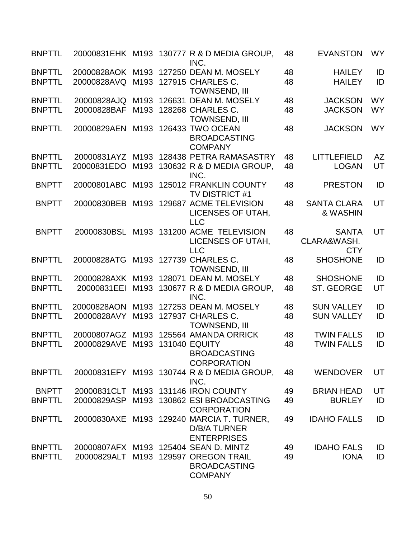| <b>BNPTTL</b>                  |                                 |                          | 20000831EHK M193 130777 R & D MEDIA GROUP,<br>INC.                                                                     | 48       | <b>EVANSTON</b>                           | <b>WY</b>              |
|--------------------------------|---------------------------------|--------------------------|------------------------------------------------------------------------------------------------------------------------|----------|-------------------------------------------|------------------------|
| <b>BNPTTL</b><br><b>BNPTTL</b> | 20000828AOK M193<br>20000828AVQ | M193                     | 127250 DEAN M. MOSELY<br>127915 CHARLES C.<br><b>TOWNSEND, III</b>                                                     | 48<br>48 | <b>HAILEY</b><br><b>HAILEY</b>            | ID<br>ID               |
| <b>BNPTTL</b><br><b>BNPTTL</b> | 20000828AJQ<br>20000828BAF      | M193<br>M193             | 126631 DEAN M. MOSELY<br>128268 CHARLES C.<br><b>TOWNSEND, III</b>                                                     | 48<br>48 | <b>JACKSON</b><br><b>JACKSON</b>          | <b>WY</b><br><b>WY</b> |
| <b>BNPTTL</b>                  | 20000829AEN                     |                          | M193 126433 TWO OCEAN<br><b>BROADCASTING</b><br><b>COMPANY</b>                                                         | 48       | <b>JACKSON</b>                            | <b>WY</b>              |
| <b>BNPTTL</b><br><b>BNPTTL</b> | 20000831AYZ<br>20000831EDO      | M193                     | M193 128438 PETRA RAMASASTRY<br>130632 R & D MEDIA GROUP,<br>INC.                                                      | 48<br>48 | LITTLEFIELD<br><b>LOGAN</b>               | <b>AZ</b><br>UT        |
| <b>BNPTT</b>                   | 20000801ABC                     |                          | M193 125012 FRANKLIN COUNTY<br><b>TV DISTRICT #1</b>                                                                   | 48       | <b>PRESTON</b>                            | ID                     |
| <b>BNPTT</b>                   | 20000830BEB                     | M193                     | 129687 ACME TELEVISION<br>LICENSES OF UTAH.<br><b>LLC</b>                                                              | 48       | <b>SANTA CLARA</b><br>& WASHIN            | UT                     |
| <b>BNPTT</b>                   | 20000830BSL                     |                          | M193 131200 ACME TELEVISION<br>LICENSES OF UTAH,<br><b>LLC</b>                                                         | 48       | <b>SANTA</b><br>CLARA&WASH.<br><b>CTY</b> | UT                     |
| <b>BNPTTL</b>                  | 20000828ATG                     |                          | M193 127739 CHARLES C.<br><b>TOWNSEND, III</b>                                                                         | 48       | <b>SHOSHONE</b>                           | ID                     |
| <b>BNPTTL</b>                  | 20000828AXK                     |                          | M193 128071 DEAN M. MOSELY                                                                                             | 48       | <b>SHOSHONE</b>                           | ID                     |
| <b>BNPTTL</b>                  | 20000831EEI                     | M193                     | 130677 R & D MEDIA GROUP,<br>INC.                                                                                      | 48       | ST. GEORGE                                | UT                     |
| <b>BNPTTL</b><br><b>BNPTTL</b> | 20000828AON<br>20000828AVY      | M <sub>193</sub><br>M193 | 127253 DEAN M. MOSELY<br>127937 CHARLES C.<br><b>TOWNSEND, III</b>                                                     | 48<br>48 | <b>SUN VALLEY</b><br><b>SUN VALLEY</b>    | ID<br>ID               |
| <b>BNPTTL</b><br><b>BNPTTL</b> | 20000807AGZ<br>20000829AVE      | M <sub>193</sub><br>M193 | 125564 AMANDA ORRICK<br><b>131040 EQUITY</b><br><b>BROADCASTING</b><br><b>CORPORATION</b>                              | 48<br>48 | <b>TWIN FALLS</b><br><b>TWIN FALLS</b>    | ID<br>ID               |
| <b>BNPTTL</b>                  |                                 |                          | 20000831EFY M193 130744 R & D MEDIA GROUP,<br>INC.                                                                     | 48       | <b>WENDOVER</b>                           | UT                     |
| <b>BNPTT</b>                   |                                 |                          | 20000831CLT M193 131146 IRON COUNTY                                                                                    | 49       | <b>BRIAN HEAD</b>                         | UT                     |
| <b>BNPTTL</b>                  | 20000829ASP                     |                          | M193 130862 ESI BROADCASTING<br><b>CORPORATION</b>                                                                     | 49       | <b>BURLEY</b>                             | ID                     |
| <b>BNPTTL</b>                  |                                 |                          | 20000830AXE M193 129240 MARCIA T. TURNER,<br><b>D/B/A TURNER</b><br><b>ENTERPRISES</b>                                 | 49       | <b>IDAHO FALLS</b>                        | ID                     |
| <b>BNPTTL</b><br><b>BNPTTL</b> |                                 |                          | 20000807AFX M193 125404 SEAN D. MINTZ<br>20000829ALT M193 129597 OREGON TRAIL<br><b>BROADCASTING</b><br><b>COMPANY</b> | 49<br>49 | <b>IDAHO FALS</b><br><b>IONA</b>          | ID<br>ID               |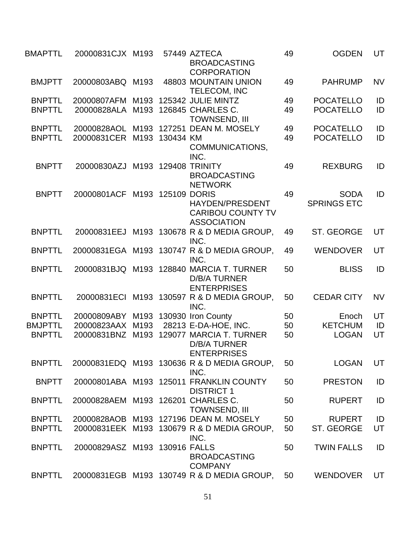| <b>BMAPTTL</b> | 20000831CJX M193                   |      |           | 57449 AZTECA<br><b>BROADCASTING</b><br><b>CORPORATION</b>                             | 49 | <b>OGDEN</b>                      | UT        |
|----------------|------------------------------------|------|-----------|---------------------------------------------------------------------------------------|----|-----------------------------------|-----------|
| <b>BMJPTT</b>  | 20000803ABQ M193                   |      |           | 48803 MOUNTAIN UNION<br>TELECOM, INC                                                  | 49 | <b>PAHRUMP</b>                    | <b>NV</b> |
| <b>BNPTTL</b>  | 20000807AFM M193                   |      |           | 125342 JULIE MINTZ                                                                    | 49 | <b>POCATELLO</b>                  | ID        |
| <b>BNPTTL</b>  | 20000828ALA M193                   |      |           | 126845 CHARLES C.<br><b>TOWNSEND, III</b>                                             | 49 | <b>POCATELLO</b>                  | ID        |
| <b>BNPTTL</b>  | 20000828AOL                        | M193 |           | 127251 DEAN M. MOSELY                                                                 | 49 | <b>POCATELLO</b>                  | ID        |
| <b>BNPTTL</b>  | 20000831CER                        | M193 | 130434 KM | COMMUNICATIONS,<br>INC.                                                               | 49 | <b>POCATELLO</b>                  | ID        |
| <b>BNPTT</b>   | 20000830AZJ                        |      |           | M193 129408 TRINITY<br><b>BROADCASTING</b><br><b>NETWORK</b>                          | 49 | <b>REXBURG</b>                    | ID        |
| <b>BNPTT</b>   | 20000801ACF M193 125109 DORIS      |      |           | <b>HAYDEN/PRESDENT</b><br><b>CARIBOU COUNTY TV</b><br><b>ASSOCIATION</b>              | 49 | <b>SODA</b><br><b>SPRINGS ETC</b> | ID        |
| <b>BNPTTL</b>  | 20000831EEJ                        |      |           | M193 130678 R & D MEDIA GROUP,<br>INC.                                                | 49 | ST. GEORGE                        | UT        |
| <b>BNPTTL</b>  |                                    |      |           | 20000831EGA M193 130747 R & D MEDIA GROUP,<br>INC.                                    | 49 | <b>WENDOVER</b>                   | UT        |
| <b>BNPTTL</b>  |                                    |      |           | 20000831BJQ M193 128840 MARCIA T. TURNER<br><b>D/B/A TURNER</b><br><b>ENTERPRISES</b> | 50 | <b>BLISS</b>                      | ID        |
| <b>BNPTTL</b>  | 20000831ECI                        |      |           | M193 130597 R & D MEDIA GROUP,<br>INC.                                                | 50 | <b>CEDAR CITY</b>                 | <b>NV</b> |
| <b>BNPTTL</b>  | 20000809ABY                        |      |           | M193 130930 Iron County                                                               | 50 | Enoch                             | UT        |
| <b>BMJPTTL</b> | 20000823AAX                        | M193 |           | 28213 E-DA-HOE, INC.                                                                  | 50 | <b>KETCHUM</b>                    | ID        |
| <b>BNPTTL</b>  | 20000831BNZ                        | M193 |           | 129077 MARCIA T. TURNER<br><b>D/B/A TURNER</b><br><b>ENTERPRISES</b>                  | 50 | <b>LOGAN</b>                      | UT        |
| <b>BNPTTL</b>  |                                    |      |           | 20000831EDQ M193 130636 R & D MEDIA GROUP,<br>INC.                                    | 50 | <b>LOGAN</b>                      | UT        |
| <b>BNPTT</b>   |                                    |      |           | 20000801ABA M193 125011 FRANKLIN COUNTY<br><b>DISTRICT 1</b>                          | 50 | <b>PRESTON</b>                    | ID        |
| <b>BNPTTL</b>  | 20000828AEM M193 126201 CHARLES C. |      |           | <b>TOWNSEND, III</b>                                                                  | 50 | <b>RUPERT</b>                     | ID        |
| <b>BNPTTL</b>  |                                    |      |           | 20000828AOB M193 127196 DEAN M. MOSELY                                                | 50 | <b>RUPERT</b>                     | ID        |
| <b>BNPTTL</b>  |                                    |      |           | 20000831EEK M193 130679 R & D MEDIA GROUP,<br>INC.                                    | 50 | <b>ST. GEORGE</b>                 | UT        |
| <b>BNPTTL</b>  | 20000829ASZ M193 130916 FALLS      |      |           | <b>BROADCASTING</b><br><b>COMPANY</b>                                                 | 50 | <b>TWIN FALLS</b>                 | ID        |
| <b>BNPTTL</b>  |                                    |      |           | 20000831EGB M193 130749 R & D MEDIA GROUP,                                            | 50 | <b>WENDOVER</b>                   | UT        |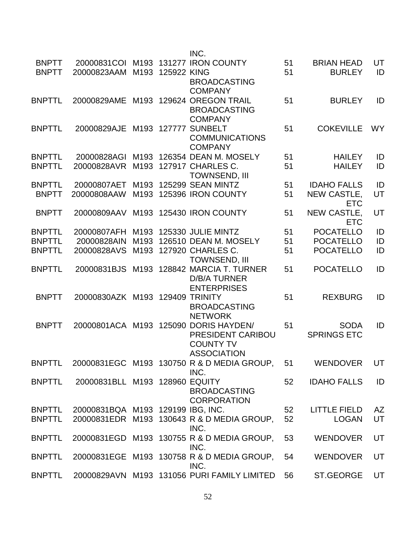|               |                                   |                  |                  | INC.                                          |    |                     |           |
|---------------|-----------------------------------|------------------|------------------|-----------------------------------------------|----|---------------------|-----------|
| <b>BNPTT</b>  |                                   |                  |                  | 20000831COI M193 131277 IRON COUNTY           | 51 | <b>BRIAN HEAD</b>   | UT        |
| <b>BNPTT</b>  | 20000823AAM                       |                  | M193 125922 KING |                                               | 51 | <b>BURLEY</b>       | ID        |
|               |                                   |                  |                  | <b>BROADCASTING</b>                           |    |                     |           |
|               |                                   |                  |                  | <b>COMPANY</b>                                |    |                     |           |
| <b>BNPTTL</b> | 20000829AME                       | M193             |                  | 129624 OREGON TRAIL                           | 51 | <b>BURLEY</b>       | ID        |
|               |                                   |                  |                  | <b>BROADCASTING</b>                           |    |                     |           |
|               |                                   |                  |                  | <b>COMPANY</b>                                |    |                     |           |
| <b>BNPTTL</b> | 20000829AJE                       | M193             | 127777           | <b>SUNBELT</b>                                | 51 | <b>COKEVILLE</b>    | <b>WY</b> |
|               |                                   |                  |                  | <b>COMMUNICATIONS</b>                         |    |                     |           |
|               |                                   |                  |                  |                                               |    |                     |           |
|               |                                   |                  |                  | <b>COMPANY</b>                                |    |                     |           |
| <b>BNPTTL</b> | 20000828AGI                       | M <sub>193</sub> |                  | 126354 DEAN M. MOSELY                         | 51 | <b>HAILEY</b>       | ID        |
| <b>BNPTTL</b> | 20000828AVR                       |                  |                  | M193 127917 CHARLES C.                        | 51 | <b>HAILEY</b>       | ID        |
|               |                                   |                  |                  | <b>TOWNSEND, III</b>                          |    |                     |           |
| <b>BNPTTL</b> | 20000807AET                       | M <sub>193</sub> |                  | 125299 SEAN MINTZ                             | 51 | <b>IDAHO FALLS</b>  | ID        |
| <b>BNPTT</b>  | 20000808AAW                       | M193             |                  | 125396 IRON COUNTY                            | 51 | NEW CASTLE,         | UT        |
|               |                                   |                  |                  |                                               |    | <b>ETC</b>          |           |
| <b>BNPTT</b>  | 20000809AAV                       |                  |                  | M193 125430 IRON COUNTY                       | 51 | NEW CASTLE,         | UT        |
|               |                                   |                  |                  |                                               |    | <b>ETC</b>          |           |
| <b>BNPTTL</b> | 20000807AFH                       | M193             |                  | 125330 JULIE MINTZ                            | 51 | <b>POCATELLO</b>    | ID        |
| <b>BNPTTL</b> | 20000828AIN                       |                  |                  | M193 126510 DEAN M. MOSELY                    | 51 | <b>POCATELLO</b>    | ID        |
| <b>BNPTTL</b> | 20000828AVS                       |                  |                  | M193 127920 CHARLES C.                        | 51 | <b>POCATELLO</b>    | ID        |
|               |                                   |                  |                  | <b>TOWNSEND, III</b>                          |    |                     |           |
| <b>BNPTTL</b> | 20000831BJS                       |                  |                  | M193 128842 MARCIA T. TURNER                  | 51 | <b>POCATELLO</b>    | ID        |
|               |                                   |                  |                  | <b>D/B/A TURNER</b>                           |    |                     |           |
|               |                                   |                  |                  | <b>ENTERPRISES</b>                            |    |                     |           |
| <b>BNPTT</b>  | 20000830AZK M193 129409 TRINITY   |                  |                  |                                               | 51 | <b>REXBURG</b>      | ID        |
|               |                                   |                  |                  | <b>BROADCASTING</b>                           |    |                     |           |
|               |                                   |                  |                  | <b>NETWORK</b>                                |    |                     |           |
|               |                                   |                  |                  |                                               |    |                     |           |
| <b>BNPTT</b>  | 20000801ACA M193 125090           |                  |                  | <b>DORIS HAYDEN/</b>                          | 51 | <b>SODA</b>         | ID        |
|               |                                   |                  |                  | PRESIDENT CARIBOU                             |    | <b>SPRINGS ETC</b>  |           |
|               |                                   |                  |                  | <b>COUNTY TV</b>                              |    |                     |           |
|               |                                   |                  |                  | <b>ASSOCIATION</b>                            |    |                     |           |
| <b>BNPTTL</b> |                                   |                  |                  | 20000831EGC M193 130750 R & D MEDIA GROUP, 51 |    | WENDOVER            | UT        |
|               |                                   |                  |                  | INC.                                          |    |                     |           |
| <b>BNPTTL</b> | 20000831BLL M193 128960 EQUITY    |                  |                  |                                               | 52 | <b>IDAHO FALLS</b>  | ID        |
|               |                                   |                  |                  | <b>BROADCASTING</b>                           |    |                     |           |
|               |                                   |                  |                  | <b>CORPORATION</b>                            |    |                     |           |
| <b>BNPTTL</b> | 20000831BQA M193 129199 IBG, INC. |                  |                  |                                               | 52 | <b>LITTLE FIELD</b> | AZ        |
| <b>BNPTTL</b> |                                   |                  |                  | 20000831EDR M193 130643 R & D MEDIA GROUP,    | 52 | <b>LOGAN</b>        | UT        |
|               |                                   |                  |                  | INC.                                          |    |                     |           |
| <b>BNPTTL</b> |                                   |                  |                  | 20000831EGD M193 130755 R & D MEDIA GROUP,    | 53 | <b>WENDOVER</b>     | UT        |
|               |                                   |                  |                  | INC.                                          |    |                     |           |
| <b>BNPTTL</b> |                                   |                  |                  | 20000831EGE M193 130758 R & D MEDIA GROUP,    | 54 | <b>WENDOVER</b>     | UT        |
|               |                                   |                  |                  | INC.                                          |    |                     |           |
| <b>BNPTTL</b> |                                   |                  |                  | 20000829AVN M193 131056 PURI FAMILY LIMITED   | 56 | ST.GEORGE           | UT        |
|               |                                   |                  |                  |                                               |    |                     |           |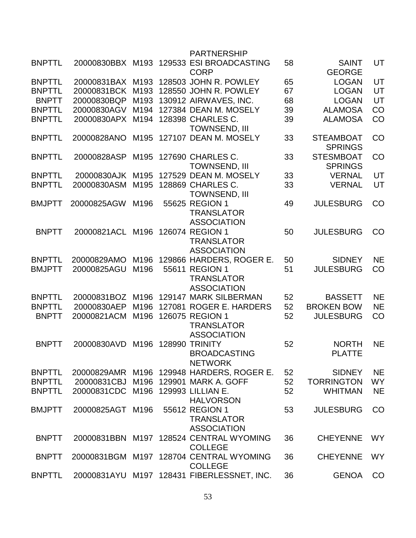|               |                  |                  | <b>PARTNERSHIP</b>                                             |    |                                    |           |
|---------------|------------------|------------------|----------------------------------------------------------------|----|------------------------------------|-----------|
| <b>BNPTTL</b> | 20000830BBX M193 |                  | 129533 ESI BROADCASTING<br><b>CORP</b>                         | 58 | <b>SAINT</b><br><b>GEORGE</b>      | UT        |
| <b>BNPTTL</b> | 20000831BAX M193 |                  | 128503 JOHN R. POWLEY                                          | 65 | <b>LOGAN</b>                       | UT        |
| <b>BNPTTL</b> | 20000831BCK      | M <sub>193</sub> | 128550 JOHN R. POWLEY                                          | 67 | <b>LOGAN</b>                       | UT        |
| <b>BNPTT</b>  | 20000830BQP      | M193             | 130912 AIRWAVES, INC.                                          | 68 | <b>LOGAN</b>                       | UT        |
| <b>BNPTTL</b> | 20000830AGV      | M194             | 127384 DEAN M. MOSELY                                          | 39 | <b>ALAMOSA</b>                     | CO        |
| <b>BNPTTL</b> | 20000830APX      | M194             | 128398 CHARLES C.<br><b>TOWNSEND, III</b>                      | 39 | <b>ALAMOSA</b>                     | CO        |
| <b>BNPTTL</b> | 20000828ANO      | M <sub>195</sub> | 127107 DEAN M. MOSELY                                          | 33 | <b>STEAMBOAT</b><br><b>SPRINGS</b> | CO        |
| <b>BNPTTL</b> | 20000828ASP      | M195             | 127690 CHARLES C.<br><b>TOWNSEND, III</b>                      | 33 | <b>STESMBOAT</b><br><b>SPRINGS</b> | CO        |
| <b>BNPTTL</b> | 20000830AJK      | M <sub>195</sub> | 127529 DEAN M. MOSELY                                          | 33 | <b>VERNAL</b>                      | UT        |
| <b>BNPTTL</b> | 20000830ASM      | M195             | 128869 CHARLES C.<br><b>TOWNSEND, III</b>                      | 33 | <b>VERNAL</b>                      | UT        |
| <b>BMJPTT</b> | 20000825AGW      | M196             | 55625 REGION 1<br><b>TRANSLATOR</b><br><b>ASSOCIATION</b>      | 49 | <b>JULESBURG</b>                   | CO        |
| <b>BNPTT</b>  | 20000821ACL      | M196             | 126074 REGION 1<br><b>TRANSLATOR</b>                           | 50 | <b>JULESBURG</b>                   | CO        |
| <b>BNPTTL</b> | 20000829AMO      | M196             | <b>ASSOCIATION</b><br>129866 HARDERS, ROGER E.                 | 50 | <b>SIDNEY</b>                      | <b>NE</b> |
| <b>BMJPTT</b> | 20000825AGU      | M196             | 55611 REGION 1<br><b>TRANSLATOR</b>                            | 51 | <b>JULESBURG</b>                   | CO        |
|               |                  |                  | <b>ASSOCIATION</b>                                             |    |                                    |           |
| <b>BNPTTL</b> | 20000831BOZ      | M196             | 129147 MARK SILBERMAN                                          | 52 | <b>BASSETT</b>                     | <b>NE</b> |
| <b>BNPTTL</b> | 20000830AEP      | M196             | 127081 ROGER E. HARDERS                                        | 52 | <b>BROKEN BOW</b>                  | <b>NE</b> |
| <b>BNPTT</b>  | 20000821ACM      | M196             | 126075 REGION 1<br><b>TRANSLATOR</b><br><b>ASSOCIATION</b>     | 52 | <b>JULESBURG</b>                   | CO        |
| <b>BNPTT</b>  | 20000830AVD      | M196             | <b>128990 TRINITY</b><br><b>BROADCASTING</b><br><b>NETWORK</b> | 52 | <b>NORTH</b><br><b>PLATTE</b>      | <b>NE</b> |
| <b>BNPTTL</b> | 20000829AMR      |                  | M196 129948 HARDERS, ROGER E.                                  | 52 | <b>SIDNEY</b>                      | <b>NE</b> |
| <b>BNPTTL</b> | 20000831CBJ      |                  | M196 129901 MARK A. GOFF                                       | 52 | <b>TORRINGTON</b>                  | <b>WY</b> |
| <b>BNPTTL</b> | 20000831CDC      |                  | M196 129993 LILLIAN E.<br><b>HALVORSON</b>                     | 52 | <b>WHITMAN</b>                     | <b>NE</b> |
| <b>BMJPTT</b> | 20000825AGT M196 |                  | 55612 REGION 1<br><b>TRANSLATOR</b><br><b>ASSOCIATION</b>      | 53 | <b>JULESBURG</b>                   | CO        |
| <b>BNPTT</b>  | 20000831BBN      |                  | M197 128524 CENTRAL WYOMING<br><b>COLLEGE</b>                  | 36 | <b>CHEYENNE</b>                    | <b>WY</b> |
| <b>BNPTT</b>  |                  |                  | 20000831BGM M197 128704 CENTRAL WYOMING<br><b>COLLEGE</b>      | 36 | <b>CHEYENNE</b>                    | <b>WY</b> |
| <b>BNPTTL</b> |                  |                  | 20000831AYU M197 128431 FIBERLESSNET, INC.                     | 36 | <b>GENOA</b>                       | CO        |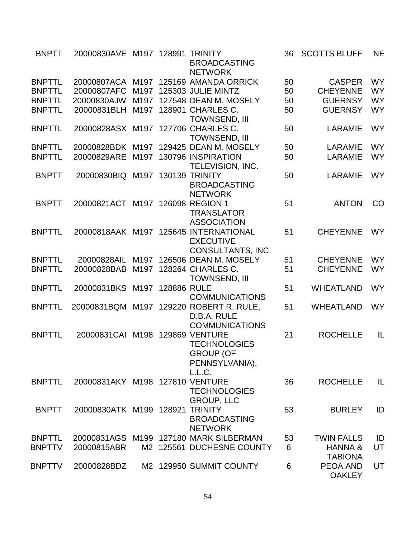| <b>BNPTT</b>  | 20000830AVE M197 128991 TRINITY |                  |             | <b>BROADCASTING</b><br><b>NETWORK</b>   | 36 | <b>SCOTTS BLUFF</b> | <b>NE</b> |
|---------------|---------------------------------|------------------|-------------|-----------------------------------------|----|---------------------|-----------|
| <b>BNPTTL</b> | 20000807ACA M197                |                  |             | 125169 AMANDA ORRICK                    | 50 | <b>CASPER</b>       | <b>WY</b> |
| <b>BNPTTL</b> | 20000807AFC                     | M197             |             | 125303 JULIE MINTZ                      | 50 | <b>CHEYENNE</b>     | <b>WY</b> |
| <b>BNPTTL</b> | 20000830AJW                     | M197             |             | 127548 DEAN M. MOSELY                   | 50 | <b>GUERNSY</b>      | <b>WY</b> |
| <b>BNPTTL</b> | 20000831BLH                     | M197             |             | 128901 CHARLES C.                       | 50 | <b>GUERNSY</b>      | <b>WY</b> |
|               |                                 |                  |             | <b>TOWNSEND, III</b>                    |    |                     |           |
| <b>BNPTTL</b> | 20000828ASX M197                |                  |             | 127706 CHARLES C.                       | 50 | LARAMIE             | <b>WY</b> |
|               |                                 |                  |             | <b>TOWNSEND, III</b>                    |    |                     |           |
| <b>BNPTTL</b> | 20000828BDK M197                |                  |             | 129425 DEAN M. MOSELY                   | 50 | LARAMIE             | <b>WY</b> |
| <b>BNPTTL</b> | 20000829ARE                     | M197             |             | 130796 INSPIRATION                      | 50 | <b>LARAMIE</b>      | <b>WY</b> |
|               |                                 |                  |             | <b>TELEVISION, INC.</b>                 |    |                     |           |
| <b>BNPTT</b>  | 20000830BIQ                     | M197             |             | <b>130139 TRINITY</b>                   | 50 | LARAMIE             | <b>WY</b> |
|               |                                 |                  |             | <b>BROADCASTING</b>                     |    |                     |           |
|               |                                 |                  |             | <b>NETWORK</b>                          |    |                     |           |
| <b>BNPTT</b>  | 20000821ACT                     | M197             |             | 126098 REGION 1                         | 51 | <b>ANTON</b>        | CO        |
|               |                                 |                  |             | <b>TRANSLATOR</b>                       |    |                     |           |
|               |                                 |                  |             | <b>ASSOCIATION</b>                      |    |                     |           |
| <b>BNPTTL</b> |                                 |                  |             | 20000818AAK M197 125645 INTERNATIONAL   | 51 | <b>CHEYENNE</b>     | <b>WY</b> |
|               |                                 |                  |             | <b>EXECUTIVE</b>                        |    |                     |           |
|               |                                 |                  |             | CONSULTANTS, INC.                       |    |                     |           |
| <b>BNPTTL</b> | 20000828AIL                     | M197             |             | 126506 DEAN M. MOSELY                   | 51 | <b>CHEYENNE</b>     | <b>WY</b> |
| <b>BNPTTL</b> | 20000828BAB                     | M <sub>197</sub> |             | 128264 CHARLES C.                       | 51 | <b>CHEYENNE</b>     | <b>WY</b> |
|               |                                 |                  |             | <b>TOWNSEND, III</b>                    |    |                     |           |
| <b>BNPTTL</b> | 20000831BKS                     | M197             | 128886 RULE |                                         | 51 | <b>WHEATLAND</b>    | <b>WY</b> |
|               |                                 |                  |             | <b>COMMUNICATIONS</b>                   |    |                     |           |
| <b>BNPTTL</b> |                                 |                  |             | 20000831BQM M197 129220 ROBERT R. RULE, | 51 | <b>WHEATLAND</b>    | <b>WY</b> |
|               |                                 |                  |             | D.B.A. RULE                             |    |                     |           |
|               |                                 |                  |             | <b>COMMUNICATIONS</b>                   |    |                     |           |
| <b>BNPTTL</b> | 20000831CAI M198 129869 VENTURE |                  |             |                                         | 21 | <b>ROCHELLE</b>     | IL        |
|               |                                 |                  |             | <b>TECHNOLOGIES</b>                     |    |                     |           |
|               |                                 |                  |             | <b>GROUP (OF</b>                        |    |                     |           |
|               |                                 |                  |             | PENNSYLVANIA),                          |    |                     |           |
|               |                                 |                  |             | L.L.C.                                  |    |                     |           |
| <b>BNPTTL</b> | 20000831AKY M198 127810 VENTURE |                  |             |                                         | 36 | <b>ROCHELLE</b>     | IL        |
|               |                                 |                  |             | <b>TECHNOLOGIES</b>                     |    |                     |           |
|               |                                 |                  |             | <b>GROUP, LLC</b>                       |    |                     |           |
| <b>BNPTT</b>  | 20000830ATK M199 128921         |                  |             | <b>TRINITY</b>                          | 53 | <b>BURLEY</b>       | ID        |
|               |                                 |                  |             | <b>BROADCASTING</b>                     |    |                     |           |
|               |                                 |                  |             | <b>NETWORK</b>                          |    |                     |           |
| <b>BNPTTL</b> |                                 |                  |             | 20000831AGS M199 127180 MARK SILBERMAN  | 53 | <b>TWIN FALLS</b>   | ID        |
| <b>BNPTTV</b> | 20000815ABR                     |                  |             | M2 125561 DUCHESNE COUNTY               | 6  | <b>HANNA &amp;</b>  | UT        |
|               |                                 |                  |             |                                         |    | <b>TABIONA</b>      |           |
| <b>BNPTTV</b> | 20000828BDZ                     |                  |             | M2 129950 SUMMIT COUNTY                 | 6  | PEOA AND            | UT        |
|               |                                 |                  |             |                                         |    | <b>OAKLEY</b>       |           |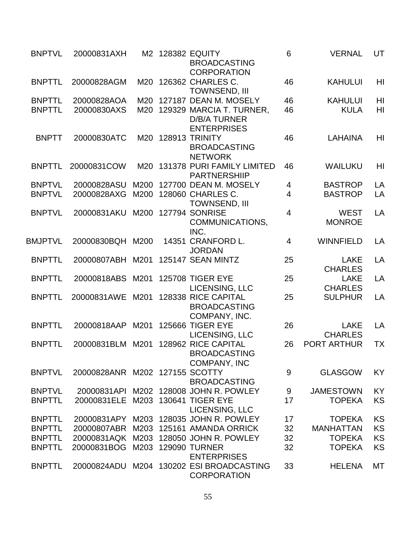| <b>BNPTVL</b>                  | 20000831AXH                    |            | M2 128382 EQUITY<br><b>BROADCASTING</b><br><b>CORPORATION</b>                                  | 6              | <b>VERNAL</b>                 | UT                   |
|--------------------------------|--------------------------------|------------|------------------------------------------------------------------------------------------------|----------------|-------------------------------|----------------------|
| <b>BNPTTL</b>                  | 20000828AGM                    |            | M20 126362 CHARLES C.<br><b>TOWNSEND, III</b>                                                  | 46             | <b>KAHULUI</b>                | HI                   |
| <b>BNPTTL</b><br><b>BNPTTL</b> | 20000828AOA<br>20000830AXS     | M20<br>M20 | 127187 DEAN M. MOSELY<br>129329 MARCIA T. TURNER,<br><b>D/B/A TURNER</b><br><b>ENTERPRISES</b> | 46<br>46       | <b>KAHULUI</b><br><b>KULA</b> | H <sub>l</sub><br>HI |
| <b>BNPTT</b>                   | 20000830ATC                    |            | M20 128913 TRINITY<br><b>BROADCASTING</b><br><b>NETWORK</b>                                    | 46             | <b>LAHAINA</b>                | HI                   |
| <b>BNPTTL</b>                  | 20000831COW                    |            | M20 131378 PURI FAMILY LIMITED<br><b>PARTNERSHIIP</b>                                          | 46             | WAILUKU                       | HI                   |
| <b>BNPTVL</b>                  | 20000828ASU                    | M200       | 127700 DEAN M. MOSELY                                                                          | 4              | <b>BASTROP</b>                | LA                   |
| <b>BNPTVL</b>                  | 20000828AXG                    | M200       | 128060 CHARLES C.<br><b>TOWNSEND, III</b>                                                      | $\overline{4}$ | <b>BASTROP</b>                | LA                   |
| <b>BNPTVL</b>                  | 20000831AKU                    | M200       | <b>127794 SONRISE</b><br>COMMUNICATIONS,<br>INC.                                               | $\overline{4}$ | <b>WEST</b><br><b>MONROE</b>  | LA                   |
| <b>BMJPTVL</b>                 | 20000830BQH M200               |            | 14351 CRANFORD L.<br><b>JORDAN</b>                                                             | $\overline{4}$ | <b>WINNFIELD</b>              | LA                   |
| <b>BNPTTL</b>                  | 20000807ABH                    | M201       | 125147 SEAN MINTZ                                                                              | 25             | <b>LAKE</b><br><b>CHARLES</b> | LA                   |
| <b>BNPTTL</b>                  | 20000818ABS                    | M201       | <b>125708 TIGER EYE</b><br>LICENSING, LLC                                                      | 25             | <b>LAKE</b><br><b>CHARLES</b> | LA                   |
| <b>BNPTTL</b>                  | 20000831AWE                    | M201       | 128338 RICE CAPITAL<br><b>BROADCASTING</b><br>COMPANY, INC.                                    | 25             | <b>SULPHUR</b>                | LA                   |
| <b>BNPTTL</b>                  | 20000818AAP                    | M201       | <b>125666 TIGER EYE</b><br>LICENSING, LLC                                                      | 26             | <b>LAKE</b><br><b>CHARLES</b> | LA                   |
| <b>BNPTTL</b>                  | 20000831BLM M201               |            | 128962 RICE CAPITAL<br><b>BROADCASTING</b><br><b>COMPANY, INC</b>                              | 26             | <b>PORT ARTHUR</b>            | <b>TX</b>            |
| <b>BNPTVL</b>                  | 20000828ANR M202 127155 SCOTTY |            | <b>BROADCASTING</b>                                                                            | 9              | <b>GLASGOW</b>                | KY                   |
| <b>BNPTVL</b>                  | 20000831API                    |            | M202 128008 JOHN R. POWLEY                                                                     | 9              | <b>JAMESTOWN</b>              | KY                   |
| <b>BNPTTL</b>                  | 20000831ELE                    |            | M203 130641 TIGER EYE<br>LICENSING, LLC                                                        | 17             | <b>TOPEKA</b>                 | KS                   |
| <b>BNPTTL</b>                  | 20000831APY                    | M203       | 128035 JOHN R. POWLEY                                                                          | 17             | <b>TOPEKA</b>                 | KS                   |
| <b>BNPTTL</b>                  | 20000807ABR                    | M203       | 125161 AMANDA ORRICK                                                                           | 32             | <b>MANHATTAN</b>              | KS                   |
| <b>BNPTTL</b>                  |                                |            | 20000831AQK M203 128050 JOHN R. POWLEY                                                         | 32             | <b>TOPEKA</b>                 | KS                   |
| <b>BNPTTL</b>                  | 20000831BOG                    | M203       | <b>129090 TURNER</b><br><b>ENTERPRISES</b>                                                     | 32             | <b>TOPEKA</b>                 | KS                   |
| <b>BNPTTL</b>                  |                                |            | 20000824ADU M204 130202 ESI BROADCASTING<br><b>CORPORATION</b>                                 | 33             | <b>HELENA</b>                 | MT                   |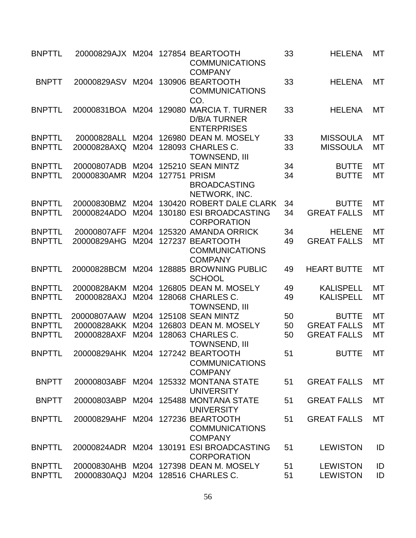| <b>BNPTTL</b> | 20000829AJX M204 127854 BEARTOOTH |      |              | <b>COMMUNICATIONS</b><br><b>COMPANY</b>                              | 33 | <b>HELENA</b>      | MT        |
|---------------|-----------------------------------|------|--------------|----------------------------------------------------------------------|----|--------------------|-----------|
| <b>BNPTT</b>  | 20000829ASV                       | M204 |              | 130906 BEARTOOTH<br><b>COMMUNICATIONS</b><br>CO.                     | 33 | <b>HELENA</b>      | <b>MT</b> |
| <b>BNPTTL</b> | 20000831BOA M204                  |      | 129080       | <b>MARCIA T. TURNER</b><br><b>D/B/A TURNER</b><br><b>ENTERPRISES</b> | 33 | <b>HELENA</b>      | MT        |
| <b>BNPTTL</b> | 20000828ALL                       | M204 |              | 126980 DEAN M. MOSELY                                                | 33 | <b>MISSOULA</b>    | <b>MT</b> |
| <b>BNPTTL</b> | 20000828AXQ                       | M204 |              | 128093 CHARLES C.<br><b>TOWNSEND, III</b>                            | 33 | <b>MISSOULA</b>    | MT        |
| <b>BNPTTL</b> | 20000807ADB                       | M204 |              | 125210 SEAN MINTZ                                                    | 34 | <b>BUTTE</b>       | MT        |
| <b>BNPTTL</b> | 20000830AMR                       | M204 | 127751 PRISM | <b>BROADCASTING</b><br>NETWORK, INC.                                 | 34 | <b>BUTTE</b>       | <b>MT</b> |
| <b>BNPTTL</b> | 20000830BMZ                       | M204 |              | 130420 ROBERT DALE CLARK                                             | 34 | <b>BUTTE</b>       | MT        |
| <b>BNPTTL</b> | 20000824ADO                       | M204 |              | 130180 ESI BROADCASTING<br><b>CORPORATION</b>                        | 34 | <b>GREAT FALLS</b> | <b>MT</b> |
| <b>BNPTTL</b> | 20000807AFF                       | M204 |              | 125320 AMANDA ORRICK                                                 | 34 | <b>HELENE</b>      | <b>MT</b> |
| <b>BNPTTL</b> | 20000829AHG                       | M204 |              | 127237 BEARTOOTH<br><b>COMMUNICATIONS</b><br><b>COMPANY</b>          | 49 | <b>GREAT FALLS</b> | MT        |
| <b>BNPTTL</b> | 20000828BCM                       | M204 |              | 128885 BROWNING PUBLIC<br><b>SCHOOL</b>                              | 49 | <b>HEART BUTTE</b> | <b>MT</b> |
| <b>BNPTTL</b> | 20000828AKM                       | M204 |              | 126805 DEAN M. MOSELY                                                | 49 | <b>KALISPELL</b>   | MT        |
| <b>BNPTTL</b> | 20000828AXJ                       | M204 |              | 128068 CHARLES C.<br><b>TOWNSEND, III</b>                            | 49 | <b>KALISPELL</b>   | MT        |
| <b>BNPTTL</b> | 20000807AAW                       |      |              | M204 125108 SEAN MINTZ                                               | 50 | <b>BUTTE</b>       | <b>MT</b> |
| <b>BNPTTL</b> | 20000828AKK                       | M204 |              | 126803 DEAN M. MOSELY                                                | 50 | <b>GREAT FALLS</b> | MT        |
| <b>BNPTTL</b> | 20000828AXF                       |      |              | M204 128063 CHARLES C.<br><b>TOWNSEND, III</b>                       | 50 | <b>GREAT FALLS</b> | MT        |
| <b>BNPTTL</b> | 20000829AHK M204 127242 BEARTOOTH |      |              | <b>COMMUNICATIONS</b><br><b>COMPANY</b>                              | 51 | <b>BUTTE</b>       | <b>MT</b> |
| <b>BNPTT</b>  | 20000803ABF                       |      |              | M204 125332 MONTANA STATE<br><b>UNIVERSITY</b>                       | 51 | <b>GREAT FALLS</b> | <b>MT</b> |
| <b>BNPTT</b>  | 20000803ABP                       |      |              | M204 125488 MONTANA STATE<br><b>UNIVERSITY</b>                       | 51 | <b>GREAT FALLS</b> | MT        |
| <b>BNPTTL</b> | 20000829AHF                       |      |              | M204 127236 BEARTOOTH<br><b>COMMUNICATIONS</b><br><b>COMPANY</b>     | 51 | <b>GREAT FALLS</b> | <b>MT</b> |
| <b>BNPTTL</b> |                                   |      |              | 20000824ADR M204 130191 ESI BROADCASTING<br><b>CORPORATION</b>       | 51 | <b>LEWISTON</b>    | ID        |
| <b>BNPTTL</b> | 20000830AHB                       |      |              | M204 127398 DEAN M. MOSELY                                           | 51 | <b>LEWISTON</b>    | ID        |
| <b>BNPTTL</b> | 20000830AQJ                       |      |              | M204 128516 CHARLES C.                                               | 51 | <b>LEWISTON</b>    | ID        |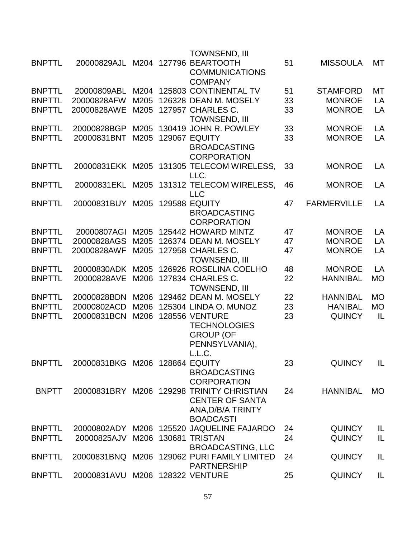|               |                                 |      | <b>TOWNSEND, III</b>                                            |    |                    |           |
|---------------|---------------------------------|------|-----------------------------------------------------------------|----|--------------------|-----------|
| <b>BNPTTL</b> | 20000829AJL                     |      | M204 127796 BEARTOOTH                                           | 51 | <b>MISSOULA</b>    | MT        |
|               |                                 |      | <b>COMMUNICATIONS</b><br><b>COMPANY</b>                         |    |                    |           |
| <b>BNPTTL</b> | 20000809ABL                     | M204 | 125803 CONTINENTAL TV                                           | 51 | <b>STAMFORD</b>    | MT        |
| <b>BNPTTL</b> | 20000828AFW                     | M205 | 126328 DEAN M. MOSELY                                           | 33 | <b>MONROE</b>      | LA        |
| <b>BNPTTL</b> | 20000828AWE                     | M205 | 127957 CHARLES C.                                               | 33 | <b>MONROE</b>      | LA        |
|               |                                 |      | <b>TOWNSEND, III</b>                                            |    |                    |           |
| <b>BNPTTL</b> | 20000828BGP                     | M205 | 130419 JOHN R. POWLEY                                           | 33 | <b>MONROE</b>      | LA        |
| <b>BNPTTL</b> | 20000831BNT                     | M205 | 129067 EQUITY                                                   | 33 | <b>MONROE</b>      | LA        |
|               |                                 |      | <b>BROADCASTING</b>                                             |    |                    |           |
|               |                                 |      | <b>CORPORATION</b>                                              |    |                    |           |
| <b>BNPTTL</b> | 20000831EKK M205                |      | 131305 TELECOM WIRELESS,                                        | 33 | <b>MONROE</b>      | LA        |
| <b>BNPTTL</b> | 20000831EKL                     | M205 | LLC.<br>131312 TELECOM WIRELESS,                                | 46 | <b>MONROE</b>      | LA        |
|               |                                 |      | <b>LLC</b>                                                      |    |                    |           |
| <b>BNPTTL</b> | 20000831BUY M205                |      | <b>129588 EQUITY</b>                                            | 47 | <b>FARMERVILLE</b> | LA        |
|               |                                 |      | <b>BROADCASTING</b>                                             |    |                    |           |
|               |                                 |      | <b>CORPORATION</b>                                              |    |                    |           |
| <b>BNPTTL</b> | 20000807AGI                     | M205 | 125442 HOWARD MINTZ                                             | 47 | <b>MONROE</b>      | LA        |
| <b>BNPTTL</b> | 20000828AGS                     | M205 | 126374 DEAN M. MOSELY                                           | 47 | <b>MONROE</b>      | LA        |
| <b>BNPTTL</b> | 20000828AWF                     | M205 | 127958 CHARLES C.                                               | 47 | <b>MONROE</b>      | LA        |
|               |                                 |      | <b>TOWNSEND, III</b>                                            |    |                    |           |
| <b>BNPTTL</b> | 20000830ADK                     | M205 | 126926 ROSELINA COELHO                                          | 48 | <b>MONROE</b>      | LA        |
| <b>BNPTTL</b> | 20000828AVE                     | M206 | 127834 CHARLES C.<br><b>TOWNSEND, III</b>                       | 22 | <b>HANNIBAL</b>    | <b>MO</b> |
| <b>BNPTTL</b> | 20000828BDN                     | M206 | 129462 DEAN M. MOSELY                                           | 22 | <b>HANNIBAL</b>    | <b>MO</b> |
| <b>BNPTTL</b> | 20000802ACD                     | M206 | 125304 LINDA O. MUNOZ                                           | 23 | <b>HANIBAL</b>     | <b>MO</b> |
| <b>BNPTTL</b> | 20000831BCN                     | M206 | <b>128556 VENTURE</b>                                           | 23 | <b>QUINCY</b>      | IL        |
|               |                                 |      | <b>TECHNOLOGIES</b>                                             |    |                    |           |
|               |                                 |      | <b>GROUP (OF</b>                                                |    |                    |           |
|               |                                 |      | PENNSYLVANIA),                                                  |    |                    |           |
|               |                                 |      | L.L.C.                                                          |    |                    |           |
| <b>BNPTTL</b> | 20000831BKG M206 128864 EQUITY  |      |                                                                 | 23 | <b>QUINCY</b>      | IL        |
|               |                                 |      | <b>BROADCASTING</b>                                             |    |                    |           |
| <b>BNPTT</b>  |                                 |      | <b>CORPORATION</b><br>20000831BRY M206 129298 TRINITY CHRISTIAN | 24 | <b>HANNIBAL</b>    | <b>MO</b> |
|               |                                 |      | <b>CENTER OF SANTA</b>                                          |    |                    |           |
|               |                                 |      | ANA, D/B/A TRINTY                                               |    |                    |           |
|               |                                 |      | <b>BOADCASTI</b>                                                |    |                    |           |
| <b>BNPTTL</b> |                                 |      | 20000802ADY M206 125520 JAQUELINE FAJARDO                       | 24 | <b>QUINCY</b>      | IL        |
| <b>BNPTTL</b> | 20000825AJV                     | M206 | 130681 TRISTAN                                                  | 24 | <b>QUINCY</b>      | IL        |
|               |                                 |      | <b>BROADCASTING, LLC</b>                                        |    |                    |           |
| <b>BNPTTL</b> |                                 |      | 20000831BNQ M206 129062 PURI FAMILY LIMITED                     | 24 | <b>QUINCY</b>      | IL        |
|               |                                 |      | <b>PARTNERSHIP</b>                                              |    |                    |           |
| <b>BNPTTL</b> | 20000831AVU M206 128322 VENTURE |      |                                                                 | 25 | <b>QUINCY</b>      | IL        |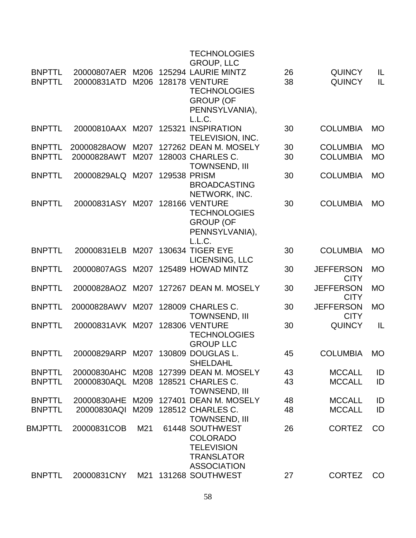|                                |                                     |              |              | <b>TECHNOLOGIES</b><br><b>GROUP, LLC</b>                                                                                   |          |                                    |                        |
|--------------------------------|-------------------------------------|--------------|--------------|----------------------------------------------------------------------------------------------------------------------------|----------|------------------------------------|------------------------|
| <b>BNPTTL</b><br><b>BNPTTL</b> | 20000831ATD                         | M206         |              | 20000807AER M206 125294 LAURIE MINTZ<br><b>128178 VENTURE</b><br><b>TECHNOLOGIES</b><br><b>GROUP (OF</b><br>PENNSYLVANIA), | 26<br>38 | <b>QUINCY</b><br><b>QUINCY</b>     | IL<br>IL               |
| <b>BNPTTL</b>                  | 20000810AAX M207 125321 INSPIRATION |              |              | L.L.C.<br>TELEVISION, INC.                                                                                                 | 30       | <b>COLUMBIA</b>                    | <b>MO</b>              |
| <b>BNPTTL</b><br><b>BNPTTL</b> | 20000828AOW<br>20000828AWT          | M207<br>M207 |              | 127262 DEAN M. MOSELY<br>128003 CHARLES C.<br><b>TOWNSEND, III</b>                                                         | 30<br>30 | <b>COLUMBIA</b><br><b>COLUMBIA</b> | <b>MO</b><br><b>MO</b> |
| <b>BNPTTL</b>                  | 20000829ALQ                         | M207         | 129538 PRISM | <b>BROADCASTING</b>                                                                                                        | 30       | <b>COLUMBIA</b>                    | <b>MO</b>              |
| <b>BNPTTL</b>                  | 20000831ASY M207 128166 VENTURE     |              |              | NETWORK, INC.<br><b>TECHNOLOGIES</b><br><b>GROUP (OF</b><br>PENNSYLVANIA),<br>L.L.C.                                       | 30       | <b>COLUMBIA</b>                    | <b>MO</b>              |
| <b>BNPTTL</b>                  | 20000831ELB                         |              |              | M207 130634 TIGER EYE<br>LICENSING, LLC                                                                                    | 30       | <b>COLUMBIA</b>                    | <b>MO</b>              |
| <b>BNPTTL</b>                  |                                     |              |              | 20000807AGS M207 125489 HOWAD MINTZ                                                                                        | 30       | <b>JEFFERSON</b><br><b>CITY</b>    | <b>MO</b>              |
| <b>BNPTTL</b>                  |                                     |              |              | 20000828AOZ M207 127267 DEAN M. MOSELY                                                                                     | 30       | <b>JEFFERSON</b><br><b>CITY</b>    | <b>MO</b>              |
| <b>BNPTTL</b>                  | 20000828AWV                         |              |              | M207 128009 CHARLES C.<br><b>TOWNSEND, III</b>                                                                             | 30       | <b>JEFFERSON</b><br><b>CITY</b>    | <b>MO</b>              |
| <b>BNPTTL</b>                  | 20000831AVK M207 128306 VENTURE     |              |              | <b>TECHNOLOGIES</b><br><b>GROUP LLC</b>                                                                                    | 30       | <b>QUINCY</b>                      | IL                     |
| <b>BNPTTL</b>                  | 20000829ARP M207 130809 DOUGLAS L.  |              |              | <b>SHELDAHL</b>                                                                                                            | 45       | <b>COLUMBIA</b>                    | <b>MO</b>              |
| <b>BNPTTL</b>                  |                                     |              |              | 20000830AHC M208 127399 DEAN M. MOSELY                                                                                     | 43       | <b>MCCALL</b>                      | ID                     |
| <b>BNPTTL</b>                  | 20000830AQL M208 128521 CHARLES C.  |              |              | <b>TOWNSEND, III</b>                                                                                                       | 43       | <b>MCCALL</b>                      | ID                     |
| <b>BNPTTL</b>                  | 20000830AHE                         |              |              | M209 127401 DEAN M. MOSELY                                                                                                 | 48       | <b>MCCALL</b>                      | ID                     |
| <b>BNPTTL</b>                  | 20000830AQI                         |              |              | M209 128512 CHARLES C.<br><b>TOWNSEND, III</b>                                                                             | 48       | <b>MCCALL</b>                      | ID                     |
| BMJPTTL                        | 20000831COB                         | M21          |              | 61448 SOUTHWEST<br><b>COLORADO</b><br><b>TELEVISION</b><br><b>TRANSLATOR</b><br><b>ASSOCIATION</b>                         | 26       | <b>CORTEZ</b>                      | CO                     |
| <b>BNPTTL</b>                  | 20000831CNY                         |              |              | M21 131268 SOUTHWEST                                                                                                       | 27       | <b>CORTEZ</b>                      | CO                     |
|                                |                                     |              |              |                                                                                                                            |          |                                    |                        |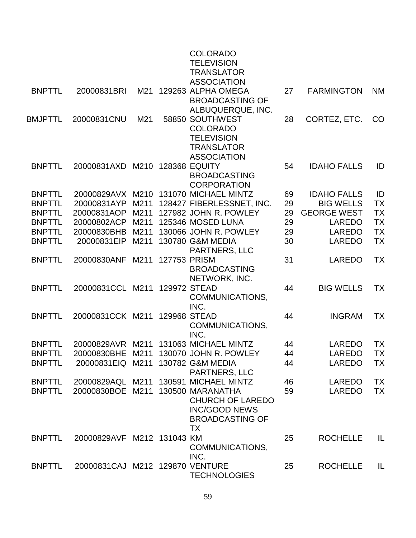|               |                                   |      |              | <b>COLORADO</b><br><b>TELEVISION</b><br><b>TRANSLATOR</b>                              |    |                    |           |
|---------------|-----------------------------------|------|--------------|----------------------------------------------------------------------------------------|----|--------------------|-----------|
| <b>BNPTTL</b> | 20000831BRI                       | M21  |              | <b>ASSOCIATION</b><br>129263 ALPHA OMEGA<br><b>BROADCASTING OF</b>                     | 27 | <b>FARMINGTON</b>  | <b>NM</b> |
| BMJPTTL       | 20000831CNU                       | M21  |              | ALBUQUERQUE, INC.<br>58850 SOUTHWEST<br><b>COLORADO</b><br><b>TELEVISION</b>           | 28 | CORTEZ, ETC.       | CO        |
| <b>BNPTTL</b> | 20000831AXD                       | M210 |              | <b>TRANSLATOR</b><br><b>ASSOCIATION</b><br><b>128368 EQUITY</b><br><b>BROADCASTING</b> | 54 | <b>IDAHO FALLS</b> | ID        |
| <b>BNPTTL</b> |                                   |      |              | <b>CORPORATION</b><br>20000829AVX M210 131070 MICHAEL MINTZ                            | 69 | <b>IDAHO FALLS</b> | ID        |
| <b>BNPTTL</b> | 20000831AYP                       | M211 |              | 128427 FIBERLESSNET, INC.                                                              | 29 | <b>BIG WELLS</b>   | <b>TX</b> |
| <b>BNPTTL</b> | 20000831AOP                       | M211 |              | 127982 JOHN R. POWLEY                                                                  | 29 | <b>GEORGE WEST</b> | <b>TX</b> |
| <b>BNPTTL</b> | 20000802ACP                       | M211 |              | 125346 MOSED LUNA                                                                      | 29 | <b>LAREDO</b>      | <b>TX</b> |
| <b>BNPTTL</b> | 20000830BHB                       | M211 |              | 130066 JOHN R. POWLEY                                                                  | 29 | LAREDO             | <b>TX</b> |
| <b>BNPTTL</b> | 20000831EIP                       | M211 |              | 130780 G&M MEDIA<br>PARTNERS, LLC                                                      | 30 | <b>LAREDO</b>      | <b>TX</b> |
| <b>BNPTTL</b> | 20000830ANF                       | M211 | 127753 PRISM | <b>BROADCASTING</b><br>NETWORK, INC.                                                   | 31 | <b>LAREDO</b>      | <b>TX</b> |
| <b>BNPTTL</b> | 20000831CCL M211                  |      | 129972 STEAD | COMMUNICATIONS,<br>INC.                                                                | 44 | <b>BIG WELLS</b>   | <b>TX</b> |
| <b>BNPTTL</b> | 20000831CCK M211                  |      |              | 129968 STEAD<br>COMMUNICATIONS,<br>INC.                                                | 44 | <b>INGRAM</b>      | <b>TX</b> |
| <b>BNPTTL</b> | 20000829AVR                       | M211 |              | 131063 MICHAEL MINTZ                                                                   | 44 | <b>LAREDO</b>      | <b>TX</b> |
| <b>BNPTTL</b> |                                   |      |              | 20000830BHE M211 130070 JOHN R. POWLEY                                                 | 44 | LAREDO             | <b>TX</b> |
| <b>BNPTTL</b> | 20000831EIQ M211 130782 G&M MEDIA |      |              | <b>PARTNERS, LLC</b>                                                                   | 44 | <b>LAREDO</b>      | <b>TX</b> |
| <b>BNPTTL</b> |                                   |      |              | 20000829AQL M211 130591 MICHAEL MINTZ                                                  | 46 | <b>LAREDO</b>      | <b>TX</b> |
| <b>BNPTTL</b> | 20000830BOE M211 130500 MARANATHA |      |              | <b>CHURCH OF LAREDO</b><br><b>INC/GOOD NEWS</b><br><b>BROADCASTING OF</b><br>ТX        | 59 | LAREDO             | <b>TX</b> |
| <b>BNPTTL</b> | 20000829AVF M212 131043 KM        |      |              | COMMUNICATIONS,<br>INC.                                                                | 25 | <b>ROCHELLE</b>    | IL        |
| <b>BNPTTL</b> | 20000831CAJ M212 129870 VENTURE   |      |              | <b>TECHNOLOGIES</b>                                                                    | 25 | <b>ROCHELLE</b>    | IL        |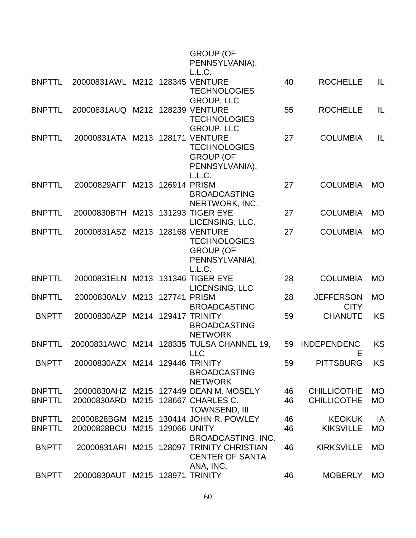|               |                                   |      |                   | <b>GROUP (OF</b><br>PENNSYLVANIA),<br>L.L.C.                                          |    |                                 |           |
|---------------|-----------------------------------|------|-------------------|---------------------------------------------------------------------------------------|----|---------------------------------|-----------|
| <b>BNPTTL</b> | 20000831AWL                       |      |                   | M212 128345 VENTURE<br><b>TECHNOLOGIES</b><br><b>GROUP, LLC</b>                       | 40 | <b>ROCHELLE</b>                 | IL        |
| <b>BNPTTL</b> | 20000831AUQ M212 128239 VENTURE   |      |                   | <b>TECHNOLOGIES</b><br><b>GROUP, LLC</b>                                              | 55 | <b>ROCHELLE</b>                 | IL        |
| <b>BNPTTL</b> | 20000831ATA M213 128171           |      |                   | <b>VENTURE</b><br><b>TECHNOLOGIES</b><br><b>GROUP (OF</b><br>PENNSYLVANIA),<br>L.L.C. | 27 | <b>COLUMBIA</b>                 | IL        |
| <b>BNPTTL</b> | 20000829AFF                       |      | M213 126914 PRISM | <b>BROADCASTING</b><br>NERTWORK, INC.                                                 | 27 | <b>COLUMBIA</b>                 | <b>MO</b> |
| <b>BNPTTL</b> | 20000830BTH M213 131293 TIGER EYE |      |                   | LICENSING, LLC.                                                                       | 27 | <b>COLUMBIA</b>                 | <b>MO</b> |
| <b>BNPTTL</b> | 20000831ASZ M213 128168 VENTURE   |      |                   | <b>TECHNOLOGIES</b><br><b>GROUP (OF</b><br>PENNSYLVANIA),<br>L.L.C.                   | 27 | <b>COLUMBIA</b>                 | <b>MO</b> |
| <b>BNPTTL</b> | 20000831ELN M213 131346 TIGER EYE |      |                   | LICENSING, LLC                                                                        | 28 | <b>COLUMBIA</b>                 | <b>MO</b> |
| <b>BNPTTL</b> | 20000830ALV                       |      | M213 127741       | <b>PRISM</b><br><b>BROADCASTING</b>                                                   | 28 | <b>JEFFERSON</b><br><b>CITY</b> | <b>MO</b> |
| <b>BNPTT</b>  | 20000830AZP                       |      |                   | M214 129417 TRINITY<br><b>BROADCASTING</b><br><b>NETWORK</b>                          | 59 | <b>CHANUTE</b>                  | <b>KS</b> |
| <b>BNPTTL</b> |                                   |      |                   | 20000831AWC M214 128335 TULSA CHANNEL 19,<br><b>LLC</b>                               | 59 | <b>INDEPENDENC</b><br>ᄇ         | <b>KS</b> |
| <b>BNPTT</b>  | 20000830AZX M214 129446 TRINITY   |      |                   | <b>BROADCASTING</b><br><b>NETWORK</b>                                                 | 59 | <b>PITTSBURG</b>                | <b>KS</b> |
| <b>BNPTTL</b> | 20000830AHZ                       |      |                   | M215 127449 DEAN M. MOSELY                                                            | 46 | <b>CHILLICOTHE</b>              | <b>MO</b> |
| <b>BNPTTL</b> | 20000830ARD                       |      |                   | M215 128667 CHARLES C.<br><b>TOWNSEND, III</b>                                        | 46 | <b>CHILLICOTHE</b>              | <b>MO</b> |
| <b>BNPTTL</b> | 20000828BGM                       | M215 |                   | 130414 JOHN R. POWLEY                                                                 | 46 | <b>KEOKUK</b>                   | IA        |
| <b>BNPTTL</b> | 20000828BCU                       |      | M215 129066 UNITY | <b>BROADCASTING, INC.</b>                                                             | 46 | <b>KIKSVILLE</b>                | <b>MO</b> |
| <b>BNPTT</b>  | 20000831ARI                       | M215 |                   | <b>128097 TRINITY CHRISTIAN</b><br><b>CENTER OF SANTA</b><br>ANA, INC.                | 46 | <b>KIRKSVILLE</b>               | <b>MO</b> |
| <b>BNPTT</b>  | 20000830AUT                       |      |                   | M215 128971 TRINITY                                                                   | 46 | <b>MOBERLY</b>                  | <b>MO</b> |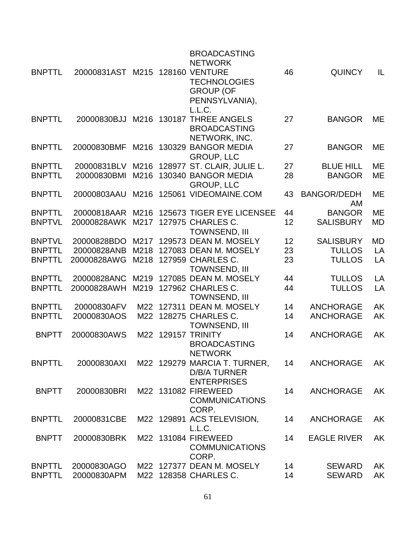|               |                                 |      | <b>BROADCASTING</b><br><b>NETWORK</b>                                                    |    |                          |           |
|---------------|---------------------------------|------|------------------------------------------------------------------------------------------|----|--------------------------|-----------|
| <b>BNPTTL</b> | 20000831AST M215 128160 VENTURE |      | <b>TECHNOLOGIES</b><br><b>GROUP (OF</b><br>PENNSYLVANIA),<br>L.L.C.                      | 46 | <b>QUINCY</b>            | IL        |
| <b>BNPTTL</b> | 20000830BJJ                     |      | M216 130187 THREE ANGELS<br><b>BROADCASTING</b><br>NETWORK, INC.                         | 27 | <b>BANGOR</b>            | ME        |
| <b>BNPTTL</b> | 20000830BMF                     | M216 | 130329 BANGOR MEDIA<br><b>GROUP, LLC</b>                                                 | 27 | <b>BANGOR</b>            | ME        |
| <b>BNPTTL</b> | 20000831BLV                     | M216 | 128977 ST. CLAIR, JULIE L.                                                               | 27 | <b>BLUE HILL</b>         | ME        |
| <b>BNPTTL</b> | 20000830BMI                     | M216 | 130340 BANGOR MEDIA<br><b>GROUP, LLC</b>                                                 | 28 | <b>BANGOR</b>            | ME        |
| <b>BNPTTL</b> | 20000803AAU                     |      | M216 125061 VIDEOMAINE.COM                                                               | 43 | <b>BANGOR/DEDH</b><br>AM | ME        |
| <b>BNPTTL</b> | 20000818AAR                     | M216 | 125673 TIGER EYE LICENSEE                                                                | 44 | <b>BANGOR</b>            | <b>ME</b> |
| <b>BNPTVL</b> | 20000828AWK                     | M217 | 127975 CHARLES C.<br><b>TOWNSEND, III</b>                                                | 12 | <b>SALISBURY</b>         | <b>MD</b> |
| <b>BNPTVL</b> | 20000828BDO                     |      | M217 129573 DEAN M. MOSELY                                                               | 12 | <b>SALISBURY</b>         | <b>MD</b> |
| <b>BNPTTL</b> | 20000828ANB                     | M218 | 127083 DEAN M. MOSELY                                                                    | 23 | <b>TULLOS</b>            | LA        |
| <b>BNPTTL</b> | 20000828AWG                     |      | M218 127959 CHARLES C.<br><b>TOWNSEND, III</b>                                           | 23 | <b>TULLOS</b>            | LA        |
| <b>BNPTTL</b> | 20000828ANC                     | M219 | 127085 DEAN M. MOSELY                                                                    | 44 | <b>TULLOS</b>            | LA        |
| <b>BNPTTL</b> | 20000828AWH                     | M219 | 127962 CHARLES C.<br><b>TOWNSEND, III</b>                                                | 44 | <b>TULLOS</b>            | LA        |
| <b>BNPTTL</b> | 20000830AFV                     | M22  | 127311 DEAN M. MOSELY                                                                    | 14 | <b>ANCHORAGE</b>         | AK        |
| <b>BNPTTL</b> | 20000830AOS                     | M22  | 128275 CHARLES C.<br><b>TOWNSEND, III</b>                                                | 14 | <b>ANCHORAGE</b>         | AK        |
| <b>BNPTT</b>  | 20000830AWS                     | M22  | 129157 TRINITY<br><b>BROADCASTING</b><br><b>NETWORK</b>                                  | 14 | <b>ANCHORAGE</b>         | AK        |
| <b>BNPTTL</b> |                                 |      | 20000830AXI  M22  129279  MARCIA T. TURNER,<br><b>D/B/A TURNER</b><br><b>ENTERPRISES</b> | 14 | ANCHORAGE                | AK        |
| <b>BNPTT</b>  | 20000830BRI                     |      | M22 131082 FIREWEED<br><b>COMMUNICATIONS</b><br>CORP.                                    | 14 | <b>ANCHORAGE</b>         | AK        |
| <b>BNPTTL</b> | 20000831CBE                     |      | M22 129891 ACS TELEVISION,<br>L.L.C.                                                     | 14 | <b>ANCHORAGE</b>         | AK        |
| <b>BNPTT</b>  | 20000830BRK                     |      | M22 131084 FIREWEED<br><b>COMMUNICATIONS</b><br>CORP.                                    | 14 | <b>EAGLE RIVER</b>       | AK        |
| <b>BNPTTL</b> | 20000830AGO                     |      | M22 127377 DEAN M. MOSELY                                                                | 14 | <b>SEWARD</b>            | AK        |
| <b>BNPTTL</b> | 20000830APM                     |      | M22 128358 CHARLES C.                                                                    | 14 | <b>SEWARD</b>            | AK        |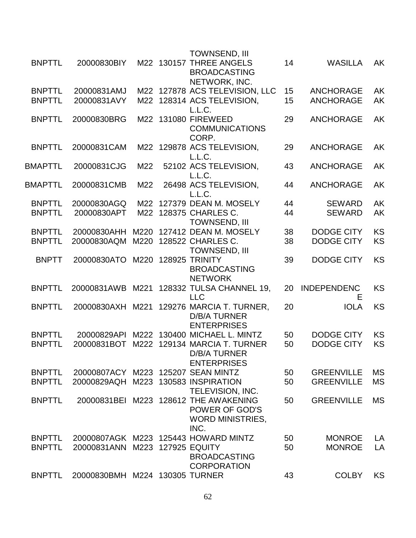|                |                                    |      | <b>TOWNSEND, III</b>                                                                       |          |                         |           |
|----------------|------------------------------------|------|--------------------------------------------------------------------------------------------|----------|-------------------------|-----------|
| <b>BNPTTL</b>  | 20000830BIY                        |      | M22 130157 THREE ANGELS<br><b>BROADCASTING</b>                                             | 14       | <b>WASILLA</b>          | AK        |
| <b>BNPTTL</b>  | 20000831AMJ                        |      | NETWORK, INC.<br>M22 127878 ACS TELEVISION, LLC                                            |          | <b>ANCHORAGE</b>        | <b>AK</b> |
| <b>BNPTTL</b>  | 20000831AVY                        |      | M22 128314 ACS TELEVISION,                                                                 | 15<br>15 | <b>ANCHORAGE</b>        | AK        |
|                |                                    |      | L.L.C.                                                                                     |          |                         |           |
| <b>BNPTTL</b>  | 20000830BRG                        |      | M22 131080 FIREWEED<br><b>COMMUNICATIONS</b><br>CORP.                                      | 29       | <b>ANCHORAGE</b>        | AK        |
| <b>BNPTTL</b>  | 20000831CAM                        |      | M22 129878 ACS TELEVISION,<br>L.L.C.                                                       | 29       | <b>ANCHORAGE</b>        | AK        |
| <b>BMAPTTL</b> | 20000831CJG                        | M22  | 52102 ACS TELEVISION,<br>L.L.C.                                                            | 43       | <b>ANCHORAGE</b>        | <b>AK</b> |
| <b>BMAPTTL</b> | 20000831CMB                        | M22  | 26498 ACS TELEVISION,<br>L.L.C.                                                            | 44       | <b>ANCHORAGE</b>        | AK        |
| <b>BNPTTL</b>  | 20000830AGQ                        | M22  | 127379 DEAN M. MOSELY                                                                      | 44       | <b>SEWARD</b>           | AK        |
| <b>BNPTTL</b>  | 20000830APT                        |      | M22 128375 CHARLES C.<br><b>TOWNSEND, III</b>                                              | 44       | <b>SEWARD</b>           | <b>AK</b> |
| <b>BNPTTL</b>  | 20000830AHH                        | M220 | 127412 DEAN M. MOSELY                                                                      | 38       | <b>DODGE CITY</b>       | <b>KS</b> |
| <b>BNPTTL</b>  | 20000830AQM                        | M220 | 128522 CHARLES C.<br><b>TOWNSEND, III</b>                                                  | 38       | <b>DODGE CITY</b>       | <b>KS</b> |
| <b>BNPTT</b>   | 20000830ATO                        |      | M220 128925 TRINITY<br><b>BROADCASTING</b><br><b>NETWORK</b>                               | 39       | <b>DODGE CITY</b>       | <b>KS</b> |
| <b>BNPTTL</b>  | 20000831AWB M221                   |      | 128332 TULSA CHANNEL 19,<br><b>LLC</b>                                                     | 20       | <b>INDEPENDENC</b><br>Е | <b>KS</b> |
| <b>BNPTTL</b>  | 20000830AXH M221                   |      | 129276 MARCIA T. TURNER,<br><b>D/B/A TURNER</b><br><b>ENTERPRISES</b>                      | 20       | <b>IOLA</b>             | <b>KS</b> |
| <b>BNPTTL</b>  | 20000829API                        |      | M222 130400 MICHAEL L. MINTZ                                                               | 50       | <b>DODGE CITY</b>       | <b>KS</b> |
| <b>BNPTTL</b>  | 20000831BOT                        | M222 | 129134 MARCIA T. TURNER<br>D/B/A TURNER<br><b>ENTERPRISES</b>                              | 50       | <b>DODGE CITY</b>       | <b>KS</b> |
| <b>BNPTTL</b>  | 20000807ACY M223 125207 SEAN MINTZ |      |                                                                                            | 50       | <b>GREENVILLE</b>       | <b>MS</b> |
| <b>BNPTTL</b>  | 20000829AQH M223                   |      | 130583 INSPIRATION<br>TELEVISION, INC.                                                     | 50       | <b>GREENVILLE</b>       | <b>MS</b> |
| <b>BNPTTL</b>  |                                    |      | 20000831BEI M223 128612 THE AWAKENING<br>POWER OF GOD'S<br><b>WORD MINISTRIES,</b><br>INC. | 50       | <b>GREENVILLE</b>       | <b>MS</b> |
| <b>BNPTTL</b>  |                                    |      | 20000807AGK M223 125443 HOWARD MINTZ                                                       | 50       | <b>MONROE</b>           | LA        |
| <b>BNPTTL</b>  | 20000831ANN                        |      | M223 127925 EQUITY<br><b>BROADCASTING</b><br><b>CORPORATION</b>                            | 50       | <b>MONROE</b>           | LA        |
| <b>BNPTTL</b>  | 20000830BMH M224 130305 TURNER     |      |                                                                                            | 43       | <b>COLBY</b>            | <b>KS</b> |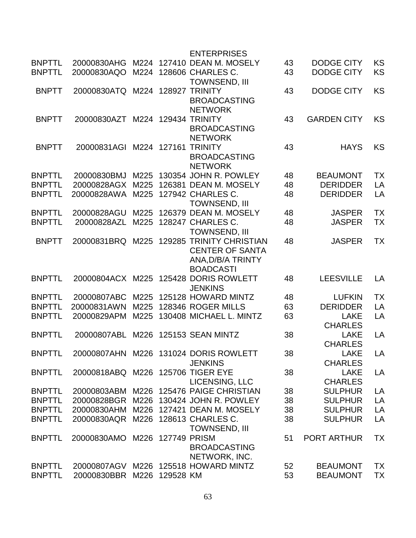|               |                                   |      |                   | <b>ENTERPRISES</b>                    |          |                                |           |
|---------------|-----------------------------------|------|-------------------|---------------------------------------|----------|--------------------------------|-----------|
| <b>BNPTTL</b> | 20000830AHG                       | M224 |                   | 127410 DEAN M. MOSELY                 | 43       | <b>DODGE CITY</b>              | <b>KS</b> |
| <b>BNPTTL</b> | 20000830AQO                       |      |                   | M224 128606 CHARLES C.                | 43       | <b>DODGE CITY</b>              | KS        |
|               |                                   |      |                   | <b>TOWNSEND, III</b>                  |          |                                |           |
| <b>BNPTT</b>  | 20000830ATQ                       |      |                   | M224 128927 TRINITY                   | 43       | <b>DODGE CITY</b>              | <b>KS</b> |
|               |                                   |      |                   | <b>BROADCASTING</b>                   |          |                                |           |
|               |                                   |      |                   | <b>NETWORK</b>                        |          |                                |           |
| <b>BNPTT</b>  | 20000830AZT                       | M224 |                   | <b>129434 TRINITY</b>                 | 43       | <b>GARDEN CITY</b>             | <b>KS</b> |
|               |                                   |      |                   | <b>BROADCASTING</b>                   |          |                                |           |
|               |                                   |      |                   | <b>NETWORK</b>                        |          |                                |           |
| <b>BNPTT</b>  | 20000831AGI                       |      | M224 127161       | <b>TRINITY</b>                        | 43       | <b>HAYS</b>                    | <b>KS</b> |
|               |                                   |      |                   | <b>BROADCASTING</b>                   |          |                                |           |
|               |                                   |      |                   | <b>NETWORK</b>                        |          |                                |           |
| <b>BNPTTL</b> | 20000830BMJ                       | M225 |                   | 130354 JOHN R. POWLEY                 | 48       | <b>BEAUMONT</b>                | <b>TX</b> |
| <b>BNPTTL</b> | 20000828AGX                       | M225 |                   | 126381 DEAN M. MOSELY                 | 48       | <b>DERIDDER</b>                | LA        |
| <b>BNPTTL</b> | 20000828AWA                       | M225 |                   | 127942 CHARLES C.                     | 48       | <b>DERIDDER</b>                | LA        |
|               |                                   |      |                   | <b>TOWNSEND, III</b>                  |          |                                |           |
| <b>BNPTTL</b> | 20000828AGU                       | M225 |                   | 126379 DEAN M. MOSELY                 |          |                                | <b>TX</b> |
| <b>BNPTTL</b> | 20000828AZL                       | M225 |                   | 128247 CHARLES C.                     | 48<br>48 | <b>JASPER</b><br><b>JASPER</b> | <b>TX</b> |
|               |                                   |      |                   | <b>TOWNSEND, III</b>                  |          |                                |           |
|               |                                   | M225 |                   | <b>129285 TRINITY CHRISTIAN</b>       |          |                                | <b>TX</b> |
| <b>BNPTT</b>  | 20000831BRQ                       |      |                   |                                       | 48       | <b>JASPER</b>                  |           |
|               |                                   |      |                   | <b>CENTER OF SANTA</b>                |          |                                |           |
|               |                                   |      |                   | ANA, D/B/A TRINTY                     |          |                                |           |
|               |                                   |      |                   | <b>BOADCASTI</b>                      |          |                                |           |
| <b>BNPTTL</b> |                                   |      |                   | 20000804ACX M225 125428 DORIS ROWLETT | 48       | <b>LEESVILLE</b>               | LA        |
| <b>BNPTTL</b> | 20000807ABC                       | M225 |                   | <b>JENKINS</b><br>125128 HOWARD MINTZ | 48       | <b>LUFKIN</b>                  | <b>TX</b> |
| <b>BNPTTL</b> | 20000831AWN                       | M225 |                   | 128346 ROGER MILLS                    | 63       | <b>DERIDDER</b>                | LA        |
| <b>BNPTTL</b> | 20000829APM                       | M225 |                   | 130408 MICHAEL L. MINTZ               | 63       | <b>LAKE</b>                    | LA        |
|               |                                   |      |                   |                                       |          | <b>CHARLES</b>                 |           |
|               | 20000807ABL                       |      |                   |                                       | 38       |                                | LA        |
| <b>BNPTTL</b> |                                   |      |                   | M226 125153 SEAN MINTZ                |          | <b>LAKE</b>                    |           |
|               |                                   |      |                   |                                       |          | <b>CHARLES</b>                 |           |
| <b>BNPTTI</b> |                                   |      |                   | 20000807AHN M226 131024 DORIS ROWLETT | 38       | <b>LAKE</b>                    | LA        |
|               |                                   |      |                   | <b>JENKINS</b>                        |          | <b>CHARLES</b>                 |           |
| <b>BNPTTL</b> | 20000818ABQ M226 125706 TIGER EYE |      |                   |                                       | 38       | <b>LAKE</b>                    | LA        |
|               |                                   |      |                   | LICENSING, LLC                        |          | <b>CHARLES</b>                 |           |
| <b>BNPTTL</b> | 20000803ABM                       |      |                   | M226 125476 PAIGE CHRISTIAN           | 38       | <b>SULPHUR</b>                 | LA        |
| <b>BNPTTL</b> | 20000828BGR                       |      |                   | M226 130424 JOHN R. POWLEY            | 38       | <b>SULPHUR</b>                 | LA        |
| <b>BNPTTL</b> | 20000830AHM                       |      |                   | M226 127421 DEAN M. MOSELY            | 38       | <b>SULPHUR</b>                 | LA        |
| <b>BNPTTL</b> | 20000830AQR                       |      |                   | M226 128613 CHARLES C.                | 38       | <b>SULPHUR</b>                 | LA        |
|               |                                   |      |                   | <b>TOWNSEND, III</b>                  |          |                                |           |
| <b>BNPTTL</b> | 20000830AMO                       |      | M226 127749 PRISM |                                       | 51       | <b>PORT ARTHUR</b>             | <b>TX</b> |
|               |                                   |      |                   | <b>BROADCASTING</b>                   |          |                                |           |
|               |                                   |      |                   | NETWORK, INC.                         |          |                                |           |
| <b>BNPTTL</b> |                                   |      |                   | 20000807AGV M226 125518 HOWARD MINTZ  | 52       | <b>BEAUMONT</b>                | <b>TX</b> |
| <b>BNPTTL</b> | 20000830BBR                       |      | M226 129528 KM    |                                       | 53       | <b>BEAUMONT</b>                | TX        |
|               |                                   |      |                   |                                       |          |                                |           |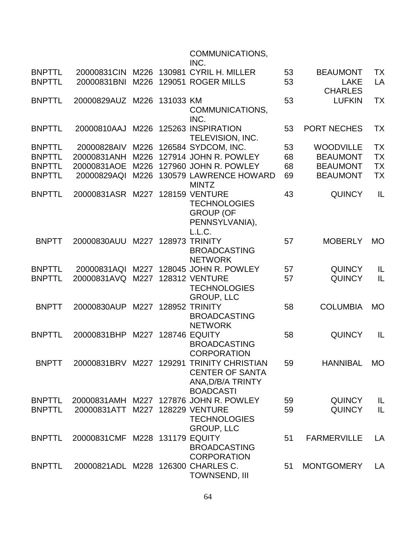## COMMUNICATIONS,

|               |                                    |      |             | INC.                                                                                                         |    |                               |           |
|---------------|------------------------------------|------|-------------|--------------------------------------------------------------------------------------------------------------|----|-------------------------------|-----------|
| <b>BNPTTL</b> | 20000831CIN                        | M226 |             | 130981 CYRIL H. MILLER                                                                                       | 53 | <b>BEAUMONT</b>               | <b>TX</b> |
| <b>BNPTTL</b> | 20000831BNI                        |      |             | M226 129051 ROGER MILLS                                                                                      | 53 | <b>LAKE</b><br><b>CHARLES</b> | LA        |
| <b>BNPTTL</b> | 20000829AUZ M226 131033 KM         |      |             |                                                                                                              | 53 | <b>LUFKIN</b>                 | <b>TX</b> |
|               |                                    |      |             | COMMUNICATIONS,<br>INC.                                                                                      |    |                               |           |
| <b>BNPTTL</b> | 20000810AAJ                        |      |             | M226 125263 INSPIRATION<br>TELEVISION, INC.                                                                  | 53 | PORT NECHES                   | <b>TX</b> |
| <b>BNPTTL</b> | 20000828AIV                        |      |             | M226 126584 SYDCOM, INC.                                                                                     | 53 | <b>WOODVILLE</b>              | <b>TX</b> |
| <b>BNPTTL</b> | 20000831ANH                        |      |             | M226 127914 JOHN R. POWLEY                                                                                   | 68 | <b>BEAUMONT</b>               | <b>TX</b> |
| <b>BNPTTL</b> | 20000831AOE                        | M226 |             | 127960 JOHN R. POWLEY                                                                                        | 68 | <b>BEAUMONT</b>               | <b>TX</b> |
| <b>BNPTTL</b> | 20000829AQI                        | M226 |             | 130579 LAWRENCE HOWARD<br><b>MINTZ</b>                                                                       | 69 | <b>BEAUMONT</b>               | <b>TX</b> |
| <b>BNPTTL</b> | 20000831ASR M227 128159 VENTURE    |      |             | <b>TECHNOLOGIES</b><br><b>GROUP (OF</b><br>PENNSYLVANIA),<br>L.L.C.                                          | 43 | <b>QUINCY</b>                 | IL        |
| <b>BNPTT</b>  | 20000830AUU                        |      | M227 128973 | <b>TRINITY</b><br><b>BROADCASTING</b><br><b>NETWORK</b>                                                      | 57 | <b>MOBERLY</b>                | <b>MO</b> |
| <b>BNPTTL</b> | 20000831AQI                        |      |             | M227 128045 JOHN R. POWLEY                                                                                   | 57 | <b>QUINCY</b>                 | IL        |
| <b>BNPTTL</b> | 20000831AVQ                        | M227 |             | <b>128312 VENTURE</b><br><b>TECHNOLOGIES</b><br><b>GROUP, LLC</b>                                            | 57 | <b>QUINCY</b>                 | L         |
| <b>BNPTT</b>  | 20000830AUP                        |      |             | M227 128952 TRINITY<br><b>BROADCASTING</b><br><b>NETWORK</b>                                                 | 58 | <b>COLUMBIA</b>               | <b>MO</b> |
| <b>BNPTTL</b> | 20000831BHP                        |      |             | M227 128746 EQUITY<br><b>BROADCASTING</b><br><b>CORPORATION</b>                                              | 58 | <b>QUINCY</b>                 | IL        |
| <b>BNPTT</b>  |                                    |      |             | 20000831BRV M227 129291 TRINITY CHRISTIAN<br><b>CENTER OF SANTA</b><br>ANA, D/B/A TRINTY<br><b>BOADCASTI</b> | 59 | <b>HANNIBAL</b>               | <b>MO</b> |
| <b>BNPTTL</b> |                                    |      |             | 20000831AMH M227 127876 JOHN R. POWLEY                                                                       | 59 | <b>QUINCY</b>                 | IL        |
| <b>BNPTTL</b> | 20000831ATT                        |      |             | M227 128229 VENTURE<br><b>TECHNOLOGIES</b><br><b>GROUP, LLC</b>                                              | 59 | <b>QUINCY</b>                 | L         |
| <b>BNPTTL</b> | 20000831 CMF M228 131179 EQUITY    |      |             | <b>BROADCASTING</b><br><b>CORPORATION</b>                                                                    | 51 | <b>FARMERVILLE</b>            | LA        |
| <b>BNPTTL</b> | 20000821ADL M228 126300 CHARLES C. |      |             | <b>TOWNSEND, III</b>                                                                                         | 51 | <b>MONTGOMERY</b>             | LA        |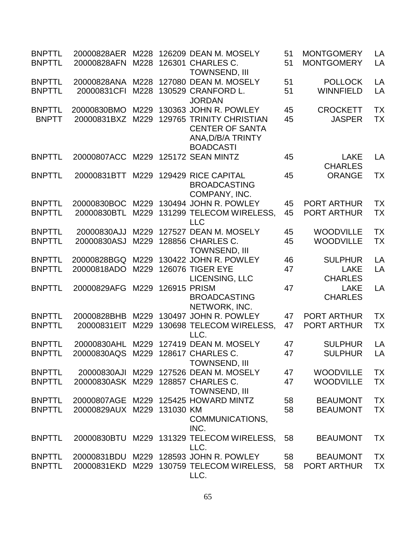| <b>BNPTTL</b><br><b>BNPTTL</b> | 20000828AER<br>20000828AFN         | M228         |              | 126209 DEAN M. MOSELY<br>M228 126301 CHARLES C.                                                    | 51<br>51 | <b>MONTGOMERY</b><br><b>MONTGOMERY</b> | LA<br>LA  |
|--------------------------------|------------------------------------|--------------|--------------|----------------------------------------------------------------------------------------------------|----------|----------------------------------------|-----------|
|                                |                                    |              |              | <b>TOWNSEND, III</b>                                                                               |          |                                        |           |
| <b>BNPTTL</b><br><b>BNPTTL</b> | 20000828ANA<br>20000831CFI         | M228<br>M228 |              | 127080 DEAN M. MOSELY<br>130529 CRANFORD L.<br><b>JORDAN</b>                                       | 51<br>51 | <b>POLLOCK</b><br><b>WINNFIELD</b>     | LA<br>LA  |
| <b>BNPTTL</b>                  | 20000830BMO                        | M229         |              | 130363 JOHN R. POWLEY                                                                              | 45       | <b>CROCKETT</b>                        | <b>TX</b> |
| <b>BNPTT</b>                   | 20000831BXZ                        | M229         |              | <b>129765 TRINITY CHRISTIAN</b><br><b>CENTER OF SANTA</b><br>ANA, D/B/A TRINTY<br><b>BOADCASTI</b> | 45       | <b>JASPER</b>                          | <b>TX</b> |
| <b>BNPTTL</b>                  | 20000807ACC                        |              |              | M229 125172 SEAN MINTZ                                                                             | 45       | <b>LAKE</b><br><b>CHARLES</b>          | LA        |
| <b>BNPTTL</b>                  | 20000831BTT                        | M229         |              | 129429 RICE CAPITAL<br><b>BROADCASTING</b><br>COMPANY, INC.                                        | 45       | <b>ORANGE</b>                          | TX        |
| <b>BNPTTL</b>                  | 20000830BOC                        | M229         |              | 130494 JOHN R. POWLEY                                                                              | 45       | <b>PORT ARTHUR</b>                     | <b>TX</b> |
| <b>BNPTTL</b>                  | 20000830BTL                        | M229         |              | 131299 TELECOM WIRELESS,<br><b>LLC</b>                                                             | 45       | <b>PORT ARTHUR</b>                     | <b>TX</b> |
| <b>BNPTTL</b>                  | 20000830AJJ                        | M229         |              | 127527 DEAN M. MOSELY                                                                              | 45       | <b>WOODVILLE</b>                       | <b>TX</b> |
| <b>BNPTTL</b>                  | 20000830ASJ                        | M229         |              | 128856 CHARLES C.<br>TOWNSEND, III                                                                 | 45       | <b>WOODVILLE</b>                       | <b>TX</b> |
| <b>BNPTTL</b>                  | 20000828BGQ                        | M229         |              | 130422 JOHN R. POWLEY                                                                              | 46       | <b>SULPHUR</b>                         | LA        |
| <b>BNPTTL</b>                  | 20000818ADO                        | M229         |              | <b>126076 TIGER EYE</b><br>LICENSING, LLC                                                          | 47       | <b>LAKE</b><br><b>CHARLES</b>          | LA        |
| <b>BNPTTL</b>                  | 20000829AFG                        | M229         | 126915 PRISM | <b>BROADCASTING</b><br>NETWORK, INC.                                                               | 47       | <b>LAKE</b><br><b>CHARLES</b>          | LA        |
| <b>BNPTTL</b>                  | 20000828BHB                        |              |              | M229 130497 JOHN R. POWLEY                                                                         | 47       | <b>PORT ARTHUR</b>                     | <b>TX</b> |
| <b>BNPTTL</b>                  | 20000831EIT                        | M229         |              | 130698 TELECOM WIRELESS,<br>LLC.                                                                   | 47       | <b>PORT ARTHUR</b>                     | <b>TX</b> |
| <b>BNPTTL</b>                  | 20000830AHL                        |              |              | M229 127419 DEAN M. MOSELY                                                                         | 47       | <b>SULPHUR</b>                         | LA        |
| <b>BNPTTL</b>                  | 20000830AQS M229 128617 CHARLES C. |              |              | <b>TOWNSEND, III</b>                                                                               | 47       | <b>SULPHUR</b>                         | LA        |
| <b>BNPTTL</b>                  | 20000830AJI                        |              |              | M229 127526 DEAN M. MOSELY                                                                         | 47       | <b>WOODVILLE</b>                       | <b>TX</b> |
| <b>BNPTTL</b>                  | 20000830ASK M229 128857 CHARLES C. |              |              | <b>TOWNSEND, III</b>                                                                               | 47       | <b>WOODVILLE</b>                       | <b>TX</b> |
| <b>BNPTTL</b>                  |                                    |              |              | 20000807AGE M229 125425 HOWARD MINTZ                                                               | 58       | <b>BEAUMONT</b>                        | <b>TX</b> |
| <b>BNPTTL</b>                  | 20000829AUX M229 131030 KM         |              |              | COMMUNICATIONS,<br>INC.                                                                            | 58       | <b>BEAUMONT</b>                        | <b>TX</b> |
| <b>BNPTTL</b>                  | 20000830BTU                        |              |              | M229 131329 TELECOM WIRELESS,<br>LLC.                                                              | 58       | <b>BEAUMONT</b>                        | <b>TX</b> |
| <b>BNPTTL</b>                  | 20000831BDU                        |              |              | M229 128593 JOHN R. POWLEY                                                                         | 58       | <b>BEAUMONT</b>                        | <b>TX</b> |
| <b>BNPTTL</b>                  | 20000831EKD                        |              |              | M229 130759 TELECOM WIRELESS,<br>LLC.                                                              | 58       | <b>PORT ARTHUR</b>                     | <b>TX</b> |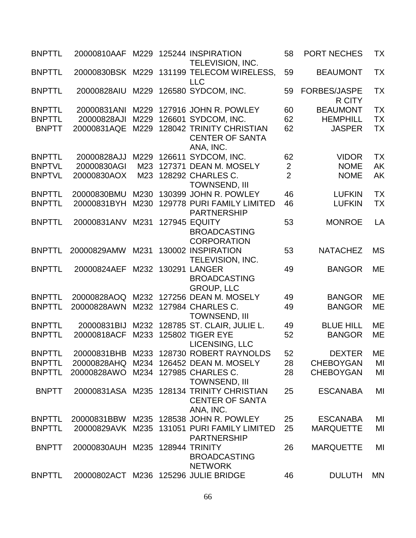| <b>BNPTTL</b> | 20000810AAF M229 125244 INSPIRATION |      | TELEVISION, INC.                                                                 | 58             | <b>PORT NECHES</b>            | <b>TX</b> |
|---------------|-------------------------------------|------|----------------------------------------------------------------------------------|----------------|-------------------------------|-----------|
| <b>BNPTTL</b> |                                     |      | 20000830BSK M229 131199 TELECOM WIRELESS,<br><b>LLC</b>                          | 59             | <b>BEAUMONT</b>               | <b>TX</b> |
| <b>BNPTTL</b> | 20000828AIU                         | M229 | 126580 SYDCOM, INC.                                                              | 59             | <b>FORBES/JASPE</b><br>R CITY | <b>TX</b> |
| <b>BNPTTL</b> | 20000831ANI                         |      | M229 127916 JOHN R. POWLEY                                                       | 60             | <b>BEAUMONT</b>               | <b>TX</b> |
| <b>BNPTTL</b> | 20000828AJI                         |      | M229 126601 SYDCOM, INC.                                                         | 62             | <b>HEMPHILL</b>               | <b>TX</b> |
| <b>BNPTT</b>  | 20000831AQE                         |      | M229 128042 TRINITY CHRISTIAN<br><b>CENTER OF SANTA</b><br>ANA, INC.             | 62             | <b>JASPER</b>                 | <b>TX</b> |
| <b>BNPTTL</b> | 20000828AJJ                         |      | M229 126611 SYDCOM, INC.                                                         | 62             | <b>VIDOR</b>                  | <b>TX</b> |
| <b>BNPTVL</b> | 20000830AGI                         | M23  | 127371 DEAN M. MOSELY                                                            | $\overline{2}$ | <b>NOME</b>                   | <b>AK</b> |
| <b>BNPTVL</b> | 20000830AOX                         |      | M23 128292 CHARLES C.<br><b>TOWNSEND, III</b>                                    | $\overline{2}$ | <b>NOME</b>                   | <b>AK</b> |
| <b>BNPTTL</b> | 20000830BMU                         |      | M230 130399 JOHN R. POWLEY                                                       | 46             | <b>LUFKIN</b>                 | <b>TX</b> |
| <b>BNPTTL</b> | 20000831BYH                         | M230 | 129778 PURI FAMILY LIMITED<br><b>PARTNERSHIP</b>                                 | 46             | <b>LUFKIN</b>                 | <b>TX</b> |
| <b>BNPTTL</b> | 20000831ANV                         | M231 | <b>127945 EQUITY</b><br><b>BROADCASTING</b><br><b>CORPORATION</b>                | 53             | <b>MONROE</b>                 | LA        |
| <b>BNPTTL</b> | 20000829AMW                         | M231 | 130002 INSPIRATION<br>TELEVISION, INC.                                           | 53             | <b>NATACHEZ</b>               | <b>MS</b> |
| <b>BNPTTL</b> | 20000824AEF                         | M232 | 130291 LANGER<br><b>BROADCASTING</b><br><b>GROUP, LLC</b>                        | 49             | <b>BANGOR</b>                 | <b>ME</b> |
| <b>BNPTTL</b> | 20000828AOQ                         |      | M232 127256 DEAN M. MOSELY                                                       | 49             | <b>BANGOR</b>                 | ME        |
| <b>BNPTTL</b> | 20000828AWN                         |      | M232 127984 CHARLES C.<br><b>TOWNSEND, III</b>                                   | 49             | <b>BANGOR</b>                 | <b>ME</b> |
| <b>BNPTTL</b> | 20000831BIJ                         |      | M232 128785 ST. CLAIR, JULIE L.                                                  | 49             | <b>BLUE HILL</b>              | <b>ME</b> |
| <b>BNPTTL</b> | 20000818ACF                         |      | M233 125802 TIGER EYE<br>LICENSING, LLC                                          | 52             | <b>BANGOR</b>                 | ME        |
| <b>BNPTTL</b> |                                     |      | 20000831BHB M233 128730 ROBERT RAYNOLDS                                          | 52             | <b>DEXTER</b>                 | <b>ME</b> |
| <b>BNPTTL</b> | 20000828AHQ                         | M234 | 126452 DEAN M. MOSELY                                                            | 28             | <b>CHEBOYGAN</b>              | MI        |
| <b>BNPTTL</b> | 20000828AWO                         |      | M234 127985 CHARLES C.<br><b>TOWNSEND, III</b>                                   | 28             | <b>CHEBOYGAN</b>              | MI        |
| <b>BNPTT</b>  |                                     |      | 20000831ASA M235 128134 TRINITY CHRISTIAN<br><b>CENTER OF SANTA</b><br>ANA, INC. | 25             | <b>ESCANABA</b>               | MI        |
| <b>BNPTTL</b> | 20000831BBW                         |      | M235 128538 JOHN R. POWLEY                                                       | 25             | <b>ESCANABA</b>               | MI        |
| <b>BNPTTL</b> | 20000829AVK                         |      | M235 131051 PURI FAMILY LIMITED<br><b>PARTNERSHIP</b>                            | 25             | <b>MARQUETTE</b>              | MI        |
| <b>BNPTT</b>  | 20000830AUH M235                    |      | 128944 TRINITY<br><b>BROADCASTING</b><br><b>NETWORK</b>                          | 26             | <b>MARQUETTE</b>              | MI        |
| <b>BNPTTL</b> |                                     |      | 20000802ACT M236 125296 JULIE BRIDGE                                             | 46             | <b>DULUTH</b>                 | <b>MN</b> |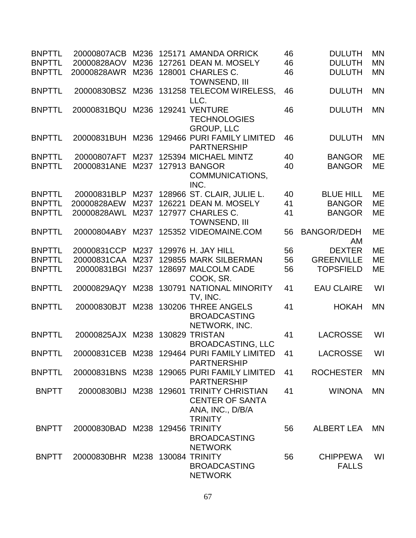| <b>BNPTTL</b> | 20000807ACB                     |      |        | M236 125171 AMANDA ORRICK                                                               | 46 | <b>DULUTH</b>                   | <b>MN</b> |
|---------------|---------------------------------|------|--------|-----------------------------------------------------------------------------------------|----|---------------------------------|-----------|
| <b>BNPTTL</b> | 20000828AOV                     | M236 |        | 127261 DEAN M. MOSELY                                                                   | 46 | <b>DULUTH</b>                   | <b>MN</b> |
| <b>BNPTTL</b> | 20000828AWR                     | M236 |        | 128001 CHARLES C.<br><b>TOWNSEND, III</b>                                               | 46 | <b>DULUTH</b>                   | <b>MN</b> |
| <b>BNPTTL</b> | 20000830BSZ                     |      |        | M236 131258 TELECOM WIRELESS,<br>LLC.                                                   | 46 | <b>DULUTH</b>                   | <b>MN</b> |
| <b>BNPTTL</b> | 20000831BQU                     | M236 | 129241 | <b>VENTURE</b><br><b>TECHNOLOGIES</b><br><b>GROUP, LLC</b>                              | 46 | <b>DULUTH</b>                   | <b>MN</b> |
| <b>BNPTTL</b> | 20000831BUH M236                |      |        | 129466 PURI FAMILY LIMITED<br><b>PARTNERSHIP</b>                                        | 46 | <b>DULUTH</b>                   | <b>MN</b> |
| <b>BNPTTL</b> | 20000807AFT                     | M237 |        | 125394 MICHAEL MINTZ                                                                    | 40 | <b>BANGOR</b>                   | <b>ME</b> |
| <b>BNPTTL</b> | 20000831ANE                     | M237 |        | <b>127913 BANGOR</b><br>COMMUNICATIONS,<br>INC.                                         | 40 | <b>BANGOR</b>                   | <b>ME</b> |
| <b>BNPTTL</b> | 20000831BLP                     |      |        | M237 128966 ST. CLAIR, JULIE L.                                                         | 40 | <b>BLUE HILL</b>                | <b>ME</b> |
| <b>BNPTTL</b> | 20000828AEW                     | M237 |        | 126221 DEAN M. MOSELY                                                                   | 41 | <b>BANGOR</b>                   | <b>ME</b> |
| <b>BNPTTL</b> | 20000828AWL                     | M237 |        | 127977 CHARLES C.<br><b>TOWNSEND, III</b>                                               | 41 | <b>BANGOR</b>                   | ME        |
| <b>BNPTTL</b> | 20000804ABY                     | M237 |        | 125352 VIDEOMAINE.COM                                                                   | 56 | <b>BANGOR/DEDH</b><br>AM        | ME        |
| <b>BNPTTL</b> | 20000831CCP                     | M237 |        | 129976 H. JAY HILL                                                                      | 56 | <b>DEXTER</b>                   | <b>ME</b> |
| <b>BNPTTL</b> | 20000831CAA                     | M237 |        | 129855 MARK SILBERMAN                                                                   | 56 | <b>GREENVILLE</b>               | ME        |
| <b>BNPTTL</b> | 20000831BGI                     | M237 |        | 128697 MALCOLM CADE<br>COOK, SR.                                                        | 56 | <b>TOPSFIELD</b>                | <b>ME</b> |
| <b>BNPTTL</b> | 20000829AQY                     | M238 |        | 130791 NATIONAL MINORITY<br>TV, INC.                                                    | 41 | <b>EAU CLAIRE</b>               | WI        |
| <b>BNPTTL</b> | 20000830BJT                     |      |        | M238 130206 THREE ANGELS<br><b>BROADCASTING</b><br>NETWORK, INC.                        | 41 | <b>HOKAH</b>                    | <b>MN</b> |
| <b>BNPTTL</b> | 20000825AJX M238 130829 TRISTAN |      |        | <b>BROADCASTING, LLC</b>                                                                | 41 | <b>LACROSSE</b>                 | WI        |
| <b>BNPTTL</b> |                                 |      |        | 20000831CEB M238 129464 PURI FAMILY LIMITED<br><b>PARTNERSHIP</b>                       | 41 | LACROSSE                        | WI        |
| <b>BNPTTL</b> |                                 |      |        | 20000831BNS M238 129065 PURI FAMILY LIMITED<br><b>PARTNERSHIP</b>                       | 41 | <b>ROCHESTER</b>                | <b>MN</b> |
| <b>BNPTT</b>  |                                 |      |        | 20000830BIJ M238 129601 TRINITY CHRISTIAN<br><b>CENTER OF SANTA</b><br>ANA, INC., D/B/A | 41 | <b>WINONA</b>                   | <b>MN</b> |
| <b>BNPTT</b>  | 20000830BAD M238 129456 TRINITY |      |        | <b>TRINITY</b><br><b>BROADCASTING</b><br><b>NETWORK</b>                                 | 56 | <b>ALBERT LEA</b>               | <b>MN</b> |
| <b>BNPTT</b>  | 20000830BHR M238 130084 TRINITY |      |        | <b>BROADCASTING</b><br><b>NETWORK</b>                                                   | 56 | <b>CHIPPEWA</b><br><b>FALLS</b> | WI        |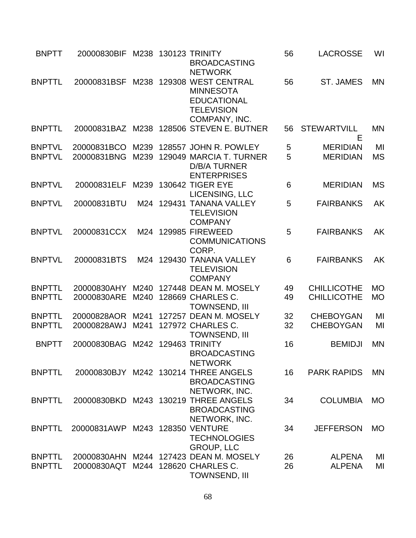| <b>BNPTT</b>                   | 20000830BIF                     |              | M238 130123 TRINITY<br><b>BROADCASTING</b><br><b>NETWORK</b>                                        | 56              | <b>LACROSSE</b>                          | WI                     |
|--------------------------------|---------------------------------|--------------|-----------------------------------------------------------------------------------------------------|-----------------|------------------------------------------|------------------------|
| <b>BNPTTL</b>                  | 20000831BSF                     | M238         | 129308 WEST CENTRAL<br><b>MINNESOTA</b><br><b>EDUCATIONAL</b><br><b>TELEVISION</b><br>COMPANY, INC. | 56              | <b>ST. JAMES</b>                         | <b>MN</b>              |
| <b>BNPTTL</b>                  |                                 |              | 20000831BAZ M238 128506 STEVEN E. BUTNER                                                            | 56              | <b>STEWARTVILL</b><br>Е                  | MN                     |
| <b>BNPTVL</b><br><b>BNPTVL</b> | 20000831BCO<br>20000831BNG      | M239<br>M239 | 128557 JOHN R. POWLEY<br>129049 MARCIA T. TURNER<br><b>D/B/A TURNER</b><br><b>ENTERPRISES</b>       | 5<br>5          | <b>MERIDIAN</b><br><b>MERIDIAN</b>       | MI<br><b>MS</b>        |
| <b>BNPTVL</b>                  | 20000831ELF                     |              | M239 130642 TIGER EYE<br>LICENSING, LLC                                                             | 6               | <b>MERIDIAN</b>                          | <b>MS</b>              |
| <b>BNPTVL</b>                  | 20000831BTU                     |              | M24 129431 TANANA VALLEY<br><b>TELEVISION</b><br><b>COMPANY</b>                                     | 5               | <b>FAIRBANKS</b>                         | <b>AK</b>              |
| <b>BNPTVL</b>                  | 20000831CCX                     | M24          | 129985 FIREWEED<br><b>COMMUNICATIONS</b><br>CORP.                                                   | 5               | <b>FAIRBANKS</b>                         | AK                     |
| <b>BNPTVL</b>                  | 20000831BTS                     | M24          | 129430 TANANA VALLEY<br><b>TELEVISION</b><br><b>COMPANY</b>                                         | $6\phantom{1}6$ | <b>FAIRBANKS</b>                         | AK                     |
| <b>BNPTTL</b><br><b>BNPTTL</b> | 20000830AHY<br>20000830ARE      | M240<br>M240 | 127448 DEAN M. MOSELY<br>128669 CHARLES C.<br><b>TOWNSEND, III</b>                                  | 49<br>49        | <b>CHILLICOTHE</b><br><b>CHILLICOTHE</b> | <b>MO</b><br><b>MO</b> |
| <b>BNPTTL</b><br><b>BNPTTL</b> | 20000828AOR M241<br>20000828AWJ | M241         | 127257 DEAN M. MOSELY<br>127972 CHARLES C.<br><b>TOWNSEND, III</b>                                  | 32<br>32        | <b>CHEBOYGAN</b><br><b>CHEBOYGAN</b>     | MI<br>MI               |
| <b>BNPTT</b>                   | 20000830BAG                     |              | M242 129463 TRINITY<br><b>BROADCASTING</b><br><b>NETWORK</b>                                        | 16              | <b>BEMIDJI</b>                           | <b>MN</b>              |
| <b>BNPTTL</b>                  |                                 |              | 20000830BJY M242 130214 THREE ANGELS<br><b>BROADCASTING</b><br>NETWORK, INC.                        | 16              | <b>PARK RAPIDS</b>                       | <b>MN</b>              |
| <b>BNPTTL</b>                  |                                 |              | 20000830BKD M243 130219 THREE ANGELS<br><b>BROADCASTING</b><br>NETWORK, INC.                        | 34              | <b>COLUMBIA</b>                          | <b>MO</b>              |
| <b>BNPTTL</b>                  | 20000831AWP M243 128350 VENTURE |              | <b>TECHNOLOGIES</b><br><b>GROUP, LLC</b>                                                            | 34              | <b>JEFFERSON</b>                         | <b>MO</b>              |
| <b>BNPTTL</b><br><b>BNPTTL</b> | 20000830AQT                     |              | 20000830AHN M244 127423 DEAN M. MOSELY<br>M244 128620 CHARLES C.<br>TOWNSEND, III                   | 26<br>26        | <b>ALPENA</b><br><b>ALPENA</b>           | MI<br>MI               |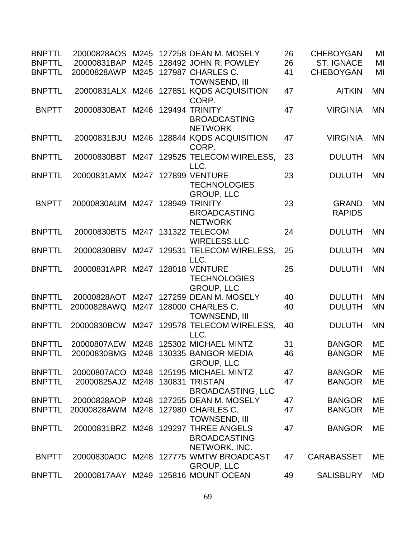| <b>BNPTTL</b><br><b>BNPTTL</b> | 20000828AOS<br>20000831BAP      | M245 | 127258 DEAN M. MOSELY<br>M245 128492 JOHN R. POWLEY                                    | 26<br>26 | <b>CHEBOYGAN</b><br><b>ST. IGNACE</b> | MI<br>MI  |
|--------------------------------|---------------------------------|------|----------------------------------------------------------------------------------------|----------|---------------------------------------|-----------|
| <b>BNPTTL</b>                  | 20000828AWP                     |      | M245 127987 CHARLES C.<br><b>TOWNSEND, III</b>                                         | 41       | <b>CHEBOYGAN</b>                      | MI        |
| <b>BNPTTL</b>                  | 20000831ALX                     |      | M246 127851 KQDS ACQUISITION<br>CORP.                                                  | 47       | <b>AITKIN</b>                         | <b>MN</b> |
| <b>BNPTT</b>                   | 20000830BAT                     | M246 | 129494 TRINITY<br><b>BROADCASTING</b><br><b>NETWORK</b>                                | 47       | <b>VIRGINIA</b>                       | <b>MN</b> |
| <b>BNPTTL</b>                  | 20000831BJU                     |      | M246 128844 KQDS ACQUISITION<br>CORP.                                                  | 47       | <b>VIRGINIA</b>                       | <b>MN</b> |
| <b>BNPTTL</b>                  | 20000830BBT                     |      | M247 129525 TELECOM WIRELESS,<br>LLC.                                                  | 23       | <b>DULUTH</b>                         | <b>MN</b> |
| <b>BNPTTL</b>                  | 20000831AMX M247                |      | <b>127899 VENTURE</b><br><b>TECHNOLOGIES</b><br><b>GROUP, LLC</b>                      | 23       | <b>DULUTH</b>                         | <b>MN</b> |
| <b>BNPTT</b>                   | 20000830AUM M247 128949 TRINITY |      | <b>BROADCASTING</b><br><b>NETWORK</b>                                                  | 23       | <b>GRAND</b><br><b>RAPIDS</b>         | <b>MN</b> |
| <b>BNPTTL</b>                  | 20000830BTS M247 131322 TELECOM |      | <b>WIRELESS, LLC</b>                                                                   | 24       | <b>DULUTH</b>                         | <b>MN</b> |
| <b>BNPTTL</b>                  | 20000830BBV                     |      | M247 129531 TELECOM WIRELESS,<br>LLC.                                                  | 25       | <b>DULUTH</b>                         | <b>MN</b> |
| <b>BNPTTL</b>                  | 20000831APR                     | M247 | <b>128018 VENTURE</b><br><b>TECHNOLOGIES</b><br><b>GROUP, LLC</b>                      | 25       | <b>DULUTH</b>                         | <b>MN</b> |
| <b>BNPTTL</b>                  | 20000828AOT                     |      | M247 127259 DEAN M. MOSELY                                                             | 40       | <b>DULUTH</b>                         | <b>MN</b> |
| <b>BNPTTL</b>                  | 20000828AWQ                     | M247 | 128000 CHARLES C.<br><b>TOWNSEND, III</b>                                              | 40       | <b>DULUTH</b>                         | <b>MN</b> |
| <b>BNPTTL</b>                  | 20000830BCW                     |      | M247 129578 TELECOM WIRELESS.<br>LLC.                                                  | 40       | <b>DULUTH</b>                         | <b>MN</b> |
| <b>BNPTTL</b><br><b>BNPTTL</b> | 20000807AEW                     |      | M248 125302 MICHAEL MINTZ<br>20000830BMG M248 130335 BANGOR MEDIA<br><b>GROUP, LLC</b> | 31<br>46 | <b>BANGOR</b><br><b>BANGOR</b>        | ME<br>ME  |
| <b>BNPTTL</b>                  | 20000807ACO                     |      | M248 125195 MICHAEL MINTZ                                                              | 47       | <b>BANGOR</b>                         | ME        |
| <b>BNPTTL</b>                  | 20000825AJZ                     |      | M248 130831 TRISTAN<br><b>BROADCASTING, LLC</b>                                        | 47       | <b>BANGOR</b>                         | ME        |
| <b>BNPTTL</b>                  | 20000828AOP                     |      | M248 127255 DEAN M. MOSELY                                                             | 47       | <b>BANGOR</b>                         | ME        |
| <b>BNPTTL</b>                  | 20000828AWM                     |      | M248 127980 CHARLES C.<br><b>TOWNSEND, III</b>                                         | 47       | <b>BANGOR</b>                         | <b>ME</b> |
| <b>BNPTTL</b>                  |                                 |      | 20000831BRZ M248 129297 THREE ANGELS<br><b>BROADCASTING</b><br>NETWORK, INC.           | 47       | <b>BANGOR</b>                         | <b>ME</b> |
| <b>BNPTT</b>                   |                                 |      | 20000830AOC M248 127775 WMTW BROADCAST<br><b>GROUP, LLC</b>                            | 47       | <b>CARABASSET</b>                     | ME        |
| <b>BNPTTL</b>                  |                                 |      | 20000817AAY M249 125816 MOUNT OCEAN                                                    | 49       | <b>SALISBURY</b>                      | <b>MD</b> |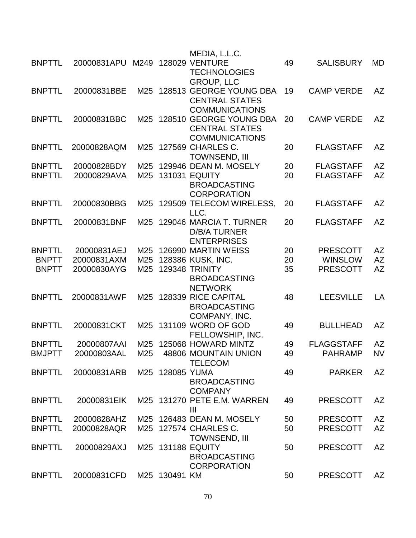|               |             |      |                 | MEDIA, L.L.C.                                      |    |                   |           |
|---------------|-------------|------|-----------------|----------------------------------------------------|----|-------------------|-----------|
| <b>BNPTTL</b> | 20000831APU | M249 |                 | <b>128029 VENTURE</b><br><b>TECHNOLOGIES</b>       | 49 | <b>SALISBURY</b>  | MD        |
|               |             |      |                 | <b>GROUP, LLC</b>                                  |    |                   |           |
| <b>BNPTTL</b> | 20000831BBE |      |                 | M25 128513 GEORGE YOUNG DBA                        | 19 | <b>CAMP VERDE</b> | <b>AZ</b> |
|               |             |      |                 | <b>CENTRAL STATES</b>                              |    |                   |           |
|               |             |      |                 | <b>COMMUNICATIONS</b>                              |    |                   |           |
| <b>BNPTTL</b> | 20000831BBC |      |                 | M25 128510 GEORGE YOUNG DBA                        | 20 | <b>CAMP VERDE</b> | <b>AZ</b> |
|               |             |      |                 | <b>CENTRAL STATES</b>                              |    |                   |           |
| <b>BNPTTL</b> | 20000828AQM |      |                 | <b>COMMUNICATIONS</b><br>M25 127569 CHARLES C.     | 20 | <b>FLAGSTAFF</b>  | <b>AZ</b> |
|               |             |      |                 | <b>TOWNSEND, III</b>                               |    |                   |           |
| <b>BNPTTL</b> | 20000828BDY | M25  |                 | 129946 DEAN M. MOSELY                              | 20 | <b>FLAGSTAFF</b>  | <b>AZ</b> |
| <b>BNPTTL</b> | 20000829AVA |      |                 | M25 131031 EQUITY                                  | 20 | <b>FLAGSTAFF</b>  | <b>AZ</b> |
|               |             |      |                 | <b>BROADCASTING</b>                                |    |                   |           |
|               |             |      |                 | <b>CORPORATION</b>                                 |    |                   |           |
| <b>BNPTTL</b> | 20000830BBG |      |                 | M25 129509 TELECOM WIRELESS,                       | 20 | <b>FLAGSTAFF</b>  | AZ        |
|               |             |      |                 | LLC.                                               |    |                   |           |
| <b>BNPTTL</b> | 20000831BNF | M25  |                 | 129046 MARCIA T. TURNER                            | 20 | <b>FLAGSTAFF</b>  | <b>AZ</b> |
|               |             |      |                 | <b>D/B/A TURNER</b>                                |    |                   |           |
|               |             |      |                 | <b>ENTERPRISES</b>                                 |    |                   |           |
| <b>BNPTTL</b> | 20000831AEJ | M25  |                 | 126990 MARTIN WEISS                                | 20 | <b>PRESCOTT</b>   | AZ        |
| <b>BNPTT</b>  | 20000831AXM | M25  |                 | 128386 KUSK, INC.                                  | 20 | <b>WINSLOW</b>    | <b>AZ</b> |
| <b>BNPTT</b>  | 20000830AYG | M25  |                 | <b>129348 TRINITY</b>                              | 35 | <b>PRESCOTT</b>   | <b>AZ</b> |
|               |             |      |                 | <b>BROADCASTING</b>                                |    |                   |           |
| <b>BNPTTL</b> | 20000831AWF | M25  |                 | <b>NETWORK</b><br>128339 RICE CAPITAL              | 48 | <b>LEESVILLE</b>  | LA        |
|               |             |      |                 | <b>BROADCASTING</b>                                |    |                   |           |
|               |             |      |                 | COMPANY, INC.                                      |    |                   |           |
| <b>BNPTTL</b> | 20000831CKT | M25  |                 | 131109 WORD OF GOD                                 | 49 | <b>BULLHEAD</b>   | <b>AZ</b> |
|               |             |      |                 | FELLOWSHIP, INC.                                   |    |                   |           |
| <b>BNPTTL</b> | 20000807AAI | M25  |                 | 125068 HOWARD MINTZ                                | 49 | <b>FLAGGSTAFF</b> | <b>AZ</b> |
| <b>BMJPTT</b> | 20000803AAL | M25  |                 | 48806 MOUNTAIN UNION                               | 49 | <b>PAHRAMP</b>    | <b>NV</b> |
|               |             |      |                 | <b>TELECOM</b>                                     |    |                   |           |
| <b>BNPTTL</b> | 20000831ARB |      | M25 128085 YUMA |                                                    | 49 | <b>PARKER</b>     | AZ        |
|               |             |      |                 | <b>BROADCASTING</b>                                |    |                   |           |
|               |             |      |                 | <b>COMPANY</b>                                     |    |                   |           |
| <b>BNPTTL</b> | 20000831EIK |      |                 | M25 131270 PETE E.M. WARREN                        | 49 | <b>PRESCOTT</b>   | AZ        |
|               |             |      |                 | Ш                                                  |    |                   |           |
| <b>BNPTTL</b> | 20000828AHZ |      |                 | M25 126483 DEAN M. MOSELY<br>M25 127574 CHARLES C. | 50 | <b>PRESCOTT</b>   | AZ        |
| <b>BNPTTL</b> | 20000828AQR |      |                 | <b>TOWNSEND, III</b>                               | 50 | <b>PRESCOTT</b>   | <b>AZ</b> |
| <b>BNPTTL</b> | 20000829AXJ |      |                 | M25 131188 EQUITY                                  | 50 | <b>PRESCOTT</b>   | <b>AZ</b> |
|               |             |      |                 | <b>BROADCASTING</b>                                |    |                   |           |
|               |             |      |                 | <b>CORPORATION</b>                                 |    |                   |           |
| <b>BNPTTL</b> | 20000831CFD |      | M25 130491 KM   |                                                    | 50 | <b>PRESCOTT</b>   | AZ        |
|               |             |      |                 |                                                    |    |                   |           |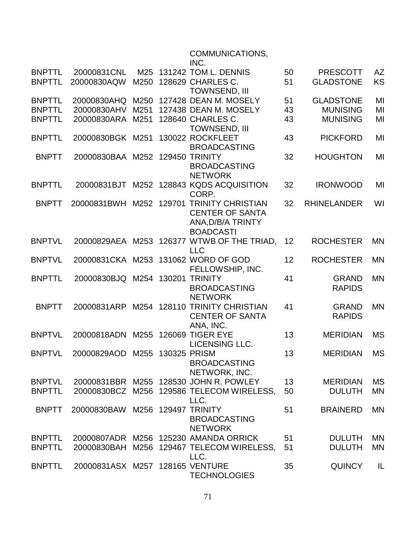## COMMUNICATIONS,

|               |                                 |      |              | INC.                                                    |    |                               |           |
|---------------|---------------------------------|------|--------------|---------------------------------------------------------|----|-------------------------------|-----------|
| <b>BNPTTL</b> | 20000831CNL                     | M25  |              | <b>131242 TOM L. DENNIS</b>                             | 50 | <b>PRESCOTT</b>               | <b>AZ</b> |
| <b>BNPTTL</b> | 20000830AQW                     | M250 |              | 128629 CHARLES C.                                       | 51 | <b>GLADSTONE</b>              | <b>KS</b> |
|               |                                 |      |              | <b>TOWNSEND, III</b>                                    |    |                               |           |
| <b>BNPTTL</b> | 20000830AHQ                     | M250 |              | 127428 DEAN M. MOSELY                                   | 51 | <b>GLADSTONE</b>              | MI        |
| <b>BNPTTL</b> | 20000830AHV                     | M251 |              | 127438 DEAN M. MOSELY                                   | 43 | <b>MUNISING</b>               | MI        |
| <b>BNPTTL</b> | 20000830ARA                     | M251 |              | 128640 CHARLES C.<br><b>TOWNSEND, III</b>               | 43 | <b>MUNISING</b>               | MI        |
| <b>BNPTTL</b> | 20000830BGK M251                |      |              | 130022 ROCKFLEET                                        | 43 | <b>PICKFORD</b>               | MI        |
|               |                                 |      |              | <b>BROADCASTING</b>                                     |    |                               |           |
| <b>BNPTT</b>  | 20000830BAA M252 129450 TRINITY |      |              |                                                         | 32 | <b>HOUGHTON</b>               | MI        |
|               |                                 |      |              | <b>BROADCASTING</b>                                     |    |                               |           |
|               |                                 |      |              | <b>NETWORK</b>                                          |    |                               |           |
| <b>BNPTTL</b> | 20000831BJT                     | M252 |              | 128843 KQDS ACQUISITION<br>CORP.                        | 32 | <b>IRONWOOD</b>               | MI        |
| <b>BNPTT</b>  | 20000831BWH                     | M252 |              | 129701 TRINITY CHRISTIAN                                | 32 | <b>RHINELANDER</b>            | WI        |
|               |                                 |      |              | <b>CENTER OF SANTA</b>                                  |    |                               |           |
|               |                                 |      |              | ANA, D/B/A TRINTY                                       |    |                               |           |
| <b>BNPTVL</b> | 20000829AEA                     |      |              | <b>BOADCASTI</b><br>M253 126377 WTWB OF THE TRIAD,      | 12 | <b>ROCHESTER</b>              | <b>MN</b> |
|               |                                 |      |              | <b>LLC</b>                                              |    |                               |           |
| <b>BNPTVL</b> |                                 |      |              | 20000831CKA M253 131062 WORD OF GOD                     | 12 | <b>ROCHESTER</b>              | <b>MN</b> |
|               |                                 |      |              | FELLOWSHIP, INC.                                        |    |                               |           |
| <b>BNPTTL</b> | 20000830BJQ M254 130201         |      |              | <b>TRINITY</b>                                          | 41 | <b>GRAND</b>                  | <b>MN</b> |
|               |                                 |      |              | <b>BROADCASTING</b>                                     |    | <b>RAPIDS</b>                 |           |
|               |                                 |      |              | <b>NETWORK</b>                                          |    |                               |           |
| <b>BNPTT</b>  | 20000831ARP                     |      |              | M254 128110 TRINITY CHRISTIAN<br><b>CENTER OF SANTA</b> | 41 | <b>GRAND</b><br><b>RAPIDS</b> | <b>MN</b> |
|               |                                 |      |              | ANA, INC.                                               |    |                               |           |
| <b>BNPTVL</b> | 20000818ADN                     |      |              | M255 126069 TIGER EYE                                   | 13 | <b>MERIDIAN</b>               | <b>MS</b> |
|               |                                 |      |              | <b>LICENSING LLC.</b>                                   |    |                               |           |
| <b>BNPTVL</b> | 20000829AOD                     | M255 | 130325 PRISM |                                                         | 13 | <b>MERIDIAN</b>               | <b>MS</b> |
|               |                                 |      |              | <b>BROADCASTING</b>                                     |    |                               |           |
|               |                                 |      |              | NETWORK, INC.                                           |    |                               |           |
| <b>BNPTVL</b> |                                 |      |              | 20000831BBR M255 128530 JOHN R. POWLEY                  | 13 | <b>MERIDIAN</b>               | <b>MS</b> |
| <b>BNPTTL</b> |                                 |      |              | 20000830BCZ M256 129586 TELECOM WIRELESS,               | 50 | <b>DULUTH</b>                 | <b>MN</b> |
| <b>BNPTT</b>  | 20000830BAW                     |      |              | LLC.<br>M256 129497 TRINITY                             | 51 | <b>BRAINERD</b>               | <b>MN</b> |
|               |                                 |      |              | <b>BROADCASTING</b>                                     |    |                               |           |
|               |                                 |      |              | <b>NETWORK</b>                                          |    |                               |           |
| <b>BNPTTL</b> |                                 |      |              | 20000807ADR M256 125230 AMANDA ORRICK                   | 51 | <b>DULUTH</b>                 | <b>MN</b> |
| <b>BNPTTL</b> | 20000830BAH                     |      |              | M256 129467 TELECOM WIRELESS,                           | 51 | <b>DULUTH</b>                 | <b>MN</b> |
|               |                                 |      |              | LLC.                                                    |    |                               |           |
| <b>BNPTTL</b> | 20000831ASX M257 128165 VENTURE |      |              |                                                         | 35 | <b>QUINCY</b>                 | IL        |
|               |                                 |      |              | <b>TECHNOLOGIES</b>                                     |    |                               |           |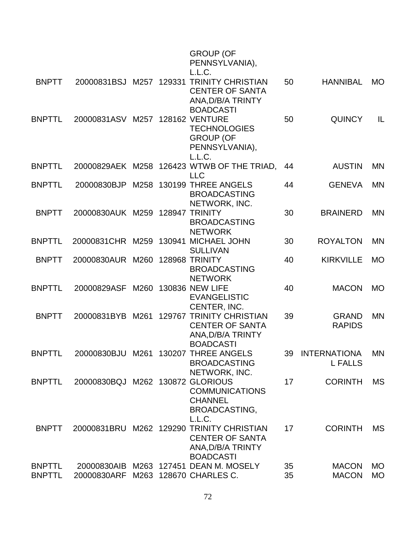|                                |                                  |      |        | <b>GROUP (OF</b><br>PENNSYLVANIA),<br>L.L.C.                                                       |          |                                       |                        |
|--------------------------------|----------------------------------|------|--------|----------------------------------------------------------------------------------------------------|----------|---------------------------------------|------------------------|
| <b>BNPTT</b>                   | 20000831BSJ                      | M257 | 129331 | <b>TRINITY CHRISTIAN</b><br><b>CENTER OF SANTA</b><br>ANA, D/B/A TRINTY<br><b>BOADCASTI</b>        | 50       | <b>HANNIBAL</b>                       | <b>MO</b>              |
| <b>BNPTTL</b>                  | 20000831ASV                      |      |        | M257 128162 VENTURE<br><b>TECHNOLOGIES</b><br><b>GROUP (OF</b><br>PENNSYLVANIA),<br>L.L.C.         | 50       | <b>QUINCY</b>                         | IL                     |
| <b>BNPTTL</b>                  |                                  |      |        | 20000829AEK M258 126423 WTWB OF THE TRIAD,<br><b>LLC</b>                                           | 44       | <b>AUSTIN</b>                         | <b>MN</b>              |
| <b>BNPTTL</b>                  | 20000830BJP                      |      |        | M258 130199 THREE ANGELS<br><b>BROADCASTING</b><br>NETWORK, INC.                                   | 44       | <b>GENEVA</b>                         | <b>MN</b>              |
| <b>BNPTT</b>                   | 20000830AUK M259 128947 TRINITY  |      |        | <b>BROADCASTING</b><br><b>NETWORK</b>                                                              | 30       | <b>BRAINERD</b>                       | <b>MN</b>              |
| <b>BNPTTL</b>                  | 20000831CHR                      |      |        | M259 130941 MICHAEL JOHN<br><b>SULLIVAN</b>                                                        | 30       | <b>ROYALTON</b>                       | <b>MN</b>              |
| <b>BNPTT</b>                   | 20000830AUR                      | M260 |        | 128968 TRINITY<br><b>BROADCASTING</b><br><b>NETWORK</b>                                            | 40       | <b>KIRKVILLE</b>                      | <b>MO</b>              |
| <b>BNPTTL</b>                  | 20000829ASF                      | M260 |        | <b>130836 NEW LIFE</b><br><b>EVANGELISTIC</b><br>CENTER, INC.                                      | 40       | <b>MACON</b>                          | <b>MO</b>              |
| <b>BNPTT</b>                   | 20000831BYB                      | M261 |        | <b>129767 TRINITY CHRISTIAN</b><br><b>CENTER OF SANTA</b><br>ANA, D/B/A TRINTY<br><b>BOADCASTI</b> | 39       | <b>GRAND</b><br><b>RAPIDS</b>         | <b>MN</b>              |
| <b>BNPTTL</b>                  |                                  |      |        | 20000830BJU M261 130207 THREE ANGELS<br><b>BROADCASTING</b><br>NETWORK, INC.                       | 39       | <b>INTERNATIONA</b><br><b>L FALLS</b> | <b>MN</b>              |
| <b>BNPTTL</b>                  | 20000830BQJ M262 130872 GLORIOUS |      |        | <b>COMMUNICATIONS</b><br><b>CHANNEL</b><br><b>BROADCASTING,</b><br>L.L.C.                          | 17       | <b>CORINTH</b>                        | <b>MS</b>              |
| <b>BNPTT</b>                   | 20000831BRU                      |      |        | M262 129290 TRINITY CHRISTIAN<br><b>CENTER OF SANTA</b><br>ANA, D/B/A TRINTY<br><b>BOADCASTI</b>   | 17       | <b>CORINTH</b>                        | <b>MS</b>              |
| <b>BNPTTL</b><br><b>BNPTTL</b> | 20000830ARF                      |      |        | 20000830AIB M263 127451 DEAN M. MOSELY<br>M263 128670 CHARLES C.                                   | 35<br>35 | <b>MACON</b><br><b>MACON</b>          | <b>MO</b><br><b>MO</b> |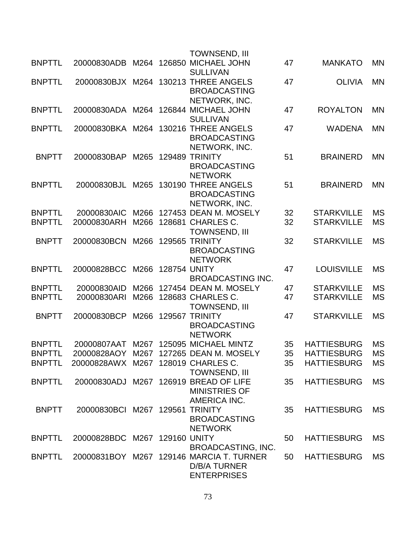|               |                                    |      |                     | <b>TOWNSEND, III</b>                                                                  |    |                    |           |
|---------------|------------------------------------|------|---------------------|---------------------------------------------------------------------------------------|----|--------------------|-----------|
| <b>BNPTTL</b> |                                    |      |                     | 20000830ADB M264 126850 MICHAEL JOHN<br><b>SULLIVAN</b>                               | 47 | <b>MANKATO</b>     | <b>MN</b> |
| <b>BNPTTL</b> | 20000830BJX M264                   |      |                     | 130213 THREE ANGELS<br><b>BROADCASTING</b><br>NETWORK, INC.                           | 47 | <b>OLIVIA</b>      | <b>MN</b> |
| <b>BNPTTL</b> |                                    |      |                     | 20000830ADA M264 126844 MICHAEL JOHN<br><b>SULLIVAN</b>                               | 47 | <b>ROYALTON</b>    | <b>MN</b> |
| <b>BNPTTL</b> | 20000830BKA M264                   |      |                     | 130216 THREE ANGELS<br><b>BROADCASTING</b><br>NETWORK, INC.                           | 47 | <b>WADENA</b>      | <b>MN</b> |
| <b>BNPTT</b>  | 20000830BAP                        | M265 |                     | <b>129489 TRINITY</b><br><b>BROADCASTING</b><br><b>NETWORK</b>                        | 51 | <b>BRAINERD</b>    | MN        |
| <b>BNPTTL</b> | 20000830BJL                        |      |                     | M265 130190 THREE ANGELS<br><b>BROADCASTING</b><br>NETWORK, INC.                      | 51 | <b>BRAINERD</b>    | <b>MN</b> |
| <b>BNPTTL</b> | 20000830AIC                        | M266 |                     | 127453 DEAN M. MOSELY                                                                 | 32 | <b>STARKVILLE</b>  | <b>MS</b> |
| <b>BNPTTL</b> | 20000830ARH                        | M266 |                     | 128681 CHARLES C.<br><b>TOWNSEND, III</b>                                             | 32 | <b>STARKVILLE</b>  | <b>MS</b> |
| <b>BNPTT</b>  | 20000830BCN                        |      |                     | M266 129565 TRINITY<br><b>BROADCASTING</b><br><b>NETWORK</b>                          | 32 | <b>STARKVILLE</b>  | <b>MS</b> |
| <b>BNPTTL</b> | 20000828BCC                        | M266 | <b>128754 UNITY</b> | <b>BROADCASTING INC.</b>                                                              | 47 | <b>LOUISVILLE</b>  | <b>MS</b> |
| <b>BNPTTL</b> | 20000830AID                        | M266 |                     | 127454 DEAN M. MOSELY                                                                 | 47 | <b>STARKVILLE</b>  | <b>MS</b> |
| <b>BNPTTL</b> | 20000830ARI                        | M266 |                     | 128683 CHARLES C.<br><b>TOWNSEND, III</b>                                             | 47 | <b>STARKVILLE</b>  | MS        |
| <b>BNPTT</b>  | 20000830BCP                        | M266 |                     | 129567 TRINITY<br><b>BROADCASTING</b><br><b>NETWORK</b>                               | 47 | <b>STARKVILLE</b>  | <b>MS</b> |
| <b>BNPTTL</b> | 20000807AAT                        |      |                     | M267 125095 MICHAEL MINTZ                                                             | 35 | <b>HATTIESBURG</b> | MS        |
| <b>BNPTTL</b> |                                    |      |                     | 20000828AOY M267 127265 DEAN M. MOSELY                                                | 35 | <b>HATTIESBURG</b> | <b>MS</b> |
| <b>BNPTTL</b> | 20000828AWX M267 128019 CHARLES C. |      |                     | <b>TOWNSEND, III</b>                                                                  | 35 | <b>HATTIESBURG</b> | MS        |
| <b>BNPTTL</b> |                                    |      |                     | 20000830ADJ M267 126919 BREAD OF LIFE<br><b>MINISTRIES OF</b><br>AMERICA INC.         | 35 | <b>HATTIESBURG</b> | <b>MS</b> |
| <b>BNPTT</b>  | 20000830BCI M267 129561            |      |                     | <b>TRINITY</b><br><b>BROADCASTING</b><br><b>NETWORK</b>                               | 35 | <b>HATTIESBURG</b> | <b>MS</b> |
| <b>BNPTTL</b> | 20000828BDC M267 129160 UNITY      |      |                     | <b>BROADCASTING, INC.</b>                                                             | 50 | <b>HATTIESBURG</b> | MS        |
| <b>BNPTTL</b> |                                    |      |                     | 20000831BOY M267 129146 MARCIA T. TURNER<br><b>D/B/A TURNER</b><br><b>ENTERPRISES</b> | 50 | <b>HATTIESBURG</b> | <b>MS</b> |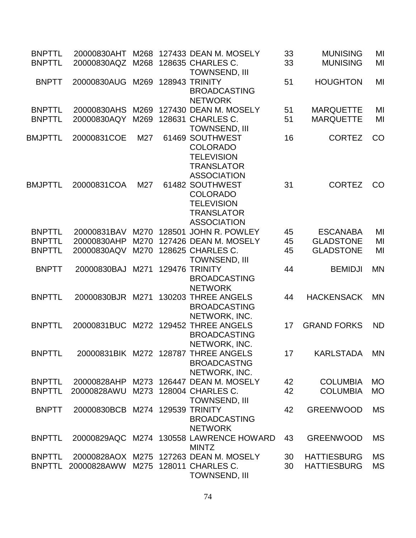| <b>BNPTTL</b><br><b>BNPTTL</b> | 20000830AHT<br>20000830AQZ      | M268<br>M268 | 127433 DEAN M. MOSELY<br>128635 CHARLES C.                                                         | 33<br>33 | <b>MUNISING</b><br><b>MUNISING</b> | MI<br>MI  |
|--------------------------------|---------------------------------|--------------|----------------------------------------------------------------------------------------------------|----------|------------------------------------|-----------|
|                                |                                 |              | <b>TOWNSEND, III</b>                                                                               |          |                                    |           |
| <b>BNPTT</b>                   | 20000830AUG                     | M269         | 128943 TRINITY<br><b>BROADCASTING</b><br><b>NETWORK</b>                                            | 51       | <b>HOUGHTON</b>                    | MI        |
| <b>BNPTTL</b>                  | 20000830AHS                     | M269         | 127430 DEAN M. MOSELY                                                                              | 51       | <b>MARQUETTE</b>                   | MI        |
| <b>BNPTTL</b>                  | 20000830AQY                     | M269         | 128631 CHARLES C.<br><b>TOWNSEND, III</b>                                                          | 51       | <b>MARQUETTE</b>                   | MI        |
| <b>BMJPTTL</b>                 | 20000831COE                     | M27          | 61469 SOUTHWEST<br><b>COLORADO</b><br><b>TELEVISION</b><br><b>TRANSLATOR</b><br><b>ASSOCIATION</b> | 16       | <b>CORTEZ</b>                      | CO        |
| BMJPTTL                        | 20000831COA                     | M27          | 61482 SOUTHWEST<br><b>COLORADO</b><br><b>TELEVISION</b><br><b>TRANSLATOR</b><br><b>ASSOCIATION</b> | 31       | <b>CORTEZ</b>                      | CO        |
| <b>BNPTTL</b>                  | 20000831BAV                     | M270         | 128501 JOHN R. POWLEY                                                                              | 45       | <b>ESCANABA</b>                    | MI        |
| <b>BNPTTL</b>                  | 20000830AHP                     | M270         | 127426 DEAN M. MOSELY                                                                              | 45       | <b>GLADSTONE</b>                   | MI        |
| <b>BNPTTL</b>                  | 20000830AQV                     | M270         | 128625 CHARLES C.<br><b>TOWNSEND, III</b>                                                          | 45       | <b>GLADSTONE</b>                   | MI        |
| <b>BNPTT</b>                   | 20000830BAJ                     | M271         | <b>129476 TRINITY</b><br><b>BROADCASTING</b><br><b>NETWORK</b>                                     | 44       | <b>BEMIDJI</b>                     | <b>MN</b> |
| <b>BNPTTL</b>                  | 20000830BJR M271                |              | 130203 THREE ANGELS<br><b>BROADCASTING</b><br>NETWORK, INC.                                        | 44       | <b>HACKENSACK</b>                  | <b>MN</b> |
| <b>BNPTTL</b>                  |                                 |              | 20000831BUC M272 129452 THREE ANGELS<br><b>BROADCASTING</b><br>NETWORK, INC.                       | 17       | <b>GRAND FORKS</b>                 | <b>ND</b> |
| <b>BNPTTL</b>                  |                                 |              | 20000831BIK M272 128787 THREE ANGELS<br><b>BROADCASTNG</b><br>NETWORK, INC.                        | 17       | KARLSTADA                          | <b>MN</b> |
| <b>BNPTTL</b>                  |                                 |              | 20000828AHP M273 126447 DEAN M. MOSELY                                                             | 42       | <b>COLUMBIA</b>                    | <b>MO</b> |
| <b>BNPTTL</b>                  | 20000828AWU                     |              | M273 128004 CHARLES C.<br><b>TOWNSEND, III</b>                                                     | 42       | <b>COLUMBIA</b>                    | <b>MO</b> |
| <b>BNPTT</b>                   | 20000830BCB M274 129539 TRINITY |              | <b>BROADCASTING</b><br><b>NETWORK</b>                                                              | 42       | <b>GREENWOOD</b>                   | <b>MS</b> |
| <b>BNPTTL</b>                  |                                 |              | 20000829AQC M274 130558 LAWRENCE HOWARD<br><b>MINTZ</b>                                            | 43       | <b>GREENWOOD</b>                   | <b>MS</b> |
| <b>BNPTTL</b>                  |                                 |              | 20000828AOX M275 127263 DEAN M. MOSELY                                                             | 30       | <b>HATTIESBURG</b>                 | <b>MS</b> |
| <b>BNPTTL</b>                  | 20000828AWW                     |              | M275 128011 CHARLES C.<br><b>TOWNSEND, III</b>                                                     | 30       | <b>HATTIESBURG</b>                 | <b>MS</b> |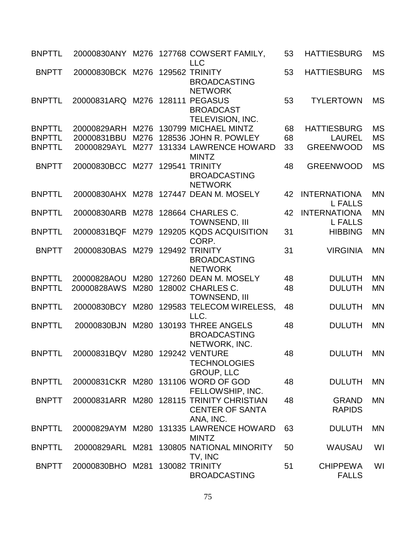| <b>BNPTTL</b> |                                 |      |        | 20000830ANY M276 127768 COWSERT FAMILY,<br><b>LLC</b>                            | 53 | <b>HATTIESBURG</b>                    | <b>MS</b> |
|---------------|---------------------------------|------|--------|----------------------------------------------------------------------------------|----|---------------------------------------|-----------|
| <b>BNPTT</b>  | 20000830BCK M276 129562 TRINITY |      |        | <b>BROADCASTING</b><br><b>NETWORK</b>                                            | 53 | <b>HATTIESBURG</b>                    | <b>MS</b> |
| <b>BNPTTL</b> | 20000831ARQ                     |      |        | M276 128111 PEGASUS<br><b>BROADCAST</b><br>TELEVISION, INC.                      | 53 | <b>TYLERTOWN</b>                      | <b>MS</b> |
| <b>BNPTTL</b> | 20000829ARH                     |      |        | M276 130799 MICHAEL MINTZ                                                        | 68 | <b>HATTIESBURG</b>                    | <b>MS</b> |
| <b>BNPTTL</b> | 20000831BBU                     | M276 |        | 128536 JOHN R. POWLEY                                                            | 68 | <b>LAUREL</b>                         | <b>MS</b> |
| <b>BNPTTL</b> | 20000829AYL                     | M277 |        | 131334 LAWRENCE HOWARD<br><b>MINTZ</b>                                           | 33 | <b>GREENWOOD</b>                      | <b>MS</b> |
| <b>BNPTT</b>  | 20000830BCC                     | M277 | 129541 | <b>TRINITY</b><br><b>BROADCASTING</b><br><b>NETWORK</b>                          | 48 | <b>GREENWOOD</b>                      | <b>MS</b> |
| <b>BNPTTL</b> |                                 |      |        | 20000830AHX M278 127447 DEAN M. MOSELY                                           | 42 | <b>INTERNATIONA</b><br><b>L FALLS</b> | <b>MN</b> |
| <b>BNPTTL</b> | 20000830ARB                     |      |        | M278 128664 CHARLES C.<br><b>TOWNSEND, III</b>                                   | 42 | <b>INTERNATIONA</b><br><b>L FALLS</b> | <b>MN</b> |
| <b>BNPTTL</b> | 20000831BQF                     |      |        | M279 129205 KQDS ACQUISITION<br>CORP.                                            | 31 | <b>HIBBING</b>                        | <b>MN</b> |
| <b>BNPTT</b>  | 20000830BAS                     |      |        | M279 129492 TRINITY<br><b>BROADCASTING</b><br><b>NETWORK</b>                     | 31 | <b>VIRGINIA</b>                       | <b>MN</b> |
| <b>BNPTTL</b> | 20000828AOU                     | M280 |        | 127260 DEAN M. MOSELY                                                            | 48 | <b>DULUTH</b>                         | <b>MN</b> |
| <b>BNPTTL</b> | 20000828AWS                     |      |        | M280 128002 CHARLES C.<br><b>TOWNSEND, III</b>                                   | 48 | <b>DULUTH</b>                         | <b>MN</b> |
| <b>BNPTTL</b> | 20000830BCY                     |      |        | M280 129583 TELECOM WIRELESS,<br>LLC.                                            | 48 | <b>DULUTH</b>                         | <b>MN</b> |
| <b>BNPTTL</b> | 20000830BJN                     | M280 |        | 130193 THREE ANGELS<br><b>BROADCASTING</b><br>NETWORK, INC.                      | 48 | <b>DULUTH</b>                         | <b>MN</b> |
| <b>BNPTTL</b> | 20000831BQV M280 129242 VENTURE |      |        | <b>TECHNOLOGIES</b><br><b>GROUP, LLC</b>                                         | 48 | DULUTH MN                             |           |
| <b>BNPTTL</b> |                                 |      |        | 20000831CKR M280 131106 WORD OF GOD<br>FELLOWSHIP, INC.                          | 48 | <b>DULUTH</b>                         | <b>MN</b> |
| <b>BNPTT</b>  |                                 |      |        | 20000831ARR M280 128115 TRINITY CHRISTIAN<br><b>CENTER OF SANTA</b><br>ANA, INC. | 48 | <b>GRAND</b><br><b>RAPIDS</b>         | <b>MN</b> |
| <b>BNPTTL</b> | 20000829AYM                     |      |        | M280 131335 LAWRENCE HOWARD<br><b>MINTZ</b>                                      | 63 | <b>DULUTH</b>                         | <b>MN</b> |
| <b>BNPTTL</b> | 20000829ARL                     | M281 |        | 130805 NATIONAL MINORITY<br>TV, INC                                              | 50 | <b>WAUSAU</b>                         | WI        |
| <b>BNPTT</b>  | 20000830BHO                     | M281 |        | 130082 TRINITY<br><b>BROADCASTING</b>                                            | 51 | <b>CHIPPEWA</b><br><b>FALLS</b>       | WI        |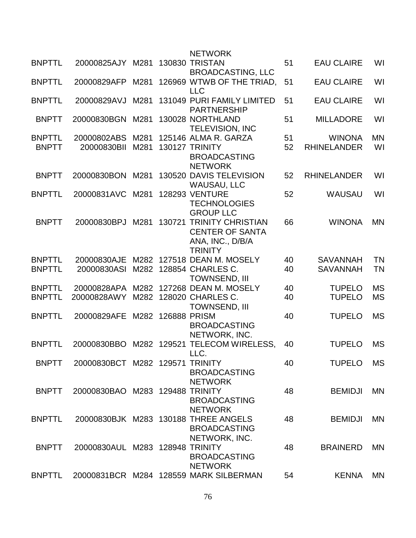|               |                                 |      |              | <b>NETWORK</b>                                                                           |    |                    |           |
|---------------|---------------------------------|------|--------------|------------------------------------------------------------------------------------------|----|--------------------|-----------|
| <b>BNPTTL</b> | 20000825AJY                     | M281 |              | <b>130830 TRISTAN</b><br><b>BROADCASTING, LLC</b>                                        | 51 | <b>EAU CLAIRE</b>  | WI        |
| <b>BNPTTL</b> | 20000829AFP                     | M281 |              | 126969 WTWB OF THE TRIAD,<br><b>LLC</b>                                                  | 51 | <b>EAU CLAIRE</b>  | WI        |
| <b>BNPTTL</b> | 20000829AVJ                     | M281 |              | 131049 PURI FAMILY LIMITED<br><b>PARTNERSHIP</b>                                         | 51 | <b>EAU CLAIRE</b>  | WI        |
| <b>BNPTT</b>  | 20000830BGN                     | M281 |              | 130028 NORTHLAND<br><b>TELEVISION, INC</b>                                               | 51 | <b>MILLADORE</b>   | WI        |
| <b>BNPTTL</b> | 20000802ABS                     | M281 |              | 125146 ALMA R. GARZA                                                                     | 51 | <b>WINONA</b>      | <b>MN</b> |
| <b>BNPTT</b>  | 20000830BII                     | M281 |              | 130127 TRINITY<br><b>BROADCASTING</b><br><b>NETWORK</b>                                  | 52 | <b>RHINELANDER</b> | WI        |
| <b>BNPTT</b>  | 20000830BON                     | M281 |              | 130520 DAVIS TELEVISION<br><b>WAUSAU, LLC</b>                                            | 52 | <b>RHINELANDER</b> | WI        |
| <b>BNPTTL</b> | 20000831AVC                     | M281 |              | <b>128293 VENTURE</b><br><b>TECHNOLOGIES</b><br><b>GROUP LLC</b>                         | 52 | <b>WAUSAU</b>      | WI        |
| <b>BNPTT</b>  | 20000830BPJ                     | M281 | 130721       | <b>TRINITY CHRISTIAN</b><br><b>CENTER OF SANTA</b><br>ANA, INC., D/B/A<br><b>TRINITY</b> | 66 | <b>WINONA</b>      | <b>MN</b> |
| <b>BNPTTL</b> | 20000830AJE                     | M282 |              | 127518 DEAN M. MOSELY                                                                    | 40 | <b>SAVANNAH</b>    | <b>TN</b> |
| <b>BNPTTL</b> | 20000830ASI                     |      |              | M282 128854 CHARLES C.<br><b>TOWNSEND, III</b>                                           | 40 | <b>SAVANNAH</b>    | <b>TN</b> |
| <b>BNPTTL</b> | 20000828APA                     | M282 |              | 127268 DEAN M. MOSELY                                                                    | 40 | <b>TUPELO</b>      | <b>MS</b> |
| <b>BNPTTL</b> | 20000828AWY                     |      |              | M282 128020 CHARLES C.<br><b>TOWNSEND, III</b>                                           | 40 | <b>TUPELO</b>      | <b>MS</b> |
| <b>BNPTTL</b> | 20000829AFE                     | M282 | 126888 PRISM | <b>BROADCASTING</b><br>NETWORK, INC.                                                     | 40 | <b>TUPELO</b>      | <b>MS</b> |
| <b>BNPTTL</b> | 20000830BBO                     |      |              | M282 129521 TELECOM WIRELESS,<br>LLC.                                                    | 40 | <b>TUPELO</b>      | <b>MS</b> |
| <b>BNPTT</b>  | 20000830BCT M282 129571 TRINITY |      |              | <b>BROADCASTING</b><br><b>NETWORK</b>                                                    | 40 | <b>TUPELO</b>      | <b>MS</b> |
| <b>BNPTT</b>  | 20000830BAO M283 129488 TRINITY |      |              | <b>BROADCASTING</b><br><b>NETWORK</b>                                                    | 48 | <b>BEMIDJI</b>     | <b>MN</b> |
| <b>BNPTTL</b> |                                 |      |              | 20000830BJK M283 130188 THREE ANGELS<br><b>BROADCASTING</b><br>NETWORK, INC.             | 48 | <b>BEMIDJI</b>     | <b>MN</b> |
| <b>BNPTT</b>  | 20000830AUL M283 128948 TRINITY |      |              | <b>BROADCASTING</b><br><b>NETWORK</b>                                                    | 48 | <b>BRAINERD</b>    | <b>MN</b> |
| <b>BNPTTL</b> |                                 |      |              | 20000831BCR M284 128559 MARK SILBERMAN                                                   | 54 | <b>KENNA</b>       | <b>MN</b> |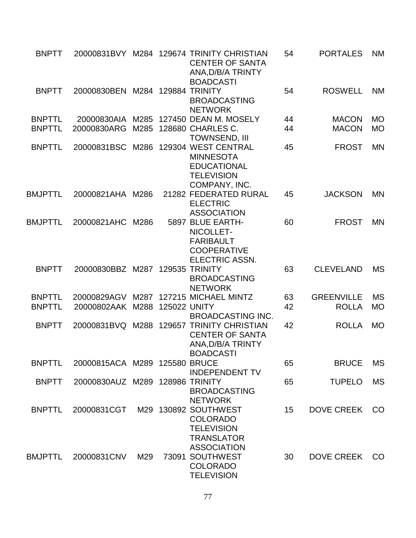| <b>BNPTT</b>   |                                 |      |                     | 20000831BVY M284 129674 TRINITY CHRISTIAN<br><b>CENTER OF SANTA</b><br>ANA, D/B/A TRINTY<br><b>BOADCASTI</b> | 54 | <b>PORTALES</b>   | <b>NM</b>     |
|----------------|---------------------------------|------|---------------------|--------------------------------------------------------------------------------------------------------------|----|-------------------|---------------|
| <b>BNPTT</b>   | 20000830BEN                     |      |                     | M284 129884 TRINITY<br><b>BROADCASTING</b><br><b>NETWORK</b>                                                 | 54 | <b>ROSWELL</b>    | <b>NM</b>     |
| <b>BNPTTL</b>  |                                 |      |                     | 20000830AIA M285 127450 DEAN M. MOSELY                                                                       | 44 | <b>MACON</b>      | <b>MO</b>     |
| <b>BNPTTL</b>  | 20000830ARG                     | M285 |                     | 128680 CHARLES C.<br><b>TOWNSEND, III</b>                                                                    | 44 | <b>MACON</b>      | <b>MO</b>     |
| <b>BNPTTL</b>  | 20000831BSC                     | M286 |                     | 129304 WEST CENTRAL<br><b>MINNESOTA</b><br><b>EDUCATIONAL</b><br><b>TELEVISION</b><br>COMPANY, INC.          | 45 | <b>FROST</b>      | <b>MN</b>     |
| <b>BMJPTTL</b> | 20000821AHA M286                |      |                     | 21282 FEDERATED RURAL<br><b>ELECTRIC</b><br><b>ASSOCIATION</b>                                               | 45 | <b>JACKSON</b>    | <b>MN</b>     |
| <b>BMJPTTL</b> | 20000821AHC                     | M286 |                     | 5897 BLUE EARTH-<br>NICOLLET-<br><b>FARIBAULT</b><br><b>COOPERATIVE</b><br><b>ELECTRIC ASSN.</b>             | 60 | <b>FROST</b>      | <b>MN</b>     |
| <b>BNPTT</b>   | 20000830BBZ M287                |      |                     | 129535 TRINITY<br><b>BROADCASTING</b><br><b>NETWORK</b>                                                      | 63 | <b>CLEVELAND</b>  | <b>MS</b>     |
| <b>BNPTTL</b>  | 20000829AGV                     | M287 |                     | 127215 MICHAEL MINTZ                                                                                         | 63 | <b>GREENVILLE</b> | <b>MS</b>     |
| <b>BNPTTL</b>  | 20000802AAK                     | M288 | <b>125022 UNITY</b> | <b>BROADCASTING INC.</b>                                                                                     | 42 | <b>ROLLA</b>      | <b>MO</b>     |
| <b>BNPTT</b>   | 20000831BVQ                     | M288 |                     | 129657 TRINITY CHRISTIAN<br><b>CENTER OF SANTA</b><br>ANA, D/B/A TRINTY<br><b>BOADCASTI</b>                  | 42 | <b>ROLLA</b>      | <b>MO</b>     |
| <b>BNPTTL</b>  | 20000815ACA M289 125580 BRUCE   |      |                     | <b>INDEPENDENT TV</b>                                                                                        | 65 | <b>BRUCE</b>      | <b>MS</b>     |
| <b>BNPTT</b>   | 20000830AUZ M289 128986 TRINITY |      |                     | <b>BROADCASTING</b><br><b>NETWORK</b>                                                                        | 65 | <b>TUPELO</b>     | <b>MS</b>     |
| <b>BNPTTL</b>  | 20000831CGT                     |      |                     | M29 130892 SOUTHWEST<br><b>COLORADO</b><br><b>TELEVISION</b><br><b>TRANSLATOR</b><br><b>ASSOCIATION</b>      | 15 | <b>DOVE CREEK</b> | CO            |
| BMJPTTL        | 20000831CNV                     | M29  |                     | 73091 SOUTHWEST<br><b>COLORADO</b><br><b>TELEVISION</b>                                                      | 30 | <b>DOVE CREEK</b> | <sub>CO</sub> |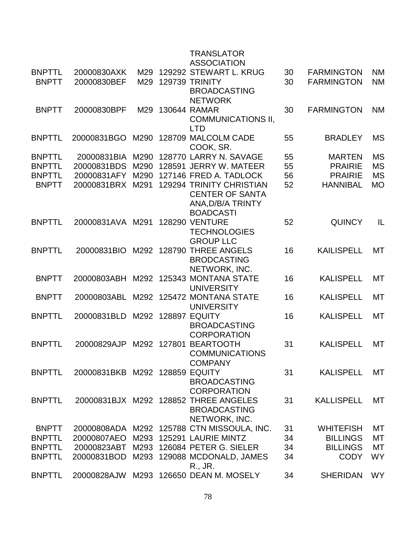|               |                                |      |             | <b>TRANSLATOR</b><br><b>ASSOCIATION</b>    |    |                   |           |
|---------------|--------------------------------|------|-------------|--------------------------------------------|----|-------------------|-----------|
| <b>BNPTTL</b> | 20000830AXK                    | M29  |             | 129292 STEWART L. KRUG                     | 30 | <b>FARMINGTON</b> | <b>NM</b> |
| <b>BNPTT</b>  | 20000830BEF                    | M29  |             | 129739 TRINITY                             | 30 | <b>FARMINGTON</b> | <b>NM</b> |
|               |                                |      |             | <b>BROADCASTING</b>                        |    |                   |           |
|               |                                |      |             | <b>NETWORK</b>                             |    |                   |           |
| <b>BNPTT</b>  | 20000830BPF                    | M29  |             | 130644 RAMAR                               | 30 | <b>FARMINGTON</b> | <b>NM</b> |
|               |                                |      |             | <b>COMMUNICATIONS II,</b><br><b>LTD</b>    |    |                   |           |
| <b>BNPTTL</b> | 20000831BGO                    |      |             | M290 128709 MALCOLM CADE<br>COOK, SR.      | 55 | <b>BRADLEY</b>    | <b>MS</b> |
| <b>BNPTTL</b> | 20000831BIA                    | M290 |             | 128770 LARRY N. SAVAGE                     | 55 | <b>MARTEN</b>     | <b>MS</b> |
| <b>BNPTTL</b> | 20000831BDS                    | M290 |             | 128591 JERRY W. MATEER                     | 55 | <b>PRAIRIE</b>    | <b>MS</b> |
| <b>BNPTTL</b> | 20000831AFY                    | M290 |             | 127146 FRED A. TADLOCK                     | 56 | <b>PRAIRIE</b>    | <b>MS</b> |
| <b>BNPTT</b>  | 20000831BRX                    | M291 |             | 129294 TRINITY CHRISTIAN                   | 52 | <b>HANNIBAL</b>   | <b>MO</b> |
|               |                                |      |             | <b>CENTER OF SANTA</b>                     |    |                   |           |
|               |                                |      |             | ANA, D/B/A TRINTY                          |    |                   |           |
|               |                                |      |             | <b>BOADCASTI</b>                           |    |                   |           |
| <b>BNPTTL</b> | 20000831AVA M291               |      |             | <b>128290 VENTURE</b>                      | 52 | <b>QUINCY</b>     | IL        |
|               |                                |      |             | <b>TECHNOLOGIES</b>                        |    |                   |           |
|               |                                |      |             | <b>GROUP LLC</b>                           |    |                   |           |
| <b>BNPTTL</b> | 20000831BIO                    |      |             | M292 128790 THREE ANGELS                   | 16 | <b>KAILISPELL</b> | MT        |
|               |                                |      |             | <b>BRODCASTING</b>                         |    |                   |           |
|               |                                |      |             | NETWORK, INC.                              |    |                   |           |
| <b>BNPTT</b>  | 20000803ABH                    |      |             | M292 125343 MONTANA STATE                  | 16 | <b>KALISPELL</b>  | <b>MT</b> |
|               |                                |      |             | <b>UNIVERSITY</b>                          |    |                   |           |
| <b>BNPTT</b>  | 20000803ABL                    | M292 |             | 125472 MONTANA STATE<br><b>UNIVERSITY</b>  | 16 | <b>KALISPELL</b>  | МT        |
| <b>BNPTTL</b> | 20000831BLD                    |      |             | M292 128897 EQUITY                         | 16 | <b>KALISPELL</b>  | MT        |
|               |                                |      |             | <b>BROADCASTING</b>                        |    |                   |           |
|               |                                |      |             | <b>CORPORATION</b>                         |    |                   |           |
| <b>BNPTTL</b> | 20000829AJP                    |      | M292 127801 | <b>BEARTOOTH</b>                           | 31 | <b>KALISPELL</b>  | MT        |
|               |                                |      |             | <b>COMMUNICATIONS</b>                      |    |                   |           |
|               |                                |      |             | <b>COMPANY</b>                             |    |                   |           |
| <b>BNPTTL</b> | 20000831BKB M292 128859 EQUITY |      |             |                                            | 31 | <b>KALISPELL</b>  | <b>MT</b> |
|               |                                |      |             | <b>BROADCASTING</b>                        |    |                   |           |
|               |                                |      |             | <b>CORPORATION</b>                         |    |                   |           |
| <b>BNPTTL</b> |                                |      |             | 20000831BJX M292 128852 THREE ANGELES      | 31 | <b>KALLISPELL</b> | МT        |
|               |                                |      |             | <b>BROADCASTING</b>                        |    |                   |           |
|               |                                |      |             | NETWORK, INC.                              |    |                   |           |
| <b>BNPTT</b>  |                                |      |             | 20000808ADA M292 125788 CTN MISSOULA, INC. | 31 | <b>WHITEFISH</b>  | MT        |
| <b>BNPTTL</b> | 20000807AEO                    |      |             | M293 125291 LAURIE MINTZ                   | 34 | <b>BILLINGS</b>   | МT        |
| <b>BNPTTL</b> | 20000823ABT                    |      |             | M293 126084 PETER G. SIELER                | 34 | <b>BILLINGS</b>   | МT        |
| <b>BNPTTL</b> | 20000831BOD                    |      |             | M293 129088 MCDONALD, JAMES                | 34 | <b>CODY</b>       | <b>WY</b> |
|               |                                |      |             | R., JR.                                    |    |                   |           |
| <b>BNPTTL</b> | 20000828AJW                    |      |             | M293 126650 DEAN M. MOSELY                 | 34 | <b>SHERIDAN</b>   | <b>WY</b> |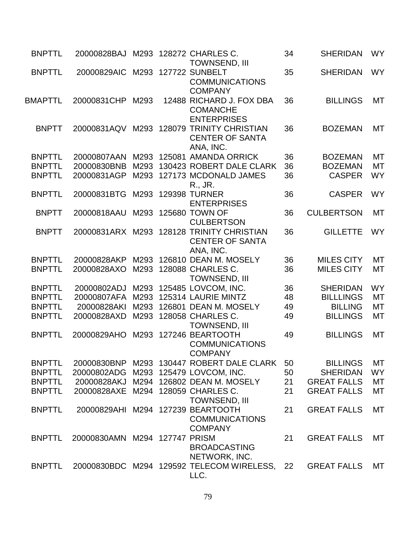| <b>BNPTTL</b>  | 20000828BAJ                        |      |                   | M293 128272 CHARLES C.<br><b>TOWNSEND, III</b>                         | 34 | <b>SHERIDAN</b>    | <b>WY</b> |
|----------------|------------------------------------|------|-------------------|------------------------------------------------------------------------|----|--------------------|-----------|
| <b>BNPTTL</b>  | 20000829AIC                        |      |                   | M293 127722 SUNBELT<br><b>COMMUNICATIONS</b><br><b>COMPANY</b>         | 35 | <b>SHERIDAN</b>    | <b>WY</b> |
| <b>BMAPTTL</b> | 20000831CHP                        | M293 |                   | 12488 RICHARD J. FOX DBA<br><b>COMANCHE</b><br><b>ENTERPRISES</b>      | 36 | <b>BILLINGS</b>    | <b>MT</b> |
| <b>BNPTT</b>   | 20000831AQV                        |      |                   | M293 128079 TRINITY CHRISTIAN<br><b>CENTER OF SANTA</b><br>ANA, INC.   | 36 | <b>BOZEMAN</b>     | MT        |
| <b>BNPTTL</b>  | 20000807AAN                        | M293 |                   | 125081 AMANDA ORRICK                                                   | 36 | <b>BOZEMAN</b>     | MT        |
| <b>BNPTTL</b>  | 20000830BNB                        | M293 |                   | 130423 ROBERT DALE CLARK                                               | 36 | <b>BOZEMAN</b>     | MT        |
| <b>BNPTTL</b>  | 20000831AGP                        | M293 |                   | 127173 MCDONALD JAMES<br>R., JR.                                       | 36 | <b>CASPER</b>      | <b>WY</b> |
| <b>BNPTTL</b>  | 20000831BTG                        |      |                   | M293 129398 TURNER<br><b>ENTERPRISES</b>                               | 36 | <b>CASPER</b>      | <b>WY</b> |
| <b>BNPTT</b>   | 20000818AAU                        | M293 |                   | 125680 TOWN OF<br><b>CULBERTSON</b>                                    | 36 | <b>CULBERTSON</b>  | <b>MT</b> |
| <b>BNPTT</b>   | 20000831ARX                        | M293 |                   | <b>128128 TRINITY CHRISTIAN</b><br><b>CENTER OF SANTA</b><br>ANA, INC. | 36 | <b>GILLETTE</b>    | <b>WY</b> |
| <b>BNPTTL</b>  | 20000828AKP                        | M293 |                   | 126810 DEAN M. MOSELY                                                  | 36 | <b>MILES CITY</b>  | <b>MT</b> |
| <b>BNPTTL</b>  | 20000828AXO                        | M293 |                   | 128088 CHARLES C.<br><b>TOWNSEND, III</b>                              | 36 | <b>MILES CITY</b>  | MT        |
| <b>BNPTTL</b>  | 20000802ADJ                        | M293 |                   | 125485 LOVCOM, INC.                                                    | 36 | <b>SHERIDAN</b>    | <b>WY</b> |
| <b>BNPTTL</b>  | 20000807AFA                        | M293 |                   | 125314 LAURIE MINTZ                                                    | 48 | <b>BILLLINGS</b>   | МT        |
| <b>BNPTTL</b>  | 20000828AKI                        | M293 |                   | 126801 DEAN M. MOSELY                                                  | 49 | <b>BILLING</b>     | MT        |
| <b>BNPTTL</b>  | 20000828AXD                        | M293 |                   | 128058 CHARLES C.<br><b>TOWNSEND, III</b>                              | 49 | <b>BILLINGS</b>    | MT        |
| <b>BNPTTL</b>  | 20000829AHO                        | M293 |                   | 127246 BEARTOOTH<br><b>COMMUNICATIONS</b><br><b>COMPANY</b>            | 49 | <b>BILLINGS</b>    | <b>MT</b> |
| <b>BNPTTL</b>  |                                    |      |                   | 20000830BNP M293 130447 ROBERT DALE CLARK                              | 50 | <b>BILLINGS</b>    | МT        |
| <b>BNPTTL</b>  | 20000802ADG                        |      |                   | M293 125479 LOVCOM, INC.                                               | 50 | <b>SHERIDAN</b>    | <b>WY</b> |
| <b>BNPTTL</b>  |                                    |      |                   | 20000828AKJ M294 126802 DEAN M. MOSELY                                 | 21 | <b>GREAT FALLS</b> | MT        |
| <b>BNPTTL</b>  | 20000828AXE M294 128059 CHARLES C. |      |                   | <b>TOWNSEND, III</b>                                                   | 21 | <b>GREAT FALLS</b> | MT        |
| <b>BNPTTL</b>  | 20000829AHI M294 127239 BEARTOOTH  |      |                   | <b>COMMUNICATIONS</b><br><b>COMPANY</b>                                | 21 | <b>GREAT FALLS</b> | MT        |
| <b>BNPTTL</b>  | 20000830AMN                        |      | M294 127747 PRISM | <b>BROADCASTING</b><br>NETWORK, INC.                                   | 21 | <b>GREAT FALLS</b> | MT        |
| <b>BNPTTL</b>  |                                    |      |                   | 20000830BDC M294 129592 TELECOM WIRELESS, 22<br>LLC.                   |    | <b>GREAT FALLS</b> | МT        |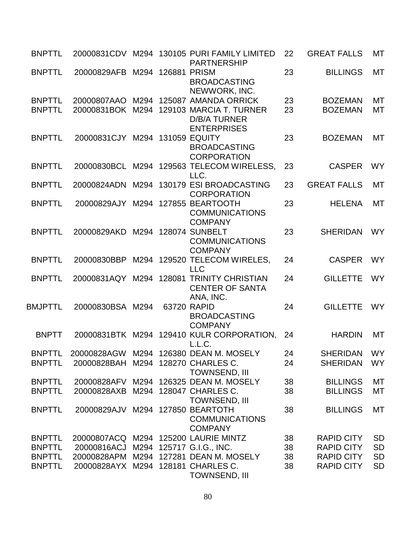| <b>BNPTTL</b>                  |                                      |  | 20000831CDV M294 130105 PURI FAMILY LIMITED<br><b>PARTNERSHIP</b>                                                              | 22       | <b>GREAT FALLS</b>                 | MT        |
|--------------------------------|--------------------------------------|--|--------------------------------------------------------------------------------------------------------------------------------|----------|------------------------------------|-----------|
| <b>BNPTTL</b>                  | 20000829AFB M294 126881 PRISM        |  | <b>BROADCASTING</b><br>NEWWORK, INC.                                                                                           | 23       | <b>BILLINGS</b>                    | <b>MT</b> |
| <b>BNPTTL</b><br><b>BNPTTL</b> |                                      |  | 20000807AAO M294 125087 AMANDA ORRICK<br>20000831BOK M294 129103 MARCIA T. TURNER<br><b>D/B/A TURNER</b><br><b>ENTERPRISES</b> | 23<br>23 | <b>BOZEMAN</b><br><b>BOZEMAN</b>   | MT<br>MT  |
| <b>BNPTTL</b>                  | 20000831CJY M294 131059 EQUITY       |  | <b>BROADCASTING</b><br><b>CORPORATION</b>                                                                                      | 23       | <b>BOZEMAN</b>                     | MT        |
| <b>BNPTTL</b>                  |                                      |  | 20000830BCL M294 129563 TELECOM WIRELESS,<br>LLC.                                                                              | 23       | <b>CASPER</b>                      | <b>WY</b> |
| <b>BNPTTL</b>                  |                                      |  | 20000824ADN M294 130179 ESI BROADCASTING<br><b>CORPORATION</b>                                                                 | 23       | <b>GREAT FALLS</b>                 | <b>MT</b> |
| <b>BNPTTL</b>                  | 20000829AJY M294 127855 BEARTOOTH    |  | <b>COMMUNICATIONS</b><br><b>COMPANY</b>                                                                                        | 23       | <b>HELENA</b>                      | <b>MT</b> |
| <b>BNPTTL</b>                  | 20000829AKD                          |  | M294 128074 SUNBELT<br><b>COMMUNICATIONS</b><br><b>COMPANY</b>                                                                 | 23       | <b>SHERIDAN</b>                    | <b>WY</b> |
| <b>BNPTTL</b>                  | 20000830BBP                          |  | M294 129520 TELECOM WIRELES,<br><b>LLC</b>                                                                                     | 24       | <b>CASPER</b>                      | <b>WY</b> |
| <b>BNPTTL</b>                  |                                      |  | 20000831AQY M294 128081 TRINITY CHRISTIAN<br><b>CENTER OF SANTA</b><br>ANA, INC.                                               | 24       | <b>GILLETTE</b>                    | <b>WY</b> |
| <b>BMJPTTL</b>                 | 20000830BSA M294                     |  | 63720 RAPID<br><b>BROADCASTING</b><br><b>COMPANY</b>                                                                           | 24       | <b>GILLETTE</b>                    | <b>WY</b> |
| <b>BNPTT</b>                   |                                      |  | 20000831BTK M294 129410 KULR CORPORATION,<br>L.L.C.                                                                            | -24      | <b>HARDIN</b>                      | <b>MT</b> |
| <b>BNPTTL</b>                  |                                      |  | 20000828AGW M294 126380 DEAN M. MOSELY                                                                                         | 24       | SHERIDAN WY                        |           |
| <b>BNPTTL</b>                  | 20000828BAH M294 128270 CHARLES C.   |  | <b>TOWNSEND, III</b>                                                                                                           | 24       | <b>SHERIDAN</b>                    | <b>WY</b> |
| <b>BNPTTL</b><br><b>BNPTTL</b> | 20000828AXB                          |  | 20000828AFV M294 126325 DEAN M. MOSELY<br>M294 128047 CHARLES C.<br><b>TOWNSEND, III</b>                                       | 38<br>38 | <b>BILLINGS</b><br><b>BILLINGS</b> | МT<br>MT  |
| <b>BNPTTL</b>                  | 20000829AJV M294 127850 BEARTOTH     |  | <b>COMMUNICATIONS</b><br><b>COMPANY</b>                                                                                        | 38       | <b>BILLINGS</b>                    | MT        |
| <b>BNPTTL</b>                  |                                      |  | 20000807ACQ M294 125200 LAURIE MINTZ                                                                                           | 38       | <b>RAPID CITY</b>                  | <b>SD</b> |
| <b>BNPTTL</b>                  | 20000816ACJ M294 125717 G.I.G., INC. |  |                                                                                                                                | 38       | <b>RAPID CITY</b>                  | <b>SD</b> |
| <b>BNPTTL</b>                  | 20000828APM                          |  | M294 127281 DEAN M. MOSELY                                                                                                     | 38       | <b>RAPID CITY</b>                  | <b>SD</b> |
| <b>BNPTTL</b>                  | 20000828AYX M294 128181 CHARLES C.   |  | <b>TOWNSEND, III</b>                                                                                                           | 38       | <b>RAPID CITY</b>                  | <b>SD</b> |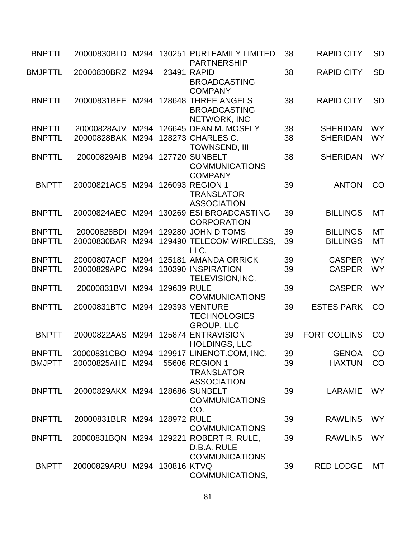| <b>BNPTTL</b>  | 20000830BLD                      |      |                  | M294 130251 PURI FAMILY LIMITED<br><b>PARTNERSHIP</b>                           | 38 | <b>RAPID CITY</b>   | <b>SD</b> |
|----------------|----------------------------------|------|------------------|---------------------------------------------------------------------------------|----|---------------------|-----------|
| <b>BMJPTTL</b> | 20000830BRZ M294                 |      |                  | 23491 RAPID<br><b>BROADCASTING</b><br><b>COMPANY</b>                            | 38 | <b>RAPID CITY</b>   | <b>SD</b> |
| <b>BNPTTL</b>  | 20000831BFE                      | M294 |                  | 128648 THREE ANGELS<br><b>BROADCASTING</b><br>NETWORK, INC                      | 38 | <b>RAPID CITY</b>   | <b>SD</b> |
| <b>BNPTTL</b>  | 20000828AJV                      |      |                  | M294 126645 DEAN M. MOSELY                                                      | 38 | <b>SHERIDAN</b>     | <b>WY</b> |
| <b>BNPTTL</b>  | 20000828BAK                      |      |                  | M294 128273 CHARLES C.                                                          | 38 | <b>SHERIDAN</b>     | <b>WY</b> |
|                |                                  |      |                  | <b>TOWNSEND, III</b>                                                            |    |                     |           |
| <b>BNPTTL</b>  | 20000829AIB                      |      |                  | M294 127720 SUNBELT<br><b>COMMUNICATIONS</b><br><b>COMPANY</b>                  | 38 | <b>SHERIDAN</b>     | <b>WY</b> |
| <b>BNPTT</b>   | 20000821ACS M294 126093 REGION 1 |      |                  | <b>TRANSLATOR</b><br><b>ASSOCIATION</b>                                         | 39 | <b>ANTON</b>        | CO        |
| <b>BNPTTL</b>  | 20000824AEC                      |      |                  | M294 130269 ESI BROADCASTING<br><b>CORPORATION</b>                              | 39 | <b>BILLINGS</b>     | МT        |
| <b>BNPTTL</b>  | 20000828BDI                      |      |                  | M294 129280 JOHN D TOMS                                                         | 39 | <b>BILLINGS</b>     | <b>MT</b> |
| <b>BNPTTL</b>  | 20000830BAR                      |      |                  | M294 129490 TELECOM WIRELESS.<br>LLC.                                           | 39 | <b>BILLINGS</b>     | MT        |
| <b>BNPTTL</b>  | 20000807ACF                      |      |                  | M294 125181 AMANDA ORRICK                                                       | 39 | <b>CASPER</b>       | <b>WY</b> |
| <b>BNPTTL</b>  | 20000829APC                      | M294 |                  | 130390 INSPIRATION<br>TELEVISION, INC.                                          | 39 | <b>CASPER</b>       | <b>WY</b> |
| <b>BNPTTL</b>  | 20000831BVI                      |      | M294 129639 RULE | <b>COMMUNICATIONS</b>                                                           | 39 | <b>CASPER</b>       | <b>WY</b> |
| <b>BNPTTL</b>  | 20000831BTC                      | M294 |                  | <b>129393 VENTURE</b><br><b>TECHNOLOGIES</b><br><b>GROUP, LLC</b>               | 39 | <b>ESTES PARK</b>   | CO        |
| <b>BNPTT</b>   | 20000822AAS                      |      |                  | M294 125874 ENTRAVISION<br><b>HOLDINGS, LLC</b>                                 | 39 | <b>FORT COLLINS</b> | CO        |
| <b>BNPTTL</b>  |                                  |      |                  | 20000831CBO M294 129917 LINENOT.COM, INC.                                       | 39 | <b>GENOA</b>        | CO        |
| <b>BMJPTT</b>  | 20000825AHE M294                 |      |                  | 55606 REGION 1<br><b>TRANSLATOR</b><br><b>ASSOCIATION</b>                       | 39 | <b>HAXTUN</b>       | CO        |
| <b>BNPTTL</b>  | 20000829AKX M294 128686 SUNBELT  |      |                  | <b>COMMUNICATIONS</b><br>CO.                                                    | 39 | <b>LARAMIE</b>      | <b>WY</b> |
| <b>BNPTTL</b>  | 20000831BLR M294 128972 RULE     |      |                  | <b>COMMUNICATIONS</b>                                                           | 39 | <b>RAWLINS</b>      | <b>WY</b> |
| <b>BNPTTL</b>  |                                  |      |                  | 20000831BQN M294 129221 ROBERT R. RULE,<br>D.B.A. RULE<br><b>COMMUNICATIONS</b> | 39 | <b>RAWLINS</b>      | <b>WY</b> |
| <b>BNPTT</b>   | 20000829ARU M294 130816 KTVQ     |      |                  | COMMUNICATIONS,                                                                 | 39 | <b>RED LODGE</b>    | MT        |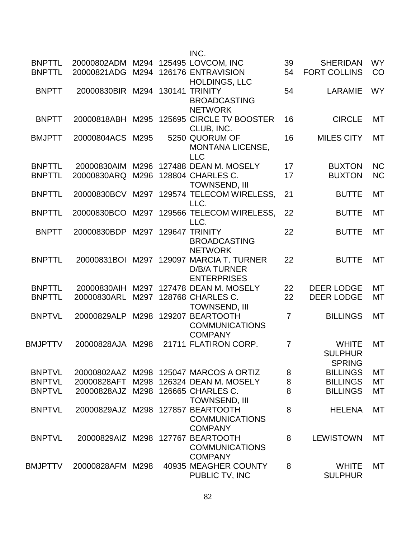|                |                                     |      |        | INC.                                   |                |                     |           |
|----------------|-------------------------------------|------|--------|----------------------------------------|----------------|---------------------|-----------|
| <b>BNPTTL</b>  | 20000802ADM M294 125495 LOVCOM, INC |      |        |                                        | 39             | <b>SHERIDAN</b>     | <b>WY</b> |
| <b>BNPTTL</b>  | 20000821ADG                         | M294 |        | 126176 ENTRAVISION                     | 54             | <b>FORT COLLINS</b> | CO        |
|                |                                     |      |        | <b>HOLDINGS, LLC</b>                   |                |                     |           |
| <b>BNPTT</b>   | 20000830BIR M294                    |      | 130141 | <b>TRINITY</b>                         | 54             | <b>LARAMIE</b>      | <b>WY</b> |
|                |                                     |      |        | <b>BROADCASTING</b>                    |                |                     |           |
|                |                                     |      |        | <b>NETWORK</b>                         |                |                     |           |
| <b>BNPTT</b>   | 20000818ABH M295                    |      |        | 125695 CIRCLE TV BOOSTER               | 16             | <b>CIRCLE</b>       | MT        |
|                |                                     |      |        | CLUB, INC.                             |                |                     |           |
| <b>BMJPTT</b>  | 20000804ACS                         | M295 |        | 5250 QUORUM OF                         | 16             | <b>MILES CITY</b>   | <b>MT</b> |
|                |                                     |      |        | <b>MONTANA LICENSE,</b>                |                |                     |           |
|                |                                     |      |        | <b>LLC</b>                             |                |                     |           |
| <b>BNPTTL</b>  | 20000830AIM                         | M296 |        | 127488 DEAN M. MOSELY                  | 17             | <b>BUXTON</b>       | <b>NC</b> |
| <b>BNPTTL</b>  | 20000830ARQ                         | M296 |        | 128804 CHARLES C.                      | 17             | <b>BUXTON</b>       | <b>NC</b> |
|                |                                     |      |        | <b>TOWNSEND, III</b>                   |                |                     |           |
| <b>BNPTTL</b>  | 20000830BCV M297                    |      |        | 129574 TELECOM WIRELESS,               | 21             | <b>BUTTE</b>        | MT        |
|                |                                     |      |        | LLC.                                   |                |                     |           |
| <b>BNPTTL</b>  |                                     | M297 |        | 129566 TELECOM WIRELESS,               | 22             | <b>BUTTE</b>        | МT        |
|                | 20000830BCO                         |      |        | LLC.                                   |                |                     |           |
| <b>BNPTT</b>   | 20000830BDP                         |      |        | 129647 TRINITY                         | 22             |                     | MT        |
|                |                                     | M297 |        |                                        |                | <b>BUTTE</b>        |           |
|                |                                     |      |        | <b>BROADCASTING</b>                    |                |                     |           |
| <b>BNPTTL</b>  |                                     |      |        | <b>NETWORK</b>                         |                | <b>BUTTE</b>        | <b>MT</b> |
|                | 20000831BOI M297                    |      |        | 129097 MARCIA T. TURNER                | 22             |                     |           |
|                |                                     |      |        | <b>D/B/A TURNER</b>                    |                |                     |           |
|                |                                     |      |        | <b>ENTERPRISES</b>                     |                |                     |           |
| <b>BNPTTL</b>  | 20000830AIH                         | M297 |        | 127478 DEAN M. MOSELY                  | 22             | <b>DEER LODGE</b>   | MT        |
| <b>BNPTTL</b>  | 20000830ARL                         | M297 |        | 128768 CHARLES C.                      | 22             | <b>DEER LODGE</b>   | <b>MT</b> |
|                |                                     |      |        | <b>TOWNSEND, III</b>                   |                |                     |           |
| <b>BNPTVL</b>  | 20000829ALP                         | M298 |        | 129207 BEARTOOTH                       | $\overline{7}$ | <b>BILLINGS</b>     | <b>MT</b> |
|                |                                     |      |        | <b>COMMUNICATIONS</b>                  |                |                     |           |
|                |                                     |      |        | <b>COMPANY</b>                         |                |                     |           |
| BMJPTTV        | 20000828AJA M298                    |      |        | 21711 FLATIRON CORP.                   | $\overline{7}$ | <b>WHITE</b>        | MT        |
|                |                                     |      |        |                                        |                | <b>SULPHUR</b>      |           |
|                |                                     |      |        |                                        |                | <b>SPRING</b>       |           |
| <b>BNPTVL</b>  |                                     |      |        | 20000802AAZ M298 125047 MARCOS A ORTIZ | 8              | <b>BILLINGS</b>     | МT        |
| <b>BNPTVL</b>  | 20000828AFT M298                    |      |        | 126324 DEAN M. MOSELY                  | 8              | <b>BILLINGS</b>     | MT        |
| <b>BNPTVL</b>  | 20000828AJZ M298                    |      |        | 126665 CHARLES C.                      | 8              | <b>BILLINGS</b>     | MT        |
|                |                                     |      |        | <b>TOWNSEND, III</b>                   |                |                     |           |
| <b>BNPTVL</b>  |                                     |      |        | 20000829AJZ M298 127857 BEARTOOTH      | 8              | <b>HELENA</b>       | МT        |
|                |                                     |      |        | <b>COMMUNICATIONS</b>                  |                |                     |           |
|                |                                     |      |        | <b>COMPANY</b>                         |                |                     |           |
| <b>BNPTVL</b>  |                                     |      |        | 20000829AIZ M298 127767 BEARTOOTH      | 8              | <b>LEWISTOWN</b>    | MT        |
|                |                                     |      |        | <b>COMMUNICATIONS</b>                  |                |                     |           |
|                |                                     |      |        | <b>COMPANY</b>                         |                |                     |           |
| <b>BMJPTTV</b> | 20000828AFM M298                    |      |        | 40935 MEAGHER COUNTY                   | 8              | <b>WHITE</b>        | MT        |
|                |                                     |      |        | PUBLIC TV, INC                         |                | <b>SULPHUR</b>      |           |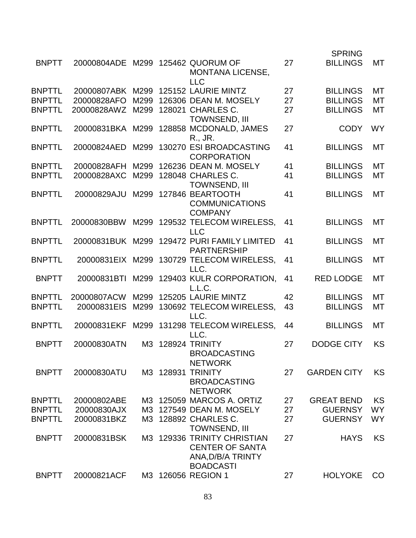|               |                  |      |           |                                                                                |    | <b>SPRING</b>      |           |
|---------------|------------------|------|-----------|--------------------------------------------------------------------------------|----|--------------------|-----------|
| <b>BNPTT</b>  | 20000804ADE      |      |           | M299 125462 QUORUM OF<br><b>MONTANA LICENSE,</b>                               | 27 | <b>BILLINGS</b>    | MT        |
|               |                  |      |           | <b>LLC</b>                                                                     |    |                    |           |
| <b>BNPTTL</b> | 20000807ABK M299 |      |           | 125152 LAURIE MINTZ                                                            | 27 | <b>BILLINGS</b>    | <b>MT</b> |
| <b>BNPTTL</b> | 20000828AFO      | M299 |           | 126306 DEAN M. MOSELY                                                          | 27 | <b>BILLINGS</b>    | MT        |
| <b>BNPTTL</b> | 20000828AWZ      | M299 |           | 128021 CHARLES C.                                                              | 27 | <b>BILLINGS</b>    | MT        |
| <b>BNPTTL</b> | 20000831BKA      |      |           | <b>TOWNSEND, III</b><br>M299 128858 MCDONALD, JAMES<br>R., JR.                 | 27 | <b>CODY</b>        | <b>WY</b> |
| <b>BNPTTL</b> | 20000824AED      | M299 |           | 130270 ESI BROADCASTING<br><b>CORPORATION</b>                                  | 41 | <b>BILLINGS</b>    | MT        |
| <b>BNPTTL</b> | 20000828AFH      | M299 |           | 126236 DEAN M. MOSELY                                                          | 41 | <b>BILLINGS</b>    | <b>MT</b> |
| <b>BNPTTL</b> | 20000828AXC      | M299 |           | 128048 CHARLES C.                                                              | 41 | <b>BILLINGS</b>    | <b>MT</b> |
|               |                  |      |           | <b>TOWNSEND, III</b>                                                           |    |                    |           |
| <b>BNPTTL</b> | 20000829AJU      | M299 |           | 127846 BEARTOOTH<br><b>COMMUNICATIONS</b>                                      | 41 | <b>BILLINGS</b>    | <b>MT</b> |
|               |                  |      |           | <b>COMPANY</b>                                                                 |    |                    |           |
| <b>BNPTTL</b> | 20000830BBW      | M299 |           | 129532 TELECOM WIRELESS,<br><b>LLC</b>                                         | 41 | <b>BILLINGS</b>    | MT        |
| <b>BNPTTL</b> |                  |      |           | 20000831BUK M299 129472 PURI FAMILY LIMITED                                    | 41 | <b>BILLINGS</b>    | MT        |
|               |                  |      |           | <b>PARTNERSHIP</b>                                                             |    |                    |           |
| <b>BNPTTL</b> | 20000831EIX      | M299 |           | 130729 TELECOM WIRELESS,<br>LLC.                                               | 41 | <b>BILLINGS</b>    | <b>MT</b> |
| <b>BNPTT</b>  | 20000831BTI      | M299 |           | 129403 KULR CORPORATION,<br>L.L.C.                                             | 41 | <b>RED LODGE</b>   | MT        |
| <b>BNPTTL</b> | 20000807ACW      | M299 |           | 125205 LAURIE MINTZ                                                            | 42 | <b>BILLINGS</b>    | <b>MT</b> |
| <b>BNPTTL</b> | 20000831EIS      | M299 |           | 130692 TELECOM WIRELESS,<br>LLC.                                               | 43 | <b>BILLINGS</b>    | <b>MT</b> |
| <b>BNPTTL</b> | 20000831EKF      | M299 |           | 131298 TELECOM WIRELESS,<br>LLC.                                               | 44 | <b>BILLINGS</b>    | <b>MT</b> |
| <b>BNPTT</b>  | 20000830ATN      | M3   |           | <b>128924 TRINITY</b><br><b>BROADCASTING</b><br><b>NETWORK</b>                 | 27 | <b>DODGE CITY</b>  | <b>KS</b> |
| <b>BNPTT</b>  | 20000830ATU      |      | M3 128931 | <b>TRINITY</b><br><b>BROADCASTING</b><br><b>NETWORK</b>                        | 27 | <b>GARDEN CITY</b> | <b>KS</b> |
| <b>BNPTTL</b> | 20000802ABE      |      |           | M3 125059 MARCOS A. ORTIZ                                                      | 27 | <b>GREAT BEND</b>  | KS        |
| <b>BNPTTL</b> | 20000830AJX      | M3   |           | 127549 DEAN M. MOSELY                                                          | 27 | <b>GUERNSY</b>     | <b>WY</b> |
| <b>BNPTTL</b> | 20000831BKZ      | M3   |           | 128892 CHARLES C.                                                              | 27 | <b>GUERNSY</b>     | <b>WY</b> |
|               |                  |      |           | <b>TOWNSEND, III</b>                                                           |    |                    |           |
| <b>BNPTT</b>  | 20000831BSK      | M3 I |           | <b>129336 TRINITY CHRISTIAN</b><br><b>CENTER OF SANTA</b><br>ANA, D/B/A TRINTY | 27 | <b>HAYS</b>        | <b>KS</b> |
|               |                  |      |           | <b>BOADCASTI</b>                                                               |    |                    |           |
| <b>BNPTT</b>  | 20000821ACF      | МЗ   |           | 126056 REGION 1                                                                | 27 | <b>HOLYOKE</b>     | <b>CO</b> |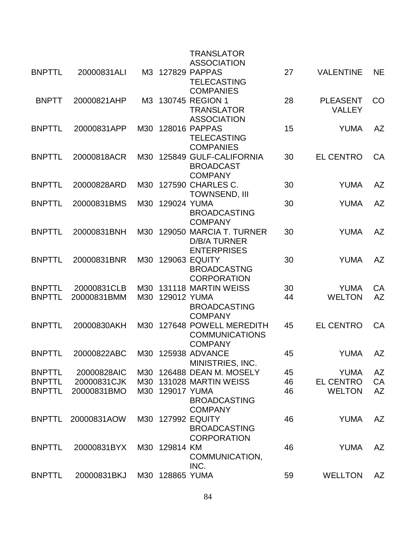|               |             |     |                 | <b>TRANSLATOR</b>                     |    |                  |           |
|---------------|-------------|-----|-----------------|---------------------------------------|----|------------------|-----------|
|               |             |     |                 | <b>ASSOCIATION</b>                    |    |                  |           |
| <b>BNPTTL</b> | 20000831ALI |     |                 | M3 127829 PAPPAS                      | 27 | <b>VALENTINE</b> | <b>NE</b> |
|               |             |     |                 | <b>TELECASTING</b>                    |    |                  |           |
|               |             |     |                 | <b>COMPANIES</b>                      |    |                  |           |
| <b>BNPTT</b>  | 20000821AHP | МЗ  |                 | 130745 REGION 1                       | 28 | <b>PLEASENT</b>  | CO        |
|               |             |     |                 | <b>TRANSLATOR</b>                     |    | <b>VALLEY</b>    |           |
|               |             |     |                 | <b>ASSOCIATION</b>                    |    |                  |           |
| <b>BNPTTL</b> | 20000831APP | M30 |                 | 128016 PAPPAS                         | 15 | <b>YUMA</b>      | <b>AZ</b> |
|               |             |     |                 | <b>TELECASTING</b>                    |    |                  |           |
|               |             |     |                 | <b>COMPANIES</b>                      |    |                  |           |
| <b>BNPTTL</b> | 20000818ACR | M30 |                 | 125849 GULF-CALIFORNIA                | 30 | <b>EL CENTRO</b> | CA        |
|               |             |     |                 | <b>BROADCAST</b>                      |    |                  |           |
|               |             |     |                 | <b>COMPANY</b>                        |    |                  |           |
| <b>BNPTTL</b> | 20000828ARD | M30 |                 | 127590 CHARLES C.                     | 30 | <b>YUMA</b>      | AZ        |
|               |             |     |                 | <b>TOWNSEND, III</b>                  |    |                  |           |
| <b>BNPTTL</b> | 20000831BMS | M30 | 129024 YUMA     |                                       | 30 | <b>YUMA</b>      | AZ        |
|               |             |     |                 | <b>BROADCASTING</b>                   |    |                  |           |
|               |             |     |                 | <b>COMPANY</b>                        |    |                  |           |
| <b>BNPTTL</b> | 20000831BNH | M30 |                 | 129050 MARCIA T. TURNER               | 30 | <b>YUMA</b>      | <b>AZ</b> |
|               |             |     |                 | <b>D/B/A TURNER</b>                   |    |                  |           |
|               |             |     |                 | <b>ENTERPRISES</b>                    |    |                  |           |
| <b>BNPTTL</b> | 20000831BNR | M30 |                 | <b>129063 EQUITY</b>                  | 30 | <b>YUMA</b>      | <b>AZ</b> |
|               |             |     |                 | <b>BROADCASTNG</b>                    |    |                  |           |
|               |             |     |                 | <b>CORPORATION</b>                    |    |                  |           |
| <b>BNPTTL</b> | 20000831CLB | M30 |                 | 131118 MARTIN WEISS                   | 30 | <b>YUMA</b>      | CA        |
| <b>BNPTTL</b> | 20000831BMM | M30 | 129012 YUMA     |                                       | 44 | <b>WELTON</b>    | AZ        |
|               |             |     |                 | <b>BROADCASTING</b>                   |    |                  |           |
|               |             |     |                 | <b>COMPANY</b>                        |    |                  |           |
| <b>BNPTTL</b> | 20000830AKH | M30 |                 | 127648 POWELL MEREDITH                | 45 | <b>EL CENTRO</b> | CA        |
|               |             |     |                 | <b>COMMUNICATIONS</b>                 |    |                  |           |
|               |             |     |                 | <b>COMPANY</b>                        |    |                  |           |
| <b>BNPTTI</b> | 20000822ABC |     |                 | M30 125938 ADVANCE                    | 45 | <b>YUMA</b>      | AZ        |
|               |             |     |                 | MINISTRIES, INC.                      |    |                  |           |
| <b>BNPTTL</b> | 20000828AIC |     |                 | M30 126488 DEAN M. MOSELY             | 45 | <b>YUMA</b>      | <b>AZ</b> |
| <b>BNPTTL</b> | 20000831CJK | M30 |                 | 131028 MARTIN WEISS                   | 46 | <b>EL CENTRO</b> | CA        |
| <b>BNPTTL</b> | 20000831BMO | M30 | 129017 YUMA     |                                       | 46 | <b>WELTON</b>    | <b>AZ</b> |
|               |             |     |                 | <b>BROADCASTING</b><br><b>COMPANY</b> |    |                  |           |
| <b>BNPTTL</b> | 20000831AOW |     |                 | M30 127992 EQUITY                     | 46 | <b>YUMA</b>      | AZ        |
|               |             |     |                 | <b>BROADCASTING</b>                   |    |                  |           |
|               |             |     |                 | <b>CORPORATION</b>                    |    |                  |           |
| <b>BNPTTL</b> | 20000831BYX |     | M30 129814 KM   |                                       | 46 | <b>YUMA</b>      | <b>AZ</b> |
|               |             |     |                 | COMMUNICATION,                        |    |                  |           |
|               |             |     |                 | INC.                                  |    |                  |           |
| <b>BNPTTL</b> | 20000831BKJ |     | M30 128865 YUMA |                                       | 59 | <b>WELLTON</b>   | AZ        |
|               |             |     |                 |                                       |    |                  |           |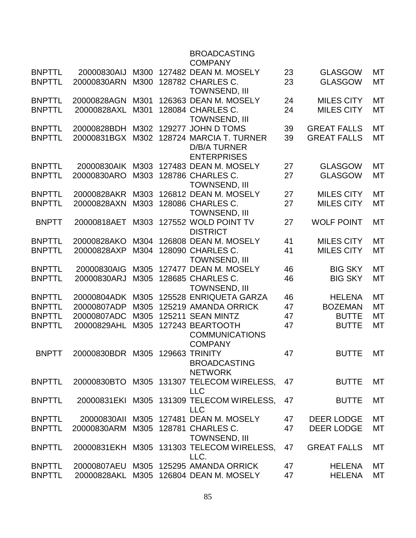|               |                                 |      | <b>BROADCASTING</b><br><b>COMPANY</b>                                |    |                    |           |
|---------------|---------------------------------|------|----------------------------------------------------------------------|----|--------------------|-----------|
| <b>BNPTTL</b> | 20000830AIJ                     | M300 | 127482 DEAN M. MOSELY                                                | 23 | <b>GLASGOW</b>     | MT        |
| <b>BNPTTL</b> | 20000830ARN                     | M300 | 128782 CHARLES C.<br>TOWNSEND, III                                   | 23 | <b>GLASGOW</b>     | <b>MT</b> |
| <b>BNPTTL</b> | 20000828AGN                     | M301 | 126363 DEAN M. MOSELY                                                | 24 | <b>MILES CITY</b>  | <b>MT</b> |
| <b>BNPTTL</b> | 20000828AXL                     | M301 | 128084 CHARLES C.<br><b>TOWNSEND, III</b>                            | 24 | <b>MILES CITY</b>  | МT        |
| <b>BNPTTL</b> | 20000828BDH                     | M302 | 129277 JOHN D TOMS                                                   | 39 | <b>GREAT FALLS</b> | MT        |
| <b>BNPTTL</b> | 20000831BGX                     | M302 | 128724 MARCIA T. TURNER<br><b>D/B/A TURNER</b><br><b>ENTERPRISES</b> | 39 | <b>GREAT FALLS</b> | <b>MT</b> |
| <b>BNPTTL</b> | 20000830AIK                     | M303 | 127483 DEAN M. MOSELY                                                | 27 | <b>GLASGOW</b>     | МT        |
| <b>BNPTTL</b> | 20000830ARO                     | M303 | 128786 CHARLES C.<br><b>TOWNSEND, III</b>                            | 27 | <b>GLASGOW</b>     | МT        |
| <b>BNPTTL</b> | 20000828AKR                     | M303 | 126812 DEAN M. MOSELY                                                | 27 | <b>MILES CITY</b>  | <b>MT</b> |
| <b>BNPTTL</b> | 20000828AXN                     | M303 | 128086 CHARLES C.<br><b>TOWNSEND, III</b>                            | 27 | <b>MILES CITY</b>  | <b>MT</b> |
| <b>BNPTT</b>  | 20000818AET                     | M303 | 127552 WOLD POINT TV<br><b>DISTRICT</b>                              | 27 | <b>WOLF POINT</b>  | МT        |
| <b>BNPTTL</b> | 20000828AKO                     | M304 | 126808 DEAN M. MOSELY                                                | 41 | <b>MILES CITY</b>  | <b>MT</b> |
| <b>BNPTTL</b> | 20000828AXP                     | M304 | 128090 CHARLES C.<br><b>TOWNSEND, III</b>                            | 41 | <b>MILES CITY</b>  | <b>MT</b> |
| <b>BNPTTL</b> | 20000830AIG                     | M305 | 127477 DEAN M. MOSELY                                                | 46 | <b>BIG SKY</b>     | MT        |
| <b>BNPTTL</b> | 20000830ARJ                     | M305 | 128685 CHARLES C.<br><b>TOWNSEND, III</b>                            | 46 | <b>BIG SKY</b>     | <b>MT</b> |
| <b>BNPTTL</b> | 20000804ADK                     | M305 | 125528 ENRIQUETA GARZA                                               | 46 | <b>HELENA</b>      | МT        |
| <b>BNPTTL</b> | 20000807ADP                     | M305 | 125219 AMANDA ORRICK                                                 | 47 | <b>BOZEMAN</b>     | <b>MT</b> |
| <b>BNPTTL</b> | 20000807ADC                     | M305 | 125211 SEAN MINTZ                                                    | 47 | <b>BUTTE</b>       | МT        |
| <b>BNPTTL</b> | 20000829AHL                     | M305 | 127243 BEARTOOTH<br><b>COMMUNICATIONS</b><br><b>COMPANY</b>          | 47 | <b>BUTTE</b>       | <b>MT</b> |
| <b>BNPTT</b>  | 20000830BDR M305 129663 TRINITY |      | <b>BROADCASTING</b><br><b>NETWORK</b>                                | 47 | <b>BUTTE</b>       | <b>MT</b> |
| <b>BNPTTL</b> |                                 |      | 20000830BTO M305 131307 TELECOM WIRELESS,<br><b>LLC</b>              | 47 | <b>BUTTE</b>       | МT        |
| <b>BNPTTL</b> |                                 |      | 20000831EKI M305 131309 TELECOM WIRELESS,<br><b>LLC</b>              | 47 | <b>BUTTE</b>       | MT        |
| <b>BNPTTL</b> | 20000830AII                     |      | M305 127481 DEAN M. MOSELY                                           | 47 | <b>DEER LODGE</b>  | MT        |
| <b>BNPTTL</b> | 20000830ARM                     |      | M305 128781 CHARLES C.<br><b>TOWNSEND, III</b>                       | 47 | <b>DEER LODGE</b>  | МT        |
| <b>BNPTTL</b> |                                 |      | 20000831EKH M305 131303 TELECOM WIRELESS,<br>LLC.                    | 47 | <b>GREAT FALLS</b> | <b>MT</b> |
| <b>BNPTTL</b> |                                 |      | 20000807AEU M305 125295 AMANDA ORRICK                                | 47 | <b>HELENA</b>      | MT        |
| <b>BNPTTL</b> | 20000828AKL                     |      | M305 126804 DEAN M. MOSELY                                           | 47 | <b>HELENA</b>      | МT        |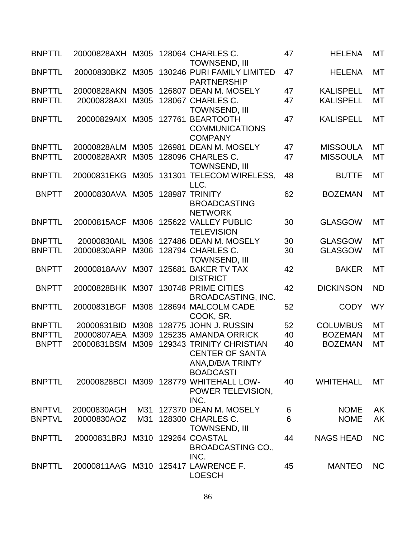| <b>BNPTTL</b> | 20000828AXH M305 128064 CHARLES C. |      |        | <b>TOWNSEND, III</b>                                                                               | 47 | <b>HELENA</b>    | МT        |
|---------------|------------------------------------|------|--------|----------------------------------------------------------------------------------------------------|----|------------------|-----------|
| <b>BNPTTL</b> | 20000830BKZ                        |      |        | M305 130246 PURI FAMILY LIMITED<br><b>PARTNERSHIP</b>                                              | 47 | <b>HELENA</b>    | <b>MT</b> |
| <b>BNPTTL</b> | 20000828AKN                        | M305 |        | 126807 DEAN M. MOSELY                                                                              | 47 | <b>KALISPELL</b> | <b>MT</b> |
| <b>BNPTTL</b> | 20000828AXI                        | M305 |        | 128067 CHARLES C.<br><b>TOWNSEND, III</b>                                                          | 47 | <b>KALISPELL</b> | MT        |
| <b>BNPTTL</b> | 20000829AIX                        | M305 |        | 127761 BEARTOOTH<br><b>COMMUNICATIONS</b><br><b>COMPANY</b>                                        | 47 | <b>KALISPELL</b> | MT        |
| <b>BNPTTL</b> | 20000828ALM                        | M305 | 126981 | <b>DEAN M. MOSELY</b>                                                                              | 47 | <b>MISSOULA</b>  | <b>MT</b> |
| <b>BNPTTL</b> | 20000828AXR                        | M305 |        | 128096 CHARLES C.<br><b>TOWNSEND, III</b>                                                          | 47 | <b>MISSOULA</b>  | MT        |
| <b>BNPTTL</b> | 20000831EKG                        |      |        | M305 131301 TELECOM WIRELESS,<br>LLC.                                                              | 48 | <b>BUTTE</b>     | MT        |
| <b>BNPTT</b>  | 20000830AVA                        | M305 |        | 128987 TRINITY<br><b>BROADCASTING</b><br><b>NETWORK</b>                                            | 62 | <b>BOZEMAN</b>   | <b>MT</b> |
| <b>BNPTTL</b> | 20000815ACF                        |      |        | M306 125622 VALLEY PUBLIC<br><b>TELEVISION</b>                                                     | 30 | <b>GLASGOW</b>   | MT        |
| <b>BNPTTL</b> | 20000830AIL                        | M306 |        | 127486 DEAN M. MOSELY                                                                              | 30 | <b>GLASGOW</b>   | <b>MT</b> |
| <b>BNPTTL</b> | 20000830ARP                        | M306 |        | 128794 CHARLES C.<br><b>TOWNSEND, III</b>                                                          | 30 | <b>GLASGOW</b>   | <b>MT</b> |
| <b>BNPTT</b>  | 20000818AAV                        | M307 |        | 125681 BAKER TV TAX<br><b>DISTRICT</b>                                                             | 42 | <b>BAKER</b>     | <b>MT</b> |
| <b>BNPTT</b>  | 20000828BHK                        | M307 |        | 130748 PRIME CITIES<br><b>BROADCASTING, INC.</b>                                                   | 42 | <b>DICKINSON</b> | <b>ND</b> |
| <b>BNPTTL</b> | 20000831BGF                        | M308 |        | 128694 MALCOLM CADE<br>COOK, SR.                                                                   | 52 | <b>CODY</b>      | <b>WY</b> |
| <b>BNPTTL</b> | 20000831BID                        | M308 |        | 128775 JOHN J. RUSSIN                                                                              | 52 | <b>COLUMBUS</b>  | <b>MT</b> |
| <b>BNPTTL</b> | 20000807AEA                        | M309 |        | 125235 AMANDA ORRICK                                                                               | 40 | <b>BOZEMAN</b>   | МT        |
| <b>BNPTT</b>  | 20000831BSM                        | M309 |        | <b>129343 TRINITY CHRISTIAN</b><br><b>CENTER OF SANTA</b><br>ANA, D/B/A TRINTY<br><b>BOADCASTI</b> | 40 | <b>BOZEMAN</b>   | MT        |
| <b>BNPTTL</b> |                                    |      |        | 20000828BCI M309 128779 WHITEHALL LOW-<br>POWER TELEVISION,<br>INC.                                | 40 | <b>WHITEHALL</b> | MT        |
| <b>BNPTVL</b> | 20000830AGH                        | M31  |        | 127370 DEAN M. MOSELY                                                                              | 6  | <b>NOME</b>      | <b>AK</b> |
| <b>BNPTVL</b> | 20000830AOZ                        | M31  |        | 128300 CHARLES C.<br><b>TOWNSEND, III</b>                                                          | 6  | <b>NOME</b>      | <b>AK</b> |
| <b>BNPTTL</b> | 20000831BRJ M310 129264 COASTAL    |      |        | <b>BROADCASTING CO.,</b><br>INC.                                                                   | 44 | <b>NAGS HEAD</b> | <b>NC</b> |
| <b>BNPTTL</b> |                                    |      |        | 20000811AAG M310 125417 LAWRENCE F.<br><b>LOESCH</b>                                               | 45 | <b>MANTEO</b>    | <b>NC</b> |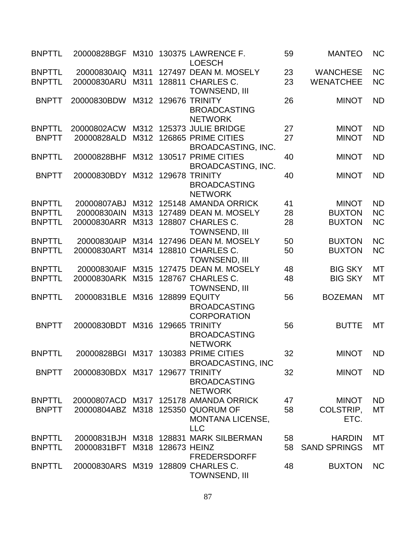| <b>BNPTTL</b>                  | 20000828BGF                        |              |                   | M310 130375 LAWRENCE F.<br><b>LOESCH</b>                          | 59       | <b>MANTEO</b>                       | <b>NC</b>              |
|--------------------------------|------------------------------------|--------------|-------------------|-------------------------------------------------------------------|----------|-------------------------------------|------------------------|
| <b>BNPTTL</b><br><b>BNPTTL</b> | 20000830AIQ<br>20000830ARU         | M311<br>M311 |                   | 127497 DEAN M. MOSELY<br>128811 CHARLES C.                        | 23<br>23 | <b>WANCHESE</b><br><b>WENATCHEE</b> | <b>NC</b><br><b>NC</b> |
|                                |                                    |              |                   | <b>TOWNSEND, III</b>                                              |          |                                     |                        |
| <b>BNPTT</b>                   | 20000830BDW                        | M312         |                   | 129676 TRINITY<br><b>BROADCASTING</b><br><b>NETWORK</b>           | 26       | <b>MINOT</b>                        | <b>ND</b>              |
| <b>BNPTTL</b>                  | 20000802ACW                        |              |                   | M312 125373 JULIE BRIDGE                                          | 27       | <b>MINOT</b>                        | <b>ND</b>              |
| <b>BNPTT</b>                   | 20000828ALD                        | M312         |                   | 126865 PRIME CITIES<br><b>BROADCASTING, INC.</b>                  | 27       | <b>MINOT</b>                        | <b>ND</b>              |
| <b>BNPTTL</b>                  | 20000828BHF                        |              |                   | M312 130517 PRIME CITIES<br><b>BROADCASTING, INC.</b>             | 40       | <b>MINOT</b>                        | <b>ND</b>              |
| <b>BNPTT</b>                   | 20000830BDY                        |              |                   | M312 129678 TRINITY<br><b>BROADCASTING</b><br><b>NETWORK</b>      | 40       | <b>MINOT</b>                        | <b>ND</b>              |
| <b>BNPTTL</b>                  | 20000807ABJ                        |              |                   | M312 125148 AMANDA ORRICK                                         | 41       | <b>MINOT</b>                        | <b>ND</b>              |
| <b>BNPTTL</b>                  | 20000830AIN                        | M313         |                   | 127489 DEAN M. MOSELY                                             | 28       | <b>BUXTON</b>                       | <b>NC</b>              |
| <b>BNPTTL</b>                  | 20000830ARR                        |              |                   | M313 128807 CHARLES C.<br><b>TOWNSEND, III</b>                    | 28       | <b>BUXTON</b>                       | <b>NC</b>              |
| <b>BNPTTL</b>                  | 20000830AIP                        | M314         |                   | 127496 DEAN M. MOSELY                                             | 50       | <b>BUXTON</b>                       | <b>NC</b>              |
| <b>BNPTTL</b>                  | 20000830ART                        |              |                   | M314 128810 CHARLES C.<br>TOWNSEND, III                           | 50       | <b>BUXTON</b>                       | <b>NC</b>              |
| <b>BNPTTL</b>                  | 20000830AIF                        | M315         |                   | 127475 DEAN M. MOSELY                                             | 48       | <b>BIG SKY</b>                      | <b>MT</b>              |
| <b>BNPTTL</b>                  | 20000830ARK                        |              |                   | M315 128767 CHARLES C.<br>TOWNSEND, III                           | 48       | <b>BIG SKY</b>                      | <b>MT</b>              |
| <b>BNPTTL</b>                  | 20000831BLE                        | M316         |                   | <b>128899 EQUITY</b><br><b>BROADCASTING</b><br><b>CORPORATION</b> | 56       | <b>BOZEMAN</b>                      | MT                     |
| <b>BNPTT</b>                   | 20000830BDT                        | M316         |                   | 129665 TRINITY<br><b>BROADCASTING</b><br><b>NETWORK</b>           | 56       | <b>BUTTE</b>                        | <b>MT</b>              |
| <b>BNPTTL</b>                  |                                    |              |                   | 20000828BGI M317 130383 PRIME CITIES<br><b>BROADCASTING, INC</b>  | 32       | MINOT ND                            |                        |
| <b>BNPTT</b>                   | 20000830BDX M317 129677 TRINITY    |              |                   | <b>BROADCASTING</b><br><b>NETWORK</b>                             | 32       | <b>MINOT</b>                        | <b>ND</b>              |
| <b>BNPTTL</b>                  |                                    |              |                   | 20000807ACD M317 125178 AMANDA ORRICK                             | 47       | <b>MINOT</b>                        | <b>ND</b>              |
| <b>BNPTT</b>                   | 20000804ABZ M318 125350 QUORUM OF  |              |                   | <b>MONTANA LICENSE,</b><br><b>LLC</b>                             | 58       | <b>COLSTRIP,</b><br>ETC.            | MT                     |
| <b>BNPTTL</b>                  | 20000831BJH                        |              |                   | M318 128831 MARK SILBERMAN                                        | 58       | <b>HARDIN</b>                       | MT                     |
| <b>BNPTTL</b>                  | 20000831BFT                        |              | M318 128673 HEINZ | <b>FREDERSDORFF</b>                                               | 58       | <b>SAND SPRINGS</b>                 | МT                     |
| <b>BNPTTL</b>                  | 20000830ARS M319 128809 CHARLES C. |              |                   | TOWNSEND, III                                                     | 48       | <b>BUXTON</b>                       | <b>NC</b>              |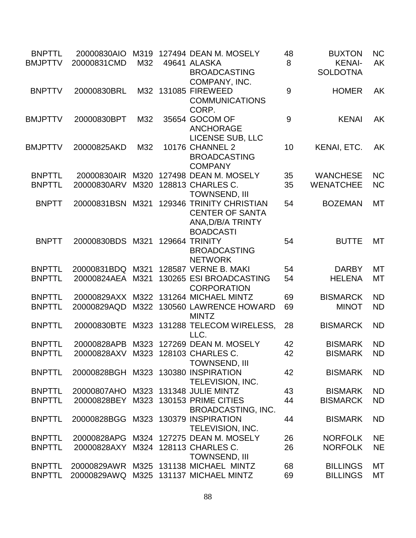| <b>BNPTTL</b><br><b>BMJPTTV</b> | 20000830AIO<br>20000831CMD          | M319<br>M32 | 127494 DEAN M. MOSELY<br>49641 ALASKA                                                       | 48<br>8 | <b>BUXTON</b><br><b>KENAI-</b> | <b>NC</b><br><b>AK</b> |
|---------------------------------|-------------------------------------|-------------|---------------------------------------------------------------------------------------------|---------|--------------------------------|------------------------|
|                                 |                                     |             | <b>BROADCASTING</b><br>COMPANY, INC.                                                        |         | <b>SOLDOTNA</b>                |                        |
| <b>BNPTTV</b>                   | 20000830BRL                         |             | M32 131085 FIREWEED<br><b>COMMUNICATIONS</b><br>CORP.                                       | 9       | <b>HOMER</b>                   | <b>AK</b>              |
| <b>BMJPTTV</b>                  | 20000830BPT                         | M32         | 35654 GOCOM OF<br><b>ANCHORAGE</b><br>LICENSE SUB, LLC                                      | 9       | <b>KENAI</b>                   | <b>AK</b>              |
| <b>BMJPTTV</b>                  | 20000825AKD                         | M32         | <b>10176 CHANNEL 2</b><br><b>BROADCASTING</b><br><b>COMPANY</b>                             | 10      | KENAI, ETC.                    | <b>AK</b>              |
| <b>BNPTTL</b>                   | 20000830AIR                         | M320        | 127498 DEAN M. MOSELY                                                                       | 35      | <b>WANCHESE</b>                | <b>NC</b>              |
| <b>BNPTTL</b>                   | 20000830ARV                         | M320        | 128813 CHARLES C.<br><b>TOWNSEND, III</b>                                                   | 35      | <b>WENATCHEE</b>               | <b>NC</b>              |
| <b>BNPTT</b>                    | 20000831BSN                         | M321        | 129346 TRINITY CHRISTIAN<br><b>CENTER OF SANTA</b><br>ANA, D/B/A TRINTY<br><b>BOADCASTI</b> | 54      | <b>BOZEMAN</b>                 | МT                     |
| <b>BNPTT</b>                    | 20000830BDS M321                    |             | 129664 TRINITY<br><b>BROADCASTING</b><br><b>NETWORK</b>                                     | 54      | <b>BUTTE</b>                   | МT                     |
| <b>BNPTTL</b>                   | 20000831BDQ M321                    |             | 128587 VERNE B. MAKI                                                                        | 54      | <b>DARBY</b>                   | <b>MT</b>              |
| <b>BNPTTL</b>                   | 20000824AEA                         | M321        | 130265 ESI BROADCASTING<br><b>CORPORATION</b>                                               | 54      | <b>HELENA</b>                  | MT                     |
| <b>BNPTTL</b>                   | 20000829AXX M322                    |             | 131264 MICHAEL MINTZ                                                                        | 69      | <b>BISMARCK</b>                | <b>ND</b>              |
| <b>BNPTTL</b>                   | 20000829AQD                         | M322        | 130560 LAWRENCE HOWARD<br><b>MINTZ</b>                                                      | 69      | <b>MINOT</b>                   | <b>ND</b>              |
| <b>BNPTTL</b>                   | 20000830BTE                         |             | M323 131288 TELECOM WIRELESS,<br>LLC.                                                       | 28      | <b>BISMARCK</b>                | <b>ND</b>              |
| <b>BNPTTL</b>                   | 20000828APB                         |             | M323 127269 DEAN M. MOSELY                                                                  | 42      | <b>BISMARK</b>                 | <b>ND</b>              |
| <b>BNPTTL</b>                   | 20000828AXV M323 128103 CHARLES C.  |             | <b>TOWNSEND, III</b>                                                                        | 42      | <b>BISMARK</b>                 | <b>ND</b>              |
| <b>BNPTTL</b>                   | 20000828BGH M323 130380 INSPIRATION |             | TELEVISION, INC.                                                                            | 42      | <b>BISMARK</b>                 | <b>ND</b>              |
| <b>BNPTTL</b>                   | 20000807AHO M323 131348 JULIE MINTZ |             |                                                                                             | 43      | <b>BISMARK</b>                 | <b>ND</b>              |
| <b>BNPTTL</b>                   | 20000828BEY                         |             | M323 130153 PRIME CITIES<br><b>BROADCASTING, INC.</b>                                       | 44      | <b>BISMARCK</b>                | <b>ND</b>              |
| <b>BNPTTL</b>                   | 20000828BGG M323 130379 INSPIRATION |             | TELEVISION, INC.                                                                            | 44      | <b>BISMARK</b>                 | <b>ND</b>              |
| <b>BNPTTL</b>                   | 20000828APG                         |             | M324 127275 DEAN M. MOSELY                                                                  | 26      | <b>NORFOLK</b>                 | <b>NE</b>              |
| <b>BNPTTL</b>                   | 20000828AXY M324 128113 CHARLES C.  |             | <b>TOWNSEND, III</b>                                                                        | 26      | <b>NORFOLK</b>                 | <b>NE</b>              |
| <b>BNPTTL</b>                   |                                     |             | 20000829AWR M325 131138 MICHAEL MINTZ                                                       | 68      | <b>BILLINGS</b>                | МT                     |
| <b>BNPTTL</b>                   | 20000829AWQ                         |             | M325 131137 MICHAEL MINTZ                                                                   | 69      | <b>BILLINGS</b>                | MT                     |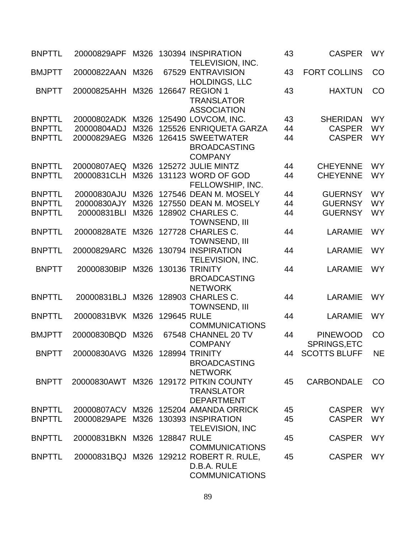| <b>BNPTTL</b> | 20000829APF                     |      |             | M326 130394 INSPIRATION<br>TELEVISION, INC.                                     | 43 | <b>CASPER</b>                   | <b>WY</b> |
|---------------|---------------------------------|------|-------------|---------------------------------------------------------------------------------|----|---------------------------------|-----------|
| <b>BMJPTT</b> | 20000822AAN                     | M326 |             | 67529 ENTRAVISION<br><b>HOLDINGS, LLC</b>                                       | 43 | <b>FORT COLLINS</b>             | CO        |
| <b>BNPTT</b>  | 20000825AHH                     | M326 |             | 126647 REGION 1<br><b>TRANSLATOR</b><br><b>ASSOCIATION</b>                      | 43 | <b>HAXTUN</b>                   | CO        |
| <b>BNPTTL</b> | 20000802ADK                     |      |             | M326 125490 LOVCOM, INC.                                                        | 43 | <b>SHERIDAN</b>                 | <b>WY</b> |
| <b>BNPTTL</b> | 20000804ADJ                     | M326 |             | 125526 ENRIQUETA GARZA                                                          | 44 | <b>CASPER</b>                   | <b>WY</b> |
| <b>BNPTTL</b> | 20000829AEG                     | M326 |             | 126415 SWEETWATER<br><b>BROADCASTING</b><br><b>COMPANY</b>                      | 44 | <b>CASPER</b>                   | <b>WY</b> |
| <b>BNPTTL</b> | 20000807AEQ                     | M326 |             | 125272 JULIE MINTZ                                                              | 44 | <b>CHEYENNE</b>                 | <b>WY</b> |
| <b>BNPTTL</b> | 20000831CLH                     | M326 |             | 131123 WORD OF GOD<br>FELLOWSHIP, INC.                                          | 44 | <b>CHEYENNE</b>                 | <b>WY</b> |
| <b>BNPTTL</b> | 20000830AJU                     |      |             | M326 127546 DEAN M. MOSELY                                                      | 44 | <b>GUERNSY</b>                  | <b>WY</b> |
| <b>BNPTTL</b> | 20000830AJY                     | M326 |             | 127550 DEAN M. MOSELY                                                           | 44 | <b>GUERNSY</b>                  | <b>WY</b> |
| <b>BNPTTL</b> | 20000831BLI                     | M326 |             | 128902 CHARLES C.<br><b>TOWNSEND, III</b>                                       | 44 | <b>GUERNSY</b>                  | <b>WY</b> |
| <b>BNPTTL</b> | 20000828ATE                     | M326 |             | 127728 CHARLES C.<br><b>TOWNSEND, III</b>                                       | 44 | <b>LARAMIE</b>                  | <b>WY</b> |
| <b>BNPTTL</b> | 20000829ARC                     |      |             | M326 130794 INSPIRATION<br>TELEVISION, INC.                                     | 44 | <b>LARAMIE</b>                  | <b>WY</b> |
| <b>BNPTT</b>  | 20000830BIP                     | M326 |             | <b>130136 TRINITY</b><br><b>BROADCASTING</b><br><b>NETWORK</b>                  | 44 | <b>LARAMIE</b>                  | <b>WY</b> |
| <b>BNPTTL</b> | 20000831BLJ                     | M326 |             | 128903 CHARLES C.<br><b>TOWNSEND, III</b>                                       | 44 | <b>LARAMIE</b>                  | <b>WY</b> |
| <b>BNPTTL</b> | 20000831BVK M326                |      | 129645 RULE | <b>COMMUNICATIONS</b>                                                           | 44 | <b>LARAMIE</b>                  | <b>WY</b> |
| <b>BMJPTT</b> | 20000830BQD                     | M326 |             | 67548 CHANNEL 20 TV<br><b>COMPANY</b>                                           | 44 | <b>PINEWOOD</b><br>SPRINGS, ETC | CO        |
| <b>BNPTT</b>  | 20000830AVG M326 128994 TRINITY |      |             | <b>BROADCASTING</b><br><b>NETWORK</b>                                           |    | 44 SCOTTS BLUFF                 | <b>NE</b> |
| <b>BNPTT</b>  |                                 |      |             | 20000830AWT M326 129172 PITKIN COUNTY<br><b>TRANSLATOR</b><br><b>DEPARTMENT</b> | 45 | <b>CARBONDALE</b>               | CO        |
| <b>BNPTTL</b> | 20000807ACV                     |      |             | M326 125204 AMANDA ORRICK                                                       | 45 | <b>CASPER</b>                   | <b>WY</b> |
| <b>BNPTTL</b> | 20000829APE                     |      |             | M326 130393 INSPIRATION<br><b>TELEVISION, INC</b>                               | 45 | <b>CASPER</b>                   | <b>WY</b> |
| <b>BNPTTL</b> | 20000831BKN M326 128847 RULE    |      |             | <b>COMMUNICATIONS</b>                                                           | 45 | <b>CASPER</b>                   | <b>WY</b> |
| <b>BNPTTL</b> |                                 |      |             | 20000831BQJ M326 129212 ROBERT R. RULE,<br>D.B.A. RULE<br><b>COMMUNICATIONS</b> | 45 | <b>CASPER</b>                   | <b>WY</b> |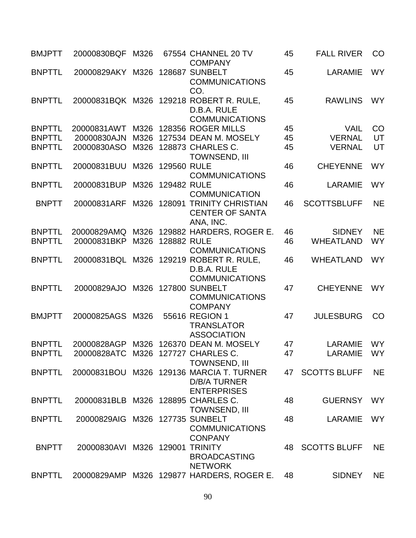| <b>BMJPTT</b> | 20000830BQF                        | M326 |                  | 67554 CHANNEL 20 TV<br><b>COMPANY</b>                                                 | 45 | <b>FALL RIVER</b>   | CO        |
|---------------|------------------------------------|------|------------------|---------------------------------------------------------------------------------------|----|---------------------|-----------|
| <b>BNPTTL</b> | 20000829AKY                        |      |                  | M326 128687 SUNBELT<br><b>COMMUNICATIONS</b><br>CO.                                   | 45 | <b>LARAMIE</b>      | <b>WY</b> |
| <b>BNPTTL</b> |                                    |      |                  | 20000831BQK M326 129218 ROBERT R. RULE,<br>D.B.A. RULE<br><b>COMMUNICATIONS</b>       | 45 | <b>RAWLINS</b>      | <b>WY</b> |
| <b>BNPTTL</b> | 20000831AWT                        |      |                  | M326 128356 ROGER MILLS                                                               | 45 | <b>VAIL</b>         | CO        |
| <b>BNPTTL</b> | 20000830AJN                        | M326 |                  | 127534 DEAN M. MOSELY                                                                 | 45 | <b>VERNAL</b>       | UT        |
| <b>BNPTTL</b> | 20000830ASO                        |      |                  | M326 128873 CHARLES C.<br><b>TOWNSEND, III</b>                                        | 45 | <b>VERNAL</b>       | UT        |
| <b>BNPTTL</b> | 20000831BUU                        | M326 | 129560 RULE      | <b>COMMUNICATIONS</b>                                                                 | 46 | <b>CHEYENNE</b>     | <b>WY</b> |
| <b>BNPTTL</b> | 20000831BUP                        |      | M326 129482 RULE | <b>COMMUNICATION</b>                                                                  | 46 | LARAMIE             | <b>WY</b> |
| <b>BNPTT</b>  | 20000831ARF                        | M326 |                  | 128091 TRINITY CHRISTIAN<br><b>CENTER OF SANTA</b><br>ANA, INC.                       | 46 | <b>SCOTTSBLUFF</b>  | <b>NE</b> |
| <b>BNPTTL</b> | 20000829AMQ                        |      |                  | M326 129882 HARDERS, ROGER E.                                                         | 46 | <b>SIDNEY</b>       | <b>NE</b> |
| <b>BNPTTL</b> | 20000831BKP                        |      | M326 128882 RULE | <b>COMMUNICATIONS</b>                                                                 | 46 | <b>WHEATLAND</b>    | <b>WY</b> |
| <b>BNPTTL</b> |                                    |      |                  | 20000831BQL M326 129219 ROBERT R. RULE,<br>D.B.A. RULE<br><b>COMMUNICATIONS</b>       | 46 | <b>WHEATLAND</b>    | <b>WY</b> |
| <b>BNPTTL</b> | 20000829AJO                        |      |                  | M326 127800 SUNBELT<br><b>COMMUNICATIONS</b><br><b>COMPANY</b>                        | 47 | <b>CHEYENNE</b>     | <b>WY</b> |
| <b>BMJPTT</b> | 20000825AGS                        | M326 |                  | 55616 REGION 1<br><b>TRANSLATOR</b><br><b>ASSOCIATION</b>                             | 47 | <b>JULESBURG</b>    | CO        |
| <b>BNPTTL</b> | 20000828AGP                        |      |                  | M326 126370 DEAN M. MOSELY                                                            | 47 | LARAMIE             | <b>WY</b> |
| <b>BNPTTL</b> | 20000828ATC M326 127727 CHARLES C. |      |                  | <b>TOWNSEND, III</b>                                                                  | 47 | LARAMIE             | <b>WY</b> |
| <b>BNPTTL</b> |                                    |      |                  | 20000831BOU M326 129136 MARCIA T. TURNER<br><b>D/B/A TURNER</b><br><b>ENTERPRISES</b> | 47 | <b>SCOTTS BLUFF</b> | <b>NE</b> |
| <b>BNPTTL</b> | 20000831BLB M326 128895 CHARLES C. |      |                  | <b>TOWNSEND, III</b>                                                                  | 48 | <b>GUERNSY</b>      | <b>WY</b> |
| <b>BNPTTL</b> | 20000829AIG M326 127735 SUNBELT    |      |                  | <b>COMMUNICATIONS</b><br><b>CONPANY</b>                                               | 48 | <b>LARAMIE</b>      | <b>WY</b> |
| <b>BNPTT</b>  | 20000830AVI M326 129001 TRINITY    |      |                  | <b>BROADCASTING</b><br><b>NETWORK</b>                                                 | 48 | <b>SCOTTS BLUFF</b> | <b>NE</b> |
| <b>BNPTTL</b> | 20000829AMP                        |      |                  | M326 129877 HARDERS, ROGER E.                                                         | 48 | <b>SIDNEY</b>       | <b>NE</b> |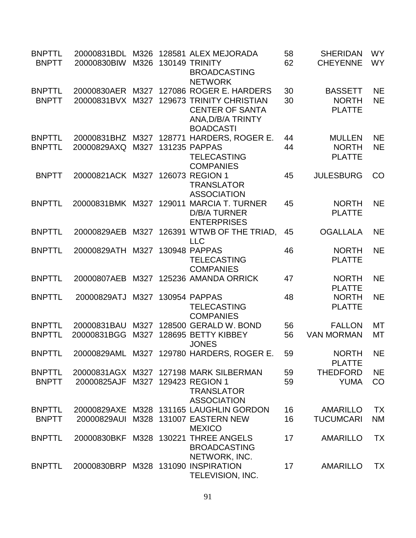| <b>BNPTTL</b><br><b>BNPTT</b>  | 20000831BDL<br>20000830BIW          |      | M326 128581 ALEX MEJORADA<br>M326 130149 TRINITY<br><b>BROADCASTING</b><br><b>NETWORK</b>                                                                | 58<br>62 | <b>SHERIDAN</b><br><b>CHEYENNE</b>              | <b>WY</b><br><b>WY</b> |
|--------------------------------|-------------------------------------|------|----------------------------------------------------------------------------------------------------------------------------------------------------------|----------|-------------------------------------------------|------------------------|
| <b>BNPTTL</b><br><b>BNPTT</b>  |                                     |      | 20000830AER M327 127086 ROGER E. HARDERS<br>20000831BVX M327 129673 TRINITY CHRISTIAN<br><b>CENTER OF SANTA</b><br>ANA, D/B/A TRINTY<br><b>BOADCASTI</b> | 30<br>30 | <b>BASSETT</b><br><b>NORTH</b><br><b>PLATTE</b> | <b>NE</b><br><b>NE</b> |
| <b>BNPTTL</b><br><b>BNPTTL</b> | 20000829AXQ                         | M327 | 20000831BHZ M327 128771 HARDERS, ROGER E.<br>131235 PAPPAS<br><b>TELECASTING</b><br><b>COMPANIES</b>                                                     | 44<br>44 | <b>MULLEN</b><br><b>NORTH</b><br><b>PLATTE</b>  | <b>NE</b><br><b>NE</b> |
| <b>BNPTT</b>                   | 20000821ACK M327 126073 REGION 1    |      | <b>TRANSLATOR</b><br><b>ASSOCIATION</b>                                                                                                                  | 45       | <b>JULESBURG</b>                                | CO                     |
| <b>BNPTTL</b>                  | 20000831BMK M327 129011             |      | <b>MARCIA T. TURNER</b><br><b>D/B/A TURNER</b><br><b>ENTERPRISES</b>                                                                                     | 45       | <b>NORTH</b><br><b>PLATTE</b>                   | <b>NE</b>              |
| <b>BNPTTL</b>                  | 20000829AEB                         |      | M327 126391 WTWB OF THE TRIAD,<br><b>LLC</b>                                                                                                             | 45       | <b>OGALLALA</b>                                 | <b>NE</b>              |
| <b>BNPTTL</b>                  | 20000829ATH M327 130948 PAPPAS      |      | <b>TELECASTING</b><br><b>COMPANIES</b>                                                                                                                   | 46       | <b>NORTH</b><br><b>PLATTE</b>                   | <b>NE</b>              |
| <b>BNPTTL</b>                  | 20000807AEB                         |      | M327 125236 AMANDA ORRICK                                                                                                                                | 47       | <b>NORTH</b><br><b>PLATTE</b>                   | <b>NE</b>              |
| <b>BNPTTL</b>                  | 20000829ATJ                         |      | M327 130954 PAPPAS<br><b>TELECASTING</b><br><b>COMPANIES</b>                                                                                             | 48       | <b>NORTH</b><br><b>PLATTE</b>                   | <b>NE</b>              |
| <b>BNPTTL</b><br><b>BNPTTL</b> | 20000831BAU<br>20000831BGG          |      | M327 128500 GERALD W. BOND<br>M327 128695 BETTY KIBBEY<br><b>JONES</b>                                                                                   | 56<br>56 | <b>FALLON</b><br><b>VAN MORMAN</b>              | <b>MT</b><br>МT        |
| <b>BNPTTL</b>                  |                                     |      | 20000829AML M327 129780 HARDERS, ROGER E.                                                                                                                | 59       | <b>NORTH</b><br><b>PLATTE</b>                   | <b>NE</b>              |
| <b>BNPTTL</b><br><b>BNPTT</b>  | 20000825AJF M327 129423 REGION 1    |      | 20000831AGX M327 127198 MARK SILBERMAN<br><b>TRANSLATOR</b><br><b>ASSOCIATION</b>                                                                        | 59<br>59 | <b>THEDFORD</b><br><b>YUMA</b>                  | <b>NE</b><br>CO        |
| <b>BNPTTL</b><br><b>BNPTT</b>  | 20000829AUI                         |      | 20000829AXE M328 131165 LAUGHLIN GORDON<br>M328 131007 EASTERN NEW<br><b>MEXICO</b>                                                                      | 16<br>16 | <b>AMARILLO</b><br><b>TUCUMCARI</b>             | <b>TX</b><br><b>NM</b> |
| <b>BNPTTL</b>                  |                                     |      | 20000830BKF M328 130221 THREE ANGELS<br><b>BROADCASTING</b><br>NETWORK, INC.                                                                             | 17       | <b>AMARILLO</b>                                 | <b>TX</b>              |
| <b>BNPTTL</b>                  | 20000830BRP M328 131090 INSPIRATION |      | TELEVISION, INC.                                                                                                                                         | 17       | <b>AMARILLO</b>                                 | ТX                     |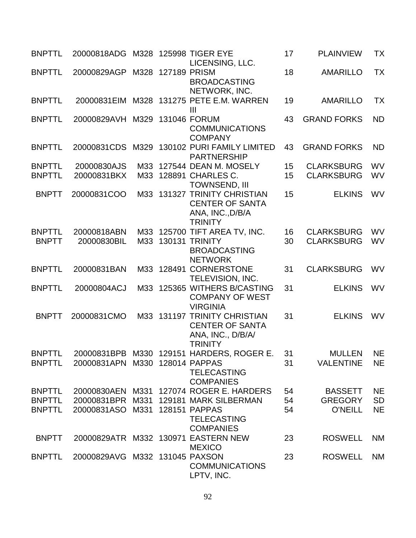| <b>BNPTTL</b>                  | 20000818ADG M328 125998 TIGER EYE |     |                   |                                                                                                      | 17       | <b>PLAINVIEW</b>              | ТX        |
|--------------------------------|-----------------------------------|-----|-------------------|------------------------------------------------------------------------------------------------------|----------|-------------------------------|-----------|
| <b>BNPTTL</b>                  | 20000829AGP                       |     | M328 127189 PRISM | LICENSING, LLC.<br><b>BROADCASTING</b>                                                               | 18       | <b>AMARILLO</b>               | <b>TX</b> |
| <b>BNPTTL</b>                  |                                   |     |                   | NETWORK, INC.<br>20000831EIM M328 131275 PETE E.M. WARREN<br>$\mathbf{III}$                          | 19       | <b>AMARILLO</b>               | TX        |
| <b>BNPTTL</b>                  | 20000829AVH M329 131046 FORUM     |     |                   | <b>COMMUNICATIONS</b><br><b>COMPANY</b>                                                              | 43       | <b>GRAND FORKS</b>            | <b>ND</b> |
| <b>BNPTTL</b>                  | 20000831CDS                       |     |                   | M329 130102 PURI FAMILY LIMITED<br><b>PARTNERSHIP</b>                                                | 43       | <b>GRAND FORKS</b>            | <b>ND</b> |
| <b>BNPTTL</b>                  | 20000830AJS                       | M33 |                   | 127544 DEAN M. MOSELY                                                                                | 15       | <b>CLARKSBURG</b>             | <b>WV</b> |
| <b>BNPTTL</b>                  | 20000831BKX                       | M33 |                   | 128891 CHARLES C.<br><b>TOWNSEND, III</b>                                                            | 15       | <b>CLARKSBURG</b>             | WV        |
| <b>BNPTT</b>                   | 20000831COO                       | M33 |                   | 131327 TRINITY CHRISTIAN<br><b>CENTER OF SANTA</b><br>ANA, INC., D/B/A<br><b>TRINITY</b>             | 15       | <b>ELKINS</b>                 | <b>WV</b> |
| <b>BNPTTL</b>                  | 20000818ABN                       | M33 |                   | 125700 TIFT AREA TV, INC.                                                                            | 16       | <b>CLARKSBURG</b>             | <b>WV</b> |
| <b>BNPTT</b>                   | 20000830BIL                       | M33 |                   | <b>130131 TRINITY</b><br><b>BROADCASTING</b><br><b>NETWORK</b>                                       | 30       | <b>CLARKSBURG</b>             | <b>WV</b> |
| <b>BNPTTL</b>                  | 20000831BAN                       | M33 |                   | 128491 CORNERSTONE<br><b>TELEVISION, INC.</b>                                                        | 31       | <b>CLARKSBURG</b>             | <b>WV</b> |
| <b>BNPTTL</b>                  | 20000804ACJ                       | M33 |                   | 125365 WITHERS B/CASTING<br><b>COMPANY OF WEST</b><br><b>VIRGINIA</b>                                | 31       | <b>ELKINS</b>                 | <b>WV</b> |
| <b>BNPTT</b>                   | 20000831CMO                       |     |                   | M33 131197 TRINITY CHRISTIAN<br><b>CENTER OF SANTA</b><br>ANA, INC., D/B/A/<br><b>TRINITY</b>        | 31       | <b>ELKINS</b>                 | <b>WV</b> |
| <b>BNPTTL</b><br><b>BNPTTL</b> | 20000831APN M330                  |     |                   | 20000831BPB M330 129151 HARDERS, ROGER E.<br>128014 PAPPAS<br><b>TELECASTING</b><br><b>COMPANIES</b> | 31<br>31 | MULLEN NE<br><b>VALENTINE</b> | <b>NE</b> |
| <b>BNPTTL</b>                  |                                   |     |                   | 20000830AEN M331 127074 ROGER E. HARDERS                                                             | 54       | <b>BASSETT</b>                | <b>NE</b> |
| <b>BNPTTL</b>                  | 20000831BPR M331                  |     |                   | 129181 MARK SILBERMAN                                                                                | 54       | <b>GREGORY</b>                | <b>SD</b> |
| <b>BNPTTL</b>                  | 20000831ASO M331                  |     |                   | 128151 PAPPAS<br><b>TELECASTING</b><br><b>COMPANIES</b>                                              | 54       | <b>O'NEILL</b>                | <b>NE</b> |
| <b>BNPTT</b>                   |                                   |     |                   | 20000829ATR M332 130971 EASTERN NEW<br><b>MEXICO</b>                                                 | 23       | <b>ROSWELL</b>                | <b>NM</b> |
| <b>BNPTTL</b>                  | 20000829AVG M332 131045 PAXSON    |     |                   | <b>COMMUNICATIONS</b><br>LPTV, INC.                                                                  | 23       | <b>ROSWELL</b>                | <b>NM</b> |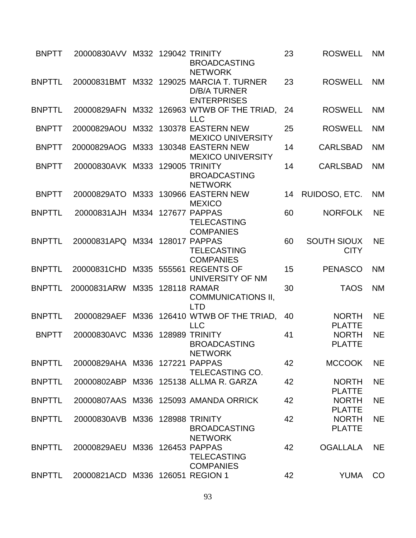| <b>BNPTT</b>  | 20000830AVV M332 129042 TRINITY  |      | <b>BROADCASTING</b><br><b>NETWORK</b>                                                 | 23 | <b>ROSWELL</b>                    | <b>NM</b> |
|---------------|----------------------------------|------|---------------------------------------------------------------------------------------|----|-----------------------------------|-----------|
| <b>BNPTTL</b> |                                  |      | 20000831BMT M332 129025 MARCIA T. TURNER<br><b>D/B/A TURNER</b><br><b>ENTERPRISES</b> | 23 | <b>ROSWELL</b>                    | <b>NM</b> |
| <b>BNPTTL</b> | 20000829AFN                      |      | M332 126963 WTWB OF THE TRIAD,<br><b>LLC</b>                                          | 24 | <b>ROSWELL</b>                    | <b>NM</b> |
| <b>BNPTT</b>  | 20000829AOU                      |      | M332 130378 EASTERN NEW<br><b>MEXICO UNIVERSITY</b>                                   | 25 | <b>ROSWELL</b>                    | <b>NM</b> |
| <b>BNPTT</b>  | 20000829AOG                      |      | M333 130348 EASTERN NEW<br><b>MEXICO UNIVERSITY</b>                                   | 14 | <b>CARLSBAD</b>                   | <b>NM</b> |
| <b>BNPTT</b>  | 20000830AVK M333                 |      | <b>129005 TRINITY</b><br><b>BROADCASTING</b><br><b>NETWORK</b>                        | 14 | <b>CARLSBAD</b>                   | <b>NM</b> |
| <b>BNPTT</b>  |                                  |      | 20000829ATO M333 130966 EASTERN NEW<br><b>MEXICO</b>                                  | 14 | RUIDOSO, ETC.                     | <b>NM</b> |
| <b>BNPTTL</b> | 20000831AJH M334 127677          |      | <b>PAPPAS</b><br><b>TELECASTING</b><br><b>COMPANIES</b>                               | 60 | <b>NORFOLK</b>                    | <b>NE</b> |
| <b>BNPTTL</b> | 20000831APQ M334 128017 PAPPAS   |      | <b>TELECASTING</b><br><b>COMPANIES</b>                                                | 60 | <b>SOUTH SIOUX</b><br><b>CITY</b> | <b>NE</b> |
| <b>BNPTTL</b> | 20000831CHD                      |      | M335 555561 REGENTS OF<br>UNIVERSITY OF NM                                            | 15 | <b>PENASCO</b>                    | <b>NM</b> |
| <b>BNPTTL</b> | 20000831ARW M335                 |      | <b>128118 RAMAR</b><br><b>COMMUNICATIONS II,</b><br><b>LTD</b>                        | 30 | <b>TAOS</b>                       | <b>NM</b> |
| <b>BNPTTL</b> | 20000829AEF                      |      | M336 126410 WTWB OF THE TRIAD,<br><b>LLC</b>                                          | 40 | <b>NORTH</b><br><b>PLATTE</b>     | <b>NE</b> |
| <b>BNPTT</b>  | 20000830AVC                      | M336 | 128989 TRINITY<br><b>BROADCASTING</b><br><b>NETWORK</b>                               | 41 | <b>NORTH</b><br><b>PLATTE</b>     | <b>NE</b> |
| <b>BNPTTL</b> | 20000829AHA M336 127221 PAPPAS   |      | TELECASTING CO.                                                                       | 42 | <b>MCCOOK</b>                     | <b>NE</b> |
| <b>BNPTTL</b> |                                  |      | 20000802ABP M336 125138 ALLMA R. GARZA                                                | 42 | <b>NORTH</b><br><b>PLATTE</b>     | <b>NE</b> |
| <b>BNPTTL</b> |                                  |      | 20000807AAS M336 125093 AMANDA ORRICK                                                 | 42 | <b>NORTH</b><br><b>PLATTE</b>     | <b>NE</b> |
| <b>BNPTTL</b> | 20000830AVB M336 128988 TRINITY  |      | <b>BROADCASTING</b><br><b>NETWORK</b>                                                 | 42 | <b>NORTH</b><br><b>PLATTE</b>     | <b>NE</b> |
| <b>BNPTTL</b> | 20000829AEU M336 126453 PAPPAS   |      | <b>TELECASTING</b><br><b>COMPANIES</b>                                                | 42 | <b>OGALLALA</b>                   | <b>NE</b> |
| <b>BNPTTL</b> | 20000821ACD M336 126051 REGION 1 |      |                                                                                       | 42 | <b>YUMA</b>                       | CO        |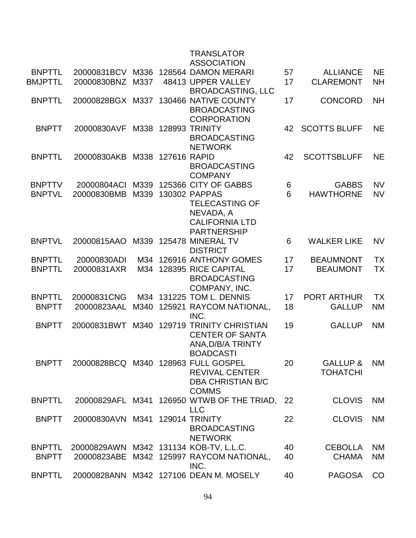|                                |                                 |      |              | <b>TRANSLATOR</b><br><b>ASSOCIATION</b>                                                                  |          |                                     |                        |
|--------------------------------|---------------------------------|------|--------------|----------------------------------------------------------------------------------------------------------|----------|-------------------------------------|------------------------|
| <b>BNPTTL</b>                  |                                 |      |              | 20000831BCV M336 128564 DAMON MERARI                                                                     | 57       | <b>ALLIANCE</b>                     | <b>NE</b>              |
| <b>BMJPTTL</b>                 | 20000830BNZ                     | M337 |              | 48413 UPPER VALLEY<br><b>BROADCASTING, LLC</b>                                                           | 17       | <b>CLAREMONT</b>                    | <b>NH</b>              |
| <b>BNPTTL</b>                  | 20000828BGX M337                |      |              | 130466 NATIVE COUNTY<br><b>BROADCASTING</b><br><b>CORPORATION</b>                                        | 17       | <b>CONCORD</b>                      | <b>NH</b>              |
| <b>BNPTT</b>                   | 20000830AVF                     |      | M338 128993  | <b>TRINITY</b><br><b>BROADCASTING</b><br><b>NETWORK</b>                                                  | 42       | <b>SCOTTS BLUFF</b>                 | <b>NE</b>              |
| <b>BNPTTL</b>                  | 20000830AKB                     | M338 | 127616 RAPID | <b>BROADCASTING</b><br><b>COMPANY</b>                                                                    | 42       | <b>SCOTTSBLUFF</b>                  | <b>NE</b>              |
| <b>BNPTTV</b>                  | 20000804ACI                     | M339 |              | 125366 CITY OF GABBS                                                                                     | 6        | <b>GABBS</b>                        | <b>NV</b>              |
| <b>BNPTVL</b>                  | 20000830BMB                     | M339 |              | 130302 PAPPAS<br><b>TELECASTING OF</b><br>NEVADA, A<br><b>CALIFORNIA LTD</b><br><b>PARTNERSHIP</b>       | 6        | <b>HAWTHORNE</b>                    | <b>NV</b>              |
| <b>BNPTVL</b>                  | 20000815AAO                     | M339 |              | 125478 MINERAL TV<br><b>DISTRICT</b>                                                                     | 6        | <b>WALKER LIKE</b>                  | <b>NV</b>              |
| <b>BNPTTL</b><br><b>BNPTTL</b> | 20000830ADI<br>20000831AXR      |      |              | M34 126916 ANTHONY GOMES<br>M34 128395 RICE CAPITAL<br><b>BROADCASTING</b><br>COMPANY, INC.              | 17<br>17 | <b>BEAUMNONT</b><br><b>BEAUMONT</b> | <b>TX</b><br><b>TX</b> |
| <b>BNPTTL</b>                  | 20000831CNG                     |      |              | M34 131225 TOM L. DENNIS                                                                                 | 17       | <b>PORT ARTHUR</b>                  | <b>TX</b>              |
| <b>BNPTT</b>                   | 20000823AAL                     | M340 |              | 125921 RAYCOM NATIONAL,<br>INC.                                                                          | 18       | <b>GALLUP</b>                       | <b>NM</b>              |
| <b>BNPTT</b>                   | 20000831BWT                     | M340 |              | 129719 TRINITY CHRISTIAN<br><b>CENTER OF SANTA</b><br>ANA, D/B/A TRINTY<br><b>BOADCASTI</b>              | 19       | <b>GALLUP</b>                       | <b>NM</b>              |
| <b>BNPTT</b>                   |                                 |      |              | 20000828BCQ M340 128963 FULL GOSPEL<br><b>REVIVAL CENTER</b><br><b>DBA CHRISTIAN B/C</b><br><b>COMMS</b> | 20       | GALLUP &<br><b>TOHATCHI</b>         | <b>NM</b>              |
| <b>BNPTTL</b>                  |                                 |      |              | 20000829AFL M341 126950 WTWB OF THE TRIAD, 22<br><b>LLC</b>                                              |          | <b>CLOVIS</b>                       | <b>NM</b>              |
| <b>BNPTT</b>                   | 20000830AVN M341 129014 TRINITY |      |              | <b>BROADCASTING</b><br><b>NETWORK</b>                                                                    | 22       | <b>CLOVIS</b>                       | <b>NM</b>              |
| <b>BNPTTL</b>                  |                                 |      |              | 20000829AWN M342 131134 KOB-TV, L.L.C.                                                                   | 40       | <b>CEBOLLA</b>                      | <b>NM</b>              |
| <b>BNPTT</b>                   |                                 |      |              | 20000823ABE M342 125997 RAYCOM NATIONAL,<br>INC.                                                         | 40       | <b>CHAMA</b>                        | <b>NM</b>              |
| <b>BNPTTL</b>                  |                                 |      |              | 20000828ANN M342 127106 DEAN M. MOSELY                                                                   | 40       | <b>PAGOSA</b>                       | CO                     |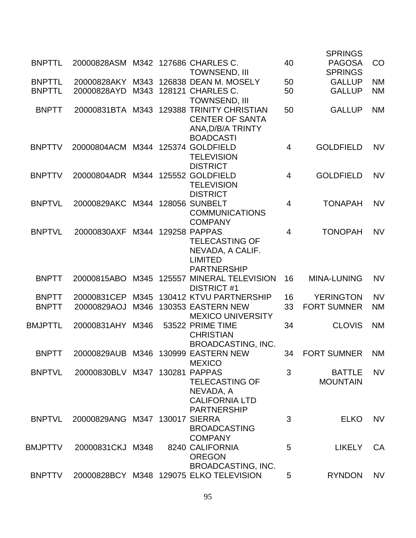|                |                                    |      |                                                 |                | <b>SPRINGS</b>     |           |
|----------------|------------------------------------|------|-------------------------------------------------|----------------|--------------------|-----------|
| <b>BNPTTL</b>  | 20000828ASM M342 127686 CHARLES C. |      |                                                 | 40             | <b>PAGOSA</b>      | CO        |
|                |                                    |      | <b>TOWNSEND, III</b>                            |                | <b>SPRINGS</b>     |           |
| <b>BNPTTL</b>  | 20000828AKY                        | M343 | 126838 DEAN M. MOSELY                           | 50             | <b>GALLUP</b>      | <b>NM</b> |
| <b>BNPTTL</b>  | 20000828AYD                        |      | M343 128121 CHARLES C.                          | 50             | <b>GALLUP</b>      | <b>NM</b> |
|                |                                    |      | <b>TOWNSEND, III</b>                            |                |                    |           |
| <b>BNPTT</b>   |                                    |      | 20000831BTA M343 129388 TRINITY CHRISTIAN       | 50             | <b>GALLUP</b>      | <b>NM</b> |
|                |                                    |      | <b>CENTER OF SANTA</b>                          |                |                    |           |
|                |                                    |      | ANA, D/B/A TRINTY                               |                |                    |           |
|                |                                    |      | <b>BOADCASTI</b>                                |                |                    |           |
| <b>BNPTTV</b>  | 20000804ACM                        |      | M344 125374 GOLDFIELD                           | $\overline{4}$ | <b>GOLDFIELD</b>   | <b>NV</b> |
|                |                                    |      | <b>TELEVISION</b>                               |                |                    |           |
|                |                                    |      | <b>DISTRICT</b>                                 |                |                    |           |
| <b>BNPTTV</b>  | 20000804ADR M344 125552 GOLDFIELD  |      |                                                 | $\overline{4}$ | <b>GOLDFIELD</b>   | <b>NV</b> |
|                |                                    |      | <b>TELEVISION</b>                               |                |                    |           |
|                |                                    |      | <b>DISTRICT</b>                                 |                |                    |           |
| <b>BNPTVL</b>  | 20000829AKC                        |      | M344 128056 SUNBELT                             | $\overline{4}$ | <b>TONAPAH</b>     | <b>NV</b> |
|                |                                    |      | <b>COMMUNICATIONS</b>                           |                |                    |           |
|                |                                    |      | <b>COMPANY</b>                                  |                |                    |           |
| <b>BNPTVL</b>  | 20000830AXF                        |      | M344 129258 PAPPAS                              | $\overline{4}$ | <b>TONOPAH</b>     | <b>NV</b> |
|                |                                    |      | <b>TELECASTING OF</b>                           |                |                    |           |
|                |                                    |      | NEVADA, A CALIF.                                |                |                    |           |
|                |                                    |      | <b>LIMITED</b>                                  |                |                    |           |
| <b>BNPTT</b>   |                                    | M345 | <b>PARTNERSHIP</b><br>125557 MINERAL TELEVISION | 16             | <b>MINA-LUNING</b> | <b>NV</b> |
|                | 20000815ABO                        |      | <b>DISTRICT #1</b>                              |                |                    |           |
| <b>BNPTT</b>   | 20000831CEP                        | M345 | 130412 KTVU PARTNERSHIP                         | 16             | <b>YERINGTON</b>   | <b>NV</b> |
| <b>BNPTT</b>   | 20000829AOJ                        | M346 | 130353 EASTERN NEW                              | 33             | <b>FORT SUMNER</b> | <b>NM</b> |
|                |                                    |      | <b>MEXICO UNIVERSITY</b>                        |                |                    |           |
| <b>BMJPTTL</b> | 20000831AHY                        | M346 | 53522 PRIME TIME                                | 34             | <b>CLOVIS</b>      | <b>NM</b> |
|                |                                    |      | <b>CHRISTIAN</b>                                |                |                    |           |
|                |                                    |      | <b>BROADCASTING, INC.</b>                       |                |                    |           |
| <b>BNPTT</b>   |                                    |      | 20000829AUB M346 130999 EASTERN NEW             | 34             | <b>FORT SUMNER</b> | <b>NM</b> |
|                |                                    |      | <b>MEXICO</b>                                   |                |                    |           |
| <b>BNPTVL</b>  | 20000830BLV M347 130281 PAPPAS     |      |                                                 | 3              | <b>BATTLE</b>      | <b>NV</b> |
|                |                                    |      | <b>TELECASTING OF</b>                           |                | <b>MOUNTAIN</b>    |           |
|                |                                    |      | NEVADA, A                                       |                |                    |           |
|                |                                    |      | <b>CALIFORNIA LTD</b>                           |                |                    |           |
|                |                                    |      | <b>PARTNERSHIP</b>                              |                |                    |           |
| <b>BNPTVL</b>  | 20000829ANG                        |      | M347 130017 SIERRA                              | 3              | <b>ELKO</b>        | <b>NV</b> |
|                |                                    |      | <b>BROADCASTING</b>                             |                |                    |           |
|                |                                    |      | <b>COMPANY</b>                                  |                |                    |           |
| BMJPTTV        | 20000831CKJ M348                   |      | 8240 CALIFORNIA                                 | 5              | <b>LIKELY</b>      | CA        |
|                |                                    |      | <b>OREGON</b>                                   |                |                    |           |
|                |                                    |      | <b>BROADCASTING, INC.</b>                       |                |                    |           |
| <b>BNPTTV</b>  | 20000828BCY M348                   |      | 129075 ELKO TELEVISION                          | 5              | <b>RYNDON</b>      | <b>NV</b> |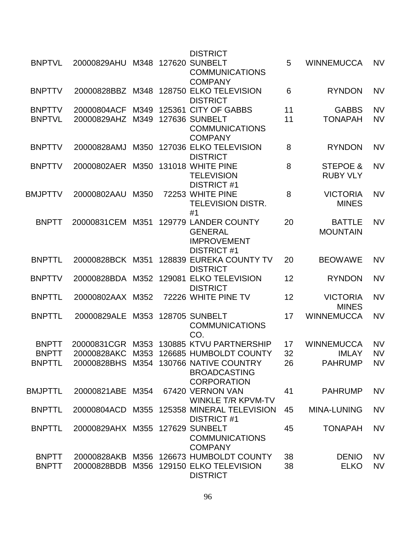|                |                                 |      | <b>DISTRICT</b>                                                                     |    |                                  |           |
|----------------|---------------------------------|------|-------------------------------------------------------------------------------------|----|----------------------------------|-----------|
| <b>BNPTVL</b>  | 20000829AHU M348 127620 SUNBELT |      | <b>COMMUNICATIONS</b>                                                               | 5  | <b>WINNEMUCCA</b>                | <b>NV</b> |
| <b>BNPTTV</b>  |                                 |      | <b>COMPANY</b><br>20000828BBZ M348 128750 ELKO TELEVISION<br><b>DISTRICT</b>        | 6  | <b>RYNDON</b>                    | <b>NV</b> |
| <b>BNPTTV</b>  | 20000804ACF                     | M349 | 125361 CITY OF GABBS                                                                | 11 | <b>GABBS</b>                     | <b>NV</b> |
| <b>BNPTVL</b>  | 20000829AHZ M349                |      | <b>127636 SUNBELT</b><br><b>COMMUNICATIONS</b><br><b>COMPANY</b>                    | 11 | <b>TONAPAH</b>                   | <b>NV</b> |
| <b>BNPTTV</b>  | 20000828AMJ                     | M350 | 127036 ELKO TELEVISION<br><b>DISTRICT</b>                                           | 8  | <b>RYNDON</b>                    | <b>NV</b> |
| <b>BNPTTV</b>  | 20000802AER M350                |      | 131018 WHITE PINE<br><b>TELEVISION</b><br><b>DISTRICT #1</b>                        | 8  | STEPOE &<br><b>RUBY VLY</b>      | <b>NV</b> |
| <b>BMJPTTV</b> | 20000802AAU                     | M350 | 72253 WHITE PINE<br><b>TELEVISION DISTR.</b><br>#1                                  | 8  | <b>VICTORIA</b><br><b>MINES</b>  | <b>NV</b> |
| <b>BNPTT</b>   | 20000831CEM M351                |      | 129779 LANDER COUNTY<br><b>GENERAL</b><br><b>IMPROVEMENT</b><br><b>DISTRICT #1</b>  | 20 | <b>BATTLE</b><br><b>MOUNTAIN</b> | <b>NV</b> |
| <b>BNPTTL</b>  | 20000828BCK M351                |      | 128839 EUREKA COUNTY TV<br><b>DISTRICT</b>                                          | 20 | <b>BEOWAWE</b>                   | <b>NV</b> |
| <b>BNPTTV</b>  | 20000828BDA M352                |      | 129081 ELKO TELEVISION<br><b>DISTRICT</b>                                           | 12 | <b>RYNDON</b>                    | <b>NV</b> |
| <b>BNPTTL</b>  | 20000802AAX M352                |      | 72226 WHITE PINE TV                                                                 | 12 | <b>VICTORIA</b><br><b>MINES</b>  | <b>NV</b> |
| <b>BNPTTL</b>  | 20000829ALE M353 128705 SUNBELT |      | <b>COMMUNICATIONS</b><br>CO.                                                        | 17 | <b>WINNEMUCCA</b>                | <b>NV</b> |
| <b>BNPTT</b>   |                                 |      | 20000831CGR M353 130885 KTVU PARTNERSHIP                                            | 17 | <b>WINNEMUCCA</b>                | <b>NV</b> |
| <b>BNPTT</b>   |                                 |      | 20000828AKC M353 126685 HUMBOLDT COUNTY                                             | 32 | <b>IMLAY</b>                     | <b>NV</b> |
| <b>BNPTTL</b>  |                                 |      | 20000828BHS M354 130766 NATIVE COUNTRY<br><b>BROADCASTING</b><br><b>CORPORATION</b> | 26 | <b>PAHRUMP</b>                   | <b>NV</b> |
| <b>BMJPTTL</b> | 20000821ABE M354                |      | 67420 VERNON VAN<br><b>WINKLE T/R KPVM-TV</b>                                       | 41 | <b>PAHRUMP</b>                   | <b>NV</b> |
| <b>BNPTTL</b>  |                                 |      | 20000804ACD M355 125358 MINERAL TELEVISION<br><b>DISTRICT #1</b>                    | 45 | <b>MINA-LUNING</b>               | <b>NV</b> |
| <b>BNPTTL</b>  | 20000829AHX M355 127629 SUNBELT |      | <b>COMMUNICATIONS</b><br><b>COMPANY</b>                                             | 45 | <b>TONAPAH</b>                   | <b>NV</b> |
| <b>BNPTT</b>   |                                 |      | 20000828AKB M356 126673 HUMBOLDT COUNTY                                             | 38 | <b>DENIO</b>                     | <b>NV</b> |
| <b>BNPTT</b>   | 20000828BDB                     |      | M356 129150 ELKO TELEVISION<br><b>DISTRICT</b>                                      | 38 | <b>ELKO</b>                      | <b>NV</b> |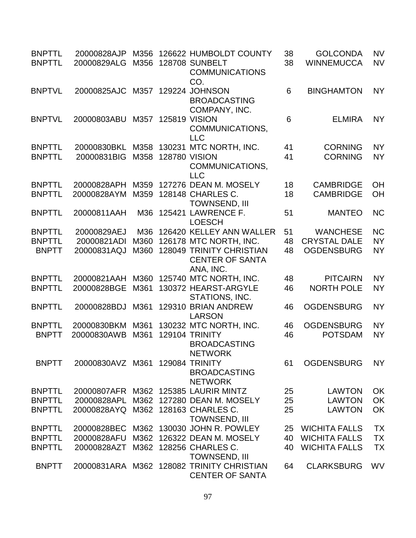| <b>BNPTTL</b><br><b>BNPTTL</b> | 20000828AJP<br>20000829ALG | M356<br>M356 |                      | 126622 HUMBOLDT COUNTY<br><b>128708 SUNBELT</b><br><b>COMMUNICATIONS</b><br>CO. | 38<br>38 | <b>GOLCONDA</b><br><b>WINNEMUCCA</b> | <b>NV</b><br><b>NV</b> |
|--------------------------------|----------------------------|--------------|----------------------|---------------------------------------------------------------------------------|----------|--------------------------------------|------------------------|
| <b>BNPTVL</b>                  | 20000825AJC                | M357         |                      | 129224 JOHNSON<br><b>BROADCASTING</b><br>COMPANY, INC.                          | 6        | <b>BINGHAMTON</b>                    | <b>NY</b>              |
| <b>BNPTVL</b>                  | 20000803ABU                | M357         | <b>125819 VISION</b> | COMMUNICATIONS,<br><b>LLC</b>                                                   | 6        | <b>ELMIRA</b>                        | <b>NY</b>              |
| <b>BNPTTL</b><br><b>BNPTTL</b> | 20000830BKL<br>20000831BIG | M358<br>M358 | <b>128780 VISION</b> | 130231 MTC NORTH, INC.<br>COMMUNICATIONS,<br><b>LLC</b>                         | 41<br>41 | <b>CORNING</b><br><b>CORNING</b>     | <b>NY</b><br><b>NY</b> |
| <b>BNPTTL</b><br><b>BNPTTL</b> | 20000828APH<br>20000828AYM | M359<br>M359 |                      | 127276 DEAN M. MOSELY<br>128148 CHARLES C.<br><b>TOWNSEND, III</b>              | 18<br>18 | <b>CAMBRIDGE</b><br><b>CAMBRIDGE</b> | OH<br>OH               |
| <b>BNPTTL</b>                  | 20000811AAH                | M36          |                      | 125421 LAWRENCE F.<br><b>LOESCH</b>                                             | 51       | <b>MANTEO</b>                        | <b>NC</b>              |
| <b>BNPTTL</b>                  | 20000829AEJ                | M36          |                      | 126420 KELLEY ANN WALLER                                                        | 51       | <b>WANCHESE</b>                      | <b>NC</b>              |
| <b>BNPTTL</b>                  | 20000821ADI                | M360         |                      | 126178 MTC NORTH, INC.                                                          | 48       | <b>CRYSTAL DALE</b>                  | <b>NY</b>              |
| <b>BNPTT</b>                   | 20000831AQJ                | M360         |                      | <b>128049 TRINITY CHRISTIAN</b><br><b>CENTER OF SANTA</b><br>ANA, INC.          | 48       | <b>OGDENSBURG</b>                    | <b>NY</b>              |
| <b>BNPTTL</b>                  | 20000821AAH                | M360         |                      | 125740 MTC NORTH, INC.                                                          | 48       | <b>PITCAIRN</b>                      | <b>NY</b>              |
| <b>BNPTTL</b>                  | 20000828BGE                | M361         |                      | 130372 HEARST-ARGYLE<br>STATIONS, INC.                                          | 46       | <b>NORTH POLE</b>                    | <b>NY</b>              |
| <b>BNPTTL</b>                  | 20000828BDJ                | M361         |                      | 129310 BRIAN ANDREW<br><b>LARSON</b>                                            | 46       | <b>OGDENSBURG</b>                    | <b>NY</b>              |
| <b>BNPTTL</b>                  | 20000830BKM                | M361         |                      | 130232 MTC NORTH, INC.                                                          | 46       | <b>OGDENSBURG</b>                    | <b>NY</b>              |
| <b>BNPTT</b>                   | 20000830AWB                | M361         |                      | <b>129104 TRINITY</b><br><b>BROADCASTING</b><br><b>NETWORK</b>                  | 46       | <b>POTSDAM</b>                       | <b>NY</b>              |
| <b>BNPTT</b>                   | 20000830AVZ M361           |              |                      | 129084 TRINITY<br><b>BROADCASTING</b><br><b>NETWORK</b>                         | 61       | <b>OGDENSBURG</b>                    | <b>NY</b>              |
| <b>BNPTTL</b>                  |                            |              |                      | 20000807AFR M362 125385 LAURIR MINTZ                                            | 25       | <b>LAWTON</b>                        | OK                     |
| <b>BNPTTL</b>                  | 20000828APL                | M362         |                      | 127280 DEAN M. MOSELY                                                           | 25       | <b>LAWTON</b>                        | OK                     |
| <b>BNPTTL</b>                  | 20000828AYQ                |              |                      | M362 128163 CHARLES C.<br>TOWNSEND, III                                         | 25       | <b>LAWTON</b>                        | OK                     |
| <b>BNPTTL</b>                  | 20000828BEC                | M362         |                      | 130030 JOHN R. POWLEY                                                           | 25       | <b>WICHITA FALLS</b>                 | <b>TX</b>              |
| <b>BNPTTL</b>                  | 20000828AFU                | M362         |                      | 126322 DEAN M. MOSELY                                                           | 40       | <b>WICHITA FALLS</b>                 | <b>TX</b>              |
| <b>BNPTTL</b>                  | 20000828AZT                |              |                      | M362 128256 CHARLES C.<br><b>TOWNSEND, III</b>                                  | 40       | <b>WICHITA FALLS</b>                 | <b>TX</b>              |
| <b>BNPTT</b>                   |                            |              |                      | 20000831ARA M362 128082 TRINITY CHRISTIAN<br><b>CENTER OF SANTA</b>             | 64       | <b>CLARKSBURG</b>                    | WV                     |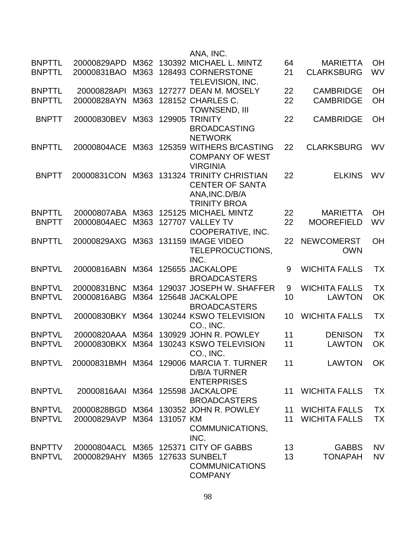|                                |                                   |              |                | ANA, INC.                                     |          |                                      |                 |
|--------------------------------|-----------------------------------|--------------|----------------|-----------------------------------------------|----------|--------------------------------------|-----------------|
| <b>BNPTTL</b><br><b>BNPTTL</b> | 20000829APD<br>20000831BAO        | M362<br>M363 |                | 130392 MICHAEL L. MINTZ<br>128493 CORNERSTONE | 64<br>21 | <b>MARIETTA</b><br><b>CLARKSBURG</b> | OH<br><b>WV</b> |
|                                |                                   |              |                | <b>TELEVISION, INC.</b>                       |          |                                      |                 |
| <b>BNPTTL</b>                  | 20000828API                       | M363         |                | 127277 DEAN M. MOSELY                         | 22       | <b>CAMBRIDGE</b>                     | OH              |
| <b>BNPTTL</b>                  | 20000828AYN                       | M363         |                | 128152 CHARLES C.                             | 22       | <b>CAMBRIDGE</b>                     | OH              |
|                                |                                   |              |                | TOWNSEND, III                                 |          |                                      |                 |
| <b>BNPTT</b>                   | 20000830BEV                       | M363         |                | <b>129905 TRINITY</b>                         | 22       | <b>CAMBRIDGE</b>                     | <b>OH</b>       |
|                                |                                   |              |                | <b>BROADCASTING</b>                           |          |                                      |                 |
|                                |                                   |              |                | <b>NETWORK</b>                                |          |                                      |                 |
| <b>BNPTTL</b>                  | 20000804ACE                       | M363         |                | 125359 WITHERS B/CASTING                      | 22       | <b>CLARKSBURG</b>                    | <b>WV</b>       |
|                                |                                   |              |                | <b>COMPANY OF WEST</b>                        |          |                                      |                 |
|                                |                                   |              |                | <b>VIRGINIA</b>                               |          |                                      |                 |
| <b>BNPTT</b>                   | 20000831CON                       | M363         |                | 131324 TRINITY CHRISTIAN                      | 22       | <b>ELKINS</b>                        | WV              |
|                                |                                   |              |                | <b>CENTER OF SANTA</b>                        |          |                                      |                 |
|                                |                                   |              |                | ANA, INC. D/B/A                               |          |                                      |                 |
|                                |                                   |              |                | <b>TRINITY BROA</b>                           |          |                                      |                 |
| <b>BNPTTL</b>                  | 20000807ABA                       | M363         |                | 125125 MICHAEL MINTZ                          | 22       | <b>MARIETTA</b>                      | OH              |
| <b>BNPTT</b>                   | 20000804AEC                       | M363         |                | 127707 VALLEY TV                              | 22       | <b>MOOREFIELD</b>                    | WV              |
|                                |                                   |              |                | COOPERATIVE, INC.                             |          |                                      |                 |
| <b>BNPTTL</b>                  | 20000829AXG                       | M363         |                | 131159 IMAGE VIDEO                            | 22       | <b>NEWCOMERST</b>                    | <b>OH</b>       |
|                                |                                   |              |                | TELEPROCUCTIONS,                              |          | <b>OWN</b>                           |                 |
|                                |                                   |              |                | INC.                                          |          |                                      |                 |
| <b>BNPTVL</b>                  | 20000816ABN                       |              |                | M364 125655 JACKALOPE                         | 9        | <b>WICHITA FALLS</b>                 | <b>TX</b>       |
|                                |                                   |              |                | <b>BROADCASTERS</b>                           |          |                                      |                 |
| <b>BNPTVL</b>                  | 20000831BNC                       | M364         |                | 129037 JOSEPH W. SHAFFER                      | 9        | <b>WICHITA FALLS</b>                 | <b>TX</b>       |
| <b>BNPTVL</b>                  | 20000816ABG                       | M364         |                | 125648 JACKALOPE                              | 10       | <b>LAWTON</b>                        | OK              |
|                                |                                   |              |                | <b>BROADCASTERS</b>                           |          |                                      |                 |
| <b>BNPTVL</b>                  | 20000830BKY                       | M364         |                | 130244 KSWO TELEVISION                        | 10       | <b>WICHITA FALLS</b>                 | TX              |
|                                |                                   |              |                | CO., INC.                                     |          |                                      |                 |
| <b>BNPTVL</b>                  | 20000820AAA                       | M364         |                | 130929 JOHN R. POWLEY                         | 11       | <b>DENISON</b>                       | <b>TX</b>       |
| <b>BNPTVL</b>                  | 20000830BKX                       | M364         |                | 130243 KSWO TELEVISION                        | 11       | <b>LAWTON</b>                        | OK              |
|                                |                                   |              |                | CO., INC.                                     |          |                                      |                 |
| <b>BNPTVL</b>                  |                                   |              |                | 20000831BMH M364 129006 MARCIA T. TURNER      | 11       | <b>LAWTON</b>                        | OK              |
|                                |                                   |              |                | <b>D/B/A TURNER</b>                           |          |                                      |                 |
|                                |                                   |              |                | <b>ENTERPRISES</b>                            |          |                                      |                 |
| <b>BNPTVL</b>                  | 20000816AAI M364 125598 JACKALOPE |              |                |                                               | 11       | <b>WICHITA FALLS</b>                 | <b>TX</b>       |
|                                |                                   |              |                | <b>BROADCASTERS</b>                           |          |                                      |                 |
| <b>BNPTVL</b>                  | 20000828BGD                       |              |                | M364 130352 JOHN R. POWLEY                    |          | 11 WICHITA FALLS                     | <b>TX</b>       |
| <b>BNPTVL</b>                  | 20000829AVP                       |              | M364 131057 KM |                                               | 11       | <b>WICHITA FALLS</b>                 | <b>TX</b>       |
|                                |                                   |              |                | COMMUNICATIONS,                               |          |                                      |                 |
|                                |                                   |              |                | INC.                                          |          |                                      |                 |
| <b>BNPTTV</b>                  | 20000804ACL                       |              |                | M365 125371 CITY OF GABBS                     | 13       | <b>GABBS</b>                         | <b>NV</b>       |
| <b>BNPTVL</b>                  | 20000829AHY                       |              |                | M365 127633 SUNBELT                           | 13       | <b>TONAPAH</b>                       | <b>NV</b>       |
|                                |                                   |              |                | <b>COMMUNICATIONS</b>                         |          |                                      |                 |
|                                |                                   |              |                | <b>COMPANY</b>                                |          |                                      |                 |
|                                |                                   |              |                |                                               |          |                                      |                 |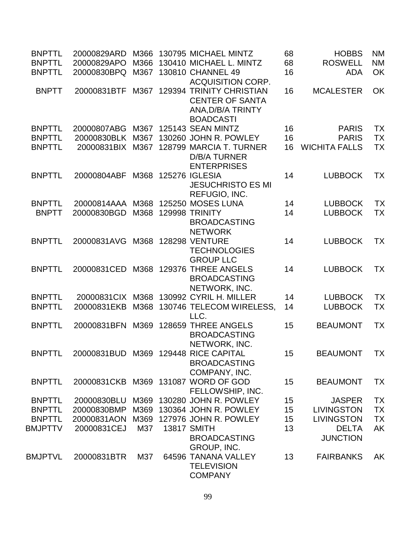| <b>BNPTTL</b>                   | 20000829ARD                | M366        | 130795 MICHAEL MINTZ                                 | 68       | <b>HOBBS</b>                      | <b>NM</b>              |
|---------------------------------|----------------------------|-------------|------------------------------------------------------|----------|-----------------------------------|------------------------|
| <b>BNPTTL</b>                   | 20000829APO                | M366        | 130410 MICHAEL L. MINTZ                              | 68       | <b>ROSWELL</b>                    | <b>NM</b>              |
| <b>BNPTTL</b>                   | 20000830BPQ                | M367        | 130810 CHANNEL 49                                    | 16       | <b>ADA</b>                        | OK                     |
| <b>BNPTT</b>                    | 20000831BTF                | M367        | <b>ACQUISITION CORP.</b><br>129394 TRINITY CHRISTIAN | 16       | <b>MCALESTER</b>                  | OK                     |
|                                 |                            |             | <b>CENTER OF SANTA</b>                               |          |                                   |                        |
|                                 |                            |             | ANA, D/B/A TRINTY                                    |          |                                   |                        |
|                                 |                            |             | <b>BOADCASTI</b>                                     |          |                                   |                        |
| <b>BNPTTL</b>                   | 20000807ABG                | M367        | 125143 SEAN MINTZ                                    | 16       | <b>PARIS</b>                      | <b>TX</b>              |
| <b>BNPTTL</b>                   | 20000830BLK                | M367        | 130260 JOHN R. POWLEY                                | 16       | <b>PARIS</b>                      | <b>TX</b>              |
| <b>BNPTTL</b>                   | 20000831BIX M367           |             | 128799 MARCIA T. TURNER                              | 16       | <b>WICHITA FALLS</b>              | <b>TX</b>              |
|                                 |                            |             | <b>D/B/A TURNER</b>                                  |          |                                   |                        |
|                                 |                            |             | <b>ENTERPRISES</b>                                   |          |                                   |                        |
| <b>BNPTTL</b>                   | 20000804ABF                | M368        | <b>125276 IGLESIA</b>                                | 14       | <b>LUBBOCK</b>                    | TX                     |
|                                 |                            |             | <b>JESUCHRISTO ES MI</b>                             |          |                                   |                        |
|                                 |                            |             | REFUGIO, INC.                                        |          |                                   |                        |
| <b>BNPTTL</b>                   | 20000814AAA                | M368        | 125250 MOSES LUNA                                    | 14       | <b>LUBBOCK</b>                    | <b>TX</b>              |
| <b>BNPTT</b>                    | 20000830BGD                | M368        | <b>129998 TRINITY</b>                                | 14       | <b>LUBBOCK</b>                    | <b>TX</b>              |
|                                 |                            |             | <b>BROADCASTING</b>                                  |          |                                   |                        |
|                                 |                            |             | <b>NETWORK</b>                                       |          |                                   |                        |
| <b>BNPTTL</b>                   | 20000831AVG                | M368        | <b>128298 VENTURE</b>                                | 14       | <b>LUBBOCK</b>                    | <b>TX</b>              |
|                                 |                            |             | <b>TECHNOLOGIES</b><br><b>GROUP LLC</b>              |          |                                   |                        |
| <b>BNPTTL</b>                   | 20000831CED                | M368        | 129376 THREE ANGELS                                  | 14       | <b>LUBBOCK</b>                    | <b>TX</b>              |
|                                 |                            |             | <b>BROADCASTING</b>                                  |          |                                   |                        |
|                                 |                            |             | NETWORK, INC.                                        |          |                                   |                        |
| <b>BNPTTL</b>                   | 20000831CIX M368           |             | 130992 CYRIL H. MILLER                               | 14       | <b>LUBBOCK</b>                    | <b>TX</b>              |
| <b>BNPTTL</b>                   | 20000831EKB                | M368        | 130746 TELECOM WIRELESS,                             | 14       | <b>LUBBOCK</b>                    | <b>TX</b>              |
|                                 |                            |             | LLC.                                                 |          |                                   |                        |
| <b>BNPTTL</b>                   | 20000831BFN                | M369        | 128659 THREE ANGELS                                  | 15       | <b>BEAUMONT</b>                   | <b>TX</b>              |
|                                 |                            |             | <b>BROADCASTING</b>                                  |          |                                   |                        |
|                                 |                            |             | NETWORK, INC.                                        |          |                                   |                        |
| <b>BNPTTL</b>                   |                            |             | 20000831BUD M369 129448 RICE CAPITAL                 | 15       | <b>BEAUMONT</b>                   | <b>TX</b>              |
|                                 |                            |             | <b>BROADCASTING</b>                                  |          |                                   |                        |
|                                 |                            |             | COMPANY, INC.                                        |          |                                   |                        |
| <b>BNPTTL</b>                   |                            |             | 20000831 CKB M369 131087 WORD OF GOD                 | 15       | <b>BEAUMONT</b>                   | ТX                     |
|                                 |                            |             | FELLOWSHIP, INC.                                     |          |                                   |                        |
| <b>BNPTTL</b>                   | 20000830BLU                | M369        | 130280 JOHN R. POWLEY                                | 15       | <b>JASPER</b>                     | <b>TX</b>              |
| <b>BNPTTL</b>                   | 20000830BMP                | M369        | 130364 JOHN R. POWLEY                                | 15       | <b>LIVINGSTON</b>                 | <b>TX</b>              |
| <b>BNPTTL</b><br><b>BMJPTTV</b> | 20000831AON<br>20000831CEJ | M369<br>M37 | 127976 JOHN R. POWLEY<br><b>13817 SMITH</b>          | 15<br>13 | <b>LIVINGSTON</b><br><b>DELTA</b> | <b>TX</b><br><b>AK</b> |
|                                 |                            |             | <b>BROADCASTING</b>                                  |          | <b>JUNCTION</b>                   |                        |
|                                 |                            |             | GROUP, INC.                                          |          |                                   |                        |
| <b>BMJPTVL</b>                  | 20000831BTR                | M37         | 64596 TANANA VALLEY                                  | 13       | <b>FAIRBANKS</b>                  | AK                     |
|                                 |                            |             | <b>TELEVISION</b>                                    |          |                                   |                        |
|                                 |                            |             | <b>COMPANY</b>                                       |          |                                   |                        |
|                                 |                            |             |                                                      |          |                                   |                        |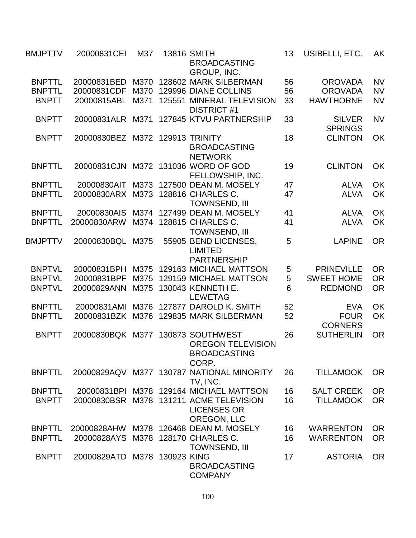| BMJPTTV        | 20000831CEI                     | M37  | <b>13816 SMITH</b><br><b>BROADCASTING</b><br>GROUP, INC.      | 13 | USIBELLI, ETC.                  | AK        |
|----------------|---------------------------------|------|---------------------------------------------------------------|----|---------------------------------|-----------|
| <b>BNPTTL</b>  | 20000831BED                     | M370 | 128602 MARK SILBERMAN                                         | 56 | <b>OROVADA</b>                  | <b>NV</b> |
| <b>BNPTTL</b>  | 20000831CDF                     | M370 | 129996 DIANE COLLINS                                          | 56 | <b>OROVADA</b>                  | <b>NV</b> |
| <b>BNPTT</b>   | 20000815ABL                     | M371 | 125551 MINERAL TELEVISION                                     | 33 | <b>HAWTHORNE</b>                | <b>NV</b> |
|                |                                 |      | <b>DISTRICT #1</b>                                            |    |                                 |           |
| <b>BNPTT</b>   | 20000831ALR                     | M371 | 127845 KTVU PARTNERSHIP                                       | 33 | <b>SILVER</b><br><b>SPRINGS</b> | <b>NV</b> |
| <b>BNPTT</b>   | 20000830BEZ M372 129913 TRINITY |      | <b>BROADCASTING</b>                                           | 18 | <b>CLINTON</b>                  | OK        |
| <b>BNPTTL</b>  | 20000831CJN                     |      | <b>NETWORK</b><br>M372 131036 WORD OF GOD<br>FELLOWSHIP, INC. | 19 | <b>CLINTON</b>                  | OK        |
| <b>BNPTTL</b>  | 20000830AIT                     | M373 | 127500 DEAN M. MOSELY                                         | 47 | <b>ALVA</b>                     | <b>OK</b> |
| <b>BNPTTL</b>  | 20000830ARX                     | M373 | 128816 CHARLES C.                                             | 47 | <b>ALVA</b>                     | OK        |
|                |                                 |      | <b>TOWNSEND, III</b>                                          |    |                                 |           |
| <b>BNPTTL</b>  | 20000830AIS                     | M374 | 127499 DEAN M. MOSELY                                         | 41 | <b>ALVA</b>                     | <b>OK</b> |
| <b>BNPTTL</b>  | 20000830ARW                     | M374 | 128815 CHARLES C.                                             | 41 | <b>ALVA</b>                     | OK        |
|                |                                 |      | <b>TOWNSEND, III</b>                                          |    |                                 |           |
| <b>BMJPTTV</b> | 20000830BQL                     | M375 | 55905 BEND LICENSES,                                          | 5  | <b>LAPINE</b>                   | <b>OR</b> |
|                |                                 |      | <b>LIMITED</b>                                                |    |                                 |           |
|                |                                 |      | <b>PARTNERSHIP</b>                                            |    |                                 |           |
| <b>BNPTVL</b>  | 20000831BPH                     | M375 | 129163 MICHAEL MATTSON                                        | 5  | <b>PRINEVILLE</b>               | <b>OR</b> |
| <b>BNPTVL</b>  | 20000831BPF                     | M375 | 129159 MICHAEL MATTSON                                        | 5  | <b>SWEET HOME</b>               | <b>OR</b> |
|                |                                 |      |                                                               | 6  |                                 |           |
| <b>BNPTVL</b>  | 20000829ANN                     | M375 | 130043 KENNETH E.<br><b>LEWETAG</b>                           |    | <b>REDMOND</b>                  | <b>OR</b> |
| <b>BNPTTL</b>  | 20000831AMI                     | M376 | 127877 DAROLD K. SMITH                                        | 52 | <b>EVA</b>                      | <b>OK</b> |
| <b>BNPTTL</b>  | 20000831BZK                     | M376 | 129835 MARK SILBERMAN                                         | 52 | <b>FOUR</b>                     | OK        |
|                |                                 |      |                                                               |    | <b>CORNERS</b>                  |           |
| <b>BNPTT</b>   | 20000830BQK                     | M377 | 130873 SOUTHWEST                                              | 26 | <b>SUTHERLIN</b>                | <b>OR</b> |
|                |                                 |      | <b>OREGON TELEVISION</b>                                      |    |                                 |           |
|                |                                 |      | <b>BROADCASTING</b>                                           |    |                                 |           |
|                |                                 |      | CORP.                                                         |    |                                 |           |
| <b>BNPTTL</b>  |                                 |      | 20000829AQV M377 130787 NATIONAL MINORITY                     | 26 | <b>TILLAMOOK</b>                | <b>OR</b> |
|                |                                 |      | TV, INC.                                                      |    |                                 |           |
| <b>BNPTTL</b>  | 20000831BPI                     |      | M378 129164 MICHAEL MATTSON                                   | 16 | <b>SALT CREEK</b>               | <b>OR</b> |
| <b>BNPTT</b>   | 20000830BSR                     |      | M378 131211 ACME TELEVISION                                   | 16 | <b>TILLAMOOK</b>                | <b>OR</b> |
|                |                                 |      | <b>LICENSES OR</b>                                            |    |                                 |           |
|                |                                 |      | OREGON, LLC                                                   |    |                                 |           |
| <b>BNPTTL</b>  | 20000828AHW                     | M378 | 126468 DEAN M. MOSELY                                         | 16 | <b>WARRENTON</b>                | <b>OR</b> |
| <b>BNPTTL</b>  | 20000828AYS                     |      | M378 128170 CHARLES C.                                        | 16 | <b>WARRENTON</b>                | <b>OR</b> |
|                |                                 |      | <b>TOWNSEND, III</b>                                          |    |                                 |           |
| <b>BNPTT</b>   | 20000829ATD M378 130923 KING    |      |                                                               | 17 | <b>ASTORIA</b>                  | <b>OR</b> |
|                |                                 |      | <b>BROADCASTING</b>                                           |    |                                 |           |
|                |                                 |      | <b>COMPANY</b>                                                |    |                                 |           |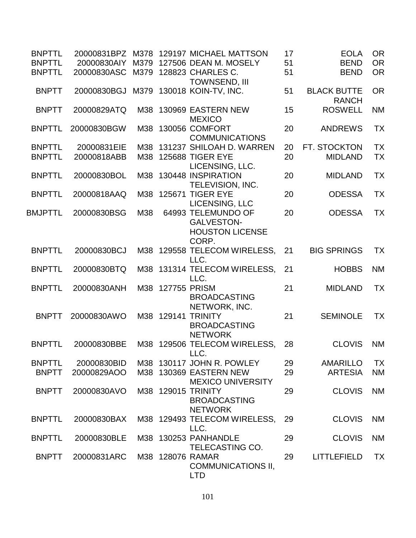| <b>BNPTTL</b>  |                                    |      |                  | 20000831BPZ M378 129197 MICHAEL MATTSON                                  | 17 | <b>EOLA</b>                        | <b>OR</b> |
|----------------|------------------------------------|------|------------------|--------------------------------------------------------------------------|----|------------------------------------|-----------|
| <b>BNPTTL</b>  |                                    |      |                  | 20000830AIY M379 127506 DEAN M. MOSELY                                   | 51 | <b>BEND</b>                        | <b>OR</b> |
| <b>BNPTTL</b>  | 20000830ASC M379 128823 CHARLES C. |      |                  | <b>TOWNSEND, III</b>                                                     | 51 | <b>BEND</b>                        | <b>OR</b> |
| <b>BNPTT</b>   | 20000830BGJ                        | M379 |                  | 130018 KOIN-TV, INC.                                                     | 51 | <b>BLACK BUTTE</b><br><b>RANCH</b> | <b>OR</b> |
| <b>BNPTT</b>   | 20000829ATQ                        | M38  |                  | 130969 EASTERN NEW<br><b>MEXICO</b>                                      | 15 | <b>ROSWELL</b>                     | <b>NM</b> |
| <b>BNPTTL</b>  | 20000830BGW                        | M38  |                  | 130056 COMFORT<br><b>COMMUNICATIONS</b>                                  | 20 | <b>ANDREWS</b>                     | <b>TX</b> |
| <b>BNPTTL</b>  | 20000831EIE                        | M38  |                  | 131237 SHILOAH D. WARREN                                                 | 20 | FT. STOCKTON                       | <b>TX</b> |
| <b>BNPTTL</b>  | 20000818ABB                        |      |                  | M38 125688 TIGER EYE                                                     | 20 | <b>MIDLAND</b>                     | <b>TX</b> |
|                |                                    |      |                  | LICENSING, LLC.                                                          |    |                                    |           |
| <b>BNPTTL</b>  | 20000830BOL                        | M38  |                  | 130448 INSPIRATION<br>TELEVISION, INC.                                   | 20 | <b>MIDLAND</b>                     | TX        |
| <b>BNPTTL</b>  | 20000818AAQ                        | M38  |                  | <b>125671 TIGER EYE</b><br>LICENSING, LLC                                | 20 | <b>ODESSA</b>                      | TX        |
| <b>BMJPTTL</b> | 20000830BSG                        | M38  |                  | 64993 TELEMUNDO OF<br><b>GALVESTON-</b>                                  | 20 | <b>ODESSA</b>                      | <b>TX</b> |
|                |                                    |      |                  | <b>HOUSTON LICENSE</b><br>CORP.                                          |    |                                    |           |
| <b>BNPTTL</b>  | 20000830BCJ                        |      |                  | M38 129558 TELECOM WIRELESS,<br>LLC.                                     | 21 | <b>BIG SPRINGS</b>                 | <b>TX</b> |
| <b>BNPTTL</b>  | 20000830BTQ                        |      |                  | M38 131314 TELECOM WIRELESS,<br>LLC.                                     | 21 | <b>HOBBS</b>                       | <b>NM</b> |
| <b>BNPTTL</b>  | 20000830ANH                        |      | M38 127755 PRISM | <b>BROADCASTING</b>                                                      | 21 | <b>MIDLAND</b>                     | <b>TX</b> |
| <b>BNPTT</b>   | 20000830AWO                        |      | M38 129141       | NETWORK, INC.<br><b>TRINITY</b><br><b>BROADCASTING</b><br><b>NETWORK</b> | 21 | <b>SEMINOLE</b>                    | <b>TX</b> |
| <b>BNPTTL</b>  | 20000830BBE                        |      |                  | M38 129506 TELECOM WIRELESS.<br>LLC.                                     | 28 | <b>CLOVIS</b>                      | <b>NM</b> |
| <b>BNPTTL</b>  | 20000830BID                        |      |                  | M38 130117 JOHN R. POWLEY                                                | 29 | <b>AMARILLO</b>                    | <b>TX</b> |
| <b>BNPTT</b>   | 20000829AOO                        |      |                  | M38 130369 EASTERN NEW<br><b>MEXICO UNIVERSITY</b>                       | 29 | <b>ARTESIA</b>                     | <b>NM</b> |
| <b>BNPTT</b>   | 20000830AVO                        |      |                  | M38 129015 TRINITY<br><b>BROADCASTING</b>                                | 29 | <b>CLOVIS</b>                      | <b>NM</b> |
| <b>BNPTTL</b>  | 20000830BAX                        |      |                  | <b>NETWORK</b><br>M38 129493 TELECOM WIRELESS,<br>LLC.                   | 29 | <b>CLOVIS</b>                      | <b>NM</b> |
| <b>BNPTTL</b>  | 20000830BLE                        |      |                  | M38 130253 PANHANDLE<br>TELECASTING CO.                                  | 29 | <b>CLOVIS</b>                      | <b>NM</b> |
| <b>BNPTT</b>   | 20000831ARC                        |      |                  | M38 128076 RAMAR<br><b>COMMUNICATIONS II,</b><br><b>LTD</b>              | 29 | <b>LITTLEFIELD</b>                 | <b>TX</b> |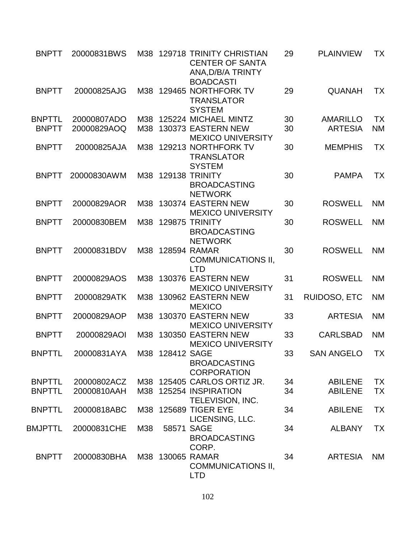| <b>BNPTT</b>  | 20000831BWS |     |                 | M38 129718 TRINITY CHRISTIAN<br><b>CENTER OF SANTA</b><br>ANA, D/B/A TRINTY<br><b>BOADCASTI</b> | 29 | <b>PLAINVIEW</b>  | <b>TX</b> |
|---------------|-------------|-----|-----------------|-------------------------------------------------------------------------------------------------|----|-------------------|-----------|
| <b>BNPTT</b>  | 20000825AJG | M38 |                 | 129465 NORTHFORK TV<br><b>TRANSLATOR</b><br><b>SYSTEM</b>                                       | 29 | <b>QUANAH</b>     | <b>TX</b> |
| <b>BNPTTL</b> | 20000807ADO | M38 |                 | 125224 MICHAEL MINTZ                                                                            | 30 | <b>AMARILLO</b>   | <b>TX</b> |
| <b>BNPTT</b>  | 20000829AOQ |     |                 | M38 130373 EASTERN NEW<br><b>MEXICO UNIVERSITY</b>                                              | 30 | <b>ARTESIA</b>    | <b>NM</b> |
| <b>BNPTT</b>  | 20000825AJA | M38 |                 | 129213 NORTHFORK TV<br><b>TRANSLATOR</b><br><b>SYSTEM</b>                                       | 30 | <b>MEMPHIS</b>    | <b>TX</b> |
| <b>BNPTT</b>  | 20000830AWM |     |                 | M38 129138 TRINITY<br><b>BROADCASTING</b><br><b>NETWORK</b>                                     | 30 | <b>PAMPA</b>      | <b>TX</b> |
| <b>BNPTT</b>  | 20000829AOR |     |                 | M38 130374 EASTERN NEW<br><b>MEXICO UNIVERSITY</b>                                              | 30 | <b>ROSWELL</b>    | <b>NM</b> |
| <b>BNPTT</b>  | 20000830BEM | M38 |                 | 129875 TRINITY<br><b>BROADCASTING</b><br><b>NETWORK</b>                                         | 30 | <b>ROSWELL</b>    | <b>NM</b> |
| <b>BNPTT</b>  | 20000831BDV |     |                 | M38 128594 RAMAR<br><b>COMMUNICATIONS II,</b><br><b>LTD</b>                                     | 30 | <b>ROSWELL</b>    | <b>NM</b> |
| <b>BNPTT</b>  | 20000829AOS |     |                 | M38 130376 EASTERN NEW<br><b>MEXICO UNIVERSITY</b>                                              | 31 | <b>ROSWELL</b>    | <b>NM</b> |
| <b>BNPTT</b>  | 20000829ATK | M38 |                 | 130962 EASTERN NEW<br><b>MEXICO</b>                                                             | 31 | RUIDOSO, ETC      | <b>NM</b> |
| <b>BNPTT</b>  | 20000829AOP | M38 |                 | 130370 EASTERN NEW<br><b>MEXICO UNIVERSITY</b>                                                  | 33 | <b>ARTESIA</b>    | <b>NM</b> |
| <b>BNPTT</b>  | 20000829AOI | M38 |                 | 130350 EASTERN NEW<br><b>MEXICO UNIVERSITY</b>                                                  | 33 | <b>CARLSBAD</b>   | <b>NM</b> |
| <b>BNPTTL</b> | 20000831AYA |     | M38 128412 SAGE | <b>BROADCASTING</b><br><b>CORPORATION</b>                                                       | 33 | <b>SAN ANGELO</b> | <b>TX</b> |
| <b>BNPTTL</b> | 20000802ACZ |     |                 | M38 125405 CARLOS ORTIZ JR.                                                                     | 34 | <b>ABILENE</b>    | <b>TX</b> |
| <b>BNPTTL</b> | 20000810AAH |     |                 | M38 125254 INSPIRATION<br>TELEVISION, INC.                                                      | 34 | <b>ABILENE</b>    | <b>TX</b> |
| <b>BNPTTL</b> | 20000818ABC |     |                 | M38 125689 TIGER EYE<br>LICENSING, LLC.                                                         | 34 | <b>ABILENE</b>    | <b>TX</b> |
| BMJPTTL       | 20000831CHE | M38 |                 | 58571 SAGE<br><b>BROADCASTING</b><br>CORP.                                                      | 34 | <b>ALBANY</b>     | <b>TX</b> |
| <b>BNPTT</b>  | 20000830BHA |     |                 | M38 130065 RAMAR<br><b>COMMUNICATIONS II,</b><br><b>LTD</b>                                     | 34 | <b>ARTESIA</b>    | <b>NM</b> |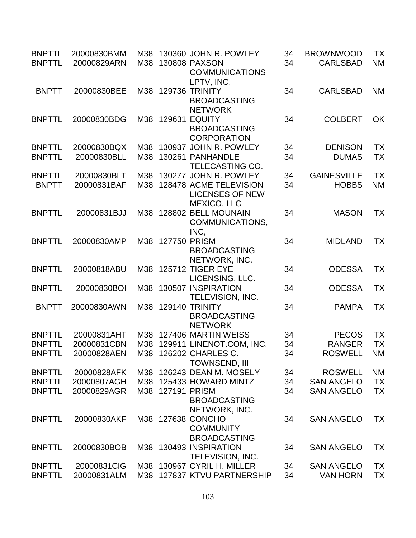| <b>BNPTTL</b><br><b>BNPTTL</b> |              | 20000830BMM<br>20000829ARN | M38<br>M38 |                  | 130360 JOHN R. POWLEY<br>130808 PAXSON<br><b>COMMUNICATIONS</b><br>LPTV, INC. | 34<br>34 | <b>BROWNWOOD</b><br><b>CARLSBAD</b> | TX<br><b>NM</b> |
|--------------------------------|--------------|----------------------------|------------|------------------|-------------------------------------------------------------------------------|----------|-------------------------------------|-----------------|
|                                | <b>BNPTT</b> | 20000830BEE                |            |                  | M38 129736 TRINITY<br><b>BROADCASTING</b><br><b>NETWORK</b>                   | 34       | <b>CARLSBAD</b>                     | <b>NM</b>       |
| <b>BNPTTL</b>                  |              | 20000830BDG                |            | M38 129631       | <b>EQUITY</b><br><b>BROADCASTING</b><br><b>CORPORATION</b>                    | 34       | <b>COLBERT</b>                      | <b>OK</b>       |
| <b>BNPTTL</b>                  |              | 20000830BQX                | M38        |                  | 130937 JOHN R. POWLEY                                                         | 34       | <b>DENISON</b>                      | <b>TX</b>       |
| <b>BNPTTL</b>                  |              | 20000830BLL                | M38        |                  | 130261 PANHANDLE                                                              | 34       | <b>DUMAS</b>                        | <b>TX</b>       |
|                                |              |                            |            |                  | <b>TELECASTING CO.</b>                                                        |          |                                     |                 |
| <b>BNPTTL</b>                  |              | 20000830BLT                | M38        |                  | 130277 JOHN R. POWLEY                                                         | 34       | <b>GAINESVILLE</b>                  | <b>TX</b>       |
|                                | <b>BNPTT</b> | 20000831BAF                | M38        |                  | 128478 ACME TELEVISION                                                        | 34       | <b>HOBBS</b>                        | <b>NM</b>       |
|                                |              |                            |            |                  | <b>LICENSES OF NEW</b><br><b>MEXICO, LLC</b>                                  |          |                                     |                 |
| <b>BNPTTL</b>                  |              | 20000831BJJ                |            |                  | M38 128802 BELL MOUNAIN                                                       | 34       | <b>MASON</b>                        | <b>TX</b>       |
|                                |              |                            |            |                  | COMMUNICATIONS,                                                               |          |                                     |                 |
|                                |              |                            |            |                  | INC,                                                                          |          |                                     |                 |
| <b>BNPTTL</b>                  |              | 20000830AMP                |            | M38 127750 PRISM |                                                                               | 34       | <b>MIDLAND</b>                      | TX              |
|                                |              |                            |            |                  | <b>BROADCASTING</b>                                                           |          |                                     |                 |
|                                |              |                            |            |                  | NETWORK, INC.                                                                 |          |                                     |                 |
| <b>BNPTTL</b>                  |              | 20000818ABU                |            |                  | M38 125712 TIGER EYE                                                          | 34       | <b>ODESSA</b>                       | <b>TX</b>       |
|                                |              |                            |            |                  |                                                                               |          |                                     |                 |
| <b>BNPTTL</b>                  |              |                            |            |                  | LICENSING, LLC.<br>130507 INSPIRATION                                         |          |                                     |                 |
|                                |              | 20000830BOI                | M38        |                  |                                                                               | 34       | <b>ODESSA</b>                       | TX              |
|                                |              |                            |            |                  | TELEVISION, INC.                                                              |          |                                     |                 |
|                                | <b>BNPTT</b> | 20000830AWN                |            |                  | M38 129140 TRINITY                                                            | 34       | <b>PAMPA</b>                        | <b>TX</b>       |
|                                |              |                            |            |                  | <b>BROADCASTING</b>                                                           |          |                                     |                 |
|                                |              |                            |            |                  | <b>NETWORK</b>                                                                |          |                                     |                 |
| <b>BNPTTL</b>                  |              | 20000831AHT                |            |                  | M38 127406 MARTIN WEISS                                                       | 34       | <b>PECOS</b>                        | <b>TX</b>       |
| <b>BNPTTL</b>                  |              | 20000831CBN                |            |                  | M38 129911 LINENOT.COM, INC.                                                  | 34       | <b>RANGER</b>                       | <b>TX</b>       |
| <b>BNPTTL</b>                  |              | 20000828AEN                |            |                  | M38 126202 CHARLES C.                                                         | 34       | <b>ROSWELL</b>                      | <b>NM</b>       |
|                                |              |                            |            |                  | <b>TOWNSEND, III</b>                                                          |          |                                     |                 |
| <b>BNPTTL</b>                  |              | 20000828AFK                |            |                  | M38 126243 DEAN M. MOSELY                                                     | 34       | <b>ROSWELL</b>                      | <b>NM</b>       |
| <b>BNPTTL</b>                  |              | 20000807AGH                | M38        |                  | 125433 HOWARD MINTZ                                                           | 34       | <b>SAN ANGELO</b>                   | <b>TX</b>       |
| <b>BNPTTL</b>                  |              | 20000829AGR                | M38        | 127191 PRISM     |                                                                               | 34       | <b>SAN ANGELO</b>                   | <b>TX</b>       |
|                                |              |                            |            |                  | <b>BROADCASTING</b>                                                           |          |                                     |                 |
|                                |              |                            |            |                  | NETWORK, INC.                                                                 |          |                                     |                 |
| <b>BNPTTL</b>                  |              | 20000830AKF                | M38        |                  | 127638 CONCHO                                                                 | 34       | <b>SAN ANGELO</b>                   | <b>TX</b>       |
|                                |              |                            |            |                  | <b>COMMUNITY</b>                                                              |          |                                     |                 |
|                                |              |                            |            |                  | <b>BROADCASTING</b>                                                           |          |                                     |                 |
| <b>BNPTTL</b>                  |              | 20000830BOB                | M38        |                  | 130493 INSPIRATION                                                            | 34       | <b>SAN ANGELO</b>                   | TX              |
|                                |              |                            |            |                  | TELEVISION, INC.                                                              |          |                                     |                 |
|                                |              | 20000831CIG                |            |                  | M38 130967 CYRIL H. MILLER                                                    | 34       | <b>SAN ANGELO</b>                   | <b>TX</b>       |
| <b>BNPTTL</b>                  |              |                            |            |                  |                                                                               |          |                                     |                 |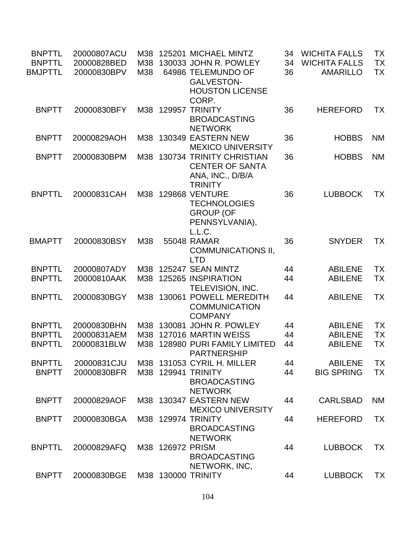| <b>BNPTTL</b><br><b>BNPTTL</b><br><b>BMJPTTL</b> | 20000807ACU<br>20000828BED<br>20000830BPV | M38<br>M38<br>M38 |                  | 125201 MICHAEL MINTZ<br>130033 JOHN R. POWLEY<br>64986 TELEMUNDO OF                          | 34<br>34<br>36 | <b>WICHITA FALLS</b><br><b>WICHITA FALLS</b><br><b>AMARILLO</b> | ТX<br><b>TX</b><br>TX |
|--------------------------------------------------|-------------------------------------------|-------------------|------------------|----------------------------------------------------------------------------------------------|----------------|-----------------------------------------------------------------|-----------------------|
|                                                  |                                           |                   |                  | <b>GALVESTON-</b><br><b>HOUSTON LICENSE</b><br>CORP.                                         |                |                                                                 |                       |
| <b>BNPTT</b>                                     | 20000830BFY                               |                   | M38 129957       | <b>TRINITY</b><br><b>BROADCASTING</b><br><b>NETWORK</b>                                      | 36             | <b>HEREFORD</b>                                                 | TX                    |
| <b>BNPTT</b>                                     | 20000829AOH                               | M38               |                  | 130349 EASTERN NEW<br><b>MEXICO UNIVERSITY</b>                                               | 36             | <b>HOBBS</b>                                                    | <b>NM</b>             |
| <b>BNPTT</b>                                     | 20000830BPM                               | M38               |                  | 130734 TRINITY CHRISTIAN<br><b>CENTER OF SANTA</b><br>ANA, INC., D/B/A<br><b>TRINITY</b>     | 36             | <b>HOBBS</b>                                                    | <b>NM</b>             |
| <b>BNPTTL</b>                                    | 20000831CAH                               | M38               |                  | <b>129868 VENTURE</b><br><b>TECHNOLOGIES</b><br><b>GROUP (OF</b><br>PENNSYLVANIA),<br>L.L.C. | 36             | <b>LUBBOCK</b>                                                  | <b>TX</b>             |
| <b>BMAPTT</b>                                    | 20000830BSY                               | M38               |                  | 55048 RAMAR<br><b>COMMUNICATIONS II,</b><br><b>LTD</b>                                       | 36             | <b>SNYDER</b>                                                   | <b>TX</b>             |
| <b>BNPTTL</b>                                    | 20000807ADY                               | M38               |                  | 125247 SEAN MINTZ                                                                            | 44             | <b>ABILENE</b>                                                  | TX                    |
| <b>BNPTTL</b>                                    | 20000810AAK                               | M38               |                  | 125265 INSPIRATION<br><b>TELEVISION, INC.</b>                                                | 44             | <b>ABILENE</b>                                                  | <b>TX</b>             |
| <b>BNPTTL</b>                                    | 20000830BGY                               | M38               |                  | 130061 POWELL MEREDITH<br><b>COMMUNICATION</b><br><b>COMPANY</b>                             | 44             | <b>ABILENE</b>                                                  | <b>TX</b>             |
| <b>BNPTTL</b>                                    | 20000830BHN                               | M38               | 130081           | <b>JOHN R. POWLEY</b>                                                                        | 44             | <b>ABILENE</b>                                                  | <b>TX</b>             |
| <b>BNPTTL</b>                                    | 20000831AEM                               | M38               |                  | 127016 MARTIN WEISS                                                                          | 44             | <b>ABILENE</b>                                                  | TX                    |
| <b>BNPTTL</b>                                    | 20000831BLW                               | M38               |                  | 128980 PURI FAMILY LIMITED<br><b>PARTNERSHIP</b>                                             | 44             | <b>ABILENE</b>                                                  | TX                    |
| <b>BNPTTL</b>                                    | 20000831CJU                               | M38               |                  | 131053 CYRIL H. MILLER                                                                       | 44             | <b>ABILENE</b>                                                  | TX                    |
| <b>BNPTT</b>                                     | 20000830BFR                               |                   |                  | M38 129941 TRINITY<br><b>BROADCASTING</b><br><b>NETWORK</b>                                  | 44             | <b>BIG SPRING</b>                                               | <b>TX</b>             |
| <b>BNPTT</b>                                     | 20000829AOF                               |                   |                  | M38 130347 EASTERN NEW<br><b>MEXICO UNIVERSITY</b>                                           | 44             | <b>CARLSBAD</b>                                                 | <b>NM</b>             |
| <b>BNPTT</b>                                     | 20000830BGA                               |                   |                  | M38 129974 TRINITY<br><b>BROADCASTING</b><br><b>NETWORK</b>                                  | 44             | <b>HEREFORD</b>                                                 | <b>TX</b>             |
| <b>BNPTTL</b>                                    | 20000829AFQ                               |                   | M38 126972 PRISM | <b>BROADCASTING</b><br>NETWORK, INC,                                                         | 44             | <b>LUBBOCK</b>                                                  | TX                    |
| <b>BNPTT</b>                                     | 20000830BGE                               |                   |                  | M38 130000 TRINITY                                                                           | 44             | <b>LUBBOCK</b>                                                  | <b>TX</b>             |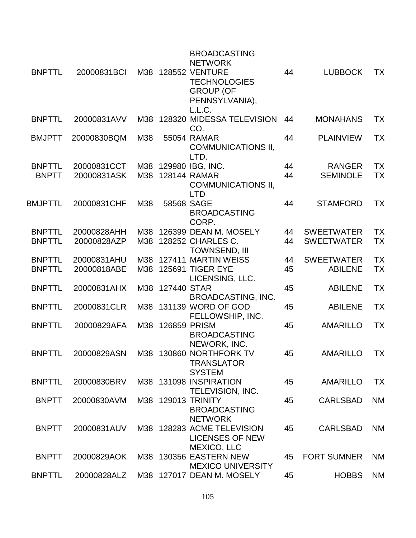|                |             |     |                  | <b>BROADCASTING</b><br><b>NETWORK</b>                                                     |    |                    |           |
|----------------|-------------|-----|------------------|-------------------------------------------------------------------------------------------|----|--------------------|-----------|
| <b>BNPTTL</b>  | 20000831BCI |     |                  | M38 128552 VENTURE<br><b>TECHNOLOGIES</b><br><b>GROUP (OF</b><br>PENNSYLVANIA),<br>L.L.C. | 44 | <b>LUBBOCK</b>     | <b>TX</b> |
| <b>BNPTTL</b>  | 20000831AVV | M38 |                  | 128320 MIDESSA TELEVISION<br>CO.                                                          | 44 | <b>MONAHANS</b>    | ТX        |
| <b>BMJPTT</b>  | 20000830BQM | M38 |                  | 55054 RAMAR<br><b>COMMUNICATIONS II,</b><br>LTD.                                          | 44 | <b>PLAINVIEW</b>   | <b>TX</b> |
| <b>BNPTTL</b>  | 20000831CCT |     |                  | M38 129980 IBG, INC.                                                                      | 44 | <b>RANGER</b>      | <b>TX</b> |
| <b>BNPTT</b>   | 20000831ASK |     |                  | M38 128144 RAMAR<br><b>COMMUNICATIONS II,</b><br><b>LTD</b>                               | 44 | <b>SEMINOLE</b>    | TX        |
| <b>BMJPTTL</b> | 20000831CHF | M38 |                  | 58568 SAGE<br><b>BROADCASTING</b><br>CORP.                                                | 44 | <b>STAMFORD</b>    | TX        |
| <b>BNPTTL</b>  | 20000828AHH |     |                  | M38 126399 DEAN M. MOSELY                                                                 | 44 | <b>SWEETWATER</b>  | <b>TX</b> |
| <b>BNPTTL</b>  | 20000828AZP |     |                  | M38 128252 CHARLES C.<br>TOWNSEND, III                                                    | 44 | <b>SWEETWATER</b>  | TX        |
| <b>BNPTTL</b>  | 20000831AHU |     |                  | M38 127411 MARTIN WEISS                                                                   | 44 | <b>SWEETWATER</b>  | <b>TX</b> |
| <b>BNPTTL</b>  | 20000818ABE |     |                  | M38 125691 TIGER EYE<br>LICENSING, LLC.                                                   | 45 | <b>ABILENE</b>     | <b>TX</b> |
| <b>BNPTTL</b>  | 20000831AHX |     | M38 127440 STAR  | <b>BROADCASTING, INC.</b>                                                                 | 45 | <b>ABILENE</b>     | <b>TX</b> |
| <b>BNPTTL</b>  | 20000831CLR | M38 |                  | 131139 WORD OF GOD<br>FELLOWSHIP, INC.                                                    | 45 | <b>ABILENE</b>     | <b>TX</b> |
| <b>BNPTTL</b>  | 20000829AFA |     | M38 126859 PRISM | <b>BROADCASTING</b><br>NEWORK, INC.                                                       | 45 | <b>AMARILLO</b>    | <b>TX</b> |
| <b>BNPTTL</b>  | 20000829ASN |     |                  | M38 130860 NORTHFORK TV<br><b>TRANSLATOR</b><br><b>SYSTEM</b>                             | 45 | AMARILLO           | <b>TX</b> |
| <b>BNPTTL</b>  | 20000830BRV |     |                  | M38 131098 INSPIRATION<br>TELEVISION, INC.                                                | 45 | <b>AMARILLO</b>    | <b>TX</b> |
| <b>BNPTT</b>   | 20000830AVM |     |                  | M38 129013 TRINITY<br><b>BROADCASTING</b><br><b>NETWORK</b>                               | 45 | <b>CARLSBAD</b>    | <b>NM</b> |
| <b>BNPTT</b>   | 20000831AUV |     |                  | M38 128283 ACME TELEVISION<br><b>LICENSES OF NEW</b><br>MEXICO, LLC                       | 45 | <b>CARLSBAD</b>    | <b>NM</b> |
| <b>BNPTT</b>   | 20000829AOK |     |                  | M38 130356 EASTERN NEW<br><b>MEXICO UNIVERSITY</b>                                        | 45 | <b>FORT SUMNER</b> | <b>NM</b> |
| <b>BNPTTL</b>  | 20000828ALZ |     |                  | M38 127017 DEAN M. MOSELY                                                                 | 45 | <b>HOBBS</b>       | <b>NM</b> |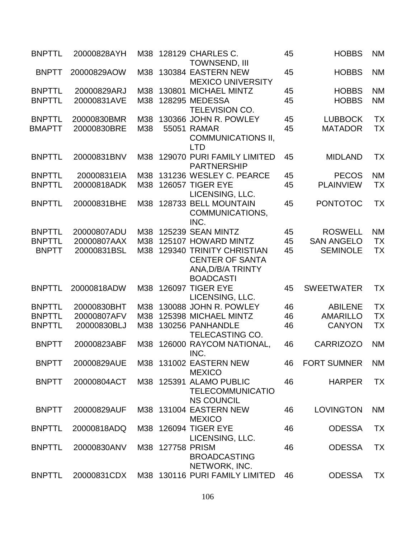| <b>BNPTTL</b> | 20000828AYH |     |                  | M38 128129 CHARLES C.<br><b>TOWNSEND, III</b>                                               | 45 | <b>HOBBS</b>       | <b>NM</b> |
|---------------|-------------|-----|------------------|---------------------------------------------------------------------------------------------|----|--------------------|-----------|
| <b>BNPTT</b>  | 20000829AOW |     |                  | M38 130384 EASTERN NEW<br><b>MEXICO UNIVERSITY</b>                                          | 45 | <b>HOBBS</b>       | <b>NM</b> |
| <b>BNPTTL</b> | 20000829ARJ | M38 | 130801           | <b>MICHAEL MINTZ</b>                                                                        | 45 | <b>HOBBS</b>       | <b>NM</b> |
| <b>BNPTTL</b> | 20000831AVE | M38 |                  | <b>128295 MEDESSA</b>                                                                       | 45 | <b>HOBBS</b>       | <b>NM</b> |
|               |             |     |                  | <b>TELEVISION CO.</b>                                                                       |    |                    |           |
|               |             |     |                  |                                                                                             |    |                    |           |
| <b>BNPTTL</b> | 20000830BMR | M38 |                  | 130366 JOHN R. POWLEY                                                                       | 45 | <b>LUBBOCK</b>     | <b>TX</b> |
| <b>BMAPTT</b> | 20000830BRE | M38 |                  | 55051 RAMAR<br><b>COMMUNICATIONS II,</b><br><b>LTD</b>                                      | 45 | <b>MATADOR</b>     | TX        |
| <b>BNPTTL</b> | 20000831BNV |     |                  | M38 129070 PURI FAMILY LIMITED                                                              | 45 | <b>MIDLAND</b>     | ТX        |
|               |             |     |                  | <b>PARTNERSHIP</b>                                                                          |    |                    |           |
| <b>BNPTTL</b> | 20000831EIA | M38 |                  | 131236 WESLEY C. PEARCE                                                                     | 45 | <b>PECOS</b>       | <b>NM</b> |
| <b>BNPTTL</b> | 20000818ADK | M38 |                  | <b>126057 TIGER EYE</b>                                                                     |    | <b>PLAINVIEW</b>   | TX        |
|               |             |     |                  |                                                                                             | 45 |                    |           |
|               |             |     |                  | LICENSING, LLC.                                                                             |    |                    |           |
| <b>BNPTTL</b> | 20000831BHE | M38 |                  | 128733 BELL MOUNTAIN                                                                        | 45 | <b>PONTOTOC</b>    | <b>TX</b> |
|               |             |     |                  | COMMUNICATIONS.                                                                             |    |                    |           |
|               |             |     |                  | INC.                                                                                        |    |                    |           |
| <b>BNPTTL</b> | 20000807ADU | M38 |                  | 125239 SEAN MINTZ                                                                           | 45 | <b>ROSWELL</b>     | <b>NM</b> |
| <b>BNPTTL</b> | 20000807AAX | M38 |                  | 125107 HOWARD MINTZ                                                                         | 45 | <b>SAN ANGELO</b>  | <b>TX</b> |
| <b>BNPTT</b>  | 20000831BSL | M38 |                  | 129340 TRINITY CHRISTIAN<br><b>CENTER OF SANTA</b><br>ANA, D/B/A TRINTY<br><b>BOADCASTI</b> | 45 | <b>SEMINOLE</b>    | <b>TX</b> |
| <b>BNPTTL</b> | 20000818ADW |     |                  | M38 126097 TIGER EYE<br>LICENSING, LLC.                                                     | 45 | <b>SWEETWATER</b>  | <b>TX</b> |
| <b>BNPTTL</b> | 20000830BHT | M38 |                  | 130088 JOHN R. POWLEY                                                                       | 46 | <b>ABILENE</b>     | <b>TX</b> |
| <b>BNPTTL</b> | 20000807AFV | M38 |                  | 125398 MICHAEL MINTZ                                                                        | 46 | <b>AMARILLO</b>    | <b>TX</b> |
| <b>BNPTTL</b> | 20000830BLJ | M38 |                  | 130256 PANHANDLE                                                                            | 46 | <b>CANYON</b>      | <b>TX</b> |
|               |             |     |                  | TELECASTING CO.                                                                             |    |                    |           |
| <b>BNPTT</b>  | 20000823ABF |     |                  | M38 126000 RAYCOM NATIONAL,<br>INC.                                                         | 46 | <b>CARRIZOZO</b>   | <b>NM</b> |
| <b>BNPTT</b>  | 20000829AUE |     |                  | M38 131002 EASTERN NEW<br><b>MEXICO</b>                                                     | 46 | <b>FORT SUMNER</b> | <b>NM</b> |
| <b>BNPTT</b>  | 20000804ACT |     |                  | M38 125391 ALAMO PUBLIC<br><b>TELECOMMUNICATIO</b>                                          | 46 | <b>HARPER</b>      | <b>TX</b> |
| <b>BNPTT</b>  | 20000829AUF |     |                  | <b>NS COUNCIL</b><br>M38 131004 EASTERN NEW                                                 | 46 | <b>LOVINGTON</b>   | <b>NM</b> |
| <b>BNPTTL</b> | 20000818ADQ |     |                  | <b>MEXICO</b><br>M38 126094 TIGER EYE                                                       | 46 | <b>ODESSA</b>      | ТX        |
| <b>BNPTTL</b> | 20000830ANV |     | M38 127758 PRISM | LICENSING, LLC.<br><b>BROADCASTING</b>                                                      | 46 | <b>ODESSA</b>      | <b>TX</b> |
| <b>BNPTTL</b> | 20000831CDX |     |                  | NETWORK, INC.<br>M38 130116 PURI FAMILY LIMITED                                             | 46 | <b>ODESSA</b>      | TX        |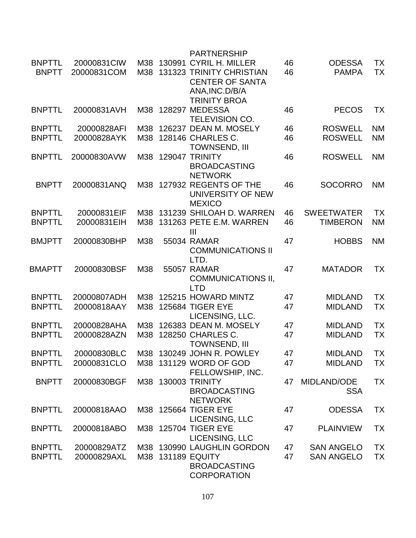|                               |                            |            | <b>PARTNERSHIP</b>                                                           |          |                               |                 |
|-------------------------------|----------------------------|------------|------------------------------------------------------------------------------|----------|-------------------------------|-----------------|
| <b>BNPTTL</b><br><b>BNPTT</b> | 20000831CIW<br>20000831COM | M38<br>M38 | 130991 CYRIL H. MILLER<br>131323 TRINITY CHRISTIAN<br><b>CENTER OF SANTA</b> | 46<br>46 | <b>ODESSA</b><br><b>PAMPA</b> | <b>TX</b><br>TX |
|                               |                            |            | ANA, INC. D/B/A<br><b>TRINITY BROA</b>                                       |          |                               |                 |
| <b>BNPTTL</b>                 | 20000831AVH                |            | M38 128297 MEDESSA<br><b>TELEVISION CO.</b>                                  | 46       | <b>PECOS</b>                  | ТX              |
| <b>BNPTTL</b>                 | 20000828AFI                | M38        | 126237 DEAN M. MOSELY                                                        | 46       | <b>ROSWELL</b>                | <b>NM</b>       |
| <b>BNPTTL</b>                 | 20000828AYK                |            | M38 128146 CHARLES C.<br><b>TOWNSEND, III</b>                                | 46       | <b>ROSWELL</b>                | <b>NM</b>       |
| <b>BNPTTL</b>                 | 20000830AVW                | M38        | 129047 TRINITY<br><b>BROADCASTING</b><br><b>NETWORK</b>                      | 46       | <b>ROSWELL</b>                | <b>NM</b>       |
| <b>BNPTT</b>                  | 20000831ANQ                |            | M38 127932 REGENTS OF THE<br>UNIVERSITY OF NEW<br><b>MEXICO</b>              | 46       | <b>SOCORRO</b>                | <b>NM</b>       |
| <b>BNPTTL</b>                 | 20000831EIF                | M38        | 131239 SHILOAH D. WARREN                                                     | 46       | <b>SWEETWATER</b>             | <b>TX</b>       |
| <b>BNPTTL</b>                 | 20000831EIH                | M38        | 131263 PETE E.M. WARREN<br>$\mathbf{III}$                                    | 46       | <b>TIMBERON</b>               | <b>NM</b>       |
| <b>BMJPTT</b>                 | 20000830BHP                | M38        | 55034 RAMAR<br><b>COMMUNICATIONS II</b><br>LTD.                              | 47       | <b>HOBBS</b>                  | <b>NM</b>       |
| <b>BMAPTT</b>                 | 20000830BSF                | M38        | <b>55057 RAMAR</b><br><b>COMMUNICATIONS II,</b><br><b>LTD</b>                | 47       | <b>MATADOR</b>                | <b>TX</b>       |
| <b>BNPTTL</b>                 | 20000807ADH                | M38        | 125215 HOWARD MINTZ                                                          | 47       | <b>MIDLAND</b>                | <b>TX</b>       |
| <b>BNPTTL</b>                 | 20000818AAY                | M38        | <b>125684 TIGER EYE</b><br>LICENSING, LLC.                                   | 47       | <b>MIDLAND</b>                | TX              |
| <b>BNPTTL</b>                 | 20000828AHA                | M38        | 126383 DEAN M. MOSELY                                                        | 47       | <b>MIDLAND</b>                | <b>TX</b>       |
| <b>BNPTTL</b>                 | 20000828AZN                | M38        | 128250 CHARLES C.<br><b>TOWNSEND, III</b>                                    | 47       | <b>MIDLAND</b>                | <b>TX</b>       |
| <b>BNPTTI</b>                 | 20000830BLC                |            | M38 130249 JOHN R. POWLEY                                                    | 47       | <b>MIDLAND</b>                | ТX              |
| <b>BNPTTL</b>                 | 20000831CLO                |            | M38 131129 WORD OF GOD<br>FELLOWSHIP, INC.                                   | 47       | <b>MIDLAND</b>                | <b>TX</b>       |
| <b>BNPTT</b>                  | 20000830BGF                |            | M38 130003 TRINITY<br><b>BROADCASTING</b><br><b>NETWORK</b>                  | 47       | MIDLAND/ODE<br><b>SSA</b>     | TX              |
| <b>BNPTTL</b>                 | 20000818AAO                |            | M38 125664 TIGER EYE<br>LICENSING, LLC                                       | 47       | <b>ODESSA</b>                 | ТX              |
| <b>BNPTTL</b>                 | 20000818ABO                |            | M38 125704 TIGER EYE<br>LICENSING, LLC                                       | 47       | <b>PLAINVIEW</b>              | ТX              |
| <b>BNPTTL</b>                 | 20000829ATZ                |            | M38 130990 LAUGHLIN GORDON                                                   | 47       | <b>SAN ANGELO</b>             | <b>TX</b>       |
| <b>BNPTTL</b>                 | 20000829AXL                |            | M38 131189 EQUITY<br><b>BROADCASTING</b><br><b>CORPORATION</b>               | 47       | <b>SAN ANGELO</b>             | <b>TX</b>       |
|                               |                            |            |                                                                              |          |                               |                 |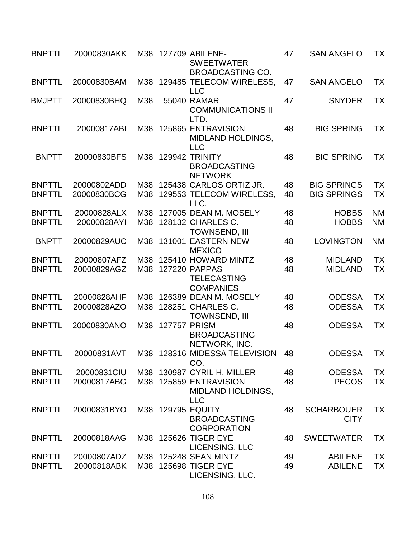| <b>BNPTTL</b> | 20000830AKK |     |                     | M38 127709 ABILENE-<br><b>SWEETWATER</b><br><b>BROADCASTING CO.</b> | 47 | <b>SAN ANGELO</b>                | TX        |
|---------------|-------------|-----|---------------------|---------------------------------------------------------------------|----|----------------------------------|-----------|
| <b>BNPTTL</b> | 20000830BAM |     |                     | M38 129485 TELECOM WIRELESS,<br><b>LLC</b>                          | 47 | <b>SAN ANGELO</b>                | <b>TX</b> |
| <b>BMJPTT</b> | 20000830BHQ | M38 |                     | 55040 RAMAR<br><b>COMMUNICATIONS II</b><br>LTD.                     | 47 | <b>SNYDER</b>                    | <b>TX</b> |
| <b>BNPTTL</b> | 20000817ABI |     |                     | M38 125865 ENTRAVISION<br><b>MIDLAND HOLDINGS,</b><br><b>LLC</b>    | 48 | <b>BIG SPRING</b>                | <b>TX</b> |
| <b>BNPTT</b>  | 20000830BFS |     |                     | M38 129942 TRINITY<br><b>BROADCASTING</b><br><b>NETWORK</b>         | 48 | <b>BIG SPRING</b>                | TX        |
| <b>BNPTTL</b> | 20000802ADD |     |                     | M38 125438 CARLOS ORTIZ JR.                                         | 48 | <b>BIG SPRINGS</b>               | <b>TX</b> |
| <b>BNPTTL</b> | 20000830BCG |     |                     | M38 129553 TELECOM WIRELESS,<br>LLC.                                | 48 | <b>BIG SPRINGS</b>               | <b>TX</b> |
| <b>BNPTTL</b> | 20000828ALX | M38 |                     | 127005 DEAN M. MOSELY                                               | 48 | <b>HOBBS</b>                     | <b>NM</b> |
| <b>BNPTTL</b> | 20000828AYI |     |                     | M38 128132 CHARLES C.<br><b>TOWNSEND, III</b>                       | 48 | <b>HOBBS</b>                     | <b>NM</b> |
| <b>BNPTT</b>  | 20000829AUC | M38 |                     | 131001 EASTERN NEW<br><b>MEXICO</b>                                 | 48 | <b>LOVINGTON</b>                 | <b>NM</b> |
| <b>BNPTTL</b> | 20000807AFZ | M38 |                     | 125410 HOWARD MINTZ                                                 | 48 | <b>MIDLAND</b>                   | <b>TX</b> |
| <b>BNPTTL</b> | 20000829AGZ | M38 |                     | 127220 PAPPAS<br><b>TELECASTING</b><br><b>COMPANIES</b>             | 48 | <b>MIDLAND</b>                   | <b>TX</b> |
| <b>BNPTTL</b> | 20000828AHF | M38 |                     | 126389 DEAN M. MOSELY                                               | 48 | <b>ODESSA</b>                    | <b>TX</b> |
| <b>BNPTTL</b> | 20000828AZO | M38 |                     | 128251 CHARLES C.<br><b>TOWNSEND, III</b>                           | 48 | <b>ODESSA</b>                    | <b>TX</b> |
| <b>BNPTTL</b> | 20000830ANO | M38 | <b>127757 PRISM</b> | <b>BROADCASTING</b><br>NETWORK, INC.                                | 48 | <b>ODESSA</b>                    | <b>TX</b> |
| <b>BNPTTL</b> |             |     |                     | CO.                                                                 |    | ODESSA                           | <b>TX</b> |
| <b>BNPTTL</b> | 20000831CIU |     |                     | M38 130987 CYRIL H. MILLER                                          | 48 | <b>ODESSA</b>                    | <b>TX</b> |
| <b>BNPTTL</b> | 20000817ABG |     |                     | M38 125859 ENTRAVISION<br><b>MIDLAND HOLDINGS,</b><br><b>LLC</b>    | 48 | <b>PECOS</b>                     | <b>TX</b> |
| <b>BNPTTL</b> | 20000831BYO |     |                     | M38 129795 EQUITY<br><b>BROADCASTING</b><br><b>CORPORATION</b>      | 48 | <b>SCHARBOUER</b><br><b>CITY</b> | <b>TX</b> |
| <b>BNPTTL</b> | 20000818AAG |     |                     | M38 125626 TIGER EYE<br>LICENSING, LLC                              | 48 | <b>SWEETWATER</b>                | TX        |
| <b>BNPTTL</b> | 20000807ADZ |     |                     | M38 125248 SEAN MINTZ                                               | 49 | <b>ABILENE</b>                   | <b>TX</b> |
| <b>BNPTTL</b> | 20000818ABK |     |                     | M38 125698 TIGER EYE<br>LICENSING, LLC.                             | 49 | <b>ABILENE</b>                   | <b>TX</b> |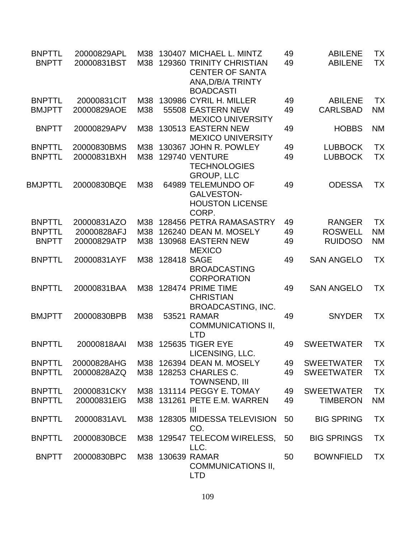| <b>BNPTTL</b><br><b>BNPTT</b> | 20000829APL<br>20000831BST | M38<br>M38 |                 | 130407 MICHAEL L. MINTZ<br>129360 TRINITY CHRISTIAN<br><b>CENTER OF SANTA</b> | 49<br>49 | <b>ABILENE</b><br><b>ABILENE</b> | ТX<br><b>TX</b> |
|-------------------------------|----------------------------|------------|-----------------|-------------------------------------------------------------------------------|----------|----------------------------------|-----------------|
|                               |                            |            |                 | ANA, D/B/A TRINTY<br><b>BOADCASTI</b>                                         |          |                                  |                 |
| <b>BNPTTL</b>                 | 20000831CIT                | M38        |                 | 130986 CYRIL H. MILLER                                                        | 49       | <b>ABILENE</b>                   | <b>TX</b>       |
| <b>BMJPTT</b>                 | 20000829AOE                | M38        |                 | 55508 EASTERN NEW<br><b>MEXICO UNIVERSITY</b>                                 | 49       | <b>CARLSBAD</b>                  | <b>NM</b>       |
| <b>BNPTT</b>                  | 20000829APV                | M38        |                 | 130513 EASTERN NEW<br><b>MEXICO UNIVERSITY</b>                                | 49       | <b>HOBBS</b>                     | <b>NM</b>       |
| <b>BNPTTL</b>                 | 20000830BMS                | M38        |                 | 130367 JOHN R. POWLEY                                                         | 49       | <b>LUBBOCK</b>                   | <b>TX</b>       |
| <b>BNPTTL</b>                 | 20000831BXH                | M38        |                 | <b>129740 VENTURE</b><br><b>TECHNOLOGIES</b><br><b>GROUP, LLC</b>             | 49       | <b>LUBBOCK</b>                   | <b>TX</b>       |
| <b>BMJPTTL</b>                | 20000830BQE                | M38        |                 | 64989 TELEMUNDO OF<br><b>GALVESTON-</b><br><b>HOUSTON LICENSE</b>             | 49       | <b>ODESSA</b>                    | ТX              |
|                               |                            |            |                 | CORP.                                                                         |          |                                  |                 |
| <b>BNPTTL</b>                 | 20000831AZO                | M38        |                 | 128456 PETRA RAMASASTRY                                                       | 49       | <b>RANGER</b>                    | <b>TX</b>       |
| <b>BNPTTL</b>                 | 20000828AFJ                | M38        |                 | 126240 DEAN M. MOSELY                                                         | 49       | <b>ROSWELL</b>                   | <b>NM</b>       |
| <b>BNPTT</b>                  | 20000829ATP                | M38        |                 | 130968 EASTERN NEW<br><b>MEXICO</b>                                           | 49       | <b>RUIDOSO</b>                   | <b>NM</b>       |
| <b>BNPTTL</b>                 | 20000831AYF                |            | M38 128418 SAGE | <b>BROADCASTING</b><br><b>CORPORATION</b>                                     | 49       | <b>SAN ANGELO</b>                | <b>TX</b>       |
| <b>BNPTTL</b>                 | 20000831BAA                |            |                 | M38 128474 PRIME TIME<br><b>CHRISTIAN</b><br><b>BROADCASTING, INC.</b>        | 49       | <b>SAN ANGELO</b>                | TX              |
| <b>BMJPTT</b>                 | 20000830BPB                | M38        |                 | 53521 RAMAR<br><b>COMMUNICATIONS II,</b><br><b>LTD</b>                        | 49       | <b>SNYDER</b>                    | <b>TX</b>       |
| <b>BNPTTL</b>                 | 20000818AAI                | M38        |                 | <b>125635 TIGER EYE</b><br>LICENSING, LLC.                                    | 49       | <b>SWEETWATER</b>                | ТX              |
| <b>BNPTTL</b>                 | 20000828AHG                | M38        |                 | 126394 DEAN M. MOSELY                                                         | 49       | <b>SWEETWATER</b>                | <b>TX</b>       |
| <b>BNPTTL</b>                 | 20000828AZQ                |            |                 | M38 128253 CHARLES C.<br><b>TOWNSEND, III</b>                                 | 49       | <b>SWEETWATER</b>                | <b>TX</b>       |
| <b>BNPTTL</b>                 | 20000831CKY                |            |                 | M38 131114 PEGGY E. TOMAY                                                     | 49       | <b>SWEETWATER</b>                | <b>TX</b>       |
| <b>BNPTTL</b>                 | 20000831EIG                |            |                 | M38 131261 PETE E.M. WARREN<br>$\mathbf{III}$                                 | 49       | <b>TIMBERON</b>                  | <b>NM</b>       |
| <b>BNPTTL</b>                 | 20000831AVL                |            |                 | M38 128305 MIDESSA TELEVISION<br>CO.                                          | 50       | <b>BIG SPRING</b>                | <b>TX</b>       |
| <b>BNPTTL</b>                 | 20000830BCE                |            |                 | M38 129547 TELECOM WIRELESS,<br>LLC.                                          | 50       | <b>BIG SPRINGS</b>               | <b>TX</b>       |
| <b>BNPTT</b>                  | 20000830BPC                |            |                 | M38 130639 RAMAR<br><b>COMMUNICATIONS II,</b><br><b>LTD</b>                   | 50       | <b>BOWNFIELD</b>                 | <b>TX</b>       |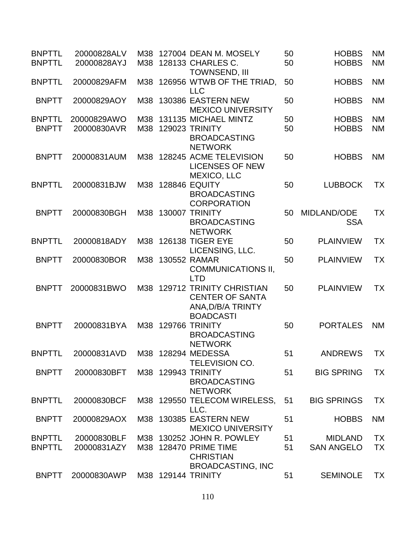| <b>BNPTTL</b><br><b>BNPTTL</b> | 20000828ALV<br>20000828AYJ | M38        | 127004 DEAN M. MOSELY<br>M38 128133 CHARLES C.                                                     | 50<br>50 | <b>HOBBS</b><br><b>HOBBS</b>        | <b>NM</b><br><b>NM</b> |
|--------------------------------|----------------------------|------------|----------------------------------------------------------------------------------------------------|----------|-------------------------------------|------------------------|
| <b>BNPTTL</b>                  | 20000829AFM                |            | TOWNSEND, III<br>M38 126956 WTWB OF THE TRIAD,<br><b>LLC</b>                                       | 50       | <b>HOBBS</b>                        | <b>NM</b>              |
| <b>BNPTT</b>                   | 20000829AOY                | M38        | 130386 EASTERN NEW<br><b>MEXICO UNIVERSITY</b>                                                     | 50       | <b>HOBBS</b>                        | <b>NM</b>              |
| <b>BNPTTL</b><br><b>BNPTT</b>  | 20000829AWO<br>20000830AVR | M38<br>M38 | 131135 MICHAEL MINTZ<br>129023 TRINITY<br><b>BROADCASTING</b><br><b>NETWORK</b>                    | 50<br>50 | <b>HOBBS</b><br><b>HOBBS</b>        | <b>NM</b><br><b>NM</b> |
| <b>BNPTT</b>                   | 20000831AUM                |            | M38 128245 ACME TELEVISION<br><b>LICENSES OF NEW</b><br><b>MEXICO, LLC</b>                         | 50       | <b>HOBBS</b>                        | <b>NM</b>              |
| <b>BNPTTL</b>                  | 20000831BJW                |            | M38 128846 EQUITY<br><b>BROADCASTING</b><br><b>CORPORATION</b>                                     | 50       | <b>LUBBOCK</b>                      | <b>TX</b>              |
| <b>BNPTT</b>                   | 20000830BGH                |            | M38 130007 TRINITY<br><b>BROADCASTING</b><br><b>NETWORK</b>                                        | 50       | MIDLAND/ODE<br><b>SSA</b>           | ТX                     |
| <b>BNPTTL</b>                  | 20000818ADY                |            | M38 126138 TIGER EYE<br>LICENSING, LLC.                                                            | 50       | <b>PLAINVIEW</b>                    | <b>TX</b>              |
| <b>BNPTT</b>                   | 20000830BOR                |            | M38 130552 RAMAR<br><b>COMMUNICATIONS II,</b><br><b>LTD</b>                                        | 50       | <b>PLAINVIEW</b>                    | <b>TX</b>              |
| <b>BNPTT</b>                   | 20000831BWO                |            | M38 129712 TRINITY CHRISTIAN<br><b>CENTER OF SANTA</b><br>ANA, D/B/A TRINTY<br><b>BOADCASTI</b>    | 50       | <b>PLAINVIEW</b>                    | <b>TX</b>              |
| <b>BNPTT</b>                   | 20000831BYA                |            | M38 129766 TRINITY<br><b>BROADCASTING</b><br><b>NETWORK</b>                                        | 50       | <b>PORTALES</b>                     | <b>NM</b>              |
| <b>BNPTTL</b>                  |                            |            | <b>TELEVISION CO.</b>                                                                              | 51       | <b>ANDREWS</b>                      | <b>TX</b>              |
| <b>BNPTT</b>                   | 20000830BFT                |            | M38 129943 TRINITY<br><b>BROADCASTING</b><br><b>NETWORK</b>                                        | 51       | <b>BIG SPRING</b>                   | TX                     |
| <b>BNPTTL</b>                  | 20000830BCF                |            | M38 129550 TELECOM WIRELESS,<br>LLC.                                                               | 51       | <b>BIG SPRINGS</b>                  | <b>TX</b>              |
| <b>BNPTT</b>                   | 20000829AOX                |            | M38 130385 EASTERN NEW<br><b>MEXICO UNIVERSITY</b>                                                 | 51       | <b>HOBBS</b>                        | <b>NM</b>              |
| <b>BNPTTL</b><br><b>BNPTTL</b> | 20000830BLF<br>20000831AZY |            | M38 130252 JOHN R. POWLEY<br>M38 128470 PRIME TIME<br><b>CHRISTIAN</b><br><b>BROADCASTING, INC</b> | 51<br>51 | <b>MIDLAND</b><br><b>SAN ANGELO</b> | <b>TX</b><br><b>TX</b> |
| <b>BNPTT</b>                   | 20000830AWP                |            | M38 129144 TRINITY                                                                                 | 51       | <b>SEMINOLE</b>                     | <b>TX</b>              |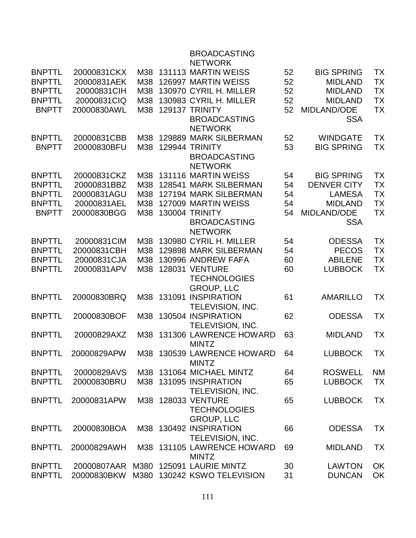## BROADCASTING NETWORK BNPTTL 20000831CKX M38 131113 MARTIN WEISS 52 BIG SPRING TX BNPTTL 20000831AEK M38 126997 MARTIN WEISS 52 MIDLAND TX BNPTTL 20000831CIH M38 130970 CYRIL H. MILLER 52 MIDLAND TX BNPTTL 20000831CIQ M38 130983 CYRIL H. MILLER 52 MIDLAND TX BNPTT 20000830AWL M38 129137 TRINITY BROADCASTING **NETWORK** 52 MIDLAND/ODE **SSA** TX BNPTTL 20000831CBB M38 129889 MARK SILBERMAN 52 WINDGATE TX BNPTT 20000830BFU M38 129944 TRINITY BROADCASTING **NETWORK** 53 BIG SPRING TX BNPTTL 20000831CKZ M38 131116 MARTIN WEISS 54 BIG SPRING TX BNPTTL 20000831BBZ M38 128541 MARK SILBERMAN 54 DENVER CITY TX BNPTTL 20000831AGU M38 127194 MARK SILBERMAN 54 LAMESA TX BNPTTL 20000831AEL M38 127009 MARTIN WEISS 54 MIDLAND TX BNPTT 20000830BGG M38 130004 TRINITY BROADCASTING **NETWORK** 54 MIDLAND/ODE **SSA** TX BNPTTL 20000831CIM M38 130980 CYRIL H. MILLER 54 ODESSA TX BNPTTL 20000831CBH M38 129898 MARK SILBERMAN 54 PECOS TX BNPTTL 20000831CJA M38 130996 ANDREW FAFA 60 ABILENE TX BNPTTL 20000831APV M38 128031 VENTURE **TECHNOLOGIES** GROUP, LLC 60 LUBBOCK TX BNPTTL 20000830BRQ M38 131091 INSPIRATION TELEVISION, INC. 61 AMARILLO TX BNPTTL 20000830BOF M38 130504 INSPIRATION TELEVISION, INC. 62 ODESSA TX BNPTTL 20000829AXZ M38 131306 LAWRENCE HOWARD MINTZ 63 MIDLAND TX BNPTTL 20000829APW M38 130539 LAWRENCE HOWARD MINTZ 64 LUBBOCK TX BNPTTL 20000829AVS M38 131064 MICHAEL MINTZ 64 ROSWELL NM BNPTTL 20000830BRU M38 131095 INSPIRATION TELEVISION, INC. 65 LUBBOCK TX BNPTTL 20000831APW M38 128033 VENTURE **TECHNOLOGIES** GROUP, LLC 65 LUBBOCK TX BNPTTL 20000830BOA M38 130492 INSPIRATION TELEVISION, INC. 66 ODESSA TX BNPTTL 20000829AWH M38 131105 LAWRENCE HOWARD MINTZ 69 MIDLAND TX BNPTTL 20000807AAR M380 125091 LAURIE MINTZ 30 LAWTON OK BNPTTL 20000830BKW M380 130242 KSWO TELEVISION 31 DUNCAN OK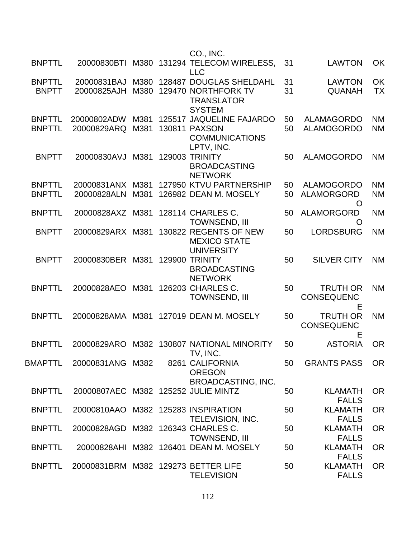|               |                                     |      | CO., INC.                                                         |    |                                           |           |
|---------------|-------------------------------------|------|-------------------------------------------------------------------|----|-------------------------------------------|-----------|
| <b>BNPTTL</b> | 20000830BTI                         | M380 | 131294 TELECOM WIRELESS,<br><b>LLC</b>                            | 31 | <b>LAWTON</b>                             | OK        |
| <b>BNPTTL</b> | 20000831BAJ                         | M380 | 128487 DOUGLAS SHELDAHL                                           | 31 | <b>LAWTON</b>                             | OK        |
| <b>BNPTT</b>  | 20000825AJH                         | M380 | 129470 NORTHFORK TV<br><b>TRANSLATOR</b><br><b>SYSTEM</b>         | 31 | <b>QUANAH</b>                             | <b>TX</b> |
| <b>BNPTTL</b> | 20000802ADW                         | M381 | 125517 JAQUELINE FAJARDO                                          | 50 | <b>ALAMAGORDO</b>                         | <b>NM</b> |
| <b>BNPTTL</b> | 20000829ARQ                         | M381 | <b>130811 PAXSON</b><br><b>COMMUNICATIONS</b><br>LPTV, INC.       | 50 | <b>ALAMOGORDO</b>                         | <b>NM</b> |
| <b>BNPTT</b>  | 20000830AVJ                         | M381 | 129003 TRINITY<br><b>BROADCASTING</b><br><b>NETWORK</b>           | 50 | <b>ALAMOGORDO</b>                         | <b>NM</b> |
| <b>BNPTTL</b> | 20000831ANX M381                    |      | 127950 KTVU PARTNERSHIP                                           | 50 | <b>ALAMOGORDO</b>                         | <b>NM</b> |
| <b>BNPTTL</b> | 20000828ALN                         | M381 | 126982 DEAN M. MOSELY                                             | 50 | <b>ALAMORGORD</b><br>O                    | <b>NM</b> |
| <b>BNPTTL</b> | 20000828AXZ M381                    |      | 128114 CHARLES C.<br><b>TOWNSEND, III</b>                         | 50 | <b>ALAMORGORD</b><br>O                    | <b>NM</b> |
| <b>BNPTT</b>  | 20000829ARX                         | M381 | 130822 REGENTS OF NEW<br><b>MEXICO STATE</b><br><b>UNIVERSITY</b> | 50 | <b>LORDSBURG</b>                          | <b>NM</b> |
| <b>BNPTT</b>  | 20000830BER M381                    |      | <b>129900 TRINITY</b><br><b>BROADCASTING</b><br><b>NETWORK</b>    | 50 | <b>SILVER CITY</b>                        | <b>NM</b> |
| <b>BNPTTL</b> | 20000828AEO                         | M381 | 126203 CHARLES C.<br><b>TOWNSEND, III</b>                         | 50 | <b>TRUTH OR</b><br><b>CONSEQUENC</b><br>Е | <b>NM</b> |
| <b>BNPTTL</b> | 20000828AMA                         | M381 | 127019 DEAN M. MOSELY                                             | 50 | <b>TRUTH OR</b><br><b>CONSEQUENC</b><br>Е | <b>NM</b> |
| <b>BNPTTL</b> | 20000829ARO                         | M382 | 130807 NATIONAL MINORITY<br>TV, INC.                              | 50 | <b>ASTORIA</b>                            | <b>OR</b> |
| BMAPTTL       | 20000831ANG M382                    |      | 8261 CALIFORNIA<br><b>OREGON</b><br><b>BROADCASTING, INC.</b>     | 50 | <b>GRANTS PASS</b>                        | <b>OR</b> |
| <b>BNPTTL</b> | 20000807AEC M382 125252 JULIE MINTZ |      |                                                                   | 50 | <b>KLAMATH</b><br><b>FALLS</b>            | <b>OR</b> |
| <b>BNPTTL</b> | 20000810AAO M382 125283 INSPIRATION |      | <b>TELEVISION, INC.</b>                                           | 50 | <b>KLAMATH</b><br><b>FALLS</b>            | <b>OR</b> |
| <b>BNPTTL</b> | 20000828AGD M382 126343 CHARLES C.  |      | <b>TOWNSEND, III</b>                                              | 50 | <b>KLAMATH</b><br><b>FALLS</b>            | <b>OR</b> |
| <b>BNPTTL</b> |                                     |      | 20000828AHI M382 126401 DEAN M. MOSELY                            | 50 | <b>KLAMATH</b><br><b>FALLS</b>            | <b>OR</b> |
| <b>BNPTTL</b> | 20000831BRM M382 129273 BETTER LIFE |      | <b>TELEVISION</b>                                                 | 50 | <b>KLAMATH</b><br><b>FALLS</b>            | <b>OR</b> |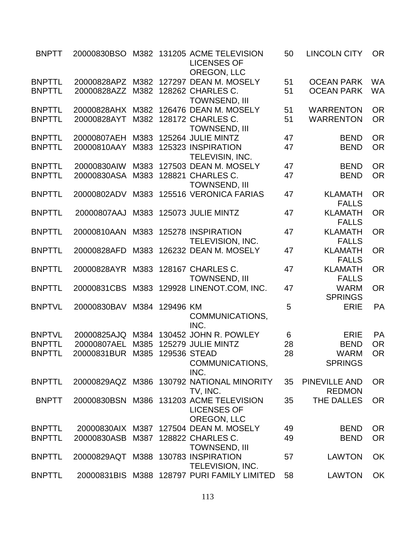| <b>BNPTT</b>  |                                     |      |           | 20000830BSO M382 131205 ACME TELEVISION<br><b>LICENSES OF</b><br>OREGON, LLC | 50 | <b>LINCOLN CITY</b>           | <b>OR</b> |
|---------------|-------------------------------------|------|-----------|------------------------------------------------------------------------------|----|-------------------------------|-----------|
| <b>BNPTTL</b> | 20000828APZ M382                    |      |           | 127297 DEAN M. MOSELY                                                        | 51 | <b>OCEAN PARK</b>             | <b>WA</b> |
| <b>BNPTTL</b> | 20000828AZZ                         | M382 |           | 128262 CHARLES C.<br><b>TOWNSEND, III</b>                                    | 51 | <b>OCEAN PARK</b>             | <b>WA</b> |
| <b>BNPTTL</b> | 20000828AHX                         | M382 |           | 126476 DEAN M. MOSELY                                                        | 51 | <b>WARRENTON</b>              | <b>OR</b> |
| <b>BNPTTL</b> | 20000828AYT                         |      |           | M382 128172 CHARLES C.                                                       | 51 | <b>WARRENTON</b>              | <b>OR</b> |
|               |                                     |      |           | <b>TOWNSEND, III</b>                                                         |    |                               |           |
| <b>BNPTTL</b> | 20000807AEH                         | M383 |           | 125264 JULIE MINTZ                                                           | 47 | <b>BEND</b>                   | <b>OR</b> |
| <b>BNPTTL</b> | 20000810AAY                         |      |           | M383 125323 INSPIRATION                                                      | 47 | <b>BEND</b>                   | <b>OR</b> |
|               |                                     |      |           | TELEVISIN, INC.                                                              |    |                               |           |
| <b>BNPTTL</b> | 20000830AIW                         |      |           | M383 127503 DEAN M. MOSELY                                                   | 47 | <b>BEND</b>                   | <b>OR</b> |
| <b>BNPTTL</b> | 20000830ASA                         | M383 |           | 128821 CHARLES C.                                                            | 47 | <b>BEND</b>                   | <b>OR</b> |
|               |                                     |      |           | <b>TOWNSEND, III</b>                                                         |    |                               |           |
| <b>BNPTTL</b> | 20000802ADV                         |      |           | M383 125516 VERONICA FARIAS                                                  | 47 | <b>KLAMATH</b>                | <b>OR</b> |
|               |                                     |      |           |                                                                              |    | <b>FALLS</b>                  |           |
| <b>BNPTTL</b> | 20000807AAJ                         |      |           | M383 125073 JULIE MINTZ                                                      | 47 | <b>KLAMATH</b>                | <b>OR</b> |
|               |                                     |      |           |                                                                              |    | <b>FALLS</b>                  |           |
| <b>BNPTTL</b> | 20000810AAN                         |      |           | M383 125278 INSPIRATION                                                      | 47 | <b>KLAMATH</b>                | <b>OR</b> |
|               |                                     |      |           | TELEVISION, INC.                                                             |    | <b>FALLS</b>                  |           |
| <b>BNPTTL</b> | 20000828AFD                         |      |           | M383 126232 DEAN M. MOSELY                                                   | 47 | <b>KLAMATH</b>                | <b>OR</b> |
|               |                                     |      |           |                                                                              |    | <b>FALLS</b>                  |           |
| <b>BNPTTL</b> | 20000828AYR M383 128167 CHARLES C.  |      |           |                                                                              | 47 | <b>KLAMATH</b>                | <b>OR</b> |
| <b>BNPTTL</b> |                                     |      |           | TOWNSEND, III                                                                |    | <b>FALLS</b>                  | <b>OR</b> |
|               | 20000831CBS                         |      |           | M383 129928 LINENOT.COM, INC.                                                | 47 | <b>WARM</b><br><b>SPRINGS</b> |           |
| <b>BNPTVL</b> | 20000830BAV                         | M384 | 129496 KM |                                                                              | 5  | <b>ERIE</b>                   | <b>PA</b> |
|               |                                     |      |           | COMMUNICATIONS,                                                              |    |                               |           |
|               |                                     |      |           | INC.                                                                         |    |                               |           |
| <b>BNPTVL</b> | 20000825AJQ                         |      |           | M384 130452 JOHN R. POWLEY                                                   | 6  | <b>ERIE</b>                   | PA        |
| <b>BNPTTL</b> | 20000807AEL M385 125279 JULIE MINTZ |      |           |                                                                              | 28 | <b>BEND</b>                   | <b>OR</b> |
| <b>BNPTTL</b> | 20000831BUR M385 129536 STEAD       |      |           |                                                                              | 28 | <b>WARM</b>                   | <b>OR</b> |
|               |                                     |      |           | COMMUNICATIONS,                                                              |    | <b>SPRINGS</b>                |           |
|               |                                     |      |           | INC.                                                                         |    |                               |           |
| <b>BNPTTL</b> |                                     |      |           | 20000829AQZ M386 130792 NATIONAL MINORITY                                    | 35 | <b>PINEVILLE AND</b>          | <b>OR</b> |
|               |                                     |      |           | TV, INC.                                                                     |    | <b>REDMON</b>                 |           |
| <b>BNPTT</b>  |                                     |      |           | 20000830BSN M386 131203 ACME TELEVISION                                      | 35 | THE DALLES                    | <b>OR</b> |
|               |                                     |      |           | <b>LICENSES OF</b>                                                           |    |                               |           |
|               |                                     |      |           | <b>OREGON, LLC</b>                                                           |    |                               |           |
| <b>BNPTTL</b> | 20000830AIX M387                    |      |           | 127504 DEAN M. MOSELY                                                        | 49 | <b>BEND</b>                   | <b>OR</b> |
| <b>BNPTTL</b> | 20000830ASB M387 128822 CHARLES C.  |      |           |                                                                              | 49 | <b>BEND</b>                   | <b>OR</b> |
|               |                                     |      |           | <b>TOWNSEND, III</b>                                                         |    |                               |           |
| <b>BNPTTL</b> | 20000829AQT M388 130783 INSPIRATION |      |           |                                                                              | 57 | <b>LAWTON</b>                 | <b>OK</b> |
|               |                                     |      |           | TELEVISION, INC.                                                             |    |                               |           |
| <b>BNPTTL</b> | 20000831BIS                         |      |           | M388 128797 PURI FAMILY LIMITED                                              | 58 | <b>LAWTON</b>                 | OK        |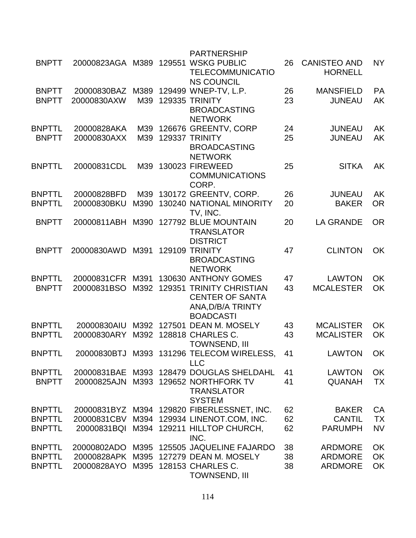|               |                  |      |        | <b>PARTNERSHIP</b>                              |    |                                       |           |
|---------------|------------------|------|--------|-------------------------------------------------|----|---------------------------------------|-----------|
| <b>BNPTT</b>  | 20000823AGA M389 |      | 129551 | <b>WSKG PUBLIC</b><br><b>TELECOMMUNICATIO</b>   | 26 | <b>CANISTEO AND</b><br><b>HORNELL</b> | <b>NY</b> |
|               |                  |      |        | <b>NS COUNCIL</b>                               |    |                                       |           |
| <b>BNPTT</b>  | 20000830BAZ      | M389 |        | 129499 WNEP-TV, L.P.                            | 26 | <b>MANSFIELD</b>                      | PA        |
| <b>BNPTT</b>  | 20000830AXW      | M39  |        | <b>129335 TRINITY</b>                           | 23 | <b>JUNEAU</b>                         | AK        |
|               |                  |      |        | <b>BROADCASTING</b>                             |    |                                       |           |
|               |                  |      |        | <b>NETWORK</b>                                  |    |                                       |           |
| <b>BNPTTL</b> | 20000828AKA      | M39  |        | 126676 GREENTV, CORP<br>129337 TRINITY          | 24 | <b>JUNEAU</b>                         | <b>AK</b> |
| <b>BNPTT</b>  | 20000830AXX      | M39  |        | <b>BROADCASTING</b>                             | 25 | <b>JUNEAU</b>                         | AK        |
|               |                  |      |        | <b>NETWORK</b>                                  |    |                                       |           |
| <b>BNPTTL</b> | 20000831CDL      | M39  |        | 130023 FIREWEED                                 | 25 | <b>SITKA</b>                          | AK        |
|               |                  |      |        | <b>COMMUNICATIONS</b>                           |    |                                       |           |
|               |                  |      |        | CORP.                                           |    |                                       |           |
| <b>BNPTTL</b> | 20000828BFD      | M39  |        | 130172 GREENTV, CORP.                           | 26 | <b>JUNEAU</b>                         | <b>AK</b> |
| <b>BNPTTL</b> | 20000830BKU      | M390 |        | 130240 NATIONAL MINORITY                        | 20 | <b>BAKER</b>                          | <b>OR</b> |
|               |                  |      |        | TV, INC.                                        |    |                                       |           |
| <b>BNPTT</b>  | 20000811ABH      | M390 |        | 127792 BLUE MOUNTAIN                            | 20 | <b>LA GRANDE</b>                      | <b>OR</b> |
|               |                  |      |        | <b>TRANSLATOR</b>                               |    |                                       |           |
|               |                  |      |        | <b>DISTRICT</b>                                 |    |                                       |           |
| <b>BNPTT</b>  | 20000830AWD      | M391 | 129109 | <b>TRINITY</b>                                  | 47 | <b>CLINTON</b>                        | OK        |
|               |                  |      |        | <b>BROADCASTING</b>                             |    |                                       |           |
|               |                  |      |        | <b>NETWORK</b>                                  |    |                                       |           |
| <b>BNPTTL</b> | 20000831CFR M391 |      |        | 130630 ANTHONY GOMES                            | 47 | <b>LAWTON</b>                         | OK        |
| <b>BNPTT</b>  | 20000831BSO      | M392 |        | <b>129351 TRINITY CHRISTIAN</b>                 | 43 | <b>MCALESTER</b>                      | OK        |
|               |                  |      |        | <b>CENTER OF SANTA</b>                          |    |                                       |           |
|               |                  |      |        | ANA, D/B/A TRINTY                               |    |                                       |           |
|               |                  |      |        | <b>BOADCASTI</b>                                |    |                                       |           |
| <b>BNPTTL</b> | 20000830AIU      | M392 | 127501 | <b>DEAN M. MOSELY</b>                           | 43 | <b>MCALISTER</b>                      | OK        |
| <b>BNPTTL</b> | 20000830ARY      | M392 |        | 128818 CHARLES C.                               | 43 | <b>MCALISTER</b>                      | OK        |
|               |                  |      |        | <b>TOWNSEND, III</b>                            |    |                                       |           |
| <b>BNPTTI</b> |                  |      |        | 20000830BTJ M393 131296 TELECOM WIRELESS        | 41 | <b>LAWTON</b>                         | OK        |
|               |                  |      |        | <b>LLC</b>                                      |    |                                       |           |
| <b>BNPTTL</b> |                  |      |        | 20000831BAE M393 128479 DOUGLAS SHELDAHL        | 41 | <b>LAWTON</b>                         | OK        |
| <b>BNPTT</b>  | 20000825AJN      |      |        | M393 129652 NORTHFORK TV                        | 41 | <b>QUANAH</b>                         | <b>TX</b> |
|               |                  |      |        | <b>TRANSLATOR</b>                               |    |                                       |           |
|               |                  |      |        | <b>SYSTEM</b>                                   |    |                                       |           |
| <b>BNPTTL</b> |                  |      |        | 20000831BYZ M394 129820 FIBERLESSNET, INC.      | 62 | <b>BAKER</b>                          | CA        |
| <b>BNPTTL</b> | 20000831CBV      |      |        | M394 129934 LINENOT.COM, INC.                   | 62 | <b>CANTIL</b>                         | <b>TX</b> |
| <b>BNPTTL</b> |                  |      |        | 20000831BQI M394 129211 HILLTOP CHURCH,<br>INC. | 62 | <b>PARUMPH</b>                        | <b>NV</b> |
| <b>BNPTTL</b> | 20000802ADO      |      |        | M395 125505 JAQUELINE FAJARDO                   | 38 | <b>ARDMORE</b>                        | OK        |
| <b>BNPTTL</b> |                  |      |        | 20000828APK M395 127279 DEAN M. MOSELY          | 38 | <b>ARDMORE</b>                        | OK        |
| <b>BNPTTL</b> | 20000828AYO      |      |        | M395 128153 CHARLES C.                          | 38 | <b>ARDMORE</b>                        | OK        |
|               |                  |      |        | TOWNSEND, III                                   |    |                                       |           |
|               |                  |      |        |                                                 |    |                                       |           |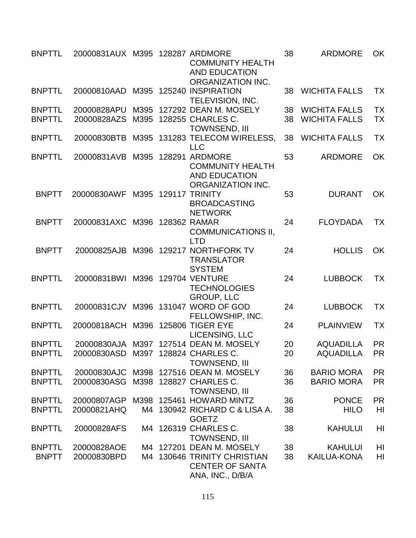| <b>BNPTTL</b> | 20000831AUX M395 128287 ARDMORE    |      | <b>COMMUNITY HEALTH</b><br><b>AND EDUCATION</b><br>ORGANIZATION INC.                   | 38 | <b>ARDMORE</b>       | <b>OK</b>      |
|---------------|------------------------------------|------|----------------------------------------------------------------------------------------|----|----------------------|----------------|
| <b>BNPTTL</b> | 20000810AAD                        |      | M395 125240 INSPIRATION<br><b>TELEVISION, INC.</b>                                     | 38 | <b>WICHITA FALLS</b> | <b>TX</b>      |
| <b>BNPTTL</b> | 20000828APU                        | M395 | 127292 DEAN M. MOSELY                                                                  | 38 | <b>WICHITA FALLS</b> | <b>TX</b>      |
| <b>BNPTTL</b> | 20000828AZS                        | M395 | 128255 CHARLES C.<br><b>TOWNSEND, III</b>                                              | 38 | <b>WICHITA FALLS</b> | <b>TX</b>      |
| <b>BNPTTL</b> | 20000830BTB                        |      | M395 131283 TELECOM WIRELESS,<br><b>LLC</b>                                            | 38 | <b>WICHITA FALLS</b> | <b>TX</b>      |
| <b>BNPTTL</b> | 20000831AVB                        | M395 | 128291 ARDMORE<br><b>COMMUNITY HEALTH</b><br><b>AND EDUCATION</b><br>ORGANIZATION INC. | 53 | <b>ARDMORE</b>       | OK             |
| <b>BNPTT</b>  | 20000830AWF                        |      | M395 129117 TRINITY<br><b>BROADCASTING</b><br><b>NETWORK</b>                           | 53 | <b>DURANT</b>        | <b>OK</b>      |
| <b>BNPTT</b>  | 20000831AXC                        |      | M396 128362 RAMAR<br><b>COMMUNICATIONS II,</b><br>LTD                                  | 24 | <b>FLOYDADA</b>      | <b>TX</b>      |
| <b>BNPTT</b>  | 20000825AJB                        |      | M396 129217 NORTHFORK TV<br><b>TRANSLATOR</b><br><b>SYSTEM</b>                         | 24 | <b>HOLLIS</b>        | <b>OK</b>      |
| <b>BNPTTL</b> | 20000831BWI                        |      | M396 129704 VENTURE<br><b>TECHNOLOGIES</b><br><b>GROUP, LLC</b>                        | 24 | <b>LUBBOCK</b>       | <b>TX</b>      |
| <b>BNPTTL</b> |                                    |      | 20000831CJV M396 131047 WORD OF GOD<br>FELLOWSHIP, INC.                                | 24 | <b>LUBBOCK</b>       | <b>TX</b>      |
| <b>BNPTTL</b> | 20000818ACH                        | M396 | <b>125806 TIGER EYE</b><br>LICENSING, LLC                                              | 24 | <b>PLAINVIEW</b>     | <b>TX</b>      |
| <b>BNPTTL</b> |                                    |      | 20000830AJA M397 127514 DEAN M. MOSELY                                                 | 20 | <b>AQUADILLA</b>     | <b>PR</b>      |
| <b>BNPTTL</b> | 20000830ASD M397 128824 CHARLES C. |      | <b>TOWNSEND, III</b>                                                                   | 20 | <b>AQUADILLA</b>     | <b>PR</b>      |
| <b>BNPTTL</b> |                                    |      | 20000830AJC M398 127516 DEAN M. MOSELY                                                 | 36 | <b>BARIO MORA</b>    | <b>PR</b>      |
| <b>BNPTTL</b> | 20000830ASG                        |      | M398 128827 CHARLES C.<br><b>TOWNSEND, III</b>                                         | 36 | <b>BARIO MORA</b>    | <b>PR</b>      |
| <b>BNPTTL</b> |                                    |      | 20000807AGP M398 125461 HOWARD MINTZ                                                   | 36 | <b>PONCE</b>         | <b>PR</b>      |
| <b>BNPTTL</b> | 20000821AHQ                        |      | M4 130942 RICHARD C & LISA A.<br><b>GOETZ</b>                                          | 38 | <b>HILO</b>          | HI             |
| <b>BNPTTL</b> | 20000828AFS                        |      | M4 126319 CHARLES C.<br><b>TOWNSEND, III</b>                                           | 38 | <b>KAHULUI</b>       | HI             |
| <b>BNPTTL</b> | 20000828AOE                        |      | M4 127201 DEAN M. MOSELY                                                               | 38 | <b>KAHULUI</b>       | H <sub>l</sub> |
| <b>BNPTT</b>  | 20000830BPD                        | M4   | 130646 TRINITY CHRISTIAN<br><b>CENTER OF SANTA</b><br>ANA, INC., D/B/A                 | 38 | KAILUA-KONA          | HI             |

115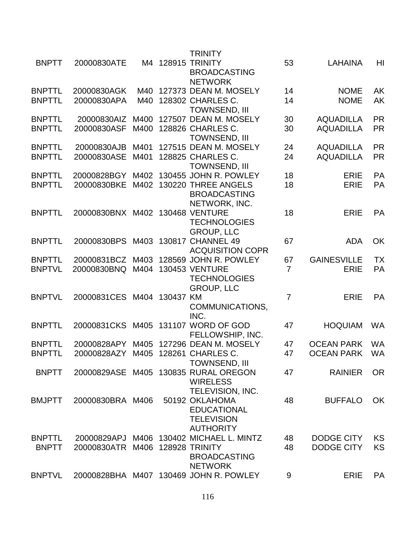|               |                                    |      |        | <b>TRINITY</b>                                |                |                    |           |
|---------------|------------------------------------|------|--------|-----------------------------------------------|----------------|--------------------|-----------|
| <b>BNPTT</b>  | 20000830ATE                        |      |        | M4 128915 TRINITY<br><b>BROADCASTING</b>      | 53             | <b>LAHAINA</b>     | HI        |
|               |                                    |      |        | <b>NETWORK</b>                                |                |                    |           |
| <b>BNPTTL</b> | 20000830AGK                        | M40  |        | 127373 DEAN M. MOSELY                         | 14             | <b>NOME</b>        | AK        |
| <b>BNPTTL</b> | 20000830APA                        | M40  |        | 128302 CHARLES C.                             | 14             | <b>NOME</b>        | AK        |
| <b>BNPTTL</b> | 20000830AIZ                        | M400 |        | <b>TOWNSEND, III</b><br>127507 DEAN M. MOSELY | 30             | <b>AQUADILLA</b>   | <b>PR</b> |
| <b>BNPTTL</b> | 20000830ASF                        | M400 |        | 128826 CHARLES C.                             | 30             | <b>AQUADILLA</b>   | <b>PR</b> |
|               |                                    |      |        | <b>TOWNSEND, III</b>                          |                |                    |           |
| <b>BNPTTL</b> | 20000830AJB                        | M401 |        | 127515 DEAN M. MOSELY                         | 24             | <b>AQUADILLA</b>   | <b>PR</b> |
| <b>BNPTTL</b> | 20000830ASE                        | M401 |        | 128825 CHARLES C.                             | 24             | <b>AQUADILLA</b>   | <b>PR</b> |
|               |                                    |      |        | <b>TOWNSEND, III</b>                          |                |                    |           |
| <b>BNPTTL</b> | 20000828BGY                        | M402 |        | 130455 JOHN R. POWLEY                         | 18             | <b>ERIE</b>        | <b>PA</b> |
| <b>BNPTTL</b> | 20000830BKE                        | M402 |        | 130220 THREE ANGELS                           | 18             | <b>ERIE</b>        | <b>PA</b> |
|               |                                    |      |        | <b>BROADCASTING</b>                           |                |                    |           |
|               |                                    |      |        | NETWORK, INC.                                 |                |                    |           |
| <b>BNPTTL</b> | 20000830BNX M402                   |      |        | <b>130468 VENTURE</b>                         | 18             | <b>ERIE</b>        | <b>PA</b> |
|               |                                    |      |        | <b>TECHNOLOGIES</b>                           |                |                    |           |
|               |                                    |      |        | <b>GROUP, LLC</b>                             |                |                    |           |
| <b>BNPTTL</b> | 20000830BPS                        |      |        | M403 130817 CHANNEL 49                        | 67             | <b>ADA</b>         | OK        |
|               |                                    |      |        | <b>ACQUISITION COPR</b>                       |                |                    |           |
| <b>BNPTTL</b> | 20000831BCZ                        | M403 |        | 128569 JOHN R. POWLEY                         | 67             | <b>GAINESVILLE</b> | <b>TX</b> |
| <b>BNPTVL</b> | 20000830BNQ                        | M404 |        | <b>130453 VENTURE</b>                         | $\overline{7}$ | <b>ERIE</b>        | <b>PA</b> |
|               |                                    |      |        | <b>TECHNOLOGIES</b>                           |                |                    |           |
|               |                                    |      |        | <b>GROUP, LLC</b>                             |                |                    |           |
| <b>BNPTVL</b> | 20000831CES                        | M404 | 130437 | <b>KM</b>                                     | $\overline{7}$ | <b>ERIE</b>        | <b>PA</b> |
|               |                                    |      |        | COMMUNICATIONS,<br>INC.                       |                |                    |           |
| <b>BNPTTL</b> | 20000831CKS                        | M405 |        | 131107 WORD OF GOD                            | 47             | <b>HOQUIAM</b>     | <b>WA</b> |
|               |                                    |      |        | FELLOWSHIP, INC.                              |                |                    |           |
| <b>BNPTTL</b> |                                    |      |        | 20000828APY M405 127296 DEAN M. MOSELY        | 47             | <b>OCEAN PARK</b>  | <b>WA</b> |
| <b>BNPTTL</b> | 20000828AZY M405 128261 CHARLES C. |      |        |                                               | 47             | <b>OCEAN PARK</b>  | <b>WA</b> |
|               |                                    |      |        | <b>TOWNSEND, III</b>                          |                |                    |           |
| <b>BNPTT</b>  | 20000829ASE M405                   |      |        | 130835 RURAL OREGON                           | 47             | <b>RAINIER</b>     | <b>OR</b> |
|               |                                    |      |        | <b>WIRELESS</b>                               |                |                    |           |
|               |                                    |      |        | <b>TELEVISION, INC.</b>                       |                |                    |           |
| <b>BMJPTT</b> | 20000830BRA M406                   |      |        | 50192 OKLAHOMA                                | 48             | <b>BUFFALO</b>     | <b>OK</b> |
|               |                                    |      |        | <b>EDUCATIONAL</b>                            |                |                    |           |
|               |                                    |      |        | <b>TELEVISION</b>                             |                |                    |           |
|               |                                    |      |        | <b>AUTHORITY</b>                              |                |                    |           |
| <b>BNPTTL</b> |                                    |      |        | 20000829APJ M406 130402 MICHAEL L. MINTZ      | 48             | <b>DODGE CITY</b>  | <b>KS</b> |
| <b>BNPTT</b>  | 20000830ATR M406                   |      |        | <b>128928 TRINITY</b>                         | 48             | <b>DODGE CITY</b>  | <b>KS</b> |
|               |                                    |      |        | <b>BROADCASTING</b>                           |                |                    |           |
|               |                                    |      |        | <b>NETWORK</b>                                |                |                    |           |
| <b>BNPTVL</b> |                                    |      |        | 20000828BHA M407 130469 JOHN R. POWLEY        | 9              | <b>ERIE</b>        | <b>PA</b> |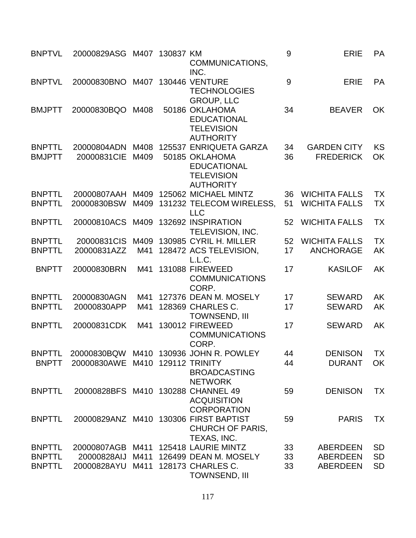| <b>BNPTVL</b>                  | 20000829ASG M407 130837 KM         |              | COMMUNICATIONS,<br>INC.                                                                                 | 9        | <b>ERIE</b>                                  | PA                     |
|--------------------------------|------------------------------------|--------------|---------------------------------------------------------------------------------------------------------|----------|----------------------------------------------|------------------------|
| <b>BNPTVL</b>                  | 20000830BNO                        |              | M407 130446 VENTURE<br><b>TECHNOLOGIES</b><br><b>GROUP, LLC</b>                                         | 9        | <b>ERIE</b>                                  | PA                     |
| <b>BMJPTT</b>                  | 20000830BQO                        | M408         | 50186 OKLAHOMA<br><b>EDUCATIONAL</b><br><b>TELEVISION</b><br><b>AUTHORITY</b>                           | 34       | <b>BEAVER</b>                                | OK                     |
| <b>BNPTTL</b><br><b>BMJPTT</b> | 20000804ADN<br>20000831CIE         | M408<br>M409 | 125537 ENRIQUETA GARZA<br>50185 OKLAHOMA<br><b>EDUCATIONAL</b><br><b>TELEVISION</b><br><b>AUTHORITY</b> | 34<br>36 | <b>GARDEN CITY</b><br><b>FREDERICK</b>       | <b>KS</b><br>OK        |
| <b>BNPTTL</b><br><b>BNPTTL</b> | 20000807AAH<br>20000830BSW         | M409         | M409 125062 MICHAEL MINTZ<br>131232 TELECOM WIRELESS,<br><b>LLC</b>                                     | 36<br>51 | <b>WICHITA FALLS</b><br><b>WICHITA FALLS</b> | <b>TX</b><br><b>TX</b> |
| <b>BNPTTL</b>                  | 20000810ACS                        | M409         | 132692 INSPIRATION<br>TELEVISION, INC.                                                                  | 52       | <b>WICHITA FALLS</b>                         | <b>TX</b>              |
| <b>BNPTTL</b>                  | 20000831CIS                        |              | M409 130985 CYRIL H. MILLER                                                                             | 52       | <b>WICHITA FALLS</b>                         | <b>TX</b>              |
| <b>BNPTTL</b>                  | 20000831AZZ                        | M41          | 128472 ACS TELEVISION,<br>L.L.C.                                                                        | 17       | <b>ANCHORAGE</b>                             | <b>AK</b>              |
| <b>BNPTT</b>                   | 20000830BRN                        | M41          | 131088 FIREWEED<br><b>COMMUNICATIONS</b><br>CORP.                                                       | 17       | <b>KASILOF</b>                               | <b>AK</b>              |
| <b>BNPTTL</b>                  | 20000830AGN                        | M41          | 127376 DEAN M. MOSELY                                                                                   | 17       | <b>SEWARD</b>                                | <b>AK</b>              |
| <b>BNPTTL</b>                  | 20000830APP                        | M41          | 128369 CHARLES C.<br>TOWNSEND, III                                                                      | 17       | <b>SEWARD</b>                                | <b>AK</b>              |
| <b>BNPTTL</b>                  | 20000831CDK                        | M41          | 130012 FIREWEED<br><b>COMMUNICATIONS</b><br>CORP.                                                       | 17       | <b>SEWARD</b>                                | <b>AK</b>              |
| <b>BNPTTL</b>                  |                                    |              | 20000830BQW M410 130936 JOHN R. POWLEY                                                                  | 44       | <b>DENISON</b>                               | <b>TX</b>              |
| <b>BNPTT</b>                   | 20000830AWE                        |              | M410 129112 TRINITY<br><b>BROADCASTING</b><br><b>NETWORK</b>                                            | 44       | <b>DURANT</b>                                | OK                     |
| <b>BNPTTL</b>                  | 20000828BFS M410 130288 CHANNEL 49 |              | <b>ACQUISITION</b><br><b>CORPORATION</b>                                                                | 59       | <b>DENISON</b>                               | TX                     |
| <b>BNPTTL</b>                  |                                    |              | 20000829ANZ M410 130306 FIRST BAPTIST<br><b>CHURCH OF PARIS,</b><br>TEXAS, INC.                         | 59       | <b>PARIS</b>                                 | <b>TX</b>              |
| <b>BNPTTL</b>                  | 20000807AGB                        |              | M411 125418 LAURIE MINTZ                                                                                | 33       | <b>ABERDEEN</b>                              | <b>SD</b>              |
| <b>BNPTTL</b>                  | 20000828AIJ                        | M411         | 126499 DEAN M. MOSELY                                                                                   | 33       | <b>ABERDEEN</b>                              | <b>SD</b>              |
| <b>BNPTTL</b>                  | 20000828AYU                        | M411         | 128173 CHARLES C.<br>TOWNSEND, III                                                                      | 33       | <b>ABERDEEN</b>                              | <b>SD</b>              |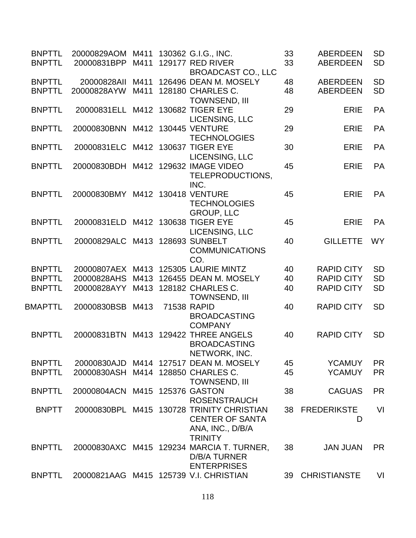| <b>BNPTTL</b>  | 20000829AOM M411                   |      | 130362 G.I.G., INC.                                  | 33 | <b>ABERDEEN</b>     | <b>SD</b> |
|----------------|------------------------------------|------|------------------------------------------------------|----|---------------------|-----------|
| <b>BNPTTL</b>  | 20000831BPP                        | M411 | <b>129177 RED RIVER</b><br><b>BROADCAST CO., LLC</b> | 33 | <b>ABERDEEN</b>     | <b>SD</b> |
| <b>BNPTTL</b>  | 20000828All                        | M411 | 126496 DEAN M. MOSELY                                | 48 | <b>ABERDEEN</b>     | <b>SD</b> |
| <b>BNPTTL</b>  | 20000828AYW                        | M411 | 128180 CHARLES C.                                    | 48 | <b>ABERDEEN</b>     | <b>SD</b> |
|                |                                    |      | <b>TOWNSEND, III</b>                                 |    |                     |           |
| <b>BNPTTL</b>  | 20000831ELL M412 130682 TIGER EYE  |      |                                                      | 29 | <b>ERIE</b>         | PA        |
|                |                                    |      | LICENSING, LLC                                       |    |                     |           |
| <b>BNPTTL</b>  | 20000830BNN M412 130445 VENTURE    |      | <b>TECHNOLOGIES</b>                                  | 29 | <b>ERIE</b>         | <b>PA</b> |
| <b>BNPTTL</b>  | 20000831ELC M412 130637 TIGER EYE  |      |                                                      | 30 | <b>ERIE</b>         | PA        |
|                |                                    |      | LICENSING, LLC                                       |    |                     |           |
| <b>BNPTTL</b>  | 20000830BDH                        |      | M412 129632 IMAGE VIDEO                              | 45 | <b>ERIE</b>         | PA        |
|                |                                    |      | TELEPRODUCTIONS,                                     |    |                     |           |
|                |                                    |      | INC.                                                 |    |                     |           |
| <b>BNPTTL</b>  | 20000830BMY M412 130418 VENTURE    |      |                                                      | 45 | <b>ERIE</b>         | <b>PA</b> |
|                |                                    |      | <b>TECHNOLOGIES</b>                                  |    |                     |           |
| <b>BNPTTL</b>  | 20000831ELD M412 130638 TIGER EYE  |      | <b>GROUP, LLC</b>                                    | 45 | <b>ERIE</b>         | <b>PA</b> |
|                |                                    |      | LICENSING, LLC                                       |    |                     |           |
| <b>BNPTTL</b>  | 20000829ALC M413 128693 SUNBELT    |      |                                                      | 40 | <b>GILLETTE</b>     | <b>WY</b> |
|                |                                    |      | <b>COMMUNICATIONS</b>                                |    |                     |           |
|                |                                    |      | CO.                                                  |    |                     |           |
| <b>BNPTTL</b>  | 20000807AEX M413                   |      | 125305 LAURIE MINTZ                                  | 40 | <b>RAPID CITY</b>   | <b>SD</b> |
| <b>BNPTTL</b>  | 20000828AHS                        | M413 | 126455 DEAN M. MOSELY                                | 40 | <b>RAPID CITY</b>   | <b>SD</b> |
| <b>BNPTTL</b>  | 20000828AYY M413 128182 CHARLES C. |      |                                                      | 40 | <b>RAPID CITY</b>   | <b>SD</b> |
|                |                                    |      | <b>TOWNSEND, III</b>                                 |    |                     |           |
| <b>BMAPTTL</b> | 20000830BSB M413                   |      | 71538 RAPID                                          | 40 | <b>RAPID CITY</b>   | <b>SD</b> |
|                |                                    |      | <b>BROADCASTING</b>                                  |    |                     |           |
| <b>BNPTTL</b>  | 20000831BTN                        |      | <b>COMPANY</b><br>M413 129422 THREE ANGELS           | 40 | <b>RAPID CITY</b>   | <b>SD</b> |
|                |                                    |      | <b>BROADCASTING</b>                                  |    |                     |           |
|                |                                    |      | NETWORK, INC.                                        |    |                     |           |
| <b>BNPTTL</b>  | 20000830AJD                        |      | M414 127517 DEAN M. MOSELY                           | 45 | <b>YCAMUY</b>       | <b>PR</b> |
| <b>BNPTTL</b>  | 20000830ASH                        |      | M414 128850 CHARLES C.                               | 45 | <b>YCAMUY</b>       | <b>PR</b> |
|                |                                    |      | <b>TOWNSEND, III</b>                                 |    |                     |           |
| <b>BNPTTL</b>  | 20000804ACN M415 125376 GASTON     |      |                                                      | 38 | <b>CAGUAS</b>       | <b>PR</b> |
|                |                                    |      | <b>ROSENSTRAUCH</b>                                  |    |                     |           |
| <b>BNPTT</b>   |                                    |      | 20000830BPL M415 130728 TRINITY CHRISTIAN            | 38 | <b>FREDERIKSTE</b>  | VI        |
|                |                                    |      | <b>CENTER OF SANTA</b><br>ANA, INC., D/B/A           |    | D                   |           |
|                |                                    |      | <b>TRINITY</b>                                       |    |                     |           |
| <b>BNPTTL</b>  |                                    |      | 20000830AXC M415 129234 MARCIA T. TURNER,            | 38 | <b>JAN JUAN</b>     | <b>PR</b> |
|                |                                    |      | <b>D/B/A TURNER</b>                                  |    |                     |           |
|                |                                    |      | <b>ENTERPRISES</b>                                   |    |                     |           |
| <b>BNPTTL</b>  |                                    |      | 20000821AAG M415 125739 V.I. CHRISTIAN               | 39 | <b>CHRISTIANSTE</b> | VI        |
|                |                                    |      |                                                      |    |                     |           |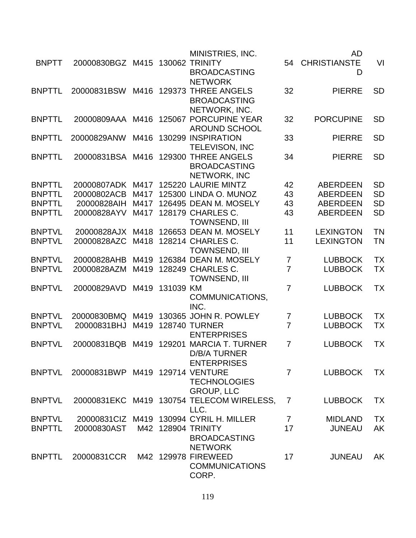|               |                                 |      |           | MINISTRIES, INC.                          |                | <b>AD</b>        |           |
|---------------|---------------------------------|------|-----------|-------------------------------------------|----------------|------------------|-----------|
| <b>BNPTT</b>  | 20000830BGZ M415 130062 TRINITY |      |           |                                           |                | 54 CHRISTIANSTE  | VI        |
|               |                                 |      |           | <b>BROADCASTING</b>                       |                | D                |           |
|               |                                 |      |           | <b>NETWORK</b>                            |                |                  |           |
| <b>BNPTTL</b> | 20000831BSW                     | M416 | 129373    | <b>THREE ANGELS</b>                       | 32             | <b>PIERRE</b>    | <b>SD</b> |
|               |                                 |      |           | <b>BROADCASTING</b>                       |                |                  |           |
|               |                                 |      |           | NETWORK, INC.                             |                |                  |           |
| <b>BNPTTL</b> |                                 |      |           | 20000809AAA M416 125067 PORCUPINE YEAR    | 32             | <b>PORCUPINE</b> | <b>SD</b> |
|               |                                 |      |           | <b>AROUND SCHOOL</b>                      |                |                  |           |
| <b>BNPTTL</b> | 20000829ANW                     | M416 |           | 130299 INSPIRATION                        | 33             | <b>PIERRE</b>    | <b>SD</b> |
|               |                                 |      |           | <b>TELEVISON, INC</b>                     |                |                  |           |
| <b>BNPTTL</b> | 20000831BSA                     | M416 | 129300    | <b>THREE ANGELS</b>                       | 34             | <b>PIERRE</b>    | <b>SD</b> |
|               |                                 |      |           | <b>BROADCASTING</b>                       |                |                  |           |
|               |                                 |      |           | NETWORK, INC                              |                |                  |           |
| <b>BNPTTL</b> | 20000807ADK                     | M417 |           | 125220 LAURIE MINTZ                       | 42             | <b>ABERDEEN</b>  | <b>SD</b> |
| <b>BNPTTL</b> | 20000802ACB                     | M417 |           | 125300 LINDA O. MUNOZ                     | 43             | <b>ABERDEEN</b>  | <b>SD</b> |
| <b>BNPTTL</b> | 20000828AIH                     | M417 |           | 126495 DEAN M. MOSELY                     | 43             | <b>ABERDEEN</b>  | <b>SD</b> |
| <b>BNPTTL</b> |                                 |      |           |                                           |                |                  |           |
|               | 20000828AYV                     | M417 |           | 128179 CHARLES C.                         | 43             | <b>ABERDEEN</b>  | <b>SD</b> |
|               |                                 |      |           | <b>TOWNSEND, III</b>                      |                |                  |           |
| <b>BNPTVL</b> | 20000828AJX M418                |      |           | 126653 DEAN M. MOSELY                     | 11             | <b>LEXINGTON</b> | <b>TN</b> |
| <b>BNPTVL</b> | 20000828AZC                     | M418 |           | 128214 CHARLES C.                         | 11             | <b>LEXINGTON</b> | <b>TN</b> |
|               |                                 |      |           | <b>TOWNSEND, III</b>                      |                |                  |           |
| <b>BNPTVL</b> | 20000828AHB                     | M419 |           | 126384 DEAN M. MOSELY                     | 7              | <b>LUBBOCK</b>   | <b>TX</b> |
| <b>BNPTVL</b> | 20000828AZM                     | M419 |           | 128249 CHARLES C.                         | $\overline{7}$ | <b>LUBBOCK</b>   | <b>TX</b> |
|               |                                 |      |           | <b>TOWNSEND, III</b>                      |                |                  |           |
| <b>BNPTVL</b> | 20000829AVD                     | M419 | 131039 KM |                                           | $\overline{7}$ | <b>LUBBOCK</b>   | TX        |
|               |                                 |      |           | COMMUNICATIONS,                           |                |                  |           |
|               |                                 |      |           | INC.                                      |                |                  |           |
| <b>BNPTVL</b> | 20000830BMQ                     | M419 |           | 130365 JOHN R. POWLEY                     | $\overline{7}$ | <b>LUBBOCK</b>   | <b>TX</b> |
| <b>BNPTVL</b> | 20000831BHJ                     | M419 |           | <b>128740 TURNER</b>                      | $\overline{7}$ | <b>LUBBOCK</b>   | <b>TX</b> |
|               |                                 |      |           | <b>ENTERPRISES</b>                        |                |                  |           |
| <b>BNPTVL</b> | 20000831BQB                     | M419 |           | 129201 MARCIA T. TURNER                   | $\overline{7}$ | <b>LUBBOCK</b>   | TX        |
|               |                                 |      |           | <b>D/B/A TURNER</b>                       |                |                  |           |
|               |                                 |      |           | <b>ENTERPRISES</b>                        |                |                  |           |
| <b>BNPTVL</b> | 20000831BWP M419 129714 VENTURE |      |           |                                           | $\overline{7}$ | <b>LUBBOCK</b>   | <b>TX</b> |
|               |                                 |      |           | <b>TECHNOLOGIES</b>                       |                |                  |           |
|               |                                 |      |           | <b>GROUP, LLC</b>                         |                |                  |           |
| <b>BNPTVL</b> |                                 |      |           | 20000831EKC M419 130754 TELECOM WIRELESS, | 7              | <b>LUBBOCK</b>   | <b>TX</b> |
|               |                                 |      |           | LLC.                                      |                |                  |           |
| <b>BNPTVL</b> |                                 |      |           | 20000831ClZ M419 130994 CYRIL H. MILLER   | $7^{\circ}$    | <b>MIDLAND</b>   | <b>TX</b> |
| <b>BNPTTL</b> | 20000830AST                     |      |           | M42 128904 TRINITY                        | 17             | <b>JUNEAU</b>    | AK        |
|               |                                 |      |           | <b>BROADCASTING</b>                       |                |                  |           |
|               |                                 |      |           | <b>NETWORK</b>                            |                |                  |           |
| <b>BNPTTL</b> | 20000831CCR                     |      |           | M42 129978 FIREWEED                       | 17             | <b>JUNEAU</b>    | AK        |
|               |                                 |      |           | <b>COMMUNICATIONS</b>                     |                |                  |           |
|               |                                 |      |           | CORP.                                     |                |                  |           |
|               |                                 |      |           |                                           |                |                  |           |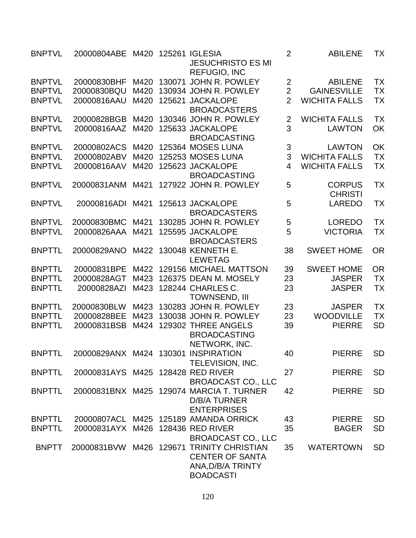| <b>BNPTVL</b> | 20000804ABE M420 125261 IGLESIA     |      | <b>JESUCHRISTO ES MI</b><br><b>REFUGIO, INC</b>                 | $\overline{2}$ | <b>ABILENE</b>       | TX         |
|---------------|-------------------------------------|------|-----------------------------------------------------------------|----------------|----------------------|------------|
| <b>BNPTVL</b> | 20000830BHF                         | M420 | 130071 JOHN R. POWLEY                                           | $\overline{2}$ | <b>ABILENE</b>       | <b>TX</b>  |
| <b>BNPTVL</b> | 20000830BQU                         | M420 | 130934 JOHN R. POWLEY                                           | $\overline{2}$ | <b>GAINESVILLE</b>   | <b>TX</b>  |
| <b>BNPTVL</b> | 20000816AAU                         | M420 | 125621 JACKALOPE                                                | $\overline{2}$ | <b>WICHITA FALLS</b> | <b>TX</b>  |
|               |                                     |      | <b>BROADCASTERS</b>                                             |                |                      |            |
| <b>BNPTVL</b> | 20000828BGB                         | M420 | 130346 JOHN R. POWLEY                                           | $\overline{2}$ | <b>WICHITA FALLS</b> | <b>TX</b>  |
| <b>BNPTVL</b> | 20000816AAZ                         | M420 | 125633 JACKALOPE                                                | 3              | <b>LAWTON</b>        | OK         |
|               |                                     |      | <b>BROADCASTING</b>                                             |                |                      |            |
| <b>BNPTVL</b> | 20000802ACS                         | M420 | 125364 MOSES LUNA                                               | 3              | <b>LAWTON</b>        | OK         |
|               |                                     |      |                                                                 | 3              |                      | <b>TX</b>  |
| <b>BNPTVL</b> | 20000802ABV                         | M420 | 125253 MOSES LUNA                                               |                | <b>WICHITA FALLS</b> |            |
| <b>BNPTVL</b> | 20000816AAV                         | M420 | 125623 JACKALOPE                                                | $\overline{4}$ | <b>WICHITA FALLS</b> | <b>TX</b>  |
|               |                                     |      | <b>BROADCASTING</b>                                             |                |                      |            |
| <b>BNPTVL</b> | 20000831ANM M421                    |      | 127922 JOHN R. POWLEY                                           | 5              | <b>CORPUS</b>        | <b>TX</b>  |
|               |                                     |      |                                                                 |                | <b>CHRISTI</b>       |            |
| <b>BNPTVL</b> | 20000816ADI                         | M421 | 125613 JACKALOPE                                                | 5              | <b>LAREDO</b>        | <b>TX</b>  |
|               |                                     |      | <b>BROADCASTERS</b>                                             |                |                      |            |
| <b>BNPTVL</b> | 20000830BMC                         | M421 | 130285 JOHN R. POWLEY                                           | 5              | <b>LOREDO</b>        | <b>TX</b>  |
| <b>BNPTVL</b> | 20000826AAA                         | M421 | 125595 JACKALOPE                                                | 5              | <b>VICTORIA</b>      | <b>TX</b>  |
|               |                                     |      | <b>BROADCASTERS</b>                                             |                |                      |            |
| <b>BNPTTL</b> | 20000829ANO                         | M422 | 130048 KENNETH E.<br><b>LEWETAG</b>                             | 38             | <b>SWEET HOME</b>    | <b>OR</b>  |
| <b>BNPTTL</b> | 20000831BPE                         | M422 | 129156 MICHAEL MATTSON                                          | 39             | <b>SWEET HOME</b>    | ${\sf OR}$ |
| <b>BNPTTL</b> | 20000828AGT                         | M423 | 126375 DEAN M. MOSELY                                           | 23             | <b>JASPER</b>        | <b>TX</b>  |
| <b>BNPTTL</b> | 20000828AZI                         | M423 | 128244 CHARLES C.<br><b>TOWNSEND, III</b>                       | 23             | <b>JASPER</b>        | <b>TX</b>  |
| <b>BNPTTL</b> | 20000830BLW                         |      | M423 130283 JOHN R. POWLEY                                      | 23             | <b>JASPER</b>        | <b>TX</b>  |
| <b>BNPTTL</b> | 20000828BEE                         | M423 | 130038 JOHN R. POWLEY                                           | 23             | <b>WOODVILLE</b>     | <b>TX</b>  |
| <b>BNPTTL</b> | 20000831BSB                         | M424 | 129302 THREE ANGELS                                             | 39             | <b>PIERRE</b>        | <b>SD</b>  |
|               |                                     |      | <b>BROADCASTING</b><br>NETWORK, INC.                            |                |                      |            |
| <b>BNPTTL</b> | 20000829ANX M424 130301 INSPIRATION |      |                                                                 | 40             | PIERRE               | <b>SD</b>  |
|               |                                     |      | TELEVISION, INC.                                                |                |                      |            |
| <b>BNPTTL</b> | 20000831AYS M425 128428 RED RIVER   |      |                                                                 | 27             | <b>PIERRE</b>        | <b>SD</b>  |
|               |                                     |      | <b>BROADCAST CO., LLC</b>                                       |                |                      |            |
| <b>BNPTTL</b> |                                     |      | 20000831BNX M425 129074 MARCIA T. TURNER                        | 42             | <b>PIERRE</b>        | <b>SD</b>  |
|               |                                     |      | <b>D/B/A TURNER</b>                                             |                |                      |            |
|               |                                     |      | <b>ENTERPRISES</b>                                              |                |                      |            |
| <b>BNPTTL</b> |                                     |      | 20000807ACL M425 125189 AMANDA ORRICK                           | 43             | <b>PIERRE</b>        | <b>SD</b>  |
| <b>BNPTTL</b> | 20000831AYX M426 128436 RED RIVER   |      |                                                                 | 35             | <b>BAGER</b>         | <b>SD</b>  |
|               |                                     |      | <b>BROADCAST CO., LLC</b>                                       |                |                      |            |
| <b>BNPTT</b>  |                                     |      | 20000831BVW M426 129671 TRINITY CHRISTIAN                       | 35             | <b>WATERTOWN</b>     | <b>SD</b>  |
|               |                                     |      | <b>CENTER OF SANTA</b><br>ANA, D/B/A TRINTY<br><b>BOADCASTI</b> |                |                      |            |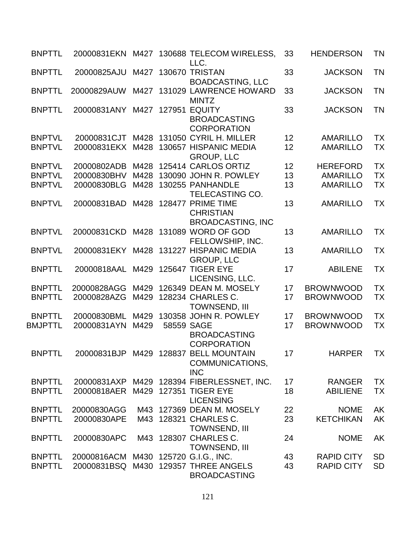| <b>BNPTTL</b>  |                                      |      |            | 20000831EKN M427 130688 TELECOM WIRELESS,<br>LLC.                      | 33 | <b>HENDERSON</b>  | <b>TN</b> |
|----------------|--------------------------------------|------|------------|------------------------------------------------------------------------|----|-------------------|-----------|
| <b>BNPTTL</b>  | 20000825AJU                          |      |            | M427 130670 TRISTAN<br><b>BOADCASTING, LLC</b>                         | 33 | <b>JACKSON</b>    | <b>TN</b> |
| <b>BNPTTL</b>  | 20000829AUW                          |      |            | M427 131029 LAWRENCE HOWARD<br><b>MINTZ</b>                            | 33 | <b>JACKSON</b>    | <b>TN</b> |
| <b>BNPTTL</b>  | 20000831ANY                          |      |            | M427 127951 EQUITY<br><b>BROADCASTING</b><br><b>CORPORATION</b>        | 33 | <b>JACKSON</b>    | <b>TN</b> |
| <b>BNPTVL</b>  | 20000831CJT                          |      |            | M428 131050 CYRIL H. MILLER                                            | 12 | <b>AMARILLO</b>   | <b>TX</b> |
| <b>BNPTVL</b>  | 20000831EKX                          | M428 |            | 130657 HISPANIC MEDIA<br><b>GROUP, LLC</b>                             | 12 | <b>AMARILLO</b>   | <b>TX</b> |
| <b>BNPTVL</b>  | 20000802ADB                          |      |            | M428 125414 CARLOS ORTIZ                                               | 12 | <b>HEREFORD</b>   | <b>TX</b> |
| <b>BNPTVL</b>  | 20000830BHV                          | M428 |            | 130090 JOHN R. POWLEY                                                  | 13 | <b>AMARILLO</b>   | <b>TX</b> |
| <b>BNPTVL</b>  | 20000830BLG                          | M428 |            | 130255 PANHANDLE                                                       | 13 | <b>AMARILLO</b>   | <b>TX</b> |
|                |                                      |      |            | TELECASTING CO.                                                        |    |                   |           |
| <b>BNPTVL</b>  | 20000831BAD                          | M428 |            | 128477 PRIME TIME<br><b>CHRISTIAN</b><br><b>BROADCASTING, INC</b>      | 13 | <b>AMARILLO</b>   | <b>TX</b> |
| <b>BNPTVL</b>  | 20000831CKD                          |      |            | M428 131089 WORD OF GOD<br>FELLOWSHIP, INC.                            | 13 | <b>AMARILLO</b>   | <b>TX</b> |
| <b>BNPTVL</b>  |                                      |      |            | 20000831EKY M428 131227 HISPANIC MEDIA<br><b>GROUP, LLC</b>            | 13 | <b>AMARILLO</b>   | <b>TX</b> |
| <b>BNPTTL</b>  | 20000818AAL                          | M429 |            | <b>125647 TIGER EYE</b><br>LICENSING, LLC.                             | 17 | <b>ABILENE</b>    | <b>TX</b> |
| <b>BNPTTL</b>  | 20000828AGG                          | M429 |            | 126349 DEAN M. MOSELY                                                  | 17 | <b>BROWNWOOD</b>  | <b>TX</b> |
| <b>BNPTTL</b>  | 20000828AZG                          | M429 |            | 128234 CHARLES C.<br><b>TOWNSEND, III</b>                              | 17 | <b>BROWNWOOD</b>  | <b>TX</b> |
| <b>BNPTTL</b>  | 20000830BML                          | M429 |            | 130358 JOHN R. POWLEY                                                  | 17 | <b>BROWNWOOD</b>  | <b>TX</b> |
| <b>BMJPTTL</b> | 20000831AYN                          | M429 | 58559 SAGE | <b>BROADCASTING</b><br><b>CORPORATION</b>                              | 17 | <b>BROWNWOOD</b>  | <b>TX</b> |
| <b>BNPTTL</b>  |                                      |      |            | 20000831BJP M429 128837 BELL MOUNTAIN<br>COMMUNICATIONS,<br><b>INC</b> | 17 | <b>HARPER</b>     | <b>TX</b> |
| <b>BNPTTL</b>  |                                      |      |            | 20000831AXP M429 128394 FIBERLESSNET, INC.                             | 17 | <b>RANGER</b>     | <b>TX</b> |
| <b>BNPTTL</b>  | 20000818AER M429 127351 TIGER EYE    |      |            | <b>LICENSING</b>                                                       | 18 | <b>ABILIENE</b>   | <b>TX</b> |
| <b>BNPTTL</b>  | 20000830AGG                          |      |            | M43 127369 DEAN M. MOSELY                                              | 22 | <b>NOME</b>       | <b>AK</b> |
| <b>BNPTTL</b>  | 20000830APE                          |      |            | M43 128321 CHARLES C.                                                  | 23 | <b>KETCHIKAN</b>  | AK        |
| <b>BNPTTL</b>  | 20000830APC                          |      |            | <b>TOWNSEND, III</b><br>M43 128307 CHARLES C.<br><b>TOWNSEND, III</b>  | 24 | <b>NOME</b>       | AK        |
| <b>BNPTTL</b>  | 20000816ACM M430 125720 G.I.G., INC. |      |            |                                                                        | 43 | <b>RAPID CITY</b> | <b>SD</b> |
| <b>BNPTTL</b>  | 20000831BSQ                          |      |            | M430 129357 THREE ANGELS<br><b>BROADCASTING</b>                        | 43 | <b>RAPID CITY</b> | <b>SD</b> |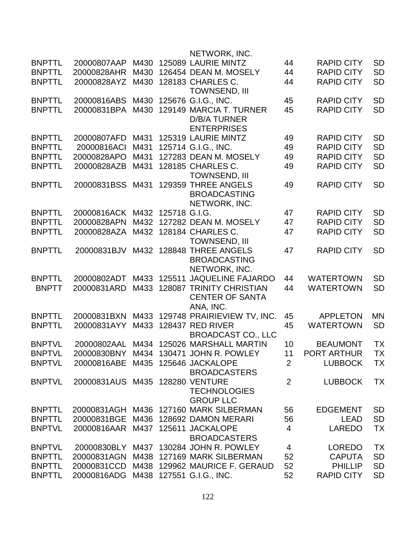|               |                                   |      |                    | NETWORK, INC.                    |                |                   |           |
|---------------|-----------------------------------|------|--------------------|----------------------------------|----------------|-------------------|-----------|
| <b>BNPTTL</b> | 20000807AAP                       | M430 |                    | 125089 LAURIE MINTZ              | 44             | <b>RAPID CITY</b> | <b>SD</b> |
| <b>BNPTTL</b> | 20000828AHR                       | M430 |                    | 126454 DEAN M. MOSELY            | 44             | <b>RAPID CITY</b> | <b>SD</b> |
| <b>BNPTTL</b> | 20000828AYZ                       | M430 |                    | 128183 CHARLES C.                | 44             | <b>RAPID CITY</b> | <b>SD</b> |
|               |                                   |      |                    | <b>TOWNSEND, III</b>             |                |                   |           |
| <b>BNPTTL</b> | 20000816ABS                       | M430 |                    | 125676 G.I.G., INC.              | 45             | <b>RAPID CITY</b> | <b>SD</b> |
| <b>BNPTTL</b> | 20000831BPA                       | M430 |                    | 129149 MARCIA T. TURNER          | 45             | <b>RAPID CITY</b> | <b>SD</b> |
|               |                                   |      |                    | <b>D/B/A TURNER</b>              |                |                   |           |
|               |                                   |      |                    | <b>ENTERPRISES</b>               |                |                   |           |
| <b>BNPTTL</b> | 20000807AFD                       | M431 |                    | 125319 LAURIE MINTZ              | 49             | <b>RAPID CITY</b> | <b>SD</b> |
| <b>BNPTTL</b> | 20000816ACI                       | M431 |                    | 125714 G.I.G., INC.              | 49             | <b>RAPID CITY</b> | <b>SD</b> |
| <b>BNPTTL</b> | 20000828APO                       | M431 |                    | 127283 DEAN M. MOSELY            | 49             | <b>RAPID CITY</b> | <b>SD</b> |
| <b>BNPTTL</b> | 20000828AZB                       | M431 |                    | 128185 CHARLES C.                | 49             | <b>RAPID CITY</b> | <b>SD</b> |
|               |                                   |      |                    | <b>TOWNSEND, III</b>             |                |                   |           |
| <b>BNPTTL</b> | 20000831BSS                       | M431 |                    | 129359 THREE ANGELS              | 49             | <b>RAPID CITY</b> | <b>SD</b> |
|               |                                   |      |                    | <b>BROADCASTING</b>              |                |                   |           |
|               |                                   |      |                    | NETWORK, INC.                    |                |                   |           |
| <b>BNPTTL</b> | 20000816ACK                       |      | M432 125718 G.I.G. |                                  | 47             | <b>RAPID CITY</b> | <b>SD</b> |
| <b>BNPTTL</b> | 20000828APN                       | M432 |                    | 127282 DEAN M. MOSELY            | 47             | <b>RAPID CITY</b> | <b>SD</b> |
| <b>BNPTTL</b> |                                   |      |                    |                                  |                |                   |           |
|               | 20000828AZA                       |      |                    | M432 128184 CHARLES C.           | 47             | <b>RAPID CITY</b> | <b>SD</b> |
|               |                                   |      |                    | <b>TOWNSEND, III</b>             |                |                   |           |
| <b>BNPTTL</b> | 20000831BJV                       |      |                    | M432 128848 THREE ANGELS         | 47             | <b>RAPID CITY</b> | <b>SD</b> |
|               |                                   |      |                    | <b>BROADCASTING</b>              |                |                   |           |
|               |                                   |      |                    | NETWORK, INC.                    |                |                   |           |
| <b>BNPTTL</b> | 20000802ADT                       | M433 |                    | 125511 JAQUELINE FAJARDO         | 44             | <b>WATERTOWN</b>  | <b>SD</b> |
| <b>BNPTT</b>  | 20000831ARD                       | M433 |                    | <b>128087 TRINITY CHRISTIAN</b>  | 44             | <b>WATERTOWN</b>  | <b>SD</b> |
|               |                                   |      |                    | <b>CENTER OF SANTA</b>           |                |                   |           |
|               |                                   |      |                    | ANA, INC.                        |                |                   |           |
| <b>BNPTTL</b> | 20000831BXN                       |      |                    | M433 129748 PRAIRIEVIEW TV, INC. | 45             | <b>APPLETON</b>   | MΝ        |
| <b>BNPTTL</b> | 20000831AYY                       | M433 |                    | <b>128437 RED RIVER</b>          | 45             | <b>WATERTOWN</b>  | <b>SD</b> |
|               |                                   |      |                    | <b>BROADCAST CO., LLC</b>        |                |                   |           |
| <b>BNPTVL</b> | 20000802AAL                       | M434 |                    | 125026 MARSHALL MARTIN           | 10             | <b>BEAUMONT</b>   | <b>TX</b> |
| <b>BNPTVI</b> | 20000830BNY                       |      |                    | M434 130471 JOHN R. POWLEY       | 11             | PORT ARTHUR       | ТX        |
| <b>BNPTVL</b> | 20000816ABE M435 125646 JACKALOPE |      |                    |                                  | 2              | <b>LUBBOCK</b>    | <b>TX</b> |
|               |                                   |      |                    | <b>BROADCASTERS</b>              |                |                   |           |
| <b>BNPTVL</b> | 20000831AUS M435 128280 VENTURE   |      |                    |                                  | $\overline{2}$ | <b>LUBBOCK</b>    | <b>TX</b> |
|               |                                   |      |                    | <b>TECHNOLOGIES</b>              |                |                   |           |
|               |                                   |      |                    | <b>GROUP LLC</b>                 |                |                   |           |
| <b>BNPTTL</b> | 20000831AGH                       |      |                    | M436 127160 MARK SILBERMAN       | 56             | <b>EDGEMENT</b>   | <b>SD</b> |
| <b>BNPTTL</b> | 20000831BGE                       |      |                    | M436 128692 DAMON MERARI         | 56             | <b>LEAD</b>       | <b>SD</b> |
| <b>BNPTVL</b> | 20000816AAR M437 125611 JACKALOPE |      |                    |                                  | $\overline{4}$ | <b>LAREDO</b>     | <b>TX</b> |
|               |                                   |      |                    | <b>BROADCASTERS</b>              |                |                   |           |
| <b>BNPTVL</b> | 20000830BLY                       |      |                    | M437 130284 JOHN R. POWLEY       | 4              | <b>LOREDO</b>     | <b>TX</b> |
| <b>BNPTTL</b> | 20000831AGN                       |      |                    | M438 127169 MARK SILBERMAN       | 52             | <b>CAPUTA</b>     | <b>SD</b> |
| <b>BNPTTL</b> | 20000831CCD                       |      |                    | M438 129962 MAURICE F. GERAUD    | 52             | <b>PHILLIP</b>    | <b>SD</b> |
| <b>BNPTTL</b> | 20000816ADG                       |      |                    | M438 127551 G.I.G., INC.         | 52             | <b>RAPID CITY</b> | <b>SD</b> |
|               |                                   |      |                    |                                  |                |                   |           |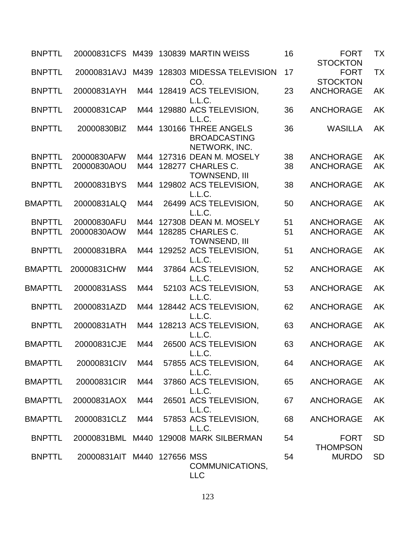| <b>BNPTTL</b>  |                             |     | 20000831 CFS M439 130839 MARTIN WEISS                                     | 16 | <b>FORT</b><br><b>STOCKTON</b>      | <b>TX</b> |
|----------------|-----------------------------|-----|---------------------------------------------------------------------------|----|-------------------------------------|-----------|
| <b>BNPTTL</b>  |                             |     | 20000831AVJ M439 128303 MIDESSA TELEVISION                                | 17 | <b>FORT</b>                         | <b>TX</b> |
| <b>BNPTTL</b>  | 20000831AYH                 |     | CO.<br>M44 128419 ACS TELEVISION,                                         | 23 | <b>STOCKTON</b><br><b>ANCHORAGE</b> | <b>AK</b> |
| <b>BNPTTL</b>  | 20000831CAP                 |     | L.L.C.<br>M44 129880 ACS TELEVISION,                                      | 36 | <b>ANCHORAGE</b>                    | <b>AK</b> |
| <b>BNPTTL</b>  | 20000830BIZ                 |     | L.L.C.<br>M44 130166 THREE ANGELS<br><b>BROADCASTING</b><br>NETWORK, INC. | 36 | <b>WASILLA</b>                      | <b>AK</b> |
| <b>BNPTTL</b>  | 20000830AFW                 |     | M44 127316 DEAN M. MOSELY                                                 | 38 | <b>ANCHORAGE</b>                    | AK        |
| <b>BNPTTL</b>  | 20000830AOU                 |     | M44 128277 CHARLES C.<br><b>TOWNSEND, III</b>                             | 38 | <b>ANCHORAGE</b>                    | AK        |
| <b>BNPTTL</b>  | 20000831BYS                 |     | M44 129802 ACS TELEVISION,<br>L.L.C.                                      | 38 | <b>ANCHORAGE</b>                    | AK        |
| <b>BMAPTTL</b> | 20000831ALQ                 | M44 | 26499 ACS TELEVISION,<br>L.L.C.                                           | 50 | <b>ANCHORAGE</b>                    | AK        |
| <b>BNPTTL</b>  | 20000830AFU                 | M44 | 127308 DEAN M. MOSELY                                                     | 51 | <b>ANCHORAGE</b>                    | <b>AK</b> |
| <b>BNPTTL</b>  | 20000830AOW                 |     | M44 128285 CHARLES C.<br><b>TOWNSEND, III</b>                             | 51 | <b>ANCHORAGE</b>                    | AK        |
| <b>BNPTTL</b>  | 20000831BRA                 |     | M44 129252 ACS TELEVISION,<br>L.L.C.                                      | 51 | <b>ANCHORAGE</b>                    | AK        |
| <b>BMAPTTL</b> | 20000831CHW                 | M44 | 37864 ACS TELEVISION,<br>L.L.C.                                           | 52 | <b>ANCHORAGE</b>                    | <b>AK</b> |
| <b>BMAPTTL</b> | 20000831ASS                 | M44 | 52103 ACS TELEVISION,<br>L.L.C.                                           | 53 | <b>ANCHORAGE</b>                    | <b>AK</b> |
| <b>BNPTTL</b>  | 20000831AZD                 |     | M44 128442 ACS TELEVISION,<br>L.L.C.                                      | 62 | <b>ANCHORAGE</b>                    | <b>AK</b> |
| <b>BNPTTL</b>  | 20000831ATH                 |     | M44 128213 ACS TELEVISION,<br>L.L.C.                                      | 63 | <b>ANCHORAGE</b>                    | <b>AK</b> |
| <b>BMAPTTL</b> | 20000831CJE                 | M44 | 26500 ACS TELEVISION<br>L.L.C.                                            | 63 | <b>ANCHORAGE</b>                    | AK        |
| <b>BMAPTTL</b> | 20000831CIV                 | M44 | 57855 ACS TELEVISION,<br>L.L.C.                                           | 64 | <b>ANCHORAGE</b>                    | AK        |
| <b>BMAPTTL</b> | 20000831CIR                 | M44 | 37860 ACS TELEVISION,<br>L.L.C.                                           | 65 | <b>ANCHORAGE</b>                    | AK        |
| <b>BMAPTTL</b> | 20000831AOX                 | M44 | 26501 ACS TELEVISION,<br>L.L.C.                                           | 67 | <b>ANCHORAGE</b>                    | <b>AK</b> |
| <b>BMAPTTL</b> | 20000831CLZ                 | M44 | 57853 ACS TELEVISION,<br>L.L.C.                                           | 68 | <b>ANCHORAGE</b>                    | AK        |
| <b>BNPTTL</b>  |                             |     | 20000831BML M440 129008 MARK SILBERMAN                                    | 54 | <b>FORT</b><br><b>THOMPSON</b>      | <b>SD</b> |
| <b>BNPTTL</b>  | 20000831AIT M440 127656 MSS |     | COMMUNICATIONS,<br><b>LLC</b>                                             | 54 | <b>MURDO</b>                        | <b>SD</b> |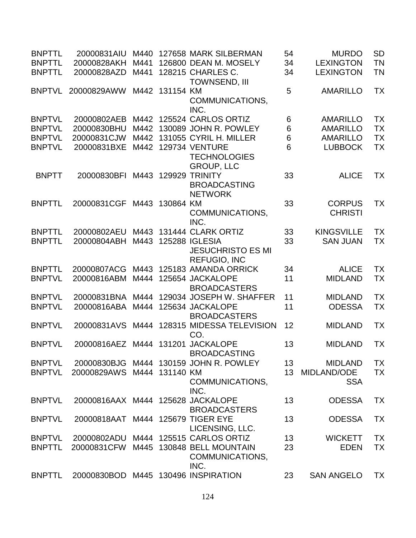| <b>BNPTTL</b> | 20000831AIU                         | M440 |                | 127658 MARK SILBERMAN                                             | 54              | <b>MURDO</b>      | <b>SD</b> |
|---------------|-------------------------------------|------|----------------|-------------------------------------------------------------------|-----------------|-------------------|-----------|
| <b>BNPTTL</b> | 20000828AKH                         | M441 |                | 126800 DEAN M. MOSELY                                             | 34              | <b>LEXINGTON</b>  | <b>TN</b> |
| <b>BNPTTL</b> | 20000828AZD                         | M441 |                | 128215 CHARLES C.<br><b>TOWNSEND, III</b>                         | 34              | <b>LEXINGTON</b>  | <b>TN</b> |
| <b>BNPTVL</b> | 20000829AWW                         | M442 | 131154 KM      | COMMUNICATIONS,                                                   | 5               | <b>AMARILLO</b>   | <b>TX</b> |
|               |                                     |      |                | INC.                                                              |                 |                   |           |
| <b>BNPTVL</b> | 20000802AEB                         |      |                | M442 125524 CARLOS ORTIZ                                          | 6               | <b>AMARILLO</b>   | <b>TX</b> |
| <b>BNPTVL</b> | 20000830BHU                         |      |                | M442 130089 JOHN R. POWLEY                                        | $6\phantom{1}6$ | <b>AMARILLO</b>   | <b>TX</b> |
| <b>BNPTVL</b> | 20000831CJW                         | M442 |                | 131055 CYRIL H. MILLER                                            | $6\phantom{1}6$ | <b>AMARILLO</b>   | <b>TX</b> |
| <b>BNPTVL</b> | 20000831BXE                         | M442 |                | <b>129734 VENTURE</b><br><b>TECHNOLOGIES</b><br><b>GROUP, LLC</b> | 6               | <b>LUBBOCK</b>    | <b>TX</b> |
| <b>BNPTT</b>  | 20000830BFI                         | M443 |                | <b>129929 TRINITY</b>                                             | 33              | <b>ALICE</b>      | ТX        |
|               |                                     |      |                | <b>BROADCASTING</b><br><b>NETWORK</b>                             |                 |                   |           |
| <b>BNPTTL</b> | 20000831CGF                         | M443 | 130864 KM      |                                                                   | 33              | <b>CORPUS</b>     | <b>TX</b> |
|               |                                     |      |                | COMMUNICATIONS,                                                   |                 | <b>CHRISTI</b>    |           |
|               |                                     |      |                | INC.                                                              |                 |                   |           |
| <b>BNPTTL</b> | 20000802AEU                         | M443 |                | 131444 CLARK ORTIZ                                                | 33              | <b>KINGSVILLE</b> | <b>TX</b> |
| <b>BNPTTL</b> | 20000804ABH                         | M443 |                | <b>125288 IGLESIA</b>                                             | 33              | <b>SAN JUAN</b>   | <b>TX</b> |
|               |                                     |      |                | <b>JESUCHRISTO ES MI</b><br><b>REFUGIO, INC</b>                   |                 |                   |           |
| <b>BNPTTL</b> | 20000807ACG                         | M443 |                | 125183 AMANDA ORRICK                                              | 34              | <b>ALICE</b>      | <b>TX</b> |
| <b>BNPTVL</b> | 20000816ABM                         | M444 |                | 125654 JACKALOPE                                                  | 11              | <b>MIDLAND</b>    | <b>TX</b> |
|               |                                     |      |                | <b>BROADCASTERS</b>                                               |                 |                   |           |
| <b>BNPTVL</b> | 20000831BNA                         | M444 |                | 129034 JOSEPH W. SHAFFER                                          | 11              | <b>MIDLAND</b>    | <b>TX</b> |
| <b>BNPTVL</b> | 20000816ABA                         | M444 |                | 125634 JACKALOPE<br><b>BROADCASTERS</b>                           | 11              | <b>ODESSA</b>     | <b>TX</b> |
| <b>BNPTVL</b> | 20000831AVS                         | M444 |                | 128315 MIDESSA TELEVISION<br>CO.                                  | 12              | <b>MIDLAND</b>    | <b>TX</b> |
| <b>BNPTVL</b> | 20000816AEZ M444                    |      |                | 131201 JACKALOPE<br><b>BROADCASTING</b>                           | 13              | <b>MIDLAND</b>    | <b>TX</b> |
| <b>BNPTVL</b> |                                     |      |                | 20000830BJG M444 130159 JOHN R. POWLEY                            | 13              | <b>MIDLAND</b>    | <b>TX</b> |
| <b>BNPTVL</b> | 20000829AWS                         |      | M444 131140 KM |                                                                   | 13              | MIDLAND/ODE       | <b>TX</b> |
|               |                                     |      |                | COMMUNICATIONS,<br>INC.                                           |                 | <b>SSA</b>        |           |
| <b>BNPTVL</b> | 20000816AAX M444 125628 JACKALOPE   |      |                | <b>BROADCASTERS</b>                                               | 13              | <b>ODESSA</b>     | <b>TX</b> |
| <b>BNPTVL</b> | 20000818AAT M444 125679 TIGER EYE   |      |                | LICENSING, LLC.                                                   | 13              | <b>ODESSA</b>     | <b>TX</b> |
| <b>BNPTVL</b> | 20000802ADU                         |      |                | M444 125515 CARLOS ORTIZ                                          | 13              | <b>WICKETT</b>    | <b>TX</b> |
| <b>BNPTTL</b> | 20000831CFW                         |      |                | M445 130848 BELL MOUNTAIN                                         | 23              | <b>EDEN</b>       | <b>TX</b> |
|               |                                     |      |                | COMMUNICATIONS,<br>INC.                                           |                 |                   |           |
| <b>BNPTTL</b> | 20000830BOD M445 130496 INSPIRATION |      |                |                                                                   | 23              | <b>SAN ANGELO</b> | <b>TX</b> |
|               |                                     |      |                |                                                                   |                 |                   |           |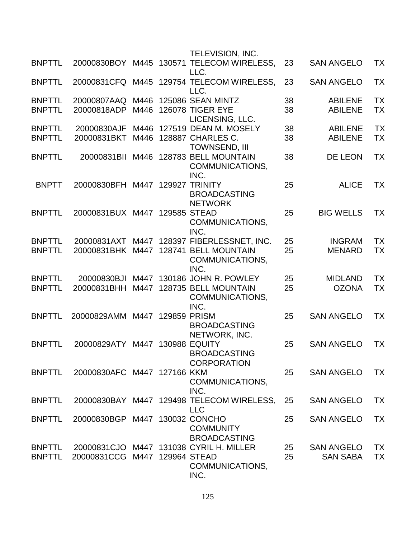|                                |                                |              |             | <b>TELEVISION, INC.</b>                                                                       |          |                                      |                        |
|--------------------------------|--------------------------------|--------------|-------------|-----------------------------------------------------------------------------------------------|----------|--------------------------------------|------------------------|
| <b>BNPTTL</b>                  |                                |              |             | 20000830BOY M445 130571 TELECOM WIRELESS,<br>LLC.                                             | 23       | <b>SAN ANGELO</b>                    | ТX                     |
| <b>BNPTTL</b>                  |                                |              |             | 20000831CFQ M445 129754 TELECOM WIRELESS,<br>LLC.                                             | 23       | <b>SAN ANGELO</b>                    | TX                     |
| <b>BNPTTL</b><br><b>BNPTTL</b> | 20000807AAQ<br>20000818ADP     | M446<br>M446 |             | 125086 SEAN MINTZ<br><b>126078 TIGER EYE</b><br>LICENSING, LLC.                               | 38<br>38 | <b>ABILENE</b><br><b>ABILENE</b>     | ТX<br><b>TX</b>        |
| <b>BNPTTL</b><br><b>BNPTTL</b> | 20000830AJF<br>20000831BKT     | M446         |             | 127519 DEAN M. MOSELY<br>M446 128887 CHARLES C.<br><b>TOWNSEND, III</b>                       | 38<br>38 | <b>ABILENE</b><br><b>ABILENE</b>     | TX<br><b>TX</b>        |
| <b>BNPTTL</b>                  | 20000831BII                    | M446         |             | 128783 BELL MOUNTAIN<br>COMMUNICATIONS,<br>INC.                                               | 38       | <b>DE LEON</b>                       | <b>TX</b>              |
| <b>BNPTT</b>                   | 20000830BFH                    | M447         | 129927      | <b>TRINITY</b><br><b>BROADCASTING</b><br><b>NETWORK</b>                                       | 25       | <b>ALICE</b>                         | ТX                     |
| <b>BNPTTL</b>                  | 20000831BUX M447 129585 STEAD  |              |             | COMMUNICATIONS,<br>INC.                                                                       | 25       | <b>BIG WELLS</b>                     | <b>TX</b>              |
| <b>BNPTTL</b><br><b>BNPTTL</b> | 20000831BHK M447               |              |             | 20000831AXT M447 128397 FIBERLESSNET, INC.<br>128741 BELL MOUNTAIN<br>COMMUNICATIONS,<br>INC. | 25<br>25 | <b>INGRAM</b><br><b>MENARD</b>       | <b>TX</b><br><b>TX</b> |
| <b>BNPTTL</b><br><b>BNPTTL</b> | 20000830BJI<br>20000831BHH     | M447<br>M447 |             | 130186 JOHN R. POWLEY<br>128735 BELL MOUNTAIN<br>COMMUNICATIONS,<br>INC.                      | 25<br>25 | <b>MIDLAND</b><br><b>OZONA</b>       | <b>TX</b><br>TX        |
| <b>BNPTTL</b>                  | 20000829AMM                    |              | M447 129859 | <b>PRISM</b><br><b>BROADCASTING</b><br>NETWORK, INC.                                          | 25       | <b>SAN ANGELO</b>                    | TX                     |
| <b>BNPTTL</b>                  | 20000829ATY                    | M447         |             | <b>130988 EQUITY</b><br><b>BROADCASTING</b><br><b>CORPORATION</b>                             | 25       | <b>SAN ANGELO</b>                    | TX                     |
| <b>BNPTTL</b>                  | 20000830AFC M447 127166 KKM    |              |             | COMMUNICATIONS,<br>INC.                                                                       | 25       | <b>SAN ANGELO</b>                    | <b>TX</b>              |
| <b>BNPTTL</b>                  |                                |              |             | 20000830BAY M447 129498 TELECOM WIRELESS,<br><b>LLC</b>                                       | 25       | <b>SAN ANGELO</b>                    | ТX                     |
| <b>BNPTTL</b>                  | 20000830BGP M447 130032 CONCHO |              |             | <b>COMMUNITY</b><br><b>BROADCASTING</b>                                                       | 25       | <b>SAN ANGELO</b>                    | ТX                     |
| <b>BNPTTL</b><br><b>BNPTTL</b> | 20000831CCG M447 129964 STEAD  |              |             | 20000831CJO M447 131038 CYRIL H. MILLER<br>COMMUNICATIONS,<br>INC.                            | 25<br>25 | <b>SAN ANGELO</b><br><b>SAN SABA</b> | ТX<br><b>TX</b>        |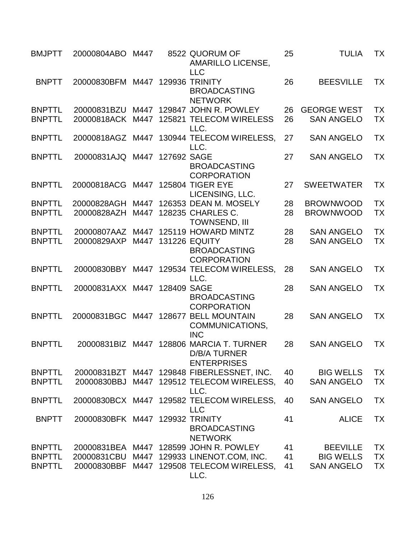| <b>BMJPTT</b>                  | 20000804ABO                          | M447 |             | 8522 QUORUM OF<br><b>AMARILLO LICENSE,</b><br><b>LLC</b>                              | 25       | <b>TULIA</b>                            | ТX                     |
|--------------------------------|--------------------------------------|------|-------------|---------------------------------------------------------------------------------------|----------|-----------------------------------------|------------------------|
| <b>BNPTT</b>                   | 20000830BFM M447 129936 TRINITY      |      |             | <b>BROADCASTING</b><br><b>NETWORK</b>                                                 | 26       | <b>BEESVILLE</b>                        | <b>TX</b>              |
| <b>BNPTTL</b><br><b>BNPTTL</b> | 20000831BZU M447<br>20000818ACK M447 |      |             | 129847 JOHN R. POWLEY<br>125821 TELECOM WIRELESS<br>LLC.                              | 26<br>26 | <b>GEORGE WEST</b><br><b>SAN ANGELO</b> | <b>TX</b><br><b>TX</b> |
| <b>BNPTTL</b>                  |                                      |      |             | 20000818AGZ M447 130944 TELECOM WIRELESS,<br>LLC.                                     | 27       | <b>SAN ANGELO</b>                       | <b>TX</b>              |
| <b>BNPTTL</b>                  | 20000831AJQ M447                     |      | 127692 SAGE | <b>BROADCASTING</b><br><b>CORPORATION</b>                                             | 27       | <b>SAN ANGELO</b>                       | TX                     |
| <b>BNPTTL</b>                  | 20000818ACG                          |      |             | M447 125804 TIGER EYE<br>LICENSING, LLC.                                              | 27       | <b>SWEETWATER</b>                       | <b>TX</b>              |
| <b>BNPTTL</b>                  | 20000828AGH                          | M447 |             | 126353 DEAN M. MOSELY                                                                 | 28       | <b>BROWNWOOD</b>                        | <b>TX</b>              |
| <b>BNPTTL</b>                  | 20000828AZH                          | M447 |             | 128235 CHARLES C.<br><b>TOWNSEND. III</b>                                             | 28       | <b>BROWNWOOD</b>                        | <b>TX</b>              |
| <b>BNPTTL</b>                  | 20000807AAZ                          |      |             | M447 125119 HOWARD MINTZ                                                              | 28       | <b>SAN ANGELO</b>                       | <b>TX</b>              |
| <b>BNPTTL</b>                  | 20000829AXP                          | M447 |             | <b>131226 EQUITY</b><br><b>BROADCASTING</b><br><b>CORPORATION</b>                     | 28       | <b>SAN ANGELO</b>                       | <b>TX</b>              |
| <b>BNPTTL</b>                  |                                      |      |             | 20000830BBY M447 129534 TELECOM WIRELESS,<br>LLC.                                     | 28       | <b>SAN ANGELO</b>                       | <b>TX</b>              |
| <b>BNPTTL</b>                  | 20000831AXX M447 128409 SAGE         |      |             | <b>BROADCASTING</b><br><b>CORPORATION</b>                                             | 28       | <b>SAN ANGELO</b>                       | TX                     |
| <b>BNPTTL</b>                  |                                      |      |             | 20000831BGC M447 128677 BELL MOUNTAIN<br>COMMUNICATIONS,<br><b>INC</b>                | 28       | <b>SAN ANGELO</b>                       | <b>TX</b>              |
| <b>BNPTTL</b>                  |                                      |      |             | 20000831BIZ M447 128806 MARCIA T. TURNER<br><b>D/B/A TURNER</b><br><b>ENTERPRISES</b> | 28       | <b>SAN ANGELO</b>                       | <b>TX</b>              |
| <b>BNPTTL</b>                  |                                      |      |             | 20000831BZT M447 129848 FIBERLESSNET, INC.                                            | 40       | <b>BIG WELLS</b>                        | <b>TX</b>              |
| <b>BNPTTL</b>                  | 20000830BBJ                          |      |             | M447 129512 TELECOM WIRELESS,<br>LLC.                                                 | 40       | <b>SAN ANGELO</b>                       | <b>TX</b>              |
| <b>BNPTTL</b>                  |                                      |      |             | 20000830BCX M447 129582 TELECOM WIRELESS,<br><b>LLC</b>                               | 40       | <b>SAN ANGELO</b>                       | <b>TX</b>              |
| <b>BNPTT</b>                   | 20000830BFK M447 129932 TRINITY      |      |             | <b>BROADCASTING</b><br><b>NETWORK</b>                                                 | 41       | <b>ALICE</b>                            | <b>TX</b>              |
| <b>BNPTTL</b>                  |                                      |      |             | 20000831BEA M447 128599 JOHN R. POWLEY                                                | 41       | <b>BEEVILLE</b>                         | <b>TX</b>              |
| <b>BNPTTL</b>                  | 20000831CBU                          |      |             | M447 129933 LINENOT.COM, INC.                                                         | 41       | <b>BIG WELLS</b>                        | <b>TX</b>              |
| <b>BNPTTL</b>                  | 20000830BBF                          |      |             | M447 129508 TELECOM WIRELESS,<br>LLC.                                                 | 41       | <b>SAN ANGELO</b>                       | <b>TX</b>              |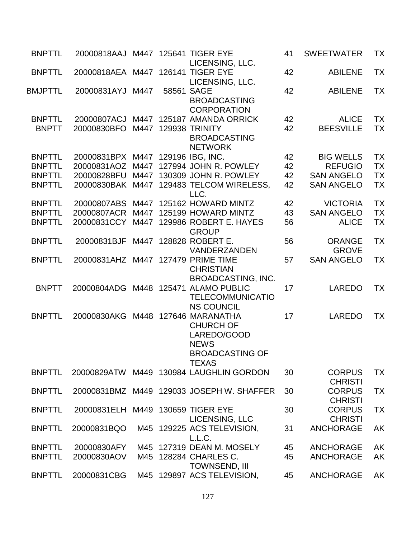| <b>BNPTTL</b>                 | 20000818AAJ M447 125641 TIGER EYE  |      | LICENSING, LLC.                                                                                                   | 41       | <b>SWEETWATER</b>                | TX                     |
|-------------------------------|------------------------------------|------|-------------------------------------------------------------------------------------------------------------------|----------|----------------------------------|------------------------|
| <b>BNPTTL</b>                 | 20000818AEA M447 126141 TIGER EYE  |      | LICENSING, LLC.                                                                                                   | 42       | <b>ABILENE</b>                   | <b>TX</b>              |
| BMJPTTL                       | 20000831AYJ                        | M447 | 58561 SAGE<br><b>BROADCASTING</b><br><b>CORPORATION</b>                                                           | 42       | <b>ABILENE</b>                   | TX                     |
| <b>BNPTTL</b><br><b>BNPTT</b> | 20000807ACJ<br>20000830BFO         |      | M447 125187 AMANDA ORRICK<br>M447 129938 TRINITY<br><b>BROADCASTING</b><br><b>NETWORK</b>                         | 42<br>42 | <b>ALICE</b><br><b>BEESVILLE</b> | <b>TX</b><br><b>TX</b> |
| <b>BNPTTL</b>                 | 20000831BPX                        |      | M447 129196 IBG, INC.                                                                                             | 42       | <b>BIG WELLS</b>                 | <b>TX</b>              |
| <b>BNPTTL</b>                 | 20000831AOZ                        |      | M447 127994 JOHN R. POWLEY                                                                                        | 42       | <b>REFUGIO</b>                   | <b>TX</b>              |
| <b>BNPTTL</b>                 | 20000828BFU                        | M447 | 130309 JOHN R. POWLEY                                                                                             | 42       | <b>SAN ANGELO</b>                | <b>TX</b>              |
| <b>BNPTTL</b>                 |                                    |      | 20000830BAK M447 129483 TELCOM WIRELESS,<br>LLC.                                                                  | 42       | <b>SAN ANGELO</b>                | <b>TX</b>              |
| <b>BNPTTL</b>                 | 20000807ABS                        |      | M447 125162 HOWARD MINTZ                                                                                          | 42       | <b>VICTORIA</b>                  | <b>TX</b>              |
| <b>BNPTTL</b>                 | 20000807ACR                        | M447 | 125199 HOWARD MINTZ                                                                                               | 43       | <b>SAN ANGELO</b>                | <b>TX</b>              |
| <b>BNPTTL</b>                 | 20000831CCY                        |      | M447 129986 ROBERT E. HAYES<br><b>GROUP</b>                                                                       | 56       | <b>ALICE</b>                     | <b>TX</b>              |
| <b>BNPTTL</b>                 | 20000831BJF                        |      | M447 128828 ROBERT E.<br>VANDERZANDEN                                                                             | 56       | <b>ORANGE</b><br><b>GROVE</b>    | <b>TX</b>              |
| <b>BNPTTL</b>                 | 20000831AHZ M447 127479 PRIME TIME |      | <b>CHRISTIAN</b><br><b>BROADCASTING, INC.</b>                                                                     | 57       | <b>SAN ANGELO</b>                | <b>TX</b>              |
| <b>BNPTT</b>                  | 20000804ADG                        |      | M448 125471 ALAMO PUBLIC<br><b>TELECOMMUNICATIO</b><br><b>NS COUNCIL</b>                                          | 17       | <b>LAREDO</b>                    | TX                     |
| <b>BNPTTL</b>                 | 20000830AKG                        |      | M448 127646 MARANATHA<br><b>CHURCH OF</b><br>LAREDO/GOOD<br><b>NEWS</b><br><b>BROADCASTING OF</b><br><b>TEXAS</b> | 17       | <b>LAREDO</b>                    | <b>TX</b>              |
| <b>BNPTTL</b>                 |                                    |      | 20000829ATW M449 130984 LAUGHLIN GORDON                                                                           | 30       | <b>CORPUS</b><br><b>CHRISTI</b>  | <b>TX</b>              |
| <b>BNPTTL</b>                 |                                    |      | 20000831BMZ M449 129033 JOSEPH W. SHAFFER                                                                         | 30       | <b>CORPUS</b><br><b>CHRISTI</b>  | <b>TX</b>              |
| <b>BNPTTL</b>                 | 20000831ELH M449 130659 TIGER EYE  |      | LICENSING, LLC                                                                                                    | 30       | <b>CORPUS</b><br><b>CHRISTI</b>  | <b>TX</b>              |
| <b>BNPTTL</b>                 | 20000831BQO                        |      | M45 129225 ACS TELEVISION,<br>L.L.C.                                                                              | 31       | <b>ANCHORAGE</b>                 | AK                     |
| <b>BNPTTL</b>                 | 20000830AFY                        |      | M45 127319 DEAN M. MOSELY                                                                                         | 45       | <b>ANCHORAGE</b>                 | <b>AK</b>              |
| <b>BNPTTL</b>                 | 20000830AOV                        |      | M45 128284 CHARLES C.<br><b>TOWNSEND, III</b>                                                                     | 45       | <b>ANCHORAGE</b>                 | <b>AK</b>              |
| <b>BNPTTL</b>                 | 20000831CBG                        |      | M45 129897 ACS TELEVISION,                                                                                        | 45       | <b>ANCHORAGE</b>                 | AK                     |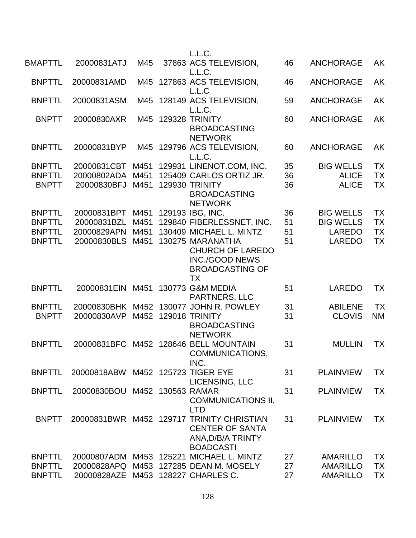|                                                |                                           |                      | L.L.C.                                                                                                                          |                |                                                  |                              |
|------------------------------------------------|-------------------------------------------|----------------------|---------------------------------------------------------------------------------------------------------------------------------|----------------|--------------------------------------------------|------------------------------|
| <b>BMAPTTL</b>                                 | 20000831ATJ                               | M45                  | 37863 ACS TELEVISION,<br>L.L.C.                                                                                                 | 46             | <b>ANCHORAGE</b>                                 | AK                           |
| <b>BNPTTL</b>                                  | 20000831AMD                               |                      | M45 127863 ACS TELEVISION,<br>L.L.C                                                                                             | 46             | <b>ANCHORAGE</b>                                 | AK                           |
| <b>BNPTTL</b>                                  | 20000831ASM                               |                      | M45 128149 ACS TELEVISION,<br>L.L.C.                                                                                            | 59             | <b>ANCHORAGE</b>                                 | AK                           |
| <b>BNPTT</b>                                   | 20000830AXR                               | M45                  | <b>129328 TRINITY</b><br><b>BROADCASTING</b><br><b>NETWORK</b>                                                                  | 60             | <b>ANCHORAGE</b>                                 | AK                           |
| <b>BNPTTL</b>                                  | 20000831BYP                               |                      | M45 129796 ACS TELEVISION,<br>L.L.C.                                                                                            | 60             | <b>ANCHORAGE</b>                                 | AK                           |
| <b>BNPTTL</b><br><b>BNPTTL</b><br><b>BNPTT</b> | 20000831CBT<br>20000802ADA<br>20000830BFJ | M451<br>M451<br>M451 | 129931 LINENOT.COM, INC.<br>125409 CARLOS ORTIZ JR.<br><b>129930 TRINITY</b><br><b>BROADCASTING</b><br><b>NETWORK</b>           | 35<br>36<br>36 | <b>BIG WELLS</b><br><b>ALICE</b><br><b>ALICE</b> | <b>TX</b><br><b>TX</b><br>ТX |
| <b>BNPTTL</b><br><b>BNPTTL</b>                 | 20000831BPT M451<br>20000831BZL           | M451                 | 129193 IBG, INC.<br>129840 FIBERLESSNET, INC.                                                                                   | 36<br>51       | <b>BIG WELLS</b><br><b>BIG WELLS</b>             | <b>TX</b><br><b>TX</b>       |
| <b>BNPTTL</b><br><b>BNPTTL</b>                 | 20000829APN<br>20000830BLS M451           | M451                 | 130409 MICHAEL L. MINTZ<br>130275 MARANATHA<br><b>CHURCH OF LAREDO</b><br><b>INC./GOOD NEWS</b><br><b>BROADCASTING OF</b><br>TX | 51<br>51       | <b>LAREDO</b><br><b>LAREDO</b>                   | <b>TX</b><br><b>TX</b>       |
| <b>BNPTTL</b>                                  | 20000831EIN                               | M451                 | 130773 G&M MEDIA<br>PARTNERS, LLC                                                                                               | 51             | <b>LAREDO</b>                                    | <b>TX</b>                    |
| <b>BNPTTL</b><br><b>BNPTT</b>                  | 20000830AVP                               | M452                 | 20000830BHK M452 130077 JOHN R. POWLEY<br>129018 TRINITY<br><b>BROADCASTING</b><br><b>NETWORK</b>                               | 31<br>31       | <b>ABILENE</b><br><b>CLOVIS</b>                  | <b>TX</b><br><b>NM</b>       |
| <b>BNPTTL</b>                                  |                                           |                      | 20000831BFC M452 128646 BELL MOUNTAIN<br><b>COMMUNICATIONS</b><br>INC.                                                          | 31             | <b>MULLIN</b>                                    | <b>TX</b>                    |
| <b>BNPTTL</b>                                  | 20000818ABW M452 125723 TIGER EYE         |                      | LICENSING, LLC                                                                                                                  | 31             | <b>PLAINVIEW</b>                                 | <b>TX</b>                    |
| <b>BNPTTL</b>                                  | 20000830BOU                               |                      | M452 130563 RAMAR<br><b>COMMUNICATIONS II,</b><br><b>LTD</b>                                                                    | 31             | <b>PLAINVIEW</b>                                 | <b>TX</b>                    |
| <b>BNPTT</b>                                   |                                           |                      | 20000831BWR M452 129717 TRINITY CHRISTIAN<br><b>CENTER OF SANTA</b><br>ANA, D/B/A TRINTY<br><b>BOADCASTI</b>                    | 31             | <b>PLAINVIEW</b>                                 | ТX                           |
| <b>BNPTTL</b>                                  |                                           |                      | 20000807ADM M453 125221 MICHAEL L. MINTZ                                                                                        | 27             | <b>AMARILLO</b>                                  | <b>TX</b>                    |
| <b>BNPTTL</b><br><b>BNPTTL</b>                 | 20000828AZE M453                          |                      | 20000828APQ M453 127285 DEAN M. MOSELY<br>128227 CHARLES C.                                                                     | 27<br>27       | <b>AMARILLO</b><br><b>AMARILLO</b>               | <b>TX</b><br><b>TX</b>       |
|                                                |                                           |                      |                                                                                                                                 |                |                                                  |                              |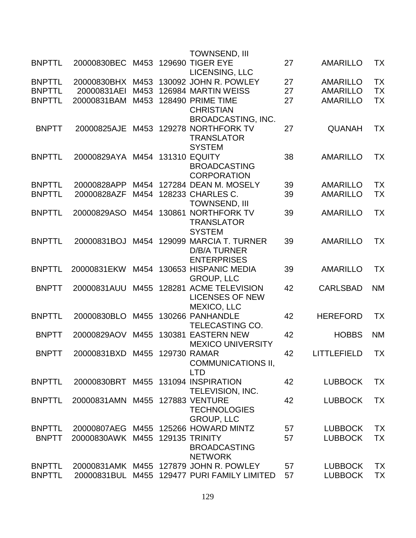|               |                                     |      |        | <b>TOWNSEND, III</b>                        |    |                 |           |
|---------------|-------------------------------------|------|--------|---------------------------------------------|----|-----------------|-----------|
| <b>BNPTTL</b> | 20000830BEC                         | M453 |        | <b>129690 TIGER EYE</b>                     | 27 | <b>AMARILLO</b> | <b>TX</b> |
|               |                                     |      |        | LICENSING, LLC                              |    |                 |           |
| <b>BNPTTL</b> | 20000830BHX                         | M453 |        | 130092 JOHN R. POWLEY                       | 27 | <b>AMARILLO</b> | <b>TX</b> |
| <b>BNPTTL</b> | 20000831AEI                         | M453 |        | 126984 MARTIN WEISS                         | 27 | <b>AMARILLO</b> | <b>TX</b> |
| <b>BNPTTL</b> | 20000831BAM                         | M453 |        | 128490 PRIME TIME                           | 27 | <b>AMARILLO</b> | <b>TX</b> |
|               |                                     |      |        | <b>CHRISTIAN</b>                            |    |                 |           |
|               |                                     |      |        | <b>BROADCASTING, INC.</b>                   |    |                 |           |
| <b>BNPTT</b>  | 20000825AJE                         | M453 |        | 129278 NORTHFORK TV                         | 27 | <b>QUANAH</b>   | TX        |
|               |                                     |      |        | <b>TRANSLATOR</b>                           |    |                 |           |
|               |                                     |      |        | <b>SYSTEM</b>                               |    |                 |           |
| <b>BNPTTL</b> | 20000829AYA M454                    |      |        | <b>131310 EQUITY</b>                        | 38 | <b>AMARILLO</b> | <b>TX</b> |
|               |                                     |      |        | <b>BROADCASTING</b>                         |    |                 |           |
|               |                                     |      |        | <b>CORPORATION</b>                          |    |                 |           |
| <b>BNPTTL</b> | 20000828APP                         |      |        | M454 127284 DEAN M. MOSELY                  | 39 | <b>AMARILLO</b> | <b>TX</b> |
| <b>BNPTTL</b> | 20000828AZF                         | M454 |        | 128233 CHARLES C.                           | 39 | <b>AMARILLO</b> | <b>TX</b> |
|               |                                     |      |        | <b>TOWNSEND, III</b>                        |    |                 |           |
| <b>BNPTTL</b> | 20000829ASO                         | M454 |        | 130861 NORTHFORK TV                         | 39 | <b>AMARILLO</b> | <b>TX</b> |
|               |                                     |      |        | <b>TRANSLATOR</b>                           |    |                 |           |
|               |                                     |      |        | <b>SYSTEM</b>                               |    |                 |           |
| <b>BNPTTL</b> | 20000831BOJ                         | M454 |        | 129099 MARCIA T. TURNER                     | 39 | <b>AMARILLO</b> | <b>TX</b> |
|               |                                     |      |        | <b>D/B/A TURNER</b>                         |    |                 |           |
|               |                                     |      |        | <b>ENTERPRISES</b>                          |    |                 |           |
| <b>BNPTTL</b> | 20000831EKW                         |      |        | M454 130653 HISPANIC MEDIA                  | 39 | <b>AMARILLO</b> | <b>TX</b> |
|               |                                     |      |        | <b>GROUP, LLC</b>                           |    |                 |           |
| <b>BNPTT</b>  | 20000831AUU                         | M455 | 128281 | <b>ACME TELEVISION</b>                      | 42 | <b>CARLSBAD</b> | <b>NM</b> |
|               |                                     |      |        | <b>LICENSES OF NEW</b>                      |    |                 |           |
|               |                                     |      |        | <b>MEXICO, LLC</b>                          |    |                 |           |
| <b>BNPTTL</b> | 20000830BLO                         | M455 |        | 130266 PANHANDLE                            | 42 | <b>HEREFORD</b> | <b>TX</b> |
|               |                                     |      |        | <b>TELECASTING CO.</b>                      |    |                 |           |
| <b>BNPTT</b>  | 20000829AOV                         | M455 |        | 130381 EASTERN NEW                          | 42 | <b>HOBBS</b>    | <b>NM</b> |
|               |                                     |      |        | <b>MEXICO UNIVERSITY</b>                    |    |                 |           |
| <b>BNPTT</b>  | 20000831BXD M455 129730 RAMAR       |      |        |                                             | 42 | LITTLEFIELD     | TХ        |
|               |                                     |      |        | <b>COMMUNICATIONS II,</b>                   |    |                 |           |
|               |                                     |      |        | <b>LTD</b>                                  |    |                 |           |
| <b>BNPTTL</b> | 20000830BRT M455 131094 INSPIRATION |      |        |                                             | 42 | <b>LUBBOCK</b>  | <b>TX</b> |
|               |                                     |      |        | TELEVISION, INC.                            |    |                 |           |
| <b>BNPTTL</b> | 20000831AMN M455 127883 VENTURE     |      |        |                                             | 42 | <b>LUBBOCK</b>  | <b>TX</b> |
|               |                                     |      |        | <b>TECHNOLOGIES</b>                         |    |                 |           |
|               |                                     |      |        | <b>GROUP, LLC</b>                           |    |                 |           |
| <b>BNPTTL</b> |                                     |      |        | 20000807AEG M455 125266 HOWARD MINTZ        | 57 | <b>LUBBOCK</b>  | <b>TX</b> |
| <b>BNPTT</b>  | 20000830AWK M455 129135 TRINITY     |      |        |                                             | 57 | <b>LUBBOCK</b>  | <b>TX</b> |
|               |                                     |      |        | <b>BROADCASTING</b>                         |    |                 |           |
|               |                                     |      |        | <b>NETWORK</b>                              |    |                 |           |
| <b>BNPTTL</b> |                                     |      |        | 20000831AMK M455 127879 JOHN R. POWLEY      | 57 | <b>LUBBOCK</b>  | <b>TX</b> |
| <b>BNPTTL</b> |                                     |      |        | 20000831BUL M455 129477 PURI FAMILY LIMITED | 57 | <b>LUBBOCK</b>  | <b>TX</b> |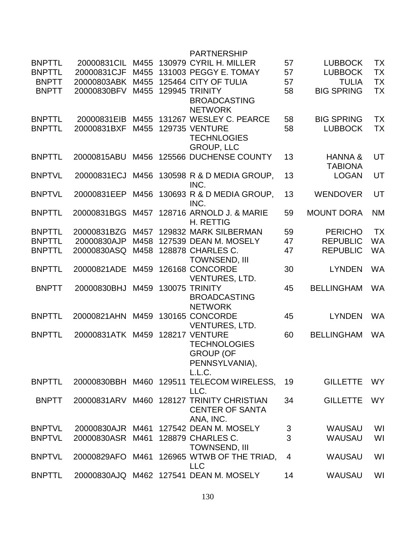|               |                  |      | <b>PARTNERSHIP</b>                     |                |                   |           |
|---------------|------------------|------|----------------------------------------|----------------|-------------------|-----------|
| <b>BNPTTL</b> | 20000831CIL      | M455 | 130979 CYRIL H. MILLER                 | 57             | <b>LUBBOCK</b>    | <b>TX</b> |
| <b>BNPTTL</b> | 20000831CJF      | M455 | 131003 PEGGY E. TOMAY                  | 57             | <b>LUBBOCK</b>    | <b>TX</b> |
| <b>BNPTT</b>  | 20000803ABK      | M455 | 125464 CITY OF TULIA                   | 57             | <b>TULIA</b>      | <b>TX</b> |
| <b>BNPTT</b>  | 20000830BFV      | M455 | 129945 TRINITY                         | 58             | <b>BIG SPRING</b> | <b>TX</b> |
|               |                  |      | <b>BROADCASTING</b>                    |                |                   |           |
|               |                  |      | <b>NETWORK</b>                         |                |                   |           |
| <b>BNPTTL</b> |                  | M455 | 131267 WESLEY C. PEARCE                |                | <b>BIG SPRING</b> | <b>TX</b> |
|               | 20000831EIB      |      |                                        | 58             |                   |           |
| <b>BNPTTL</b> | 20000831BXF      | M455 | <b>129735 VENTURE</b>                  | 58             | <b>LUBBOCK</b>    | <b>TX</b> |
|               |                  |      | <b>TECHNLOGIES</b>                     |                |                   |           |
|               |                  |      | <b>GROUP, LLC</b>                      |                |                   |           |
| <b>BNPTTL</b> | 20000815ABU      | M456 | 125566 DUCHENSE COUNTY                 | 13             | HANNA&            | UT        |
|               |                  |      |                                        |                | <b>TABIONA</b>    |           |
| <b>BNPTVL</b> | 20000831ECJ      | M456 | 130598 R & D MEDIA GROUP,              | 13             | <b>LOGAN</b>      | UT        |
|               |                  |      | INC.                                   |                |                   |           |
| <b>BNPTVL</b> | 20000831EEP      | M456 | 130693 R & D MEDIA GROUP,              | 13             | <b>WENDOVER</b>   | UT        |
|               |                  |      | INC.                                   |                |                   |           |
| <b>BNPTTL</b> | 20000831BGS      | M457 | 128716 ARNOLD J. & MARIE               | 59             | <b>MOUNT DORA</b> | <b>NM</b> |
|               |                  |      | <b>H. RETTIG</b>                       |                |                   |           |
| <b>BNPTTL</b> | 20000831BZG      | M457 | 129832 MARK SILBERMAN                  | 59             | <b>PERICHO</b>    | <b>TX</b> |
| <b>BNPTTL</b> | 20000830AJP      | M458 | 127539 DEAN M. MOSELY                  | 47             | <b>REPUBLIC</b>   | <b>WA</b> |
| <b>BNPTTL</b> | 20000830ASQ      | M458 | 128878 CHARLES C.                      |                | <b>REPUBLIC</b>   | <b>WA</b> |
|               |                  |      |                                        | 47             |                   |           |
|               |                  |      | <b>TOWNSEND, III</b>                   |                |                   |           |
| <b>BNPTTL</b> | 20000821ADE      | M459 | 126168 CONCORDE                        | 30             | <b>LYNDEN</b>     | <b>WA</b> |
|               |                  |      | <b>VENTURES, LTD.</b>                  |                |                   |           |
| <b>BNPTT</b>  | 20000830BHJ      | M459 | 130075 TRINITY                         | 45             | <b>BELLINGHAM</b> | <b>WA</b> |
|               |                  |      | <b>BROADCASTING</b>                    |                |                   |           |
|               |                  |      | <b>NETWORK</b>                         |                |                   |           |
| <b>BNPTTL</b> | 20000821AHN      | M459 | 130165 CONCORDE                        | 45             | <b>LYNDEN</b>     | <b>WA</b> |
|               |                  |      | <b>VENTURES, LTD.</b>                  |                |                   |           |
| <b>BNPTTL</b> | 20000831ATK M459 |      | <b>128217 VENTURE</b>                  | 60             | <b>BELLINGHAM</b> | <b>WA</b> |
|               |                  |      | <b>TECHNOLOGIES</b>                    |                |                   |           |
|               |                  |      | <b>GROUP (OF</b>                       |                |                   |           |
|               |                  |      | PENNSYLVANIA),                         |                |                   |           |
|               |                  |      | L.L.C.                                 |                |                   |           |
| <b>BNPTTL</b> | 20000830BBH      |      | M460 129511 TELECOM WIRELESS,          | 19             | <b>GILLETTE</b>   | <b>WY</b> |
|               |                  |      | LLC.                                   |                |                   |           |
| <b>BNPTT</b>  |                  |      | <b>128127 TRINITY CHRISTIAN</b>        | 34             | <b>GILLETTE</b>   | WY.       |
|               | 20000831ARV M460 |      |                                        |                |                   |           |
|               |                  |      | <b>CENTER OF SANTA</b>                 |                |                   |           |
|               |                  |      | ANA, INC.                              |                |                   |           |
| <b>BNPTVL</b> | 20000830AJR M461 |      | 127542 DEAN M. MOSELY                  | 3              | <b>WAUSAU</b>     | WI        |
| <b>BNPTVL</b> | 20000830ASR      | M461 | 128879 CHARLES C.                      | 3              | WAUSAU            | WI        |
|               |                  |      | <b>TOWNSEND, III</b>                   |                |                   |           |
| <b>BNPTVL</b> | 20000829AFO      | M461 | 126965 WTWB OF THE TRIAD,              | $\overline{4}$ | <b>WAUSAU</b>     | WI        |
|               |                  |      | <b>LLC</b>                             |                |                   |           |
| <b>BNPTTL</b> |                  |      | 20000830AJQ M462 127541 DEAN M. MOSELY | 14             | <b>WAUSAU</b>     | WI        |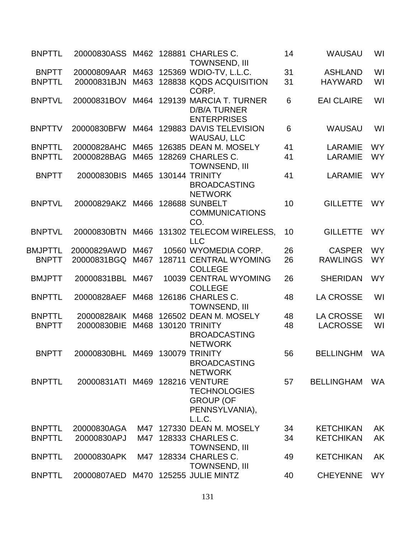| <b>BNPTTL</b>  | 20000830ASS M462 128881 CHARLES C. |      | <b>TOWNSEND, III</b>                                                 | 14 | <b>WAUSAU</b>     | WI        |
|----------------|------------------------------------|------|----------------------------------------------------------------------|----|-------------------|-----------|
| <b>BNPTT</b>   | 20000809AAR                        | M463 | 125369 WDIO-TV, L.L.C.                                               | 31 | <b>ASHLAND</b>    | WI        |
| <b>BNPTTL</b>  | 20000831BJN                        | M463 | 128838 KQDS ACQUISITION<br>CORP.                                     | 31 | <b>HAYWARD</b>    | WI        |
| <b>BNPTVL</b>  | 20000831BOV                        | M464 | 129139 MARCIA T. TURNER<br><b>D/B/A TURNER</b><br><b>ENTERPRISES</b> | 6  | <b>EAI CLAIRE</b> | WI        |
| <b>BNPTTV</b>  | 20000830BFW                        |      | M464 129883 DAVIS TELEVISION<br><b>WAUSAU, LLC</b>                   | 6  | <b>WAUSAU</b>     | WI        |
| <b>BNPTTL</b>  | 20000828AHC                        | M465 | 126385 DEAN M. MOSELY                                                | 41 | LARAMIE           | <b>WY</b> |
| <b>BNPTTL</b>  | 20000828BAG                        |      | M465 128269 CHARLES C.<br><b>TOWNSEND, III</b>                       | 41 | <b>LARAMIE</b>    | <b>WY</b> |
| <b>BNPTT</b>   | 20000830BIS                        | M465 | 130144 TRINITY<br><b>BROADCASTING</b><br><b>NETWORK</b>              | 41 | LARAMIE           | <b>WY</b> |
| <b>BNPTVL</b>  | 20000829AKZ                        | M466 | <b>128688 SUNBELT</b><br><b>COMMUNICATIONS</b><br>CO.                | 10 | <b>GILLETTE</b>   | <b>WY</b> |
| <b>BNPTVL</b>  | 20000830BTN                        | M466 | 131302 TELECOM WIRELESS,<br><b>LLC</b>                               | 10 | <b>GILLETTE</b>   | <b>WY</b> |
| <b>BMJPTTL</b> | 20000829AWD                        | M467 | 10560 WYOMEDIA CORP.                                                 | 26 | <b>CASPER</b>     | <b>WY</b> |
| <b>BNPTT</b>   | 20000831BGQ                        | M467 | 128711 CENTRAL WYOMING<br><b>COLLEGE</b>                             | 26 | <b>RAWLINGS</b>   | <b>WY</b> |
| <b>BMJPTT</b>  | 20000831BBL                        | M467 | 10039 CENTRAL WYOMING<br><b>COLLEGE</b>                              | 26 | <b>SHERIDAN</b>   | <b>WY</b> |
| <b>BNPTTL</b>  | 20000828AEF                        | M468 | 126186 CHARLES C.<br><b>TOWNSEND, III</b>                            | 48 | <b>LA CROSSE</b>  | WI        |
| <b>BNPTTL</b>  | 20000828AIK                        | M468 | 126502 DEAN M. MOSELY                                                | 48 | <b>LA CROSSE</b>  | WI        |
| <b>BNPTT</b>   | 20000830BIE                        | M468 | <b>130120 TRINITY</b><br><b>BROADCASTING</b><br><b>NETWORK</b>       | 48 | <b>LACROSSE</b>   | WI        |
| <b>BNPTT</b>   | 20000830BHL M469 130079 TRINITY    |      | <b>BROADCASTING</b><br><b>NETWORK</b>                                | 56 | BELLINGHM WA      |           |
| <b>BNPTTL</b>  | 20000831ATI M469 128216 VENTURE    |      | <b>TECHNOLOGIES</b><br><b>GROUP (OF</b><br>PENNSYLVANIA),<br>L.L.C.  | 57 | <b>BELLINGHAM</b> | WA        |
| <b>BNPTTL</b>  | 20000830AGA                        | M47  | 127330 DEAN M. MOSELY                                                | 34 | <b>KETCHIKAN</b>  | AK        |
| <b>BNPTTL</b>  | 20000830APJ                        |      | M47 128333 CHARLES C.<br><b>TOWNSEND, III</b>                        | 34 | <b>KETCHIKAN</b>  | AK        |
| <b>BNPTTL</b>  | 20000830APK                        |      | M47 128334 CHARLES C.<br><b>TOWNSEND, III</b>                        | 49 | <b>KETCHIKAN</b>  | AK        |
| <b>BNPTTL</b>  | 20000807AED                        | M470 | 125255 JULIE MINTZ                                                   | 40 | <b>CHEYENNE</b>   | <b>WY</b> |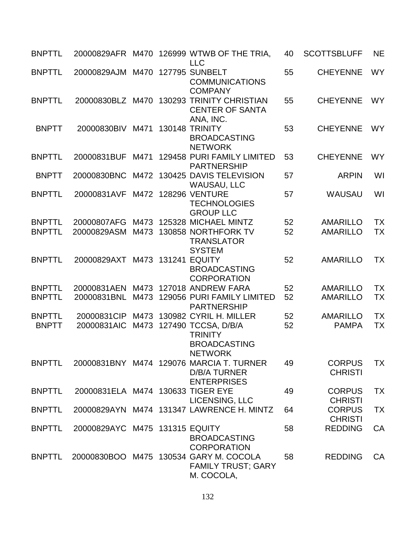| <b>BNPTTL</b>                  | 20000829AFR M470                  |              | 126999 WTWB OF THE TRIA,<br><b>LLC</b>                                                | 40       | <b>SCOTTSBLUFF</b>                 | <b>NE</b>       |
|--------------------------------|-----------------------------------|--------------|---------------------------------------------------------------------------------------|----------|------------------------------------|-----------------|
| <b>BNPTTL</b>                  | 20000829AJM M470 127795 SUNBELT   |              | <b>COMMUNICATIONS</b><br><b>COMPANY</b>                                               | 55       | <b>CHEYENNE</b>                    | <b>WY</b>       |
| <b>BNPTTL</b>                  | 20000830BLZ M470                  |              | 130293 TRINITY CHRISTIAN<br><b>CENTER OF SANTA</b><br>ANA, INC.                       | 55       | <b>CHEYENNE</b>                    | <b>WY</b>       |
| <b>BNPTT</b>                   | 20000830BIV M471                  |              | <b>130148 TRINITY</b><br><b>BROADCASTING</b><br><b>NETWORK</b>                        | 53       | <b>CHEYENNE</b>                    | <b>WY</b>       |
| <b>BNPTTL</b>                  | 20000831BUF                       | M471         | 129458 PURI FAMILY LIMITED<br><b>PARTNERSHIP</b>                                      | 53       | <b>CHEYENNE</b>                    | <b>WY</b>       |
| <b>BNPTT</b>                   | 20000830BNC                       | M472         | 130425 DAVIS TELEVISION<br><b>WAUSAU, LLC</b>                                         | 57       | <b>ARPIN</b>                       | WI              |
| <b>BNPTTL</b>                  | 20000831AVF                       | M472         | <b>128296 VENTURE</b><br><b>TECHNOLOGIES</b><br><b>GROUP LLC</b>                      | 57       | <b>WAUSAU</b>                      | WI              |
| <b>BNPTTL</b>                  | 20000807AFG                       | M473         | 125328 MICHAEL MINTZ                                                                  | 52       | <b>AMARILLO</b>                    | <b>TX</b>       |
| <b>BNPTTL</b>                  | 20000829ASM                       | M473         | 130858 NORTHFORK TV<br><b>TRANSLATOR</b><br><b>SYSTEM</b>                             | 52       | <b>AMARILLO</b>                    | TX              |
| <b>BNPTTL</b>                  | 20000829AXT M473 131241 EQUITY    |              | <b>BROADCASTING</b><br><b>CORPORATION</b>                                             | 52       | <b>AMARILLO</b>                    | <b>TX</b>       |
| <b>BNPTTL</b><br><b>BNPTTL</b> | 20000831AEN<br>20000831BNL        | M473<br>M473 | 127018 ANDREW FARA<br>129056 PURI FAMILY LIMITED<br><b>PARTNERSHIP</b>                | 52<br>52 | <b>AMARILLO</b><br><b>AMARILLO</b> | <b>TX</b><br>TX |
| <b>BNPTTL</b>                  | 20000831CIP                       |              | M473 130982 CYRIL H. MILLER                                                           | 52       | <b>AMARILLO</b>                    | <b>TX</b>       |
| <b>BNPTT</b>                   | 20000831AIC                       | M473         | 127490 TCCSA, D/B/A<br><b>TRINITY</b><br><b>BROADCASTING</b><br><b>NETWORK</b>        | 52       | <b>PAMPA</b>                       | <b>TX</b>       |
| <b>BNPTTL</b>                  |                                   |              | 20000831BNY M474 129076 MARCIA T. TURNER<br><b>D/B/A TURNER</b><br><b>ENTERPRISES</b> | 49       | <b>CORPUS</b><br><b>CHRISTI</b>    | <b>TX</b>       |
| <b>BNPTTL</b>                  | 20000831ELA M474 130633 TIGER EYE |              | LICENSING, LLC                                                                        | 49       | <b>CORPUS</b><br><b>CHRISTI</b>    | <b>TX</b>       |
| <b>BNPTTL</b>                  |                                   |              | 20000829AYN M474 131347 LAWRENCE H. MINTZ                                             | 64       | <b>CORPUS</b><br><b>CHRISTI</b>    | <b>TX</b>       |
| <b>BNPTTL</b>                  | 20000829AYC M475 131315 EQUITY    |              | <b>BROADCASTING</b><br><b>CORPORATION</b>                                             | 58       | <b>REDDING</b>                     | CA              |
| <b>BNPTTL</b>                  |                                   |              | 20000830BOO M475 130534 GARY M. COCOLA<br><b>FAMILY TRUST; GARY</b><br>M. COCOLA,     | 58       | <b>REDDING</b>                     | CA              |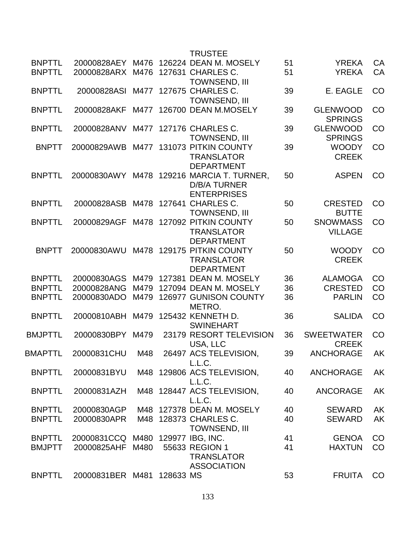|             |      |                                                                                   | <b>TRUSTEE</b>                                      |                                                                                                                                                                                                                                                                                                                                                                                                                                                                                                                                                                                                                                             |                                   |                                  |
|-------------|------|-----------------------------------------------------------------------------------|-----------------------------------------------------|---------------------------------------------------------------------------------------------------------------------------------------------------------------------------------------------------------------------------------------------------------------------------------------------------------------------------------------------------------------------------------------------------------------------------------------------------------------------------------------------------------------------------------------------------------------------------------------------------------------------------------------------|-----------------------------------|----------------------------------|
|             |      |                                                                                   |                                                     | 51<br>51                                                                                                                                                                                                                                                                                                                                                                                                                                                                                                                                                                                                                                    | <b>YREKA</b><br><b>YREKA</b>      | CA<br><b>CA</b>                  |
| 20000828ASI |      |                                                                                   |                                                     | 39                                                                                                                                                                                                                                                                                                                                                                                                                                                                                                                                                                                                                                          | E. EAGLE                          | CO                               |
| 20000828AKF | M477 |                                                                                   |                                                     | 39                                                                                                                                                                                                                                                                                                                                                                                                                                                                                                                                                                                                                                          | <b>GLENWOOD</b>                   | CO                               |
| 20000828ANV | M477 |                                                                                   |                                                     | 39                                                                                                                                                                                                                                                                                                                                                                                                                                                                                                                                                                                                                                          | <b>GLENWOOD</b>                   | CO                               |
| 20000829AWB |      |                                                                                   | <b>TRANSLATOR</b><br><b>DEPARTMENT</b>              | 39                                                                                                                                                                                                                                                                                                                                                                                                                                                                                                                                                                                                                                          | <b>WOODY</b><br><b>CREEK</b>      | CO                               |
|             | M478 |                                                                                   | <b>D/B/A TURNER</b><br><b>ENTERPRISES</b>           | 50                                                                                                                                                                                                                                                                                                                                                                                                                                                                                                                                                                                                                                          | <b>ASPEN</b>                      | CO                               |
| 20000828ASB |      |                                                                                   | <b>TOWNSEND, III</b>                                | 50                                                                                                                                                                                                                                                                                                                                                                                                                                                                                                                                                                                                                                          | <b>CRESTED</b><br><b>BUTTE</b>    | CO                               |
| 20000829AGF | M478 |                                                                                   | <b>TRANSLATOR</b><br><b>DEPARTMENT</b>              | 50                                                                                                                                                                                                                                                                                                                                                                                                                                                                                                                                                                                                                                          | <b>SNOWMASS</b><br><b>VILLAGE</b> | CO                               |
| 20000830AWU | M478 |                                                                                   | <b>TRANSLATOR</b><br><b>DEPARTMENT</b>              | 50                                                                                                                                                                                                                                                                                                                                                                                                                                                                                                                                                                                                                                          | <b>WOODY</b><br><b>CREEK</b>      | CO                               |
| 20000830AGS | M479 |                                                                                   |                                                     | 36                                                                                                                                                                                                                                                                                                                                                                                                                                                                                                                                                                                                                                          | <b>ALAMOGA</b>                    | CO                               |
| 20000828ANG | M479 |                                                                                   |                                                     | 36                                                                                                                                                                                                                                                                                                                                                                                                                                                                                                                                                                                                                                          | <b>CRESTED</b>                    | CO                               |
| 20000830ADO | M479 |                                                                                   | METRO.                                              | 36                                                                                                                                                                                                                                                                                                                                                                                                                                                                                                                                                                                                                                          | <b>PARLIN</b>                     | CO                               |
|             | M479 |                                                                                   | <b>SWINEHART</b>                                    | 36                                                                                                                                                                                                                                                                                                                                                                                                                                                                                                                                                                                                                                          | <b>SALIDA</b>                     | CO                               |
| 20000830BPY | M479 |                                                                                   | USA, LLC                                            | 36                                                                                                                                                                                                                                                                                                                                                                                                                                                                                                                                                                                                                                          | <b>SWEETWATER</b><br><b>CREEK</b> | CO                               |
| 20000831CHU | M48  |                                                                                   | L.L.C.                                              | 39                                                                                                                                                                                                                                                                                                                                                                                                                                                                                                                                                                                                                                          | <b>ANCHORAGE</b>                  | AΚ                               |
| 20000831BYU |      |                                                                                   | L.L.C.                                              | 40                                                                                                                                                                                                                                                                                                                                                                                                                                                                                                                                                                                                                                          | <b>ANCHORAGE</b>                  | AK                               |
| 20000831AZH |      |                                                                                   | L.L.C.                                              | 40                                                                                                                                                                                                                                                                                                                                                                                                                                                                                                                                                                                                                                          | <b>ANCORAGE</b>                   | AK                               |
|             |      |                                                                                   |                                                     | 40                                                                                                                                                                                                                                                                                                                                                                                                                                                                                                                                                                                                                                          | <b>SEWARD</b>                     | AK                               |
| 20000830APR |      |                                                                                   | <b>TOWNSEND, III</b>                                | 40                                                                                                                                                                                                                                                                                                                                                                                                                                                                                                                                                                                                                                          | <b>SEWARD</b>                     | AK                               |
|             |      |                                                                                   |                                                     | 41                                                                                                                                                                                                                                                                                                                                                                                                                                                                                                                                                                                                                                          | <b>GENOA</b>                      | CO                               |
| 20000825AHF | M480 |                                                                                   | <b>TRANSLATOR</b><br><b>ASSOCIATION</b>             | 41                                                                                                                                                                                                                                                                                                                                                                                                                                                                                                                                                                                                                                          | <b>HAXTUN</b>                     | CO                               |
|             |      |                                                                                   |                                                     | 53                                                                                                                                                                                                                                                                                                                                                                                                                                                                                                                                                                                                                                          | <b>FRUITA</b>                     | CO                               |
|             |      | 20000828AEY M476<br>20000828ARX M476<br>20000830AWY<br>20000810ABH<br>20000830AGP | M477<br>M48<br>20000831CCQ M480<br>20000831BER M481 | 126224 DEAN M. MOSELY<br>127631 CHARLES C.<br><b>TOWNSEND, III</b><br>127675 CHARLES C.<br><b>TOWNSEND, III</b><br>126700 DEAN M.MOSELY<br>127176 CHARLES C.<br><b>TOWNSEND, III</b><br>M477 131073 PITKIN COUNTY<br>129216 MARCIA T. TURNER,<br>M478 127641 CHARLES C.<br>127092 PITKIN COUNTY<br>129175 PITKIN COUNTY<br>127381 DEAN M. MOSELY<br>127094 DEAN M. MOSELY<br>126977 GUNISON COUNTY<br>125432 KENNETH D.<br>23179 RESORT TELEVISION<br>26497 ACS TELEVISION<br>M48 129806 ACS TELEVISION,<br>M48 128447 ACS TELEVISION,<br>127378 DEAN M. MOSELY<br>M48 128373 CHARLES C.<br>129977 IBG, INC.<br>55633 REGION 1<br>128633 MS |                                   | <b>SPRINGS</b><br><b>SPRINGS</b> |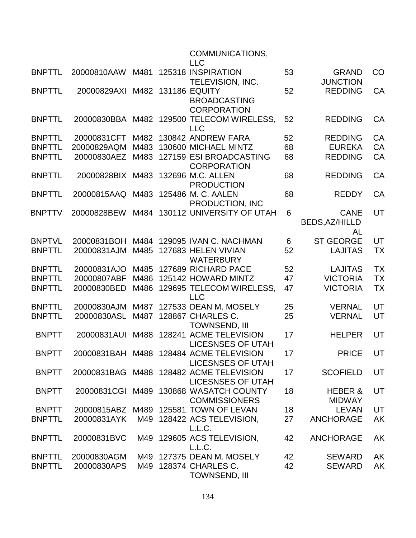|               |             |      | COMMUNICATIONS,<br><b>LLC</b>                                       |    |                                            |           |
|---------------|-------------|------|---------------------------------------------------------------------|----|--------------------------------------------|-----------|
| <b>BNPTTL</b> | 20000810AAW | M481 | 125318 INSPIRATION<br>TELEVISION, INC.                              | 53 | <b>GRAND</b><br><b>JUNCTION</b>            | CO        |
| <b>BNPTTL</b> | 20000829AXI |      | M482 131186 EQUITY<br><b>BROADCASTING</b><br><b>CORPORATION</b>     | 52 | <b>REDDING</b>                             | CA        |
| <b>BNPTTL</b> |             |      | 20000830BBA M482 129500 TELECOM WIRELESS,<br><b>LLC</b>             | 52 | <b>REDDING</b>                             | CA        |
| <b>BNPTTL</b> | 20000831CFT |      | M482 130842 ANDREW FARA                                             | 52 | <b>REDDING</b>                             | CA        |
| <b>BNPTTL</b> | 20000829AQM | M483 | 130600 MICHAEL MINTZ                                                | 68 | <b>EUREKA</b>                              | CA        |
| <b>BNPTTL</b> | 20000830AEZ |      | M483 127159 ESI BROADCASTING<br><b>CORPORATION</b>                  | 68 | <b>REDDING</b>                             | CA        |
| <b>BNPTTL</b> | 20000828BIX | M483 | 132696 M.C. ALLEN<br><b>PRODUCTION</b>                              | 68 | <b>REDDING</b>                             | CA        |
| <b>BNPTTL</b> | 20000815AAQ |      | M483 125486 M. C. AALEN<br>PRODUCTION, INC                          | 68 | <b>REDDY</b>                               | CA        |
| <b>BNPTTV</b> | 20000828BEW | M484 | 130112 UNIVERSITY OF UTAH                                           | 6  | <b>CANE</b><br><b>BEDS, AZ/HILLD</b><br>AL | UT        |
| <b>BNPTVL</b> | 20000831BOH | M484 | 129095 IVAN C. NACHMAN                                              | 6  | <b>ST GEORGE</b>                           | UT        |
| <b>BNPTTL</b> | 20000831AJM | M485 | 127683 HELEN VIVIAN<br><b>WATERBURY</b>                             | 52 | <b>LAJITAS</b>                             | <b>TX</b> |
| <b>BNPTTL</b> | 20000831AJO | M485 | 127689 RICHARD PACE                                                 | 52 | <b>LAJITAS</b>                             | <b>TX</b> |
| <b>BNPTTL</b> | 20000807ABF | M486 | 125142 HOWARD MINTZ                                                 | 47 | <b>VICTORIA</b>                            | <b>TX</b> |
| <b>BNPTTL</b> | 20000830BED | M486 | 129695 TELECOM WIRELESS,<br><b>LLC</b>                              | 47 | <b>VICTORIA</b>                            | TX        |
| <b>BNPTTL</b> | 20000830AJM | M487 | 127533 DEAN M. MOSELY                                               | 25 | <b>VERNAL</b>                              | UT        |
| <b>BNPTTL</b> | 20000830ASL | M487 | 128867 CHARLES C.<br><b>TOWNSEND, III</b>                           | 25 | <b>VERNAL</b>                              | UT        |
| <b>BNPTT</b>  | 20000831AUI | M488 | 128241 ACME TELEVISION<br><b>LICESNSES OF UTAH</b>                  | 17 | <b>HELPER</b>                              | UT        |
| <b>BNPTT</b>  |             |      | 20000831BAH M488 128484 ACME TELEVISION<br><b>LICESNSES OF UTAH</b> | 17 | <b>PRICE</b>                               | UT        |
| <b>BNPTT</b>  |             |      | 20000831BAG M488 128482 ACME TELEVISION<br><b>LICESNSES OF UTAH</b> | 17 | <b>SCOFIELD</b>                            | UT        |
| <b>BNPTT</b>  |             |      | 20000831CGI M489 130868 WASATCH COUNTY<br><b>COMMISSIONERS</b>      | 18 | HEBER &<br><b>MIDWAY</b>                   | UT        |
| <b>BNPTT</b>  |             |      | 20000815ABZ M489 125581 TOWN OF LEVAN                               | 18 | LEVAN                                      | UT        |
| <b>BNPTTL</b> | 20000831AYK |      | M49 128422 ACS TELEVISION,<br>L.L.C.                                | 27 | <b>ANCHORAGE</b>                           | AK        |
| <b>BNPTTL</b> | 20000831BVC |      | M49 129605 ACS TELEVISION,<br>L.L.C.                                | 42 | <b>ANCHORAGE</b>                           | <b>AK</b> |
| <b>BNPTTL</b> | 20000830AGM |      | M49 127375 DEAN M. MOSELY                                           | 42 | <b>SEWARD</b>                              | <b>AK</b> |
| <b>BNPTTL</b> | 20000830APS |      | M49 128374 CHARLES C.<br>TOWNSEND, III                              | 42 | <b>SEWARD</b>                              | <b>AK</b> |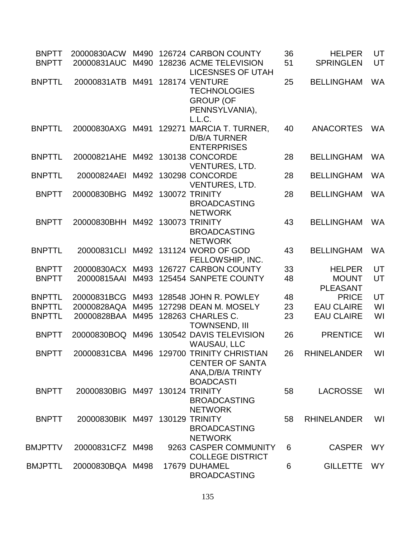| <b>BNPTT</b><br><b>BNPTT</b> | 20000831AUC M490                 |      | 20000830ACW M490 126724 CARBON COUNTY<br>128236 ACME TELEVISION<br><b>LICESNSES OF UTAH</b>                  | 36<br>51 | <b>HELPER</b><br><b>SPRINGLEN</b>                | UT<br>UT  |
|------------------------------|----------------------------------|------|--------------------------------------------------------------------------------------------------------------|----------|--------------------------------------------------|-----------|
| <b>BNPTTL</b>                | 20000831ATB M491                 |      | <b>128174 VENTURE</b><br><b>TECHNOLOGIES</b><br><b>GROUP (OF</b><br>PENNSYLVANIA),<br>L.L.C.                 | 25       | <b>BELLINGHAM</b>                                | <b>WA</b> |
| <b>BNPTTL</b>                | 20000830AXG                      |      | M491 129271 MARCIA T. TURNER,<br><b>D/B/A TURNER</b><br><b>ENTERPRISES</b>                                   | 40       | <b>ANACORTES</b>                                 | <b>WA</b> |
| <b>BNPTTL</b>                | 20000821AHE                      |      | M492 130138 CONCORDE<br><b>VENTURES, LTD.</b>                                                                | 28       | <b>BELLINGHAM</b>                                | <b>WA</b> |
| <b>BNPTTL</b>                | 20000824AEI M492 130298 CONCORDE |      | VENTURES, LTD.                                                                                               | 28       | <b>BELLINGHAM</b>                                | <b>WA</b> |
| <b>BNPTT</b>                 | 20000830BHG M492 130072 TRINITY  |      | <b>BROADCASTING</b><br><b>NETWORK</b>                                                                        | 28       | <b>BELLINGHAM</b>                                | <b>WA</b> |
| <b>BNPTT</b>                 | 20000830BHH M492 130073 TRINITY  |      | <b>BROADCASTING</b><br><b>NETWORK</b>                                                                        | 43       | <b>BELLINGHAM</b>                                | <b>WA</b> |
| <b>BNPTTL</b>                |                                  |      | 20000831CLI M492 131124 WORD OF GOD<br>FELLOWSHIP, INC.                                                      | 43       | <b>BELLINGHAM</b>                                | <b>WA</b> |
| <b>BNPTT</b><br><b>BNPTT</b> | 20000830ACX M493<br>20000815AAI  | M493 | 126727 CARBON COUNTY<br>125454 SANPETE COUNTY                                                                | 33<br>48 | <b>HELPER</b><br><b>MOUNT</b><br><b>PLEASANT</b> | UT<br>UT  |
| <b>BNPTTL</b>                | 20000831BCG                      | M493 | 128548 JOHN R. POWLEY                                                                                        | 48       | <b>PRICE</b>                                     | UT        |
| <b>BNPTTL</b>                | 20000828AQA                      | M495 | 127298 DEAN M. MOSELY                                                                                        | 23       | <b>EAU CLAIRE</b>                                | WI        |
| <b>BNPTTL</b>                | 20000828BAA M495                 |      | 128263 CHARLES C.<br><b>TOWNSEND, III</b>                                                                    | 23       | <b>EAU CLAIRE</b>                                | WI        |
| <b>BNPTT</b>                 |                                  |      | 20000830BOQ M496 130542 DAVIS TELEVISION<br><b>WAUSAU, LLC</b>                                               | 26       | <b>PRENTICE</b>                                  | WI        |
| <b>BNPTT</b>                 |                                  |      | 20000831CBA M496 129700 TRINITY CHRISTIAN<br><b>CENTER OF SANTA</b><br>ANA, D/B/A TRINTY<br><b>BOADCASTI</b> | 26       | RHINELANDER                                      | WI        |
| <b>BNPTT</b>                 | 20000830BIG M497 130124 TRINITY  |      | <b>BROADCASTING</b><br><b>NETWORK</b>                                                                        | 58       | <b>LACROSSE</b>                                  | WI        |
| <b>BNPTT</b>                 | 20000830BIK M497 130129 TRINITY  |      | <b>BROADCASTING</b><br><b>NETWORK</b>                                                                        | 58       | <b>RHINELANDER</b>                               | WI        |
| <b>BMJPTTV</b>               | 20000831CFZ M498                 |      | 9263 CASPER COMMUNITY<br><b>COLLEGE DISTRICT</b>                                                             | 6        | <b>CASPER</b>                                    | <b>WY</b> |
| <b>BMJPTTL</b>               | 20000830BQA M498                 |      | 17679 DUHAMEL<br><b>BROADCASTING</b>                                                                         | 6        | <b>GILLETTE</b>                                  | <b>WY</b> |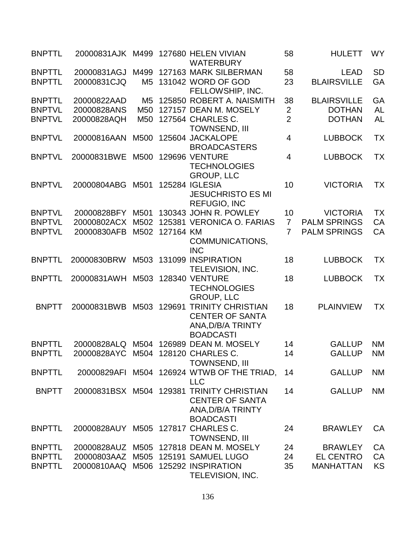| <b>BNPTTL</b> |                                     |                 |             | 20000831AJK M499 127680 HELEN VIVIAN<br><b>WATERBURY</b>                                                     | 58             | <b>HULETT</b>       | <b>WY</b> |
|---------------|-------------------------------------|-----------------|-------------|--------------------------------------------------------------------------------------------------------------|----------------|---------------------|-----------|
| <b>BNPTTL</b> | 20000831AGJ                         |                 |             | M499 127163 MARK SILBERMAN                                                                                   | 58             | <b>LEAD</b>         | <b>SD</b> |
| <b>BNPTTL</b> | 20000831CJQ                         | M5              |             | 131042 WORD OF GOD<br>FELLOWSHIP, INC.                                                                       | 23             | <b>BLAIRSVILLE</b>  | GA        |
| <b>BNPTTL</b> | 20000822AAD                         | M <sub>5</sub>  |             | 125850 ROBERT A. NAISMITH                                                                                    | 38             | <b>BLAIRSVILLE</b>  | GA        |
| <b>BNPTVL</b> | 20000828ANS                         | M <sub>50</sub> |             | 127157 DEAN M. MOSELY                                                                                        | $\overline{2}$ | <b>DOTHAN</b>       | <b>AL</b> |
| <b>BNPTVL</b> | 20000828AQH                         | M50             |             | 127564 CHARLES C.<br><b>TOWNSEND, III</b>                                                                    | $\overline{2}$ | <b>DOTHAN</b>       | <b>AL</b> |
| <b>BNPTVL</b> | 20000816AAN                         | M500            |             | 125604 JACKALOPE<br><b>BROADCASTERS</b>                                                                      | $\overline{4}$ | <b>LUBBOCK</b>      | <b>TX</b> |
| <b>BNPTVL</b> | 20000831BWE                         | M500            |             | <b>129696 VENTURE</b><br><b>TECHNOLOGIES</b><br><b>GROUP, LLC</b>                                            | $\overline{4}$ | <b>LUBBOCK</b>      | <b>TX</b> |
| <b>BNPTVL</b> | 20000804ABG                         | M501            |             | <b>125284 IGLESIA</b><br><b>JESUCHRISTO ES MI</b><br><b>REFUGIO, INC</b>                                     | 10             | <b>VICTORIA</b>     | <b>TX</b> |
| <b>BNPTVL</b> | 20000828BFY                         | M501            |             | 130343 JOHN R. POWLEY                                                                                        | 10             | <b>VICTORIA</b>     | <b>TX</b> |
| <b>BNPTVL</b> | 20000802ACX                         | M502            |             | 125381 VERONICA O. FARIAS                                                                                    | $\overline{7}$ | <b>PALM SPRINGS</b> | CA        |
| <b>BNPTVL</b> | 20000830AFB                         | M502            | 127164 KM   | COMMUNICATIONS,<br><b>INC</b>                                                                                | $\overline{7}$ | <b>PALM SPRINGS</b> | CA        |
| <b>BNPTTL</b> | 20000830BRW                         |                 |             | M503 131099 INSPIRATION<br><b>TELEVISION, INC.</b>                                                           | 18             | <b>LUBBOCK</b>      | <b>TX</b> |
| <b>BNPTTL</b> | 20000831AWH                         |                 |             | M503 128340 VENTURE<br><b>TECHNOLOGIES</b><br><b>GROUP, LLC</b>                                              | 18             | <b>LUBBOCK</b>      | <b>TX</b> |
| <b>BNPTT</b>  | 20000831BWB                         |                 | M503 129691 | <b>TRINITY CHRISTIAN</b><br><b>CENTER OF SANTA</b><br>ANA, D/B/A TRINTY<br><b>BOADCASTI</b>                  | 18             | <b>PLAINVIEW</b>    | <b>TX</b> |
| <b>BNPTTL</b> |                                     |                 |             | 20000828ALQ M504 126989 DEAN M. MOSELY                                                                       | 14             | <b>GALLUP</b>       | <b>NM</b> |
| <b>BNPTTL</b> | 20000828AYC M504 128120 CHARLES C.  |                 |             | <b>TOWNSEND, III</b>                                                                                         | 14             | <b>GALLUP</b>       | <b>NM</b> |
| <b>BNPTTL</b> |                                     |                 |             | 20000829AFI M504 126924 WTWB OF THE TRIAD,<br><b>LLC</b>                                                     | 14             | <b>GALLUP</b>       | <b>NM</b> |
| <b>BNPTT</b>  |                                     |                 |             | 20000831BSX M504 129381 TRINITY CHRISTIAN<br><b>CENTER OF SANTA</b><br>ANA, D/B/A TRINTY<br><b>BOADCASTI</b> | 14             | <b>GALLUP</b>       | <b>NM</b> |
| <b>BNPTTL</b> | 20000828AUY                         |                 |             | M505 127817 CHARLES C.<br><b>TOWNSEND, III</b>                                                               | 24             | <b>BRAWLEY</b>      | CA        |
| <b>BNPTTL</b> |                                     |                 |             | 20000828AUZ M505 127818 DEAN M. MOSELY                                                                       | 24             | <b>BRAWLEY</b>      | CA        |
| <b>BNPTTL</b> | 20000803AAZ                         | M505            |             | 125191 SAMUEL LUGO                                                                                           | 24             | <b>EL CENTRO</b>    | CA        |
| <b>BNPTTL</b> | 20000810AAQ M506 125292 INSPIRATION |                 |             | TELEVISION, INC.                                                                                             | 35             | <b>MANHATTAN</b>    | <b>KS</b> |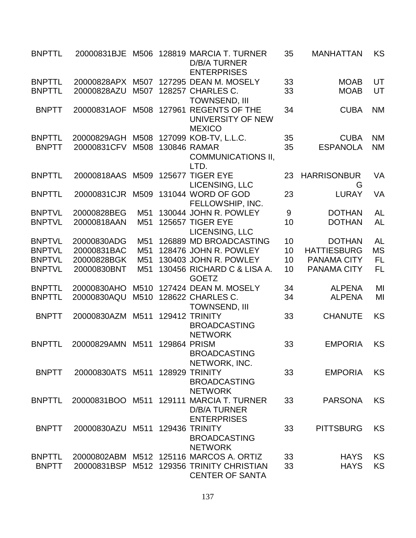| <b>BNPTTL</b> | 20000831BJE      |                 |              | M506 128819 MARCIA T. TURNER<br><b>D/B/A TURNER</b><br><b>ENTERPRISES</b>             | 35 | <b>MANHATTAN</b>        | KS        |
|---------------|------------------|-----------------|--------------|---------------------------------------------------------------------------------------|----|-------------------------|-----------|
| <b>BNPTTL</b> | 20000828APX      | M507            |              | 127295 DEAN M. MOSELY                                                                 | 33 | <b>MOAB</b>             | UT        |
| <b>BNPTTL</b> | 20000828AZU      | M507            |              | 128257 CHARLES C.<br><b>TOWNSEND, III</b>                                             | 33 | <b>MOAB</b>             | UT        |
| <b>BNPTT</b>  | 20000831AOF      | M508            | 127961       | <b>REGENTS OF THE</b><br>UNIVERSITY OF NEW<br><b>MEXICO</b>                           | 34 | <b>CUBA</b>             | <b>NM</b> |
| <b>BNPTTL</b> | 20000829AGH      | M508            |              | 127099 KOB-TV, L.L.C.                                                                 | 35 | <b>CUBA</b>             | <b>NM</b> |
| <b>BNPTT</b>  | 20000831CFV      | M508            |              | 130846 RAMAR<br><b>COMMUNICATIONS II,</b><br>LTD.                                     | 35 | <b>ESPANOLA</b>         | <b>NM</b> |
| <b>BNPTTL</b> | 20000818AAS      | M509            |              | <b>125677 TIGER EYE</b><br>LICENSING, LLC                                             | 23 | <b>HARRISONBUR</b><br>G | VA        |
| <b>BNPTTL</b> | 20000831CJR      | M509            |              | 131044 WORD OF GOD<br>FELLOWSHIP, INC.                                                | 23 | <b>LURAY</b>            | <b>VA</b> |
| <b>BNPTVL</b> | 20000828BEG      | M <sub>51</sub> |              | 130044 JOHN R. POWLEY                                                                 | 9  | <b>DOTHAN</b>           | <b>AL</b> |
| <b>BNPTVL</b> | 20000818AAN      | M <sub>51</sub> |              | 125657 TIGER EYE<br>LICENSING, LLC                                                    | 10 | <b>DOTHAN</b>           | <b>AL</b> |
| <b>BNPTVL</b> | 20000830ADG      | M <sub>51</sub> |              | 126889 MD BROADCASTING                                                                | 10 | <b>DOTHAN</b>           | <b>AL</b> |
| <b>BNPTVL</b> | 20000831BAC      | M <sub>51</sub> |              | 128476 JOHN R. POWLEY                                                                 | 10 | <b>HATTIESBURG</b>      | <b>MS</b> |
| <b>BNPTVL</b> | 20000828BGK      | M <sub>51</sub> |              | 130403 JOHN R. POWLEY                                                                 | 10 | <b>PANAMA CITY</b>      | FL        |
| <b>BNPTVL</b> | 20000830BNT      | M <sub>51</sub> |              | 130456 RICHARD C & LISA A.<br><b>GOETZ</b>                                            | 10 | <b>PANAMA CITY</b>      | FL        |
| <b>BNPTTL</b> | 20000830AHO      | M510            |              | 127424 DEAN M. MOSELY                                                                 | 34 | <b>ALPENA</b>           | MI        |
| <b>BNPTTL</b> | 20000830AQU      | M510            |              | 128622 CHARLES C.<br><b>TOWNSEND, III</b>                                             | 34 | <b>ALPENA</b>           | MI        |
| <b>BNPTT</b>  | 20000830AZM      | M511            |              | 129412 TRINITY<br><b>BROADCASTING</b><br><b>NETWORK</b>                               | 33 | <b>CHANUTE</b>          | <b>KS</b> |
| <b>BNPTTL</b> | 20000829AMN      | M511            | 129864 PRISM | <b>BROADCASTING</b><br>NETWORK, INC.                                                  | 33 | <b>EMPORIA</b>          | KS        |
| <b>BNPTT</b>  | 20000830ATS M511 |                 |              | <b>128929 TRINITY</b><br><b>BROADCASTING</b><br><b>NETWORK</b>                        | 33 | <b>EMPORIA</b>          | <b>KS</b> |
| <b>BNPTTL</b> |                  |                 |              | 20000831BOO M511 129111 MARCIA T. TURNER<br><b>D/B/A TURNER</b><br><b>ENTERPRISES</b> | 33 | <b>PARSONA</b>          | <b>KS</b> |
| <b>BNPTT</b>  | 20000830AZU      | M511            |              | <b>129436 TRINITY</b><br><b>BROADCASTING</b><br><b>NETWORK</b>                        | 33 | <b>PITTSBURG</b>        | <b>KS</b> |
| <b>BNPTTL</b> | 20000802ABM      |                 |              | M512 125116 MARCOS A. ORTIZ                                                           | 33 | <b>HAYS</b>             | KS        |
| <b>BNPTT</b>  | 20000831BSP      |                 |              | M512 129356 TRINITY CHRISTIAN<br><b>CENTER OF SANTA</b>                               | 33 | <b>HAYS</b>             | KS        |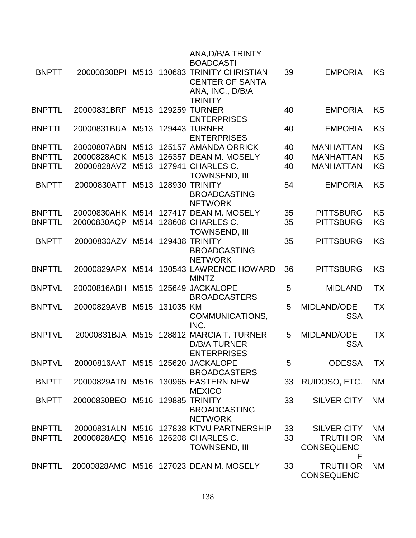|               |                                    |      |           | ANA, D/B/A TRINTY<br><b>BOADCASTI</b>                                                                     |    |                                           |           |
|---------------|------------------------------------|------|-----------|-----------------------------------------------------------------------------------------------------------|----|-------------------------------------------|-----------|
| <b>BNPTT</b>  |                                    |      |           | 20000830BPI M513 130683 TRINITY CHRISTIAN<br><b>CENTER OF SANTA</b><br>ANA, INC., D/B/A<br><b>TRINITY</b> | 39 | <b>EMPORIA</b>                            | <b>KS</b> |
| <b>BNPTTL</b> | 20000831BRF                        | M513 |           | <b>129259 TURNER</b><br><b>ENTERPRISES</b>                                                                | 40 | <b>EMPORIA</b>                            | <b>KS</b> |
| <b>BNPTTL</b> | 20000831BUA M513                   |      |           | <b>129443 TURNER</b><br><b>ENTERPRISES</b>                                                                | 40 | <b>EMPORIA</b>                            | <b>KS</b> |
| <b>BNPTTL</b> | 20000807ABN                        | M513 |           | 125157 AMANDA ORRICK                                                                                      | 40 | <b>MANHATTAN</b>                          | KS        |
| <b>BNPTTL</b> | 20000828AGK                        | M513 |           | 126357 DEAN M. MOSELY                                                                                     | 40 | <b>MANHATTAN</b>                          | KS        |
| <b>BNPTTL</b> | 20000828AVZ                        | M513 |           | 127941 CHARLES C.<br><b>TOWNSEND, III</b>                                                                 | 40 | <b>MANHATTAN</b>                          | KS        |
| <b>BNPTT</b>  | 20000830ATT                        | M513 |           | <b>128930 TRINITY</b><br><b>BROADCASTING</b><br><b>NETWORK</b>                                            | 54 | <b>EMPORIA</b>                            | KS        |
| <b>BNPTTL</b> | 20000830AHK M514                   |      |           | 127417 DEAN M. MOSELY                                                                                     | 35 | <b>PITTSBURG</b>                          | KS        |
| <b>BNPTTL</b> | 20000830AQP                        | M514 |           | 128608 CHARLES C.<br><b>TOWNSEND, III</b>                                                                 | 35 | <b>PITTSBURG</b>                          | <b>KS</b> |
| <b>BNPTT</b>  | 20000830AZV                        | M514 |           | <b>129438 TRINITY</b><br><b>BROADCASTING</b><br><b>NETWORK</b>                                            | 35 | <b>PITTSBURG</b>                          | <b>KS</b> |
| <b>BNPTTL</b> |                                    |      |           | 20000829APX M514 130543 LAWRENCE HOWARD<br><b>MINTZ</b>                                                   | 36 | <b>PITTSBURG</b>                          | KS        |
| <b>BNPTVL</b> | 20000816ABH                        | M515 |           | 125649 JACKALOPE<br><b>BROADCASTERS</b>                                                                   | 5  | <b>MIDLAND</b>                            | TX        |
| <b>BNPTVL</b> | 20000829AVB                        | M515 | 131035 KM | COMMUNICATIONS,<br>INC.                                                                                   | 5  | MIDLAND/ODE<br><b>SSA</b>                 | TX        |
| <b>BNPTVL</b> | 20000831BJA M515                   |      |           | 128812 MARCIA T. TURNER<br><b>D/B/A TURNER</b><br><b>ENTERPRISES</b>                                      | 5  | <b>MIDLAND/ODE</b><br><b>SSA</b>          | TX        |
| <b>BNPTVL</b> | 20000816AAT M515 125620 JACKALOPE  |      |           | <b>BROADCASTERS</b>                                                                                       | 5  | <b>ODESSA</b>                             | <b>TX</b> |
| <b>BNPTT</b>  |                                    |      |           | 20000829ATN M516 130965 EASTERN NEW<br><b>MEXICO</b>                                                      | 33 | RUIDOSO, ETC.                             | <b>NM</b> |
| <b>BNPTT</b>  | 20000830BEO M516 129885 TRINITY    |      |           | <b>BROADCASTING</b><br><b>NETWORK</b>                                                                     | 33 | <b>SILVER CITY</b>                        | <b>NM</b> |
| <b>BNPTTL</b> |                                    |      |           | 20000831ALN M516 127838 KTVU PARTNERSHIP                                                                  | 33 | <b>SILVER CITY</b>                        | <b>NM</b> |
| <b>BNPTTL</b> | 20000828AEQ M516 126208 CHARLES C. |      |           | <b>TOWNSEND, III</b>                                                                                      | 33 | <b>TRUTH OR</b><br><b>CONSEQUENC</b><br>Е | <b>NM</b> |
| <b>BNPTTL</b> |                                    |      |           | 20000828AMC M516 127023 DEAN M. MOSELY                                                                    | 33 | <b>TRUTH OR</b><br><b>CONSEQUENC</b>      | <b>NM</b> |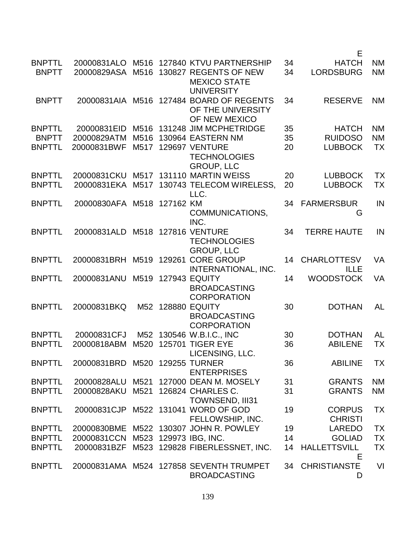|                                                |                                           |              |             |                                                                                                                   |                | Е                                                |                                     |
|------------------------------------------------|-------------------------------------------|--------------|-------------|-------------------------------------------------------------------------------------------------------------------|----------------|--------------------------------------------------|-------------------------------------|
| <b>BNPTTL</b><br><b>BNPTT</b>                  | 20000831ALO<br>20000829ASA                | M516         |             | M516 127840 KTVU PARTNERSHIP<br>130827 REGENTS OF NEW<br><b>MEXICO STATE</b>                                      | 34<br>34       | <b>HATCH</b><br><b>LORDSBURG</b>                 | <b>NM</b><br><b>NM</b>              |
| <b>BNPTT</b>                                   |                                           |              |             | <b>UNIVERSITY</b><br>20000831AIA M516 127484 BOARD OF REGENTS<br>OF THE UNIVERSITY                                | 34             | <b>RESERVE</b>                                   | <b>NM</b>                           |
| <b>BNPTTL</b><br><b>BNPTT</b><br><b>BNPTTL</b> | 20000831EID<br>20000829ATM<br>20000831BWF | M516<br>M517 |             | OF NEW MEXICO<br>M516 131248 JIM MCPHETRIDGE<br>130964 EASTERN NM<br><b>129697 VENTURE</b><br><b>TECHNOLOGIES</b> | 35<br>35<br>20 | <b>HATCH</b><br><b>RUIDOSO</b><br><b>LUBBOCK</b> | <b>NM</b><br><b>NM</b><br><b>TX</b> |
| <b>BNPTTL</b><br><b>BNPTTL</b>                 | 20000831CKU<br>20000831EKA                | M517         |             | <b>GROUP, LLC</b><br>M517 131110 MARTIN WEISS<br>130743 TELECOM WIRELESS,                                         | 20<br>20       | <b>LUBBOCK</b><br><b>LUBBOCK</b>                 | <b>TX</b><br>TX                     |
| <b>BNPTTL</b>                                  | 20000830AFA M518 127162 KM                |              |             | LLC.<br>COMMUNICATIONS,                                                                                           | 34             | <b>FARMERSBUR</b><br>G                           | IN                                  |
| <b>BNPTTL</b>                                  | 20000831ALD                               |              |             | INC.<br>M518 127816 VENTURE<br><b>TECHNOLOGIES</b>                                                                | 34             | <b>TERRE HAUTE</b>                               | IN                                  |
| <b>BNPTTL</b>                                  | 20000831BRH                               |              | M519 129261 | <b>GROUP, LLC</b><br><b>CORE GROUP</b><br>INTERNATIONAL, INC.                                                     | 14             | <b>CHARLOTTESV</b><br><b>ILLE</b>                | <b>VA</b>                           |
| <b>BNPTTL</b>                                  | 20000831ANU                               |              |             | M519 127943 EQUITY<br><b>BROADCASTING</b><br><b>CORPORATION</b>                                                   | 14             | <b>WOODSTOCK</b>                                 | <b>VA</b>                           |
| <b>BNPTTL</b>                                  | 20000831BKQ                               |              |             | M52 128880 EQUITY<br><b>BROADCASTING</b><br><b>CORPORATION</b>                                                    | 30             | <b>DOTHAN</b>                                    | <b>AL</b>                           |
| <b>BNPTTL</b>                                  | 20000831CFJ                               |              |             | M52 130546 W.B.I.C., INC                                                                                          | 30             | <b>DOTHAN</b>                                    | <b>AL</b>                           |
| <b>BNPTTL</b>                                  | 20000818ABM                               | M520         |             | <b>125701 TIGER EYE</b><br>LICENSING, LLC.                                                                        | 36             | <b>ABILENE</b>                                   | TX                                  |
| <b>BNPTTL</b>                                  | 20000831BRD M520 129255 TURNER            |              |             | <b>ENTERPRISES</b>                                                                                                | 36             | <b>ABILINE</b>                                   | <b>TX</b>                           |
| <b>BNPTTL</b><br><b>BNPTTL</b>                 | 20000828ALU<br>20000828AKU                |              |             | M521 127000 DEAN M. MOSELY<br>M521 126824 CHARLES C.<br><b>TOWNSEND, III31</b>                                    | 31<br>31       | <b>GRANTS</b><br><b>GRANTS</b>                   | <b>NM</b><br><b>NM</b>              |
| <b>BNPTTL</b>                                  | 20000831CJP                               |              |             | M522 131041 WORD OF GOD<br>FELLOWSHIP, INC.                                                                       | 19             | <b>CORPUS</b><br><b>CHRISTI</b>                  | <b>TX</b>                           |
| <b>BNPTTL</b>                                  |                                           |              |             | 20000830BME M522 130307 JOHN R. POWLEY                                                                            | 19             | <b>LAREDO</b>                                    | <b>TX</b>                           |
| <b>BNPTTL</b>                                  | 20000831CCN                               |              |             | M523 129973 IBG, INC.                                                                                             | 14             | <b>GOLIAD</b>                                    | <b>TX</b>                           |
| <b>BNPTTL</b>                                  | 20000831BZF                               |              |             | M523 129828 FIBERLESSNET, INC.                                                                                    | 14             | <b>HALLETTSVILL</b><br>E                         | <b>TX</b>                           |
| <b>BNPTTL</b>                                  |                                           |              |             | 20000831AMA M524 127858 SEVENTH TRUMPET<br><b>BROADCASTING</b>                                                    |                | 34 CHRISTIANSTE<br>D                             | VI                                  |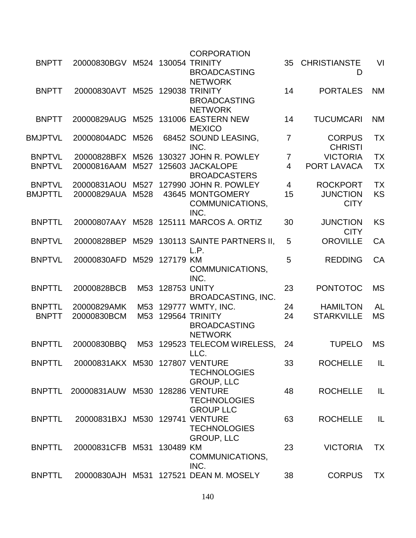|                |                                 |                 |                  | <b>CORPORATION</b>                                           |                |                                 |           |
|----------------|---------------------------------|-----------------|------------------|--------------------------------------------------------------|----------------|---------------------------------|-----------|
| <b>BNPTT</b>   | 20000830BGV M524 130054 TRINITY |                 |                  | <b>BROADCASTING</b><br><b>NETWORK</b>                        | 35             | <b>CHRISTIANSTE</b><br>D        | VI        |
| <b>BNPTT</b>   | 20000830AVT                     |                 |                  | M525 129038 TRINITY<br><b>BROADCASTING</b><br><b>NETWORK</b> | 14             | <b>PORTALES</b>                 | <b>NM</b> |
| <b>BNPTT</b>   | 20000829AUG                     | M525            |                  | 131006 EASTERN NEW<br><b>MEXICO</b>                          | 14             | <b>TUCUMCARI</b>                | <b>NM</b> |
| BMJPTVL        | 20000804ADC                     | M526            |                  | 68452 SOUND LEASING,<br>INC.                                 | $\overline{7}$ | <b>CORPUS</b><br><b>CHRISTI</b> | <b>TX</b> |
| <b>BNPTVL</b>  | 20000828BFX                     | M526            |                  | 130327 JOHN R. POWLEY                                        | 7              | <b>VICTORIA</b>                 | <b>TX</b> |
| <b>BNPTVL</b>  | 20000816AAM                     | M527            |                  | 125603 JACKALOPE<br><b>BROADCASTERS</b>                      | $\overline{4}$ | PORT LAVACA                     | <b>TX</b> |
| <b>BNPTVL</b>  | 20000831AOU                     | M527            |                  | 127990 JOHN R. POWLEY                                        | $\overline{4}$ | <b>ROCKPORT</b>                 | <b>TX</b> |
| <b>BMJPTTL</b> | 20000829AUA                     | M528            |                  | 43645 MONTGOMERY                                             | 15             | <b>JUNCTION</b>                 | <b>KS</b> |
|                |                                 |                 |                  | COMMUNICATIONS,<br>INC.                                      |                | <b>CITY</b>                     |           |
| <b>BNPTTL</b>  | 20000807AAY                     |                 |                  | M528 125111 MARCOS A. ORTIZ                                  | 30             | <b>JUNCTION</b><br><b>CITY</b>  | <b>KS</b> |
| <b>BNPTVL</b>  | 20000828BEP                     | M529            |                  | 130113 SAINTE PARTNERS II,<br>L.P.                           | 5              | <b>OROVILLE</b>                 | CA        |
| <b>BNPTVL</b>  | 20000830AFD                     | M529            | 127179 KM        | COMMUNICATIONS,<br>INC.                                      | 5              | <b>REDDING</b>                  | <b>CA</b> |
| <b>BNPTTL</b>  | 20000828BCB                     |                 | M53 128753 UNITY | <b>BROADCASTING, INC.</b>                                    | 23             | <b>PONTOTOC</b>                 | <b>MS</b> |
| <b>BNPTTL</b>  | 20000829AMK                     |                 |                  | M53 129777 WMTY, INC.                                        | 24             | <b>HAMILTON</b>                 | <b>AL</b> |
| <b>BNPTT</b>   | 20000830BCM                     | M <sub>53</sub> |                  | 129564 TRINITY<br><b>BROADCASTING</b><br><b>NETWORK</b>      | 24             | <b>STARKVILLE</b>               | <b>MS</b> |
| <b>BNPTTL</b>  | 20000830BBQ                     |                 |                  | M53 129523 TELECOM WIRELESS,<br>LLC.                         | 24             | <b>TUPELO</b>                   | <b>MS</b> |
| <b>BNPTTL</b>  | 20000831AKX M530 127807 VENTURE |                 |                  | <b>TECHNOLOGIES</b><br><b>GROUP, LLC</b>                     | 33             | <b>ROCHELLE</b>                 | IL        |
| <b>BNPTTL</b>  | 20000831AUW M530 128286 VENTURE |                 |                  | <b>TECHNOLOGIES</b><br><b>GROUP LLC</b>                      | 48             | <b>ROCHELLE</b>                 | IL        |
| <b>BNPTTL</b>  | 20000831BXJ M530 129741 VENTURE |                 |                  | <b>TECHNOLOGIES</b><br><b>GROUP, LLC</b>                     | 63             | <b>ROCHELLE</b>                 | IL        |
| <b>BNPTTL</b>  | 20000831CFB M531 130489 KM      |                 |                  | COMMUNICATIONS,<br>INC.                                      | 23             | <b>VICTORIA</b>                 | <b>TX</b> |
| <b>BNPTTL</b>  |                                 |                 |                  | 20000830AJH M531 127521 DEAN M. MOSELY                       | 38             | <b>CORPUS</b>                   | <b>TX</b> |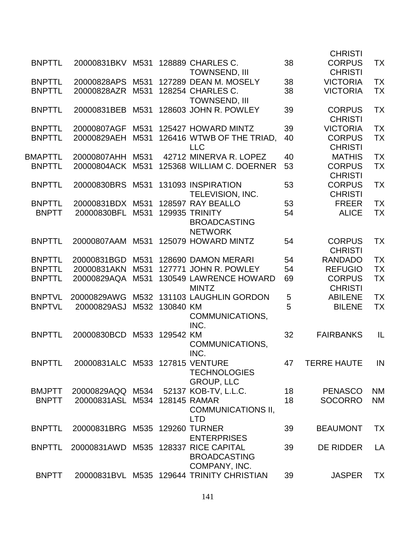|                |                                      |      |           |                                              |    | <b>CHRISTI</b>                  |           |
|----------------|--------------------------------------|------|-----------|----------------------------------------------|----|---------------------------------|-----------|
| <b>BNPTTL</b>  | 20000831BKV M531                     |      |           | 128889 CHARLES C.<br><b>TOWNSEND, III</b>    | 38 | <b>CORPUS</b><br><b>CHRISTI</b> | TX        |
| <b>BNPTTL</b>  | 20000828APS                          | M531 |           | 127289 DEAN M. MOSELY                        | 38 | <b>VICTORIA</b>                 | ТX        |
| <b>BNPTTL</b>  | 20000828AZR                          | M531 |           | 128254 CHARLES C.<br><b>TOWNSEND, III</b>    | 38 | <b>VICTORIA</b>                 | <b>TX</b> |
| <b>BNPTTL</b>  | 20000831BEB                          | M531 |           | 128603 JOHN R. POWLEY                        | 39 | <b>CORPUS</b><br><b>CHRISTI</b> | <b>TX</b> |
| <b>BNPTTL</b>  | 20000807AGF                          | M531 |           | 125427 HOWARD MINTZ                          | 39 | <b>VICTORIA</b>                 | <b>TX</b> |
| <b>BNPTTL</b>  | 20000829AEH                          | M531 |           | 126416 WTWB OF THE TRIAD.<br><b>LLC</b>      | 40 | <b>CORPUS</b><br><b>CHRISTI</b> | <b>TX</b> |
| <b>BMAPTTL</b> | 20000807AHH                          | M531 |           | 42712 MINERVA R. LOPEZ                       | 40 | <b>MATHIS</b>                   | <b>TX</b> |
| <b>BNPTTL</b>  | 20000804ACK                          | M531 |           | 125368 WILLIAM C. DOERNER                    | 53 | <b>CORPUS</b><br><b>CHRISTI</b> | <b>TX</b> |
| <b>BNPTTL</b>  | 20000830BRS                          | M531 |           | 131093 INSPIRATION                           | 53 | <b>CORPUS</b>                   | <b>TX</b> |
|                |                                      |      |           | TELEVISION, INC.                             |    | <b>CHRISTI</b>                  |           |
| <b>BNPTTL</b>  | 20000831BDX                          | M531 |           | 128597 RAY BEALLO                            | 53 | <b>FREER</b>                    | <b>TX</b> |
| <b>BNPTT</b>   | 20000830BFL                          | M531 |           | <b>129935 TRINITY</b><br><b>BROADCASTING</b> | 54 | <b>ALICE</b>                    | <b>TX</b> |
|                |                                      |      |           | <b>NETWORK</b>                               |    |                                 |           |
| <b>BNPTTL</b>  | 20000807AAM M531                     |      |           | 125079 HOWARD MINTZ                          | 54 | <b>CORPUS</b><br><b>CHRISTI</b> | TX        |
| <b>BNPTTL</b>  | 20000831BGD                          | M531 |           | 128690 DAMON MERARI                          | 54 | <b>RANDADO</b>                  | <b>TX</b> |
| <b>BNPTTL</b>  | 20000831AKN                          | M531 |           | 127771 JOHN R. POWLEY                        | 54 | <b>REFUGIO</b>                  | <b>TX</b> |
| <b>BNPTTL</b>  | 20000829AQA                          | M531 |           | 130549 LAWRENCE HOWARD<br><b>MINTZ</b>       | 69 | <b>CORPUS</b><br><b>CHRISTI</b> | <b>TX</b> |
| <b>BNPTVL</b>  | 20000829AWG                          | M532 |           | 131103 LAUGHLIN GORDON                       | 5  | <b>ABILENE</b>                  | ТX        |
| <b>BNPTVL</b>  | 20000829ASJ                          | M532 | 130840 KM | COMMUNICATIONS,<br>INC.                      | 5  | <b>BILENE</b>                   | <b>TX</b> |
| <b>BNPTTL</b>  | 20000830BCD                          | M533 | 129542 KM | COMMUNICATIONS,<br>INC.                      | 32 | <b>FAIRBANKS</b>                | IL        |
| <b>BNPTTL</b>  | 20000831ALC M533 127815 VENTURE      |      |           | <b>TECHNOLOGIES</b><br><b>GROUP, LLC</b>     | 47 | <b>TERRE HAUTE</b>              | IN        |
| <b>BMJPTT</b>  | 20000829AQQ M534                     |      |           | 52137 KOB-TV, L.L.C.                         | 18 | <b>PENASCO</b>                  | <b>NM</b> |
| <b>BNPTT</b>   | 20000831ASL M534 128145 RAMAR        |      |           | <b>COMMUNICATIONS II,</b><br><b>LTD</b>      | 18 | <b>SOCORRO</b>                  | <b>NM</b> |
| <b>BNPTTL</b>  | 20000831BRG M535 129260 TURNER       |      |           | <b>ENTERPRISES</b>                           | 39 | <b>BEAUMONT</b>                 | <b>TX</b> |
| <b>BNPTTL</b>  | 20000831AWD M535 128337 RICE CAPITAL |      |           | <b>BROADCASTING</b><br>COMPANY, INC.         | 39 | <b>DE RIDDER</b>                | LA        |
| <b>BNPTT</b>   |                                      |      |           | 20000831BVL M535 129644 TRINITY CHRISTIAN    | 39 | <b>JASPER</b>                   | <b>TX</b> |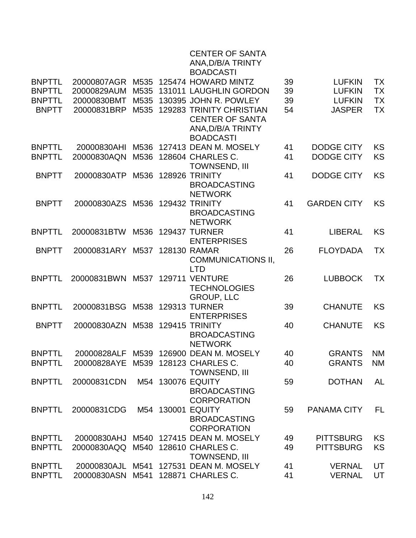|                                |                                    |      |        | <b>CENTER OF SANTA</b><br>ANA, D/B/A TRINTY<br><b>BOADCASTI</b> |          |                                |           |
|--------------------------------|------------------------------------|------|--------|-----------------------------------------------------------------|----------|--------------------------------|-----------|
| <b>BNPTTL</b>                  | 20000807AGR                        |      |        | M535 125474 HOWARD MINTZ                                        | 39       | <b>LUFKIN</b>                  | TX        |
| <b>BNPTTL</b>                  | 20000829AUM                        | M535 |        | 131011 LAUGHLIN GORDON                                          | 39       | <b>LUFKIN</b>                  | <b>TX</b> |
| <b>BNPTTL</b>                  | 20000830BMT                        | M535 |        | 130395 JOHN R. POWLEY                                           | 39       | <b>LUFKIN</b>                  | <b>TX</b> |
| <b>BNPTT</b>                   | 20000831BRP                        | M535 |        | <b>129283 TRINITY CHRISTIAN</b>                                 | 54       | <b>JASPER</b>                  | <b>TX</b> |
|                                |                                    |      |        | <b>CENTER OF SANTA</b>                                          |          |                                |           |
|                                |                                    |      |        | ANA, D/B/A TRINTY                                               |          |                                |           |
|                                |                                    |      |        | <b>BOADCASTI</b>                                                |          |                                |           |
| <b>BNPTTL</b>                  | 20000830AHI                        |      |        | M536 127413 DEAN M. MOSELY                                      | 41       | <b>DODGE CITY</b>              | <b>KS</b> |
| <b>BNPTTL</b>                  | 20000830AQN                        | M536 |        | 128604 CHARLES C.                                               | 41       | <b>DODGE CITY</b>              | KS        |
|                                |                                    |      |        | <b>TOWNSEND, III</b>                                            |          |                                |           |
| <b>BNPTT</b>                   | 20000830ATP                        | M536 |        | <b>128926 TRINITY</b>                                           | 41       | <b>DODGE CITY</b>              | <b>KS</b> |
|                                |                                    |      |        | <b>BROADCASTING</b>                                             |          |                                |           |
| <b>BNPTT</b>                   | 20000830AZS                        |      |        | <b>NETWORK</b><br>M536 129432 TRINITY                           | 41       | <b>GARDEN CITY</b>             | <b>KS</b> |
|                                |                                    |      |        | <b>BROADCASTING</b>                                             |          |                                |           |
|                                |                                    |      |        | <b>NETWORK</b>                                                  |          |                                |           |
| <b>BNPTTL</b>                  | 20000831BTW                        | M536 | 129437 | <b>TURNER</b>                                                   | 41       | <b>LIBERAL</b>                 | <b>KS</b> |
|                                |                                    |      |        | <b>ENTERPRISES</b>                                              |          |                                |           |
| <b>BNPTT</b>                   | 20000831ARY                        | M537 |        | 128130 RAMAR                                                    | 26       | <b>FLOYDADA</b>                | <b>TX</b> |
|                                |                                    |      |        | <b>COMMUNICATIONS II,</b>                                       |          |                                |           |
|                                |                                    |      |        | <b>LTD</b>                                                      |          |                                |           |
| <b>BNPTTL</b>                  | 20000831BWN                        |      |        | M537 129711 VENTURE                                             | 26       | <b>LUBBOCK</b>                 | <b>TX</b> |
|                                |                                    |      |        | <b>TECHNOLOGIES</b>                                             |          |                                |           |
|                                |                                    |      |        | <b>GROUP, LLC</b>                                               |          |                                |           |
| <b>BNPTTL</b>                  | 20000831BSG                        |      |        | M538 129313 TURNER                                              | 39       | <b>CHANUTE</b>                 | <b>KS</b> |
|                                |                                    |      |        | <b>ENTERPRISES</b>                                              |          |                                |           |
| <b>BNPTT</b>                   | 20000830AZN                        |      |        | M538 129415 TRINITY                                             | 40       | <b>CHANUTE</b>                 | <b>KS</b> |
|                                |                                    |      |        | <b>BROADCASTING</b><br><b>NETWORK</b>                           |          |                                |           |
| <b>BNPTTI</b>                  |                                    |      |        | 20000828ALF M539 126900 DEAN M. MOSELY                          | 40       | <b>GRANTS</b>                  | <b>NM</b> |
| <b>BNPTTL</b>                  | 20000828AYE M539 128123 CHARLES C. |      |        |                                                                 | 40       | <b>GRANTS</b>                  | <b>NM</b> |
|                                |                                    |      |        | <b>TOWNSEND, III</b>                                            |          |                                |           |
| <b>BNPTTL</b>                  | 20000831CDN                        |      |        | M54 130076 EQUITY                                               | 59       | <b>DOTHAN</b>                  | <b>AL</b> |
|                                |                                    |      |        | <b>BROADCASTING</b>                                             |          |                                |           |
|                                |                                    |      |        | <b>CORPORATION</b>                                              |          |                                |           |
| <b>BNPTTL</b>                  | 20000831CDG                        |      |        | M54 130001 EQUITY                                               | 59       | <b>PANAMA CITY</b>             | FL        |
|                                |                                    |      |        | <b>BROADCASTING</b>                                             |          |                                |           |
|                                |                                    |      |        | <b>CORPORATION</b>                                              |          |                                |           |
| <b>BNPTTL</b>                  | 20000830AHJ                        |      |        | M540 127415 DEAN M. MOSELY                                      | 49       | <b>PITTSBURG</b>               | KS        |
| <b>BNPTTL</b>                  | 20000830AQQ                        |      |        | M540 128610 CHARLES C.                                          | 49       | <b>PITTSBURG</b>               | KS        |
|                                |                                    |      |        | <b>TOWNSEND, III</b>                                            |          |                                |           |
| <b>BNPTTL</b><br><b>BNPTTL</b> | 20000830AJL<br>20000830ASN         | M541 |        | M541 127531 DEAN M. MOSELY<br>128871 CHARLES C.                 | 41<br>41 | <b>VERNAL</b><br><b>VERNAL</b> | UT<br>UT  |
|                                |                                    |      |        |                                                                 |          |                                |           |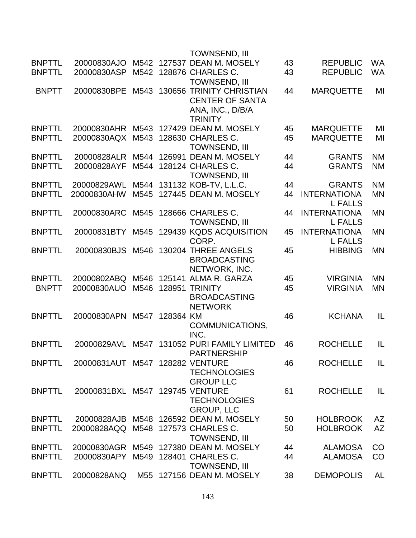|               |                                 |      |           | TOWNSEND, III                                                                            |    |                                       |           |
|---------------|---------------------------------|------|-----------|------------------------------------------------------------------------------------------|----|---------------------------------------|-----------|
| <b>BNPTTL</b> | 20000830AJO                     |      |           | M542 127537 DEAN M. MOSELY                                                               | 43 | <b>REPUBLIC</b>                       | <b>WA</b> |
| <b>BNPTTL</b> | 20000830ASP                     |      |           | M542 128876 CHARLES C.<br><b>TOWNSEND, III</b>                                           | 43 | <b>REPUBLIC</b>                       | WA        |
| <b>BNPTT</b>  | 20000830BPE                     | M543 |           | 130656 TRINITY CHRISTIAN<br><b>CENTER OF SANTA</b><br>ANA, INC., D/B/A<br><b>TRINITY</b> | 44 | <b>MARQUETTE</b>                      | MI        |
| <b>BNPTTL</b> | 20000830AHR                     | M543 |           | 127429 DEAN M. MOSELY                                                                    | 45 | <b>MARQUETTE</b>                      | MI        |
| <b>BNPTTL</b> | 20000830AQX                     | M543 |           | 128630 CHARLES C.<br><b>TOWNSEND, III</b>                                                | 45 | <b>MARQUETTE</b>                      | MI        |
| <b>BNPTTL</b> | 20000828ALR                     | M544 |           | 126991 DEAN M. MOSELY                                                                    | 44 | <b>GRANTS</b>                         | <b>NM</b> |
| <b>BNPTTL</b> | 20000828AYF                     | M544 |           | 128124 CHARLES C.<br><b>TOWNSEND, III</b>                                                | 44 | <b>GRANTS</b>                         | <b>NM</b> |
| <b>BNPTTL</b> | 20000829AWL                     |      |           | M544 131132 KOB-TV, L.L.C.                                                               | 44 | <b>GRANTS</b>                         | <b>NM</b> |
| <b>BNPTTL</b> | 20000830AHW                     | M545 |           | 127445 DEAN M. MOSELY                                                                    | 44 | <b>INTERNATIONA</b><br><b>L FALLS</b> | <b>MN</b> |
| <b>BNPTTL</b> | 20000830ARC                     | M545 |           | 128666 CHARLES C.<br><b>TOWNSEND, III</b>                                                | 44 | <b>INTERNATIONA</b><br><b>L FALLS</b> | <b>MN</b> |
| <b>BNPTTL</b> | 20000831BTY                     | M545 |           | 129439 KQDS ACQUISITION<br>CORP.                                                         | 45 | <b>INTERNATIONA</b><br><b>L FALLS</b> | <b>MN</b> |
| <b>BNPTTL</b> | 20000830BJS                     | M546 |           | 130204 THREE ANGELS<br><b>BROADCASTING</b><br>NETWORK, INC.                              | 45 | <b>HIBBING</b>                        | <b>MN</b> |
| <b>BNPTTL</b> | 20000802ABQ                     | M546 |           | 125141 ALMA R. GARZA                                                                     | 45 | <b>VIRGINIA</b>                       | <b>MN</b> |
| <b>BNPTT</b>  | 20000830AUO                     | M546 | 128951    | <b>TRINITY</b><br><b>BROADCASTING</b><br><b>NETWORK</b>                                  | 45 | <b>VIRGINIA</b>                       | <b>MN</b> |
| <b>BNPTTL</b> | 20000830APN                     | M547 | 128364 KM | COMMUNICATIONS,<br>INC.                                                                  | 46 | <b>KCHANA</b>                         | IL        |
| <b>BNPTTL</b> | 20000829AVL                     | M547 |           | 131052 PURI FAMILY LIMITED<br><b>PARTNERSHIP</b>                                         | 46 | <b>ROCHELLE</b>                       | IL        |
| <b>BNPTTL</b> | 20000831AUT M547 128282 VENTURE |      |           | <b>TECHNOLOGIES</b><br><b>GROUP LLC</b>                                                  | 46 | <b>ROCHELLE</b>                       | IL        |
| <b>BNPTTL</b> | 20000831BXL M547 129745 VENTURE |      |           | <b>TECHNOLOGIES</b><br><b>GROUP, LLC</b>                                                 | 61 | <b>ROCHELLE</b>                       | IL        |
| <b>BNPTTL</b> | 20000828AJB                     |      |           | M548 126592 DEAN M. MOSELY                                                               | 50 | <b>HOLBROOK</b>                       | <b>AZ</b> |
| <b>BNPTTL</b> | 20000828AQQ                     |      |           | M548 127573 CHARLES C.<br><b>TOWNSEND, III</b>                                           | 50 | <b>HOLBROOK</b>                       | <b>AZ</b> |
| <b>BNPTTL</b> | 20000830AGR                     |      |           | M549 127380 DEAN M. MOSELY                                                               | 44 | <b>ALAMOSA</b>                        | CO        |
| <b>BNPTTL</b> | 20000830APY                     |      |           | M549 128401 CHARLES C.<br><b>TOWNSEND, III</b>                                           | 44 | <b>ALAMOSA</b>                        | CO        |
| <b>BNPTTL</b> | 20000828ANQ                     |      |           | M55 127156 DEAN M. MOSELY                                                                | 38 | <b>DEMOPOLIS</b>                      | AL        |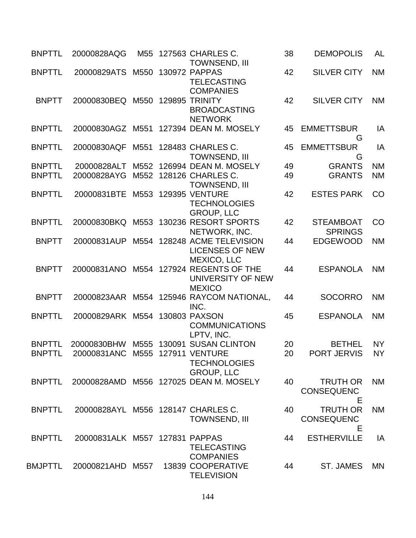| <b>BNPTTL</b>                  | 20000828AQG                                    | M <sub>55</sub> | 127563 CHARLES C.<br><b>TOWNSEND, III</b>                                   | 38       | <b>DEMOPOLIS</b>                          | <b>AL</b>              |
|--------------------------------|------------------------------------------------|-----------------|-----------------------------------------------------------------------------|----------|-------------------------------------------|------------------------|
| <b>BNPTTL</b>                  | 20000829ATS M550                               |                 | 130972 PAPPAS<br><b>TELECASTING</b><br><b>COMPANIES</b>                     | 42       | <b>SILVER CITY</b>                        | <b>NM</b>              |
| <b>BNPTT</b>                   | 20000830BEQ M550                               |                 | 129895 TRINITY<br><b>BROADCASTING</b><br><b>NETWORK</b>                     | 42       | <b>SILVER CITY</b>                        | <b>NM</b>              |
| <b>BNPTTL</b>                  |                                                |                 | 20000830AGZ M551 127394 DEAN M. MOSELY                                      | 45       | <b>EMMETTSBUR</b><br>G                    | IA                     |
| <b>BNPTTL</b>                  | 20000830AQF                                    | M551            | 128483 CHARLES C.<br><b>TOWNSEND, III</b>                                   | 45       | <b>EMMETTSBUR</b><br>G                    | IA                     |
| <b>BNPTTL</b><br><b>BNPTTL</b> | 20000828ALT<br>20000828AYG                     |                 | M552 126994 DEAN M. MOSELY<br>M552 128126 CHARLES C.                        | 49<br>49 | <b>GRANTS</b><br><b>GRANTS</b>            | <b>NM</b><br><b>NM</b> |
|                                |                                                |                 | <b>TOWNSEND, III</b>                                                        |          |                                           |                        |
| <b>BNPTTL</b>                  | 20000831BTE                                    |                 | M553 129395 VENTURE<br><b>TECHNOLOGIES</b><br><b>GROUP, LLC</b>             | 42       | <b>ESTES PARK</b>                         | CO                     |
| <b>BNPTTL</b>                  | 20000830BKQ                                    |                 | M553 130236 RESORT SPORTS<br>NETWORK, INC.                                  | 42       | <b>STEAMBOAT</b><br><b>SPRINGS</b>        | CO                     |
| <b>BNPTT</b>                   | 20000831AUP                                    |                 | M554 128248 ACME TELEVISION<br><b>LICENSES OF NEW</b><br><b>MEXICO, LLC</b> | 44       | <b>EDGEWOOD</b>                           | <b>NM</b>              |
| <b>BNPTT</b>                   | 20000831ANO                                    |                 | M554 127924 REGENTS OF THE<br>UNIVERSITY OF NEW<br><b>MEXICO</b>            | 44       | <b>ESPANOLA</b>                           | <b>NM</b>              |
| <b>BNPTT</b>                   |                                                |                 | 20000823AAR M554 125946 RAYCOM NATIONAL,<br>INC.                            | 44       | <b>SOCORRO</b>                            | <b>NM</b>              |
| <b>BNPTTL</b>                  | 20000829ARK M554 130803 PAXSON                 |                 | <b>COMMUNICATIONS</b><br>LPTV, INC.                                         | 45       | <b>ESPANOLA</b>                           | <b>NM</b>              |
| <b>BNPTTL</b><br><b>BNPTTL</b> | 20000830BHW<br>20000831ANC M555 127911 VENTURE |                 | M555 130091 SUSAN CLINTON<br><b>TECHNOLOGIES</b><br><b>GROUP, LLC</b>       | 20<br>20 | <b>BETHEL</b><br>PORT JERVIS              | <b>NY</b><br><b>NY</b> |
| <b>BNPTTL</b>                  |                                                |                 | 20000828AMD M556 127025 DEAN M. MOSELY                                      | 40       | <b>TRUTH OR</b><br><b>CONSEQUENC</b><br>E | <b>NM</b>              |
| <b>BNPTTL</b>                  | 20000828AYL M556 128147 CHARLES C.             |                 | <b>TOWNSEND, III</b>                                                        | 40       | <b>TRUTH OR</b><br><b>CONSEQUENC</b><br>Е | <b>NM</b>              |
| <b>BNPTTL</b>                  | 20000831ALK M557 127831 PAPPAS                 |                 | <b>TELECASTING</b><br><b>COMPANIES</b>                                      | 44       | <b>ESTHERVILLE</b>                        | IA                     |
| BMJPTTL                        | 20000821AHD M557                               |                 | 13839 COOPERATIVE<br><b>TELEVISION</b>                                      | 44       | ST. JAMES                                 | <b>MN</b>              |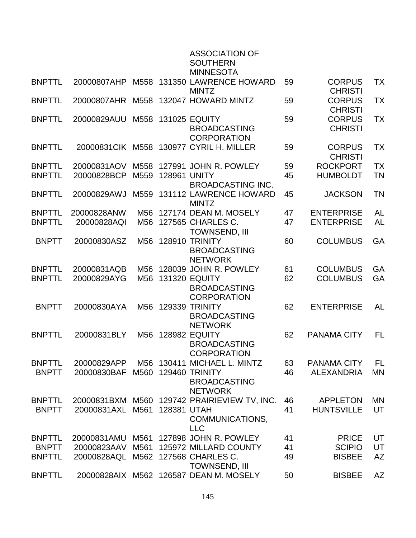|                                |                            |                        |              | <b>ASSOCIATION OF</b><br><b>SOUTHERN</b><br><b>MINNESOTA</b>                               |          |                                         |                 |
|--------------------------------|----------------------------|------------------------|--------------|--------------------------------------------------------------------------------------------|----------|-----------------------------------------|-----------------|
| <b>BNPTTL</b>                  | 20000807AHP                |                        |              | M558 131350 LAWRENCE HOWARD<br><b>MINTZ</b>                                                | 59       | <b>CORPUS</b><br><b>CHRISTI</b>         | TX              |
| <b>BNPTTL</b>                  | 20000807AHR                | M558                   |              | 132047 HOWARD MINTZ                                                                        | 59       | <b>CORPUS</b><br><b>CHRISTI</b>         | <b>TX</b>       |
| <b>BNPTTL</b>                  | 20000829AUU                |                        |              | M558 131025 EQUITY<br><b>BROADCASTING</b><br><b>CORPORATION</b>                            | 59       | <b>CORPUS</b><br><b>CHRISTI</b>         | TX              |
| <b>BNPTTL</b>                  |                            |                        |              | 20000831 CIK M558 130977 CYRIL H. MILLER                                                   | 59       | <b>CORPUS</b><br><b>CHRISTI</b>         | <b>TX</b>       |
| <b>BNPTTL</b>                  | 20000831AOV                | M558                   |              | 127991 JOHN R. POWLEY                                                                      | 59       | <b>ROCKPORT</b>                         | <b>TX</b>       |
| <b>BNPTTL</b>                  | 20000828BCP                | M559                   | 128961 UNITY | <b>BROADCASTING INC.</b>                                                                   | 45       | <b>HUMBOLDT</b>                         | <b>TN</b>       |
| <b>BNPTTL</b>                  | 20000829AWJ                |                        |              | M559 131112 LAWRENCE HOWARD<br><b>MINTZ</b>                                                | 45       | <b>JACKSON</b>                          | <b>TN</b>       |
| <b>BNPTTL</b>                  | 20000828ANW                | M56                    |              | 127174 DEAN M. MOSELY                                                                      | 47       | <b>ENTERPRISE</b>                       | <b>AL</b>       |
| <b>BNPTTL</b>                  | 20000828AQI                |                        |              | M56 127565 CHARLES C.<br><b>TOWNSEND, III</b>                                              | 47       | <b>ENTERPRISE</b>                       | <b>AL</b>       |
| <b>BNPTT</b>                   | 20000830ASZ                |                        |              | M56 128910 TRINITY<br><b>BROADCASTING</b><br><b>NETWORK</b>                                | 60       | <b>COLUMBUS</b>                         | GA              |
| <b>BNPTTL</b><br><b>BNPTTL</b> | 20000831AQB<br>20000829AYG | M <sub>56</sub><br>M56 |              | 128039 JOHN R. POWLEY<br><b>131320 EQUITY</b><br><b>BROADCASTING</b><br><b>CORPORATION</b> | 61<br>62 | <b>COLUMBUS</b><br><b>COLUMBUS</b>      | GA<br>GA        |
| <b>BNPTT</b>                   | 20000830AYA                | M56                    |              | <b>129339 TRINITY</b><br><b>BROADCASTING</b><br><b>NETWORK</b>                             | 62       | <b>ENTERPRISE</b>                       | <b>AL</b>       |
| <b>BNPTTL</b>                  | 20000831BLY                | M56                    |              | <b>128982 EQUITY</b><br><b>BROADCASTING</b><br><b>CORPORATION</b>                          | 62       | <b>PANAMA CITY</b>                      | FL              |
| <b>BNPTTL</b><br><b>BNPTT</b>  | 20000829APP<br>20000830BAF | M56<br>M560            |              | 130411 MICHAEL L. MINTZ<br>129460 TRINITY<br><b>BROADCASTING</b><br><b>NETWORK</b>         | 63<br>46 | <b>PANAMA CITY</b><br><b>ALEXANDRIA</b> | FL<br><b>MN</b> |
| <b>BNPTTL</b>                  | 20000831BXM                |                        |              | M560 129742 PRAIRIEVIEW TV, INC.                                                           | 46       | <b>APPLETON</b>                         | MN              |
| <b>BNPTT</b>                   | 20000831AXL                | M561                   | 128381 UTAH  | COMMUNICATIONS,<br><b>LLC</b>                                                              | 41       | <b>HUNTSVILLE</b>                       | UT              |
| <b>BNPTTL</b>                  | 20000831AMU                | M561                   |              | 127898 JOHN R. POWLEY                                                                      | 41       | <b>PRICE</b>                            | UT              |
| <b>BNPTT</b>                   | 20000823AAV                | M561                   |              | 125972 MILLARD COUNTY                                                                      | 41       | <b>SCIPIO</b>                           | UT              |
| <b>BNPTTL</b>                  | 20000828AQL                |                        |              | M562 127568 CHARLES C.<br><b>TOWNSEND, III</b>                                             | 49       | <b>BISBEE</b>                           | AZ              |
| <b>BNPTTL</b>                  |                            |                        |              | 20000828AIX M562 126587 DEAN M. MOSELY                                                     | 50       | <b>BISBEE</b>                           | AZ              |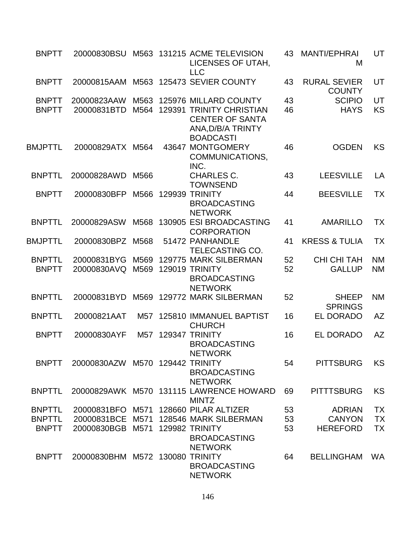| <b>BNPTT</b>                  | 20000830BSU                     |              | M563 131215 ACME TELEVISION<br>LICENSES OF UTAH,<br><b>LLC</b>                   | 43       | <b>MANTI/EPHRAI</b><br>M             | UT                     |
|-------------------------------|---------------------------------|--------------|----------------------------------------------------------------------------------|----------|--------------------------------------|------------------------|
| <b>BNPTT</b>                  |                                 |              | 20000815AAM M563 125473 SEVIER COUNTY                                            | 43       | <b>RURAL SEVIER</b><br><b>COUNTY</b> | UT                     |
| <b>BNPTT</b><br><b>BNPTT</b>  | 20000823AAW<br>20000831BTD      | M563<br>M564 | 125976 MILLARD COUNTY<br>129391 TRINITY CHRISTIAN                                | 43<br>46 | <b>SCIPIO</b><br><b>HAYS</b>         | UT<br><b>KS</b>        |
|                               |                                 |              | <b>CENTER OF SANTA</b><br>ANA, D/B/A TRINTY<br><b>BOADCASTI</b>                  |          |                                      |                        |
| <b>BMJPTTL</b>                | 20000829ATX M564                |              | 43647 MONTGOMERY<br>COMMUNICATIONS,<br>INC.                                      | 46       | <b>OGDEN</b>                         | <b>KS</b>              |
| <b>BNPTTL</b>                 | 20000828AWD                     | M566         | <b>CHARLES C.</b><br><b>TOWNSEND</b>                                             | 43       | <b>LEESVILLE</b>                     | LA                     |
| <b>BNPTT</b>                  | 20000830BFP                     |              | M566 129939 TRINITY<br><b>BROADCASTING</b><br><b>NETWORK</b>                     | 44       | <b>BEESVILLE</b>                     | TX                     |
| <b>BNPTTL</b>                 | 20000829ASW                     | M568         | 130905 ESI BROADCASTING<br><b>CORPORATION</b>                                    | 41       | <b>AMARILLO</b>                      | <b>TX</b>              |
| <b>BMJPTTL</b>                | 20000830BPZ                     | M568         | 51472 PANHANDLE<br>TELECASTING CO.                                               | 41       | <b>KRESS &amp; TULIA</b>             | TX                     |
| <b>BNPTTL</b><br><b>BNPTT</b> | 20000831BYG<br>20000830AVQ      | M569<br>M569 | 129775 MARK SILBERMAN<br>129019 TRINITY<br><b>BROADCASTING</b><br><b>NETWORK</b> | 52<br>52 | <b>CHI CHI TAH</b><br><b>GALLUP</b>  | <b>NM</b><br><b>NM</b> |
| <b>BNPTTL</b>                 | 20000831BYD                     |              | M569 129772 MARK SILBERMAN                                                       | 52       | <b>SHEEP</b><br><b>SPRINGS</b>       | <b>NM</b>              |
| <b>BNPTTL</b>                 | 20000821AAT                     | M57          | 125810 IMMANUEL BAPTIST<br><b>CHURCH</b>                                         | 16       | <b>EL DORADO</b>                     | <b>AZ</b>              |
| <b>BNPTT</b>                  | 20000830AYF                     | M57          | 129347 TRINITY<br><b>BROADCASTING</b><br><b>NETWORK</b>                          | 16       | <b>EL DORADO</b>                     | <b>AZ</b>              |
| <b>BNPTT</b>                  | 20000830AZW M570 129442 TRINITY |              | <b>BROADCASTING</b><br><b>NETWORK</b>                                            | 54       | <b>PITTSBURG</b>                     | <b>KS</b>              |
| <b>BNPTTL</b>                 |                                 |              | 20000829AWK M570 131115 LAWRENCE HOWARD<br><b>MINTZ</b>                          | 69       | <b>PITTTSBURG</b>                    | KS                     |
| <b>BNPTTL</b>                 |                                 |              | 20000831BFO M571 128660 PILAR ALTIZER                                            | 53       | <b>ADRIAN</b>                        | <b>TX</b>              |
| <b>BNPTTL</b>                 | 20000831BCE                     | M571         | 128546 MARK SILBERMAN                                                            | 53       | <b>CANYON</b>                        | <b>TX</b>              |
| <b>BNPTT</b>                  | 20000830BGB                     | M571         | 129982 TRINITY<br><b>BROADCASTING</b><br><b>NETWORK</b>                          | 53       | <b>HEREFORD</b>                      | <b>TX</b>              |
| <b>BNPTT</b>                  | 20000830BHM M572 130080 TRINITY |              | <b>BROADCASTING</b><br><b>NETWORK</b>                                            | 64       | <b>BELLINGHAM</b>                    | WA                     |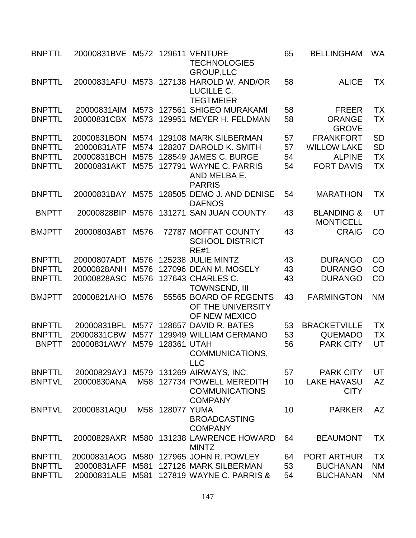| <b>BNPTTL</b> | 20000831BVE M572 |                  |                 | <b>129611 VENTURE</b><br><b>TECHNOLOGIES</b><br><b>GROUP,LLC</b>      | 65 | <b>BELLINGHAM</b>                         | <b>WA</b> |
|---------------|------------------|------------------|-----------------|-----------------------------------------------------------------------|----|-------------------------------------------|-----------|
| <b>BNPTTL</b> | 20000831AFU      | M573             |                 | 127138 HAROLD W. AND/OR<br>LUCILLE C.<br><b>TEGTMEIER</b>             | 58 | <b>ALICE</b>                              | <b>TX</b> |
| <b>BNPTTL</b> | 20000831AIM      | M573             |                 | 127561 SHIGEO MURAKAMI                                                | 58 | <b>FREER</b>                              | TX        |
| <b>BNPTTL</b> | 20000831CBX      | M <sub>573</sub> |                 | 129951 MEYER H. FELDMAN                                               | 58 | <b>ORANGE</b><br><b>GROVE</b>             | <b>TX</b> |
| <b>BNPTTL</b> | 20000831BON      | M574             |                 | 129108 MARK SILBERMAN                                                 | 57 | <b>FRANKFORT</b>                          | <b>SD</b> |
| <b>BNPTTL</b> | 20000831ATF      | M574             |                 | 128207 DAROLD K. SMITH                                                | 57 | <b>WILLOW LAKE</b>                        | <b>SD</b> |
| <b>BNPTTL</b> | 20000831BCH      | M575             |                 | 128549 JAMES C. BURGE                                                 | 54 | <b>ALPINE</b>                             | <b>TX</b> |
| <b>BNPTTL</b> | 20000831AKT      | M575             |                 | 127791 WAYNE C. PARRIS<br>AND MELBA E.<br><b>PARRIS</b>               | 54 | <b>FORT DAVIS</b>                         | TX        |
| <b>BNPTTL</b> | 20000831BAY      | M575             |                 | 128505 DEMO J. AND DENISE<br><b>DAFNOS</b>                            | 54 | <b>MARATHON</b>                           | <b>TX</b> |
| <b>BNPTT</b>  | 20000828BIP      | M576             |                 | 131271 SAN JUAN COUNTY                                                | 43 | <b>BLANDING &amp;</b><br><b>MONTICELL</b> | UT        |
| <b>BMJPTT</b> | 20000803ABT      | M576             |                 | 72787 MOFFAT COUNTY<br><b>SCHOOL DISTRICT</b><br><b>RE#1</b>          | 43 | <b>CRAIG</b>                              | CO        |
| <b>BNPTTL</b> | 20000807ADT      | M576             |                 | 125238 JULIE MINTZ                                                    | 43 | <b>DURANGO</b>                            | CO        |
| <b>BNPTTL</b> | 20000828ANH      | M576             |                 | 127096 DEAN M. MOSELY                                                 | 43 | <b>DURANGO</b>                            | CO        |
| <b>BNPTTL</b> | 20000828ASC      | M576             |                 | 127643 CHARLES C.<br><b>TOWNSEND, III</b>                             | 43 | <b>DURANGO</b>                            | CO        |
| <b>BMJPTT</b> | 20000821AHO      | M576             |                 | 55565 BOARD OF REGENTS<br>OF THE UNIVERSITY<br>OF NEW MEXICO          | 43 | <b>FARMINGTON</b>                         | <b>NM</b> |
| <b>BNPTTL</b> | 20000831BFL      | M577             |                 | 128657 DAVID R. BATES                                                 | 53 | <b>BRACKETVILLE</b>                       | <b>TX</b> |
| <b>BNPTTL</b> | 20000831CBW      | M577             |                 | 129949 WILLIAM GERMANO                                                | 53 | <b>QUEMADO</b>                            | <b>TX</b> |
| <b>BNPTT</b>  | 20000831AWY      | M579             | 128361 UTAH     | COMMUNICATIONS,<br><b>LLC</b>                                         | 56 | <b>PARK CITY</b>                          | UT        |
| <b>BNPTTL</b> |                  |                  |                 | 20000829AYJ M579 131269 AIRWAYS, INC.                                 | 57 | <b>PARK CITY</b>                          | UT        |
| <b>BNPTVL</b> | 20000830ANA      |                  |                 | M58 127734 POWELL MEREDITH<br><b>COMMUNICATIONS</b><br><b>COMPANY</b> | 10 | <b>LAKE HAVASU</b><br><b>CITY</b>         | AZ        |
| <b>BNPTVL</b> | 20000831AQU      |                  | M58 128077 YUMA | <b>BROADCASTING</b><br><b>COMPANY</b>                                 | 10 | <b>PARKER</b>                             | AZ        |
| <b>BNPTTL</b> |                  |                  |                 | 20000829AXR M580 131238 LAWRENCE HOWARD<br><b>MINTZ</b>               | 64 | <b>BEAUMONT</b>                           | <b>TX</b> |
| <b>BNPTTL</b> | 20000831AOG      | M580             |                 | 127965 JOHN R. POWLEY                                                 | 64 | <b>PORT ARTHUR</b>                        | <b>TX</b> |
| <b>BNPTTL</b> | 20000831AFF      | M581             |                 | 127126 MARK SILBERMAN                                                 | 53 | <b>BUCHANAN</b>                           | <b>NM</b> |
| <b>BNPTTL</b> | 20000831ALE M581 |                  |                 | 127819 WAYNE C. PARRIS &                                              | 54 | <b>BUCHANAN</b>                           | <b>NM</b> |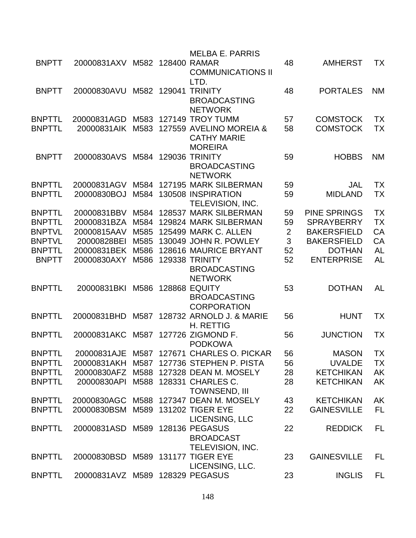|               |                                 |      |        | <b>MELBA E. PARRIS</b>                                             |                |                     |           |
|---------------|---------------------------------|------|--------|--------------------------------------------------------------------|----------------|---------------------|-----------|
| <b>BNPTT</b>  | 20000831AXV M582 128400 RAMAR   |      |        | <b>COMMUNICATIONS II</b><br>LTD.                                   | 48             | <b>AMHERST</b>      | <b>TX</b> |
| <b>BNPTT</b>  | 20000830AVU                     | M582 | 129041 | <b>TRINITY</b><br><b>BROADCASTING</b>                              | 48             | <b>PORTALES</b>     | <b>NM</b> |
| <b>BNPTTL</b> | 20000831AGD                     |      |        | <b>NETWORK</b><br>M583 127149 TROY TUMM                            | 57             | <b>COMSTOCK</b>     | <b>TX</b> |
| <b>BNPTTL</b> | 20000831AIK                     | M583 |        | 127559 AVELINO MOREIA &<br><b>CATHY MARIE</b><br><b>MOREIRA</b>    | 58             | <b>COMSTOCK</b>     | ТX        |
| <b>BNPTT</b>  | 20000830AVS                     | M584 |        | <b>129036 TRINITY</b><br><b>BROADCASTING</b><br><b>NETWORK</b>     | 59             | <b>HOBBS</b>        | <b>NM</b> |
| <b>BNPTTL</b> | 20000831AGV                     | M584 |        | 127195 MARK SILBERMAN                                              | 59             | <b>JAL</b>          | <b>TX</b> |
| <b>BNPTTL</b> | 20000830BOJ                     | M584 |        | 130508 INSPIRATION<br>TELEVISION, INC.                             | 59             | <b>MIDLAND</b>      | <b>TX</b> |
| <b>BNPTTL</b> | 20000831BBV                     | M584 |        | 128537 MARK SILBERMAN                                              | 59             | <b>PINE SPRINGS</b> | <b>TX</b> |
| <b>BNPTTL</b> | 20000831BZA                     | M584 |        | 129824 MARK SILBERMAN                                              | 59             | <b>SPRAYBERRY</b>   | <b>TX</b> |
| <b>BNPTVL</b> | 20000815AAV                     | M585 |        | <b>125499 MARK C. ALLEN</b>                                        | $\overline{2}$ | <b>BAKERSFIELD</b>  | CA        |
| <b>BNPTVL</b> | 20000828BEI                     | M585 |        | 130049 JOHN R. POWLEY                                              | 3              | <b>BAKERSFIELD</b>  | CA        |
| <b>BNPTTL</b> | 20000831BEK                     | M586 |        | 128616 MAURICE BRYANT                                              | 52             | <b>DOTHAN</b>       | <b>AL</b> |
| <b>BNPTT</b>  | 20000830AXY                     | M586 |        | <b>129338 TRINITY</b><br><b>BROADCASTING</b><br><b>NETWORK</b>     | 52             | <b>ENTERPRISE</b>   | <b>AL</b> |
| <b>BNPTTL</b> | 20000831BKI                     | M586 |        | <b>128868 EQUITY</b><br><b>BROADCASTING</b><br><b>CORPORATION</b>  | 53             | <b>DOTHAN</b>       | AL        |
| <b>BNPTTL</b> | 20000831BHD                     | M587 |        | 128732 ARNOLD J. & MARIE<br><b>H. RETTIG</b>                       | 56             | <b>HUNT</b>         | <b>TX</b> |
| <b>BNPTTL</b> | 20000831AKC                     |      |        | M587 127726 ZIGMOND F.<br><b>PODKOWA</b>                           | 56             | <b>JUNCTION</b>     | <b>TX</b> |
| <b>BNPTTL</b> |                                 |      |        | 20000831AJE M587 127671 CHARLES O. PICKAR                          | 56             | <b>MASON</b>        | <b>TX</b> |
| <b>BNPTTL</b> | 20000831AKH                     | M587 |        | 127736 STEPHEN P. PISTA                                            | 56             | <b>UVALDE</b>       | <b>TX</b> |
| <b>BNPTTL</b> |                                 |      |        | 20000830AFZ M588 127328 DEAN M. MOSELY                             | 28             | <b>KETCHIKAN</b>    | <b>AK</b> |
| <b>BNPTTL</b> | 20000830API                     |      |        | M588 128331 CHARLES C.<br><b>TOWNSEND, III</b>                     | 28             | <b>KETCHIKAN</b>    | AK        |
| <b>BNPTTL</b> |                                 |      |        | 20000830AGC M588 127347 DEAN M. MOSELY                             | 43             | <b>KETCHIKAN</b>    | AK        |
| <b>BNPTTL</b> | 20000830BSM                     |      |        | M589 131202 TIGER EYE<br>LICENSING, LLC                            | 22             | <b>GAINESVILLE</b>  | <b>FL</b> |
| <b>BNPTTL</b> | 20000831ASD                     |      |        | M589 128136 PEGASUS<br><b>BROADCAST</b><br><b>TELEVISION, INC.</b> | 22             | <b>REDDICK</b>      | FL        |
| <b>BNPTTL</b> | 20000830BSD                     |      |        | M589 131177 TIGER EYE<br>LICENSING, LLC.                           | 23             | <b>GAINESVILLE</b>  | FL        |
| <b>BNPTTL</b> | 20000831AVZ M589 128329 PEGASUS |      |        |                                                                    | 23             | <b>INGLIS</b>       | FL        |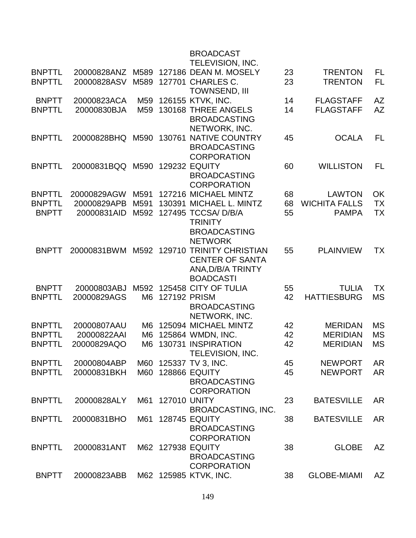|               |             |                |                     | <b>BROADCAST</b><br>TELEVISION, INC. |    |                      |           |
|---------------|-------------|----------------|---------------------|--------------------------------------|----|----------------------|-----------|
| <b>BNPTTL</b> | 20000828ANZ |                |                     | M589 127186 DEAN M. MOSELY           | 23 | <b>TRENTON</b>       | FL        |
| <b>BNPTTL</b> | 20000828ASV | M589           |                     | 127701 CHARLES C.                    | 23 | <b>TRENTON</b>       | <b>FL</b> |
|               |             |                |                     | <b>TOWNSEND, III</b>                 |    |                      |           |
| <b>BNPTT</b>  | 20000823ACA | M59            |                     | 126155 KTVK, INC.                    | 14 | <b>FLAGSTAFF</b>     | <b>AZ</b> |
| <b>BNPTTL</b> | 20000830BJA | M59            |                     | 130168 THREE ANGELS                  | 14 | <b>FLAGSTAFF</b>     | AZ        |
|               |             |                |                     | <b>BROADCASTING</b>                  |    |                      |           |
|               |             |                |                     | NETWORK, INC.                        |    |                      |           |
| <b>BNPTTL</b> | 20000828BHQ | M590           | 130761              | <b>NATIVE COUNTRY</b>                | 45 | <b>OCALA</b>         | <b>FL</b> |
|               |             |                |                     | <b>BROADCASTING</b>                  |    |                      |           |
|               |             |                |                     | <b>CORPORATION</b>                   |    |                      |           |
| <b>BNPTTL</b> | 20000831BQQ | M590           |                     | <b>129232 EQUITY</b>                 | 60 | <b>WILLISTON</b>     | FL        |
|               |             |                |                     | <b>BROADCASTING</b>                  |    |                      |           |
|               |             |                |                     | <b>CORPORATION</b>                   |    |                      |           |
| <b>BNPTTL</b> | 20000829AGW | M591           |                     | 127216 MICHAEL MINTZ                 | 68 | <b>LAWTON</b>        | OK        |
| <b>BNPTTL</b> | 20000829APB | M591           |                     | 130391 MICHAEL L. MINTZ              | 68 | <b>WICHITA FALLS</b> | TX        |
| <b>BNPTT</b>  | 20000831AID | M592           |                     | 127495 TCCSA/ D/B/A                  | 55 | <b>PAMPA</b>         | <b>TX</b> |
|               |             |                |                     | <b>TRINITY</b>                       |    |                      |           |
|               |             |                |                     | <b>BROADCASTING</b>                  |    |                      |           |
|               |             |                |                     | <b>NETWORK</b>                       |    |                      |           |
| <b>BNPTT</b>  | 20000831BWM |                |                     | M592 129710 TRINITY CHRISTIAN        | 55 | <b>PLAINVIEW</b>     | TX        |
|               |             |                |                     | <b>CENTER OF SANTA</b>               |    |                      |           |
|               |             |                |                     | ANA, D/B/A TRINTY                    |    |                      |           |
|               |             |                |                     | <b>BOADCASTI</b>                     |    |                      |           |
| <b>BNPTT</b>  | 20000803ABJ | M592           |                     | 125458 CITY OF TULIA                 | 55 | <b>TULIA</b>         | <b>TX</b> |
| <b>BNPTTL</b> | 20000829AGS | M6             | 127192 PRISM        |                                      | 42 | <b>HATTIESBURG</b>   | <b>MS</b> |
|               |             |                |                     | <b>BROADCASTING</b>                  |    |                      |           |
|               |             |                |                     | NETWORK, INC.                        |    |                      |           |
| <b>BNPTTL</b> | 20000807AAU | M6             |                     | 125094 MICHAEL MINTZ                 | 42 | <b>MERIDAN</b>       | <b>MS</b> |
| <b>BNPTTL</b> | 20000822AAI | M6             |                     | 125864 WMDN, INC.                    | 42 | <b>MERIDIAN</b>      | <b>MS</b> |
| <b>BNPTTL</b> | 20000829AQO | M <sub>6</sub> |                     | 130731 INSPIRATION                   | 42 | <b>MERIDIAN</b>      | <b>MS</b> |
|               |             |                |                     | TELEVISION, INC.                     |    |                      |           |
| <b>BNPTTL</b> | 20000804ABP | M60            |                     | 125337 TV 3, INC.                    | 45 | <b>NEWPORT</b>       | <b>AR</b> |
| <b>BNPTTL</b> | 20000831BKH | M60            |                     | <b>128866 EQUITY</b>                 | 45 | <b>NEWPORT</b>       | <b>AR</b> |
|               |             |                |                     | <b>BROADCASTING</b>                  |    |                      |           |
|               |             |                |                     | <b>CORPORATION</b>                   |    |                      |           |
| <b>BNPTTL</b> | 20000828ALY | M61            | <b>127010 UNITY</b> |                                      | 23 | <b>BATESVILLE</b>    | <b>AR</b> |
|               |             |                |                     | <b>BROADCASTING, INC.</b>            |    |                      |           |
| <b>BNPTTL</b> | 20000831BHO | M61            |                     | <b>128745 EQUITY</b>                 | 38 | <b>BATESVILLE</b>    | <b>AR</b> |
|               |             |                |                     | <b>BROADCASTING</b>                  |    |                      |           |
|               |             |                |                     | <b>CORPORATION</b>                   |    |                      |           |
| <b>BNPTTL</b> | 20000831ANT |                |                     | M62 127938 EQUITY                    | 38 | <b>GLOBE</b>         | AZ        |
|               |             |                |                     | <b>BROADCASTING</b>                  |    |                      |           |
|               |             |                |                     | <b>CORPORATION</b>                   |    |                      |           |
| <b>BNPTT</b>  | 20000823ABB |                |                     | M62 125985 KTVK, INC.                | 38 | <b>GLOBE-MIAMI</b>   | AZ        |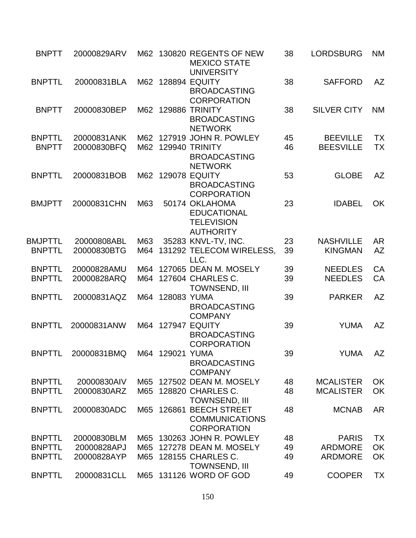| <b>BNPTT</b>                  | 20000829ARV                 |     |                 | M62 130820 REGENTS OF NEW<br><b>MEXICO STATE</b><br><b>UNIVERSITY</b>                    | 38       | <b>LORDSBURG</b>                    | <b>NM</b>              |
|-------------------------------|-----------------------------|-----|-----------------|------------------------------------------------------------------------------------------|----------|-------------------------------------|------------------------|
| <b>BNPTTL</b>                 | 20000831BLA                 |     |                 | M62 128894 EQUITY<br><b>BROADCASTING</b><br><b>CORPORATION</b>                           | 38       | <b>SAFFORD</b>                      | <b>AZ</b>              |
| <b>BNPTT</b>                  | 20000830BEP                 |     |                 | M62 129886 TRINITY<br><b>BROADCASTING</b><br><b>NETWORK</b>                              | 38       | <b>SILVER CITY</b>                  | <b>NM</b>              |
| <b>BNPTTL</b><br><b>BNPTT</b> | 20000831ANK<br>20000830BFQ  |     |                 | M62 127919 JOHN R. POWLEY<br>M62 129940 TRINITY<br><b>BROADCASTING</b><br><b>NETWORK</b> | 45<br>46 | <b>BEEVILLE</b><br><b>BEESVILLE</b> | <b>TX</b><br><b>TX</b> |
| <b>BNPTTL</b>                 | 20000831BOB                 |     |                 | M62 129078 EQUITY<br><b>BROADCASTING</b><br><b>CORPORATION</b>                           | 53       | <b>GLOBE</b>                        | AZ                     |
| <b>BMJPTT</b>                 | 20000831CHN                 | M63 |                 | 50174 OKLAHOMA<br><b>EDUCATIONAL</b><br><b>TELEVISION</b><br><b>AUTHORITY</b>            | 23       | <b>IDABEL</b>                       | OK                     |
| <b>BMJPTTL</b>                | 20000808ABL                 | M63 |                 | 35283 KNVL-TV, INC.                                                                      | 23       | <b>NASHVILLE</b>                    | <b>AR</b>              |
| <b>BNPTTL</b>                 | 20000830BTG                 |     |                 | M64 131292 TELECOM WIRELESS,<br>LLC.                                                     | 39       | <b>KINGMAN</b>                      | <b>AZ</b>              |
| <b>BNPTTL</b>                 | 20000828AMU                 | M64 |                 | 127065 DEAN M. MOSELY                                                                    | 39       | <b>NEEDLES</b>                      | CA                     |
| <b>BNPTTL</b>                 | 20000828ARQ                 |     |                 | M64 127604 CHARLES C.<br>TOWNSEND, III                                                   | 39       | <b>NEEDLES</b>                      | CA                     |
| <b>BNPTTL</b>                 | 20000831AQZ                 |     | M64 128083 YUMA | <b>BROADCASTING</b><br><b>COMPANY</b>                                                    | 39       | <b>PARKER</b>                       | <b>AZ</b>              |
| <b>BNPTTL</b>                 | 20000831ANW                 |     |                 | M64 127947 EQUITY<br><b>BROADCASTING</b><br><b>CORPORATION</b>                           | 39       | <b>YUMA</b>                         | <b>AZ</b>              |
| <b>BNPTTL</b>                 | 20000831BMQ M64 129021 YUMA |     |                 | <b>BROADCASTING</b><br><b>COMPANY</b>                                                    | 39       | YUMA AZ                             |                        |
| <b>BNPTTL</b>                 | 20000830AIV                 |     |                 | M65 127502 DEAN M. MOSELY                                                                | 48       | <b>MCALISTER</b>                    | OK                     |
| <b>BNPTTL</b>                 | 20000830ARZ                 | M65 |                 | 128820 CHARLES C.<br><b>TOWNSEND, III</b>                                                | 48       | <b>MCALISTER</b>                    | OK                     |
| <b>BNPTTL</b>                 | 20000830ADC                 |     |                 | M65 126861 BEECH STREET<br><b>COMMUNICATIONS</b><br><b>CORPORATION</b>                   | 48       | <b>MCNAB</b>                        | <b>AR</b>              |
| <b>BNPTTL</b>                 | 20000830BLM                 |     |                 | M65 130263 JOHN R. POWLEY                                                                | 48       | <b>PARIS</b>                        | <b>TX</b>              |
| <b>BNPTTL</b>                 | 20000828APJ                 | M65 |                 | 127278 DEAN M. MOSELY                                                                    | 49       | <b>ARDMORE</b>                      | OK                     |
| <b>BNPTTL</b>                 | 20000828AYP                 | M65 |                 | 128155 CHARLES C.<br><b>TOWNSEND, III</b>                                                | 49       | <b>ARDMORE</b>                      | OK                     |
| <b>BNPTTL</b>                 | 20000831CLL                 |     |                 | M65 131126 WORD OF GOD                                                                   | 49       | <b>COOPER</b>                       | <b>TX</b>              |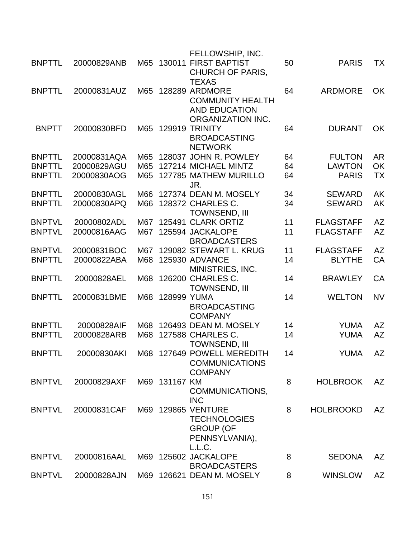|               |             |     |               | FELLOWSHIP, INC.           |    |                  |           |
|---------------|-------------|-----|---------------|----------------------------|----|------------------|-----------|
| <b>BNPTTL</b> | 20000829ANB | M65 | 130011        | <b>FIRST BAPTIST</b>       | 50 | <b>PARIS</b>     | TX        |
|               |             |     |               | <b>CHURCH OF PARIS,</b>    |    |                  |           |
|               |             |     |               | <b>TEXAS</b>               |    |                  |           |
| <b>BNPTTL</b> | 20000831AUZ | M65 |               | <b>128289 ARDMORE</b>      | 64 | <b>ARDMORE</b>   | <b>OK</b> |
|               |             |     |               | <b>COMMUNITY HEALTH</b>    |    |                  |           |
|               |             |     |               | <b>AND EDUCATION</b>       |    |                  |           |
|               |             |     |               | ORGANIZATION INC.          |    |                  |           |
| <b>BNPTT</b>  | 20000830BFD | M65 |               | 129919 TRINITY             | 64 | <b>DURANT</b>    | OK        |
|               |             |     |               | <b>BROADCASTING</b>        |    |                  |           |
|               |             |     |               | <b>NETWORK</b>             |    |                  |           |
| <b>BNPTTL</b> | 20000831AQA | M65 |               | 128037 JOHN R. POWLEY      | 64 | <b>FULTON</b>    | <b>AR</b> |
| <b>BNPTTL</b> | 20000829AGU | M65 |               | 127214 MICHAEL MINTZ       | 64 | <b>LAWTON</b>    | OK        |
| <b>BNPTTL</b> | 20000830AOG | M65 |               | 127785 MATHEW MURILLO      | 64 | <b>PARIS</b>     | <b>TX</b> |
|               |             |     |               | JR.                        |    |                  |           |
| <b>BNPTTL</b> | 20000830AGL | M66 |               | 127374 DEAN M. MOSELY      | 34 | <b>SEWARD</b>    | AK        |
| <b>BNPTTL</b> | 20000830APQ | M66 |               | 128372 CHARLES C.          | 34 | <b>SEWARD</b>    | <b>AK</b> |
|               |             |     |               | <b>TOWNSEND, III</b>       |    |                  |           |
| <b>BNPTVL</b> | 20000802ADL | M67 |               | 125491 CLARK ORTIZ         | 11 | <b>FLAGSTAFF</b> | <b>AZ</b> |
| <b>BNPTVL</b> | 20000816AAG | M67 |               | 125594 JACKALOPE           | 11 | <b>FLAGSTAFF</b> | <b>AZ</b> |
|               |             |     |               | <b>BROADCASTERS</b>        |    |                  |           |
| <b>BNPTVL</b> | 20000831BOC | M67 |               | 129082 STEWART L. KRUG     | 11 | <b>FLAGSTAFF</b> | <b>AZ</b> |
| <b>BNPTTL</b> | 20000822ABA | M68 |               | 125930 ADVANCE             | 14 | <b>BLYTHE</b>    | CA        |
|               |             |     |               | MINISTRIES, INC.           |    |                  |           |
| <b>BNPTTL</b> | 20000828AEL | M68 |               | 126200 CHARLES C.          | 14 | <b>BRAWLEY</b>   | CA        |
|               |             |     |               | <b>TOWNSEND, III</b>       |    |                  |           |
| <b>BNPTTL</b> | 20000831BME | M68 | 128999 YUMA   |                            | 14 | <b>WELTON</b>    | <b>NV</b> |
|               |             |     |               | <b>BROADCASTING</b>        |    |                  |           |
|               |             |     |               | <b>COMPANY</b>             |    |                  |           |
| <b>BNPTTL</b> | 20000828AIF | M68 |               | 126493 DEAN M. MOSELY      | 14 | <b>YUMA</b>      | AZ        |
| <b>BNPTTL</b> | 20000828ARB | M68 |               | 127588 CHARLES C.          | 14 | <b>YUMA</b>      | <b>AZ</b> |
|               |             |     |               | <b>TOWNSEND, III</b>       |    |                  |           |
| <b>BNPTTI</b> | 20000830AKI |     |               | M68 127649 POWELL MEREDITH | 14 | <b>YUMA</b>      | AZ        |
|               |             |     |               | <b>COMMUNICATIONS</b>      |    |                  |           |
|               |             |     |               | <b>COMPANY</b>             |    |                  |           |
| <b>BNPTVL</b> | 20000829AXF |     | M69 131167 KM |                            | 8  | <b>HOLBROOK</b>  | AZ        |
|               |             |     |               | COMMUNICATIONS,            |    |                  |           |
|               |             |     |               | <b>INC</b>                 |    |                  |           |
| <b>BNPTVL</b> | 20000831CAF |     |               | M69 129865 VENTURE         | 8  | <b>HOLBROOKD</b> | AZ        |
|               |             |     |               | <b>TECHNOLOGIES</b>        |    |                  |           |
|               |             |     |               | <b>GROUP (OF</b>           |    |                  |           |
|               |             |     |               | PENNSYLVANIA),             |    |                  |           |
|               |             |     |               | L.L.C.                     |    |                  |           |
| <b>BNPTVL</b> | 20000816AAL |     |               | M69 125602 JACKALOPE       | 8  | <b>SEDONA</b>    | AZ        |
|               |             |     |               | <b>BROADCASTERS</b>        |    |                  |           |
| <b>BNPTVL</b> | 20000828AJN |     |               | M69 126621 DEAN M. MOSELY  | 8  | <b>WINSLOW</b>   | AZ        |
|               |             |     |               |                            |    |                  |           |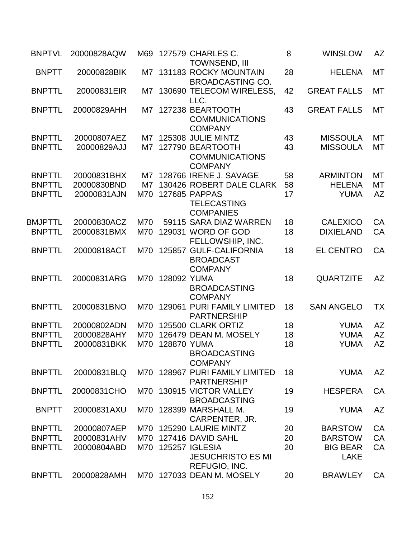| <b>BNPTVL</b>  | 20000828AQW | M69 |             | 127579 CHARLES C.<br><b>TOWNSEND, III</b>                       | 8  | <b>WINSLOW</b>                 | AZ        |
|----------------|-------------|-----|-------------|-----------------------------------------------------------------|----|--------------------------------|-----------|
| <b>BNPTT</b>   | 20000828BIK |     |             | M7 131183 ROCKY MOUNTAIN<br><b>BROADCASTING CO.</b>             | 28 | <b>HELENA</b>                  | МT        |
| <b>BNPTTL</b>  | 20000831EIR | M7  |             | 130690 TELECOM WIRELESS,<br>LLC.                                | 42 | <b>GREAT FALLS</b>             | MT        |
| <b>BNPTTL</b>  | 20000829AHH | M7. |             | 127238 BEARTOOTH<br><b>COMMUNICATIONS</b><br><b>COMPANY</b>     | 43 | <b>GREAT FALLS</b>             | МT        |
| <b>BNPTTL</b>  | 20000807AEZ | M7  |             | 125308 JULIE MINTZ                                              | 43 | <b>MISSOULA</b>                | <b>MT</b> |
| <b>BNPTTL</b>  | 20000829AJJ | M7  |             | 127790 BEARTOOTH<br><b>COMMUNICATIONS</b><br><b>COMPANY</b>     | 43 | <b>MISSOULA</b>                | МT        |
| <b>BNPTTL</b>  | 20000831BHX | M7  |             | 128766 IRENE J. SAVAGE                                          | 58 | <b>ARMINTON</b>                | МT        |
| <b>BNPTTL</b>  | 20000830BND | M7  |             | 130426 ROBERT DALE CLARK                                        | 58 | <b>HELENA</b>                  | МT        |
| <b>BNPTTL</b>  | 20000831AJN | M70 |             | <b>127685 PAPPAS</b><br><b>TELECASTING</b><br><b>COMPANIES</b>  | 17 | <b>YUMA</b>                    | <b>AZ</b> |
| <b>BMJPTTL</b> | 20000830ACZ | M70 |             | 59115 SARA DIAZ WARREN                                          | 18 | <b>CALEXICO</b>                | CA        |
| <b>BNPTTL</b>  | 20000831BMX | M70 |             | 129031 WORD OF GOD<br>FELLOWSHIP, INC.                          | 18 | <b>DIXIELAND</b>               | CA        |
| <b>BNPTTL</b>  | 20000818ACT | M70 |             | 125857 GULF-CALIFORNIA<br><b>BROADCAST</b><br><b>COMPANY</b>    | 18 | <b>EL CENTRO</b>               | CA        |
| <b>BNPTTL</b>  | 20000831ARG | M70 | 128092 YUMA | <b>BROADCASTING</b><br><b>COMPANY</b>                           | 18 | <b>QUARTZITE</b>               | <b>AZ</b> |
| <b>BNPTTL</b>  | 20000831BNO | M70 | 129061      | PURI FAMILY LIMITED<br><b>PARTNERSHIP</b>                       | 18 | <b>SAN ANGELO</b>              | <b>TX</b> |
| <b>BNPTTL</b>  | 20000802ADN | M70 |             | 125500 CLARK ORTIZ                                              | 18 | <b>YUMA</b>                    | <b>AZ</b> |
| <b>BNPTTL</b>  | 20000828AHY | M70 |             | 126479 DEAN M. MOSELY                                           | 18 | <b>YUMA</b>                    | <b>AZ</b> |
| <b>BNPTTL</b>  | 20000831BKK | M70 | 128870 YUMA | <b>BROADCASTING</b><br><b>COMPANY</b>                           | 18 | <b>YUMA</b>                    | <b>AZ</b> |
| <b>BNPTTL</b>  | 20000831BLQ |     |             | M70 128967 PURI FAMILY LIMITED<br><b>PARTNERSHIP</b>            | 18 | <b>YUMA</b>                    | <b>AZ</b> |
| <b>BNPTTL</b>  | 20000831CHO | M70 |             | 130915 VICTOR VALLEY<br><b>BROADCASTING</b>                     | 19 | <b>HESPERA</b>                 | CA        |
| <b>BNPTT</b>   | 20000831AXU |     |             | M70 128399 MARSHALL M.<br>CARPENTER, JR.                        | 19 | <b>YUMA</b>                    | <b>AZ</b> |
| <b>BNPTTL</b>  | 20000807AEP | M70 |             | 125290 LAURIE MINTZ                                             | 20 | <b>BARSTOW</b>                 | CA        |
| <b>BNPTTL</b>  | 20000831AHV | M70 |             | 127416 DAVID SAHL                                               | 20 | <b>BARSTOW</b>                 | CA        |
| <b>BNPTTL</b>  | 20000804ABD |     |             | M70 125257 IGLESIA<br><b>JESUCHRISTO ES MI</b><br>REFUGIO, INC. | 20 | <b>BIG BEAR</b><br><b>LAKE</b> | CA        |
| <b>BNPTTL</b>  | 20000828AMH |     |             | M70 127033 DEAN M. MOSELY                                       | 20 | <b>BRAWLEY</b>                 | CA        |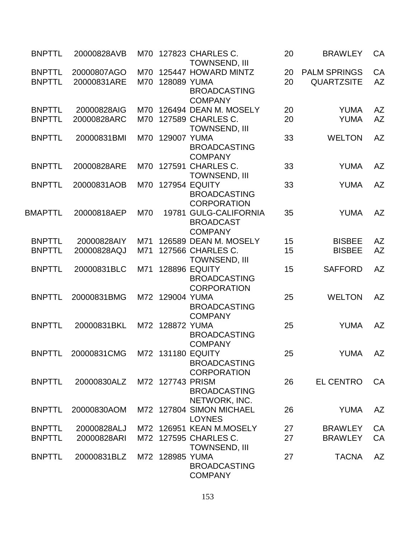| <b>BNPTTL</b>  | 20000828AVB                   | M70 |                  | 127823 CHARLES C.<br><b>TOWNSEND, III</b> | 20 | <b>BRAWLEY</b>      | CA        |
|----------------|-------------------------------|-----|------------------|-------------------------------------------|----|---------------------|-----------|
| <b>BNPTTL</b>  | 20000807AGO                   | M70 |                  | 125447 HOWARD MINTZ                       | 20 | <b>PALM SPRINGS</b> | CA        |
| <b>BNPTTL</b>  | 20000831ARE                   | M70 | 128089 YUMA      |                                           | 20 | <b>QUARTZSITE</b>   | <b>AZ</b> |
|                |                               |     |                  | <b>BROADCASTING</b>                       |    |                     |           |
|                |                               |     |                  | <b>COMPANY</b>                            |    |                     |           |
| <b>BNPTTL</b>  | 20000828AIG                   | M70 |                  | 126494 DEAN M. MOSELY                     | 20 | <b>YUMA</b>         | AZ        |
| <b>BNPTTL</b>  | 20000828ARC                   | M70 |                  | 127589 CHARLES C.                         | 20 | <b>YUMA</b>         | <b>AZ</b> |
|                |                               |     |                  | TOWNSEND, III                             |    |                     |           |
| <b>BNPTTL</b>  | 20000831BMI                   | M70 | 129007 YUMA      |                                           | 33 | <b>WELTON</b>       | <b>AZ</b> |
|                |                               |     |                  | <b>BROADCASTING</b>                       |    |                     |           |
|                |                               |     |                  | <b>COMPANY</b>                            |    |                     |           |
| <b>BNPTTL</b>  | 20000828ARE                   |     |                  | M70 127591 CHARLES C.                     | 33 | <b>YUMA</b>         | AZ        |
|                |                               |     |                  | <b>TOWNSEND, III</b>                      |    |                     |           |
| <b>BNPTTL</b>  | 20000831AOB                   | M70 |                  | <b>127954 EQUITY</b>                      | 33 | <b>YUMA</b>         | <b>AZ</b> |
|                |                               |     |                  | <b>BROADCASTING</b>                       |    |                     |           |
|                |                               |     |                  | <b>CORPORATION</b>                        |    |                     |           |
| <b>BMAPTTL</b> | 20000818AEP                   | M70 |                  | 19781 GULG-CALIFORNIA                     | 35 | <b>YUMA</b>         | <b>AZ</b> |
|                |                               |     |                  | <b>BROADCAST</b>                          |    |                     |           |
|                |                               |     |                  | <b>COMPANY</b>                            |    |                     |           |
| <b>BNPTTL</b>  | 20000828AIY                   | M71 |                  | 126589 DEAN M. MOSELY                     | 15 | <b>BISBEE</b>       | <b>AZ</b> |
| <b>BNPTTL</b>  | 20000828AQJ                   | M71 |                  | 127566 CHARLES C.                         | 15 | <b>BISBEE</b>       | <b>AZ</b> |
|                |                               |     |                  | <b>TOWNSEND, III</b>                      |    |                     |           |
| <b>BNPTTL</b>  | 20000831BLC                   | M71 |                  | <b>128896 EQUITY</b>                      | 15 | <b>SAFFORD</b>      | <b>AZ</b> |
|                |                               |     |                  | <b>BROADCASTING</b>                       |    |                     |           |
|                |                               |     |                  | <b>CORPORATION</b>                        |    |                     |           |
| <b>BNPTTL</b>  | 20000831BMG                   |     | M72 129004 YUMA  |                                           | 25 | <b>WELTON</b>       | <b>AZ</b> |
|                |                               |     |                  | <b>BROADCASTING</b>                       |    |                     |           |
|                |                               |     |                  | <b>COMPANY</b>                            |    |                     |           |
| <b>BNPTTL</b>  | 20000831BKL                   |     | M72 128872 YUMA  |                                           | 25 | <b>YUMA</b>         | <b>AZ</b> |
|                |                               |     |                  | <b>BROADCASTING</b>                       |    |                     |           |
|                |                               |     |                  | <b>COMPANY</b>                            |    |                     |           |
| <b>BNPTTL</b>  | 20000831CMG M72 131180 EQUITY |     |                  |                                           | 25 | YUMA                | AZ        |
|                |                               |     |                  | <b>BROADCASTING</b>                       |    |                     |           |
|                |                               |     |                  | <b>CORPORATION</b>                        |    |                     |           |
| <b>BNPTTL</b>  | 20000830ALZ                   |     | M72 127743 PRISM |                                           | 26 | <b>EL CENTRO</b>    | CA        |
|                |                               |     |                  | <b>BROADCASTING</b>                       |    |                     |           |
|                |                               |     |                  | NETWORK, INC.                             |    |                     |           |
| <b>BNPTTL</b>  | 20000830AOM                   |     |                  | M72 127804 SIMON MICHAEL                  | 26 | <b>YUMA</b>         | <b>AZ</b> |
|                |                               |     |                  | <b>LOYNES</b>                             |    |                     |           |
| <b>BNPTTL</b>  | 20000828ALJ                   |     |                  | M72 126951 KEAN M.MOSELY                  | 27 | <b>BRAWLEY</b>      | CA        |
| <b>BNPTTL</b>  | 20000828ARI                   |     |                  | M72 127595 CHARLES C.                     | 27 | <b>BRAWLEY</b>      | CA        |
|                |                               |     |                  | TOWNSEND, III                             |    |                     |           |
| <b>BNPTTL</b>  | 20000831BLZ                   |     | M72 128985 YUMA  |                                           | 27 | <b>TACNA</b>        | <b>AZ</b> |
|                |                               |     |                  | <b>BROADCASTING</b>                       |    |                     |           |
|                |                               |     |                  | <b>COMPANY</b>                            |    |                     |           |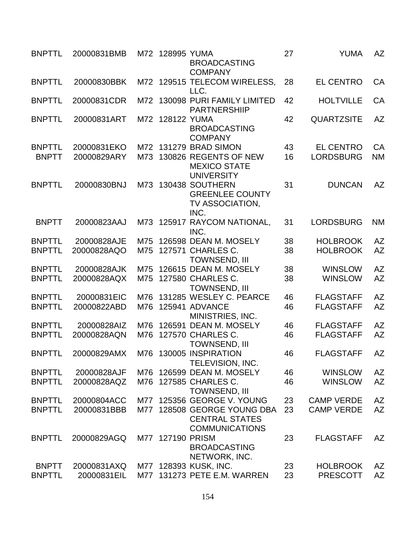| <b>BNPTTL</b> | 20000831BMB |     | M72 128995 YUMA | <b>BROADCASTING</b><br><b>COMPANY</b>                                     | 27 | <b>YUMA</b>       | <b>AZ</b> |
|---------------|-------------|-----|-----------------|---------------------------------------------------------------------------|----|-------------------|-----------|
| <b>BNPTTL</b> | 20000830BBK |     |                 | M72 129515 TELECOM WIRELESS,<br>LLC.                                      | 28 | <b>EL CENTRO</b>  | CA        |
| <b>BNPTTL</b> | 20000831CDR | M72 |                 | 130098 PURI FAMILY LIMITED<br><b>PARTNERSHIIP</b>                         | 42 | <b>HOLTVILLE</b>  | CA        |
| <b>BNPTTL</b> | 20000831ART |     | M72 128122 YUMA | <b>BROADCASTING</b><br><b>COMPANY</b>                                     | 42 | <b>QUARTZSITE</b> | <b>AZ</b> |
| <b>BNPTTL</b> | 20000831EKO |     |                 | M72 131279 BRAD SIMON                                                     | 43 | <b>EL CENTRO</b>  | CA        |
| <b>BNPTT</b>  | 20000829ARY | M73 |                 | 130826 REGENTS OF NEW<br><b>MEXICO STATE</b><br><b>UNIVERSITY</b>         | 16 | <b>LORDSBURG</b>  | <b>NM</b> |
| <b>BNPTTL</b> | 20000830BNJ | M73 |                 | 130438 SOUTHERN<br><b>GREENLEE COUNTY</b><br>TV ASSOCIATION,<br>INC.      | 31 | <b>DUNCAN</b>     | <b>AZ</b> |
| <b>BNPTT</b>  | 20000823AAJ | M73 |                 | 125917 RAYCOM NATIONAL,<br>INC.                                           | 31 | <b>LORDSBURG</b>  | <b>NM</b> |
| <b>BNPTTL</b> | 20000828AJE | M75 |                 | 126598 DEAN M. MOSELY                                                     | 38 | <b>HOLBROOK</b>   | <b>AZ</b> |
| <b>BNPTTL</b> | 20000828AQO | M75 |                 | 127571 CHARLES C.<br><b>TOWNSEND, III</b>                                 | 38 | <b>HOLBROOK</b>   | <b>AZ</b> |
| <b>BNPTTL</b> | 20000828AJK | M75 |                 | 126615 DEAN M. MOSELY                                                     | 38 | <b>WINSLOW</b>    | <b>AZ</b> |
| <b>BNPTTL</b> | 20000828AQX | M75 |                 | 127580 CHARLES C.<br><b>TOWNSEND, III</b>                                 | 38 | <b>WINSLOW</b>    | <b>AZ</b> |
| <b>BNPTTL</b> | 20000831EIC | M76 |                 | 131285 WESLEY C. PEARCE                                                   | 46 | <b>FLAGSTAFF</b>  | <b>AZ</b> |
| <b>BNPTTL</b> | 20000822ABD | M76 |                 | 125941 ADVANCE<br>MINISTRIES, INC.                                        | 46 | <b>FLAGSTAFF</b>  | <b>AZ</b> |
| <b>BNPTTL</b> | 20000828AIZ | M76 |                 | 126591 DEAN M. MOSELY                                                     | 46 | <b>FLAGSTAFF</b>  | <b>AZ</b> |
| <b>BNPTTL</b> | 20000828AQN | M76 |                 | 127570 CHARLES C.<br><b>TOWNSEND, III</b>                                 | 46 | <b>FLAGSTAFF</b>  | <b>AZ</b> |
| <b>BNPTTL</b> | 20000829AMX |     |                 | M76 130005 INSPIRATION<br>TELEVISION, INC.                                | 46 | <b>FLAGSTAFF</b>  | <b>AZ</b> |
| <b>BNPTTL</b> | 20000828AJF | M76 |                 | 126599 DEAN M. MOSELY                                                     | 46 | <b>WINSLOW</b>    | AZ        |
| <b>BNPTTL</b> | 20000828AQZ |     |                 | M76 127585 CHARLES C.<br><b>TOWNSEND, III</b>                             | 46 | <b>WINSLOW</b>    | <b>AZ</b> |
| <b>BNPTTL</b> | 20000804ACC | M77 |                 | 125356 GEORGE V. YOUNG                                                    | 23 | <b>CAMP VERDE</b> | AZ        |
| <b>BNPTTL</b> | 20000831BBB | M77 |                 | 128508 GEORGE YOUNG DBA<br><b>CENTRAL STATES</b><br><b>COMMUNICATIONS</b> | 23 | <b>CAMP VERDE</b> | <b>AZ</b> |
| <b>BNPTTL</b> | 20000829AGQ | M77 | 127190 PRISM    | <b>BROADCASTING</b><br>NETWORK, INC.                                      | 23 | <b>FLAGSTAFF</b>  | AZ        |
| <b>BNPTT</b>  | 20000831AXQ |     |                 | M77 128393 KUSK, INC.                                                     | 23 | <b>HOLBROOK</b>   | AZ        |
| <b>BNPTTL</b> | 20000831EIL | M77 |                 | 131273 PETE E.M. WARREN                                                   | 23 | <b>PRESCOTT</b>   | <b>AZ</b> |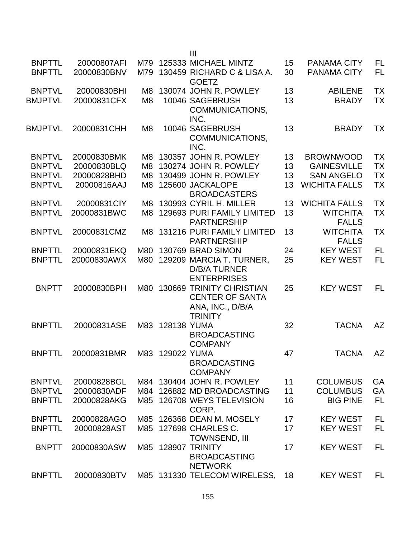|                |             |                |             | $\mathbf{III}$                                                                                  |    |                                 |           |
|----------------|-------------|----------------|-------------|-------------------------------------------------------------------------------------------------|----|---------------------------------|-----------|
| <b>BNPTTL</b>  | 20000807AFI | M79            |             | 125333 MICHAEL MINTZ                                                                            | 15 | <b>PANAMA CITY</b>              | <b>FL</b> |
| <b>BNPTTL</b>  | 20000830BNV | M79            |             | 130459 RICHARD C & LISA A.<br><b>GOETZ</b>                                                      | 30 | <b>PANAMA CITY</b>              | <b>FL</b> |
| <b>BNPTVL</b>  | 20000830BHI | M8             |             | 130074 JOHN R. POWLEY                                                                           | 13 | <b>ABILENE</b>                  | <b>TX</b> |
| <b>BMJPTVL</b> | 20000831CFX | M <sub>8</sub> |             | 10046 SAGEBRUSH<br>COMMUNICATIONS,                                                              | 13 | <b>BRADY</b>                    | <b>TX</b> |
| <b>BMJPTVL</b> | 20000831CHH | M8             |             | INC.<br>10046 SAGEBRUSH<br>COMMUNICATIONS,<br>INC.                                              | 13 | <b>BRADY</b>                    | TX        |
| <b>BNPTVL</b>  | 20000830BMK | M8.            |             | 130357 JOHN R. POWLEY                                                                           | 13 | <b>BROWNWOOD</b>                | <b>TX</b> |
| <b>BNPTVL</b>  | 20000830BLQ | M8             |             | 130274 JOHN R. POWLEY                                                                           | 13 | <b>GAINESVILLE</b>              | <b>TX</b> |
| <b>BNPTVL</b>  | 20000828BHD | M8             |             | 130499 JOHN R. POWLEY                                                                           | 13 | <b>SAN ANGELO</b>               | <b>TX</b> |
|                |             |                |             |                                                                                                 |    |                                 |           |
| <b>BNPTVL</b>  | 20000816AAJ | M8             |             | 125600 JACKALOPE<br><b>BROADCASTERS</b>                                                         | 13 | <b>WICHITA FALLS</b>            | <b>TX</b> |
| <b>BNPTVL</b>  | 20000831CIY | M8             |             | 130993 CYRIL H. MILLER                                                                          | 13 | <b>WICHITA FALLS</b>            | <b>TX</b> |
| <b>BNPTVL</b>  | 20000831BWC | M8             |             | 129693 PURI FAMILY LIMITED<br><b>PARTNERSHIP</b>                                                | 13 | <b>WITCHITA</b><br><b>FALLS</b> | <b>TX</b> |
| <b>BNPTVL</b>  | 20000831CMZ | M8.            |             | 131216 PURI FAMILY LIMITED<br><b>PARTNERSHIP</b>                                                | 13 | <b>WITCHITA</b><br><b>FALLS</b> | TX        |
| <b>BNPTTL</b>  | 20000831EKQ | M80            |             | 130769 BRAD SIMON                                                                               | 24 | <b>KEY WEST</b>                 | <b>FL</b> |
| <b>BNPTTL</b>  | 20000830AWX | M80            |             | 129209 MARCIA T. TURNER,<br><b>D/B/A TURNER</b>                                                 | 25 | <b>KEY WEST</b>                 | FL        |
|                |             |                |             | <b>ENTERPRISES</b>                                                                              |    |                                 |           |
| <b>BNPTT</b>   | 20000830BPH | M80            |             | <b>130669 TRINITY CHRISTIAN</b><br><b>CENTER OF SANTA</b><br>ANA, INC., D/B/A<br><b>TRINITY</b> | 25 | <b>KEY WEST</b>                 | FL        |
| <b>BNPTTL</b>  | 20000831ASE | M83            | 128138 YUMA | <b>BROADCASTING</b><br><b>COMPANY</b>                                                           | 32 | <b>TACNA</b>                    | <b>AZ</b> |
| <b>BNPTTL</b>  |             |                |             | <b>BROADCASTING</b><br><b>COMPANY</b>                                                           | 47 | <b>TACNA</b>                    | AZ        |
| <b>BNPTVL</b>  | 20000828BGL |                |             | M84 130404 JOHN R. POWLEY                                                                       | 11 | <b>COLUMBUS</b>                 | GA        |
| <b>BNPTVL</b>  | 20000830ADF | M84            |             | 126882 MD BROADCASTING                                                                          | 11 | <b>COLUMBUS</b>                 | GA        |
|                |             |                |             |                                                                                                 |    |                                 |           |
| <b>BNPTTL</b>  | 20000828AKG |                |             | M85 126708 WEYS TELEVISION<br>CORP.                                                             | 16 | <b>BIG PINE</b>                 | <b>FL</b> |
| <b>BNPTTL</b>  | 20000828AGO | M85            |             | 126368 DEAN M. MOSELY                                                                           | 17 | <b>KEY WEST</b>                 | FL        |
| <b>BNPTTL</b>  | 20000828AST |                |             | M85 127698 CHARLES C.<br><b>TOWNSEND, III</b>                                                   | 17 | <b>KEY WEST</b>                 | FL        |
| <b>BNPTT</b>   | 20000830ASW |                |             | M85 128907 TRINITY<br><b>BROADCASTING</b><br><b>NETWORK</b>                                     | 17 | <b>KEY WEST</b>                 | FL        |
| <b>BNPTTL</b>  | 20000830BTV |                |             | M85 131330 TELECOM WIRELESS,                                                                    | 18 | <b>KEY WEST</b>                 | FL        |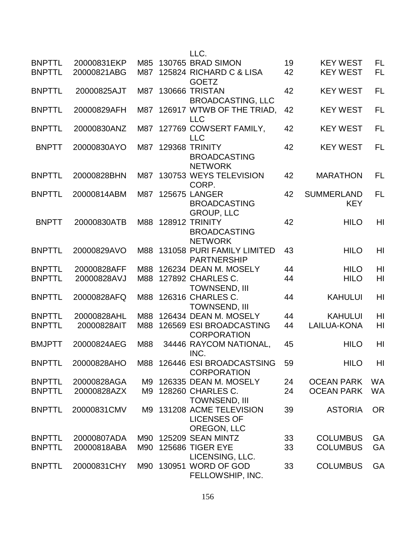|                                |                            |            | LLC.                                                                  |          |                                    |                        |
|--------------------------------|----------------------------|------------|-----------------------------------------------------------------------|----------|------------------------------------|------------------------|
| <b>BNPTTL</b><br><b>BNPTTL</b> | 20000831EKP<br>20000821ABG | M85<br>M87 | 130765 BRAD SIMON<br>125824 RICHARD C & LISA                          | 19<br>42 | <b>KEY WEST</b><br><b>KEY WEST</b> | <b>FL</b><br><b>FL</b> |
|                                |                            |            | <b>GOETZ</b>                                                          |          |                                    |                        |
| <b>BNPTTL</b>                  | 20000825AJT                | M87        | 130666 TRISTAN<br><b>BROADCASTING, LLC</b>                            | 42       | <b>KEY WEST</b>                    | <b>FL</b>              |
| <b>BNPTTL</b>                  | 20000829AFH                | M87        | 126917 WTWB OF THE TRIAD,                                             | 42       | <b>KEY WEST</b>                    | <b>FL</b>              |
| <b>BNPTTL</b>                  | 20000830ANZ                | M87        | <b>LLC</b><br>127769 COWSERT FAMILY,                                  | 42       | <b>KEY WEST</b>                    | FL                     |
| <b>BNPTT</b>                   | 20000830AYO                | M87        | <b>LLC</b><br>129368 TRINITY<br><b>BROADCASTING</b><br><b>NETWORK</b> | 42       | <b>KEY WEST</b>                    | <b>FL</b>              |
| <b>BNPTTL</b>                  | 20000828BHN                | M87        | 130753 WEYS TELEVISION<br>CORP.                                       | 42       | <b>MARATHON</b>                    | FL                     |
| <b>BNPTTL</b>                  | 20000814ABM                | M87        | <b>125675 LANGER</b><br><b>BROADCASTING</b><br><b>GROUP, LLC</b>      | 42       | <b>SUMMERLAND</b><br><b>KEY</b>    | <b>FL</b>              |
| <b>BNPTT</b>                   | 20000830ATB                | M88        | <b>128912 TRINITY</b><br><b>BROADCASTING</b><br><b>NETWORK</b>        | 42       | <b>HILO</b>                        | HI                     |
| <b>BNPTTL</b>                  | 20000829AVO                | M88        | 131058 PURI FAMILY LIMITED<br><b>PARTNERSHIP</b>                      | 43       | <b>HILO</b>                        | HI                     |
| <b>BNPTTL</b>                  | 20000828AFF                | M88        | 126234 DEAN M. MOSELY                                                 | 44       | <b>HILO</b>                        | HI                     |
| <b>BNPTTL</b>                  | 20000828AVJ                |            | M88 127892 CHARLES C.<br><b>TOWNSEND, III</b>                         | 44       | <b>HILO</b>                        | HI                     |
| <b>BNPTTL</b>                  | 20000828AFQ                | M88        | 126316 CHARLES C.<br><b>TOWNSEND, III</b>                             | 44       | <b>KAHULUI</b>                     | HI                     |
| <b>BNPTTL</b>                  | 20000828AHL                | M88        | 126434 DEAN M. MOSELY                                                 | 44       | <b>KAHULUI</b>                     | HI                     |
| <b>BNPTTL</b>                  | 20000828AIT                | M88        | 126569 ESI BROADCASTING<br><b>CORPORATION</b>                         | 44       | LAILUA-KONA                        | HI                     |
| <b>BMJPTT</b>                  | 20000824AEG                | M88        | 34446 RAYCOM NATIONAL,<br>INC.                                        | 45       | <b>HILO</b>                        | HI                     |
| <b>BNPTTL</b>                  | 20000828AHO                |            | M88 126446 ESI BROADCASTSING<br><b>CORPORATION</b>                    | 59       | <b>HILO</b>                        | HI                     |
| <b>BNPTTL</b>                  | 20000828AGA                | M9         | 126335 DEAN M. MOSELY                                                 | 24       | <b>OCEAN PARK</b>                  | WA                     |
| <b>BNPTTL</b>                  | 20000828AZX                | M9         | 128260 CHARLES C.<br><b>TOWNSEND, III</b>                             | 24       | <b>OCEAN PARK</b>                  | <b>WA</b>              |
| <b>BNPTTL</b>                  | 20000831CMV                | M9 I       | 131208 ACME TELEVISION<br><b>LICENSES OF</b><br>OREGON, LLC           | 39       | <b>ASTORIA</b>                     | <b>OR</b>              |
| <b>BNPTTL</b>                  | 20000807ADA                |            | M90 125209 SEAN MINTZ                                                 | 33       | <b>COLUMBUS</b>                    | GA                     |
| <b>BNPTTL</b>                  | 20000818ABA                | M90        | <b>125686 TIGER EYE</b>                                               | 33       | <b>COLUMBUS</b>                    | GA                     |
| <b>BNPTTL</b>                  | 20000831CHY                |            | LICENSING, LLC.<br>M90 130951 WORD OF GOD<br>FELLOWSHIP, INC.         | 33       | <b>COLUMBUS</b>                    | GA                     |
|                                |                            |            |                                                                       |          |                                    |                        |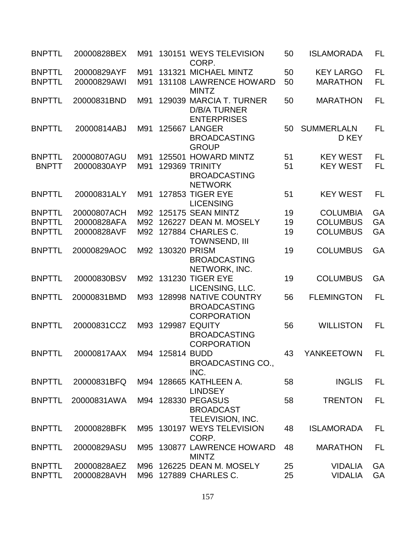| <b>BNPTTL</b> | 20000828BEX                 | M91 |                  | 130151 WEYS TELEVISION<br>CORP.                                      | 50 | <b>ISLAMORADA</b>          | FL        |
|---------------|-----------------------------|-----|------------------|----------------------------------------------------------------------|----|----------------------------|-----------|
| <b>BNPTTL</b> | 20000829AYF                 | M91 |                  | 131321 MICHAEL MINTZ                                                 | 50 | <b>KEY LARGO</b>           | <b>FL</b> |
| <b>BNPTTL</b> | 20000829AWI                 | M91 |                  | 131108 LAWRENCE HOWARD<br><b>MINTZ</b>                               | 50 | <b>MARATHON</b>            | FL        |
| <b>BNPTTL</b> | 20000831BND                 | M91 |                  | 129039 MARCIA T. TURNER<br><b>D/B/A TURNER</b><br><b>ENTERPRISES</b> | 50 | <b>MARATHON</b>            | <b>FL</b> |
| <b>BNPTTL</b> | 20000814ABJ                 | M91 |                  | <b>125667 LANGER</b><br><b>BROADCASTING</b><br><b>GROUP</b>          | 50 | <b>SUMMERLALN</b><br>D KEY | <b>FL</b> |
| <b>BNPTTL</b> | 20000807AGU                 | M91 |                  | 125501 HOWARD MINTZ                                                  | 51 | <b>KEY WEST</b>            | <b>FL</b> |
| <b>BNPTT</b>  | 20000830AYP                 | M91 |                  | 129369 TRINITY<br><b>BROADCASTING</b><br><b>NETWORK</b>              | 51 | <b>KEY WEST</b>            | <b>FL</b> |
| <b>BNPTTL</b> | 20000831ALY                 | M91 |                  | <b>127853 TIGER EYE</b><br><b>LICENSING</b>                          | 51 | <b>KEY WEST</b>            | <b>FL</b> |
| <b>BNPTTL</b> | 20000807ACH                 | M92 |                  | 125175 SEAN MINTZ                                                    | 19 | <b>COLUMBIA</b>            | GA        |
| <b>BNPTTL</b> | 20000828AFA                 | M92 |                  | 126227 DEAN M. MOSELY                                                | 19 | <b>COLUMBUS</b>            | GA        |
| <b>BNPTTL</b> | 20000828AVF                 | M92 |                  | 127884 CHARLES C.<br><b>TOWNSEND, III</b>                            | 19 | <b>COLUMBUS</b>            | GA        |
| <b>BNPTTL</b> | 20000829AOC                 |     | M92 130320 PRISM | <b>BROADCASTING</b><br>NETWORK, INC.                                 | 19 | <b>COLUMBUS</b>            | GA        |
| <b>BNPTTL</b> | 20000830BSV                 |     |                  | M92 131230 TIGER EYE<br>LICENSING, LLC.                              | 19 | <b>COLUMBUS</b>            | GA        |
| <b>BNPTTL</b> | 20000831BMD                 | M93 |                  | 128998 NATIVE COUNTRY<br><b>BROADCASTING</b><br><b>CORPORATION</b>   | 56 | <b>FLEMINGTON</b>          | FL        |
| <b>BNPTTL</b> | 20000831CCZ                 | M93 | 129987           | <b>EQUITY</b><br><b>BROADCASTING</b><br><b>CORPORATION</b>           | 56 | <b>WILLISTON</b>           | <b>FL</b> |
| <b>BNPTTL</b> | 20000817AAX M94 125814 BUDD |     |                  | <b>BROADCASTING CO.,</b><br>INC.                                     |    | 43 YANKEETOWN              | <b>FL</b> |
| <b>BNPTTL</b> | 20000831BFQ                 |     |                  | M94 128665 KATHLEEN A.<br><b>LINDSEY</b>                             | 58 | <b>INGLIS</b>              | FL        |
| <b>BNPTTL</b> | 20000831AWA                 |     |                  | M94 128330 PEGASUS<br><b>BROADCAST</b><br>TELEVISION, INC.           | 58 | <b>TRENTON</b>             | FL        |
| <b>BNPTTL</b> | 20000828BFK                 |     |                  | M95 130197 WEYS TELEVISION<br>CORP.                                  | 48 | <b>ISLAMORADA</b>          | FL        |
| <b>BNPTTL</b> | 20000829ASU                 |     |                  | M95 130877 LAWRENCE HOWARD<br><b>MINTZ</b>                           | 48 | <b>MARATHON</b>            | FL        |
| <b>BNPTTL</b> | 20000828AEZ                 |     |                  | M96 126225 DEAN M. MOSELY                                            | 25 | <b>VIDALIA</b>             | GA        |
| <b>BNPTTL</b> | 20000828AVH                 | M96 |                  | 127889 CHARLES C.                                                    | 25 | <b>VIDALIA</b>             | GA        |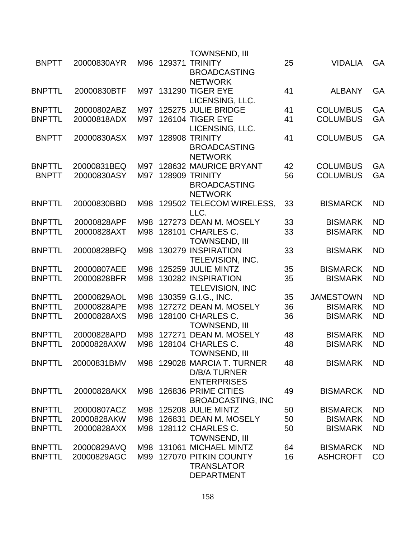|               |             |     |        | <b>TOWNSEND, III</b>        |    |                  |           |
|---------------|-------------|-----|--------|-----------------------------|----|------------------|-----------|
| <b>BNPTT</b>  | 20000830AYR | M96 | 129371 | <b>TRINITY</b>              | 25 | <b>VIDALIA</b>   | GA        |
|               |             |     |        | <b>BROADCASTING</b>         |    |                  |           |
|               |             |     |        | <b>NETWORK</b>              |    |                  |           |
| <b>BNPTTL</b> | 20000830BTF |     |        | M97 131290 TIGER EYE        | 41 | <b>ALBANY</b>    | <b>GA</b> |
|               |             |     |        | LICENSING, LLC.             |    |                  |           |
| <b>BNPTTL</b> | 20000802ABZ | M97 |        | 125275 JULIE BRIDGE         | 41 | <b>COLUMBUS</b>  | GA        |
| <b>BNPTTL</b> | 20000818ADX | M97 |        | <b>126104 TIGER EYE</b>     | 41 | <b>COLUMBUS</b>  | GA        |
|               |             |     |        | LICENSING, LLC.             |    |                  |           |
| <b>BNPTT</b>  | 20000830ASX | M97 |        | 128908 TRINITY              | 41 | <b>COLUMBUS</b>  | GA        |
|               |             |     |        | <b>BROADCASTING</b>         |    |                  |           |
|               |             |     |        | <b>NETWORK</b>              |    |                  |           |
| <b>BNPTTL</b> | 20000831BEQ | M97 |        | 128632 MAURICE BRYANT       | 42 | <b>COLUMBUS</b>  | GA        |
| <b>BNPTT</b>  | 20000830ASY | M97 |        | 128909 TRINITY              | 56 | <b>COLUMBUS</b>  | GA        |
|               |             |     |        |                             |    |                  |           |
|               |             |     |        | <b>BROADCASTING</b>         |    |                  |           |
|               |             |     |        | <b>NETWORK</b>              |    |                  |           |
| <b>BNPTTL</b> | 20000830BBD | M98 |        | 129502 TELECOM WIRELESS,    | 33 | <b>BISMARCK</b>  | <b>ND</b> |
|               |             |     |        | LLC.                        |    |                  |           |
| <b>BNPTTL</b> | 20000828APF | M98 |        | 127273 DEAN M. MOSELY       | 33 | <b>BISMARK</b>   | <b>ND</b> |
| <b>BNPTTL</b> | 20000828AXT | M98 |        | 128101 CHARLES C.           | 33 | <b>BISMARK</b>   | <b>ND</b> |
|               |             |     |        | <b>TOWNSEND, III</b>        |    |                  |           |
| <b>BNPTTL</b> | 20000828BFQ | M98 |        | 130279 INSPIRATION          | 33 | <b>BISMARK</b>   | ND        |
|               |             |     |        | TELEVISION, INC.            |    |                  |           |
| <b>BNPTTL</b> | 20000807AEE | M98 |        | 125259 JULIE MINTZ          | 35 | <b>BISMARCK</b>  | <b>ND</b> |
| <b>BNPTTL</b> | 20000828BFR | M98 |        | 130282 INSPIRATION          | 35 | <b>BISMARK</b>   | <b>ND</b> |
|               |             |     |        | <b>TELEVISION, INC</b>      |    |                  |           |
| <b>BNPTTL</b> | 20000829AOL | M98 |        | 130359 G.I.G., INC.         | 35 | <b>JAMESTOWN</b> | <b>ND</b> |
| <b>BNPTTL</b> | 20000828APE | M98 |        | 127272 DEAN M. MOSELY       | 36 | <b>BISMARK</b>   | <b>ND</b> |
| <b>BNPTTL</b> | 20000828AXS | M98 |        | 128100 CHARLES C.           | 36 | <b>BISMARK</b>   | <b>ND</b> |
|               |             |     |        | <b>TOWNSEND, III</b>        |    |                  |           |
| <b>BNPTTL</b> | 20000828APD | M98 |        | 127271 DEAN M. MOSELY       | 48 | <b>BISMARK</b>   | <b>ND</b> |
| <b>BNPTTL</b> | 20000828AXW | M98 |        | 128104 CHARLES C.           | 48 | <b>BISMARK</b>   | <b>ND</b> |
|               |             |     |        | <b>TOWNSEND, III</b>        |    |                  |           |
| <b>BNPTTL</b> | 20000831BMV |     |        | M98 129028 MARCIA T. TURNER | 48 | <b>BISMARK</b>   | <b>ND</b> |
|               |             |     |        | <b>D/B/A TURNER</b>         |    |                  |           |
|               |             |     |        | <b>ENTERPRISES</b>          |    |                  |           |
| <b>BNPTTL</b> | 20000828AKX |     |        | M98 126836 PRIME CITIES     | 49 | <b>BISMARCK</b>  | <b>ND</b> |
|               |             |     |        | <b>BROADCASTING, INC</b>    |    |                  |           |
| <b>BNPTTL</b> | 20000807ACZ | M98 |        | 125208 JULIE MINTZ          | 50 | <b>BISMARCK</b>  | ND.       |
| <b>BNPTTL</b> |             |     |        | 126831 DEAN M. MOSELY       |    |                  | <b>ND</b> |
|               | 20000828AKW | M98 |        |                             | 50 | <b>BISMARK</b>   |           |
| <b>BNPTTL</b> | 20000828AXX | M98 |        | 128112 CHARLES C.           | 50 | <b>BISMARK</b>   | <b>ND</b> |
|               |             |     |        | <b>TOWNSEND, III</b>        |    |                  |           |
| <b>BNPTTL</b> | 20000829AVQ |     |        | M98 131061 MICHAEL MINTZ    | 64 | <b>BISMARCK</b>  | ND.       |
| <b>BNPTTL</b> | 20000829AGC | M99 |        | 127070 PITKIN COUNTY        | 16 | <b>ASHCROFT</b>  | CO        |
|               |             |     |        | <b>TRANSLATOR</b>           |    |                  |           |
|               |             |     |        | <b>DEPARTMENT</b>           |    |                  |           |